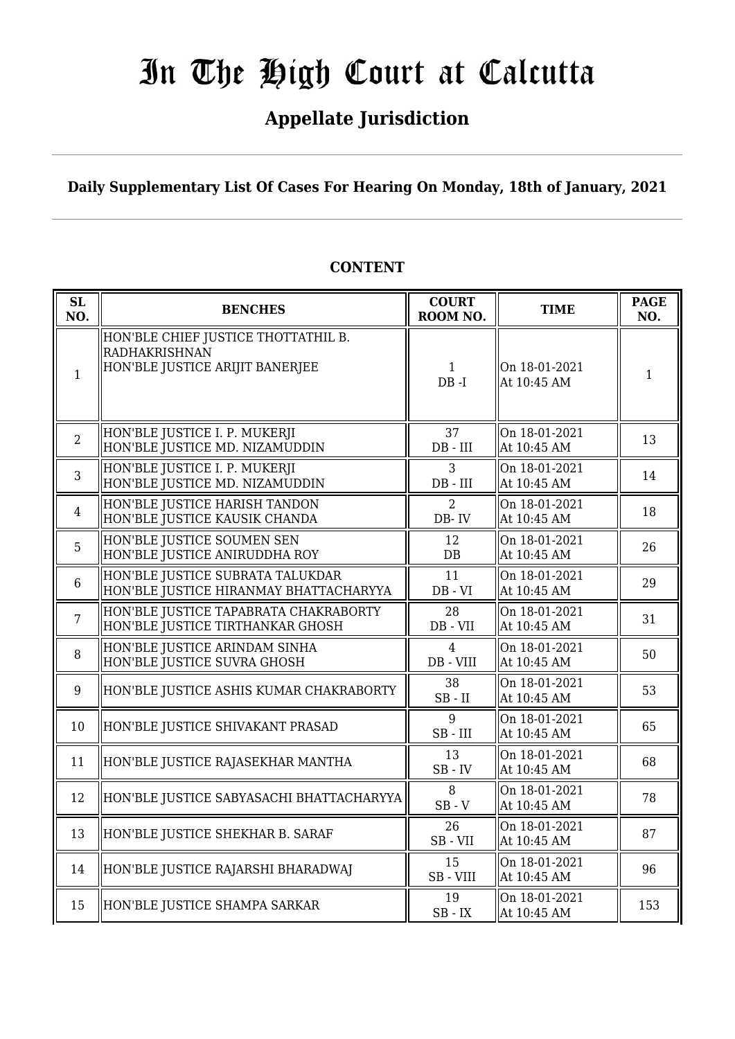## **Appellate Jurisdiction**

**Daily Supplementary List Of Cases For Hearing On Monday, 18th of January, 2021**

| <b>SL</b><br>NO. | <b>BENCHES</b>                                                                          | <b>COURT</b><br>ROOM NO. | <b>TIME</b>                  | <b>PAGE</b><br>NO. |
|------------------|-----------------------------------------------------------------------------------------|--------------------------|------------------------------|--------------------|
| $\mathbf{1}$     | HON'BLE CHIEF JUSTICE THOTTATHIL B.<br>RADHAKRISHNAN<br>HON'BLE JUSTICE ARIJIT BANERJEE | $\mathbf{1}$<br>DB-I     | On 18-01-2021<br>At 10:45 AM | $\mathbf{1}$       |
| $\overline{2}$   | HON'BLE JUSTICE I. P. MUKERJI<br>HON'BLE JUSTICE MD. NIZAMUDDIN                         | 37<br>$DB$ - $III$       | On 18-01-2021<br>At 10:45 AM | 13                 |
| 3                | HON'BLE JUSTICE I. P. MUKERJI<br>HON'BLE JUSTICE MD. NIZAMUDDIN                         | 3<br>$DB$ - $III$        | On 18-01-2021<br>At 10:45 AM | 14                 |
| $\overline{4}$   | HON'BLE JUSTICE HARISH TANDON<br>HON'BLE JUSTICE KAUSIK CHANDA                          | 2<br>$DB - IV$           | On 18-01-2021<br>At 10:45 AM | 18                 |
| 5                | HON'BLE JUSTICE SOUMEN SEN<br>HON'BLE JUSTICE ANIRUDDHA ROY                             | 12<br>DB                 | On 18-01-2021<br>At 10:45 AM | 26                 |
| 6                | HON'BLE JUSTICE SUBRATA TALUKDAR<br>HON'BLE JUSTICE HIRANMAY BHATTACHARYYA              | 11<br>$DB - VI$          | On 18-01-2021<br>At 10:45 AM | 29                 |
| $\overline{7}$   | HON'BLE JUSTICE TAPABRATA CHAKRABORTY<br>HON'BLE JUSTICE TIRTHANKAR GHOSH               | 28<br>DB - VII           | On 18-01-2021<br>At 10:45 AM | 31                 |
| 8                | HON'BLE JUSTICE ARINDAM SINHA<br>HON'BLE JUSTICE SUVRA GHOSH                            | 4<br>DB - VIII           | On 18-01-2021<br>At 10:45 AM | 50                 |
| 9                | HON'BLE JUSTICE ASHIS KUMAR CHAKRABORTY                                                 | 38<br>$SB$ - $II$        | On 18-01-2021<br>At 10:45 AM | 53                 |
| 10               | HON'BLE JUSTICE SHIVAKANT PRASAD                                                        | 9<br>$SB$ - $III$        | On 18-01-2021<br>At 10:45 AM | 65                 |
| 11               | HON'BLE JUSTICE RAJASEKHAR MANTHA                                                       | 13<br>$SB$ - $IV$        | On 18-01-2021<br>At 10:45 AM | 68                 |
| 12               | HON'BLE JUSTICE SABYASACHI BHATTACHARYYA                                                | 8<br>$SB - V$            | On 18-01-2021<br>At 10:45 AM | 78                 |
| 13               | HON'BLE JUSTICE SHEKHAR B. SARAF                                                        | 26<br>$SB - VII$         | On 18-01-2021<br>At 10:45 AM | 87                 |
| 14               | HON'BLE JUSTICE RAJARSHI BHARADWAJ                                                      | 15<br>SB - VIII          | On 18-01-2021<br>At 10:45 AM | 96                 |
| 15               | HON'BLE JUSTICE SHAMPA SARKAR                                                           | 19<br>$SB$ - $IX$        | On 18-01-2021<br>At 10:45 AM | 153                |

## **CONTENT**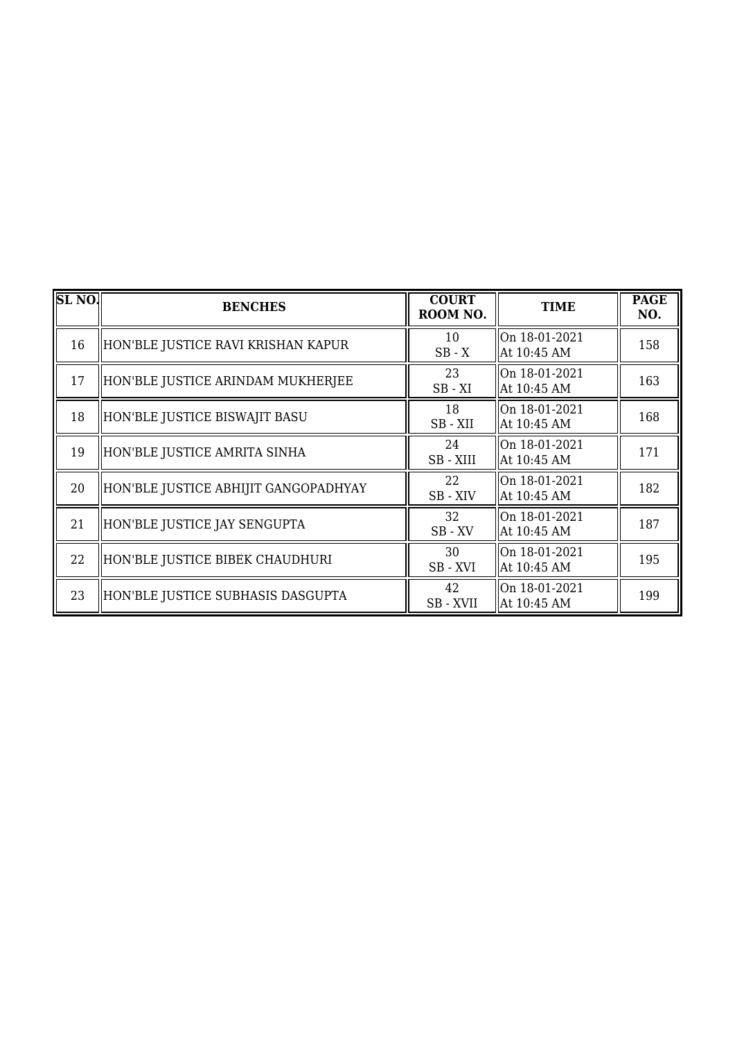| SL <sub>NO</sub> . | <b>BENCHES</b>                       | <b>COURT</b><br>ROOM NO. | <b>TIME</b>                  | <b>PAGE</b><br>NO. |
|--------------------|--------------------------------------|--------------------------|------------------------------|--------------------|
| 16                 | HON'BLE JUSTICE RAVI KRISHAN KAPUR   | 10<br>$SB - X$           | On 18-01-2021<br>At 10:45 AM | 158                |
| 17                 | HON'BLE JUSTICE ARINDAM MUKHERJEE    | 23<br>$SB - XI$          | On 18-01-2021<br>At 10:45 AM | 163                |
| 18                 | HON'BLE JUSTICE BISWAJIT BASU        | 18<br>SB-XII             | On 18-01-2021<br>At 10:45 AM | 168                |
| 19                 | HON'BLE JUSTICE AMRITA SINHA         | 24<br>SB-XIII            | On 18-01-2021<br>At 10:45 AM | 171                |
| 20                 | HON'BLE JUSTICE ABHIJIT GANGOPADHYAY | 22<br>SB - XIV           | On 18-01-2021<br>At 10:45 AM | 182                |
| 21                 | HON'BLE JUSTICE JAY SENGUPTA         | 32<br>$SB$ - $XV$        | On 18-01-2021<br>At 10:45 AM | 187                |
| 22                 | HON'BLE JUSTICE BIBEK CHAUDHURI      | 30<br>SB-XVI             | On 18-01-2021<br>At 10:45 AM | 195                |
| 23                 | HON'BLE JUSTICE SUBHASIS DASGUPTA    | 42<br>SB - XVII          | On 18-01-2021<br>At 10:45 AM | 199                |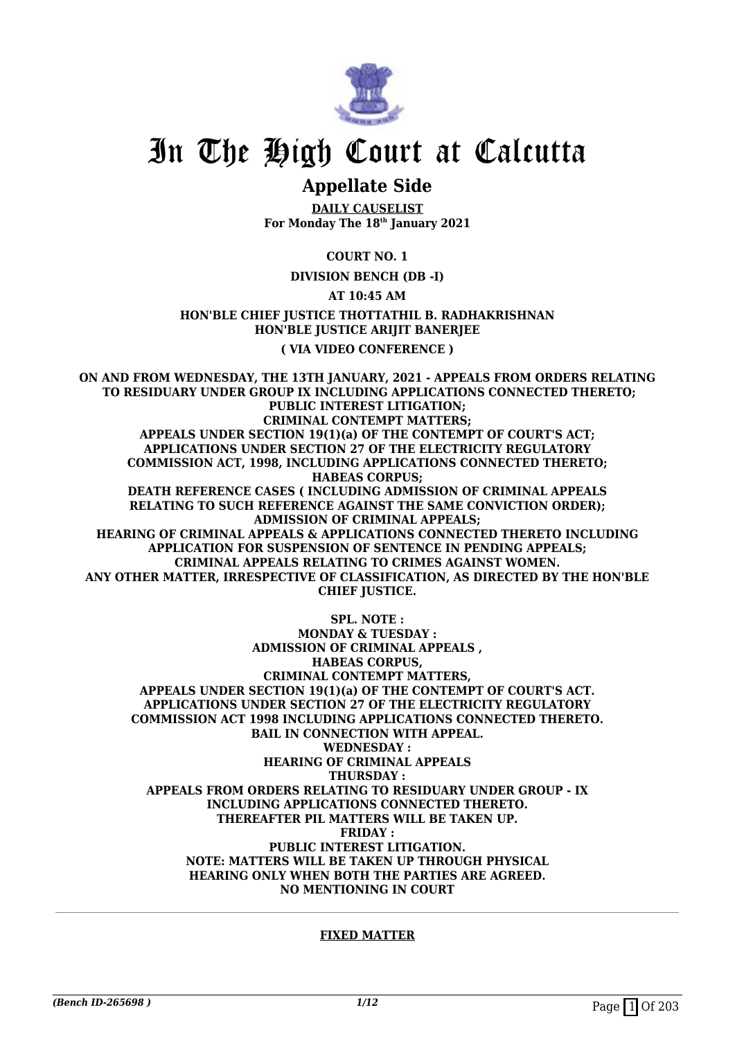

## **Appellate Side**

**DAILY CAUSELIST For Monday The 18th January 2021**

**COURT NO. 1**

**DIVISION BENCH (DB -I)**

**AT 10:45 AM**

**HON'BLE CHIEF JUSTICE THOTTATHIL B. RADHAKRISHNAN HON'BLE JUSTICE ARIJIT BANERJEE**

**( VIA VIDEO CONFERENCE )**

**ON AND FROM WEDNESDAY, THE 13TH JANUARY, 2021 - APPEALS FROM ORDERS RELATING TO RESIDUARY UNDER GROUP IX INCLUDING APPLICATIONS CONNECTED THERETO; PUBLIC INTEREST LITIGATION; CRIMINAL CONTEMPT MATTERS; APPEALS UNDER SECTION 19(1)(a) OF THE CONTEMPT OF COURT'S ACT; APPLICATIONS UNDER SECTION 27 OF THE ELECTRICITY REGULATORY COMMISSION ACT, 1998, INCLUDING APPLICATIONS CONNECTED THERETO; HABEAS CORPUS; DEATH REFERENCE CASES ( INCLUDING ADMISSION OF CRIMINAL APPEALS RELATING TO SUCH REFERENCE AGAINST THE SAME CONVICTION ORDER); ADMISSION OF CRIMINAL APPEALS; HEARING OF CRIMINAL APPEALS & APPLICATIONS CONNECTED THERETO INCLUDING APPLICATION FOR SUSPENSION OF SENTENCE IN PENDING APPEALS; CRIMINAL APPEALS RELATING TO CRIMES AGAINST WOMEN. ANY OTHER MATTER, IRRESPECTIVE OF CLASSIFICATION, AS DIRECTED BY THE HON'BLE CHIEF JUSTICE.**

**SPL. NOTE :**

**MONDAY & TUESDAY : ADMISSION OF CRIMINAL APPEALS , HABEAS CORPUS, CRIMINAL CONTEMPT MATTERS, APPEALS UNDER SECTION 19(1)(a) OF THE CONTEMPT OF COURT'S ACT. APPLICATIONS UNDER SECTION 27 OF THE ELECTRICITY REGULATORY COMMISSION ACT 1998 INCLUDING APPLICATIONS CONNECTED THERETO. BAIL IN CONNECTION WITH APPEAL. WEDNESDAY : HEARING OF CRIMINAL APPEALS THURSDAY : APPEALS FROM ORDERS RELATING TO RESIDUARY UNDER GROUP - IX INCLUDING APPLICATIONS CONNECTED THERETO. THEREAFTER PIL MATTERS WILL BE TAKEN UP. FRIDAY : PUBLIC INTEREST LITIGATION. NOTE: MATTERS WILL BE TAKEN UP THROUGH PHYSICAL HEARING ONLY WHEN BOTH THE PARTIES ARE AGREED. NO MENTIONING IN COURT**

#### **FIXED MATTER**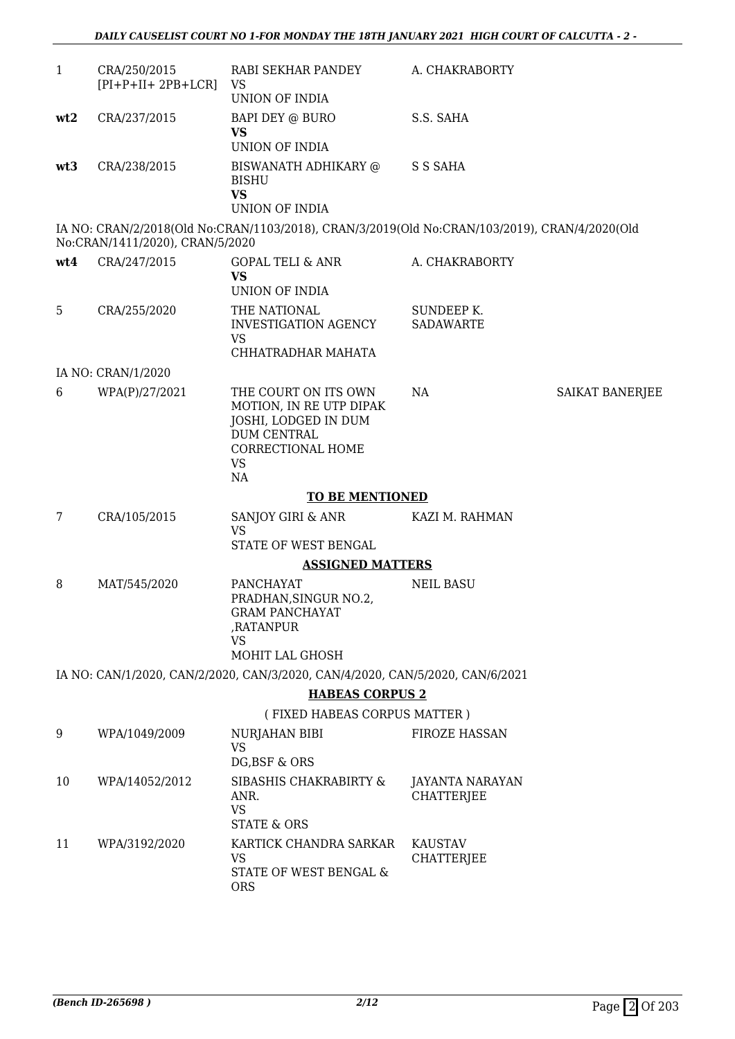| 1   | CRA/250/2015<br>$[PI+P+II+2PB+LCR]$ | RABI SEKHAR PANDEY<br>VS<br>UNION OF INDIA                                                                                     | A. CHAKRABORTY                       |                 |
|-----|-------------------------------------|--------------------------------------------------------------------------------------------------------------------------------|--------------------------------------|-----------------|
| wt2 | CRA/237/2015                        | BAPI DEY @ BURO<br><b>VS</b><br><b>UNION OF INDIA</b>                                                                          | S.S. SAHA                            |                 |
| wt3 | CRA/238/2015                        | BISWANATH ADHIKARY @<br><b>BISHU</b><br><b>VS</b><br><b>UNION OF INDIA</b>                                                     | S S SAHA                             |                 |
|     | No:CRAN/1411/2020), CRAN/5/2020     | IA NO: CRAN/2/2018(Old No:CRAN/1103/2018), CRAN/3/2019(Old No:CRAN/103/2019), CRAN/4/2020(Old                                  |                                      |                 |
| wt4 | CRA/247/2015                        | GOPAL TELI & ANR<br><b>VS</b><br>UNION OF INDIA                                                                                | A. CHAKRABORTY                       |                 |
| 5   | CRA/255/2020                        | THE NATIONAL<br>INVESTIGATION AGENCY<br><b>VS</b>                                                                              | SUNDEEP K.<br><b>SADAWARTE</b>       |                 |
|     | IA NO: CRAN/1/2020                  | CHHATRADHAR MAHATA                                                                                                             |                                      |                 |
| 6   | WPA(P)/27/2021                      | THE COURT ON ITS OWN<br>MOTION, IN RE UTP DIPAK<br>JOSHI, LODGED IN DUM<br><b>DUM CENTRAL</b><br>CORRECTIONAL HOME<br>VS<br>NA | NA                                   | SAIKAT BANERJEE |
|     |                                     | <b>TO BE MENTIONED</b>                                                                                                         |                                      |                 |
| 7   | CRA/105/2015                        | SANJOY GIRI & ANR<br><b>VS</b><br>STATE OF WEST BENGAL                                                                         | KAZI M. RAHMAN                       |                 |
|     |                                     | <b>ASSIGNED MATTERS</b>                                                                                                        |                                      |                 |
| 8   | MAT/545/2020                        | <b>PANCHAYAT</b><br>PRADHAN, SINGUR NO.2,<br><b>GRAM PANCHAYAT</b><br>,RATANPUR<br>VS<br>MOHIT LAL GHOSH                       | <b>NEIL BASU</b>                     |                 |
|     |                                     | IA NO: CAN/1/2020, CAN/2/2020, CAN/3/2020, CAN/4/2020, CAN/5/2020, CAN/6/2021                                                  |                                      |                 |
|     |                                     | <b>HABEAS CORPUS 2</b>                                                                                                         |                                      |                 |
|     |                                     | (FIXED HABEAS CORPUS MATTER)                                                                                                   |                                      |                 |
| 9   | WPA/1049/2009                       | <b>NURJAHAN BIBI</b><br><b>VS</b><br>DG, BSF & ORS                                                                             | <b>FIROZE HASSAN</b>                 |                 |
| 10  | WPA/14052/2012                      | SIBASHIS CHAKRABIRTY &<br>ANR.<br><b>VS</b><br><b>STATE &amp; ORS</b>                                                          | JAYANTA NARAYAN<br><b>CHATTERJEE</b> |                 |
| 11  | WPA/3192/2020                       | KARTICK CHANDRA SARKAR<br><b>VS</b><br>STATE OF WEST BENGAL &<br><b>ORS</b>                                                    | <b>KAUSTAV</b><br><b>CHATTERJEE</b>  |                 |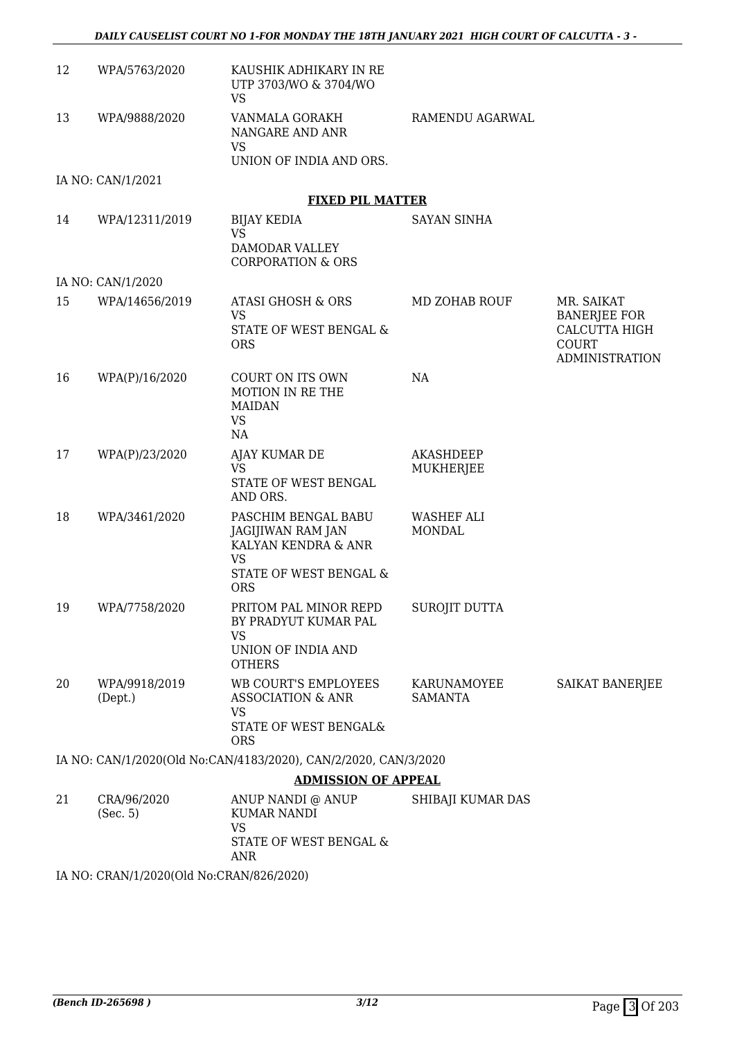| 12 | WPA/5763/2020                            | KAUSHIK ADHIKARY IN RE<br>UTP 3703/WO & 3704/WO<br><b>VS</b>                                                  |                                    |                                                                                      |
|----|------------------------------------------|---------------------------------------------------------------------------------------------------------------|------------------------------------|--------------------------------------------------------------------------------------|
| 13 | WPA/9888/2020                            | VANMALA GORAKH<br>NANGARE AND ANR<br><b>VS</b>                                                                | RAMENDU AGARWAL                    |                                                                                      |
|    |                                          | UNION OF INDIA AND ORS.                                                                                       |                                    |                                                                                      |
|    | IA NO: CAN/1/2021                        | <b>FIXED PIL MATTER</b>                                                                                       |                                    |                                                                                      |
| 14 | WPA/12311/2019                           | <b>BIJAY KEDIA</b>                                                                                            | <b>SAYAN SINHA</b>                 |                                                                                      |
|    |                                          | <b>VS</b><br>DAMODAR VALLEY<br><b>CORPORATION &amp; ORS</b>                                                   |                                    |                                                                                      |
|    | IA NO: CAN/1/2020                        |                                                                                                               |                                    |                                                                                      |
| 15 | WPA/14656/2019                           | ATASI GHOSH & ORS<br><b>VS</b><br>STATE OF WEST BENGAL &<br><b>ORS</b>                                        | MD ZOHAB ROUF                      | MR. SAIKAT<br><b>BANERJEE FOR</b><br>CALCUTTA HIGH<br>COURT<br><b>ADMINISTRATION</b> |
| 16 | WPA(P)/16/2020                           | <b>COURT ON ITS OWN</b><br>MOTION IN RE THE<br><b>MAIDAN</b><br><b>VS</b><br>NA                               | <b>NA</b>                          |                                                                                      |
| 17 | WPA(P)/23/2020                           | AJAY KUMAR DE<br><b>VS</b><br>STATE OF WEST BENGAL<br>AND ORS.                                                | <b>AKASHDEEP</b><br>MUKHERJEE      |                                                                                      |
| 18 | WPA/3461/2020                            | PASCHIM BENGAL BABU<br>JAGIJIWAN RAM JAN<br>KALYAN KENDRA & ANR<br>VS<br>STATE OF WEST BENGAL &<br><b>ORS</b> | <b>WASHEF ALI</b><br><b>MONDAL</b> |                                                                                      |
| 19 | WPA/7758/2020                            | PRITOM PAL MINOR REPD<br>BY PRADYUT KUMAR PAL<br><b>VS</b><br>UNION OF INDIA AND<br><b>OTHERS</b>             | <b>SUROJIT DUTTA</b>               |                                                                                      |
| 20 | WPA/9918/2019<br>(Dept.)                 | WB COURT'S EMPLOYEES<br><b>ASSOCIATION &amp; ANR</b><br><b>VS</b><br>STATE OF WEST BENGAL&<br><b>ORS</b>      | KARUNAMOYEE<br><b>SAMANTA</b>      | SAIKAT BANERJEE                                                                      |
|    |                                          | IA NO: CAN/1/2020(Old No:CAN/4183/2020), CAN/2/2020, CAN/3/2020                                               |                                    |                                                                                      |
|    |                                          | <b>ADMISSION OF APPEAL</b>                                                                                    |                                    |                                                                                      |
| 21 | CRA/96/2020<br>(Sec. 5)                  | ANUP NANDI @ ANUP<br><b>KUMAR NANDI</b><br><b>VS</b><br>STATE OF WEST BENGAL &<br>ANR                         | SHIBAJI KUMAR DAS                  |                                                                                      |
|    | IA NO: CRAN/1/2020(Old No:CRAN/826/2020) |                                                                                                               |                                    |                                                                                      |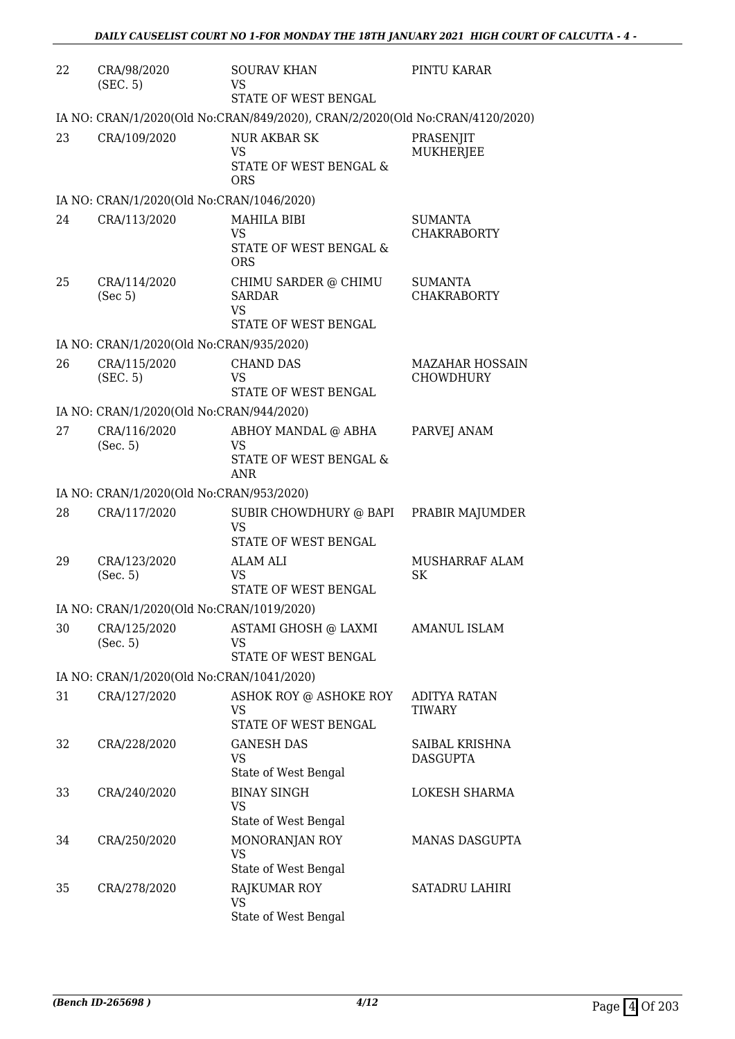| 22 | CRA/98/2020<br>(SEC. 5)                   | <b>SOURAV KHAN</b><br>VS<br>STATE OF WEST BENGAL                             | PINTU KARAR                                |
|----|-------------------------------------------|------------------------------------------------------------------------------|--------------------------------------------|
|    |                                           | IA NO: CRAN/1/2020(Old No:CRAN/849/2020), CRAN/2/2020(Old No:CRAN/4120/2020) |                                            |
| 23 | CRA/109/2020                              | <b>NUR AKBAR SK</b><br>VS<br>STATE OF WEST BENGAL &<br><b>ORS</b>            | PRASENJIT<br><b>MUKHERJEE</b>              |
|    | IA NO: CRAN/1/2020(Old No:CRAN/1046/2020) |                                                                              |                                            |
| 24 | CRA/113/2020                              | <b>MAHILA BIBI</b><br>VS<br>STATE OF WEST BENGAL &<br><b>ORS</b>             | <b>SUMANTA</b><br><b>CHAKRABORTY</b>       |
| 25 | CRA/114/2020<br>(Sec 5)                   | CHIMU SARDER @ CHIMU<br><b>SARDAR</b><br><b>VS</b><br>STATE OF WEST BENGAL   | <b>SUMANTA</b><br><b>CHAKRABORTY</b>       |
|    | IA NO: CRAN/1/2020(Old No:CRAN/935/2020)  |                                                                              |                                            |
| 26 | CRA/115/2020<br>(SEC. 5)                  | <b>CHAND DAS</b><br>VS<br>STATE OF WEST BENGAL                               | <b>MAZAHAR HOSSAIN</b><br><b>CHOWDHURY</b> |
|    | IA NO: CRAN/1/2020(Old No:CRAN/944/2020)  |                                                                              |                                            |
| 27 | CRA/116/2020<br>(Sec. 5)                  | ABHOY MANDAL @ ABHA<br><b>VS</b><br>STATE OF WEST BENGAL &<br>ANR            | PARVEJ ANAM                                |
|    | IA NO: CRAN/1/2020(Old No:CRAN/953/2020)  |                                                                              |                                            |
| 28 | CRA/117/2020                              | SUBIR CHOWDHURY @ BAPI<br><b>VS</b><br>STATE OF WEST BENGAL                  | PRABIR MAJUMDER                            |
| 29 | CRA/123/2020<br>(Sec. 5)                  | <b>ALAM ALI</b><br>VS.<br>STATE OF WEST BENGAL                               | MUSHARRAF ALAM<br>SK                       |
|    | IA NO: CRAN/1/2020(Old No:CRAN/1019/2020) |                                                                              |                                            |
| 30 | CRA/125/2020<br>(Sec. 5)                  | ASTAMI GHOSH @ LAXMI<br>VS<br>STATE OF WEST BENGAL                           | <b>AMANUL ISLAM</b>                        |
|    | IA NO: CRAN/1/2020(Old No:CRAN/1041/2020) |                                                                              |                                            |
| 31 | CRA/127/2020                              | ASHOK ROY @ ASHOKE ROY<br>VS<br>STATE OF WEST BENGAL                         | <b>ADITYA RATAN</b><br><b>TIWARY</b>       |
| 32 | CRA/228/2020                              | <b>GANESH DAS</b><br>VS<br>State of West Bengal                              | SAIBAL KRISHNA<br><b>DASGUPTA</b>          |
| 33 | CRA/240/2020                              | <b>BINAY SINGH</b><br>VS<br>State of West Bengal                             | LOKESH SHARMA                              |
| 34 | CRA/250/2020                              | MONORANJAN ROY<br><b>VS</b><br>State of West Bengal                          | <b>MANAS DASGUPTA</b>                      |
| 35 | CRA/278/2020                              | RAJKUMAR ROY<br><b>VS</b><br>State of West Bengal                            | <b>SATADRU LAHIRI</b>                      |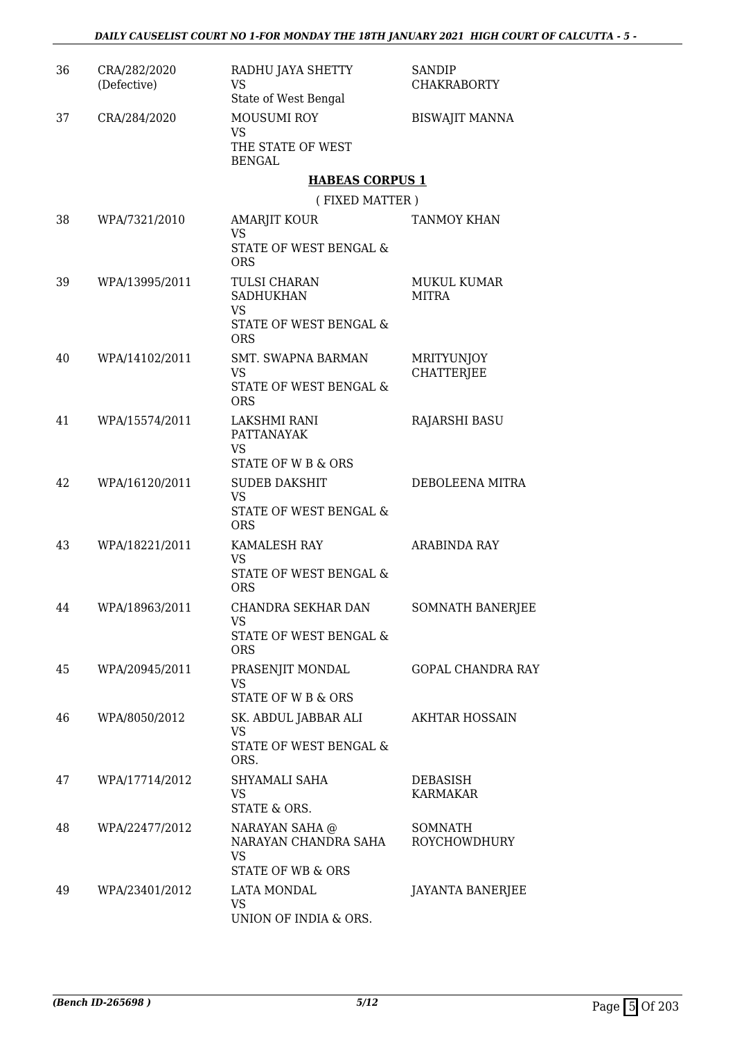| 36 | CRA/282/2020<br>(Defective) | RADHU JAYA SHETTY<br><b>VS</b><br>State of West Bengal                         | <b>SANDIP</b><br><b>CHAKRABORTY</b>    |
|----|-----------------------------|--------------------------------------------------------------------------------|----------------------------------------|
| 37 | CRA/284/2020                | <b>MOUSUMI ROY</b><br>VS.<br>THE STATE OF WEST<br><b>BENGAL</b>                | <b>BISWAJIT MANNA</b>                  |
|    |                             | <b>HABEAS CORPUS 1</b>                                                         |                                        |
|    |                             | (FIXED MATTER)                                                                 |                                        |
| 38 | WPA/7321/2010               | AMARJIT KOUR<br>VS<br>STATE OF WEST BENGAL &<br><b>ORS</b>                     | <b>TANMOY KHAN</b>                     |
| 39 | WPA/13995/2011              | TULSI CHARAN<br><b>SADHUKHAN</b><br><b>VS</b>                                  | <b>MUKUL KUMAR</b><br><b>MITRA</b>     |
|    |                             | STATE OF WEST BENGAL &<br><b>ORS</b>                                           |                                        |
| 40 | WPA/14102/2011              | <b>SMT. SWAPNA BARMAN</b><br><b>VS</b><br>STATE OF WEST BENGAL &<br><b>ORS</b> | <b>MRITYUNJOY</b><br><b>CHATTERJEE</b> |
| 41 | WPA/15574/2011              | LAKSHMI RANI<br><b>PATTANAYAK</b><br><b>VS</b><br>STATE OF W B & ORS           | <b>RAJARSHI BASU</b>                   |
| 42 | WPA/16120/2011              | <b>SUDEB DAKSHIT</b><br><b>VS</b><br>STATE OF WEST BENGAL &<br><b>ORS</b>      | DEBOLEENA MITRA                        |
| 43 | WPA/18221/2011              | <b>KAMALESH RAY</b><br>VS<br>STATE OF WEST BENGAL &<br><b>ORS</b>              | <b>ARABINDA RAY</b>                    |
| 44 | WPA/18963/2011              | CHANDRA SEKHAR DAN<br><b>VS</b><br>STATE OF WEST BENGAL &<br><b>ORS</b>        | SOMNATH BANERJEE                       |
| 45 | WPA/20945/2011              | PRASENJIT MONDAL<br><b>VS</b><br><b>STATE OF W B &amp; ORS</b>                 | GOPAL CHANDRA RAY                      |
| 46 | WPA/8050/2012               | SK. ABDUL JABBAR ALI<br><b>VS</b><br>STATE OF WEST BENGAL &<br>ORS.            | <b>AKHTAR HOSSAIN</b>                  |
| 47 | WPA/17714/2012              | SHYAMALI SAHA<br><b>VS</b><br>STATE & ORS.                                     | DEBASISH<br>KARMAKAR                   |
| 48 | WPA/22477/2012              | NARAYAN SAHA @<br>NARAYAN CHANDRA SAHA<br><b>VS</b><br>STATE OF WB & ORS       | SOMNATH<br>ROYCHOWDHURY                |
| 49 | WPA/23401/2012              | LATA MONDAL<br><b>VS</b><br>UNION OF INDIA & ORS.                              | JAYANTA BANERJEE                       |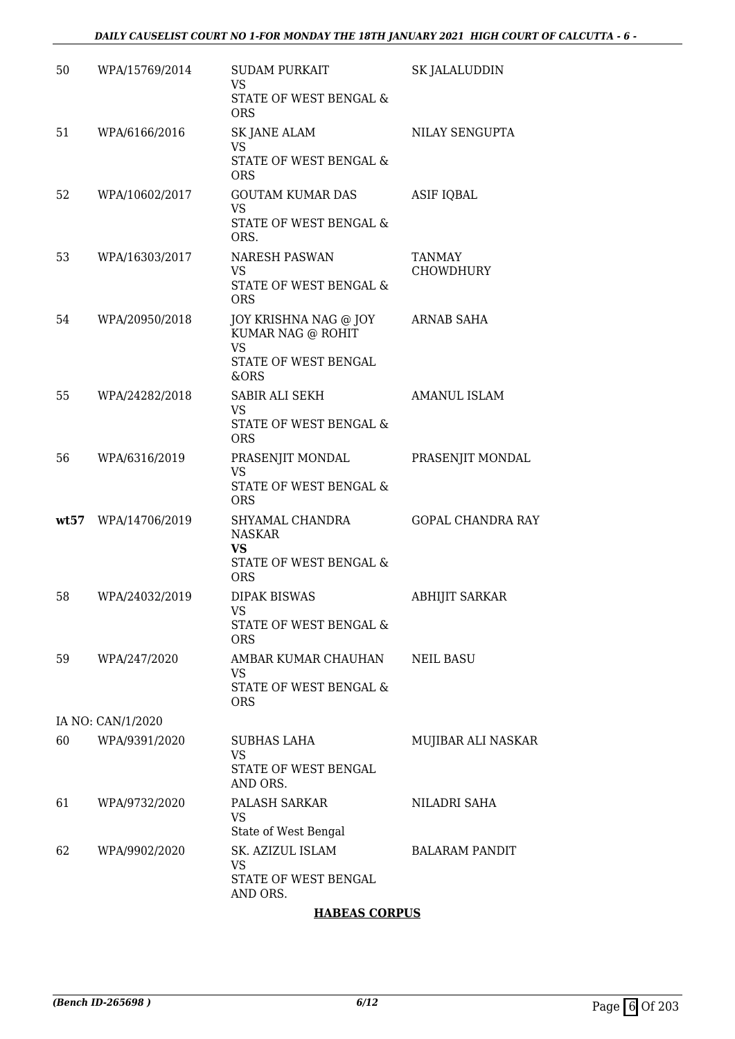| 50   | WPA/15769/2014    | <b>SUDAM PURKAIT</b><br><b>VS</b><br>STATE OF WEST BENGAL &<br><b>ORS</b>                      | <b>SK JALALUDDIN</b>              |
|------|-------------------|------------------------------------------------------------------------------------------------|-----------------------------------|
| 51   | WPA/6166/2016     | <b>SK JANE ALAM</b><br>VS.<br>STATE OF WEST BENGAL &<br><b>ORS</b>                             | NILAY SENGUPTA                    |
| 52   | WPA/10602/2017    | <b>GOUTAM KUMAR DAS</b><br><b>VS</b><br>STATE OF WEST BENGAL &<br>ORS.                         | <b>ASIF IQBAL</b>                 |
| 53   | WPA/16303/2017    | <b>NARESH PASWAN</b><br><b>VS</b><br>STATE OF WEST BENGAL &<br><b>ORS</b>                      | <b>TANMAY</b><br><b>CHOWDHURY</b> |
| 54   | WPA/20950/2018    | JOY KRISHNA NAG @ JOY<br>KUMAR NAG @ ROHIT<br><b>VS</b><br><b>STATE OF WEST BENGAL</b><br>&ORS | ARNAB SAHA                        |
| 55   | WPA/24282/2018    | SABIR ALI SEKH<br><b>VS</b><br>STATE OF WEST BENGAL &<br><b>ORS</b>                            | <b>AMANUL ISLAM</b>               |
| 56   | WPA/6316/2019     | PRASENJIT MONDAL<br><b>VS</b><br>STATE OF WEST BENGAL &<br><b>ORS</b>                          | PRASENJIT MONDAL                  |
| wt57 | WPA/14706/2019    | SHYAMAL CHANDRA<br><b>NASKAR</b><br>VS<br>STATE OF WEST BENGAL &<br><b>ORS</b>                 | <b>GOPAL CHANDRA RAY</b>          |
| 58   | WPA/24032/2019    | <b>DIPAK BISWAS</b><br><b>VS</b><br>STATE OF WEST BENGAL &<br><b>ORS</b>                       | <b>ABHIJIT SARKAR</b>             |
| 59   | WPA/247/2020      | AMBAR KUMAR CHAUHAN<br>VS<br>STATE OF WEST BENGAL &<br><b>ORS</b>                              | <b>NEIL BASU</b>                  |
|      | IA NO: CAN/1/2020 |                                                                                                |                                   |
| 60   | WPA/9391/2020     | SUBHAS LAHA<br><b>VS</b><br>STATE OF WEST BENGAL<br>AND ORS.                                   | MUJIBAR ALI NASKAR                |
| 61   | WPA/9732/2020     | PALASH SARKAR<br>VS<br>State of West Bengal                                                    | NILADRI SAHA                      |
| 62   | WPA/9902/2020     | SK. AZIZUL ISLAM<br>VS<br>STATE OF WEST BENGAL<br>AND ORS.                                     | <b>BALARAM PANDIT</b>             |

### **HABEAS CORPUS**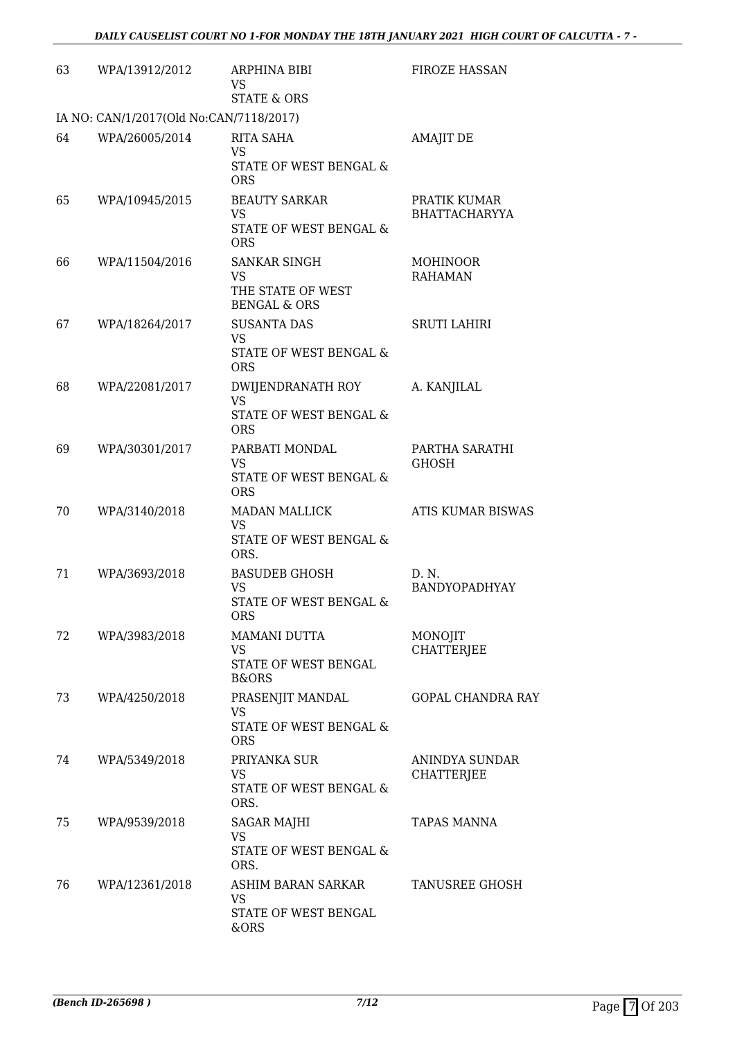| 63 | WPA/13912/2012                          | <b>ARPHINA BIBI</b><br><b>VS</b><br><b>STATE &amp; ORS</b>                           | <b>FIROZE HASSAN</b>                 |
|----|-----------------------------------------|--------------------------------------------------------------------------------------|--------------------------------------|
|    | IA NO: CAN/1/2017(Old No:CAN/7118/2017) |                                                                                      |                                      |
| 64 | WPA/26005/2014                          | <b>RITA SAHA</b><br>VS<br>STATE OF WEST BENGAL &<br><b>ORS</b>                       | <b>AMAJIT DE</b>                     |
| 65 | WPA/10945/2015                          | <b>BEAUTY SARKAR</b><br><b>VS</b><br><b>STATE OF WEST BENGAL &amp;</b><br><b>ORS</b> | PRATIK KUMAR<br><b>BHATTACHARYYA</b> |
| 66 | WPA/11504/2016                          | <b>SANKAR SINGH</b><br><b>VS</b><br>THE STATE OF WEST<br><b>BENGAL &amp; ORS</b>     | <b>MOHINOOR</b><br><b>RAHAMAN</b>    |
| 67 | WPA/18264/2017                          | <b>SUSANTA DAS</b><br><b>VS</b><br>STATE OF WEST BENGAL &<br><b>ORS</b>              | <b>SRUTI LAHIRI</b>                  |
| 68 | WPA/22081/2017                          | DWIJENDRANATH ROY<br><b>VS</b><br>STATE OF WEST BENGAL &<br><b>ORS</b>               | A. KANJILAL                          |
| 69 | WPA/30301/2017                          | PARBATI MONDAL<br>VS<br>STATE OF WEST BENGAL &<br><b>ORS</b>                         | PARTHA SARATHI<br><b>GHOSH</b>       |
| 70 | WPA/3140/2018                           | <b>MADAN MALLICK</b><br><b>VS</b><br>STATE OF WEST BENGAL &<br>ORS.                  | ATIS KUMAR BISWAS                    |
| 71 | WPA/3693/2018                           | <b>BASUDEB GHOSH</b><br><b>VS</b><br>STATE OF WEST BENGAL &<br><b>ORS</b>            | D. N.<br><b>BANDYOPADHYAY</b>        |
| 72 | WPA/3983/2018                           | MAMANI DUTTA<br>VS<br><b>STATE OF WEST BENGAL</b><br><b>B&amp;ORS</b>                | MONOJIT<br><b>CHATTERJEE</b>         |
| 73 | WPA/4250/2018                           | PRASENJIT MANDAL<br>VS<br>STATE OF WEST BENGAL &<br><b>ORS</b>                       | <b>GOPAL CHANDRA RAY</b>             |
| 74 | WPA/5349/2018                           | PRIYANKA SUR<br><b>VS</b><br>STATE OF WEST BENGAL &<br>ORS.                          | ANINDYA SUNDAR<br><b>CHATTERJEE</b>  |
| 75 | WPA/9539/2018                           | <b>SAGAR MAJHI</b><br>VS<br>STATE OF WEST BENGAL &<br>ORS.                           | TAPAS MANNA                          |
| 76 | WPA/12361/2018                          | ASHIM BARAN SARKAR<br>VS<br>STATE OF WEST BENGAL<br>&ORS                             | TANUSREE GHOSH                       |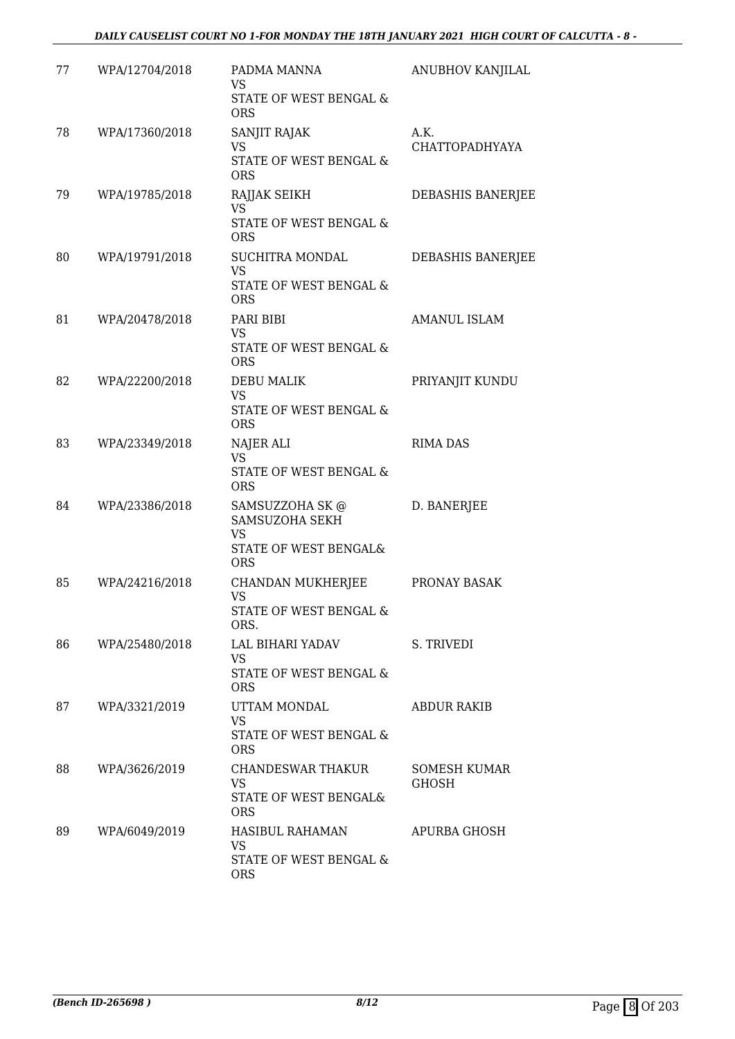### *DAILY CAUSELIST COURT NO 1-FOR MONDAY THE 18TH JANUARY 2021 HIGH COURT OF CALCUTTA - 8 -*

| 77 | WPA/12704/2018 | PADMA MANNA<br>VS<br>STATE OF WEST BENGAL &<br><b>ORS</b>                             | ANUBHOV KANJILAL              |
|----|----------------|---------------------------------------------------------------------------------------|-------------------------------|
| 78 | WPA/17360/2018 | SANJIT RAJAK<br>VS<br>STATE OF WEST BENGAL &<br><b>ORS</b>                            | A.K.<br><b>CHATTOPADHYAYA</b> |
| 79 | WPA/19785/2018 | RAJJAK SEIKH<br><b>VS</b><br>STATE OF WEST BENGAL &<br><b>ORS</b>                     | DEBASHIS BANERJEE             |
| 80 | WPA/19791/2018 | SUCHITRA MONDAL<br>VS<br>STATE OF WEST BENGAL &<br><b>ORS</b>                         | DEBASHIS BANERJEE             |
| 81 | WPA/20478/2018 | PARI BIBI<br>VS<br><b>STATE OF WEST BENGAL &amp;</b><br><b>ORS</b>                    | <b>AMANUL ISLAM</b>           |
| 82 | WPA/22200/2018 | <b>DEBU MALIK</b><br>VS<br>STATE OF WEST BENGAL &<br><b>ORS</b>                       | PRIYANJIT KUNDU               |
| 83 | WPA/23349/2018 | NAJER ALI<br><b>VS</b><br>STATE OF WEST BENGAL &<br><b>ORS</b>                        | <b>RIMA DAS</b>               |
| 84 | WPA/23386/2018 | SAMSUZZOHA SK @<br>SAMSUZOHA SEKH<br><b>VS</b><br>STATE OF WEST BENGAL&<br><b>ORS</b> | D. BANERJEE                   |
| 85 | WPA/24216/2018 | CHANDAN MUKHERJEE<br>VS<br>STATE OF WEST BENGAL &<br>ORS.                             | PRONAY BASAK                  |
| 86 | WPA/25480/2018 | LAL BIHARI YADAV<br><b>VS</b><br>STATE OF WEST BENGAL &<br><b>ORS</b>                 | S. TRIVEDI                    |
| 87 | WPA/3321/2019  | UTTAM MONDAL<br><b>VS</b><br>STATE OF WEST BENGAL &<br><b>ORS</b>                     | <b>ABDUR RAKIB</b>            |
| 88 | WPA/3626/2019  | CHANDESWAR THAKUR<br>VS<br>STATE OF WEST BENGAL&<br><b>ORS</b>                        | SOMESH KUMAR<br><b>GHOSH</b>  |
| 89 | WPA/6049/2019  | HASIBUL RAHAMAN<br><b>VS</b><br>STATE OF WEST BENGAL &<br><b>ORS</b>                  | APURBA GHOSH                  |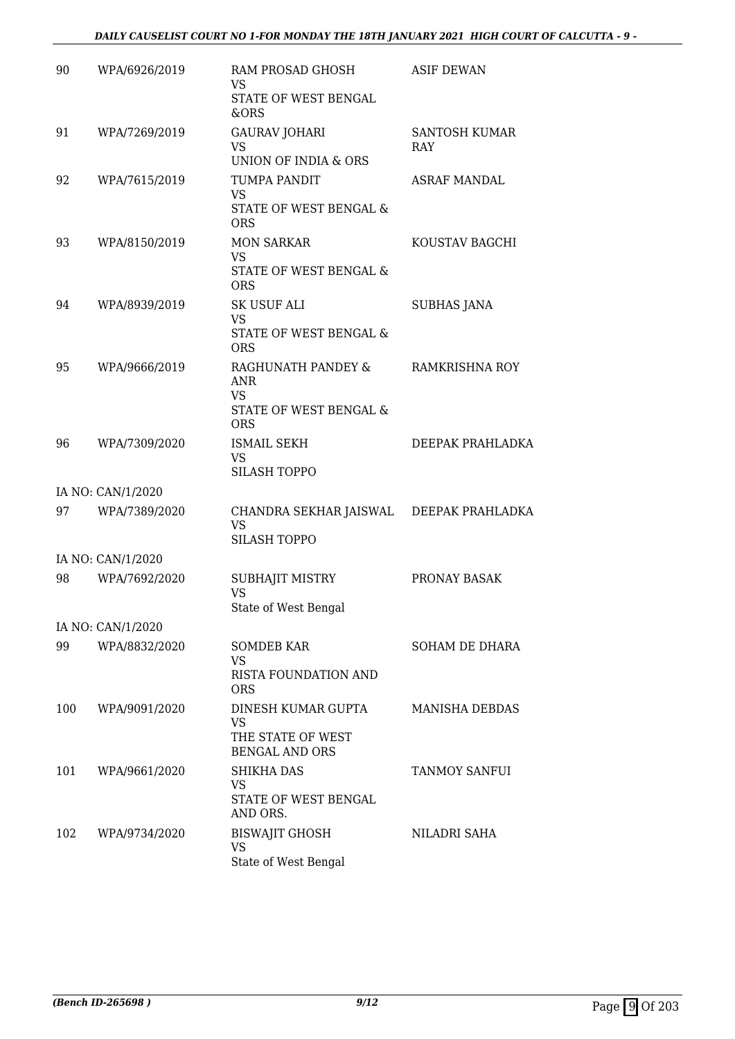| 90  | WPA/6926/2019     | RAM PROSAD GHOSH<br><b>VS</b><br>STATE OF WEST BENGAL<br>&ORS                         | <b>ASIF DEWAN</b>                  |
|-----|-------------------|---------------------------------------------------------------------------------------|------------------------------------|
| 91  | WPA/7269/2019     | <b>GAURAV JOHARI</b><br><b>VS</b><br>UNION OF INDIA & ORS                             | <b>SANTOSH KUMAR</b><br><b>RAY</b> |
| 92  | WPA/7615/2019     | TUMPA PANDIT<br><b>VS</b><br>STATE OF WEST BENGAL &<br><b>ORS</b>                     | <b>ASRAF MANDAL</b>                |
| 93  | WPA/8150/2019     | <b>MON SARKAR</b><br><b>VS</b><br>STATE OF WEST BENGAL &<br><b>ORS</b>                | KOUSTAV BAGCHI                     |
| 94  | WPA/8939/2019     | <b>SK USUF ALI</b><br><b>VS</b><br>STATE OF WEST BENGAL &<br><b>ORS</b>               | <b>SUBHAS JANA</b>                 |
| 95  | WPA/9666/2019     | RAGHUNATH PANDEY &<br><b>ANR</b><br><b>VS</b><br>STATE OF WEST BENGAL &<br><b>ORS</b> | RAMKRISHNA ROY                     |
| 96  | WPA/7309/2020     | <b>ISMAIL SEKH</b><br>VS.<br><b>SILASH TOPPO</b>                                      | DEEPAK PRAHLADKA                   |
|     | IA NO: CAN/1/2020 |                                                                                       |                                    |
| 97  | WPA/7389/2020     | CHANDRA SEKHAR JAISWAL<br>VS.<br><b>SILASH TOPPO</b>                                  | DEEPAK PRAHLADKA                   |
|     | IA NO: CAN/1/2020 |                                                                                       |                                    |
| 98  | WPA/7692/2020     | SUBHAJIT MISTRY<br><b>VS</b><br>State of West Bengal                                  | PRONAY BASAK                       |
|     | IA NO: CAN/1/2020 |                                                                                       |                                    |
| 99  | WPA/8832/2020     | <b>SOMDEB KAR</b><br>VS.<br><b>RISTA FOUNDATION AND</b>                               | <b>SOHAM DE DHARA</b>              |
|     |                   | <b>ORS</b>                                                                            |                                    |
| 100 | WPA/9091/2020     | DINESH KUMAR GUPTA<br><b>VS</b><br>THE STATE OF WEST<br><b>BENGAL AND ORS</b>         | <b>MANISHA DEBDAS</b>              |
| 101 | WPA/9661/2020     | <b>SHIKHA DAS</b><br>VS<br>STATE OF WEST BENGAL<br>AND ORS.                           | TANMOY SANFUI                      |
| 102 | WPA/9734/2020     | <b>BISWAJIT GHOSH</b><br><b>VS</b><br>State of West Bengal                            | NILADRI SAHA                       |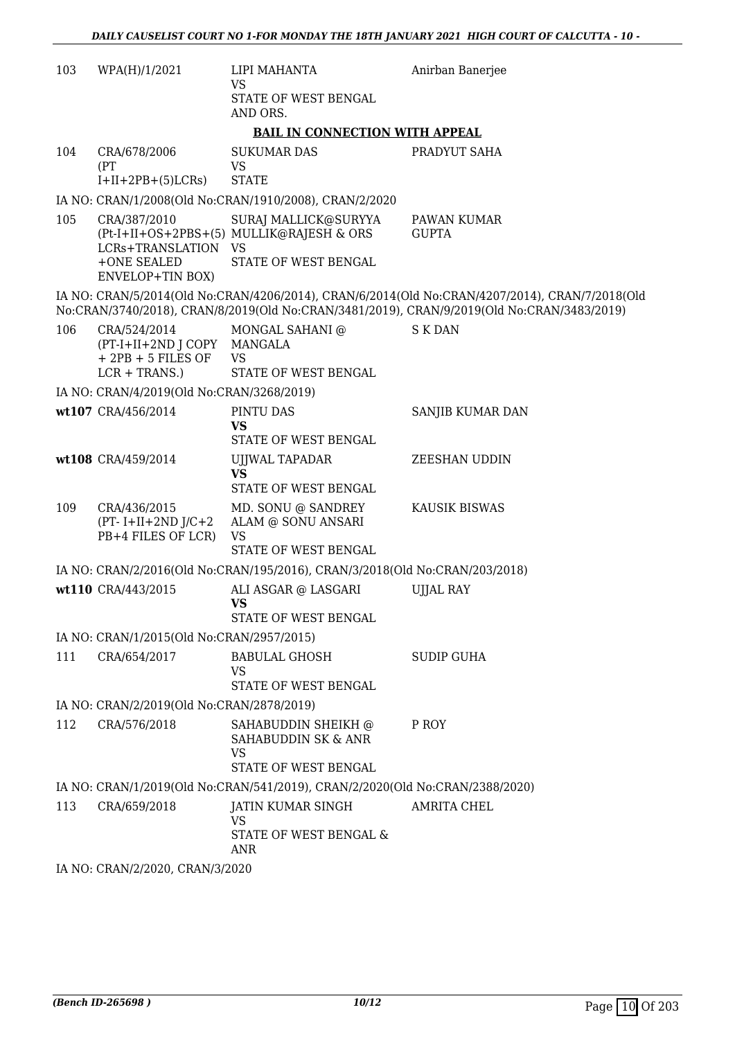| 103 | WPA(H)/1/2021                                                                          | LIPI MAHANTA<br><b>VS</b><br>STATE OF WEST BENGAL<br>AND ORS.                   | Anirban Banerjee                                                                                                                                                                             |
|-----|----------------------------------------------------------------------------------------|---------------------------------------------------------------------------------|----------------------------------------------------------------------------------------------------------------------------------------------------------------------------------------------|
|     |                                                                                        | <b>BAIL IN CONNECTION WITH APPEAL</b>                                           |                                                                                                                                                                                              |
| 104 | CRA/678/2006<br>(PT)<br>$I+II+2PB+(5)LCRs$                                             | <b>SUKUMAR DAS</b><br>VS<br><b>STATE</b>                                        | PRADYUT SAHA                                                                                                                                                                                 |
|     |                                                                                        | IA NO: CRAN/1/2008(Old No:CRAN/1910/2008), CRAN/2/2020                          |                                                                                                                                                                                              |
| 105 | CRA/387/2010                                                                           | SURAJ MALLICK@SURYYA                                                            | PAWAN KUMAR                                                                                                                                                                                  |
|     | LCRs+TRANSLATION VS<br>+ONE SEALED<br><b>ENVELOP+TIN BOX)</b>                          | (Pt-I+II+OS+2PBS+(5) MULLIK@RAJESH & ORS<br>STATE OF WEST BENGAL                | <b>GUPTA</b>                                                                                                                                                                                 |
|     |                                                                                        |                                                                                 | IA NO: CRAN/5/2014(Old No:CRAN/4206/2014), CRAN/6/2014(Old No:CRAN/4207/2014), CRAN/7/2018(Old<br>No:CRAN/3740/2018), CRAN/8/2019(Old No:CRAN/3481/2019), CRAN/9/2019(Old No:CRAN/3483/2019) |
| 106 | CRA/524/2014<br>(PT-I+II+2ND J COPY MANGALA<br>$+2PB + 5$ FILES OF<br>$LCR + TRANS$ .) | MONGAL SAHANI @<br><b>VS</b><br>STATE OF WEST BENGAL                            | S K DAN                                                                                                                                                                                      |
|     | IA NO: CRAN/4/2019(Old No:CRAN/3268/2019)                                              |                                                                                 |                                                                                                                                                                                              |
|     | wt107 CRA/456/2014                                                                     | PINTU DAS<br><b>VS</b><br>STATE OF WEST BENGAL                                  | <b>SANJIB KUMAR DAN</b>                                                                                                                                                                      |
|     | wt108 CRA/459/2014                                                                     | UJJWAL TAPADAR<br><b>VS</b><br>STATE OF WEST BENGAL                             | <b>ZEESHAN UDDIN</b>                                                                                                                                                                         |
| 109 | CRA/436/2015<br>$(PT - I + II + 2ND J/C + 2)$<br>PB+4 FILES OF LCR)                    | MD. SONU @ SANDREY<br>ALAM @ SONU ANSARI<br><b>VS</b>                           | <b>KAUSIK BISWAS</b>                                                                                                                                                                         |
|     |                                                                                        | STATE OF WEST BENGAL                                                            |                                                                                                                                                                                              |
|     |                                                                                        | IA NO: CRAN/2/2016(Old No:CRAN/195/2016), CRAN/3/2018(Old No:CRAN/203/2018)     |                                                                                                                                                                                              |
|     | wt110 CRA/443/2015                                                                     | ALI ASGAR @ LASGARI<br><b>VS</b><br>STATE OF WEST BENGAL                        | <b>UJJAL RAY</b>                                                                                                                                                                             |
|     | IA NO: CRAN/1/2015(Old No:CRAN/2957/2015)                                              |                                                                                 |                                                                                                                                                                                              |
| 111 | CRA/654/2017                                                                           | <b>BABULAL GHOSH</b><br>VS.                                                     | <b>SUDIP GUHA</b>                                                                                                                                                                            |
|     |                                                                                        | STATE OF WEST BENGAL                                                            |                                                                                                                                                                                              |
|     | IA NO: CRAN/2/2019(Old No:CRAN/2878/2019)                                              |                                                                                 |                                                                                                                                                                                              |
| 112 | CRA/576/2018                                                                           | SAHABUDDIN SHEIKH @<br>SAHABUDDIN SK & ANR<br><b>VS</b><br>STATE OF WEST BENGAL | P ROY                                                                                                                                                                                        |
|     |                                                                                        | IA NO: CRAN/1/2019(Old No:CRAN/541/2019), CRAN/2/2020(Old No:CRAN/2388/2020)    |                                                                                                                                                                                              |
| 113 | CRA/659/2018                                                                           | JATIN KUMAR SINGH                                                               | <b>AMRITA CHEL</b>                                                                                                                                                                           |
|     |                                                                                        | VS<br>STATE OF WEST BENGAL &<br>ANR                                             |                                                                                                                                                                                              |
|     | IA NO: CRAN/2/2020, CRAN/3/2020                                                        |                                                                                 |                                                                                                                                                                                              |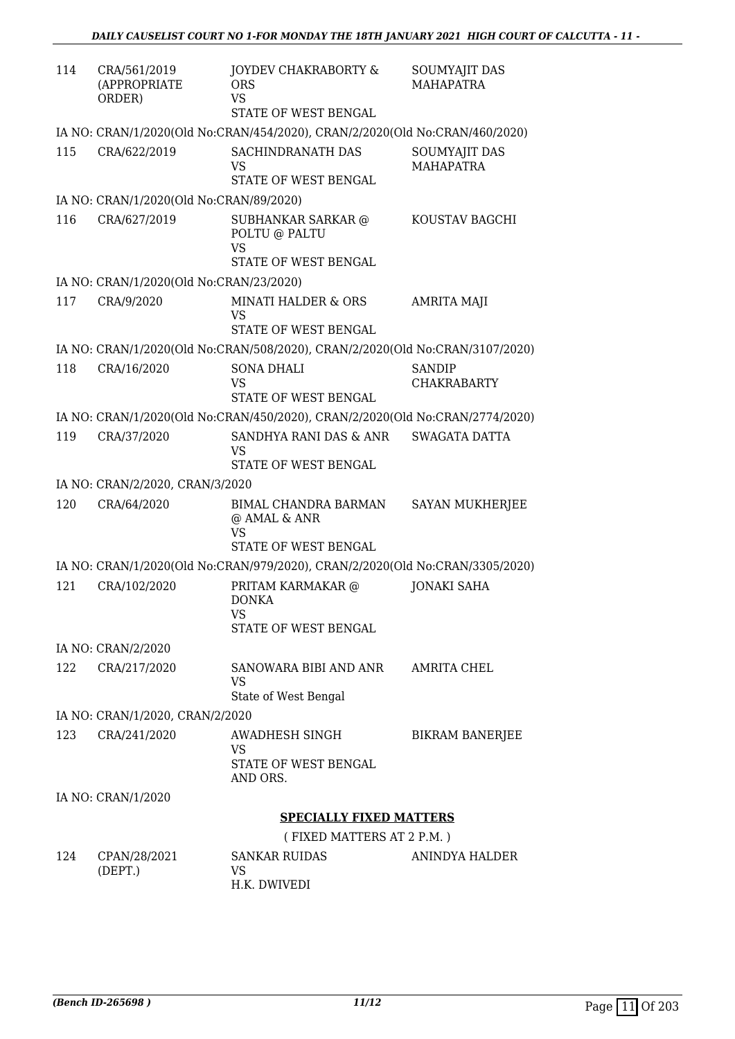| 114 | CRA/561/2019<br>(APPROPRIATE<br>ORDER)  | JOYDEV CHAKRABORTY &<br><b>ORS</b><br>VS<br>STATE OF WEST BENGAL             | SOUMYAJIT DAS<br><b>MAHAPATRA</b> |
|-----|-----------------------------------------|------------------------------------------------------------------------------|-----------------------------------|
|     |                                         | IA NO: CRAN/1/2020(Old No:CRAN/454/2020), CRAN/2/2020(Old No:CRAN/460/2020)  |                                   |
| 115 | CRA/622/2019                            | SACHINDRANATH DAS<br>VS<br>STATE OF WEST BENGAL                              | SOUMYAJIT DAS<br><b>MAHAPATRA</b> |
|     | IA NO: CRAN/1/2020(Old No:CRAN/89/2020) |                                                                              |                                   |
| 116 | CRA/627/2019                            | SUBHANKAR SARKAR @<br>POLTU @ PALTU<br>VS                                    | KOUSTAV BAGCHI                    |
|     |                                         | STATE OF WEST BENGAL                                                         |                                   |
|     | IA NO: CRAN/1/2020(Old No:CRAN/23/2020) |                                                                              |                                   |
| 117 | CRA/9/2020                              | <b>MINATI HALDER &amp; ORS</b><br><b>VS</b><br>STATE OF WEST BENGAL.         | <b>AMRITA MAJI</b>                |
|     |                                         | IA NO: CRAN/1/2020(Old No:CRAN/508/2020), CRAN/2/2020(Old No:CRAN/3107/2020) |                                   |
| 118 | CRA/16/2020                             | <b>SONA DHALI</b>                                                            | <b>SANDIP</b>                     |
|     |                                         | VS                                                                           | <b>CHAKRABARTY</b>                |
|     |                                         | STATE OF WEST BENGAL                                                         |                                   |
|     |                                         | IA NO: CRAN/1/2020(Old No:CRAN/450/2020), CRAN/2/2020(Old No:CRAN/2774/2020) |                                   |
| 119 | CRA/37/2020                             | SANDHYA RANI DAS & ANR<br>VS                                                 | <b>SWAGATA DATTA</b>              |
|     |                                         | STATE OF WEST BENGAL                                                         |                                   |
|     | IA NO: CRAN/2/2020, CRAN/3/2020         |                                                                              |                                   |
| 120 | CRA/64/2020                             | BIMAL CHANDRA BARMAN<br>@ AMAL & ANR<br>VS                                   | <b>SAYAN MUKHERJEE</b>            |
|     |                                         | STATE OF WEST BENGAL                                                         |                                   |
|     |                                         | IA NO: CRAN/1/2020(Old No:CRAN/979/2020), CRAN/2/2020(Old No:CRAN/3305/2020) |                                   |
| 121 | CRA/102/2020                            | PRITAM KARMAKAR @<br><b>DONKA</b><br><b>VS</b><br>STATE OF WEST BENGAL       | <b>JONAKI SAHA</b>                |
|     | IA NO: CRAN/2/2020                      |                                                                              |                                   |
| 122 | CRA/217/2020                            | SANOWARA BIBI AND ANR<br>VS<br>State of West Bengal                          | AMRITA CHEL                       |
|     | IA NO: CRAN/1/2020, CRAN/2/2020         |                                                                              |                                   |
| 123 | CRA/241/2020                            | AWADHESH SINGH                                                               | <b>BIKRAM BANERJEE</b>            |
|     |                                         | VS<br><b>STATE OF WEST BENGAL</b><br>AND ORS.                                |                                   |
|     | IA NO: CRAN/1/2020                      |                                                                              |                                   |
|     |                                         | <b>SPECIALLY FIXED MATTERS</b>                                               |                                   |
|     |                                         | (FIXED MATTERS AT 2 P.M.)                                                    |                                   |
| 124 | CPAN/28/2021<br>(DEPT.)                 | <b>SANKAR RUIDAS</b><br>VS                                                   | <b>ANINDYA HALDER</b>             |

H.K. DWIVEDI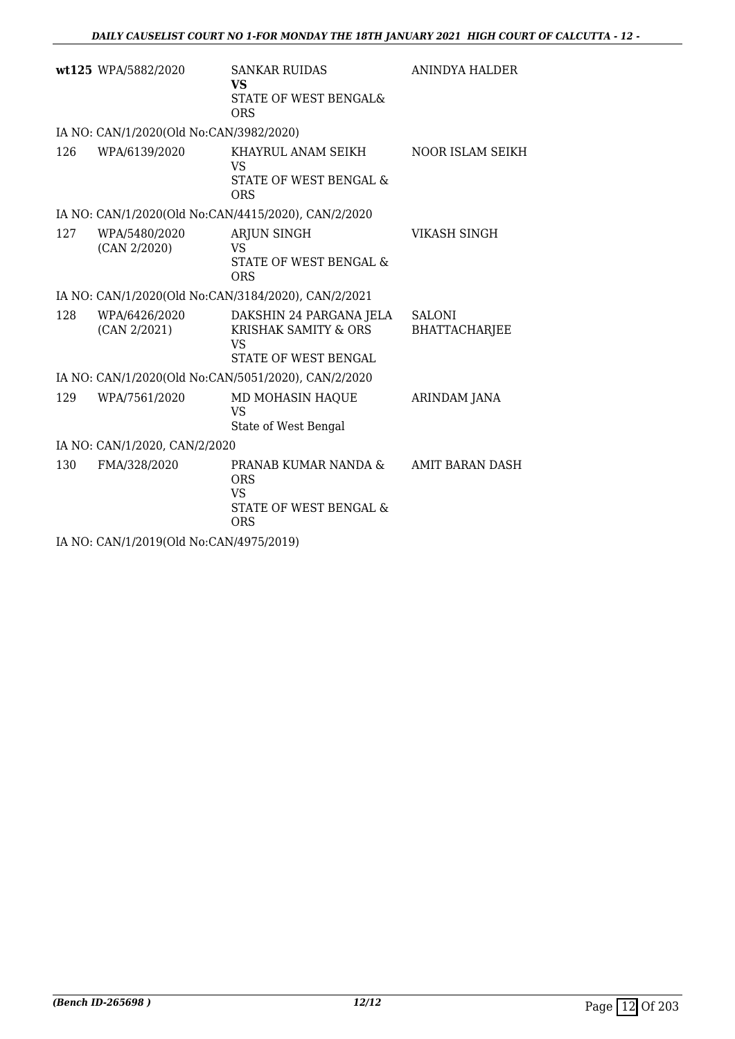| wt125 WPA/5882/2020                     | <b>SANKAR RUIDAS</b><br><b>VS</b>                                                               | ANINDYA HALDER                        |  |  |
|-----------------------------------------|-------------------------------------------------------------------------------------------------|---------------------------------------|--|--|
|                                         | <b>STATE OF WEST BENGAL&amp;</b><br><b>ORS</b>                                                  |                                       |  |  |
| IA NO: CAN/1/2020(Old No:CAN/3982/2020) |                                                                                                 |                                       |  |  |
| 126<br>WPA/6139/2020                    | KHAYRUL ANAM SEIKH<br>VS.                                                                       | NOOR ISLAM SEIKH                      |  |  |
|                                         | STATE OF WEST BENGAL &<br><b>ORS</b>                                                            |                                       |  |  |
|                                         | IA NO: CAN/1/2020(Old No:CAN/4415/2020), CAN/2/2020                                             |                                       |  |  |
| 127<br>WPA/5480/2020                    | <b>ARJUN SINGH</b>                                                                              | VIKASH SINGH                          |  |  |
| (CAN 2/2020)                            | <b>VS</b><br>STATE OF WEST BENGAL &                                                             |                                       |  |  |
|                                         | <b>ORS</b>                                                                                      |                                       |  |  |
|                                         | IA NO: CAN/1/2020(Old No:CAN/3184/2020), CAN/2/2021                                             |                                       |  |  |
| 128<br>WPA/6426/2020<br>(CAN 2/2021)    | DAKSHIN 24 PARGANA JELA<br><b>KRISHAK SAMITY &amp; ORS</b><br><b>VS</b><br>STATE OF WEST BENGAL | <b>SALONI</b><br><b>BHATTACHARJEE</b> |  |  |
|                                         | IA NO: CAN/1/2020(Old No:CAN/5051/2020), CAN/2/2020                                             |                                       |  |  |
| 129<br>WPA/7561/2020                    | MD MOHASIN HAQUE<br>VS                                                                          | <b>ARINDAM JANA</b>                   |  |  |
|                                         | State of West Bengal                                                                            |                                       |  |  |
| IA NO: CAN/1/2020, CAN/2/2020           |                                                                                                 |                                       |  |  |
| 130<br>FMA/328/2020                     | PRANAB KUMAR NANDA &<br><b>ORS</b><br>VS.                                                       | AMIT BARAN DASH                       |  |  |
|                                         | <b>STATE OF WEST BENGAL &amp;</b><br><b>ORS</b>                                                 |                                       |  |  |
| IA NO: CAN/1/2019(Old No:CAN/4975/2019) |                                                                                                 |                                       |  |  |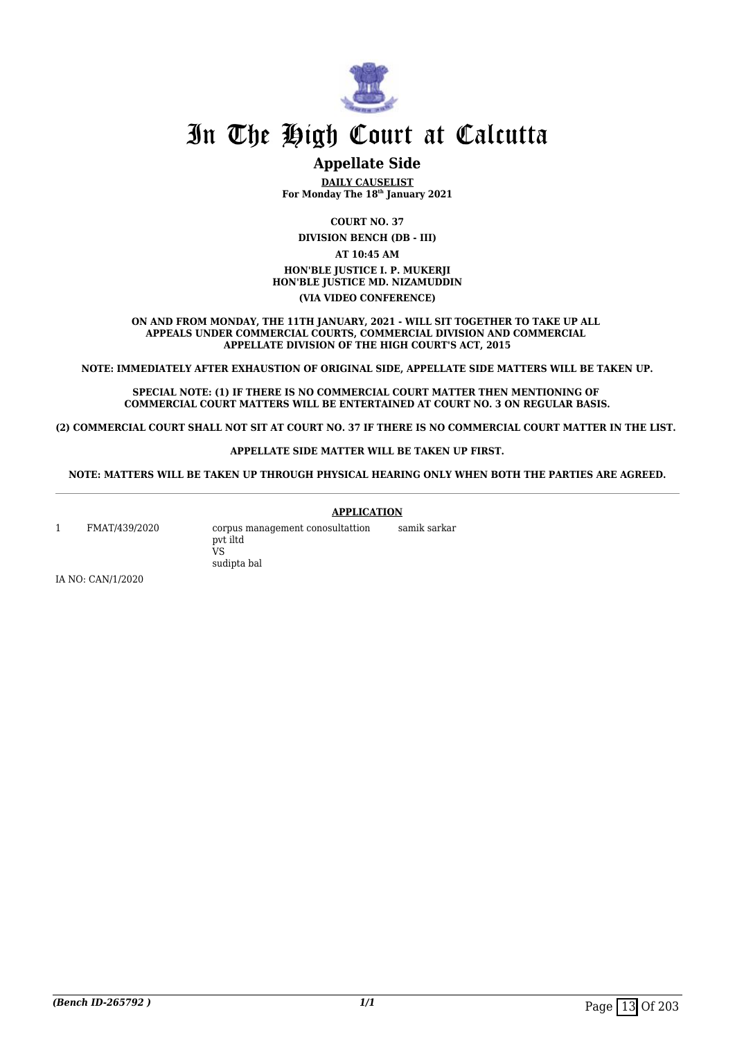

## **Appellate Side**

**DAILY CAUSELIST For Monday The 18th January 2021**

**COURT NO. 37**

**DIVISION BENCH (DB - III)**

**AT 10:45 AM HON'BLE JUSTICE I. P. MUKERJI HON'BLE JUSTICE MD. NIZAMUDDIN (VIA VIDEO CONFERENCE)**

**ON AND FROM MONDAY, THE 11TH JANUARY, 2021 - WILL SIT TOGETHER TO TAKE UP ALL APPEALS UNDER COMMERCIAL COURTS, COMMERCIAL DIVISION AND COMMERCIAL APPELLATE DIVISION OF THE HIGH COURT'S ACT, 2015**

**NOTE: IMMEDIATELY AFTER EXHAUSTION OF ORIGINAL SIDE, APPELLATE SIDE MATTERS WILL BE TAKEN UP.**

**SPECIAL NOTE: (1) IF THERE IS NO COMMERCIAL COURT MATTER THEN MENTIONING OF COMMERCIAL COURT MATTERS WILL BE ENTERTAINED AT COURT NO. 3 ON REGULAR BASIS.**

**(2) COMMERCIAL COURT SHALL NOT SIT AT COURT NO. 37 IF THERE IS NO COMMERCIAL COURT MATTER IN THE LIST.** 

#### **APPELLATE SIDE MATTER WILL BE TAKEN UP FIRST.**

**NOTE: MATTERS WILL BE TAKEN UP THROUGH PHYSICAL HEARING ONLY WHEN BOTH THE PARTIES ARE AGREED.**

#### **APPLICATION**

1 FMAT/439/2020 corpus management conosultattion pvt iltd VS sudipta bal samik sarkar

IA NO: CAN/1/2020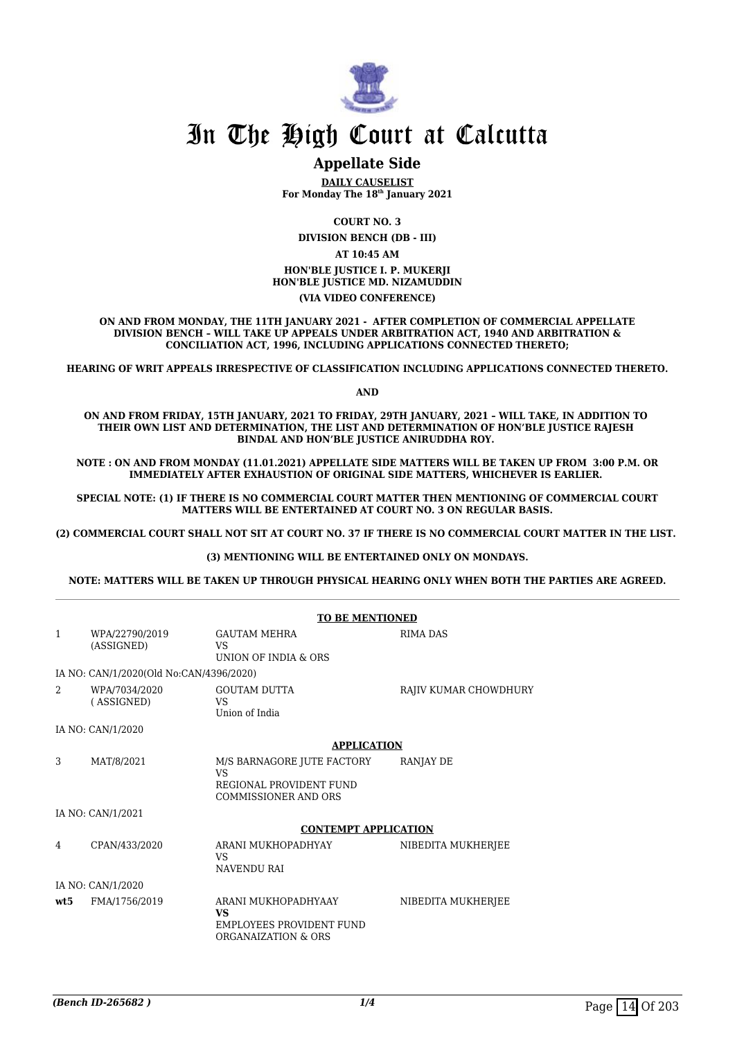

## **Appellate Side**

**DAILY CAUSELIST For Monday The 18th January 2021**

**COURT NO. 3**

**DIVISION BENCH (DB - III)**

**AT 10:45 AM HON'BLE JUSTICE I. P. MUKERJI HON'BLE JUSTICE MD. NIZAMUDDIN (VIA VIDEO CONFERENCE)**

**ON AND FROM MONDAY, THE 11TH JANUARY 2021 - AFTER COMPLETION OF COMMERCIAL APPELLATE DIVISION BENCH – WILL TAKE UP APPEALS UNDER ARBITRATION ACT, 1940 AND ARBITRATION & CONCILIATION ACT, 1996, INCLUDING APPLICATIONS CONNECTED THERETO;**

**HEARING OF WRIT APPEALS IRRESPECTIVE OF CLASSIFICATION INCLUDING APPLICATIONS CONNECTED THERETO.**

**AND**

**ON AND FROM FRIDAY, 15TH JANUARY, 2021 TO FRIDAY, 29TH JANUARY, 2021 – WILL TAKE, IN ADDITION TO THEIR OWN LIST AND DETERMINATION, THE LIST AND DETERMINATION OF HON'BLE JUSTICE RAJESH BINDAL AND HON'BLE JUSTICE ANIRUDDHA ROY.** 

**NOTE : ON AND FROM MONDAY (11.01.2021) APPELLATE SIDE MATTERS WILL BE TAKEN UP FROM 3:00 P.M. OR IMMEDIATELY AFTER EXHAUSTION OF ORIGINAL SIDE MATTERS, WHICHEVER IS EARLIER.** 

**SPECIAL NOTE: (1) IF THERE IS NO COMMERCIAL COURT MATTER THEN MENTIONING OF COMMERCIAL COURT MATTERS WILL BE ENTERTAINED AT COURT NO. 3 ON REGULAR BASIS.**

**(2) COMMERCIAL COURT SHALL NOT SIT AT COURT NO. 37 IF THERE IS NO COMMERCIAL COURT MATTER IN THE LIST.** 

#### **(3) MENTIONING WILL BE ENTERTAINED ONLY ON MONDAYS.**

**NOTE: MATTERS WILL BE TAKEN UP THROUGH PHYSICAL HEARING ONLY WHEN BOTH THE PARTIES ARE AGREED.**

|              |                                         | <b>TO BE MENTIONED</b>                                                                            |                       |
|--------------|-----------------------------------------|---------------------------------------------------------------------------------------------------|-----------------------|
| $\mathbf{1}$ | WPA/22790/2019<br>(ASSIGNED)            | <b>GAUTAM MEHRA</b><br><b>VS</b><br>UNION OF INDIA & ORS                                          | <b>RIMA DAS</b>       |
|              | IA NO: CAN/1/2020(Old No:CAN/4396/2020) |                                                                                                   |                       |
| 2            | WPA/7034/2020<br>(ASSIGNED)             | <b>GOUTAM DUTTA</b><br><b>VS</b><br>Union of India                                                | RAJIV KUMAR CHOWDHURY |
|              | IA NO: CAN/1/2020                       |                                                                                                   |                       |
|              |                                         | <b>APPLICATION</b>                                                                                |                       |
| 3            | MAT/8/2021                              | M/S BARNAGORE JUTE FACTORY<br><b>VS</b><br>REGIONAL PROVIDENT FUND<br><b>COMMISSIONER AND ORS</b> | RANJAY DE             |
|              | IA NO: CAN/1/2021                       |                                                                                                   |                       |
|              |                                         | <b>CONTEMPT APPLICATION</b>                                                                       |                       |
| 4            | CPAN/433/2020                           | ARANI MUKHOPADHYAY<br><b>VS</b><br><b>NAVENDU RAI</b>                                             | NIBEDITA MUKHERJEE    |
|              | IA NO: CAN/1/2020                       |                                                                                                   |                       |
| wt:5         | FMA/1756/2019                           | ARANI MUKHOPADHYAAY<br><b>VS</b><br><b>EMPLOYEES PROVIDENT FUND</b><br>ORGANAIZATION & ORS        | NIBEDITA MUKHERJEE    |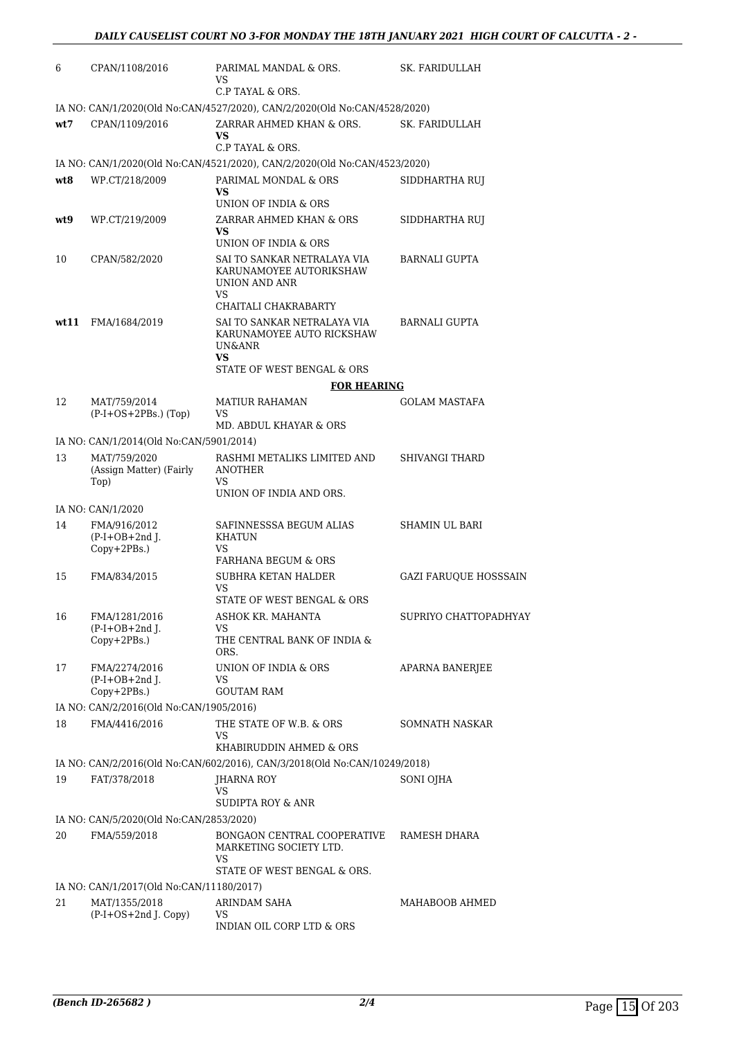| 6    | CPAN/1108/2016                                                            | PARIMAL MANDAL & ORS.<br>VS.<br>C.P TAYAL & ORS.                                     | SK. FARIDULLAH               |
|------|---------------------------------------------------------------------------|--------------------------------------------------------------------------------------|------------------------------|
|      | IA NO: CAN/1/2020(Old No:CAN/4527/2020), CAN/2/2020(Old No:CAN/4528/2020) |                                                                                      |                              |
| wt7  | CPAN/1109/2016                                                            | ZARRAR AHMED KHAN & ORS.<br>VS<br>C.P TAYAL & ORS.                                   | SK. FARIDULLAH               |
|      |                                                                           | IA NO: CAN/1/2020(Old No:CAN/4521/2020), CAN/2/2020(Old No:CAN/4523/2020)            |                              |
| wt8  | WP.CT/218/2009                                                            | PARIMAL MONDAL & ORS<br>VS.<br>UNION OF INDIA & ORS                                  | SIDDHARTHA RUJ               |
| wt9  | WP.CT/219/2009                                                            | ZARRAR AHMED KHAN & ORS<br>VS.<br>UNION OF INDIA & ORS                               | SIDDHARTHA RUJ               |
| 10   | CPAN/582/2020                                                             | SAI TO SANKAR NETRALAYA VIA<br>KARUNAMOYEE AUTORIKSHAW<br>UNION AND ANR<br><b>VS</b> | BARNALI GUPTA                |
|      |                                                                           | CHAITALI CHAKRABARTY                                                                 |                              |
| wt11 | FMA/1684/2019                                                             | SAI TO SANKAR NETRALAYA VIA<br>KARUNAMOYEE AUTO RICKSHAW<br>UN&ANR<br><b>VS</b>      | BARNALI GUPTA                |
|      |                                                                           | STATE OF WEST BENGAL & ORS                                                           |                              |
| 12   | MAT/759/2014                                                              | <b>FOR HEARING</b><br><b>MATIUR RAHAMAN</b>                                          | <b>GOLAM MASTAFA</b>         |
|      | $(P-I+OS+2PBs.)$ (Top)                                                    | VS<br>MD. ABDUL KHAYAR & ORS                                                         |                              |
|      | IA NO: CAN/1/2014(Old No:CAN/5901/2014)                                   |                                                                                      |                              |
| 13   | MAT/759/2020<br>(Assign Matter) (Fairly<br>Top)                           | RASHMI METALIKS LIMITED AND<br><b>ANOTHER</b><br>VS.<br>UNION OF INDIA AND ORS.      | SHIVANGI THARD               |
|      | IA NO: CAN/1/2020                                                         |                                                                                      |                              |
| 14   | FMA/916/2012<br>$(P-I+OB+2nd$ J.<br>Copy+2PBs.)                           | SAFINNESSSA BEGUM ALIAS<br>KHATUN<br>VS                                              | SHAMIN UL BARI               |
|      |                                                                           | <b>FARHANA BEGUM &amp; ORS</b>                                                       |                              |
| 15   | FMA/834/2015                                                              | SUBHRA KETAN HALDER<br>VS<br>STATE OF WEST BENGAL & ORS                              | <b>GAZI FARUQUE HOSSSAIN</b> |
| 16   | FMA/1281/2016                                                             | ASHOK KR. MAHANTA                                                                    | SUPRIYO CHATTOPADHYAY        |
|      | $(P-I+OB+2nd I.$<br>Copy+2PBs.)                                           | VS<br>THE CENTRAL BANK OF INDIA &<br>ORS.                                            |                              |
| 17   | FMA/2274/2016<br>$(P-I+OB+2nd$ J.                                         | UNION OF INDIA & ORS<br>VS<br><b>GOUTAM RAM</b>                                      | APARNA BANERJEE              |
|      | Copy+2PBs.)<br>IA NO: CAN/2/2016(Old No:CAN/1905/2016)                    |                                                                                      |                              |
| 18   | FMA/4416/2016                                                             | THE STATE OF W.B. & ORS                                                              | SOMNATH NASKAR               |
|      |                                                                           | VS<br>KHABIRUDDIN AHMED & ORS                                                        |                              |
|      |                                                                           | IA NO: CAN/2/2016(Old No:CAN/602/2016), CAN/3/2018(Old No:CAN/10249/2018)            |                              |
| 19   | FAT/378/2018                                                              | JHARNA ROY<br>VS<br>SUDIPTA ROY & ANR                                                | SONI OJHA                    |
|      | IA NO: CAN/5/2020(Old No:CAN/2853/2020)                                   |                                                                                      |                              |
| 20   | FMA/559/2018                                                              | BONGAON CENTRAL COOPERATIVE<br>MARKETING SOCIETY LTD.<br>VS                          | RAMESH DHARA                 |
|      |                                                                           | STATE OF WEST BENGAL & ORS.                                                          |                              |
| 21   | IA NO: CAN/1/2017(Old No:CAN/11180/2017)<br>MAT/1355/2018                 | ARINDAM SAHA                                                                         | MAHABOOB AHMED               |
|      | (P-I+OS+2nd J. Copy)                                                      | VS<br>INDIAN OIL CORP LTD & ORS                                                      |                              |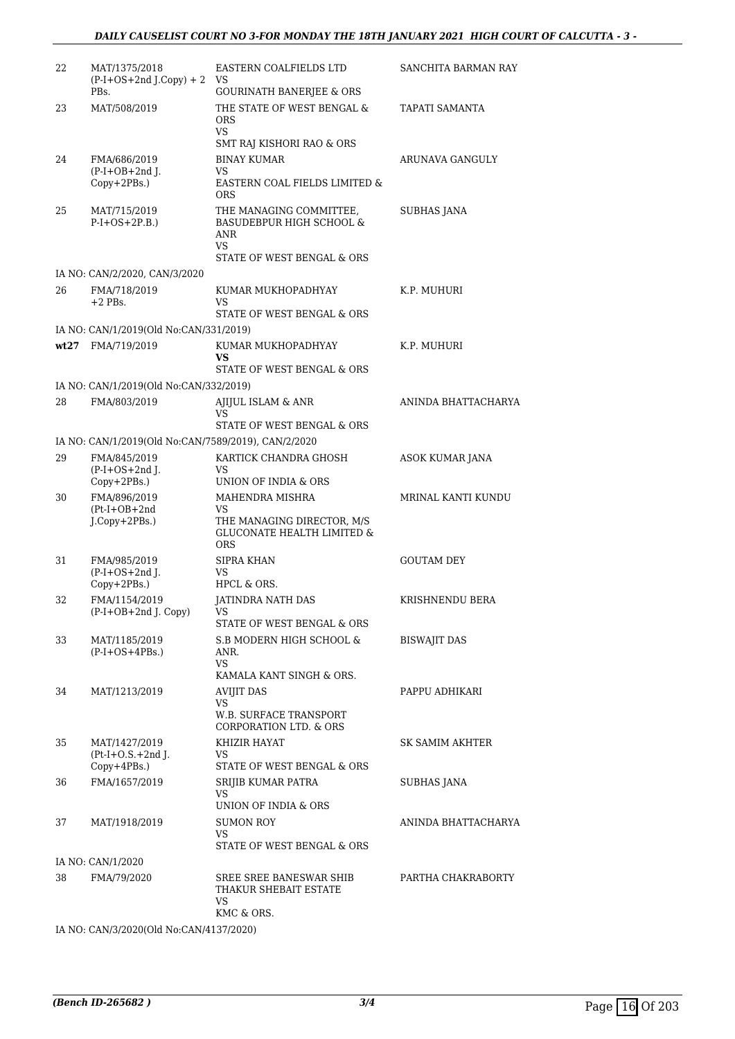| 22   | MAT/1375/2018<br>$(P-I+OS+2nd J.Copy) + 2$            | EASTERN COALFIELDS LTD<br>VS                                                                              | SANCHITA BARMAN RAY |
|------|-------------------------------------------------------|-----------------------------------------------------------------------------------------------------------|---------------------|
|      | PBs.                                                  | <b>GOURINATH BANERJEE &amp; ORS</b>                                                                       |                     |
| 23   | MAT/508/2019                                          | THE STATE OF WEST BENGAL &<br><b>ORS</b><br>VS.                                                           | TAPATI SAMANTA      |
|      |                                                       | SMT RAJ KISHORI RAO & ORS                                                                                 |                     |
| 24   | FMA/686/2019                                          | <b>BINAY KUMAR</b>                                                                                        | ARUNAVA GANGULY     |
|      | $(P-I+OB+2nd$ J.<br>Copy+2PBs.)                       | <b>VS</b><br>EASTERN COAL FIELDS LIMITED &<br><b>ORS</b>                                                  |                     |
| 25   | MAT/715/2019<br>$P-I+OS+2P.B.)$                       | THE MANAGING COMMITTEE,<br><b>BASUDEBPUR HIGH SCHOOL &amp;</b><br>ANR<br>VS<br>STATE OF WEST BENGAL & ORS | <b>SUBHAS JANA</b>  |
|      | IA NO: CAN/2/2020, CAN/3/2020                         |                                                                                                           |                     |
| 26   | FMA/718/2019<br>$+2$ PBs.                             | KUMAR MUKHOPADHYAY<br>VS                                                                                  | K.P. MUHURI         |
|      |                                                       | STATE OF WEST BENGAL & ORS                                                                                |                     |
|      | IA NO: CAN/1/2019(Old No:CAN/331/2019)                |                                                                                                           |                     |
| wt27 | FMA/719/2019                                          | KUMAR MUKHOPADHYAY<br>VS<br>STATE OF WEST BENGAL & ORS                                                    | K.P. MUHURI         |
|      | IA NO: CAN/1/2019(Old No:CAN/332/2019)                |                                                                                                           |                     |
| 28   | FMA/803/2019                                          | AJIJUL ISLAM & ANR<br>VS                                                                                  | ANINDA BHATTACHARYA |
|      |                                                       | STATE OF WEST BENGAL & ORS                                                                                |                     |
|      | IA NO: CAN/1/2019(Old No:CAN/7589/2019), CAN/2/2020   |                                                                                                           |                     |
| 29   | FMA/845/2019<br>$(P-I+OS+2nd)$ .                      | KARTICK CHANDRA GHOSH<br>VS<br>UNION OF INDIA & ORS                                                       | ASOK KUMAR JANA     |
| 30   | Copy+2PBs.)<br>FMA/896/2019                           | MAHENDRA MISHRA                                                                                           | MRINAL KANTI KUNDU  |
|      | $(Pt-I+OB+2nd$<br>J.Copy+2PBs.)                       | VS<br>THE MANAGING DIRECTOR, M/S<br><b>GLUCONATE HEALTH LIMITED &amp;</b>                                 |                     |
|      |                                                       | <b>ORS</b>                                                                                                |                     |
| 31   | FMA/985/2019<br>$(P-I+OS+2nd)$ .<br>Copy+2PBs.)       | SIPRA KHAN<br>VS<br>HPCL & ORS.                                                                           | <b>GOUTAM DEY</b>   |
| 32   | FMA/1154/2019                                         | JATINDRA NATH DAS                                                                                         | KRISHNENDU BERA     |
|      | (P-I+OB+2nd J. Copy)                                  | VS<br>STATE OF WEST BENGAL & ORS                                                                          |                     |
| 33   | MAT/1185/2019<br>$(P-I+OS+4PBs.)$                     | S.B MODERN HIGH SCHOOL &<br>ANR.<br><b>VS</b>                                                             | <b>BISWAJIT DAS</b> |
|      |                                                       | KAMALA KANT SINGH & ORS.                                                                                  |                     |
| 34   | MAT/1213/2019                                         | <b>AVIJIT DAS</b><br><b>VS</b>                                                                            | PAPPU ADHIKARI      |
|      |                                                       | <b>W.B. SURFACE TRANSPORT</b><br><b>CORPORATION LTD. &amp; ORS</b>                                        |                     |
| 35   | MAT/1427/2019<br>$Pt-I+O.S.+2nd I.$<br>$Copy+4PBs.$ ) | KHIZIR HAYAT<br>VS.<br>STATE OF WEST BENGAL & ORS                                                         | SK SAMIM AKHTER     |
| 36   | FMA/1657/2019                                         | SRIJIB KUMAR PATRA                                                                                        | SUBHAS JANA         |
|      |                                                       | VS.<br>UNION OF INDIA & ORS                                                                               |                     |
| 37   | MAT/1918/2019                                         | <b>SUMON ROY</b><br><b>VS</b>                                                                             | ANINDA BHATTACHARYA |
|      |                                                       | STATE OF WEST BENGAL & ORS                                                                                |                     |
|      | IA NO: CAN/1/2020                                     |                                                                                                           |                     |
| 38   | FMA/79/2020                                           | SREE SREE BANESWAR SHIB<br>THAKUR SHEBAIT ESTATE<br>VS                                                    | PARTHA CHAKRABORTY  |
|      |                                                       | KMC & ORS.                                                                                                |                     |

IA NO: CAN/3/2020(Old No:CAN/4137/2020)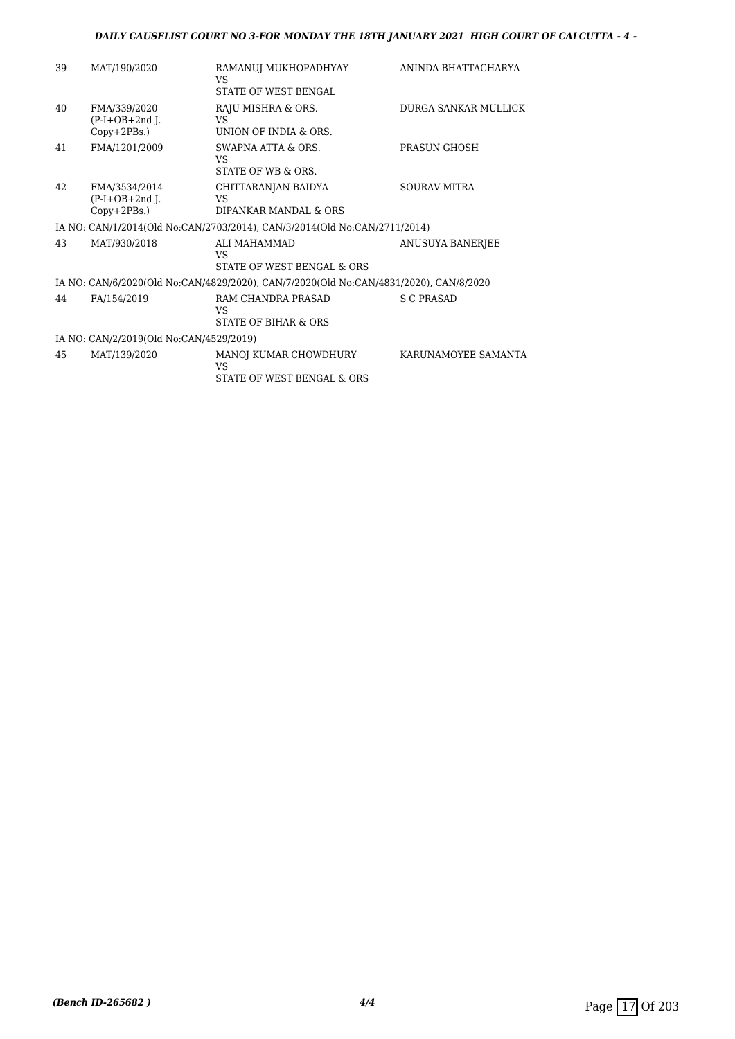| 39 | MAT/190/2020                                        | RAMANUJ MUKHOPADHYAY<br><b>VS</b><br>STATE OF WEST BENGAL                             | ANINDA BHATTACHARYA  |
|----|-----------------------------------------------------|---------------------------------------------------------------------------------------|----------------------|
| 40 | FMA/339/2020<br>$(P-I+OB+2nd$ J.<br>$Copy+2PBs.$ )  | RAJU MISHRA & ORS.<br>VS<br>UNION OF INDIA & ORS.                                     | DURGA SANKAR MULLICK |
| 41 | FMA/1201/2009                                       | SWAPNA ATTA & ORS.<br><b>VS</b><br>STATE OF WB & ORS.                                 | PRASUN GHOSH         |
| 42 | FMA/3534/2014<br>$(P-I+OB+2nd I.$<br>$Copy+2PBs.$ ) | CHITTARANJAN BAIDYA<br>VS<br>DIPANKAR MANDAL & ORS                                    | <b>SOURAV MITRA</b>  |
|    |                                                     | IA NO: CAN/1/2014(Old No:CAN/2703/2014), CAN/3/2014(Old No:CAN/2711/2014)             |                      |
| 43 | MAT/930/2018                                        | ALI MAHAMMAD<br><b>VS</b><br>STATE OF WEST BENGAL & ORS                               | ANUSUYA BANERJEE     |
|    |                                                     | IA NO: CAN/6/2020(Old No:CAN/4829/2020), CAN/7/2020(Old No:CAN/4831/2020), CAN/8/2020 |                      |
| 44 | FA/154/2019                                         | RAM CHANDRA PRASAD<br><b>VS</b><br>STATE OF BIHAR & ORS                               | <b>S C PRASAD</b>    |
|    | IA NO: CAN/2/2019(Old No:CAN/4529/2019)             |                                                                                       |                      |
| 45 | MAT/139/2020                                        | MANOJ KUMAR CHOWDHURY<br><b>VS</b><br>STATE OF WEST BENGAL & ORS                      | KARUNAMOYEE SAMANTA  |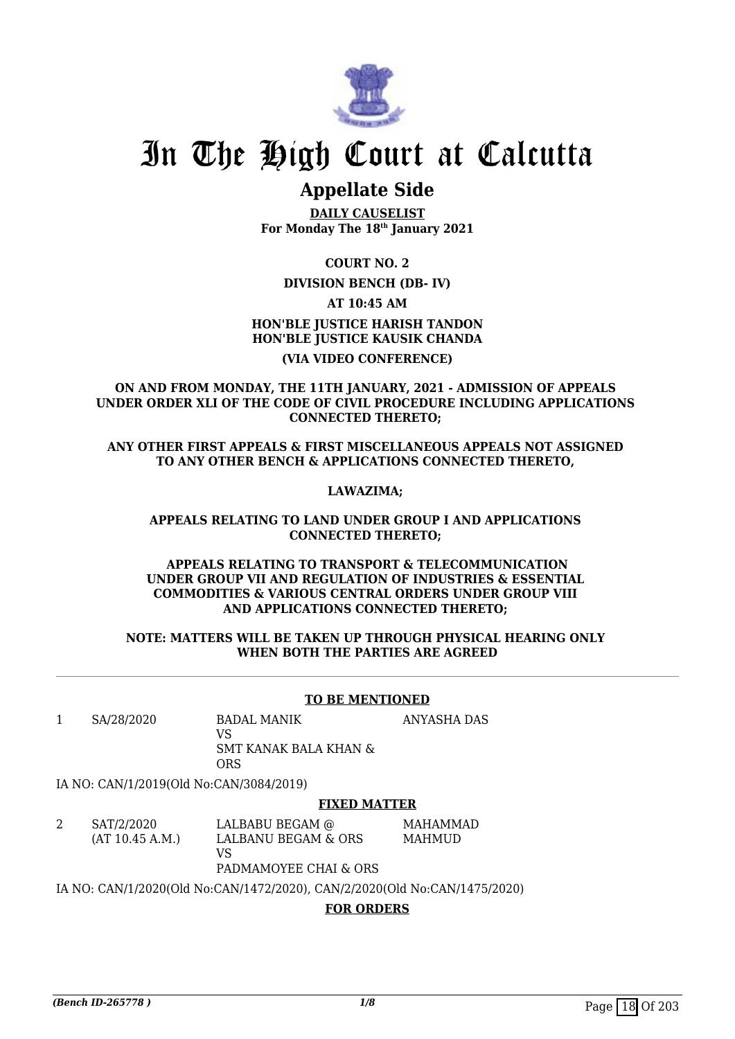

## **Appellate Side**

**DAILY CAUSELIST For Monday The 18th January 2021**

**COURT NO. 2**

### **DIVISION BENCH (DB- IV)**

**AT 10:45 AM**

## **HON'BLE JUSTICE HARISH TANDON HON'BLE JUSTICE KAUSIK CHANDA (VIA VIDEO CONFERENCE)**

**ON AND FROM MONDAY, THE 11TH JANUARY, 2021 - ADMISSION OF APPEALS UNDER ORDER XLI OF THE CODE OF CIVIL PROCEDURE INCLUDING APPLICATIONS CONNECTED THERETO;** 

**ANY OTHER FIRST APPEALS & FIRST MISCELLANEOUS APPEALS NOT ASSIGNED TO ANY OTHER BENCH & APPLICATIONS CONNECTED THERETO,** 

### **LAWAZIMA;**

#### **APPEALS RELATING TO LAND UNDER GROUP I AND APPLICATIONS CONNECTED THERETO;**

#### **APPEALS RELATING TO TRANSPORT & TELECOMMUNICATION UNDER GROUP VII AND REGULATION OF INDUSTRIES & ESSENTIAL COMMODITIES & VARIOUS CENTRAL ORDERS UNDER GROUP VIII AND APPLICATIONS CONNECTED THERETO;**

#### **NOTE: MATTERS WILL BE TAKEN UP THROUGH PHYSICAL HEARING ONLY WHEN BOTH THE PARTIES ARE AGREED**

### **TO BE MENTIONED**

1 SA/28/2020 BADAL MANIK

VS SMT KANAK BALA KHAN & ORS

ANYASHA DAS

IA NO: CAN/1/2019(Old No:CAN/3084/2019)

### **FIXED MATTER**

2 SAT/2/2020 (AT 10.45 A.M.) LALBABU BEGAM @ LALBANU BEGAM & ORS VS PADMAMOYEE CHAI & ORS MAHAMMAD MAHMUD

IA NO: CAN/1/2020(Old No:CAN/1472/2020), CAN/2/2020(Old No:CAN/1475/2020)

### **FOR ORDERS**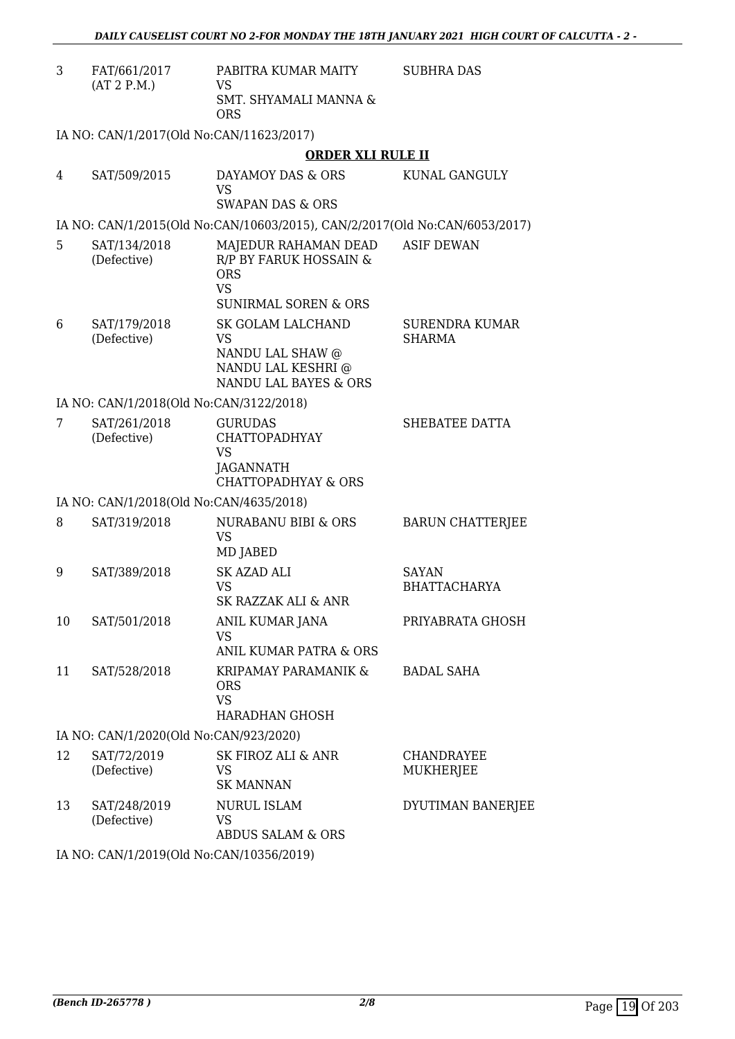| 3  | FAT/661/2017<br>(AT 2 P.M.)              | PABITRA KUMAR MAITY<br>VS<br>SMT. SHYAMALI MANNA &<br><b>ORS</b>                                             | <b>SUBHRA DAS</b>                      |
|----|------------------------------------------|--------------------------------------------------------------------------------------------------------------|----------------------------------------|
|    | IA NO: CAN/1/2017(Old No:CAN/11623/2017) |                                                                                                              |                                        |
|    |                                          | <b>ORDER XLI RULE II</b>                                                                                     |                                        |
| 4  | SAT/509/2015                             | DAYAMOY DAS & ORS<br><b>VS</b><br><b>SWAPAN DAS &amp; ORS</b>                                                | KUNAL GANGULY                          |
|    |                                          | IA NO: CAN/1/2015(Old No:CAN/10603/2015), CAN/2/2017(Old No:CAN/6053/2017)                                   |                                        |
| 5  | SAT/134/2018<br>(Defective)              | MAJEDUR RAHAMAN DEAD<br>R/P BY FARUK HOSSAIN &<br><b>ORS</b><br><b>VS</b><br><b>SUNIRMAL SOREN &amp; ORS</b> | <b>ASIF DEWAN</b>                      |
| 6  | SAT/179/2018<br>(Defective)              | <b>SK GOLAM LALCHAND</b><br>VS<br>NANDU LAL SHAW @<br>NANDU LAL KESHRI @<br><b>NANDU LAL BAYES &amp; ORS</b> | <b>SURENDRA KUMAR</b><br><b>SHARMA</b> |
|    | IA NO: CAN/1/2018(Old No:CAN/3122/2018)  |                                                                                                              |                                        |
| 7  | SAT/261/2018<br>(Defective)              | <b>GURUDAS</b><br><b>CHATTOPADHYAY</b><br><b>VS</b><br>JAGANNATH<br><b>CHATTOPADHYAY &amp; ORS</b>           | SHEBATEE DATTA                         |
|    | IA NO: CAN/1/2018(Old No:CAN/4635/2018)  |                                                                                                              |                                        |
| 8  | SAT/319/2018                             | NURABANU BIBI & ORS<br><b>VS</b><br>MD JABED                                                                 | <b>BARUN CHATTERIEE</b>                |
| 9  | SAT/389/2018                             | <b>SK AZAD ALI</b><br><b>VS</b><br>SK RAZZAK ALI & ANR                                                       | <b>SAYAN</b><br><b>BHATTACHARYA</b>    |
| 10 | SAT/501/2018                             | <b>ANIL KUMAR JANA</b><br><b>VS</b><br>ANIL KUMAR PATRA & ORS                                                | PRIYABRATA GHOSH                       |
| 11 | SAT/528/2018                             | KRIPAMAY PARAMANIK &<br><b>ORS</b><br><b>VS</b><br>HARADHAN GHOSH                                            | <b>BADAL SAHA</b>                      |
|    | IA NO: CAN/1/2020(Old No:CAN/923/2020)   |                                                                                                              |                                        |
| 12 | SAT/72/2019<br>(Defective)               | <b>SK FIROZ ALI &amp; ANR</b><br>VS<br><b>SK MANNAN</b>                                                      | <b>CHANDRAYEE</b><br>MUKHERJEE         |
| 13 | SAT/248/2019<br>(Defective)              | NURUL ISLAM<br>VS<br><b>ABDUS SALAM &amp; ORS</b>                                                            | DYUTIMAN BANERJEE                      |

IA NO: CAN/1/2019(Old No:CAN/10356/2019)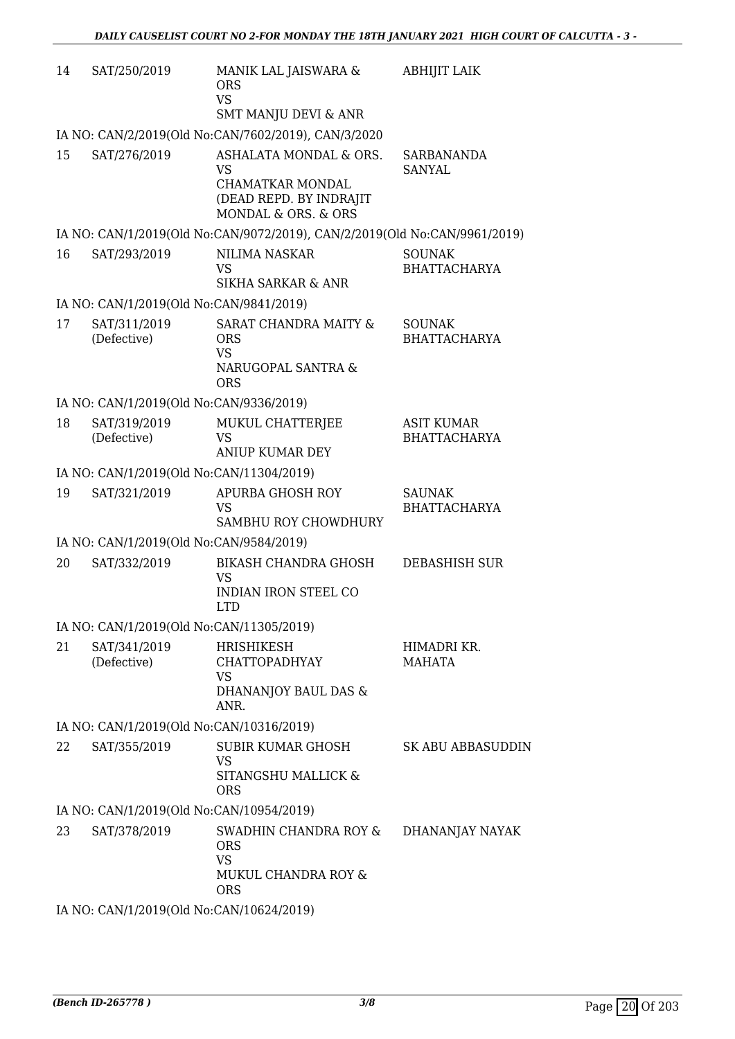| 14 | SAT/250/2019                             | MANIK LAL JAISWARA &<br><b>ORS</b><br><b>VS</b><br><b>SMT MANJU DEVI &amp; ANR</b>                               | <b>ABHIJIT LAIK</b>                      |
|----|------------------------------------------|------------------------------------------------------------------------------------------------------------------|------------------------------------------|
|    |                                          | IA NO: CAN/2/2019(Old No:CAN/7602/2019), CAN/3/2020                                                              |                                          |
| 15 | SAT/276/2019                             | ASHALATA MONDAL & ORS.<br><b>VS</b><br><b>CHAMATKAR MONDAL</b><br>(DEAD REPD. BY INDRAJIT<br>MONDAL & ORS. & ORS | SARBANANDA<br><b>SANYAL</b>              |
|    |                                          | IA NO: CAN/1/2019(Old No:CAN/9072/2019), CAN/2/2019(Old No:CAN/9961/2019)                                        |                                          |
| 16 | SAT/293/2019                             | <b>NILIMA NASKAR</b><br><b>VS</b><br><b>SIKHA SARKAR &amp; ANR</b>                                               | <b>SOUNAK</b><br><b>BHATTACHARYA</b>     |
|    | IA NO: CAN/1/2019(Old No:CAN/9841/2019)  |                                                                                                                  |                                          |
| 17 | SAT/311/2019<br>(Defective)              | SARAT CHANDRA MAITY &<br><b>ORS</b><br><b>VS</b><br>NARUGOPAL SANTRA &<br><b>ORS</b>                             | <b>SOUNAK</b><br><b>BHATTACHARYA</b>     |
|    | IA NO: CAN/1/2019(Old No:CAN/9336/2019)  |                                                                                                                  |                                          |
| 18 | SAT/319/2019<br>(Defective)              | MUKUL CHATTERJEE<br><b>VS</b><br><b>ANIUP KUMAR DEY</b>                                                          | <b>ASIT KUMAR</b><br><b>BHATTACHARYA</b> |
|    | IA NO: CAN/1/2019(Old No:CAN/11304/2019) |                                                                                                                  |                                          |
| 19 | SAT/321/2019                             | <b>APURBA GHOSH ROY</b><br><b>VS</b><br>SAMBHU ROY CHOWDHURY                                                     | <b>SAUNAK</b><br><b>BHATTACHARYA</b>     |
|    | IA NO: CAN/1/2019(Old No:CAN/9584/2019)  |                                                                                                                  |                                          |
| 20 | SAT/332/2019                             | <b>BIKASH CHANDRA GHOSH</b><br><b>VS</b><br><b>INDIAN IRON STEEL CO</b><br><b>LTD</b>                            | DEBASHISH SUR                            |
|    | IA NO: CAN/1/2019(Old No:CAN/11305/2019) |                                                                                                                  |                                          |
| 21 | SAT/341/2019<br>(Defective)              | <b>HRISHIKESH</b><br><b>CHATTOPADHYAY</b><br>VS<br>DHANANJOY BAUL DAS &<br>ANR.                                  | HIMADRI KR.<br><b>MAHATA</b>             |
|    | IA NO: CAN/1/2019(Old No:CAN/10316/2019) |                                                                                                                  |                                          |
| 22 | SAT/355/2019                             | SUBIR KUMAR GHOSH<br><b>VS</b><br>SITANGSHU MALLICK &<br><b>ORS</b>                                              | SK ABU ABBASUDDIN                        |
|    | IA NO: CAN/1/2019(Old No:CAN/10954/2019) |                                                                                                                  |                                          |
| 23 | SAT/378/2019                             | SWADHIN CHANDRA ROY &<br><b>ORS</b><br><b>VS</b><br>MUKUL CHANDRA ROY &<br><b>ORS</b>                            | DHANANJAY NAYAK                          |
|    | IA NO: CAN/1/2019(Old No:CAN/10624/2019) |                                                                                                                  |                                          |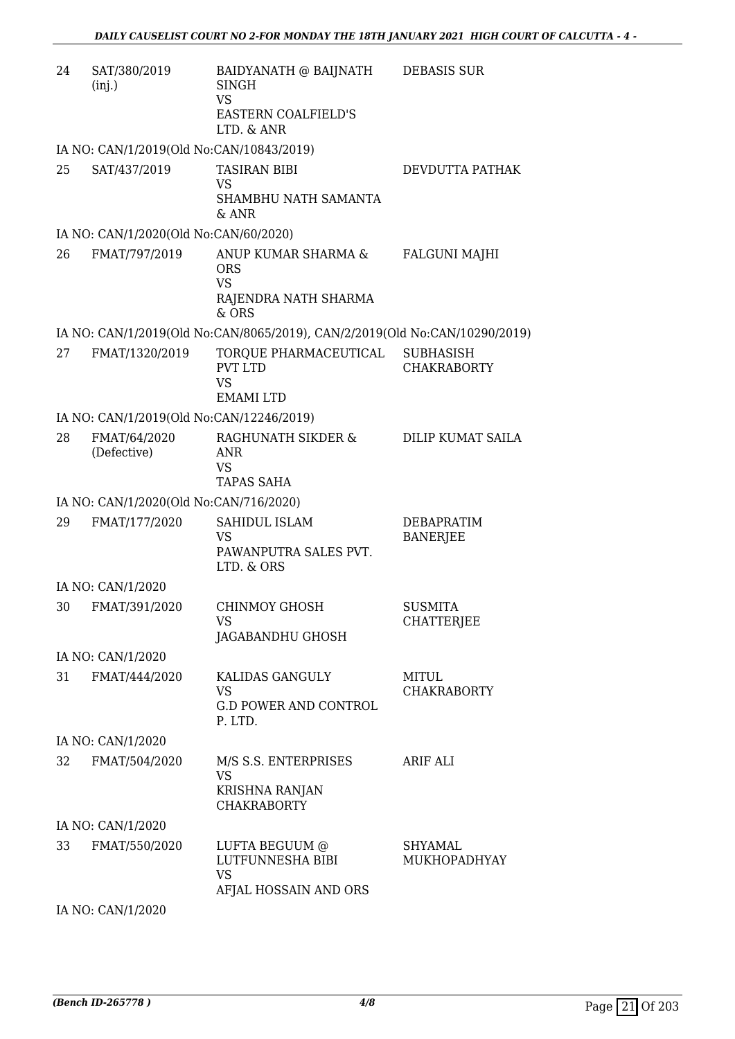| 24 | SAT/380/2019<br>(inj.)                   | BAIDYANATH @ BAIJNATH<br>SINGH<br><b>VS</b><br><b>EASTERN COALFIELD'S</b><br>LTD. & ANR | <b>DEBASIS SUR</b>                     |
|----|------------------------------------------|-----------------------------------------------------------------------------------------|----------------------------------------|
|    | IA NO: CAN/1/2019(Old No:CAN/10843/2019) |                                                                                         |                                        |
| 25 | SAT/437/2019                             | <b>TASIRAN BIBI</b><br><b>VS</b><br>SHAMBHU NATH SAMANTA<br>& ANR                       | DEVDUTTA PATHAK                        |
|    | IA NO: CAN/1/2020(Old No:CAN/60/2020)    |                                                                                         |                                        |
| 26 | FMAT/797/2019                            | ANUP KUMAR SHARMA &<br><b>ORS</b><br><b>VS</b>                                          | <b>FALGUNI MAJHI</b>                   |
|    |                                          | RAJENDRA NATH SHARMA<br>$&$ ORS                                                         |                                        |
|    |                                          | IA NO: CAN/1/2019(Old No:CAN/8065/2019), CAN/2/2019(Old No:CAN/10290/2019)              |                                        |
| 27 | FMAT/1320/2019                           | TORQUE PHARMACEUTICAL<br><b>PVT LTD</b><br><b>VS</b><br><b>EMAMI LTD</b>                | <b>SUBHASISH</b><br><b>CHAKRABORTY</b> |
|    | IA NO: CAN/1/2019(Old No:CAN/12246/2019) |                                                                                         |                                        |
| 28 | FMAT/64/2020<br>(Defective)              | RAGHUNATH SIKDER &<br><b>ANR</b><br><b>VS</b><br><b>TAPAS SAHA</b>                      | DILIP KUMAT SAILA                      |
|    | IA NO: CAN/1/2020(Old No:CAN/716/2020)   |                                                                                         |                                        |
| 29 | FMAT/177/2020                            | SAHIDUL ISLAM<br><b>VS</b><br>PAWANPUTRA SALES PVT.<br>LTD. & ORS                       | DEBAPRATIM<br><b>BANERJEE</b>          |
|    | IA NO: CAN/1/2020                        |                                                                                         |                                        |
| 30 | FMAT/391/2020                            | <b>CHINMOY GHOSH</b><br><b>VS</b><br>JAGABANDHU GHOSH                                   | <b>SUSMITA</b><br><b>CHATTERJEE</b>    |
|    | IA NO: CAN/1/2020                        |                                                                                         |                                        |
| 31 | FMAT/444/2020                            | KALIDAS GANGULY<br><b>VS</b><br><b>G.D POWER AND CONTROL</b><br>P. LTD.                 | MITUL<br><b>CHAKRABORTY</b>            |
|    | IA NO: CAN/1/2020                        |                                                                                         |                                        |
| 32 | FMAT/504/2020                            | M/S S.S. ENTERPRISES<br>VS<br>KRISHNA RANJAN<br><b>CHAKRABORTY</b>                      | <b>ARIF ALI</b>                        |
|    | IA NO: CAN/1/2020                        |                                                                                         |                                        |
| 33 | FMAT/550/2020                            | LUFTA BEGUUM @<br>LUTFUNNESHA BIBI<br><b>VS</b><br>AFJAL HOSSAIN AND ORS                | SHYAMAL<br>MUKHOPADHYAY                |

IA NO: CAN/1/2020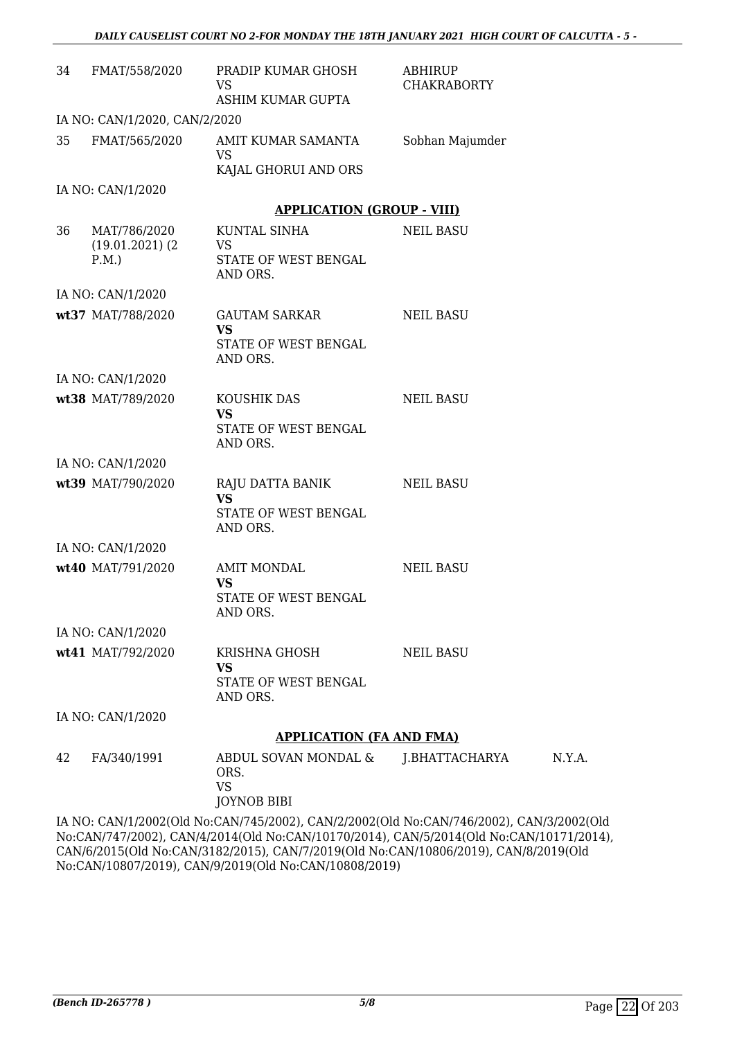| 34 | FMAT/558/2020                                | PRADIP KUMAR GHOSH<br>VS                                            | <b>ABHIRUP</b><br><b>CHAKRABORTY</b> |
|----|----------------------------------------------|---------------------------------------------------------------------|--------------------------------------|
|    |                                              | ASHIM KUMAR GUPTA                                                   |                                      |
|    | IA NO: CAN/1/2020, CAN/2/2020                |                                                                     |                                      |
| 35 | FMAT/565/2020                                | AMIT KUMAR SAMANTA<br><b>VS</b><br>KAJAL GHORUI AND ORS             | Sobhan Majumder                      |
|    | IA NO: CAN/1/2020                            |                                                                     |                                      |
|    |                                              | <b>APPLICATION (GROUP - VIII)</b>                                   |                                      |
| 36 | MAT/786/2020<br>$(19.01.2021)$ $(2)$<br>P.M. | KUNTAL SINHA<br>VS<br>STATE OF WEST BENGAL<br>AND ORS.              | <b>NEIL BASU</b>                     |
|    | IA NO: CAN/1/2020                            |                                                                     |                                      |
|    | wt37 MAT/788/2020                            | GAUTAM SARKAR<br><b>VS</b><br>STATE OF WEST BENGAL<br>AND ORS.      | <b>NEIL BASU</b>                     |
|    | IA NO: CAN/1/2020                            |                                                                     |                                      |
|    | wt38 MAT/789/2020                            | KOUSHIK DAS<br><b>VS</b><br>STATE OF WEST BENGAL<br>AND ORS.        | <b>NEIL BASU</b>                     |
|    | IA NO: CAN/1/2020                            |                                                                     |                                      |
|    | wt39 MAT/790/2020                            | RAJU DATTA BANIK<br><b>VS</b><br>STATE OF WEST BENGAL<br>AND ORS.   | <b>NEIL BASU</b>                     |
|    | IA NO: CAN/1/2020                            |                                                                     |                                      |
|    | wt40 MAT/791/2020                            | <b>AMIT MONDAL</b><br><b>VS</b><br>STATE OF WEST BENGAL<br>AND ORS. | NEIL BASU                            |
|    | IA NO: CAN/1/2020                            |                                                                     |                                      |
|    | wt41 MAT/792/2020                            | KRISHNA GHOSH<br>VS<br>STATE OF WEST BENGAL<br>AND ORS.             | <b>NEIL BASU</b>                     |
|    | IA NO: CAN/1/2020                            |                                                                     |                                      |
|    |                                              | <b>APPLICATION (FA AND FMA)</b>                                     |                                      |
| 42 | FA/340/1991                                  | ABDUL SOVAN MONDAL &<br>ORS.<br><b>VS</b><br><b>JOYNOB BIBI</b>     | J.BHATTACHARYA                       |

IA NO: CAN/1/2002(Old No:CAN/745/2002), CAN/2/2002(Old No:CAN/746/2002), CAN/3/2002(Old No:CAN/747/2002), CAN/4/2014(Old No:CAN/10170/2014), CAN/5/2014(Old No:CAN/10171/2014), CAN/6/2015(Old No:CAN/3182/2015), CAN/7/2019(Old No:CAN/10806/2019), CAN/8/2019(Old No:CAN/10807/2019), CAN/9/2019(Old No:CAN/10808/2019)

N.Y.A.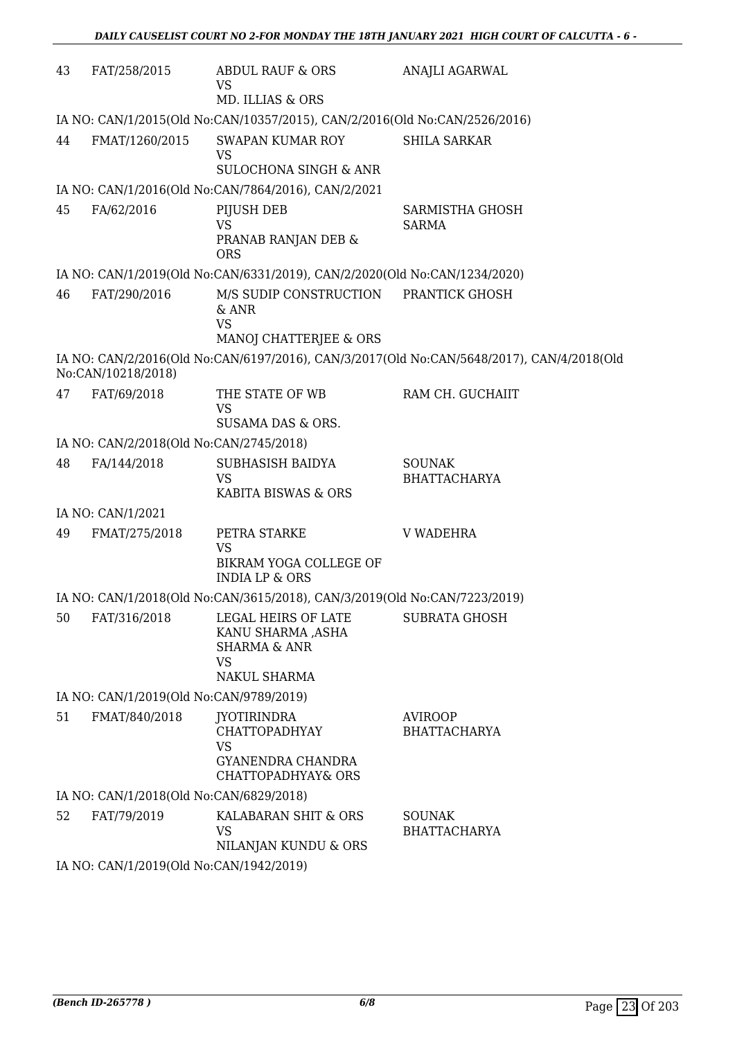| 43 | FAT/258/2015                                                               | <b>ABDUL RAUF &amp; ORS</b><br><b>VS</b><br>MD. ILLIAS & ORS                                            | ANAJLI AGARWAL                                                                            |  |  |
|----|----------------------------------------------------------------------------|---------------------------------------------------------------------------------------------------------|-------------------------------------------------------------------------------------------|--|--|
|    | IA NO: CAN/1/2015(Old No:CAN/10357/2015), CAN/2/2016(Old No:CAN/2526/2016) |                                                                                                         |                                                                                           |  |  |
| 44 | FMAT/1260/2015                                                             | <b>SWAPAN KUMAR ROY</b><br><b>VS</b><br><b>SULOCHONA SINGH &amp; ANR</b>                                | <b>SHILA SARKAR</b>                                                                       |  |  |
|    |                                                                            | IA NO: CAN/1/2016(Old No:CAN/7864/2016), CAN/2/2021                                                     |                                                                                           |  |  |
| 45 | FA/62/2016                                                                 | PIJUSH DEB<br><b>VS</b><br>PRANAB RANJAN DEB &<br><b>ORS</b>                                            | <b>SARMISTHA GHOSH</b><br><b>SARMA</b>                                                    |  |  |
|    |                                                                            | IA NO: CAN/1/2019(Old No:CAN/6331/2019), CAN/2/2020(Old No:CAN/1234/2020)                               |                                                                                           |  |  |
| 46 | FAT/290/2016                                                               | M/S SUDIP CONSTRUCTION<br>& ANR<br><b>VS</b><br>MANOJ CHATTERJEE & ORS                                  | PRANTICK GHOSH                                                                            |  |  |
|    | No:CAN/10218/2018)                                                         |                                                                                                         | IA NO: CAN/2/2016(Old No:CAN/6197/2016), CAN/3/2017(Old No:CAN/5648/2017), CAN/4/2018(Old |  |  |
| 47 | FAT/69/2018                                                                | THE STATE OF WB<br><b>VS</b><br>SUSAMA DAS & ORS.                                                       | RAM CH. GUCHAIIT                                                                          |  |  |
|    | IA NO: CAN/2/2018(Old No:CAN/2745/2018)                                    |                                                                                                         |                                                                                           |  |  |
| 48 | FA/144/2018                                                                | SUBHASISH BAIDYA<br><b>VS</b><br>KABITA BISWAS & ORS                                                    | <b>SOUNAK</b><br><b>BHATTACHARYA</b>                                                      |  |  |
|    | IA NO: CAN/1/2021                                                          |                                                                                                         |                                                                                           |  |  |
| 49 | FMAT/275/2018                                                              | PETRA STARKE<br><b>VS</b><br>BIKRAM YOGA COLLEGE OF<br><b>INDIA LP &amp; ORS</b>                        | <b>V WADEHRA</b>                                                                          |  |  |
|    |                                                                            | IA NO: CAN/1/2018(Old No:CAN/3615/2018), CAN/3/2019(Old No:CAN/7223/2019)                               |                                                                                           |  |  |
| 50 | FAT/316/2018                                                               | LEGAL HEIRS OF LATE<br>KANU SHARMA ,ASHA<br><b>SHARMA &amp; ANR</b><br><b>VS</b><br><b>NAKUL SHARMA</b> | <b>SUBRATA GHOSH</b>                                                                      |  |  |
|    | IA NO: CAN/1/2019(Old No:CAN/9789/2019)                                    |                                                                                                         |                                                                                           |  |  |
| 51 | FMAT/840/2018                                                              | JYOTIRINDRA<br><b>CHATTOPADHYAY</b><br><b>VS</b><br>GYANENDRA CHANDRA<br><b>CHATTOPADHYAY&amp; ORS</b>  | <b>AVIROOP</b><br><b>BHATTACHARYA</b>                                                     |  |  |
|    | IA NO: CAN/1/2018(Old No:CAN/6829/2018)                                    |                                                                                                         |                                                                                           |  |  |
| 52 | FAT/79/2019                                                                | KALABARAN SHIT & ORS<br><b>VS</b><br>NILANJAN KUNDU & ORS                                               | <b>SOUNAK</b><br><b>BHATTACHARYA</b>                                                      |  |  |
|    | IA NO: CAN/1/2019(Old No:CAN/1942/2019)                                    |                                                                                                         |                                                                                           |  |  |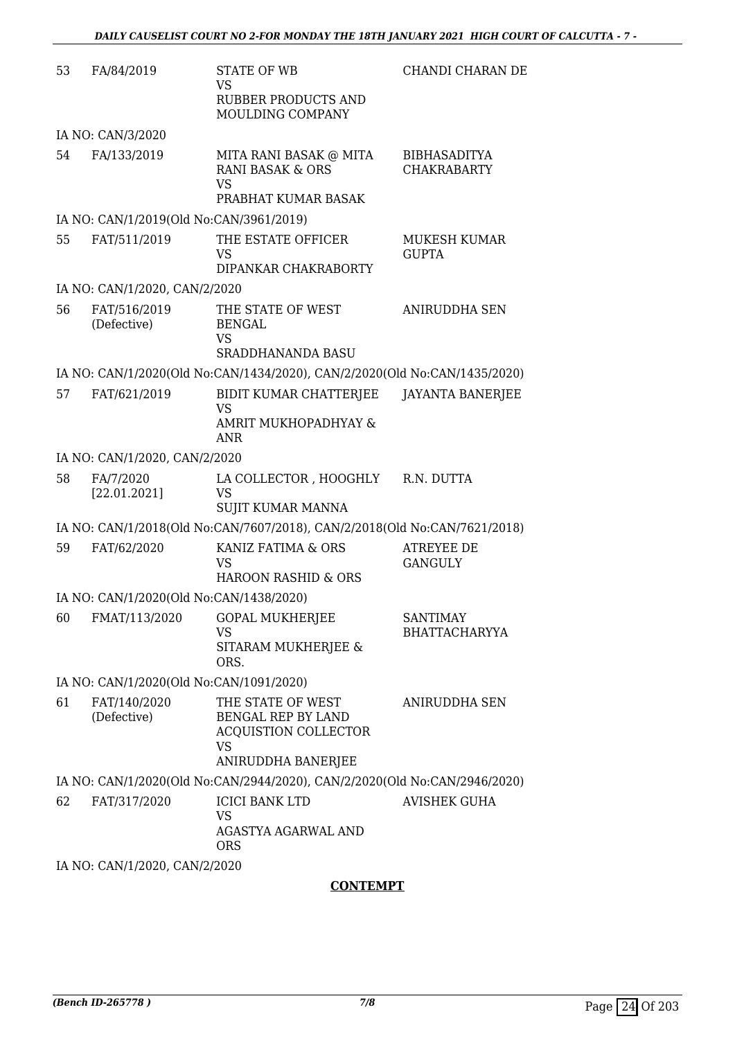| 53 | FA/84/2019                              | STATE OF WB<br>VS                                                                                                | CHANDI CHARAN DE                          |
|----|-----------------------------------------|------------------------------------------------------------------------------------------------------------------|-------------------------------------------|
|    |                                         | RUBBER PRODUCTS AND<br>MOULDING COMPANY                                                                          |                                           |
|    | IA NO: CAN/3/2020                       |                                                                                                                  |                                           |
| 54 | FA/133/2019                             | MITA RANI BASAK @ MITA<br><b>RANI BASAK &amp; ORS</b><br><b>VS</b><br>PRABHAT KUMAR BASAK                        | <b>BIBHASADITYA</b><br><b>CHAKRABARTY</b> |
|    | IA NO: CAN/1/2019(Old No:CAN/3961/2019) |                                                                                                                  |                                           |
| 55 | FAT/511/2019                            | THE ESTATE OFFICER<br><b>VS</b><br>DIPANKAR CHAKRABORTY                                                          | MUKESH KUMAR<br><b>GUPTA</b>              |
|    | IA NO: CAN/1/2020, CAN/2/2020           |                                                                                                                  |                                           |
| 56 | FAT/516/2019<br>(Defective)             | THE STATE OF WEST<br><b>BENGAL</b><br><b>VS</b><br><b>SRADDHANANDA BASU</b>                                      | <b>ANIRUDDHA SEN</b>                      |
|    |                                         | IA NO: CAN/1/2020(Old No:CAN/1434/2020), CAN/2/2020(Old No:CAN/1435/2020)                                        |                                           |
| 57 | FAT/621/2019                            | BIDIT KUMAR CHATTERJEE<br>VS                                                                                     | JAYANTA BANERJEE                          |
|    |                                         | AMRIT MUKHOPADHYAY &<br>ANR                                                                                      |                                           |
|    | IA NO: CAN/1/2020, CAN/2/2020           |                                                                                                                  |                                           |
| 58 | FA/7/2020<br>[22.01.2021]               | LA COLLECTOR , HOOGHLY<br>VS<br>SUJIT KUMAR MANNA                                                                | R.N. DUTTA                                |
|    |                                         | IA NO: CAN/1/2018(Old No:CAN/7607/2018), CAN/2/2018(Old No:CAN/7621/2018)                                        |                                           |
| 59 | FAT/62/2020                             | KANIZ FATIMA & ORS<br><b>VS</b><br><b>HAROON RASHID &amp; ORS</b>                                                | <b>ATREYEE DE</b><br><b>GANGULY</b>       |
|    | IA NO: CAN/1/2020(Old No:CAN/1438/2020) |                                                                                                                  |                                           |
| 60 | FMAT/113/2020                           | <b>GOPAL MUKHERJEE</b><br><b>VS</b>                                                                              | <b>SANTIMAY</b><br><b>BHATTACHARYYA</b>   |
|    |                                         | SITARAM MUKHERJEE &<br>ORS.                                                                                      |                                           |
|    | IA NO: CAN/1/2020(Old No:CAN/1091/2020) |                                                                                                                  |                                           |
| 61 | FAT/140/2020<br>(Defective)             | THE STATE OF WEST<br><b>BENGAL REP BY LAND</b><br><b>ACQUISTION COLLECTOR</b><br><b>VS</b><br>ANIRUDDHA BANERJEE | <b>ANIRUDDHA SEN</b>                      |
|    |                                         | IA NO: CAN/1/2020(Old No:CAN/2944/2020), CAN/2/2020(Old No:CAN/2946/2020)                                        |                                           |
| 62 | FAT/317/2020                            | <b>ICICI BANK LTD</b><br>VS<br>AGASTYA AGARWAL AND                                                               | <b>AVISHEK GUHA</b>                       |
|    | IA NO: CAN/1/2020, CAN/2/2020           | <b>ORS</b>                                                                                                       |                                           |

### **CONTEMPT**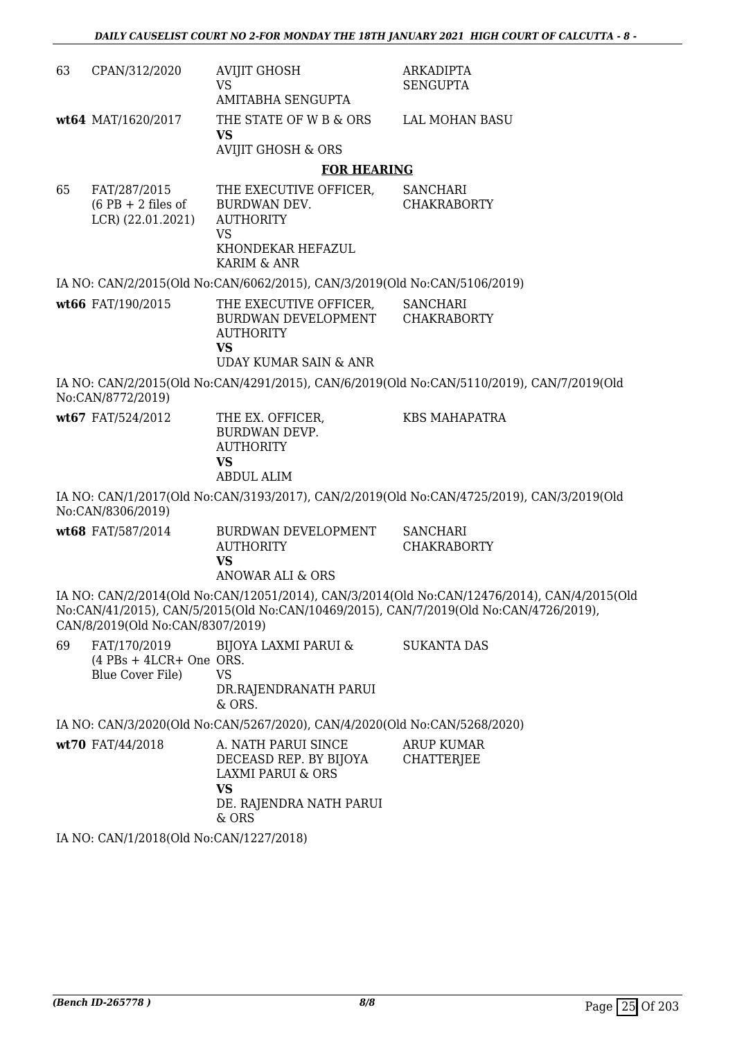| 63 | CPAN/312/2020                                                 | <b>AVIJIT GHOSH</b><br><b>VS</b>                                                                                               | ARKADIPTA<br><b>SENGUPTA</b>                                                                                                                                                         |
|----|---------------------------------------------------------------|--------------------------------------------------------------------------------------------------------------------------------|--------------------------------------------------------------------------------------------------------------------------------------------------------------------------------------|
|    | wt64 MAT/1620/2017                                            | AMITABHA SENGUPTA<br>THE STATE OF W B & ORS<br><b>VS</b><br><b>AVIJIT GHOSH &amp; ORS</b>                                      | LAL MOHAN BASU                                                                                                                                                                       |
|    |                                                               | <b>FOR HEARING</b>                                                                                                             |                                                                                                                                                                                      |
| 65 | FAT/287/2015<br>$(6$ PB + 2 files of<br>LCR) (22.01.2021)     | THE EXECUTIVE OFFICER,<br><b>BURDWAN DEV.</b><br><b>AUTHORITY</b><br><b>VS</b><br>KHONDEKAR HEFAZUL<br>KARIM & ANR             | <b>SANCHARI</b><br><b>CHAKRABORTY</b>                                                                                                                                                |
|    |                                                               | IA NO: CAN/2/2015(Old No:CAN/6062/2015), CAN/3/2019(Old No:CAN/5106/2019)                                                      |                                                                                                                                                                                      |
|    | wt66 FAT/190/2015                                             | THE EXECUTIVE OFFICER,<br>BURDWAN DEVELOPMENT<br><b>AUTHORITY</b><br><b>VS</b><br><b>UDAY KUMAR SAIN &amp; ANR</b>             | SANCHARI<br><b>CHAKRABORTY</b>                                                                                                                                                       |
|    | No:CAN/8772/2019)                                             |                                                                                                                                | IA NO: CAN/2/2015(Old No:CAN/4291/2015), CAN/6/2019(Old No:CAN/5110/2019), CAN/7/2019(Old                                                                                            |
|    | wt67 FAT/524/2012                                             | THE EX. OFFICER,<br><b>BURDWAN DEVP.</b><br><b>AUTHORITY</b><br><b>VS</b><br><b>ABDUL ALIM</b>                                 | <b>KBS MAHAPATRA</b>                                                                                                                                                                 |
|    | No:CAN/8306/2019)                                             |                                                                                                                                | IA NO: CAN/1/2017(Old No:CAN/3193/2017), CAN/2/2019(Old No:CAN/4725/2019), CAN/3/2019(Old                                                                                            |
|    | wt68 FAT/587/2014                                             | BURDWAN DEVELOPMENT<br><b>AUTHORITY</b><br><b>VS</b><br>ANOWAR ALI & ORS                                                       | <b>SANCHARI</b><br><b>CHAKRABORTY</b>                                                                                                                                                |
|    | CAN/8/2019(Old No:CAN/8307/2019)                              |                                                                                                                                | IA NO: CAN/2/2014(Old No:CAN/12051/2014), CAN/3/2014(Old No:CAN/12476/2014), CAN/4/2015(Old<br>No:CAN/41/2015), CAN/5/2015(Old No:CAN/10469/2015), CAN/7/2019(Old No:CAN/4726/2019), |
| 69 | FAT/170/2019<br>$(4$ PBs + 4LCR+ One ORS.<br>Blue Cover File) | BIJOYA LAXMI PARUI &<br><b>VS</b><br>DR.RAJENDRANATH PARUI<br>& ORS.                                                           | <b>SUKANTA DAS</b>                                                                                                                                                                   |
|    |                                                               | IA NO: CAN/3/2020(Old No:CAN/5267/2020), CAN/4/2020(Old No:CAN/5268/2020)                                                      |                                                                                                                                                                                      |
|    | wt70 FAT/44/2018                                              | A. NATH PARUI SINCE<br>DECEASD REP. BY BIJOYA<br><b>LAXMI PARUI &amp; ORS</b><br><b>VS</b><br>DE. RAJENDRA NATH PARUI<br>& ORS | <b>ARUP KUMAR</b><br><b>CHATTERJEE</b>                                                                                                                                               |

IA NO: CAN/1/2018(Old No:CAN/1227/2018)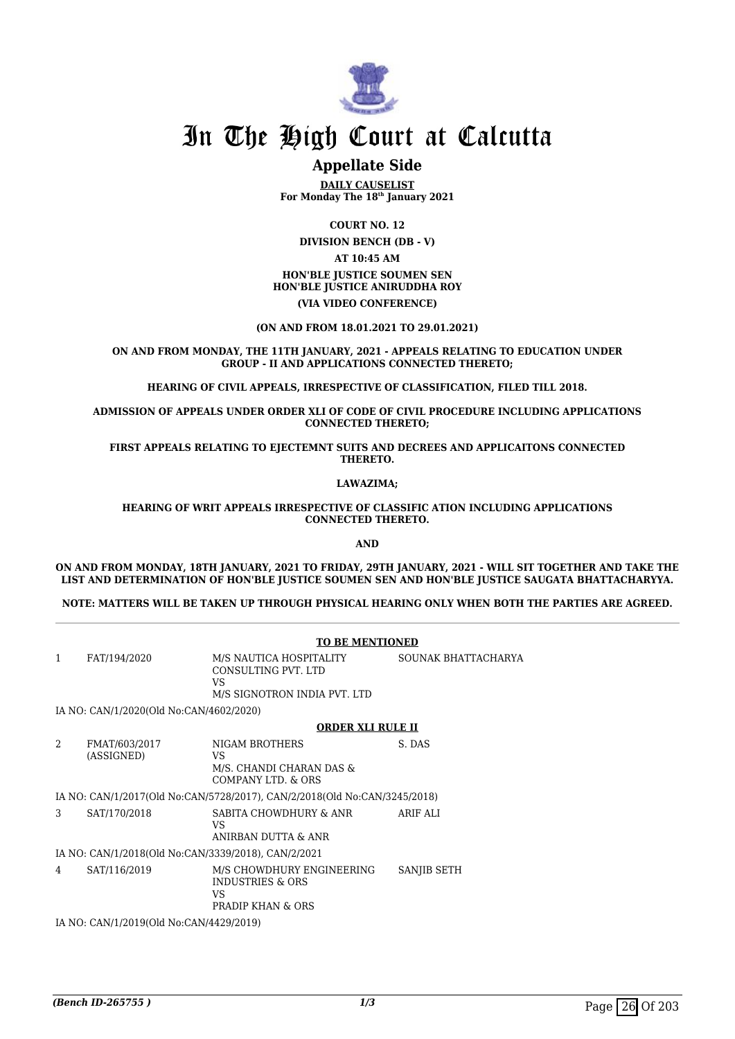

## **Appellate Side**

**DAILY CAUSELIST For Monday The 18th January 2021**

**COURT NO. 12 DIVISION BENCH (DB - V) AT 10:45 AM HON'BLE JUSTICE SOUMEN SEN HON'BLE JUSTICE ANIRUDDHA ROY**

#### **(VIA VIDEO CONFERENCE)**

#### **(ON AND FROM 18.01.2021 TO 29.01.2021)**

#### **ON AND FROM MONDAY, THE 11TH JANUARY, 2021 - APPEALS RELATING TO EDUCATION UNDER GROUP - II AND APPLICATIONS CONNECTED THERETO;**

**HEARING OF CIVIL APPEALS, IRRESPECTIVE OF CLASSIFICATION, FILED TILL 2018.**

**ADMISSION OF APPEALS UNDER ORDER XLI OF CODE OF CIVIL PROCEDURE INCLUDING APPLICATIONS CONNECTED THERETO;**

**FIRST APPEALS RELATING TO EJECTEMNT SUITS AND DECREES AND APPLICAITONS CONNECTED THERETO.**

**LAWAZIMA;**

**HEARING OF WRIT APPEALS IRRESPECTIVE OF CLASSIFIC ATION INCLUDING APPLICATIONS CONNECTED THERETO.**

**AND**

#### **ON AND FROM MONDAY, 18TH JANUARY, 2021 TO FRIDAY, 29TH JANUARY, 2021 - WILL SIT TOGETHER AND TAKE THE LIST AND DETERMINATION OF HON'BLE JUSTICE SOUMEN SEN AND HON'BLE JUSTICE SAUGATA BHATTACHARYYA.**

**NOTE: MATTERS WILL BE TAKEN UP THROUGH PHYSICAL HEARING ONLY WHEN BOTH THE PARTIES ARE AGREED.**

|                                                     |                                         | <b>TO BE MENTIONED</b>                                                               |                     |  |
|-----------------------------------------------------|-----------------------------------------|--------------------------------------------------------------------------------------|---------------------|--|
| $\mathbf{1}$                                        | FAT/194/2020                            | M/S NAUTICA HOSPITALITY<br>CONSULTING PVT. LTD<br>VS<br>M/S SIGNOTRON INDIA PVT. LTD | SOUNAK BHATTACHARYA |  |
|                                                     | IA NO: CAN/1/2020(Old No:CAN/4602/2020) |                                                                                      |                     |  |
|                                                     |                                         | <b>ORDER XLI RULE II</b>                                                             |                     |  |
| $\mathcal{D}_{\mathcal{L}}$                         | FMAT/603/2017<br>(ASSIGNED)             | NIGAM BROTHERS<br>VS<br>M/S. CHANDI CHARAN DAS &<br>COMPANY LTD. & ORS               | S. DAS              |  |
|                                                     |                                         | IA NO: CAN/1/2017(Old No:CAN/5728/2017), CAN/2/2018(Old No:CAN/3245/2018)            |                     |  |
| 3                                                   | SAT/170/2018                            | SABITA CHOWDHURY & ANR<br>VS<br>ANIRBAN DUTTA & ANR                                  | ARIF ALI            |  |
| IA NO: CAN/1/2018(Old No:CAN/3339/2018), CAN/2/2021 |                                         |                                                                                      |                     |  |
| 4                                                   | SAT/116/2019                            | M/S CHOWDHURY ENGINEERING<br><b>INDUSTRIES &amp; ORS</b><br>VS<br>PRADIP KHAN & ORS  | SANJIB SETH         |  |
|                                                     | IA NO: CAN/1/2019(Old No:CAN/4429/2019) |                                                                                      |                     |  |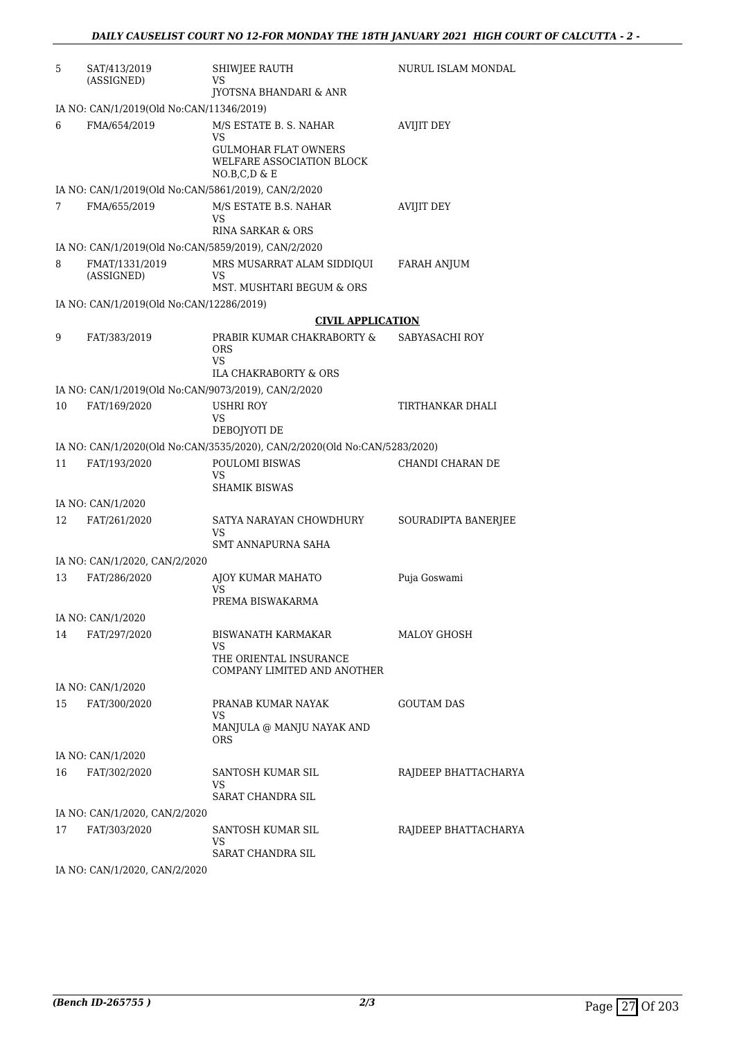| 5  | SAT/413/2019<br>(ASSIGNED)                          | <b>SHIWJEE RAUTH</b><br>VS                                                                               | NURUL ISLAM MONDAL   |
|----|-----------------------------------------------------|----------------------------------------------------------------------------------------------------------|----------------------|
|    |                                                     | <b>JYOTSNA BHANDARI &amp; ANR</b>                                                                        |                      |
|    | IA NO: CAN/1/2019(Old No:CAN/11346/2019)            |                                                                                                          |                      |
| 6  | FMA/654/2019                                        | M/S ESTATE B. S. NAHAR<br>VS<br><b>GULMOHAR FLAT OWNERS</b><br>WELFARE ASSOCIATION BLOCK<br>NO.B,C,D & E | <b>AVIJIT DEY</b>    |
|    | IA NO: CAN/1/2019(Old No:CAN/5861/2019), CAN/2/2020 |                                                                                                          |                      |
| 7  | FMA/655/2019                                        | M/S ESTATE B.S. NAHAR<br>VS<br>RINA SARKAR & ORS                                                         | <b>AVIJIT DEY</b>    |
|    | IA NO: CAN/1/2019(Old No:CAN/5859/2019), CAN/2/2020 |                                                                                                          |                      |
| 8  | FMAT/1331/2019<br>(ASSIGNED)                        | MRS MUSARRAT ALAM SIDDIQUI<br>VS<br>MST. MUSHTARI BEGUM & ORS                                            | <b>FARAH ANJUM</b>   |
|    | IA NO: CAN/1/2019(Old No:CAN/12286/2019)            |                                                                                                          |                      |
|    |                                                     | <b>CIVIL APPLICATION</b>                                                                                 |                      |
| 9  | FAT/383/2019                                        | PRABIR KUMAR CHAKRABORTY &<br>ORS<br>VS.                                                                 | SABYASACHI ROY       |
|    |                                                     | ILA CHAKRABORTY & ORS                                                                                    |                      |
|    | IA NO: CAN/1/2019(Old No:CAN/9073/2019), CAN/2/2020 |                                                                                                          |                      |
| 10 | FAT/169/2020                                        | <b>USHRI ROY</b><br>VS<br>DEBOJYOTI DE                                                                   | TIRTHANKAR DHALI     |
|    |                                                     | IA NO: CAN/1/2020(Old No:CAN/3535/2020), CAN/2/2020(Old No:CAN/5283/2020)                                |                      |
| 11 | FAT/193/2020                                        | POULOMI BISWAS<br>VS<br><b>SHAMIK BISWAS</b>                                                             | CHANDI CHARAN DE     |
|    | IA NO: CAN/1/2020                                   |                                                                                                          |                      |
| 12 | FAT/261/2020                                        | SATYA NARAYAN CHOWDHURY<br>VS<br>SMT ANNAPURNA SAHA                                                      | SOURADIPTA BANERJEE  |
|    | IA NO: CAN/1/2020, CAN/2/2020                       |                                                                                                          |                      |
| 13 | FAT/286/2020                                        | AJOY KUMAR MAHATO<br>VS<br>PREMA BISWAKARMA                                                              | Puja Goswami         |
|    | IA NO: CAN/1/2020                                   |                                                                                                          |                      |
| 14 | FAT/297/2020                                        | BISWANATH KARMAKAR<br>VS<br>THE ORIENTAL INSURANCE                                                       | MALOY GHOSH          |
|    |                                                     | COMPANY LIMITED AND ANOTHER                                                                              |                      |
| 15 | IA NO: CAN/1/2020<br>FAT/300/2020                   | PRANAB KUMAR NAYAK                                                                                       | <b>GOUTAM DAS</b>    |
|    |                                                     | VS<br>MANJULA @ MANJU NAYAK AND<br>ORS                                                                   |                      |
|    | IA NO: CAN/1/2020                                   |                                                                                                          |                      |
| 16 | FAT/302/2020                                        | SANTOSH KUMAR SIL                                                                                        | RAJDEEP BHATTACHARYA |
|    |                                                     | VS<br><b>SARAT CHANDRA SIL</b>                                                                           |                      |
|    | IA NO: CAN/1/2020, CAN/2/2020                       |                                                                                                          |                      |
| 17 | FAT/303/2020                                        | SANTOSH KUMAR SIL<br>VS<br><b>SARAT CHANDRA SIL</b>                                                      | RAJDEEP BHATTACHARYA |
|    | <b>IA NO. CANTA MODO CANTOMOOO</b>                  |                                                                                                          |                      |

IA NO: CAN/1/2020, CAN/2/2020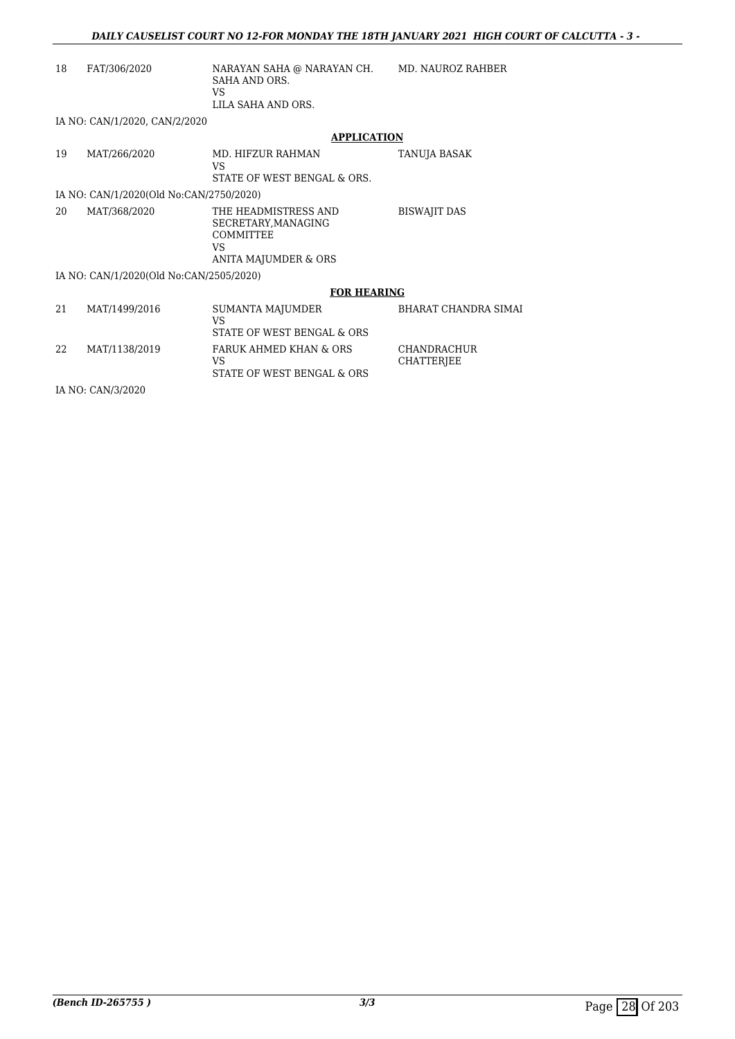| 18 | FAT/306/2020                            | NARAYAN SAHA @ NARAYAN CH.<br>SAHA AND ORS.<br>VS<br>LILA SAHA AND ORS.                | MD. NAUROZ RAHBER                |  |
|----|-----------------------------------------|----------------------------------------------------------------------------------------|----------------------------------|--|
|    | IA NO: CAN/1/2020, CAN/2/2020           |                                                                                        |                                  |  |
|    |                                         | <b>APPLICATION</b>                                                                     |                                  |  |
| 19 | MAT/266/2020                            | MD. HIFZUR RAHMAN<br>VS.<br>STATE OF WEST BENGAL & ORS.                                | TANUJA BASAK                     |  |
|    | IA NO: CAN/1/2020(Old No:CAN/2750/2020) |                                                                                        |                                  |  |
| 20 | MAT/368/2020                            | THE HEADMISTRESS AND<br>SECRETARY, MANAGING<br>COMMITTEE<br>VS<br>ANITA MAJUMDER & ORS | <b>BISWAJIT DAS</b>              |  |
|    | IA NO: CAN/1/2020(Old No:CAN/2505/2020) |                                                                                        |                                  |  |
|    | <b>FOR HEARING</b>                      |                                                                                        |                                  |  |
| 21 | MAT/1499/2016                           | <b>SUMANTA MAJUMDER</b><br>VS<br>STATE OF WEST BENGAL & ORS                            | <b>BHARAT CHANDRA SIMAI</b>      |  |
| 22 | MAT/1138/2019                           | <b>FARUK AHMED KHAN &amp; ORS</b><br>VS.<br>STATE OF WEST BENGAL & ORS                 | <b>CHANDRACHUR</b><br>CHATTERJEE |  |

IA NO: CAN/3/2020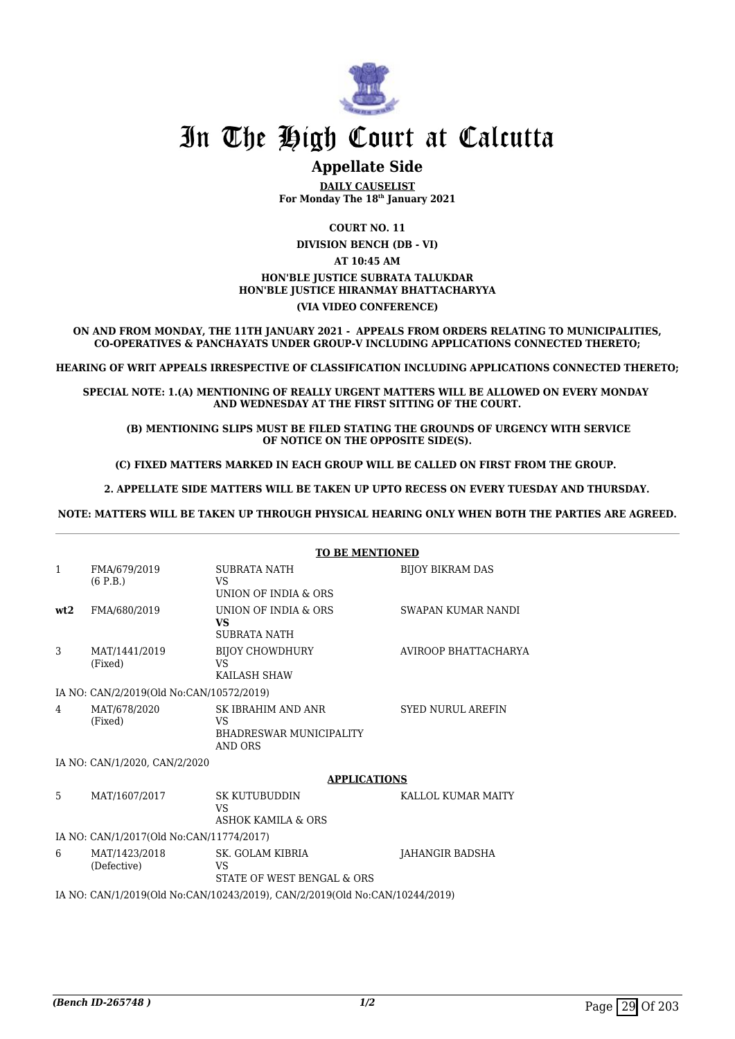

## **Appellate Side**

**DAILY CAUSELIST For Monday The 18th January 2021**

**COURT NO. 11**

**DIVISION BENCH (DB - VI) AT 10:45 AM HON'BLE JUSTICE SUBRATA TALUKDAR HON'BLE JUSTICE HIRANMAY BHATTACHARYYA**

#### **(VIA VIDEO CONFERENCE)**

**ON AND FROM MONDAY, THE 11TH JANUARY 2021 - APPEALS FROM ORDERS RELATING TO MUNICIPALITIES, CO-OPERATIVES & PANCHAYATS UNDER GROUP-V INCLUDING APPLICATIONS CONNECTED THERETO;**

**HEARING OF WRIT APPEALS IRRESPECTIVE OF CLASSIFICATION INCLUDING APPLICATIONS CONNECTED THERETO;**

**SPECIAL NOTE: 1.(A) MENTIONING OF REALLY URGENT MATTERS WILL BE ALLOWED ON EVERY MONDAY AND WEDNESDAY AT THE FIRST SITTING OF THE COURT.**

 **(B) MENTIONING SLIPS MUST BE FILED STATING THE GROUNDS OF URGENCY WITH SERVICE OF NOTICE ON THE OPPOSITE SIDE(S).**

**(C) FIXED MATTERS MARKED IN EACH GROUP WILL BE CALLED ON FIRST FROM THE GROUP.** 

 **2. APPELLATE SIDE MATTERS WILL BE TAKEN UP UPTO RECESS ON EVERY TUESDAY AND THURSDAY.** 

**NOTE: MATTERS WILL BE TAKEN UP THROUGH PHYSICAL HEARING ONLY WHEN BOTH THE PARTIES ARE AGREED.**

|                                          |                                          | <b>TO BE MENTIONED</b>                                                |                          |  |
|------------------------------------------|------------------------------------------|-----------------------------------------------------------------------|--------------------------|--|
| $\mathbf{1}$                             | FMA/679/2019<br>(6 P.B.)                 | SUBRATA NATH<br>VS<br>UNION OF INDIA & ORS                            | <b>BIJOY BIKRAM DAS</b>  |  |
| wt2                                      | FMA/680/2019                             | UNION OF INDIA & ORS<br>VS.<br><b>SUBRATA NATH</b>                    | SWAPAN KUMAR NANDI       |  |
| 3                                        | MAT/1441/2019<br>(Fixed)                 | <b>BIJOY CHOWDHURY</b><br>VS<br>KAILASH SHAW                          | AVIROOP BHATTACHARYA     |  |
|                                          | IA NO: CAN/2/2019(Old No:CAN/10572/2019) |                                                                       |                          |  |
| 4                                        | MAT/678/2020<br>(Fixed)                  | SK IBRAHIM AND ANR<br>VS<br><b>BHADRESWAR MUNICIPALITY</b><br>AND ORS | <b>SYED NURUL AREFIN</b> |  |
| IA NO: CAN/1/2020, CAN/2/2020            |                                          |                                                                       |                          |  |
|                                          |                                          | <b>APPLICATIONS</b>                                                   |                          |  |
| 5.                                       | MAT/1607/2017                            | <b>SK KUTUBUDDIN</b><br>VS<br>ASHOK KAMILA & ORS                      | KALLOL KUMAR MAITY       |  |
| IA NO: CAN/1/2017(Old No:CAN/11774/2017) |                                          |                                                                       |                          |  |
| 6                                        | MAT/1423/2018                            | SK COLAM KIRRIA                                                       | IAHANCIR RADSHA          |  |

6 MAT/1423/2018 (Defective) SK. GOLAM KIBRIA VS STATE OF WEST BENGAL & ORS JAHANGIR BADSHA

IA NO: CAN/1/2019(Old No:CAN/10243/2019), CAN/2/2019(Old No:CAN/10244/2019)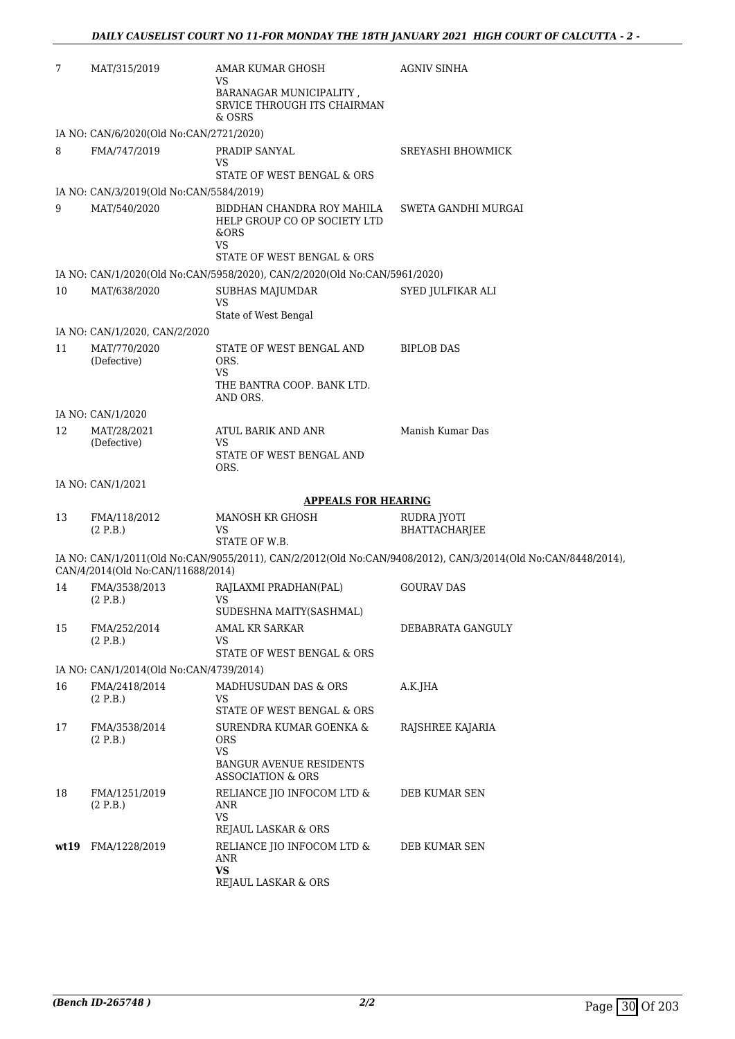| 7     | MAT/315/2019                                             | AMAR KUMAR GHOSH<br>VS                                                    | <b>AGNIV SINHA</b>                                                                                           |
|-------|----------------------------------------------------------|---------------------------------------------------------------------------|--------------------------------------------------------------------------------------------------------------|
|       |                                                          | BARANAGAR MUNICIPALITY,<br>SRVICE THROUGH ITS CHAIRMAN                    |                                                                                                              |
|       |                                                          | & OSRS                                                                    |                                                                                                              |
| 8     | IA NO: CAN/6/2020(Old No:CAN/2721/2020)<br>FMA/747/2019  | PRADIP SANYAL                                                             | SREYASHI BHOWMICK                                                                                            |
|       |                                                          | VS                                                                        |                                                                                                              |
|       |                                                          | STATE OF WEST BENGAL & ORS                                                |                                                                                                              |
|       | IA NO: CAN/3/2019(Old No:CAN/5584/2019)                  |                                                                           |                                                                                                              |
| 9     | MAT/540/2020                                             | BIDDHAN CHANDRA ROY MAHILA<br>HELP GROUP CO OP SOCIETY LTD<br>&ORS<br>VS  | SWETA GANDHI MURGAI                                                                                          |
|       |                                                          | STATE OF WEST BENGAL & ORS                                                |                                                                                                              |
|       |                                                          | IA NO: CAN/1/2020(Old No:CAN/5958/2020), CAN/2/2020(Old No:CAN/5961/2020) |                                                                                                              |
| 10    | MAT/638/2020                                             | SUBHAS MAJUMDAR<br><b>VS</b><br>State of West Bengal                      | SYED JULFIKAR ALI                                                                                            |
|       | IA NO: CAN/1/2020, CAN/2/2020                            |                                                                           |                                                                                                              |
| 11    | MAT/770/2020<br>(Defective)                              | STATE OF WEST BENGAL AND<br>ORS.<br>VS                                    | <b>BIPLOB DAS</b>                                                                                            |
|       |                                                          | THE BANTRA COOP. BANK LTD.<br>AND ORS.                                    |                                                                                                              |
|       | IA NO: CAN/1/2020                                        |                                                                           |                                                                                                              |
| 12    | MAT/28/2021<br>(Defective)                               | ATUL BARIK AND ANR<br>VS                                                  | Manish Kumar Das                                                                                             |
|       |                                                          | STATE OF WEST BENGAL AND<br>ORS.                                          |                                                                                                              |
|       | IA NO: CAN/1/2021                                        |                                                                           |                                                                                                              |
|       |                                                          | <b>APPEALS FOR HEARING</b>                                                |                                                                                                              |
| 13    | FMA/118/2012                                             | MANOSH KR GHOSH                                                           | RUDRA JYOTI                                                                                                  |
|       | (2 P.B.)                                                 | VS<br>STATE OF W.B.                                                       | BHATTACHARJEE                                                                                                |
|       | CAN/4/2014(Old No:CAN/11688/2014)                        |                                                                           | IA NO: CAN/1/2011(Old No:CAN/9055/2011), CAN/2/2012(Old No:CAN/9408/2012), CAN/3/2014(Old No:CAN/8448/2014), |
| 14    | FMA/3538/2013<br>(2 P.B.)                                | RAJLAXMI PRADHAN(PAL)<br>VS                                               | <b>GOURAV DAS</b>                                                                                            |
|       |                                                          | SUDESHNA MAITY(SASHMAL)                                                   |                                                                                                              |
| 15    | FMA/252/2014<br>(2 P.B.)                                 | AMAL KR SARKAR<br>VS                                                      | DEBABRATA GANGULY                                                                                            |
|       |                                                          | STATE OF WEST BENGAL & ORS                                                |                                                                                                              |
| 16    | IA NO: CAN/1/2014(Old No:CAN/4739/2014)<br>FMA/2418/2014 |                                                                           |                                                                                                              |
|       | (2 P.B.)                                                 | MADHUSUDAN DAS & ORS<br>VS.<br>STATE OF WEST BENGAL & ORS                 | A.K.JHA                                                                                                      |
| 17    | FMA/3538/2014<br>(2 P.B.)                                | SURENDRA KUMAR GOENKA &<br><b>ORS</b>                                     | RAJSHREE KAJARIA                                                                                             |
|       |                                                          | VS<br><b>BANGUR AVENUE RESIDENTS</b><br><b>ASSOCIATION &amp; ORS</b>      |                                                                                                              |
| 18    | FMA/1251/2019<br>(2 P.B.)                                | RELIANCE JIO INFOCOM LTD &<br>ANR                                         | DEB KUMAR SEN                                                                                                |
|       |                                                          | <b>VS</b><br>REJAUL LASKAR & ORS                                          |                                                                                                              |
| wt 19 | FMA/1228/2019                                            | RELIANCE JIO INFOCOM LTD &<br>ANR                                         | DEB KUMAR SEN                                                                                                |
|       |                                                          | <b>VS</b><br>REJAUL LASKAR & ORS                                          |                                                                                                              |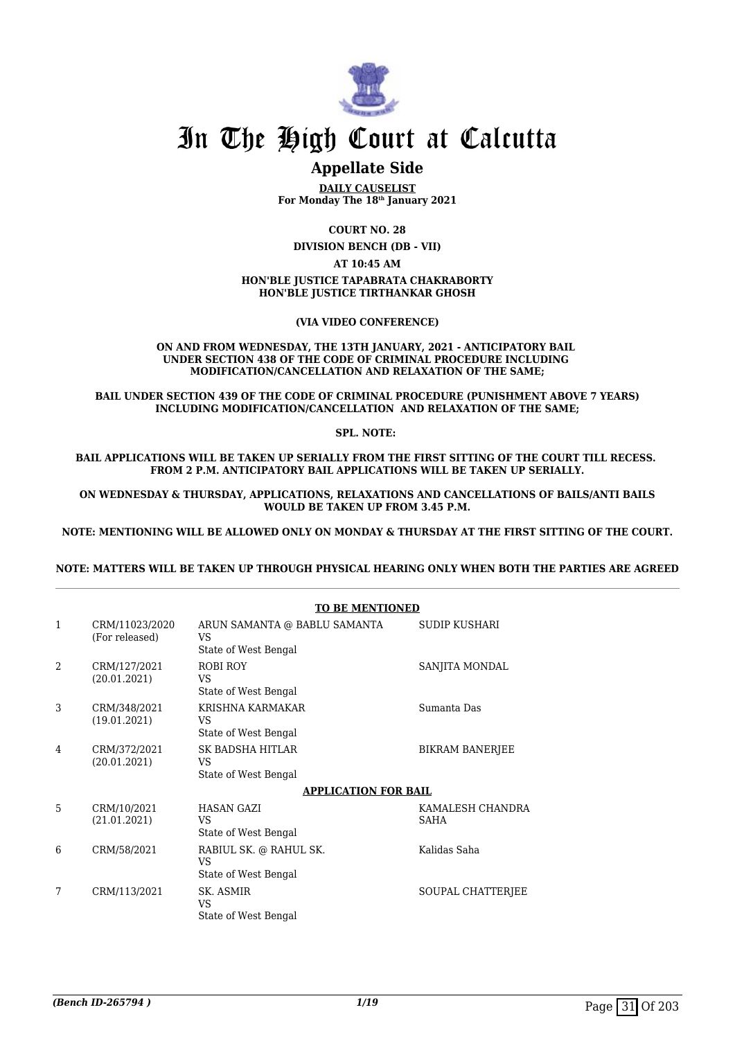

## **Appellate Side**

**DAILY CAUSELIST For Monday The 18th January 2021**

**COURT NO. 28**

**DIVISION BENCH (DB - VII)**

**AT 10:45 AM**

#### **HON'BLE JUSTICE TAPABRATA CHAKRABORTY HON'BLE JUSTICE TIRTHANKAR GHOSH**

#### **(VIA VIDEO CONFERENCE)**

#### **ON AND FROM WEDNESDAY, THE 13TH JANUARY, 2021 - ANTICIPATORY BAIL UNDER SECTION 438 OF THE CODE OF CRIMINAL PROCEDURE INCLUDING MODIFICATION/CANCELLATION AND RELAXATION OF THE SAME;**

**BAIL UNDER SECTION 439 OF THE CODE OF CRIMINAL PROCEDURE (PUNISHMENT ABOVE 7 YEARS) INCLUDING MODIFICATION/CANCELLATION AND RELAXATION OF THE SAME;**

**SPL. NOTE:** 

**BAIL APPLICATIONS WILL BE TAKEN UP SERIALLY FROM THE FIRST SITTING OF THE COURT TILL RECESS. FROM 2 P.M. ANTICIPATORY BAIL APPLICATIONS WILL BE TAKEN UP SERIALLY.**

**ON WEDNESDAY & THURSDAY, APPLICATIONS, RELAXATIONS AND CANCELLATIONS OF BAILS/ANTI BAILS WOULD BE TAKEN UP FROM 3.45 P.M.**

**NOTE: MENTIONING WILL BE ALLOWED ONLY ON MONDAY & THURSDAY AT THE FIRST SITTING OF THE COURT.**

#### **NOTE: MATTERS WILL BE TAKEN UP THROUGH PHYSICAL HEARING ONLY WHEN BOTH THE PARTIES ARE AGREED**

|                |                                  | TO DE MENTIONED                                            |                                 |
|----------------|----------------------------------|------------------------------------------------------------|---------------------------------|
| 1              | CRM/11023/2020<br>(For released) | ARUN SAMANTA @ BABLU SAMANTA<br>VS<br>State of West Bengal | SUDIP KUSHARI                   |
| $\mathfrak{D}$ | CRM/127/2021<br>(20.01.2021)     | ROBI ROY<br>VS<br>State of West Bengal                     | SANJITA MONDAL                  |
| 3              | CRM/348/2021<br>(19.01.2021)     | KRISHNA KARMAKAR<br><b>VS</b><br>State of West Bengal      | Sumanta Das                     |
| 4              | CRM/372/2021<br>(20.01.2021)     | SK BADSHA HITLAR<br>VS.<br>State of West Bengal            | <b>BIKRAM BANERJEE</b>          |
|                |                                  | <b>APPLICATION FOR BAIL</b>                                |                                 |
| 5              | CRM/10/2021<br>(21.01.2021)      | <b>HASAN GAZI</b><br>VS.<br>State of West Bengal           | KAMALESH CHANDRA<br><b>SAHA</b> |
| 6              | CRM/58/2021                      | RABIUL SK. @ RAHUL SK.<br>VS<br>State of West Bengal       | Kalidas Saha                    |
| 7              | CRM/113/2021                     | SK. ASMIR<br>VS<br>State of West Bengal                    | SOUPAL CHATTERIEE               |

### **TO BE MENTIONED**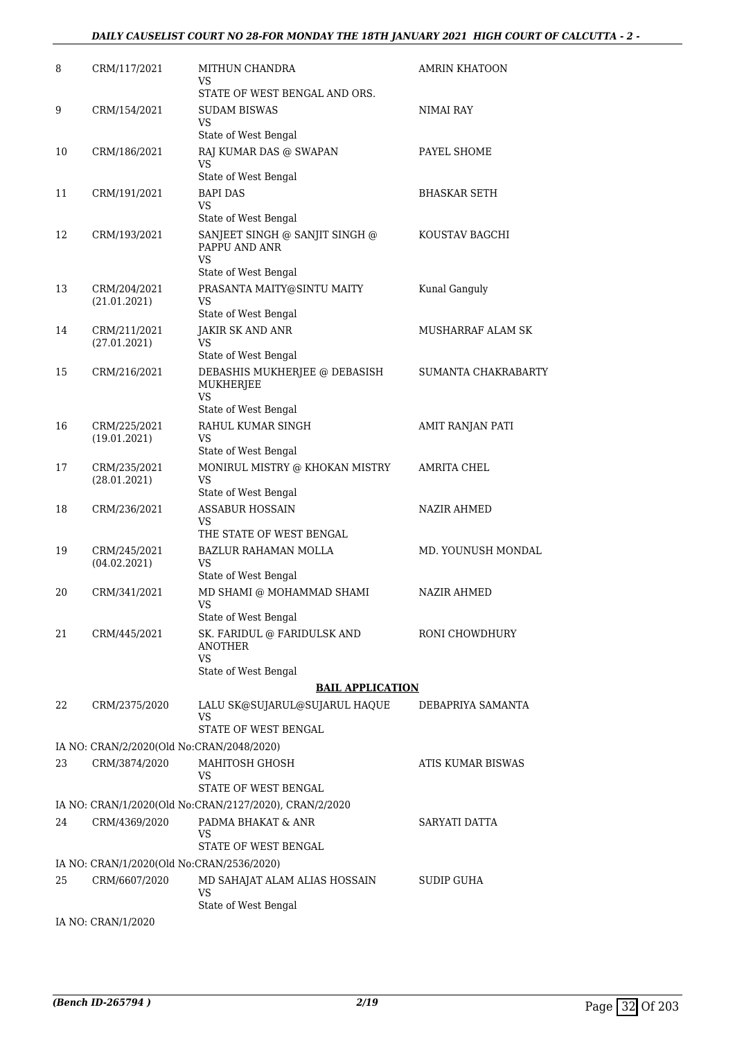#### *DAILY CAUSELIST COURT NO 28-FOR MONDAY THE 18TH JANUARY 2021 HIGH COURT OF CALCUTTA - 2 -*

| 8  | CRM/117/2021                              | MITHUN CHANDRA<br>VS                                         | AMRIN KHATOON       |
|----|-------------------------------------------|--------------------------------------------------------------|---------------------|
|    |                                           | STATE OF WEST BENGAL AND ORS.                                |                     |
| 9  | CRM/154/2021                              | <b>SUDAM BISWAS</b>                                          | NIMAI RAY           |
|    |                                           | VS<br>State of West Bengal                                   |                     |
| 10 | CRM/186/2021                              | RAJ KUMAR DAS @ SWAPAN                                       | PAYEL SHOME         |
|    |                                           | VS                                                           |                     |
|    |                                           | State of West Bengal                                         |                     |
| 11 | CRM/191/2021                              | <b>BAPI DAS</b><br>VS                                        | BHASKAR SETH        |
|    |                                           | State of West Bengal                                         |                     |
| 12 | CRM/193/2021                              | SANJEET SINGH @ SANJIT SINGH @<br>PAPPU AND ANR<br><b>VS</b> | KOUSTAV BAGCHI      |
|    |                                           | State of West Bengal                                         |                     |
| 13 | CRM/204/2021<br>(21.01.2021)              | PRASANTA MAITY@SINTU MAITY<br>VS<br>State of West Bengal     | Kunal Ganguly       |
| 14 | CRM/211/2021                              | JAKIR SK AND ANR                                             | MUSHARRAF ALAM SK   |
|    | (27.01.2021)                              | <b>VS</b>                                                    |                     |
|    |                                           | State of West Bengal                                         |                     |
| 15 | CRM/216/2021                              | DEBASHIS MUKHERJEE @ DEBASISH<br>MUKHERJEE<br><b>VS</b>      | SUMANTA CHAKRABARTY |
|    |                                           | State of West Bengal                                         |                     |
| 16 | CRM/225/2021<br>(19.01.2021)              | RAHUL KUMAR SINGH<br>VS                                      | AMIT RANJAN PATI    |
|    |                                           | State of West Bengal                                         |                     |
| 17 | CRM/235/2021<br>(28.01.2021)              | MONIRUL MISTRY @ KHOKAN MISTRY<br><b>VS</b>                  | AMRITA CHEL         |
|    |                                           | State of West Bengal<br><b>ASSABUR HOSSAIN</b>               |                     |
| 18 | CRM/236/2021                              | VS<br>THE STATE OF WEST BENGAL                               | NAZIR AHMED         |
| 19 | CRM/245/2021                              | <b>BAZLUR RAHAMAN MOLLA</b>                                  | MD. YOUNUSH MONDAL  |
|    | (04.02.2021)                              | <b>VS</b><br>State of West Bengal                            |                     |
| 20 | CRM/341/2021                              | MD SHAMI @ MOHAMMAD SHAMI                                    | <b>NAZIR AHMED</b>  |
|    |                                           | VS<br>State of West Bengal                                   |                     |
| 21 | CRM/445/2021                              | SK. FARIDUL @ FARIDULSK AND                                  | RONI CHOWDHURY      |
|    |                                           | <b>ANOTHER</b><br><b>VS</b>                                  |                     |
|    |                                           | State of West Bengal                                         |                     |
|    |                                           | <b>BAIL APPLICATION</b>                                      |                     |
| 22 | CRM/2375/2020                             | LALU SK@SUJARUL@SUJARUL HAQUE<br>VS                          | DEBAPRIYA SAMANTA   |
|    |                                           | STATE OF WEST BENGAL                                         |                     |
|    | IA NO: CRAN/2/2020(Old No:CRAN/2048/2020) |                                                              |                     |
| 23 | CRM/3874/2020                             | MAHITOSH GHOSH<br>VS<br>STATE OF WEST BENGAL                 | ATIS KUMAR BISWAS   |
|    |                                           | IA NO: CRAN/1/2020(Old No:CRAN/2127/2020), CRAN/2/2020       |                     |
| 24 | CRM/4369/2020                             | PADMA BHAKAT & ANR                                           | SARYATI DATTA       |
|    |                                           | VS                                                           |                     |
|    |                                           | STATE OF WEST BENGAL                                         |                     |
|    | IA NO: CRAN/1/2020(Old No:CRAN/2536/2020) |                                                              |                     |
| 25 | CRM/6607/2020                             | MD SAHAJAT ALAM ALIAS HOSSAIN<br><b>VS</b>                   | SUDIP GUHA          |
|    | IA NO: CRAN/1/2020                        | State of West Bengal                                         |                     |
|    |                                           |                                                              |                     |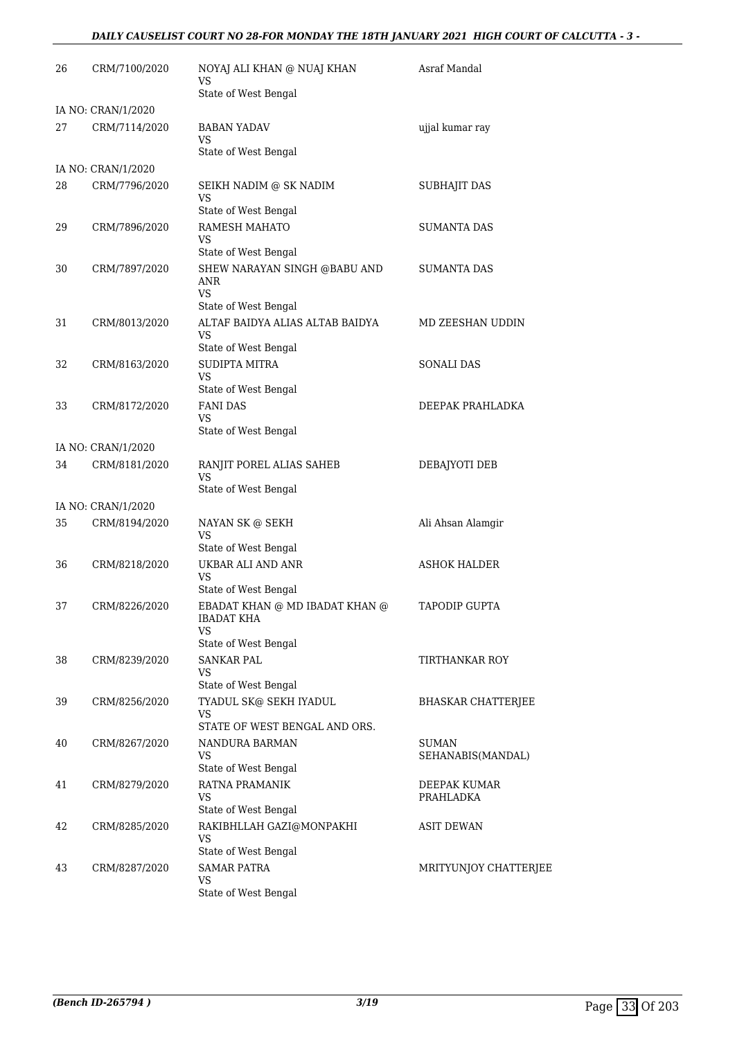### *DAILY CAUSELIST COURT NO 28-FOR MONDAY THE 18TH JANUARY 2021 HIGH COURT OF CALCUTTA - 3 -*

| 26 | CRM/7100/2020                       | NOYAJ ALI KHAN @ NUAJ KHAN<br>VS<br>State of West Bengal                                         | Asraf Mandal               |
|----|-------------------------------------|--------------------------------------------------------------------------------------------------|----------------------------|
|    |                                     |                                                                                                  |                            |
| 27 | IA NO: CRAN/1/2020<br>CRM/7114/2020 | <b>BABAN YADAV</b><br><b>VS</b>                                                                  | ujjal kumar ray            |
|    |                                     | State of West Bengal                                                                             |                            |
|    | IA NO: CRAN/1/2020                  |                                                                                                  |                            |
| 28 | CRM/7796/2020                       | SEIKH NADIM @ SK NADIM<br><b>VS</b><br>State of West Bengal                                      | <b>SUBHAJIT DAS</b>        |
| 29 | CRM/7896/2020                       | RAMESH MAHATO<br>VS                                                                              | <b>SUMANTA DAS</b>         |
| 30 | CRM/7897/2020                       | State of West Bengal<br>SHEW NARAYAN SINGH @BABU AND<br>ANR<br><b>VS</b><br>State of West Bengal | <b>SUMANTA DAS</b>         |
| 31 | CRM/8013/2020                       | ALTAF BAIDYA ALIAS ALTAB BAIDYA<br><b>VS</b>                                                     | MD ZEESHAN UDDIN           |
|    |                                     | State of West Bengal                                                                             |                            |
| 32 | CRM/8163/2020                       | <b>SUDIPTA MITRA</b><br>VS                                                                       | <b>SONALI DAS</b>          |
|    |                                     | State of West Bengal                                                                             |                            |
| 33 | CRM/8172/2020                       | <b>FANI DAS</b><br>VS<br>State of West Bengal                                                    | DEEPAK PRAHLADKA           |
|    | IA NO: CRAN/1/2020                  |                                                                                                  |                            |
| 34 | CRM/8181/2020                       | RANJIT POREL ALIAS SAHEB<br><b>VS</b>                                                            | DEBAJYOTI DEB              |
|    |                                     | State of West Bengal                                                                             |                            |
|    | IA NO: CRAN/1/2020                  |                                                                                                  |                            |
| 35 | CRM/8194/2020                       | NAYAN SK @ SEKH<br><b>VS</b><br>State of West Bengal                                             | Ali Ahsan Alamgir          |
| 36 | CRM/8218/2020                       | UKBAR ALI AND ANR                                                                                | <b>ASHOK HALDER</b>        |
|    |                                     | VS<br>State of West Bengal                                                                       |                            |
| 37 | CRM/8226/2020                       | EBADAT KHAN @ MD IBADAT KHAN @<br><b>IBADAT KHA</b><br>VS                                        | TAPODIP GUPTA              |
|    |                                     | State of West Bengal                                                                             |                            |
| 38 | CRM/8239/2020                       | <b>SANKAR PAL</b><br>VS<br>State of West Bengal                                                  | TIRTHANKAR ROY             |
| 39 | CRM/8256/2020                       | TYADUL SK@ SEKH IYADUL<br>VS                                                                     | BHASKAR CHATTERJEE         |
|    |                                     | STATE OF WEST BENGAL AND ORS.                                                                    |                            |
| 40 | CRM/8267/2020                       | NANDURA BARMAN<br>VS                                                                             | SUMAN<br>SEHANABIS(MANDAL) |
|    |                                     | State of West Bengal                                                                             |                            |
| 41 | CRM/8279/2020                       | RATNA PRAMANIK<br>VS<br>State of West Bengal                                                     | DEEPAK KUMAR<br>PRAHLADKA  |
| 42 | CRM/8285/2020                       | RAKIBHLLAH GAZI@MONPAKHI<br>VS                                                                   | ASIT DEWAN                 |
|    |                                     | State of West Bengal                                                                             |                            |
| 43 | CRM/8287/2020                       | <b>SAMAR PATRA</b><br>VS                                                                         | MRITYUNJOY CHATTERJEE      |
|    |                                     | State of West Bengal                                                                             |                            |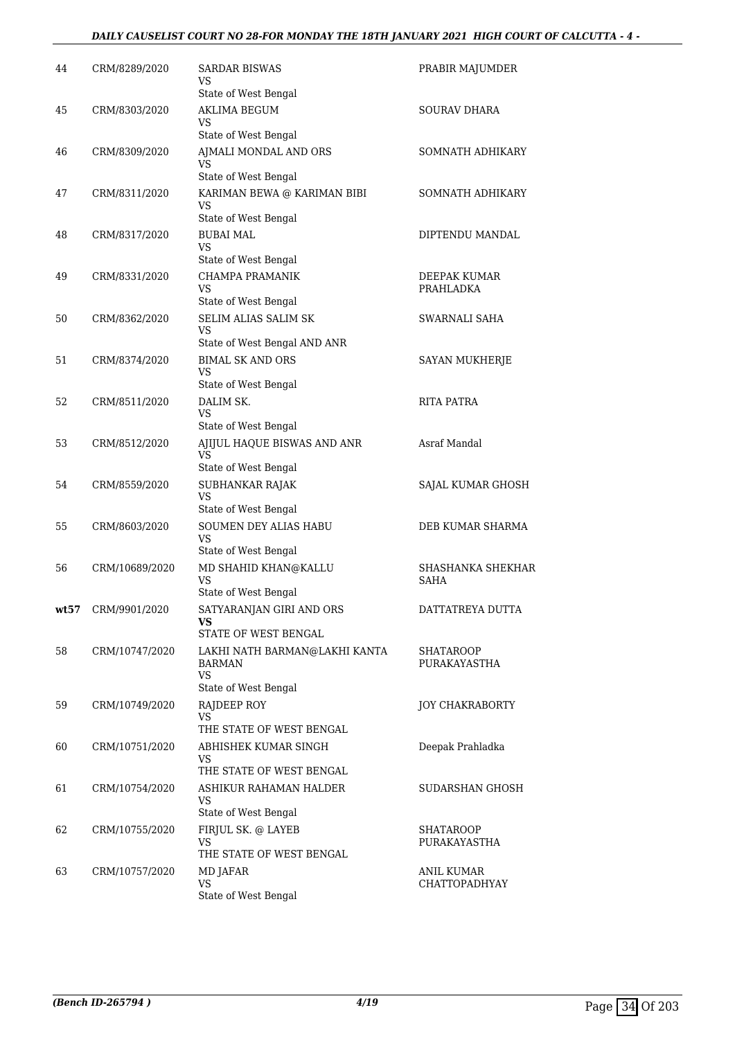### *DAILY CAUSELIST COURT NO 28-FOR MONDAY THE 18TH JANUARY 2021 HIGH COURT OF CALCUTTA - 4 -*

| 44 | CRM/8289/2020      | SARDAR BISWAS<br>VS                                  | PRABIR MAJUMDER           |
|----|--------------------|------------------------------------------------------|---------------------------|
| 45 | CRM/8303/2020      | State of West Bengal<br><b>AKLIMA BEGUM</b>          | <b>SOURAV DHARA</b>       |
|    |                    | VS<br>State of West Bengal                           |                           |
| 46 | CRM/8309/2020      | AJMALI MONDAL AND ORS                                | SOMNATH ADHIKARY          |
|    |                    | VS<br>State of West Bengal                           |                           |
| 47 | CRM/8311/2020      | KARIMAN BEWA @ KARIMAN BIBI<br>VS                    | SOMNATH ADHIKARY          |
|    |                    | State of West Bengal                                 |                           |
| 48 | CRM/8317/2020      | <b>BUBAI MAL</b><br>VS                               | DIPTENDU MANDAL           |
| 49 |                    | State of West Bengal<br>CHAMPA PRAMANIK              | DEEPAK KUMAR              |
|    | CRM/8331/2020      | VS                                                   | PRAHLADKA                 |
|    |                    | State of West Bengal                                 |                           |
| 50 | CRM/8362/2020      | <b>SELIM ALIAS SALIM SK</b><br>VS                    | SWARNALI SAHA             |
|    |                    | State of West Bengal AND ANR                         |                           |
| 51 | CRM/8374/2020      | <b>BIMAL SK AND ORS</b><br>VS                        | SAYAN MUKHERJE            |
|    |                    | State of West Bengal                                 |                           |
| 52 | CRM/8511/2020      | DALIM SK.<br><b>VS</b>                               | <b>RITA PATRA</b>         |
|    |                    | State of West Bengal                                 |                           |
| 53 | CRM/8512/2020      | AJIJUL HAQUE BISWAS AND ANR<br>VS                    | Asraf Mandal              |
|    |                    | State of West Bengal                                 |                           |
| 54 | CRM/8559/2020      | SUBHANKAR RAJAK<br><b>VS</b><br>State of West Bengal | SAJAL KUMAR GHOSH         |
| 55 | CRM/8603/2020      | <b>SOUMEN DEY ALIAS HABU</b>                         | DEB KUMAR SHARMA          |
|    |                    | VS<br>State of West Bengal                           |                           |
| 56 | CRM/10689/2020     | MD SHAHID KHAN@KALLU                                 | <b>SHASHANKA SHEKHAR</b>  |
|    |                    | VS                                                   | SAHA                      |
|    | wt57 CRM/9901/2020 | State of West Bengal<br>SATYARANJAN GIRI AND ORS     | DATTATREYA DUTTA          |
|    |                    | VS<br>STATE OF WEST BENGAL                           |                           |
| 58 | CRM/10747/2020     | LAKHI NATH BARMAN@LAKHI KANTA                        | SHATAROOP                 |
|    |                    | BARMAN<br>VS                                         | PURAKAYASTHA              |
|    |                    | State of West Bengal                                 |                           |
| 59 | CRM/10749/2020     | RAJDEEP ROY<br>VS                                    | <b>JOY CHAKRABORTY</b>    |
|    |                    | THE STATE OF WEST BENGAL<br>ABHISHEK KUMAR SINGH     |                           |
| 60 | CRM/10751/2020     | VS                                                   | Deepak Prahladka          |
|    |                    | THE STATE OF WEST BENGAL                             |                           |
| 61 | CRM/10754/2020     | ASHIKUR RAHAMAN HALDER<br>VS                         | SUDARSHAN GHOSH           |
|    |                    | State of West Bengal                                 |                           |
| 62 | CRM/10755/2020     | FIRJUL SK. @ LAYEB<br>VS<br>THE STATE OF WEST BENGAL | SHATAROOP<br>PURAKAYASTHA |
| 63 | CRM/10757/2020     | MD JAFAR                                             | ANIL KUMAR                |
|    |                    | VS<br>State of West Bengal                           | <b>CHATTOPADHYAY</b>      |
|    |                    |                                                      |                           |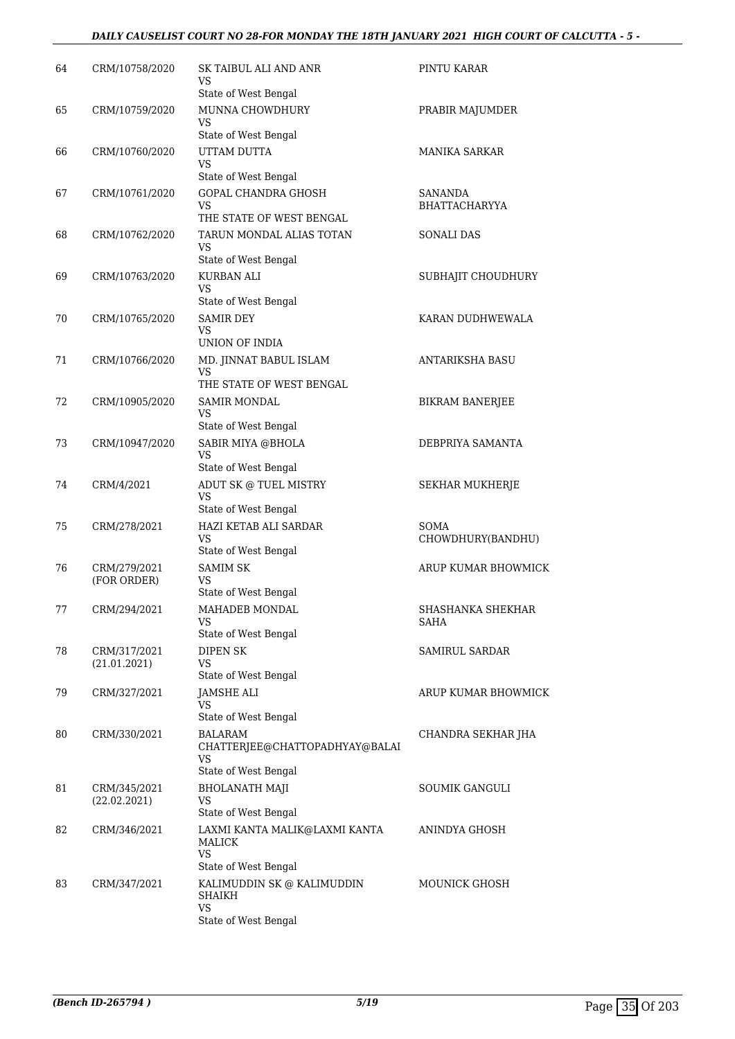#### *DAILY CAUSELIST COURT NO 28-FOR MONDAY THE 18TH JANUARY 2021 HIGH COURT OF CALCUTTA - 5 -*

| 64 | CRM/10758/2020               | SK TAIBUL ALI AND ANR<br>VS                              | PINTU KARAR                     |
|----|------------------------------|----------------------------------------------------------|---------------------------------|
| 65 | CRM/10759/2020               | State of West Bengal<br>MUNNA CHOWDHURY                  | PRABIR MAJUMDER                 |
|    |                              | VS<br>State of West Bengal                               |                                 |
| 66 | CRM/10760/2020               | UTTAM DUTTA                                              | <b>MANIKA SARKAR</b>            |
|    |                              | VS                                                       |                                 |
|    |                              | State of West Bengal                                     |                                 |
| 67 | CRM/10761/2020               | <b>GOPAL CHANDRA GHOSH</b><br>VS                         | SANANDA<br><b>BHATTACHARYYA</b> |
|    |                              | THE STATE OF WEST BENGAL                                 |                                 |
| 68 | CRM/10762/2020               | TARUN MONDAL ALIAS TOTAN<br>VS                           | <b>SONALI DAS</b>               |
|    |                              | State of West Bengal                                     |                                 |
| 69 | CRM/10763/2020               | KURBAN ALI<br>VS                                         | SUBHAJIT CHOUDHURY              |
|    |                              | State of West Bengal                                     |                                 |
| 70 | CRM/10765/2020               | <b>SAMIR DEY</b><br>VS                                   | KARAN DUDHWEWALA                |
|    |                              | UNION OF INDIA                                           |                                 |
| 71 | CRM/10766/2020               | MD. JINNAT BABUL ISLAM<br><b>VS</b>                      | <b>ANTARIKSHA BASU</b>          |
|    |                              | THE STATE OF WEST BENGAL                                 |                                 |
| 72 | CRM/10905/2020               | <b>SAMIR MONDAL</b>                                      | <b>BIKRAM BANERJEE</b>          |
|    |                              | VS<br>State of West Bengal                               |                                 |
| 73 | CRM/10947/2020               | SABIR MIYA @BHOLA                                        | DEBPRIYA SAMANTA                |
|    |                              | VS                                                       |                                 |
| 74 | CRM/4/2021                   | State of West Bengal<br>ADUT SK @ TUEL MISTRY            | SEKHAR MUKHERJE                 |
|    |                              | <b>VS</b>                                                |                                 |
|    |                              | State of West Bengal                                     |                                 |
| 75 | CRM/278/2021                 | HAZI KETAB ALI SARDAR<br>VS                              | SOMA<br>CHOWDHURY(BANDHU)       |
|    |                              | State of West Bengal                                     |                                 |
| 76 | CRM/279/2021                 | <b>SAMIM SK</b>                                          | ARUP KUMAR BHOWMICK             |
|    | (FOR ORDER)                  | VS<br>State of West Bengal                               |                                 |
| 77 | CRM/294/2021                 | MAHADEB MONDAL                                           | SHASHANKA SHEKHAR               |
|    |                              | VS                                                       | SAHA                            |
|    |                              | State of West Bengal                                     |                                 |
| 78 | CRM/317/2021<br>(21.01.2021) | <b>DIPEN SK</b><br>VS                                    | <b>SAMIRUL SARDAR</b>           |
|    |                              | State of West Bengal                                     |                                 |
| 79 | CRM/327/2021                 | <b>JAMSHE ALI</b><br>VS                                  | ARUP KUMAR BHOWMICK             |
|    |                              | State of West Bengal                                     |                                 |
| 80 | CRM/330/2021                 | <b>BALARAM</b><br>CHATTERJEE@CHATTOPADHYAY@BALAI         | CHANDRA SEKHAR JHA              |
|    |                              | VS<br>State of West Bengal                               |                                 |
| 81 | CRM/345/2021                 | <b>BHOLANATH MAJI</b>                                    | <b>SOUMIK GANGULI</b>           |
|    | (22.02.2021)                 | VS                                                       |                                 |
| 82 | CRM/346/2021                 | State of West Bengal<br>LAXMI KANTA MALIK@LAXMI KANTA    | ANINDYA GHOSH                   |
|    |                              | MALICK<br><b>VS</b>                                      |                                 |
|    |                              | State of West Bengal                                     |                                 |
| 83 | CRM/347/2021                 | KALIMUDDIN SK @ KALIMUDDIN<br><b>SHAIKH</b><br><b>VS</b> | <b>MOUNICK GHOSH</b>            |
|    |                              | State of West Bengal                                     |                                 |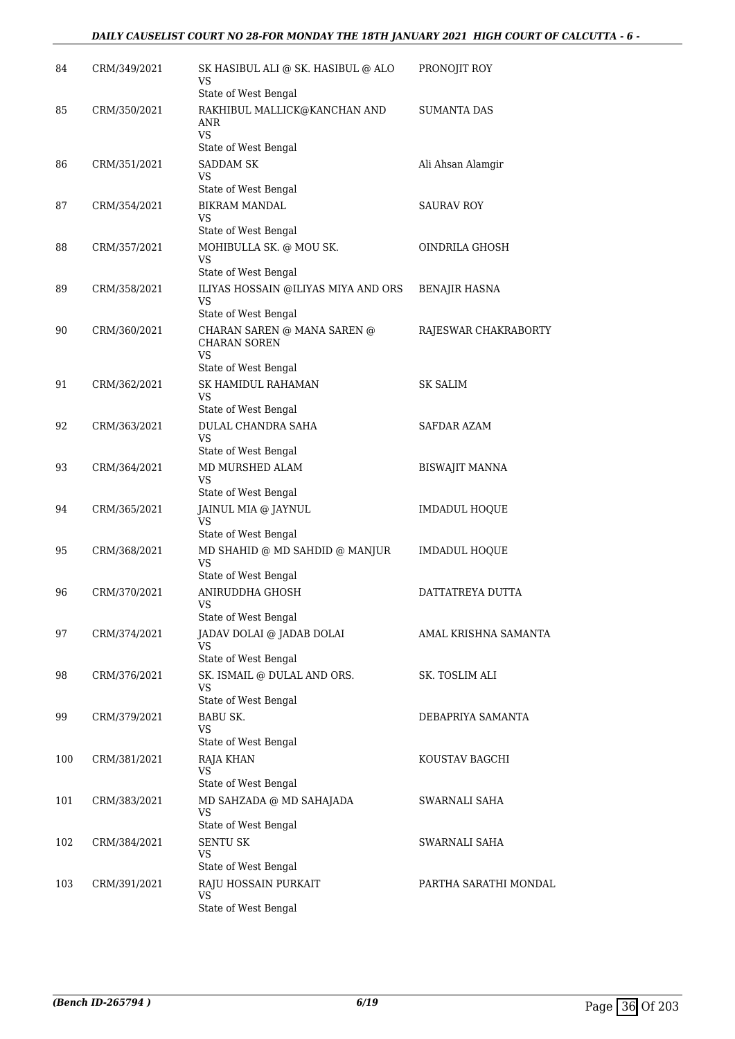| 84  | CRM/349/2021 | SK HASIBUL ALI @ SK. HASIBUL @ ALO<br>VS<br>State of West Bengal         | PRONOJIT ROY          |
|-----|--------------|--------------------------------------------------------------------------|-----------------------|
| 85  | CRM/350/2021 | RAKHIBUL MALLICK@KANCHAN AND<br>ANR<br><b>VS</b><br>State of West Bengal | <b>SUMANTA DAS</b>    |
| 86  | CRM/351/2021 | <b>SADDAM SK</b><br>VS                                                   | Ali Ahsan Alamgir     |
|     |              | State of West Bengal                                                     |                       |
| 87  | CRM/354/2021 | <b>BIKRAM MANDAL</b><br><b>VS</b>                                        | <b>SAURAV ROY</b>     |
|     |              | State of West Bengal                                                     |                       |
| 88  | CRM/357/2021 | MOHIBULLA SK. @ MOU SK.<br><b>VS</b><br>State of West Bengal             | OINDRILA GHOSH        |
| 89  | CRM/358/2021 | ILIYAS HOSSAIN @ILIYAS MIYA AND ORS                                      | BENAJIR HASNA         |
|     |              | <b>VS</b><br>State of West Bengal                                        |                       |
| 90  | CRM/360/2021 | CHARAN SAREN @ MANA SAREN @<br><b>CHARAN SOREN</b><br>VS                 | RAJESWAR CHAKRABORTY  |
|     |              | State of West Bengal                                                     |                       |
| 91  | CRM/362/2021 | SK HAMIDUL RAHAMAN<br>VS                                                 | <b>SK SALIM</b>       |
|     |              | State of West Bengal                                                     |                       |
| 92  | CRM/363/2021 | DULAL CHANDRA SAHA<br><b>VS</b>                                          | SAFDAR AZAM           |
|     |              | State of West Bengal                                                     |                       |
| 93  | CRM/364/2021 | MD MURSHED ALAM<br><b>VS</b>                                             | <b>BISWAJIT MANNA</b> |
|     |              | State of West Bengal                                                     |                       |
| 94  | CRM/365/2021 | JAINUL MIA @ JAYNUL<br><b>VS</b>                                         | IMDADUL HOQUE         |
|     |              | State of West Bengal                                                     |                       |
| 95  | CRM/368/2021 | MD SHAHID @ MD SAHDID @ MANJUR<br><b>VS</b><br>State of West Bengal      | IMDADUL HOQUE         |
| 96  | CRM/370/2021 | ANIRUDDHA GHOSH                                                          | DATTATREYA DUTTA      |
|     |              | <b>VS</b>                                                                |                       |
|     |              | State of West Bengal                                                     |                       |
| 97  | CRM/374/2021 | JADAV DOLAI @ JADAB DOLAI<br>VS                                          | AMAL KRISHNA SAMANTA  |
|     |              | State of West Bengal                                                     |                       |
| 98  | CRM/376/2021 | SK. ISMAIL @ DULAL AND ORS.<br>VS                                        | SK. TOSLIM ALI        |
|     |              | State of West Bengal                                                     |                       |
| 99  | CRM/379/2021 | <b>BABU SK.</b><br>VS<br>State of West Bengal                            | DEBAPRIYA SAMANTA     |
| 100 | CRM/381/2021 | RAJA KHAN                                                                | KOUSTAV BAGCHI        |
|     |              | VS                                                                       |                       |
|     |              | State of West Bengal                                                     |                       |
| 101 | CRM/383/2021 | MD SAHZADA @ MD SAHAJADA<br><b>VS</b>                                    | SWARNALI SAHA         |
| 102 |              | State of West Bengal<br><b>SENTU SK</b>                                  | SWARNALI SAHA         |
|     | CRM/384/2021 | <b>VS</b><br>State of West Bengal                                        |                       |
| 103 | CRM/391/2021 | RAJU HOSSAIN PURKAIT                                                     | PARTHA SARATHI MONDAL |
|     |              | VS<br>State of West Bengal                                               |                       |
|     |              |                                                                          |                       |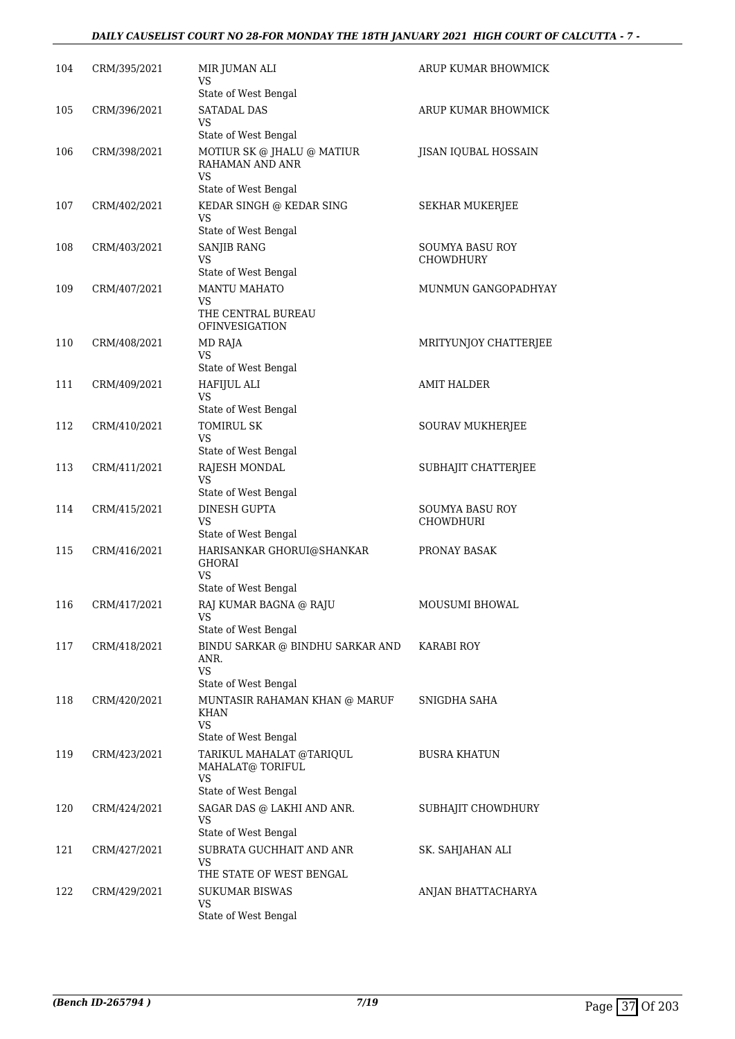#### *DAILY CAUSELIST COURT NO 28-FOR MONDAY THE 18TH JANUARY 2021 HIGH COURT OF CALCUTTA - 7 -*

| 104 | CRM/395/2021 | MIR JUMAN ALI<br>VS<br>State of West Bengal                 | ARUP KUMAR BHOWMICK          |
|-----|--------------|-------------------------------------------------------------|------------------------------|
| 105 | CRM/396/2021 | <b>SATADAL DAS</b><br>VS                                    | ARUP KUMAR BHOWMICK          |
|     |              | State of West Bengal                                        |                              |
| 106 | CRM/398/2021 | MOTIUR SK @ JHALU @ MATIUR<br>RAHAMAN AND ANR<br><b>VS</b>  | JISAN IQUBAL HOSSAIN         |
|     |              | State of West Bengal                                        |                              |
| 107 | CRM/402/2021 | KEDAR SINGH @ KEDAR SING<br>VS                              | <b>SEKHAR MUKERJEE</b>       |
|     |              | State of West Bengal                                        |                              |
| 108 | CRM/403/2021 | SANJIB RANG<br>VS<br>State of West Bengal                   | SOUMYA BASU ROY<br>CHOWDHURY |
| 109 | CRM/407/2021 | <b>MANTU MAHATO</b>                                         | MUNMUN GANGOPADHYAY          |
|     |              | VS<br>THE CENTRAL BUREAU                                    |                              |
|     |              | <b>OFINVESIGATION</b>                                       |                              |
| 110 | CRM/408/2021 | MD RAJA<br>VS                                               | MRITYUNJOY CHATTERJEE        |
|     |              | State of West Bengal                                        |                              |
| 111 | CRM/409/2021 | HAFIJUL ALI<br>VS                                           | <b>AMIT HALDER</b>           |
|     |              | State of West Bengal                                        |                              |
| 112 | CRM/410/2021 | <b>TOMIRUL SK</b><br>VS<br>State of West Bengal             | SOURAV MUKHERJEE             |
| 113 | CRM/411/2021 | RAJESH MONDAL                                               | SUBHAJIT CHATTERJEE          |
|     |              | <b>VS</b><br>State of West Bengal                           |                              |
| 114 | CRM/415/2021 | DINESH GUPTA                                                | SOUMYA BASU ROY              |
|     |              | <b>VS</b>                                                   | <b>CHOWDHURI</b>             |
|     |              | State of West Bengal                                        |                              |
| 115 | CRM/416/2021 | HARISANKAR GHORUI@SHANKAR<br>GHORAI<br>VS                   | PRONAY BASAK                 |
|     |              | State of West Bengal                                        |                              |
| 116 | CRM/417/2021 | RAJ KUMAR BAGNA @ RAJU<br><b>VS</b><br>State of West Bengal | MOUSUMI BHOWAL               |
| 117 | CRM/418/2021 | BINDU SARKAR @ BINDHU SARKAR AND                            | KARABI ROY                   |
|     |              | ANR.<br>VS                                                  |                              |
|     |              | State of West Bengal                                        |                              |
| 118 | CRM/420/2021 | MUNTASIR RAHAMAN KHAN @ MARUF<br>KHAN<br>VS                 | SNIGDHA SAHA                 |
|     |              | State of West Bengal                                        |                              |
| 119 | CRM/423/2021 | TARIKUL MAHALAT @TARIQUL<br>MAHALAT@ TORIFUL                | <b>BUSRA KHATUN</b>          |
|     |              | VS<br>State of West Bengal                                  |                              |
| 120 | CRM/424/2021 | SAGAR DAS @ LAKHI AND ANR.<br>VS                            | SUBHAJIT CHOWDHURY           |
|     |              | State of West Bengal                                        |                              |
| 121 | CRM/427/2021 | SUBRATA GUCHHAIT AND ANR<br>VS                              | SK. SAHJAHAN ALI             |
|     |              | THE STATE OF WEST BENGAL                                    |                              |
| 122 | CRM/429/2021 | <b>SUKUMAR BISWAS</b><br>VS<br>State of West Bengal         | ANJAN BHATTACHARYA           |
|     |              |                                                             |                              |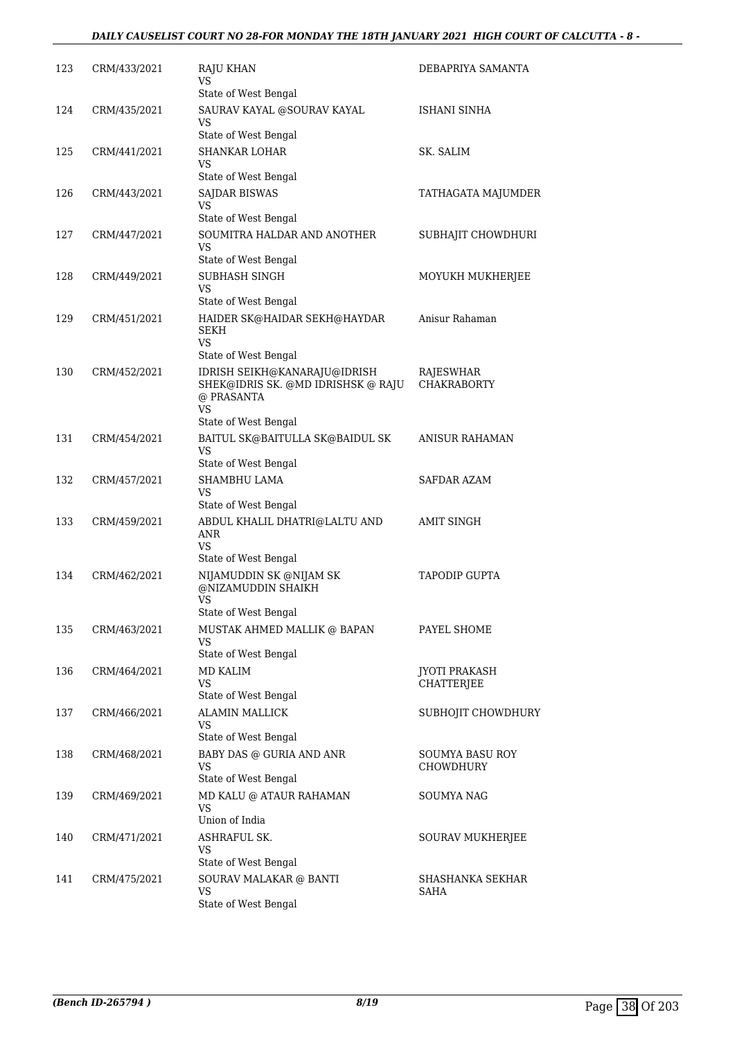| 123 | CRM/433/2021 | <b>RAJU KHAN</b><br>VS                                                                        | DEBAPRIYA SAMANTA                      |
|-----|--------------|-----------------------------------------------------------------------------------------------|----------------------------------------|
|     |              | State of West Bengal                                                                          |                                        |
| 124 | CRM/435/2021 | SAURAV KAYAL @SOURAV KAYAL<br>VS                                                              | ISHANI SINHA                           |
|     |              | State of West Bengal                                                                          |                                        |
| 125 | CRM/441/2021 | <b>SHANKAR LOHAR</b><br>VS                                                                    | SK. SALIM                              |
|     |              | State of West Bengal                                                                          |                                        |
| 126 | CRM/443/2021 | <b>SAJDAR BISWAS</b><br>VS<br>State of West Bengal                                            | TATHAGATA MAJUMDER                     |
|     |              | SOUMITRA HALDAR AND ANOTHER                                                                   |                                        |
| 127 | CRM/447/2021 | VS<br>State of West Bengal                                                                    | SUBHAJIT CHOWDHURI                     |
|     |              | SUBHASH SINGH                                                                                 |                                        |
| 128 | CRM/449/2021 | VS<br>State of West Bengal                                                                    | MOYUKH MUKHERJEE                       |
| 129 | CRM/451/2021 | HAIDER SK@HAIDAR SEKH@HAYDAR                                                                  | Anisur Rahaman                         |
|     |              | <b>SEKH</b><br><b>VS</b>                                                                      |                                        |
|     |              | State of West Bengal                                                                          |                                        |
| 130 | CRM/452/2021 | IDRISH SEIKH@KANARAJU@IDRISH<br>SHEK@IDRIS SK. @MD IDRISHSK @ RAJU<br>@ PRASANTA<br><b>VS</b> | <b>RAJESWHAR</b><br><b>CHAKRABORTY</b> |
|     |              | State of West Bengal                                                                          |                                        |
| 131 | CRM/454/2021 | BAITUL SK@BAITULLA SK@BAIDUL SK<br>VS<br>State of West Bengal                                 | ANISUR RAHAMAN                         |
|     |              | SHAMBHU LAMA                                                                                  | SAFDAR AZAM                            |
| 132 | CRM/457/2021 | VS<br>State of West Bengal                                                                    |                                        |
| 133 | CRM/459/2021 | ABDUL KHALIL DHATRI@LALTU AND<br>ANR<br><b>VS</b><br>State of West Bengal                     | <b>AMIT SINGH</b>                      |
| 134 | CRM/462/2021 | NIJAMUDDIN SK @NIJAM SK<br>@NIZAMUDDIN SHAIKH<br>VS<br>State of West Bengal                   | TAPODIP GUPTA                          |
| 135 | CRM/463/2021 | MUSTAK AHMED MALLIK @ BAPAN                                                                   | PAYEL SHOME                            |
|     |              | VS                                                                                            |                                        |
|     |              | State of West Bengal                                                                          |                                        |
| 136 | CRM/464/2021 | <b>MD KALIM</b><br>VS                                                                         | <b>IYOTI PRAKASH</b><br>CHATTERJEE     |
|     |              | State of West Bengal                                                                          |                                        |
| 137 | CRM/466/2021 | <b>ALAMIN MALLICK</b><br>VS                                                                   | SUBHOJIT CHOWDHURY                     |
|     |              | State of West Bengal                                                                          |                                        |
| 138 | CRM/468/2021 | BABY DAS @ GURIA AND ANR<br>VS<br>State of West Bengal                                        | <b>SOUMYA BASU ROY</b><br>CHOWDHURY    |
|     |              |                                                                                               |                                        |
| 139 | CRM/469/2021 | MD KALU @ ATAUR RAHAMAN<br>VS<br>Union of India                                               | SOUMYA NAG                             |
| 140 | CRM/471/2021 | ASHRAFUL SK.                                                                                  | SOURAV MUKHERJEE                       |
|     |              | VS<br>State of West Bengal                                                                    |                                        |
| 141 | CRM/475/2021 | SOURAV MALAKAR @ BANTI                                                                        | SHASHANKA SEKHAR                       |
|     |              | VS<br>State of West Bengal                                                                    | SAHA                                   |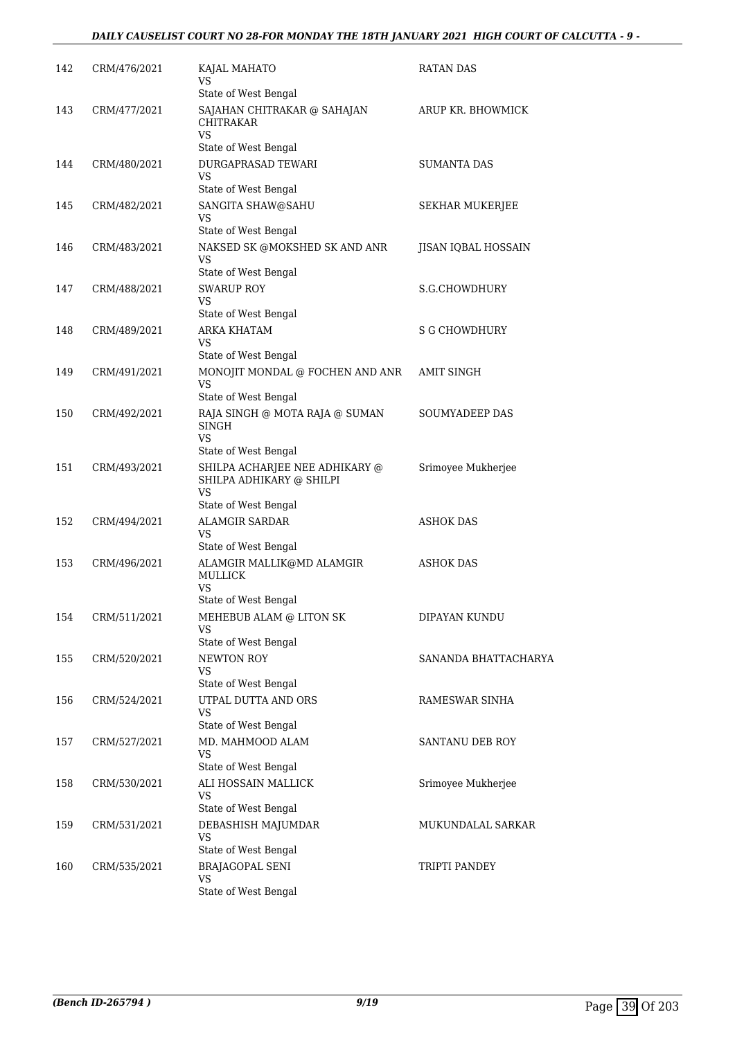| 142 | CRM/476/2021 | KAJAL MAHATO<br>VS                                                               | RATAN DAS            |
|-----|--------------|----------------------------------------------------------------------------------|----------------------|
| 143 | CRM/477/2021 | State of West Bengal<br>SAJAHAN CHITRAKAR @ SAHAJAN<br>CHITRAKAR<br>VS           | ARUP KR. BHOWMICK    |
|     |              | State of West Bengal                                                             |                      |
| 144 | CRM/480/2021 | <b>DURGAPRASAD TEWARI</b><br>VS                                                  | <b>SUMANTA DAS</b>   |
| 145 | CRM/482/2021 | State of West Bengal<br>SANGITA SHAW@SAHU<br>VS<br>State of West Bengal          | SEKHAR MUKERJEE      |
| 146 | CRM/483/2021 | NAKSED SK @MOKSHED SK AND ANR<br>VS<br>State of West Bengal                      | JISAN IQBAL HOSSAIN  |
| 147 | CRM/488/2021 | <b>SWARUP ROY</b>                                                                | S.G.CHOWDHURY        |
|     |              | VS                                                                               |                      |
|     |              | State of West Bengal                                                             |                      |
| 148 | CRM/489/2021 | ARKA KHATAM<br>VS<br>State of West Bengal                                        | S G CHOWDHURY        |
| 149 | CRM/491/2021 | MONOJIT MONDAL @ FOCHEN AND ANR<br><b>VS</b>                                     | <b>AMIT SINGH</b>    |
|     |              | State of West Bengal                                                             |                      |
| 150 | CRM/492/2021 | RAJA SINGH @ MOTA RAJA @ SUMAN<br>SINGH<br>VS                                    | SOUMYADEEP DAS       |
|     |              | State of West Bengal                                                             |                      |
| 151 | CRM/493/2021 | SHILPA ACHARJEE NEE ADHIKARY @<br>SHILPA ADHIKARY @ SHILPI<br>VS                 | Srimoyee Mukherjee   |
|     |              | State of West Bengal                                                             |                      |
| 152 | CRM/494/2021 | <b>ALAMGIR SARDAR</b><br><b>VS</b>                                               | ASHOK DAS            |
|     |              | State of West Bengal                                                             |                      |
| 153 | CRM/496/2021 | ALAMGIR MALLIK@MD ALAMGIR<br><b>MULLICK</b><br><b>VS</b><br>State of West Bengal | ASHOK DAS            |
| 154 | CRM/511/2021 | MEHEBUB ALAM @ LITON SK                                                          | DIPAYAN KUNDU        |
|     |              | VS                                                                               |                      |
|     |              | State of West Bengal                                                             |                      |
| 155 | CRM/520/2021 | NEWTON ROY<br><b>VS</b><br>State of West Bengal                                  | SANANDA BHATTACHARYA |
| 156 | CRM/524/2021 | UTPAL DUTTA AND ORS                                                              | RAMESWAR SINHA       |
|     |              | VS<br>State of West Bengal                                                       |                      |
| 157 | CRM/527/2021 | MD. MAHMOOD ALAM<br><b>VS</b>                                                    | SANTANU DEB ROY      |
|     |              | State of West Bengal                                                             |                      |
| 158 | CRM/530/2021 | ALI HOSSAIN MALLICK<br>VS<br>State of West Bengal                                | Srimoyee Mukherjee   |
| 159 | CRM/531/2021 | DEBASHISH MAJUMDAR                                                               | MUKUNDALAL SARKAR    |
|     |              | <b>VS</b><br>State of West Bengal                                                |                      |
| 160 | CRM/535/2021 | <b>BRAJAGOPAL SENI</b>                                                           | TRIPTI PANDEY        |
|     |              | VS<br>State of West Bengal                                                       |                      |
|     |              |                                                                                  |                      |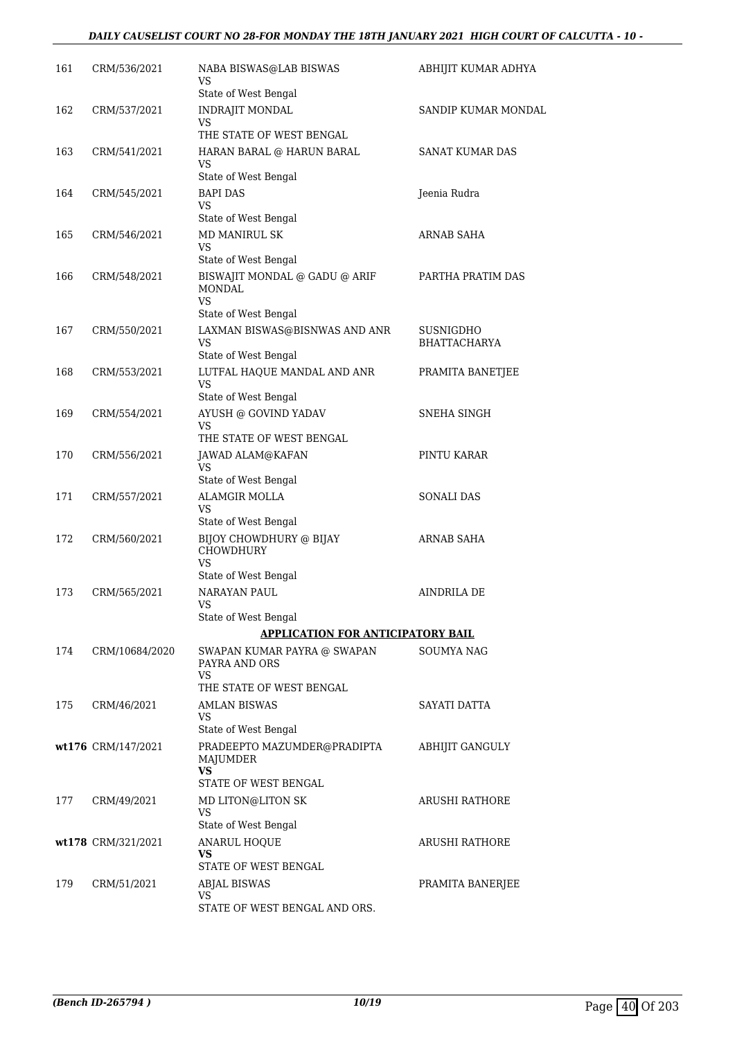#### *DAILY CAUSELIST COURT NO 28-FOR MONDAY THE 18TH JANUARY 2021 HIGH COURT OF CALCUTTA - 10 -*

| 161 | CRM/536/2021       | NABA BISWAS@LAB BISWAS<br>VS                              | ABHIJIT KUMAR ADHYA              |
|-----|--------------------|-----------------------------------------------------------|----------------------------------|
| 162 | CRM/537/2021       | State of West Bengal<br><b>INDRAJIT MONDAL</b>            | SANDIP KUMAR MONDAL              |
|     |                    | VS<br>THE STATE OF WEST BENGAL                            |                                  |
| 163 | CRM/541/2021       | HARAN BARAL @ HARUN BARAL<br>VS.                          | SANAT KUMAR DAS                  |
|     |                    | State of West Bengal                                      |                                  |
| 164 | CRM/545/2021       | <b>BAPI DAS</b><br>VS<br>State of West Bengal             | Jeenia Rudra                     |
| 165 | CRM/546/2021       | <b>MD MANIRUL SK</b>                                      | <b>ARNAB SAHA</b>                |
|     |                    | VS                                                        |                                  |
|     |                    | State of West Bengal                                      |                                  |
| 166 | CRM/548/2021       | BISWAJIT MONDAL @ GADU @ ARIF<br><b>MONDAL</b><br>VS.     | PARTHA PRATIM DAS                |
|     |                    | State of West Bengal                                      |                                  |
| 167 | CRM/550/2021       | LAXMAN BISWAS@BISNWAS AND ANR<br>VS.                      | SUSNIGDHO<br><b>BHATTACHARYA</b> |
|     |                    | State of West Bengal                                      |                                  |
| 168 | CRM/553/2021       | LUTFAL HAQUE MANDAL AND ANR<br>VS                         | PRAMITA BANETJEE                 |
|     |                    | State of West Bengal                                      |                                  |
| 169 | CRM/554/2021       | AYUSH @ GOVIND YADAV<br>VS                                | SNEHA SINGH                      |
|     |                    | THE STATE OF WEST BENGAL                                  |                                  |
| 170 | CRM/556/2021       | JAWAD ALAM@KAFAN<br>VS.                                   | PINTU KARAR                      |
|     |                    | State of West Bengal                                      |                                  |
| 171 | CRM/557/2021       | <b>ALAMGIR MOLLA</b><br><b>VS</b><br>State of West Bengal | <b>SONALI DAS</b>                |
| 172 | CRM/560/2021       | BIJOY CHOWDHURY @ BIJAY<br><b>CHOWDHURY</b><br>VS.        | ARNAB SAHA                       |
|     |                    | State of West Bengal                                      |                                  |
| 173 | CRM/565/2021       | NARAYAN PAUL<br>VS                                        | <b>AINDRILA DE</b>               |
|     |                    | State of West Bengal                                      |                                  |
|     |                    | <b>APPLICATION FOR ANTICIPATORY BAIL</b>                  |                                  |
| 174 | CRM/10684/2020     | SWAPAN KUMAR PAYRA @ SWAPAN<br>PAYRA AND ORS<br><b>VS</b> | <b>SOUMYA NAG</b>                |
|     |                    | THE STATE OF WEST BENGAL                                  |                                  |
| 175 | CRM/46/2021        | <b>AMLAN BISWAS</b><br>VS<br>State of West Bengal         | SAYATI DATTA                     |
|     | wt176 CRM/147/2021 | PRADEEPTO MAZUMDER@PRADIPTA                               | ABHIJIT GANGULY                  |
|     |                    | MAJUMDER<br>VS                                            |                                  |
|     |                    | STATE OF WEST BENGAL                                      |                                  |
| 177 | CRM/49/2021        | MD LITON@LITON SK<br>VS                                   | ARUSHI RATHORE                   |
|     | wt178 CRM/321/2021 | State of West Bengal<br>ANARUL HOQUE                      | ARUSHI RATHORE                   |
|     |                    | VS<br>STATE OF WEST BENGAL                                |                                  |
| 179 | CRM/51/2021        | ABJAL BISWAS                                              | PRAMITA BANERJEE                 |
|     |                    | <b>VS</b>                                                 |                                  |
|     |                    | STATE OF WEST BENGAL AND ORS.                             |                                  |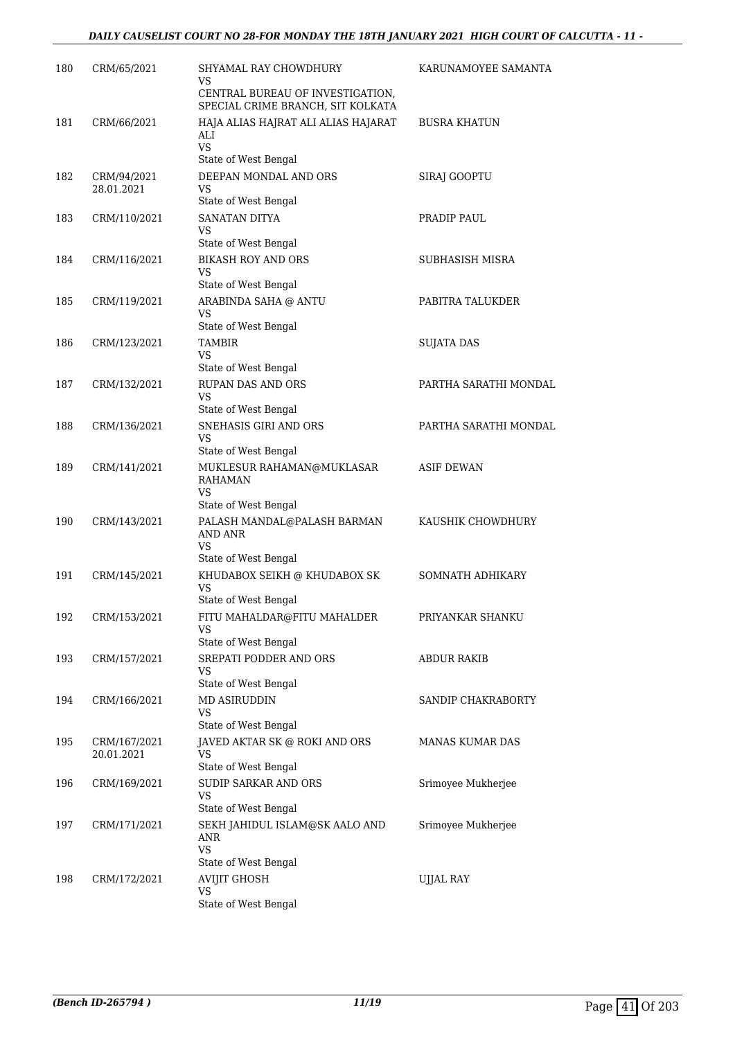| 180 | CRM/65/2021                | SHYAMAL RAY CHOWDHURY<br>VS                                           | KARUNAMOYEE SAMANTA    |
|-----|----------------------------|-----------------------------------------------------------------------|------------------------|
|     |                            | CENTRAL BUREAU OF INVESTIGATION,<br>SPECIAL CRIME BRANCH, SIT KOLKATA |                        |
| 181 | CRM/66/2021                | HAJA ALIAS HAJRAT ALI ALIAS HAJARAT<br>ALI<br><b>VS</b>               | <b>BUSRA KHATUN</b>    |
|     |                            | State of West Bengal                                                  |                        |
| 182 | CRM/94/2021<br>28.01.2021  | DEEPAN MONDAL AND ORS<br>VS<br>State of West Bengal                   | SIRAJ GOOPTU           |
| 183 | CRM/110/2021               | <b>SANATAN DITYA</b><br>VS                                            | PRADIP PAUL            |
|     |                            | State of West Bengal                                                  |                        |
| 184 | CRM/116/2021               | <b>BIKASH ROY AND ORS</b><br>VS<br>State of West Bengal               | SUBHASISH MISRA        |
| 185 | CRM/119/2021               | ARABINDA SAHA @ ANTU<br><b>VS</b>                                     | PABITRA TALUKDER       |
|     |                            | State of West Bengal                                                  |                        |
| 186 | CRM/123/2021               | <b>TAMBIR</b><br>VS                                                   | <b>SUJATA DAS</b>      |
|     |                            | State of West Bengal                                                  |                        |
| 187 | CRM/132/2021               | RUPAN DAS AND ORS<br>VS<br>State of West Bengal                       | PARTHA SARATHI MONDAL  |
| 188 | CRM/136/2021               | SNEHASIS GIRI AND ORS                                                 | PARTHA SARATHI MONDAL  |
|     |                            | <b>VS</b><br>State of West Bengal                                     |                        |
| 189 | CRM/141/2021               | MUKLESUR RAHAMAN@MUKLASAR<br><b>RAHAMAN</b><br>VS                     | <b>ASIF DEWAN</b>      |
|     |                            | State of West Bengal                                                  |                        |
| 190 | CRM/143/2021               | PALASH MANDAL@PALASH BARMAN<br><b>AND ANR</b><br>VS                   | KAUSHIK CHOWDHURY      |
|     |                            | State of West Bengal                                                  |                        |
| 191 | CRM/145/2021               | KHUDABOX SEIKH @ KHUDABOX SK<br>VS                                    | SOMNATH ADHIKARY       |
|     |                            | State of West Bengal                                                  |                        |
| 192 | CRM/153/2021               | FITU MAHALDAR@FITU MAHALDER<br>VS<br>State of West Bengal             | PRIYANKAR SHANKU       |
| 193 | CRM/157/2021               | SREPATI PODDER AND ORS                                                | ABDUR RAKIB            |
|     |                            | VS<br>State of West Bengal                                            |                        |
| 194 | CRM/166/2021               | MD ASIRUDDIN                                                          | SANDIP CHAKRABORTY     |
|     |                            | VS<br>State of West Bengal                                            |                        |
| 195 | CRM/167/2021<br>20.01.2021 | JAVED AKTAR SK @ ROKI AND ORS<br>VS<br>State of West Bengal           | <b>MANAS KUMAR DAS</b> |
| 196 | CRM/169/2021               | <b>SUDIP SARKAR AND ORS</b>                                           | Srimoyee Mukherjee     |
|     |                            | VS<br>State of West Bengal                                            |                        |
| 197 | CRM/171/2021               | SEKH JAHIDUL ISLAM@SK AALO AND<br>ANR<br><b>VS</b>                    | Srimoyee Mukherjee     |
|     |                            | State of West Bengal                                                  |                        |
| 198 | CRM/172/2021               | <b>AVIJIT GHOSH</b>                                                   | UJJAL RAY              |
|     |                            | VS<br>State of West Bengal                                            |                        |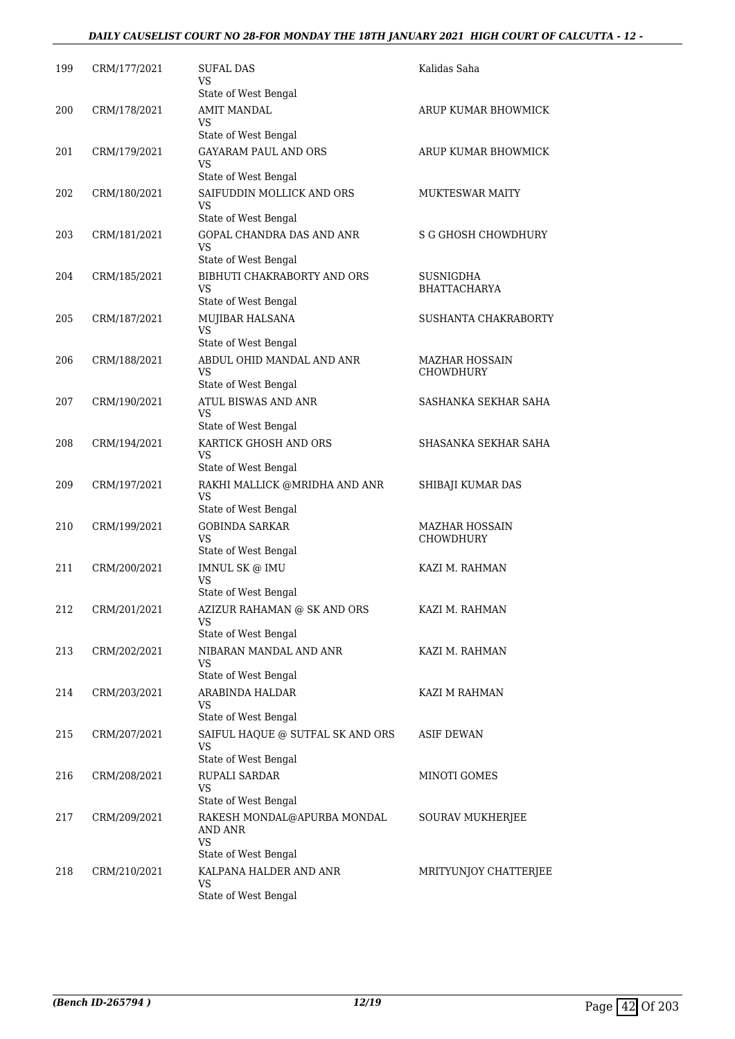#### *DAILY CAUSELIST COURT NO 28-FOR MONDAY THE 18TH JANUARY 2021 HIGH COURT OF CALCUTTA - 12 -*

| 199 | CRM/177/2021 | SUFAL DAS<br>VS                                           | Kalidas Saha                              |
|-----|--------------|-----------------------------------------------------------|-------------------------------------------|
|     |              | State of West Bengal                                      |                                           |
| 200 | CRM/178/2021 | <b>AMIT MANDAL</b><br>VS                                  | ARUP KUMAR BHOWMICK                       |
|     |              | State of West Bengal                                      |                                           |
| 201 | CRM/179/2021 | GAYARAM PAUL AND ORS<br>VS                                | ARUP KUMAR BHOWMICK                       |
|     |              | State of West Bengal                                      |                                           |
| 202 | CRM/180/2021 | SAIFUDDIN MOLLICK AND ORS<br>VS<br>State of West Bengal   | <b>MUKTESWAR MAITY</b>                    |
| 203 | CRM/181/2021 | <b>GOPAL CHANDRA DAS AND ANR</b>                          | S G GHOSH CHOWDHURY                       |
|     |              | VS<br>State of West Bengal                                |                                           |
| 204 | CRM/185/2021 | BIBHUTI CHAKRABORTY AND ORS<br>VS                         | SUSNIGDHA<br><b>BHATTACHARYA</b>          |
|     |              | State of West Bengal                                      |                                           |
| 205 | CRM/187/2021 | MUJIBAR HALSANA<br><b>VS</b>                              | SUSHANTA CHAKRABORTY                      |
|     |              | State of West Bengal                                      |                                           |
| 206 | CRM/188/2021 | ABDUL OHID MANDAL AND ANR<br>VS                           | <b>MAZHAR HOSSAIN</b><br><b>CHOWDHURY</b> |
|     |              | State of West Bengal                                      |                                           |
| 207 | CRM/190/2021 | <b>ATUL BISWAS AND ANR</b><br>VS<br>State of West Bengal  | SASHANKA SEKHAR SAHA                      |
| 208 | CRM/194/2021 | KARTICK GHOSH AND ORS                                     | SHASANKA SEKHAR SAHA                      |
|     |              | VS<br>State of West Bengal                                |                                           |
| 209 | CRM/197/2021 | RAKHI MALLICK @MRIDHA AND ANR<br>VS                       | SHIBAJI KUMAR DAS                         |
|     |              | State of West Bengal                                      |                                           |
| 210 | CRM/199/2021 | <b>GOBINDA SARKAR</b><br>VS                               | MAZHAR HOSSAIN<br><b>CHOWDHURY</b>        |
|     |              | State of West Bengal                                      |                                           |
| 211 | CRM/200/2021 | IMNUL SK @ IMU<br>VS                                      | KAZI M. RAHMAN                            |
|     |              | State of West Bengal                                      |                                           |
| 212 | CRM/201/2021 | AZIZUR RAHAMAN @ SK AND ORS<br>VS<br>State of West Bengal | KAZI M. RAHMAN                            |
| 213 | CRM/202/2021 | NIBARAN MANDAL AND ANR                                    | KAZI M. RAHMAN                            |
|     |              | VS<br>State of West Bengal                                |                                           |
| 214 | CRM/203/2021 | ARABINDA HALDAR                                           | KAZI M RAHMAN                             |
|     |              | VS<br>State of West Bengal                                |                                           |
| 215 | CRM/207/2021 | SAIFUL HAQUE @ SUTFAL SK AND ORS<br><b>VS</b>             | ASIF DEWAN                                |
|     |              | State of West Bengal                                      |                                           |
| 216 | CRM/208/2021 | RUPALI SARDAR<br>VS                                       | MINOTI GOMES                              |
|     |              | State of West Bengal                                      |                                           |
| 217 | CRM/209/2021 | RAKESH MONDAL@APURBA MONDAL<br>AND ANR<br><b>VS</b>       | SOURAV MUKHERJEE                          |
| 218 | CRM/210/2021 | State of West Bengal<br>KALPANA HALDER AND ANR            | MRITYUNJOY CHATTERJEE                     |
|     |              | VS<br>State of West Bengal                                |                                           |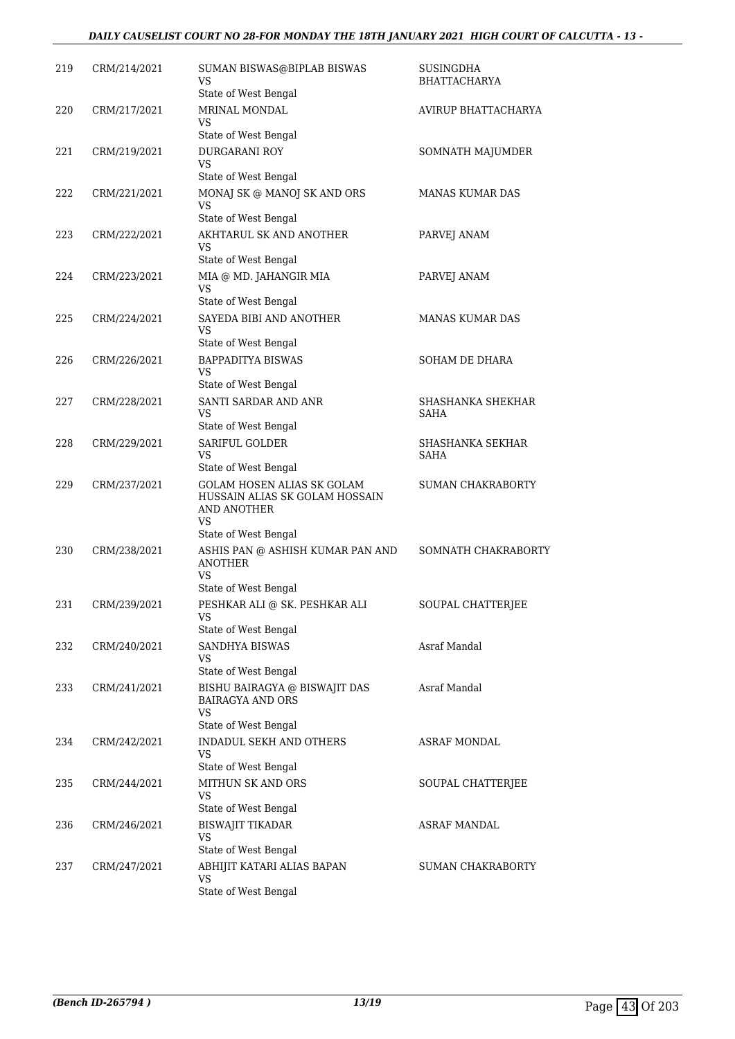#### *DAILY CAUSELIST COURT NO 28-FOR MONDAY THE 18TH JANUARY 2021 HIGH COURT OF CALCUTTA - 13 -*

| 219 | CRM/214/2021 | SUMAN BISWAS@BIPLAB BISWAS<br>VS<br>State of West Bengal                                                         | SUSINGDHA<br><b>BHATTACHARYA</b> |
|-----|--------------|------------------------------------------------------------------------------------------------------------------|----------------------------------|
| 220 | CRM/217/2021 | MRINAL MONDAL<br>VS                                                                                              | AVIRUP BHATTACHARYA              |
| 221 | CRM/219/2021 | State of West Bengal<br><b>DURGARANI ROY</b><br>VS<br>State of West Bengal                                       | SOMNATH MAJUMDER                 |
| 222 | CRM/221/2021 | MONAJ SK @ MANOJ SK AND ORS<br>VS<br>State of West Bengal                                                        | <b>MANAS KUMAR DAS</b>           |
| 223 | CRM/222/2021 | AKHTARUL SK AND ANOTHER<br>VS<br>State of West Bengal                                                            | PARVEJ ANAM                      |
| 224 | CRM/223/2021 | MIA @ MD. JAHANGIR MIA<br>VS<br>State of West Bengal                                                             | PARVEJ ANAM                      |
| 225 | CRM/224/2021 | SAYEDA BIBI AND ANOTHER<br>VS                                                                                    | <b>MANAS KUMAR DAS</b>           |
| 226 | CRM/226/2021 | State of West Bengal<br><b>BAPPADITYA BISWAS</b><br>VS.                                                          | SOHAM DE DHARA                   |
| 227 | CRM/228/2021 | State of West Bengal<br>SANTI SARDAR AND ANR<br>VS<br>State of West Bengal                                       | SHASHANKA SHEKHAR<br>SAHA        |
| 228 | CRM/229/2021 | SARIFUL GOLDER<br>VS<br>State of West Bengal                                                                     | SHASHANKA SEKHAR<br><b>SAHA</b>  |
| 229 | CRM/237/2021 | <b>GOLAM HOSEN ALIAS SK GOLAM</b><br>HUSSAIN ALIAS SK GOLAM HOSSAIN<br>AND ANOTHER<br>VS<br>State of West Bengal | <b>SUMAN CHAKRABORTY</b>         |
| 230 | CRM/238/2021 | ASHIS PAN @ ASHISH KUMAR PAN AND<br><b>ANOTHER</b><br>VS.                                                        | SOMNATH CHAKRABORTY              |
| 231 | CRM/239/2021 | State of West Bengal<br>PESHKAR ALI @ SK. PESHKAR ALI<br><b>VS</b>                                               | SOUPAL CHATTERJEE                |
| 232 | CRM/240/2021 | State of West Bengal<br>SANDHYA BISWAS<br>VS                                                                     | Asraf Mandal                     |
| 233 | CRM/241/2021 | State of West Bengal<br>BISHU BAIRAGYA @ BISWAJIT DAS<br><b>BAIRAGYA AND ORS</b><br>VS<br>State of West Bengal   | Asraf Mandal                     |
| 234 | CRM/242/2021 | INDADUL SEKH AND OTHERS<br>VS<br>State of West Bengal                                                            | ASRAF MONDAL                     |
| 235 | CRM/244/2021 | MITHUN SK AND ORS<br>VS                                                                                          | SOUPAL CHATTERJEE                |
| 236 | CRM/246/2021 | State of West Bengal<br><b>BISWAJIT TIKADAR</b><br><b>VS</b><br>State of West Bengal                             | ASRAF MANDAL                     |
| 237 | CRM/247/2021 | ABHIJIT KATARI ALIAS BAPAN<br>VS<br>State of West Bengal                                                         | SUMAN CHAKRABORTY                |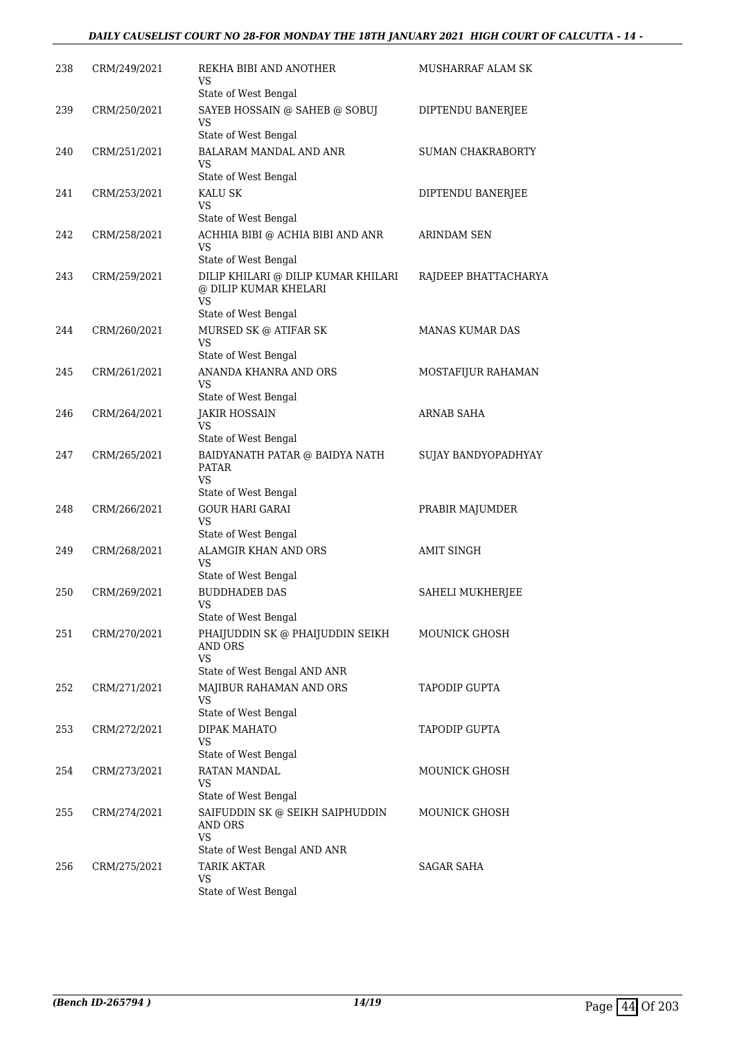#### *DAILY CAUSELIST COURT NO 28-FOR MONDAY THE 18TH JANUARY 2021 HIGH COURT OF CALCUTTA - 14 -*

| 238 | CRM/249/2021 | REKHA BIBI AND ANOTHER<br>VS                                                         | MUSHARRAF ALAM SK        |
|-----|--------------|--------------------------------------------------------------------------------------|--------------------------|
| 239 | CRM/250/2021 | State of West Bengal<br>SAYEB HOSSAIN @ SAHEB @ SOBUJ<br>VS                          | DIPTENDU BANERJEE        |
|     |              | State of West Bengal                                                                 |                          |
| 240 | CRM/251/2021 | <b>BALARAM MANDAL AND ANR</b><br>VS                                                  | <b>SUMAN CHAKRABORTY</b> |
|     |              | State of West Bengal                                                                 |                          |
| 241 | CRM/253/2021 | KALU SK<br>VS                                                                        | DIPTENDU BANERJEE        |
|     | CRM/258/2021 | State of West Bengal                                                                 |                          |
| 242 |              | ACHHIA BIBI @ ACHIA BIBI AND ANR<br>VS                                               | ARINDAM SEN              |
| 243 | CRM/259/2021 | State of West Bengal<br>DILIP KHILARI @ DILIP KUMAR KHILARI<br>@ DILIP KUMAR KHELARI | RAJDEEP BHATTACHARYA     |
|     |              | <b>VS</b><br>State of West Bengal                                                    |                          |
| 244 | CRM/260/2021 | MURSED SK @ ATIFAR SK<br>VS.                                                         | MANAS KUMAR DAS          |
|     |              | State of West Bengal                                                                 |                          |
| 245 | CRM/261/2021 | ANANDA KHANRA AND ORS<br><b>VS</b>                                                   | MOSTAFIJUR RAHAMAN       |
|     |              | State of West Bengal                                                                 |                          |
| 246 | CRM/264/2021 | <b>JAKIR HOSSAIN</b><br>VS<br>State of West Bengal                                   | ARNAB SAHA               |
| 247 | CRM/265/2021 | BAIDYANATH PATAR @ BAIDYA NATH                                                       | SUJAY BANDYOPADHYAY      |
|     |              | <b>PATAR</b><br>VS.                                                                  |                          |
|     |              | State of West Bengal                                                                 |                          |
| 248 | CRM/266/2021 | <b>GOUR HARI GARAI</b><br>VS.<br>State of West Bengal                                | PRABIR MAJUMDER          |
| 249 | CRM/268/2021 | <b>ALAMGIR KHAN AND ORS</b>                                                          | <b>AMIT SINGH</b>        |
|     |              | <b>VS</b><br>State of West Bengal                                                    |                          |
| 250 | CRM/269/2021 | <b>BUDDHADEB DAS</b>                                                                 | SAHELI MUKHERJEE         |
|     |              | VS<br>State of West Bengal                                                           |                          |
| 251 | CRM/270/2021 | PHAIJUDDIN SK @ PHAIJUDDIN SEIKH<br><b>AND ORS</b><br><b>VS</b>                      | MOUNICK GHOSH            |
|     |              | State of West Bengal AND ANR                                                         |                          |
| 252 | CRM/271/2021 | MAJIBUR RAHAMAN AND ORS<br><b>VS</b>                                                 | <b>TAPODIP GUPTA</b>     |
|     |              | State of West Bengal                                                                 |                          |
| 253 | CRM/272/2021 | DIPAK MAHATO<br>VS<br>State of West Bengal                                           | <b>TAPODIP GUPTA</b>     |
| 254 | CRM/273/2021 | RATAN MANDAL                                                                         | MOUNICK GHOSH            |
|     |              | VS<br>State of West Bengal                                                           |                          |
| 255 | CRM/274/2021 | SAIFUDDIN SK @ SEIKH SAIPHUDDIN<br>AND ORS<br><b>VS</b>                              | <b>MOUNICK GHOSH</b>     |
|     |              | State of West Bengal AND ANR                                                         |                          |
| 256 | CRM/275/2021 | <b>TARIK AKTAR</b><br>VS                                                             | <b>SAGAR SAHA</b>        |
|     |              | State of West Bengal                                                                 |                          |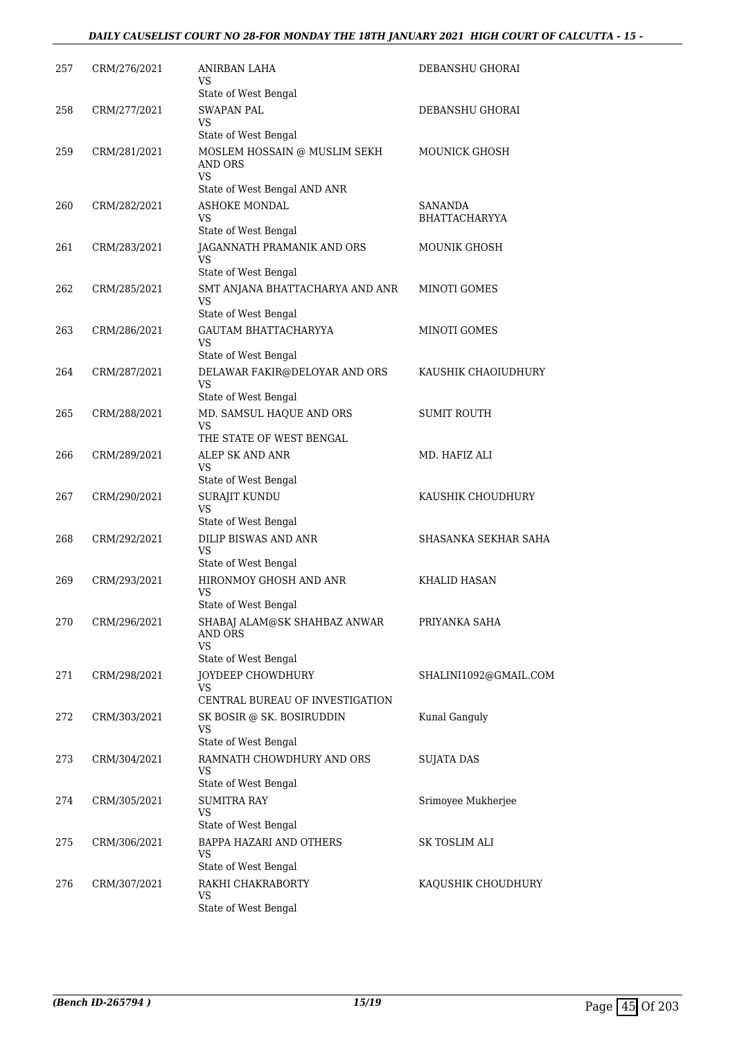#### *DAILY CAUSELIST COURT NO 28-FOR MONDAY THE 18TH JANUARY 2021 HIGH COURT OF CALCUTTA - 15 -*

| 257 | CRM/276/2021 | ANIRBAN LAHA<br>VS                                          | DEBANSHU GHORAI                        |
|-----|--------------|-------------------------------------------------------------|----------------------------------------|
|     |              | State of West Bengal                                        |                                        |
| 258 | CRM/277/2021 | <b>SWAPAN PAL</b><br>VS                                     | DEBANSHU GHORAI                        |
|     |              | State of West Bengal                                        |                                        |
| 259 | CRM/281/2021 | MOSLEM HOSSAIN @ MUSLIM SEKH<br><b>AND ORS</b><br><b>VS</b> | <b>MOUNICK GHOSH</b>                   |
|     |              | State of West Bengal AND ANR                                |                                        |
| 260 | CRM/282/2021 | ASHOKE MONDAL<br>VS<br>State of West Bengal                 | <b>SANANDA</b><br><b>BHATTACHARYYA</b> |
| 261 | CRM/283/2021 | JAGANNATH PRAMANIK AND ORS<br>VS                            | <b>MOUNIK GHOSH</b>                    |
| 262 | CRM/285/2021 | State of West Bengal<br>SMT ANJANA BHATTACHARYA AND ANR     | MINOTI GOMES                           |
|     |              | VS<br>State of West Bengal                                  |                                        |
| 263 | CRM/286/2021 | <b>GAUTAM BHATTACHARYYA</b>                                 | MINOTI GOMES                           |
|     |              | VS<br>State of West Bengal                                  |                                        |
| 264 | CRM/287/2021 | DELAWAR FAKIR@DELOYAR AND ORS                               | KAUSHIK CHAOIUDHURY                    |
|     |              | <b>VS</b><br>State of West Bengal                           |                                        |
| 265 | CRM/288/2021 | MD. SAMSUL HAQUE AND ORS                                    | <b>SUMIT ROUTH</b>                     |
|     |              | VS<br>THE STATE OF WEST BENGAL                              |                                        |
| 266 | CRM/289/2021 | ALEP SK AND ANR                                             | MD. HAFIZ ALI                          |
|     |              | VS                                                          |                                        |
|     |              | State of West Bengal                                        | KAUSHIK CHOUDHURY                      |
| 267 | CRM/290/2021 | SURAJIT KUNDU<br>VS<br>State of West Bengal                 |                                        |
| 268 | CRM/292/2021 | <b>DILIP BISWAS AND ANR</b>                                 | SHASANKA SEKHAR SAHA                   |
|     |              | <b>VS</b><br>State of West Bengal                           |                                        |
| 269 | CRM/293/2021 | HIRONMOY GHOSH AND ANR                                      | <b>KHALID HASAN</b>                    |
|     |              | VS<br>State of West Bengal                                  |                                        |
| 270 | CRM/296/2021 | SHABAJ ALAM@SK SHAHBAZ ANWAR                                | PRIYANKA SAHA                          |
|     |              | AND ORS<br><b>VS</b>                                        |                                        |
|     |              | State of West Bengal                                        |                                        |
| 271 | CRM/298/2021 | JOYDEEP CHOWDHURY<br><b>VS</b>                              | SHALINI1092@GMAIL.COM                  |
|     |              | CENTRAL BUREAU OF INVESTIGATION                             |                                        |
| 272 | CRM/303/2021 | SK BOSIR @ SK. BOSIRUDDIN<br>VS                             | Kunal Ganguly                          |
| 273 | CRM/304/2021 | State of West Bengal<br>RAMNATH CHOWDHURY AND ORS           | <b>SUJATA DAS</b>                      |
|     |              | VS                                                          |                                        |
|     |              | State of West Bengal                                        |                                        |
| 274 | CRM/305/2021 | <b>SUMITRA RAY</b><br>VS                                    | Srimoyee Mukherjee                     |
|     |              | State of West Bengal                                        |                                        |
| 275 | CRM/306/2021 | BAPPA HAZARI AND OTHERS<br>VS                               | SK TOSLIM ALI                          |
|     |              | State of West Bengal                                        |                                        |
| 276 | CRM/307/2021 | RAKHI CHAKRABORTY<br>VS                                     | KAQUSHIK CHOUDHURY                     |
|     |              | State of West Bengal                                        |                                        |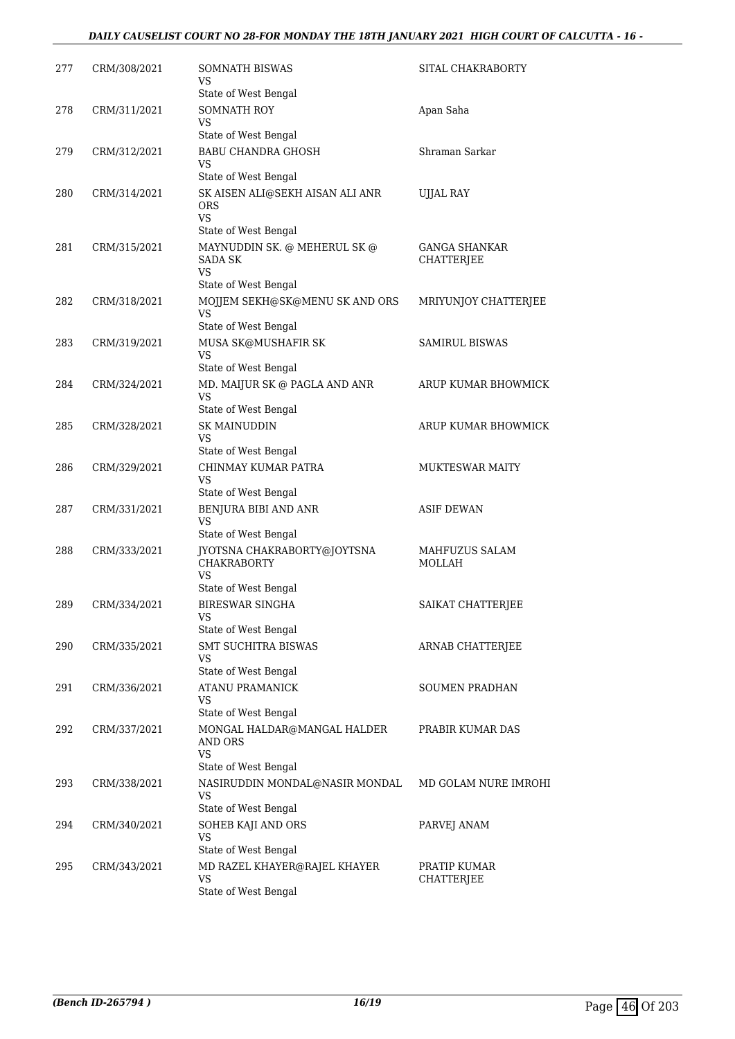#### *DAILY CAUSELIST COURT NO 28-FOR MONDAY THE 18TH JANUARY 2021 HIGH COURT OF CALCUTTA - 16 -*

| 277 | CRM/308/2021 | <b>SOMNATH BISWAS</b><br>VS                                           | SITAL CHAKRABORTY                  |
|-----|--------------|-----------------------------------------------------------------------|------------------------------------|
|     |              | State of West Bengal                                                  |                                    |
| 278 | CRM/311/2021 | <b>SOMNATH ROY</b><br>VS                                              | Apan Saha                          |
|     |              | State of West Bengal                                                  |                                    |
| 279 | CRM/312/2021 | <b>BABU CHANDRA GHOSH</b>                                             | Shraman Sarkar                     |
|     |              | VS<br>State of West Bengal                                            |                                    |
| 280 | CRM/314/2021 | SK AISEN ALI@SEKH AISAN ALI ANR<br>ORS<br>VS                          | <b>UJJAL RAY</b>                   |
|     |              | State of West Bengal                                                  |                                    |
| 281 | CRM/315/2021 | MAYNUDDIN SK. @ MEHERUL SK @<br>SADA SK<br>VS<br>State of West Bengal | <b>GANGA SHANKAR</b><br>CHATTERJEE |
| 282 | CRM/318/2021 | MOJJEM SEKH@SK@MENU SK AND ORS                                        | MRIYUNJOY CHATTERJEE               |
|     |              | VS<br>State of West Bengal                                            |                                    |
| 283 | CRM/319/2021 | MUSA SK@MUSHAFIR SK                                                   | <b>SAMIRUL BISWAS</b>              |
|     |              | VS                                                                    |                                    |
|     |              | State of West Bengal                                                  |                                    |
| 284 | CRM/324/2021 | MD. MAIJUR SK @ PAGLA AND ANR<br>VS<br>State of West Bengal           | ARUP KUMAR BHOWMICK                |
| 285 | CRM/328/2021 | <b>SK MAINUDDIN</b>                                                   | ARUP KUMAR BHOWMICK                |
|     |              | VS                                                                    |                                    |
|     |              | State of West Bengal                                                  |                                    |
| 286 | CRM/329/2021 | CHINMAY KUMAR PATRA<br>VS<br>State of West Bengal                     | <b>MUKTESWAR MAITY</b>             |
| 287 | CRM/331/2021 | BENJURA BIBI AND ANR                                                  | <b>ASIF DEWAN</b>                  |
|     |              | VS<br>State of West Bengal                                            |                                    |
| 288 | CRM/333/2021 | JYOTSNA CHAKRABORTY@JOYTSNA<br><b>CHAKRABORTY</b><br>VS               | MAHFUZUS SALAM<br>MOLLAH           |
|     |              | State of West Bengal                                                  |                                    |
| 289 | CRM/334/2021 | <b>BIRESWAR SINGHA</b><br>VS                                          | SAIKAT CHATTERJEE                  |
|     |              | State of West Bengal                                                  |                                    |
| 290 | CRM/335/2021 | <b>SMT SUCHITRA BISWAS</b><br>VS<br>State of West Bengal              | ARNAB CHATTERJEE                   |
| 291 | CRM/336/2021 | <b>ATANU PRAMANICK</b>                                                | <b>SOUMEN PRADHAN</b>              |
|     |              | VS                                                                    |                                    |
|     |              | State of West Bengal                                                  |                                    |
| 292 | CRM/337/2021 | MONGAL HALDAR@MANGAL HALDER<br>AND ORS<br><b>VS</b>                   | PRABIR KUMAR DAS                   |
|     |              | State of West Bengal                                                  |                                    |
| 293 | CRM/338/2021 | NASIRUDDIN MONDAL@NASIR MONDAL<br>VS                                  | MD GOLAM NURE IMROHI               |
|     |              | State of West Bengal                                                  |                                    |
| 294 | CRM/340/2021 | SOHEB KAJI AND ORS<br>VS<br>State of West Bengal                      | PARVEJ ANAM                        |
| 295 | CRM/343/2021 | MD RAZEL KHAYER@RAJEL KHAYER                                          | PRATIP KUMAR                       |
|     |              | VS<br>State of West Bengal                                            | CHATTERJEE                         |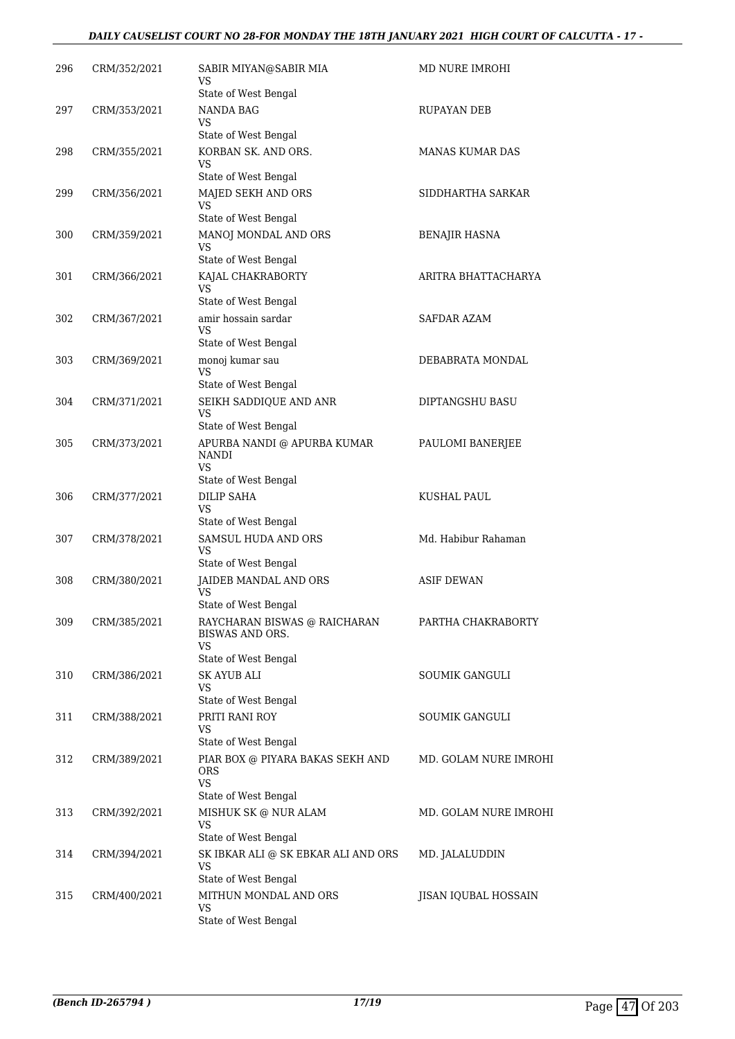#### *DAILY CAUSELIST COURT NO 28-FOR MONDAY THE 18TH JANUARY 2021 HIGH COURT OF CALCUTTA - 17 -*

| 296 | CRM/352/2021 | SABIR MIYAN@SABIR MIA<br>VS                                                                                 | MD NURE IMROHI        |
|-----|--------------|-------------------------------------------------------------------------------------------------------------|-----------------------|
| 297 | CRM/353/2021 | State of West Bengal<br>NANDA BAG<br>VS                                                                     | RUPAYAN DEB           |
| 298 | CRM/355/2021 | State of West Bengal<br>KORBAN SK. AND ORS.<br>VS.                                                          | MANAS KUMAR DAS       |
| 299 | CRM/356/2021 | State of West Bengal<br>MAJED SEKH AND ORS<br>VS                                                            | SIDDHARTHA SARKAR     |
| 300 | CRM/359/2021 | State of West Bengal<br>MANOJ MONDAL AND ORS<br>VS                                                          | <b>BENAJIR HASNA</b>  |
| 301 | CRM/366/2021 | State of West Bengal<br>KAJAL CHAKRABORTY<br>VS                                                             | ARITRA BHATTACHARYA   |
| 302 | CRM/367/2021 | State of West Bengal<br>amir hossain sardar<br>VS                                                           | SAFDAR AZAM           |
| 303 | CRM/369/2021 | State of West Bengal<br>monoj kumar sau<br><b>VS</b>                                                        | DEBABRATA MONDAL      |
| 304 | CRM/371/2021 | State of West Bengal<br>SEIKH SADDIQUE AND ANR<br><b>VS</b>                                                 | DIPTANGSHU BASU       |
| 305 | CRM/373/2021 | State of West Bengal<br>APURBA NANDI @ APURBA KUMAR<br><b>NANDI</b><br>VS                                   | PAULOMI BANERJEE      |
| 306 | CRM/377/2021 | State of West Bengal<br><b>DILIP SAHA</b>                                                                   | KUSHAL PAUL           |
|     |              | VS<br>State of West Bengal                                                                                  |                       |
| 307 | CRM/378/2021 | <b>SAMSUL HUDA AND ORS</b><br>VS<br>State of West Bengal                                                    | Md. Habibur Rahaman   |
| 308 | CRM/380/2021 | JAIDEB MANDAL AND ORS<br>VS<br>State of West Bengal                                                         | <b>ASIF DEWAN</b>     |
| 309 | CRM/385/2021 | RAYCHARAN BISWAS @ RAICHARAN<br><b>BISWAS AND ORS.</b><br><b>VS</b>                                         | PARTHA CHAKRABORTY    |
| 310 | CRM/386/2021 | State of West Bengal<br><b>SK AYUB ALI</b><br>VS                                                            | SOUMIK GANGULI        |
| 311 | CRM/388/2021 | State of West Bengal<br>PRITI RANI ROY<br>VS                                                                | SOUMIK GANGULI        |
| 312 | CRM/389/2021 | State of West Bengal<br>PIAR BOX @ PIYARA BAKAS SEKH AND<br><b>ORS</b><br><b>VS</b><br>State of West Bengal | MD. GOLAM NURE IMROHI |
| 313 | CRM/392/2021 | MISHUK SK @ NUR ALAM<br>VS<br>State of West Bengal                                                          | MD. GOLAM NURE IMROHI |
| 314 | CRM/394/2021 | SK IBKAR ALI @ SK EBKAR ALI AND ORS<br><b>VS</b><br>State of West Bengal                                    | MD. JALALUDDIN        |
| 315 | CRM/400/2021 | MITHUN MONDAL AND ORS<br>VS<br>State of West Bengal                                                         | JISAN IQUBAL HOSSAIN  |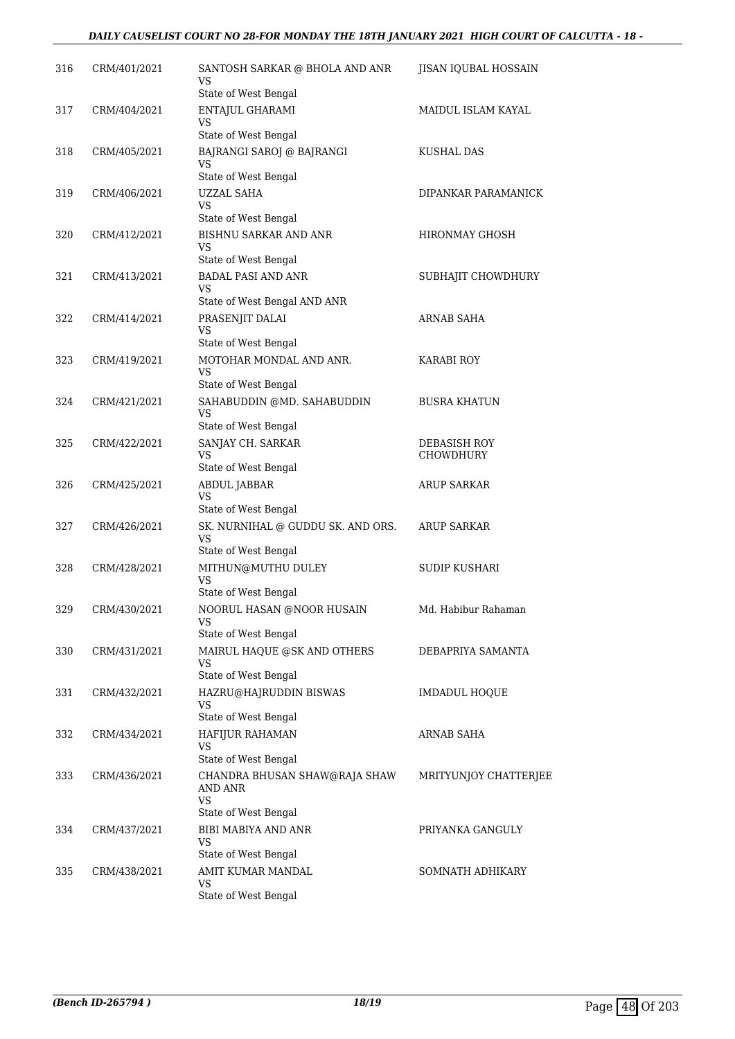#### *DAILY CAUSELIST COURT NO 28-FOR MONDAY THE 18TH JANUARY 2021 HIGH COURT OF CALCUTTA - 18 -*

| 316 | CRM/401/2021 | SANTOSH SARKAR @ BHOLA AND ANR<br>VS<br>State of West Bengal                                          | JISAN IQUBAL HOSSAIN      |
|-----|--------------|-------------------------------------------------------------------------------------------------------|---------------------------|
| 317 | CRM/404/2021 | ENTAJUL GHARAMI<br>VS                                                                                 | MAIDUL ISLAM KAYAL        |
|     |              | State of West Bengal                                                                                  |                           |
| 318 | CRM/405/2021 | BAJRANGI SAROJ @ BAJRANGI<br>VS<br>State of West Bengal                                               | KUSHAL DAS                |
| 319 | CRM/406/2021 | <b>UZZAL SAHA</b><br>VS                                                                               | DIPANKAR PARAMANICK       |
|     |              | State of West Bengal                                                                                  |                           |
| 320 | CRM/412/2021 | <b>BISHNU SARKAR AND ANR</b><br>VS<br>State of West Bengal                                            | HIRONMAY GHOSH            |
| 321 | CRM/413/2021 | <b>BADAL PASI AND ANR</b><br>VS                                                                       | SUBHAJIT CHOWDHURY        |
| 322 | CRM/414/2021 | State of West Bengal AND ANR<br>PRASENJIT DALAI<br><b>VS</b>                                          | ARNAB SAHA                |
|     |              | State of West Bengal                                                                                  |                           |
| 323 | CRM/419/2021 | MOTOHAR MONDAL AND ANR.<br>VS<br>State of West Bengal                                                 | <b>KARABI ROY</b>         |
| 324 | CRM/421/2021 | SAHABUDDIN @MD. SAHABUDDIN<br><b>VS</b><br>State of West Bengal                                       | <b>BUSRA KHATUN</b>       |
| 325 | CRM/422/2021 | SANJAY CH. SARKAR<br>VS<br>State of West Bengal                                                       | DEBASISH ROY<br>CHOWDHURY |
| 326 | CRM/425/2021 | ABDUL JABBAR<br>VS                                                                                    | ARUP SARKAR               |
| 327 | CRM/426/2021 | State of West Bengal<br>SK. NURNIHAL @ GUDDU SK. AND ORS.<br>VS<br>State of West Bengal               | <b>ARUP SARKAR</b>        |
| 328 | CRM/428/2021 | MITHUN@MUTHU DULEY<br>VS<br>State of West Bengal                                                      | <b>SUDIP KUSHARI</b>      |
| 329 | CRM/430/2021 | NOORUL HASAN @NOOR HUSAIN<br>VS                                                                       | Md. Habibur Rahaman       |
| 330 | CRM/431/2021 | State of West Bengal<br>MAIRUL HAQUE @SK AND OTHERS<br>VS<br>State of West Bengal                     | DEBAPRIYA SAMANTA         |
| 331 | CRM/432/2021 | HAZRU@HAJRUDDIN BISWAS<br><b>VS</b><br>State of West Bengal                                           | IMDADUL HOQUE             |
| 332 | CRM/434/2021 | HAFIJUR RAHAMAN<br>VS                                                                                 | ARNAB SAHA                |
| 333 | CRM/436/2021 | State of West Bengal<br>CHANDRA BHUSAN SHAW@RAJA SHAW<br>AND ANR<br><b>VS</b><br>State of West Bengal | MRITYUNJOY CHATTERJEE     |
| 334 | CRM/437/2021 | <b>BIBI MABIYA AND ANR</b><br>VS<br>State of West Bengal                                              | PRIYANKA GANGULY          |
| 335 | CRM/438/2021 | AMIT KUMAR MANDAL<br>VS<br>State of West Bengal                                                       | SOMNATH ADHIKARY          |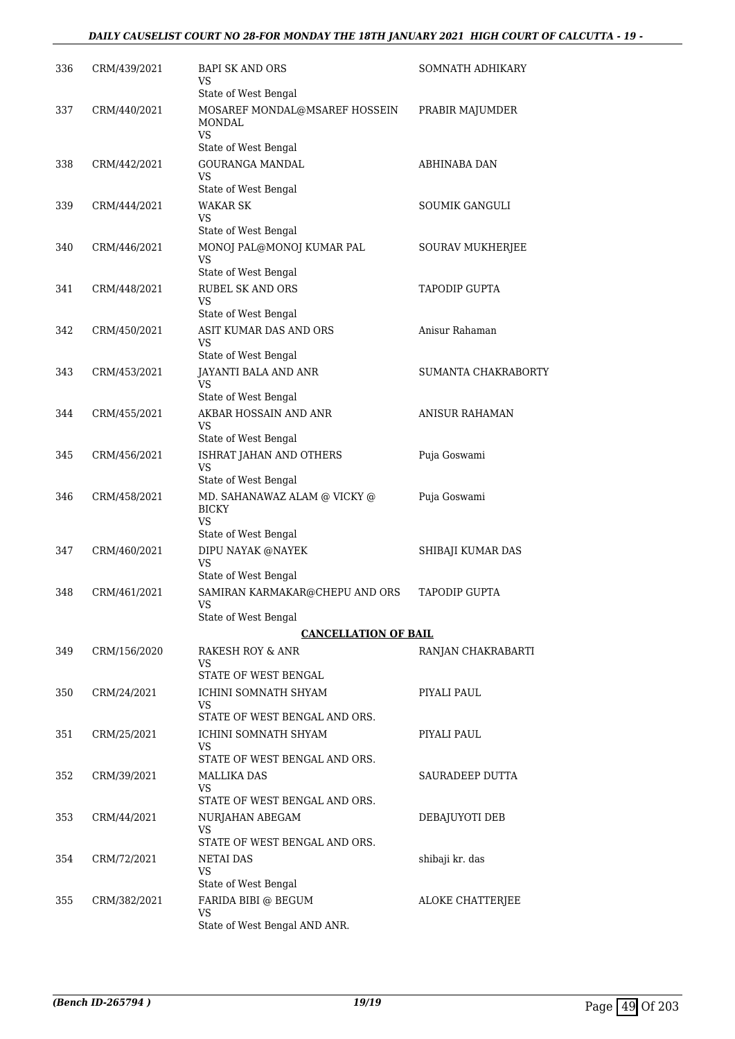#### *DAILY CAUSELIST COURT NO 28-FOR MONDAY THE 18TH JANUARY 2021 HIGH COURT OF CALCUTTA - 19 -*

| 336 | CRM/439/2021 | BAPI SK AND ORS<br>VS                                        | SOMNATH ADHIKARY      |
|-----|--------------|--------------------------------------------------------------|-----------------------|
| 337 | CRM/440/2021 | State of West Bengal<br>MOSAREF MONDAL@MSAREF HOSSEIN        | PRABIR MAJUMDER       |
|     |              | <b>MONDAL</b><br><b>VS</b><br>State of West Bengal           |                       |
| 338 | CRM/442/2021 | <b>GOURANGA MANDAL</b>                                       | ABHINABA DAN          |
|     |              | VS                                                           |                       |
|     |              | State of West Bengal                                         |                       |
| 339 | CRM/444/2021 | <b>WAKAR SK</b><br>VS                                        | <b>SOUMIK GANGULI</b> |
|     |              | State of West Bengal                                         |                       |
| 340 | CRM/446/2021 | MONOJ PAL@MONOJ KUMAR PAL<br>VS                              | SOURAV MUKHERJEE      |
| 341 | CRM/448/2021 | State of West Bengal<br><b>RUBEL SK AND ORS</b>              | TAPODIP GUPTA         |
|     |              | VS<br>State of West Bengal                                   |                       |
| 342 | CRM/450/2021 | ASIT KUMAR DAS AND ORS                                       | Anisur Rahaman        |
|     |              | VS.                                                          |                       |
|     |              | State of West Bengal                                         |                       |
| 343 | CRM/453/2021 | JAYANTI BALA AND ANR<br>VS                                   | SUMANTA CHAKRABORTY   |
|     |              | State of West Bengal                                         |                       |
| 344 | CRM/455/2021 | AKBAR HOSSAIN AND ANR<br>VS                                  | <b>ANISUR RAHAMAN</b> |
|     |              | State of West Bengal                                         |                       |
| 345 | CRM/456/2021 | ISHRAT JAHAN AND OTHERS<br>VS                                | Puja Goswami          |
|     |              | State of West Bengal                                         |                       |
| 346 | CRM/458/2021 | MD. SAHANAWAZ ALAM @ VICKY @<br><b>BICKY</b><br>VS.          | Puja Goswami          |
|     |              | State of West Bengal                                         |                       |
| 347 | CRM/460/2021 | DIPU NAYAK @NAYEK<br>VS                                      | SHIBAJI KUMAR DAS     |
|     | CRM/461/2021 | State of West Bengal                                         | <b>TAPODIP GUPTA</b>  |
| 348 |              | SAMIRAN KARMAKAR@CHEPU AND ORS<br>VS<br>State of West Bengal |                       |
|     |              | <b>CANCELLATION OF BAIL</b>                                  |                       |
| 349 | CRM/156/2020 | RAKESH ROY & ANR                                             | RANJAN CHAKRABARTI    |
|     |              | VS.                                                          |                       |
|     |              | STATE OF WEST BENGAL                                         |                       |
| 350 | CRM/24/2021  | ICHINI SOMNATH SHYAM<br>VS                                   | PIYALI PAUL           |
|     |              | STATE OF WEST BENGAL AND ORS.                                |                       |
| 351 | CRM/25/2021  | ICHINI SOMNATH SHYAM<br>VS                                   | PIYALI PAUL           |
|     |              | STATE OF WEST BENGAL AND ORS.                                |                       |
| 352 | CRM/39/2021  | <b>MALLIKA DAS</b><br>VS                                     | SAURADEEP DUTTA       |
|     |              | STATE OF WEST BENGAL AND ORS.                                |                       |
| 353 | CRM/44/2021  | NURJAHAN ABEGAM<br>VS.                                       | DEBAJUYOTI DEB        |
| 354 | CRM/72/2021  | STATE OF WEST BENGAL AND ORS.<br><b>NETAI DAS</b>            | shibaji kr. das       |
|     |              | VS                                                           |                       |
|     |              | State of West Bengal                                         |                       |
| 355 | CRM/382/2021 | FARIDA BIBI @ BEGUM<br>VS                                    | ALOKE CHATTERJEE      |
|     |              | State of West Bengal AND ANR.                                |                       |
|     |              |                                                              |                       |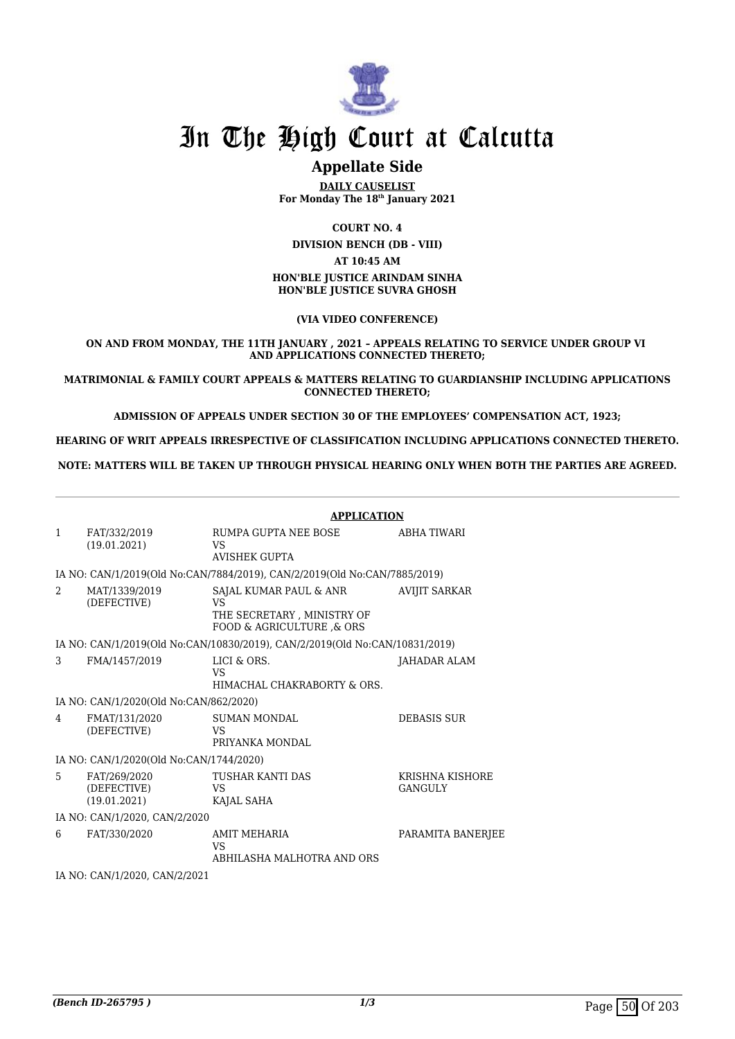

## In The High Court at Calcutta

### **Appellate Side**

**DAILY CAUSELIST For Monday The 18th January 2021**

**COURT NO. 4**

**DIVISION BENCH (DB - VIII) AT 10:45 AM HON'BLE JUSTICE ARINDAM SINHA HON'BLE JUSTICE SUVRA GHOSH**

**(VIA VIDEO CONFERENCE)**

**ON AND FROM MONDAY, THE 11TH JANUARY , 2021 – APPEALS RELATING TO SERVICE UNDER GROUP VI AND APPLICATIONS CONNECTED THERETO;**

**MATRIMONIAL & FAMILY COURT APPEALS & MATTERS RELATING TO GUARDIANSHIP INCLUDING APPLICATIONS CONNECTED THERETO;**

**ADMISSION OF APPEALS UNDER SECTION 30 OF THE EMPLOYEES' COMPENSATION ACT, 1923;**

**HEARING OF WRIT APPEALS IRRESPECTIVE OF CLASSIFICATION INCLUDING APPLICATIONS CONNECTED THERETO.**

**NOTE: MATTERS WILL BE TAKEN UP THROUGH PHYSICAL HEARING ONLY WHEN BOTH THE PARTIES ARE AGREED.**

|              |                                             | <b>APPLICATION</b>                                                                       |                                   |  |
|--------------|---------------------------------------------|------------------------------------------------------------------------------------------|-----------------------------------|--|
| $\mathbf{1}$ | FAT/332/2019<br>(19.01.2021)                | RUMPA GUPTA NEE BOSE<br>VS<br><b>AVISHEK GUPTA</b>                                       | ABHA TIWARI                       |  |
|              |                                             | IA NO: CAN/1/2019(Old No:CAN/7884/2019), CAN/2/2019(Old No:CAN/7885/2019)                |                                   |  |
| 2            | MAT/1339/2019<br>(DEFECTIVE)                | SAJAL KUMAR PAUL & ANR<br>VS<br>THE SECRETARY, MINISTRY OF<br>FOOD & AGRICULTURE , & ORS | <b>AVIJIT SARKAR</b>              |  |
|              |                                             | IA NO: CAN/1/2019(Old No:CAN/10830/2019), CAN/2/2019(Old No:CAN/10831/2019)              |                                   |  |
| 3            | FMA/1457/2019                               | LICI & ORS.<br><b>VS</b><br>HIMACHAL CHAKRABORTY & ORS.                                  | <b>JAHADAR ALAM</b>               |  |
|              | IA NO: CAN/1/2020(Old No:CAN/862/2020)      |                                                                                          |                                   |  |
| 4            | FMAT/131/2020<br>(DEFECTIVE)                | <b>SUMAN MONDAL</b><br><b>VS</b><br>PRIYANKA MONDAL                                      | <b>DEBASIS SUR</b>                |  |
|              | IA NO: CAN/1/2020(Old No:CAN/1744/2020)     |                                                                                          |                                   |  |
| 5            | FAT/269/2020<br>(DEFECTIVE)<br>(19.01.2021) | TUSHAR KANTI DAS<br>VS<br>KAJAL SAHA                                                     | KRISHNA KISHORE<br><b>GANGULY</b> |  |
|              | IA NO: CAN/1/2020, CAN/2/2020               |                                                                                          |                                   |  |
| 6            | FAT/330/2020                                | AMIT MEHARIA<br>VS<br>ABHILASHA MALHOTRA AND ORS                                         | PARAMITA BANERJEE                 |  |
|              | IA NO: CAN/1/2020, CAN/2/2021               |                                                                                          |                                   |  |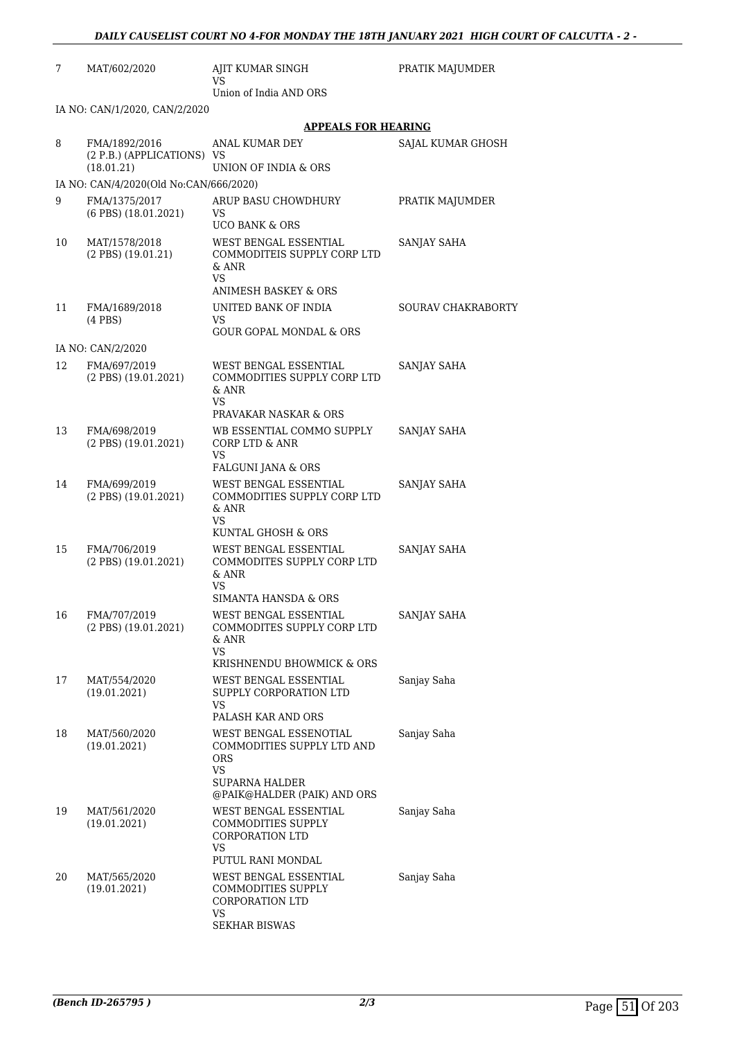| 7  | MAT/602/2020                                              | AJIT KUMAR SINGH<br>VS                                                                                  | PRATIK MAJUMDER           |  |  |
|----|-----------------------------------------------------------|---------------------------------------------------------------------------------------------------------|---------------------------|--|--|
|    |                                                           | Union of India AND ORS                                                                                  |                           |  |  |
|    | IA NO: CAN/1/2020, CAN/2/2020                             |                                                                                                         |                           |  |  |
|    |                                                           | APPEALS FOR HEARING                                                                                     |                           |  |  |
| 8  | FMA/1892/2016<br>(2 P.B.) (APPLICATIONS) VS<br>(18.01.21) | ANAL KUMAR DEY<br>UNION OF INDIA & ORS                                                                  | SAJAL KUMAR GHOSH         |  |  |
|    | IA NO: CAN/4/2020(Old No:CAN/666/2020)                    |                                                                                                         |                           |  |  |
| 9  | FMA/1375/2017                                             | ARUP BASU CHOWDHURY                                                                                     | PRATIK MAJUMDER           |  |  |
|    | $(6$ PBS $)$ $(18.01.2021)$                               | VS<br><b>UCO BANK &amp; ORS</b>                                                                         |                           |  |  |
| 10 | MAT/1578/2018<br>$(2$ PBS $)$ $(19.01.21)$                | WEST BENGAL ESSENTIAL<br>COMMODITEIS SUPPLY CORP LTD<br>& ANR<br>VS.<br><b>ANIMESH BASKEY &amp; ORS</b> | SANJAY SAHA               |  |  |
| 11 | FMA/1689/2018                                             | UNITED BANK OF INDIA                                                                                    | <b>SOURAV CHAKRABORTY</b> |  |  |
|    | $(4$ PBS $)$                                              | VS                                                                                                      |                           |  |  |
|    |                                                           | GOUR GOPAL MONDAL & ORS                                                                                 |                           |  |  |
|    | IA NO: CAN/2/2020                                         |                                                                                                         |                           |  |  |
| 12 | FMA/697/2019<br>(2 PBS) (19.01.2021)                      | WEST BENGAL ESSENTIAL<br>COMMODITIES SUPPLY CORP LTD<br>& ANR<br>VS.<br>PRAVAKAR NASKAR & ORS           | SANJAY SAHA               |  |  |
| 13 | FMA/698/2019                                              | WB ESSENTIAL COMMO SUPPLY                                                                               | SANJAY SAHA               |  |  |
|    | (2 PBS) (19.01.2021)                                      | <b>CORP LTD &amp; ANR</b><br>VS<br>FALGUNI JANA & ORS                                                   |                           |  |  |
| 14 | FMA/699/2019                                              | WEST BENGAL ESSENTIAL                                                                                   | SANJAY SAHA               |  |  |
|    | $(2$ PBS $)$ $(19.01.2021)$                               | COMMODITIES SUPPLY CORP LTD<br>& ANR<br>VS                                                              |                           |  |  |
|    |                                                           | KUNTAL GHOSH & ORS                                                                                      |                           |  |  |
| 15 | FMA/706/2019<br>(2 PBS) (19.01.2021)                      | WEST BENGAL ESSENTIAL<br>COMMODITES SUPPLY CORP LTD<br>& ANR<br>VS<br>SIMANTA HANSDA & ORS              | SANJAY SAHA               |  |  |
| 16 | FMA/707/2019<br>$(2$ PBS $)$ $(19.01.2021)$               | WEST BENGAL ESSENTIAL<br>COMMODITES SUPPLY CORP LTD<br>& ANR<br><b>VS</b>                               | SANJAY SAHA               |  |  |
|    |                                                           | KRISHNENDU BHOWMICK & ORS                                                                               |                           |  |  |
| 17 | MAT/554/2020<br>(19.01.2021)                              | WEST BENGAL ESSENTIAL<br>SUPPLY CORPORATION LTD<br>VS<br>PALASH KAR AND ORS                             | Sanjay Saha               |  |  |
| 18 | MAT/560/2020                                              | WEST BENGAL ESSENOTIAL                                                                                  | Sanjay Saha               |  |  |
|    | (19.01.2021)                                              | COMMODITIES SUPPLY LTD AND<br><b>ORS</b><br>VS<br>SUPARNA HALDER                                        |                           |  |  |
|    |                                                           | @PAIK@HALDER (PAIK) AND ORS                                                                             |                           |  |  |
| 19 | MAT/561/2020<br>(19.01.2021)                              | WEST BENGAL ESSENTIAL<br><b>COMMODITIES SUPPLY</b><br>CORPORATION LTD<br>VS                             | Sanjay Saha               |  |  |
|    |                                                           | PUTUL RANI MONDAL                                                                                       |                           |  |  |
| 20 | MAT/565/2020<br>(19.01.2021)                              | WEST BENGAL ESSENTIAL<br>COMMODITIES SUPPLY<br>CORPORATION LTD<br>VS                                    | Sanjay Saha               |  |  |

SEKHAR BISWAS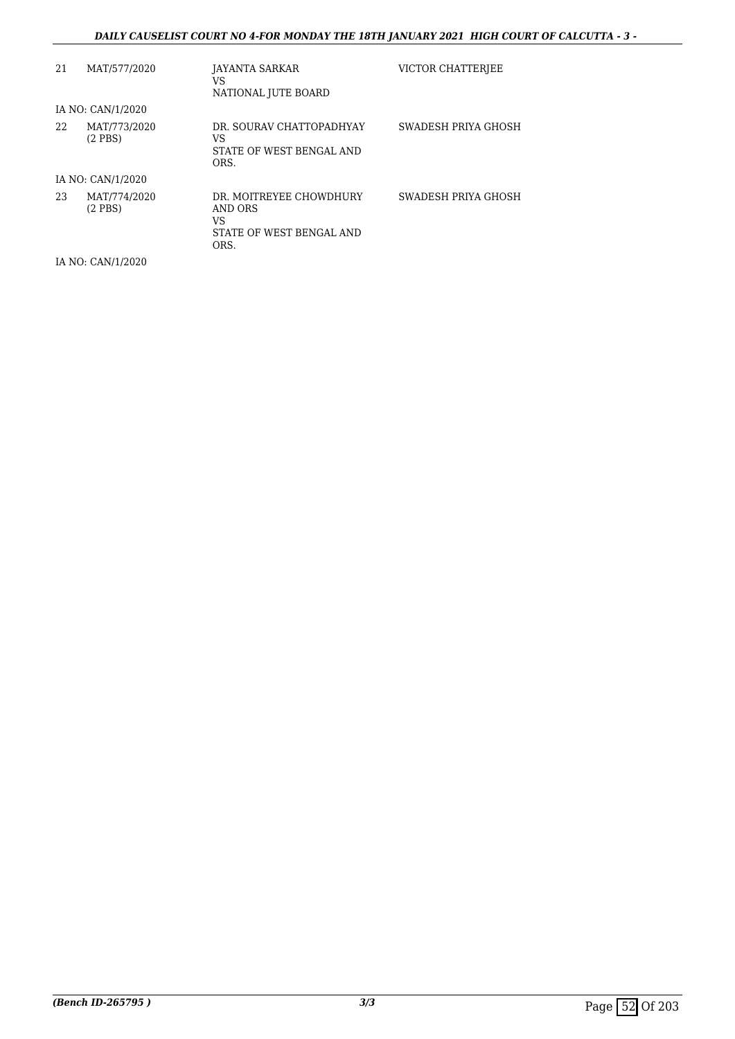#### *DAILY CAUSELIST COURT NO 4-FOR MONDAY THE 18TH JANUARY 2021 HIGH COURT OF CALCUTTA - 3 -*

| 21 | MAT/577/2020                 | JAYANTA SARKAR<br>VS<br>NATIONAL JUTE BOARD                                  | VICTOR CHATTERIEE   |
|----|------------------------------|------------------------------------------------------------------------------|---------------------|
|    | IA NO: CAN/1/2020            |                                                                              |                     |
| 22 | MAT/773/2020<br>$(2$ PBS $)$ | DR. SOURAV CHATTOPADHYAY<br>VS<br>STATE OF WEST BENGAL AND<br>ORS.           | SWADESH PRIYA GHOSH |
|    | IA NO: CAN/1/2020            |                                                                              |                     |
| 23 | MAT/774/2020<br>$(2$ PBS $)$ | DR. MOITREYEE CHOWDHURY<br>AND ORS<br>VS<br>STATE OF WEST BENGAL AND<br>ORS. | SWADESH PRIYA GHOSH |

IA NO: CAN/1/2020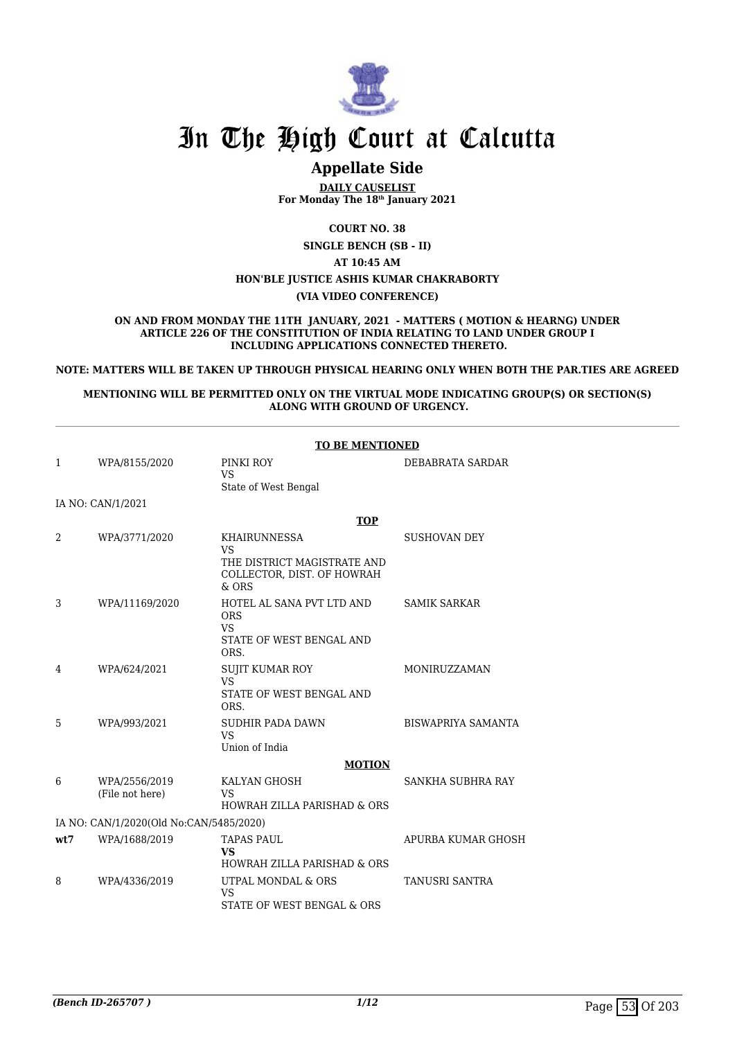

## In The High Court at Calcutta

### **Appellate Side**

**DAILY CAUSELIST For Monday The 18th January 2021**

**COURT NO. 38**

**SINGLE BENCH (SB - II)**

**AT 10:45 AM HON'BLE JUSTICE ASHIS KUMAR CHAKRABORTY**

**(VIA VIDEO CONFERENCE)**

**ON AND FROM MONDAY THE 11TH JANUARY, 2021 - MATTERS ( MOTION & HEARNG) UNDER ARTICLE 226 OF THE CONSTITUTION OF INDIA RELATING TO LAND UNDER GROUP I INCLUDING APPLICATIONS CONNECTED THERETO.**

**NOTE: MATTERS WILL BE TAKEN UP THROUGH PHYSICAL HEARING ONLY WHEN BOTH THE PAR.TIES ARE AGREED**

**MENTIONING WILL BE PERMITTED ONLY ON THE VIRTUAL MODE INDICATING GROUP(S) OR SECTION(S) ALONG WITH GROUND OF URGENCY.**

|                                         | <b>TO BE MENTIONED</b>           |                                                                                          |                           |  |  |
|-----------------------------------------|----------------------------------|------------------------------------------------------------------------------------------|---------------------------|--|--|
| 1                                       | WPA/8155/2020                    | PINKI ROY<br><b>VS</b><br>State of West Bengal                                           | DEBABRATA SARDAR          |  |  |
|                                         | IA NO: CAN/1/2021                |                                                                                          |                           |  |  |
|                                         |                                  | <b>TOP</b>                                                                               |                           |  |  |
| 2                                       | WPA/3771/2020                    | <b>KHAIRUNNESSA</b><br><b>VS</b>                                                         | <b>SUSHOVAN DEY</b>       |  |  |
|                                         |                                  | THE DISTRICT MAGISTRATE AND<br>COLLECTOR, DIST. OF HOWRAH<br>$&$ ORS                     |                           |  |  |
| 3                                       | WPA/11169/2020                   | HOTEL AL SANA PVT LTD AND<br><b>ORS</b><br><b>VS</b><br>STATE OF WEST BENGAL AND<br>ORS. | <b>SAMIK SARKAR</b>       |  |  |
| 4                                       | WPA/624/2021                     | <b>SUJIT KUMAR ROY</b><br><b>VS</b><br>STATE OF WEST BENGAL AND<br>ORS.                  | MONIRUZZAMAN              |  |  |
| 5                                       | WPA/993/2021                     | SUDHIR PADA DAWN<br><b>VS</b><br>Union of India                                          | <b>BISWAPRIYA SAMANTA</b> |  |  |
|                                         |                                  | <b>MOTION</b>                                                                            |                           |  |  |
| 6                                       | WPA/2556/2019<br>(File not here) | KALYAN GHOSH<br><b>VS</b><br><b>HOWRAH ZILLA PARISHAD &amp; ORS</b>                      | SANKHA SUBHRA RAY         |  |  |
| IA NO: CAN/1/2020(Old No:CAN/5485/2020) |                                  |                                                                                          |                           |  |  |
| wt7                                     | WPA/1688/2019                    | <b>TAPAS PAUL</b><br><b>VS</b><br><b>HOWRAH ZILLA PARISHAD &amp; ORS</b>                 | APURBA KUMAR GHOSH        |  |  |
| 8                                       | WPA/4336/2019                    | UTPAL MONDAL & ORS<br><b>VS</b><br>STATE OF WEST BENGAL & ORS                            | <b>TANUSRI SANTRA</b>     |  |  |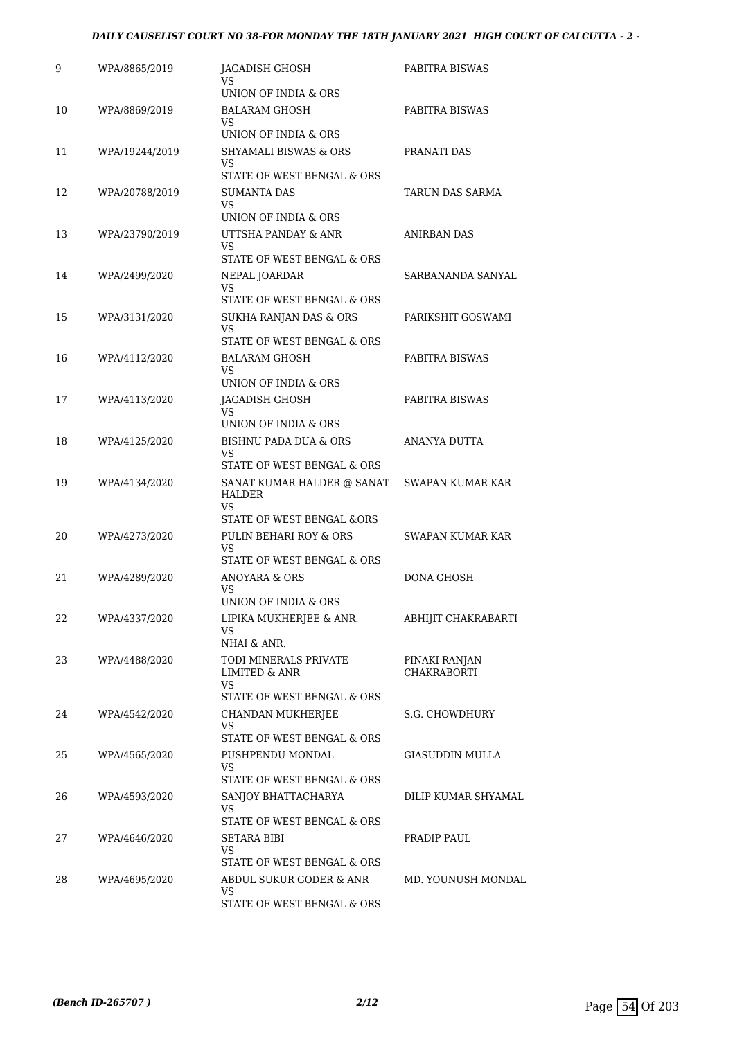#### *DAILY CAUSELIST COURT NO 38-FOR MONDAY THE 18TH JANUARY 2021 HIGH COURT OF CALCUTTA - 2 -*

| 9  | WPA/8865/2019  | JAGADISH GHOSH<br>VS                                                 | PABITRA BISWAS                      |
|----|----------------|----------------------------------------------------------------------|-------------------------------------|
| 10 | WPA/8869/2019  | UNION OF INDIA & ORS<br><b>BALARAM GHOSH</b>                         | PABITRA BISWAS                      |
|    |                | VS.<br>UNION OF INDIA & ORS                                          |                                     |
| 11 | WPA/19244/2019 | <b>SHYAMALI BISWAS &amp; ORS</b><br>VS                               | PRANATI DAS                         |
|    |                | STATE OF WEST BENGAL & ORS                                           |                                     |
| 12 | WPA/20788/2019 | <b>SUMANTA DAS</b><br>VS.                                            | TARUN DAS SARMA                     |
| 13 | WPA/23790/2019 | UNION OF INDIA & ORS<br>UTTSHA PANDAY & ANR                          | ANIRBAN DAS                         |
|    |                | VS                                                                   |                                     |
|    |                | STATE OF WEST BENGAL & ORS                                           |                                     |
| 14 | WPA/2499/2020  | NEPAL JOARDAR<br>VS                                                  | SARBANANDA SANYAL                   |
|    |                | STATE OF WEST BENGAL & ORS                                           |                                     |
| 15 | WPA/3131/2020  | SUKHA RANJAN DAS & ORS<br>VS<br>STATE OF WEST BENGAL & ORS           | PARIKSHIT GOSWAMI                   |
| 16 | WPA/4112/2020  | BALARAM GHOSH                                                        | PABITRA BISWAS                      |
|    |                | VS                                                                   |                                     |
|    |                | UNION OF INDIA & ORS                                                 |                                     |
| 17 | WPA/4113/2020  | JAGADISH GHOSH<br>VS.                                                | PABITRA BISWAS                      |
|    |                | UNION OF INDIA & ORS                                                 |                                     |
| 18 | WPA/4125/2020  | <b>BISHNU PADA DUA &amp; ORS</b><br>VS<br>STATE OF WEST BENGAL & ORS | ANANYA DUTTA                        |
| 19 | WPA/4134/2020  | SANAT KUMAR HALDER @ SANAT                                           | SWAPAN KUMAR KAR                    |
|    |                | HALDER<br>VS                                                         |                                     |
|    |                | STATE OF WEST BENGAL &ORS                                            |                                     |
| 20 | WPA/4273/2020  | PULIN BEHARI ROY & ORS<br><b>VS</b><br>STATE OF WEST BENGAL & ORS    | SWAPAN KUMAR KAR                    |
| 21 | WPA/4289/2020  | ANOYARA & ORS                                                        | DONA GHOSH                          |
|    |                | VS<br>UNION OF INDIA & ORS                                           |                                     |
| 22 | WPA/4337/2020  | LIPIKA MUKHERJEE & ANR.<br>VS                                        | ABHIJIT CHAKRABARTI                 |
|    |                | NHAI & ANR.                                                          |                                     |
| 23 | WPA/4488/2020  | TODI MINERALS PRIVATE<br>LIMITED & ANR<br>VS                         | PINAKI RANJAN<br><b>CHAKRABORTI</b> |
|    |                | STATE OF WEST BENGAL & ORS                                           |                                     |
| 24 | WPA/4542/2020  | <b>CHANDAN MUKHERJEE</b><br>VS<br>STATE OF WEST BENGAL & ORS         | S.G. CHOWDHURY                      |
| 25 | WPA/4565/2020  | PUSHPENDU MONDAL                                                     | <b>GIASUDDIN MULLA</b>              |
|    |                | VS                                                                   |                                     |
|    |                | STATE OF WEST BENGAL & ORS                                           |                                     |
| 26 | WPA/4593/2020  | SANJOY BHATTACHARYA<br>VS.<br>STATE OF WEST BENGAL & ORS             | DILIP KUMAR SHYAMAL                 |
| 27 | WPA/4646/2020  | SETARA BIBI                                                          | PRADIP PAUL                         |
|    |                | VS<br>STATE OF WEST BENGAL & ORS                                     |                                     |
| 28 | WPA/4695/2020  | ABDUL SUKUR GODER & ANR                                              | MD. YOUNUSH MONDAL                  |
|    |                | VS                                                                   |                                     |
|    |                | STATE OF WEST BENGAL & ORS                                           |                                     |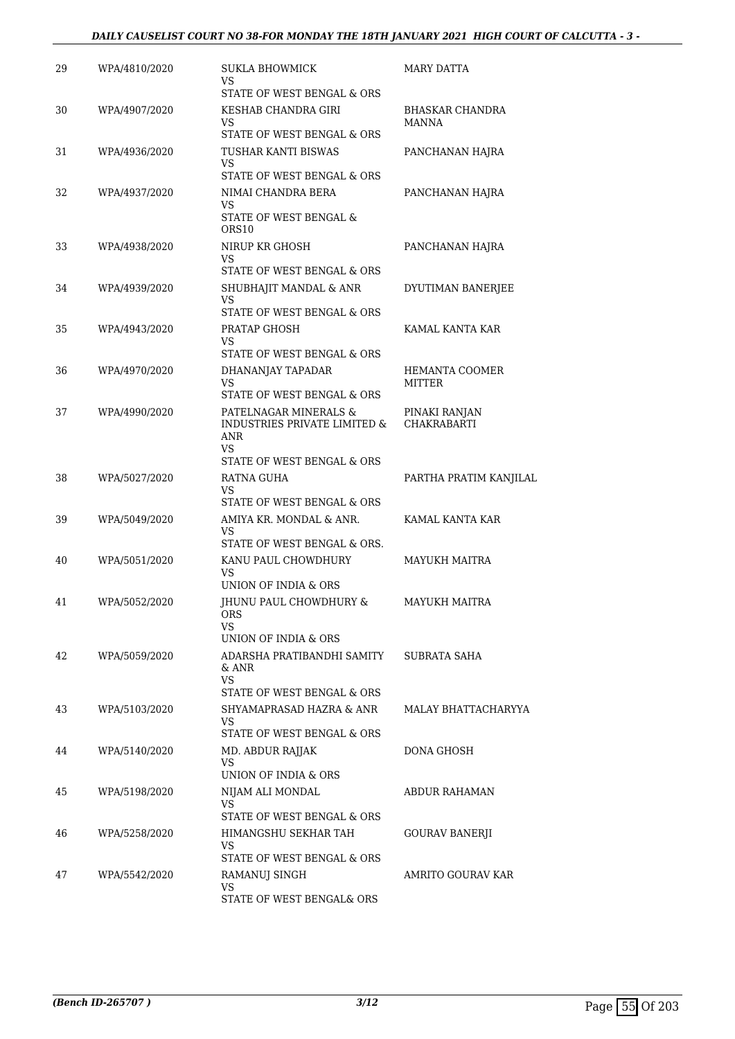#### *DAILY CAUSELIST COURT NO 38-FOR MONDAY THE 18TH JANUARY 2021 HIGH COURT OF CALCUTTA - 3 -*

| 29 | WPA/4810/2020 | SUKLA BHOWMICK<br>VS                                                | MARY DATTA                          |
|----|---------------|---------------------------------------------------------------------|-------------------------------------|
| 30 | WPA/4907/2020 | STATE OF WEST BENGAL & ORS<br>KESHAB CHANDRA GIRI<br>VS             | BHASKAR CHANDRA<br><b>MANNA</b>     |
|    |               | STATE OF WEST BENGAL & ORS                                          |                                     |
| 31 | WPA/4936/2020 | TUSHAR KANTI BISWAS<br>VS                                           | PANCHANAN HAJRA                     |
|    |               | STATE OF WEST BENGAL & ORS                                          |                                     |
| 32 | WPA/4937/2020 | NIMAI CHANDRA BERA<br>VS<br>STATE OF WEST BENGAL &                  | PANCHANAN HAJRA                     |
|    |               | ORS <sub>10</sub>                                                   |                                     |
| 33 | WPA/4938/2020 | NIRUP KR GHOSH<br>VS                                                | PANCHANAN HAJRA                     |
|    |               | STATE OF WEST BENGAL & ORS                                          |                                     |
| 34 | WPA/4939/2020 | SHUBHAJIT MANDAL & ANR<br>VS<br>STATE OF WEST BENGAL & ORS          | DYUTIMAN BANERJEE                   |
|    |               |                                                                     |                                     |
| 35 | WPA/4943/2020 | PRATAP GHOSH<br>VS<br>STATE OF WEST BENGAL & ORS                    | KAMAL KANTA KAR                     |
| 36 | WPA/4970/2020 | DHANANJAY TAPADAR                                                   | <b>HEMANTA COOMER</b>               |
|    |               | <b>VS</b><br>STATE OF WEST BENGAL & ORS                             | MITTER                              |
| 37 | WPA/4990/2020 | PATELNAGAR MINERALS &<br>INDUSTRIES PRIVATE LIMITED &<br>ANR<br>VS  | PINAKI RANJAN<br><b>CHAKRABARTI</b> |
|    |               | STATE OF WEST BENGAL & ORS                                          |                                     |
| 38 | WPA/5027/2020 | RATNA GUHA<br>VS.                                                   | PARTHA PRATIM KANJILAL              |
|    |               | STATE OF WEST BENGAL & ORS                                          |                                     |
| 39 | WPA/5049/2020 | AMIYA KR. MONDAL & ANR.<br><b>VS</b><br>STATE OF WEST BENGAL & ORS. | KAMAL KANTA KAR                     |
| 40 | WPA/5051/2020 | KANU PAUL CHOWDHURY                                                 | <b>MAYUKH MAITRA</b>                |
|    |               | VS<br>UNION OF INDIA & ORS                                          |                                     |
| 41 | WPA/5052/2020 | <b>IHUNU PAUL CHOWDHURY &amp;</b><br><b>ORS</b><br>VS.              | MAYUKH MAITRA                       |
|    |               | UNION OF INDIA & ORS                                                |                                     |
| 42 | WPA/5059/2020 | ADARSHA PRATIBANDHI SAMITY<br>& ANR<br>VS.                          | SUBRATA SAHA                        |
|    |               | STATE OF WEST BENGAL & ORS                                          |                                     |
| 43 | WPA/5103/2020 | SHYAMAPRASAD HAZRA & ANR<br>VS                                      | MALAY BHATTACHARYYA                 |
|    |               | STATE OF WEST BENGAL & ORS                                          |                                     |
| 44 | WPA/5140/2020 | MD. ABDUR RAJJAK<br>VS                                              | DONA GHOSH                          |
|    |               | UNION OF INDIA & ORS                                                |                                     |
| 45 | WPA/5198/2020 | NIJAM ALI MONDAL<br>VS<br>STATE OF WEST BENGAL & ORS                | ABDUR RAHAMAN                       |
| 46 | WPA/5258/2020 | HIMANGSHU SEKHAR TAH                                                | GOURAV BANERJI                      |
|    |               | VS<br>STATE OF WEST BENGAL & ORS                                    |                                     |
| 47 | WPA/5542/2020 | RAMANUJ SINGH                                                       | AMRITO GOURAV KAR                   |
|    |               | VS<br>STATE OF WEST BENGAL& ORS                                     |                                     |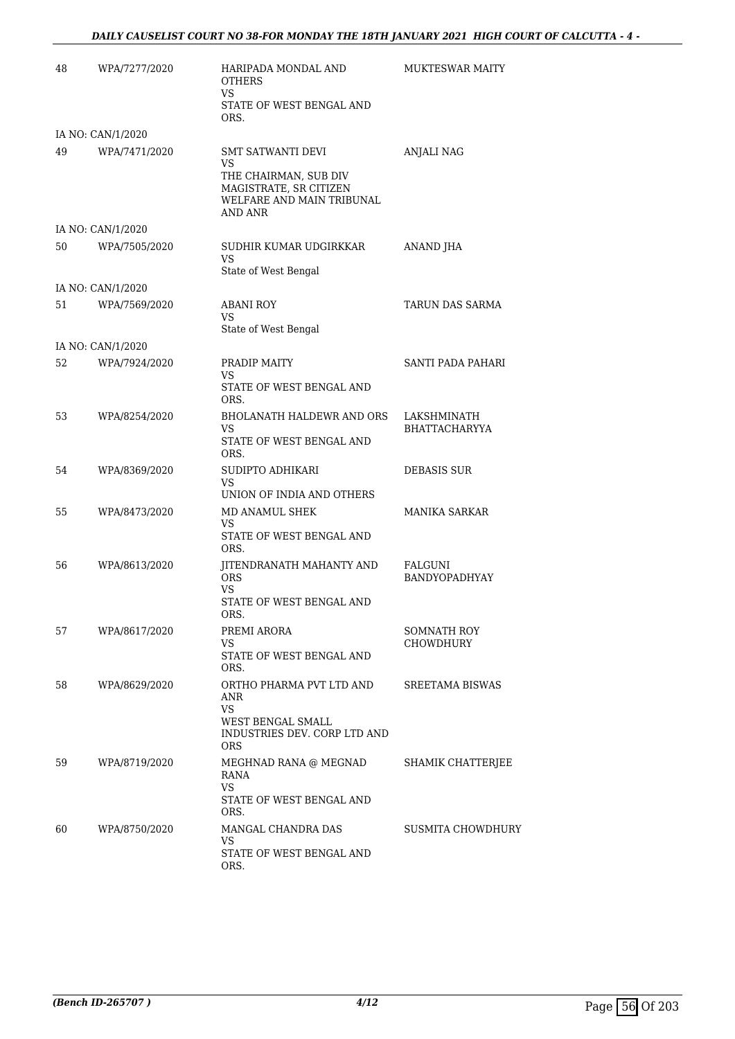| 48 | WPA/7277/2020     | HARIPADA MONDAL AND<br><b>OTHERS</b><br>VS<br>STATE OF WEST BENGAL AND<br>ORS.                                            | <b>MUKTESWAR MAITY</b>       |
|----|-------------------|---------------------------------------------------------------------------------------------------------------------------|------------------------------|
|    | IA NO: CAN/1/2020 |                                                                                                                           |                              |
| 49 | WPA/7471/2020     | <b>SMT SATWANTI DEVI</b><br>VS<br>THE CHAIRMAN, SUB DIV<br>MAGISTRATE, SR CITIZEN<br>WELFARE AND MAIN TRIBUNAL<br>AND ANR | <b>ANJALI NAG</b>            |
|    | IA NO: CAN/1/2020 |                                                                                                                           |                              |
| 50 | WPA/7505/2020     | SUDHIR KUMAR UDGIRKKAR<br><b>VS</b><br>State of West Bengal                                                               | ANAND JHA                    |
|    | IA NO: CAN/1/2020 |                                                                                                                           |                              |
| 51 | WPA/7569/2020     | ABANI ROY<br>VS<br>State of West Bengal                                                                                   | TARUN DAS SARMA              |
|    | IA NO: CAN/1/2020 |                                                                                                                           |                              |
| 52 | WPA/7924/2020     | PRADIP MAITY<br>VS.<br>STATE OF WEST BENGAL AND<br>ORS.                                                                   | SANTI PADA PAHARI            |
| 53 | WPA/8254/2020     | <b>BHOLANATH HALDEWR AND ORS</b><br>VS.<br>STATE OF WEST BENGAL AND<br>ORS.                                               | LAKSHMINATH<br>BHATTACHARYYA |
| 54 | WPA/8369/2020     | SUDIPTO ADHIKARI<br>VS.                                                                                                   | <b>DEBASIS SUR</b>           |
| 55 | WPA/8473/2020     | UNION OF INDIA AND OTHERS<br>MD ANAMUL SHEK<br>VS.<br>STATE OF WEST BENGAL AND<br>ORS.                                    | <b>MANIKA SARKAR</b>         |
| 56 | WPA/8613/2020     | JITENDRANATH MAHANTY AND<br><b>ORS</b><br>VS.<br>STATE OF WEST BENGAL AND<br>ORS.                                         | FALGUNI<br>BANDYOPADHYAY     |
| 57 | WPA/8617/2020     | PREMI ARORA<br>VS.<br>STATE OF WEST BENGAL AND<br>ORS.                                                                    | SOMNATH ROY<br>CHOWDHURY     |
| 58 | WPA/8629/2020     | ORTHO PHARMA PVT LTD AND<br>ANR<br>VS<br>WEST BENGAL SMALL<br>INDUSTRIES DEV. CORP LTD AND<br><b>ORS</b>                  | SREETAMA BISWAS              |
| 59 | WPA/8719/2020     | MEGHNAD RANA @ MEGNAD<br>RANA<br><b>VS</b><br>STATE OF WEST BENGAL AND<br>ORS.                                            | SHAMIK CHATTERJEE            |
| 60 | WPA/8750/2020     | MANGAL CHANDRA DAS<br>VS<br>STATE OF WEST BENGAL AND<br>ORS.                                                              | <b>SUSMITA CHOWDHURY</b>     |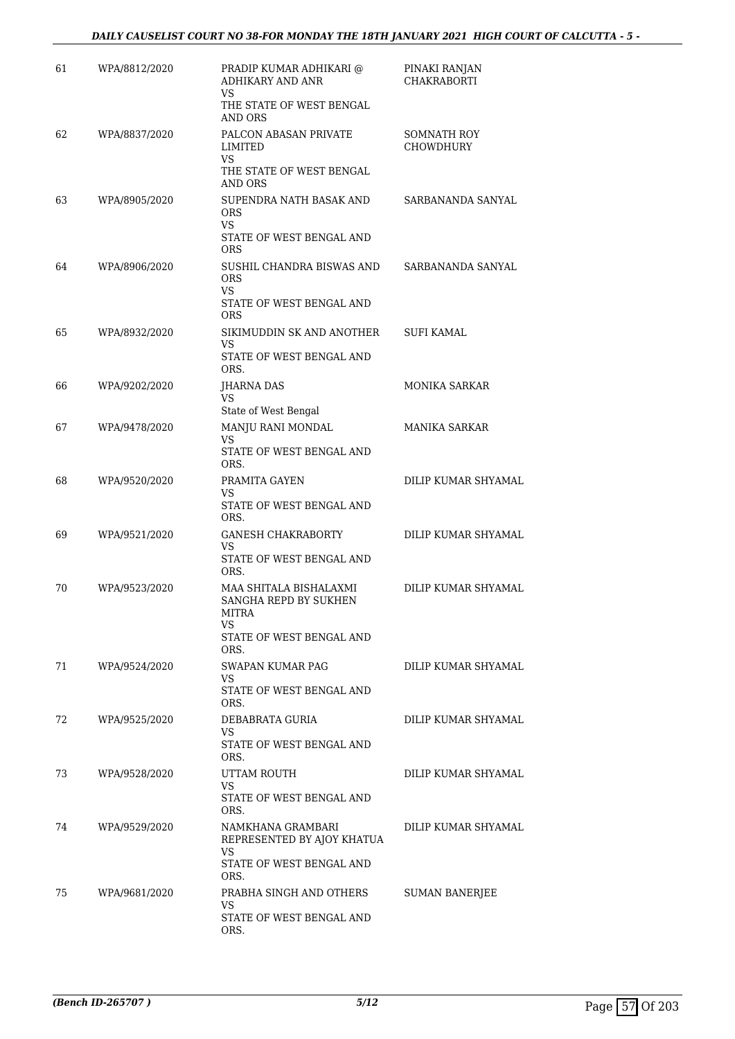| 61 | WPA/8812/2020 | PRADIP KUMAR ADHIKARI @<br>ADHIKARY AND ANR<br><b>VS</b>            | PINAKI RANJAN<br><b>CHAKRABORTI</b>    |
|----|---------------|---------------------------------------------------------------------|----------------------------------------|
|    |               | THE STATE OF WEST BENGAL<br>AND ORS                                 |                                        |
| 62 | WPA/8837/2020 | PALCON ABASAN PRIVATE<br>LIMITED<br>VS.<br>THE STATE OF WEST BENGAL | <b>SOMNATH ROY</b><br><b>CHOWDHURY</b> |
| 63 | WPA/8905/2020 | AND ORS<br>SUPENDRA NATH BASAK AND<br><b>ORS</b><br><b>VS</b>       | SARBANANDA SANYAL                      |
|    |               | STATE OF WEST BENGAL AND<br><b>ORS</b>                              |                                        |
| 64 | WPA/8906/2020 | SUSHIL CHANDRA BISWAS AND<br><b>ORS</b><br>VS                       | SARBANANDA SANYAL                      |
|    |               | STATE OF WEST BENGAL AND<br><b>ORS</b>                              |                                        |
| 65 | WPA/8932/2020 | SIKIMUDDIN SK AND ANOTHER<br>VS<br>STATE OF WEST BENGAL AND         | SUFI KAMAL                             |
| 66 | WPA/9202/2020 | ORS.<br>JHARNA DAS                                                  | <b>MONIKA SARKAR</b>                   |
|    |               | VS<br>State of West Bengal                                          |                                        |
| 67 | WPA/9478/2020 | MANJU RANI MONDAL<br>VS                                             | <b>MANIKA SARKAR</b>                   |
|    |               | STATE OF WEST BENGAL AND<br>ORS.                                    |                                        |
| 68 | WPA/9520/2020 | PRAMITA GAYEN<br>VS                                                 | DILIP KUMAR SHYAMAL                    |
|    |               | STATE OF WEST BENGAL AND<br>ORS.                                    |                                        |
| 69 | WPA/9521/2020 | <b>GANESH CHAKRABORTY</b><br>VS                                     | DILIP KUMAR SHYAMAL                    |
|    |               | STATE OF WEST BENGAL AND<br>ORS.                                    |                                        |
| 70 | WPA/9523/2020 | MAA SHITALA BISHALAXMI<br>SANGHA REPD BY SUKHEN<br>MITRA<br>VS      | DILIP KUMAR SHYAMAL                    |
|    |               | STATE OF WEST BENGAL AND<br>ORS.                                    |                                        |
| 71 | WPA/9524/2020 | SWAPAN KUMAR PAG<br>VS                                              | DILIP KUMAR SHYAMAL                    |
|    |               | STATE OF WEST BENGAL AND<br>ORS.                                    |                                        |
| 72 | WPA/9525/2020 | DEBABRATA GURIA<br>VS                                               | DILIP KUMAR SHYAMAL                    |
|    |               | STATE OF WEST BENGAL AND<br>ORS.                                    |                                        |
| 73 | WPA/9528/2020 | UTTAM ROUTH<br>VS                                                   | DILIP KUMAR SHYAMAL                    |
|    |               | STATE OF WEST BENGAL AND<br>ORS.                                    |                                        |
| 74 | WPA/9529/2020 | NAMKHANA GRAMBARI<br>REPRESENTED BY AJOY KHATUA<br>VS.              | DILIP KUMAR SHYAMAL                    |
|    |               | STATE OF WEST BENGAL AND<br>ORS.                                    |                                        |
| 75 | WPA/9681/2020 | PRABHA SINGH AND OTHERS<br>VS<br>STATE OF WEST BENGAL AND<br>ORS.   | SUMAN BANERJEE                         |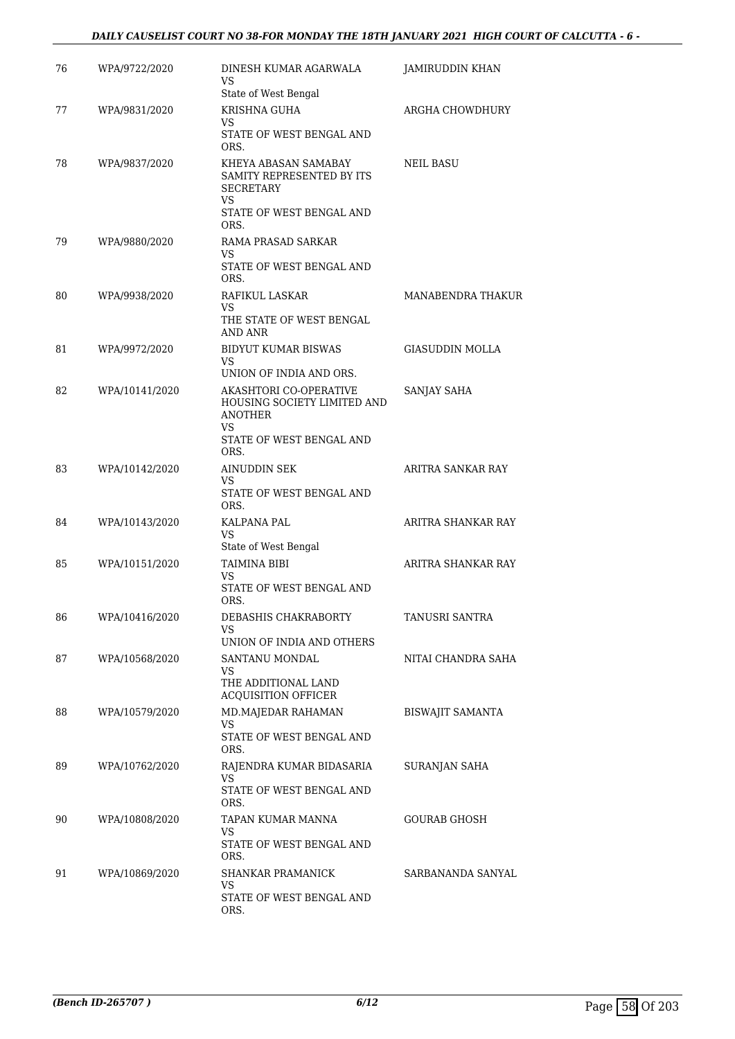#### *DAILY CAUSELIST COURT NO 38-FOR MONDAY THE 18TH JANUARY 2021 HIGH COURT OF CALCUTTA - 6 -*

| 76 | WPA/9722/2020  | DINESH KUMAR AGARWALA<br>VS                                                                             | JAMIRUDDIN KHAN        |
|----|----------------|---------------------------------------------------------------------------------------------------------|------------------------|
|    |                | State of West Bengal                                                                                    |                        |
| 77 | WPA/9831/2020  | KRISHNA GUHA<br>VS                                                                                      | ARGHA CHOWDHURY        |
|    |                | STATE OF WEST BENGAL AND<br>ORS.                                                                        |                        |
| 78 | WPA/9837/2020  | KHEYA ABASAN SAMABAY<br>SAMITY REPRESENTED BY ITS<br><b>SECRETARY</b><br>VS<br>STATE OF WEST BENGAL AND | <b>NEIL BASU</b>       |
| 79 | WPA/9880/2020  | ORS.<br>RAMA PRASAD SARKAR                                                                              |                        |
|    |                | VS<br>STATE OF WEST BENGAL AND<br>ORS.                                                                  |                        |
| 80 | WPA/9938/2020  | RAFIKUL LASKAR                                                                                          | MANABENDRA THAKUR      |
|    |                | VS<br>THE STATE OF WEST BENGAL<br>AND ANR                                                               |                        |
| 81 | WPA/9972/2020  | <b>BIDYUT KUMAR BISWAS</b><br>VS                                                                        | <b>GIASUDDIN MOLLA</b> |
|    |                | UNION OF INDIA AND ORS.                                                                                 |                        |
| 82 | WPA/10141/2020 | AKASHTORI CO-OPERATIVE<br>HOUSING SOCIETY LIMITED AND<br><b>ANOTHER</b><br>VS                           | SANJAY SAHA            |
|    |                | STATE OF WEST BENGAL AND<br>ORS.                                                                        |                        |
| 83 | WPA/10142/2020 | AINUDDIN SEK                                                                                            | ARITRA SANKAR RAY      |
|    |                | VS<br>STATE OF WEST BENGAL AND<br>ORS.                                                                  |                        |
| 84 | WPA/10143/2020 | KALPANA PAL<br>VS                                                                                       | ARITRA SHANKAR RAY     |
|    |                | State of West Bengal                                                                                    |                        |
| 85 | WPA/10151/2020 | TAIMINA BIBI<br>VS                                                                                      | ARITRA SHANKAR RAY     |
|    |                | STATE OF WEST BENGAL AND<br>ORS.                                                                        |                        |
| 86 | WPA/10416/2020 | DEBASHIS CHAKRABORTY<br>VS                                                                              | TANUSRI SANTRA         |
|    |                | UNION OF INDIA AND OTHERS                                                                               |                        |
| 87 | WPA/10568/2020 | SANTANU MONDAL<br>VS<br>THE ADDITIONAL LAND                                                             | NITAI CHANDRA SAHA     |
| 88 | WPA/10579/2020 | ACQUISITION OFFICER<br>MD.MAJEDAR RAHAMAN                                                               | BISWAJIT SAMANTA       |
|    |                | VS<br>STATE OF WEST BENGAL AND<br>ORS.                                                                  |                        |
| 89 | WPA/10762/2020 | RAJENDRA KUMAR BIDASARIA                                                                                | SURANJAN SAHA          |
|    |                | VS<br>STATE OF WEST BENGAL AND<br>ORS.                                                                  |                        |
| 90 | WPA/10808/2020 | TAPAN KUMAR MANNA                                                                                       | <b>GOURAB GHOSH</b>    |
|    |                | VS<br>STATE OF WEST BENGAL AND<br>ORS.                                                                  |                        |
| 91 | WPA/10869/2020 | SHANKAR PRAMANICK<br>VS                                                                                 | SARBANANDA SANYAL      |
|    |                | STATE OF WEST BENGAL AND<br>ORS.                                                                        |                        |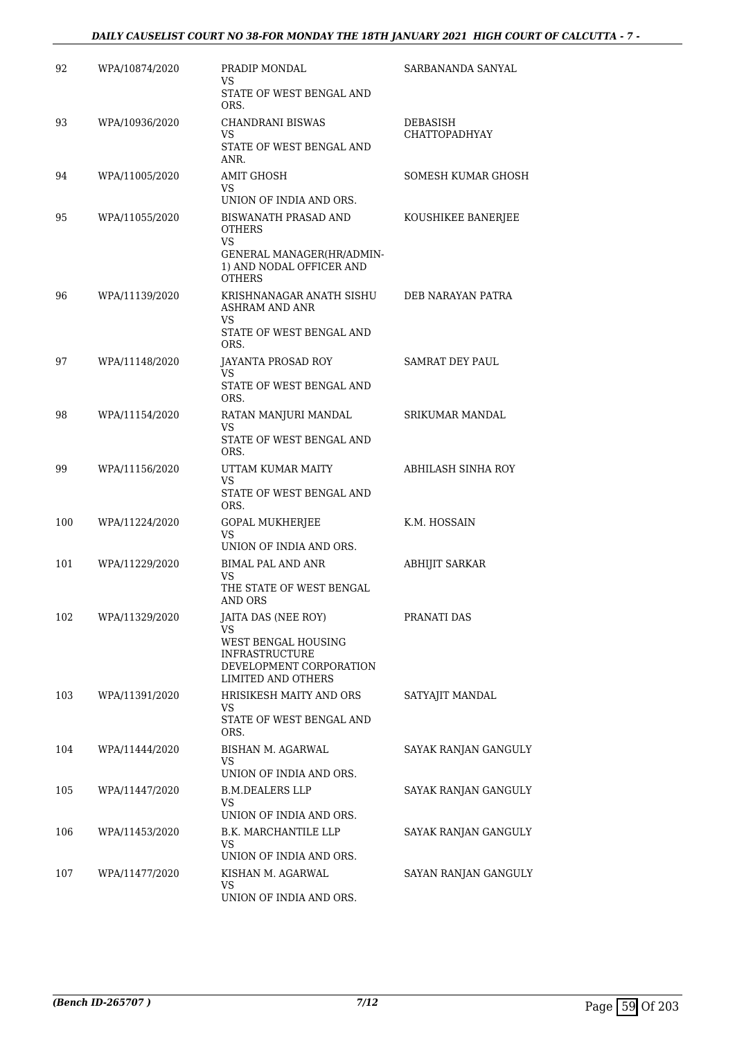#### *DAILY CAUSELIST COURT NO 38-FOR MONDAY THE 18TH JANUARY 2021 HIGH COURT OF CALCUTTA - 7 -*

| 92  | WPA/10874/2020 | PRADIP MONDAL<br>VS<br>STATE OF WEST BENGAL AND<br>ORS.                                                                           | SARBANANDA SANYAL                |
|-----|----------------|-----------------------------------------------------------------------------------------------------------------------------------|----------------------------------|
| 93  | WPA/10936/2020 | <b>CHANDRANI BISWAS</b><br>VS<br>STATE OF WEST BENGAL AND<br>ANR.                                                                 | DEBASISH<br><b>CHATTOPADHYAY</b> |
| 94  | WPA/11005/2020 | <b>AMIT GHOSH</b><br>VS<br>UNION OF INDIA AND ORS.                                                                                | SOMESH KUMAR GHOSH               |
| 95  | WPA/11055/2020 | BISWANATH PRASAD AND<br><b>OTHERS</b><br>VS.<br>GENERAL MANAGER(HR/ADMIN-<br>1) AND NODAL OFFICER AND                             | KOUSHIKEE BANERJEE               |
| 96  | WPA/11139/2020 | <b>OTHERS</b><br>KRISHNANAGAR ANATH SISHU<br><b>ASHRAM AND ANR</b><br>VS.<br>STATE OF WEST BENGAL AND                             | DEB NARAYAN PATRA                |
|     |                | ORS.                                                                                                                              |                                  |
| 97  | WPA/11148/2020 | JAYANTA PROSAD ROY<br>VS<br>STATE OF WEST BENGAL AND<br>ORS.                                                                      | SAMRAT DEY PAUL                  |
| 98  | WPA/11154/2020 | RATAN MANJURI MANDAL<br>VS<br>STATE OF WEST BENGAL AND                                                                            | SRIKUMAR MANDAL                  |
| 99  | WPA/11156/2020 | ORS.<br>UTTAM KUMAR MAITY<br>VS<br>STATE OF WEST BENGAL AND                                                                       | ABHILASH SINHA ROY               |
| 100 | WPA/11224/2020 | ORS.<br><b>GOPAL MUKHERJEE</b><br><b>VS</b><br>UNION OF INDIA AND ORS.                                                            | K.M. HOSSAIN                     |
| 101 | WPA/11229/2020 | <b>BIMAL PAL AND ANR</b><br>VS<br>THE STATE OF WEST BENGAL<br>AND ORS                                                             | ABHIJIT SARKAR                   |
| 102 | WPA/11329/2020 | JAITA DAS (NEE ROY)<br>VS<br>WEST BENGAL HOUSING<br><b>INFRASTRUCTURE</b><br>DEVELOPMENT CORPORATION<br><b>LIMITED AND OTHERS</b> | PRANATI DAS                      |
| 103 | WPA/11391/2020 | HRISIKESH MAITY AND ORS<br>VS.<br>STATE OF WEST BENGAL AND<br>ORS.                                                                | SATYAJIT MANDAL                  |
| 104 | WPA/11444/2020 | BISHAN M. AGARWAL<br>VS<br>UNION OF INDIA AND ORS.                                                                                | SAYAK RANJAN GANGULY             |
| 105 | WPA/11447/2020 | <b>B.M.DEALERS LLP</b><br>VS<br>UNION OF INDIA AND ORS.                                                                           | SAYAK RANJAN GANGULY             |
| 106 | WPA/11453/2020 | B.K. MARCHANTILE LLP<br>VS<br>UNION OF INDIA AND ORS.                                                                             | SAYAK RANJAN GANGULY             |
| 107 | WPA/11477/2020 | KISHAN M. AGARWAL<br>VS<br>UNION OF INDIA AND ORS.                                                                                | SAYAN RANJAN GANGULY             |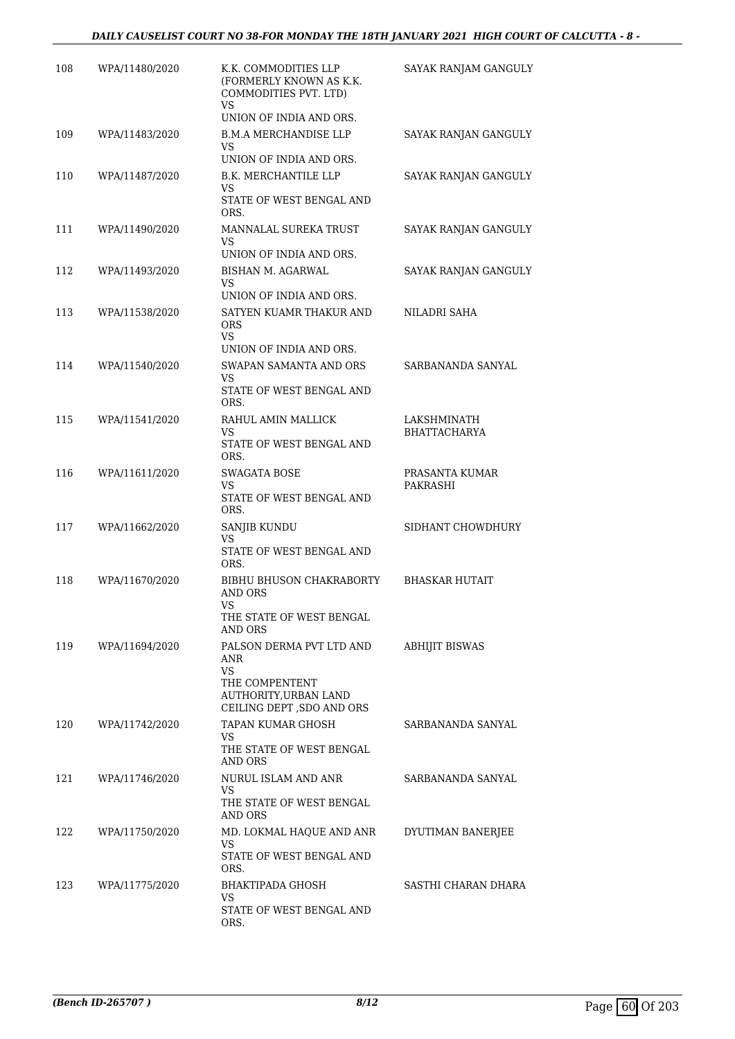| 108 | WPA/11480/2020 | K.K. COMMODITIES LLP<br>(FORMERLY KNOWN AS K.K.<br>COMMODITIES PVT. LTD)<br>VS<br>UNION OF INDIA AND ORS.             | SAYAK RANJAM GANGULY               |
|-----|----------------|-----------------------------------------------------------------------------------------------------------------------|------------------------------------|
| 109 | WPA/11483/2020 | <b>B.M.A MERCHANDISE LLP</b><br>VS<br>UNION OF INDIA AND ORS.                                                         | SAYAK RANJAN GANGULY               |
| 110 | WPA/11487/2020 | B.K. MERCHANTILE LLP<br>VS.<br>STATE OF WEST BENGAL AND<br>ORS.                                                       | SAYAK RANJAN GANGULY               |
| 111 | WPA/11490/2020 | MANNALAL SUREKA TRUST<br>VS<br>UNION OF INDIA AND ORS.                                                                | SAYAK RANJAN GANGULY               |
| 112 | WPA/11493/2020 | BISHAN M. AGARWAL<br>VS<br>UNION OF INDIA AND ORS.                                                                    | SAYAK RANJAN GANGULY               |
| 113 | WPA/11538/2020 | SATYEN KUAMR THAKUR AND<br><b>ORS</b><br><b>VS</b><br>UNION OF INDIA AND ORS.                                         | NILADRI SAHA                       |
| 114 | WPA/11540/2020 | SWAPAN SAMANTA AND ORS<br>VS<br>STATE OF WEST BENGAL AND<br>ORS.                                                      | SARBANANDA SANYAL                  |
| 115 | WPA/11541/2020 | RAHUL AMIN MALLICK<br>VS<br>STATE OF WEST BENGAL AND<br>ORS.                                                          | LAKSHMINATH<br><b>BHATTACHARYA</b> |
| 116 | WPA/11611/2020 | SWAGATA BOSE<br>VS<br>STATE OF WEST BENGAL AND<br>ORS.                                                                | PRASANTA KUMAR<br>PAKRASHI         |
| 117 | WPA/11662/2020 | SANJIB KUNDU<br>VS<br>STATE OF WEST BENGAL AND<br>ORS.                                                                | SIDHANT CHOWDHURY                  |
| 118 | WPA/11670/2020 | <b>BIBHU BHUSON CHAKRABORTY</b><br><b>AND ORS</b><br><b>VS</b><br>THE STATE OF WEST BENGAL<br>AND ORS                 | BHASKAR HUTAIT                     |
| 119 | WPA/11694/2020 | PALSON DERMA PVT LTD AND<br>ANR<br><b>VS</b><br>THE COMPENTENT<br>AUTHORITY, URBAN LAND<br>CEILING DEPT , SDO AND ORS | <b>ABHIJIT BISWAS</b>              |
| 120 | WPA/11742/2020 | TAPAN KUMAR GHOSH<br>VS.<br>THE STATE OF WEST BENGAL<br>AND ORS                                                       | SARBANANDA SANYAL                  |
| 121 | WPA/11746/2020 | NURUL ISLAM AND ANR<br>VS.<br>THE STATE OF WEST BENGAL<br>AND ORS                                                     | SARBANANDA SANYAL                  |
| 122 | WPA/11750/2020 | MD. LOKMAL HAQUE AND ANR<br>VS.<br>STATE OF WEST BENGAL AND<br>ORS.                                                   | DYUTIMAN BANERJEE                  |
| 123 | WPA/11775/2020 | BHAKTIPADA GHOSH<br>VS<br>STATE OF WEST BENGAL AND<br>ORS.                                                            | SASTHI CHARAN DHARA                |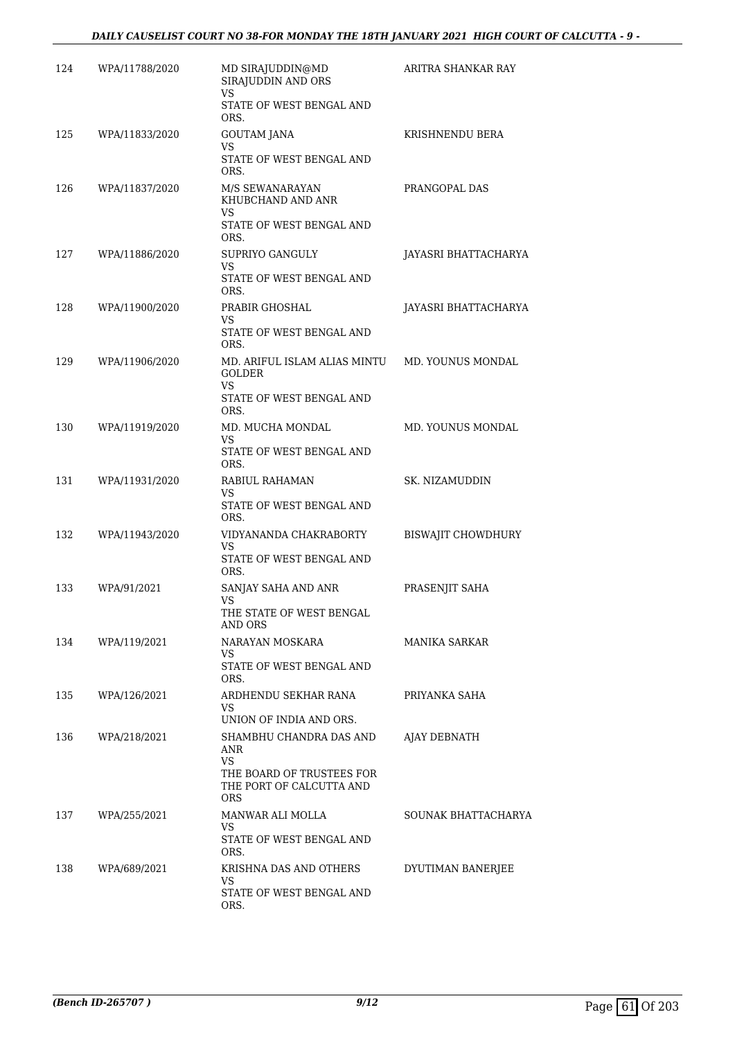| 124 | WPA/11788/2020 | MD SIRAJUDDIN@MD<br>SIRAJUDDIN AND ORS<br><b>VS</b>                                                                | ARITRA SHANKAR RAY        |
|-----|----------------|--------------------------------------------------------------------------------------------------------------------|---------------------------|
|     |                | STATE OF WEST BENGAL AND<br>ORS.                                                                                   |                           |
| 125 | WPA/11833/2020 | GOUTAM JANA<br>VS.                                                                                                 | KRISHNENDU BERA           |
|     |                | STATE OF WEST BENGAL AND<br>ORS.                                                                                   |                           |
| 126 | WPA/11837/2020 | M/S SEWANARAYAN<br>KHUBCHAND AND ANR<br>VS.<br>STATE OF WEST BENGAL AND<br>ORS.                                    | PRANGOPAL DAS             |
| 127 | WPA/11886/2020 | SUPRIYO GANGULY<br>VS.<br>STATE OF WEST BENGAL AND<br>ORS.                                                         | JAYASRI BHATTACHARYA      |
| 128 | WPA/11900/2020 | PRABIR GHOSHAL<br>VS.<br>STATE OF WEST BENGAL AND                                                                  | JAYASRI BHATTACHARYA      |
| 129 | WPA/11906/2020 | ORS.<br>MD. ARIFUL ISLAM ALIAS MINTU<br><b>GOLDER</b><br>VS<br>STATE OF WEST BENGAL AND                            | MD. YOUNUS MONDAL         |
| 130 | WPA/11919/2020 | ORS.<br>MD. MUCHA MONDAL                                                                                           | MD. YOUNUS MONDAL         |
|     |                | VS.<br>STATE OF WEST BENGAL AND<br>ORS.                                                                            |                           |
| 131 | WPA/11931/2020 | RABIUL RAHAMAN<br>VS.<br>STATE OF WEST BENGAL AND<br>ORS.                                                          | SK. NIZAMUDDIN            |
| 132 | WPA/11943/2020 | VIDYANANDA CHAKRABORTY<br>VS.<br>STATE OF WEST BENGAL AND<br>ORS.                                                  | <b>BISWAJIT CHOWDHURY</b> |
| 133 | WPA/91/2021    | SANJAY SAHA AND ANR<br>VS<br>THE STATE OF WEST BENGAL                                                              | PRASENJIT SAHA            |
| 134 | WPA/119/2021   | AND ORS<br>NARAYAN MOSKARA<br>VS.<br>STATE OF WEST BENGAL AND<br>ORS.                                              | <b>MANIKA SARKAR</b>      |
| 135 | WPA/126/2021   | ARDHENDU SEKHAR RANA<br>VS<br>UNION OF INDIA AND ORS.                                                              | PRIYANKA SAHA             |
| 136 | WPA/218/2021   | SHAMBHU CHANDRA DAS AND<br>ANR<br><b>VS</b><br>THE BOARD OF TRUSTEES FOR<br>THE PORT OF CALCUTTA AND<br><b>ORS</b> | AJAY DEBNATH              |
| 137 | WPA/255/2021   | MANWAR ALI MOLLA<br>VS<br>STATE OF WEST BENGAL AND<br>ORS.                                                         | SOUNAK BHATTACHARYA       |
| 138 | WPA/689/2021   | KRISHNA DAS AND OTHERS<br>VS<br>STATE OF WEST BENGAL AND<br>ORS.                                                   | DYUTIMAN BANERJEE         |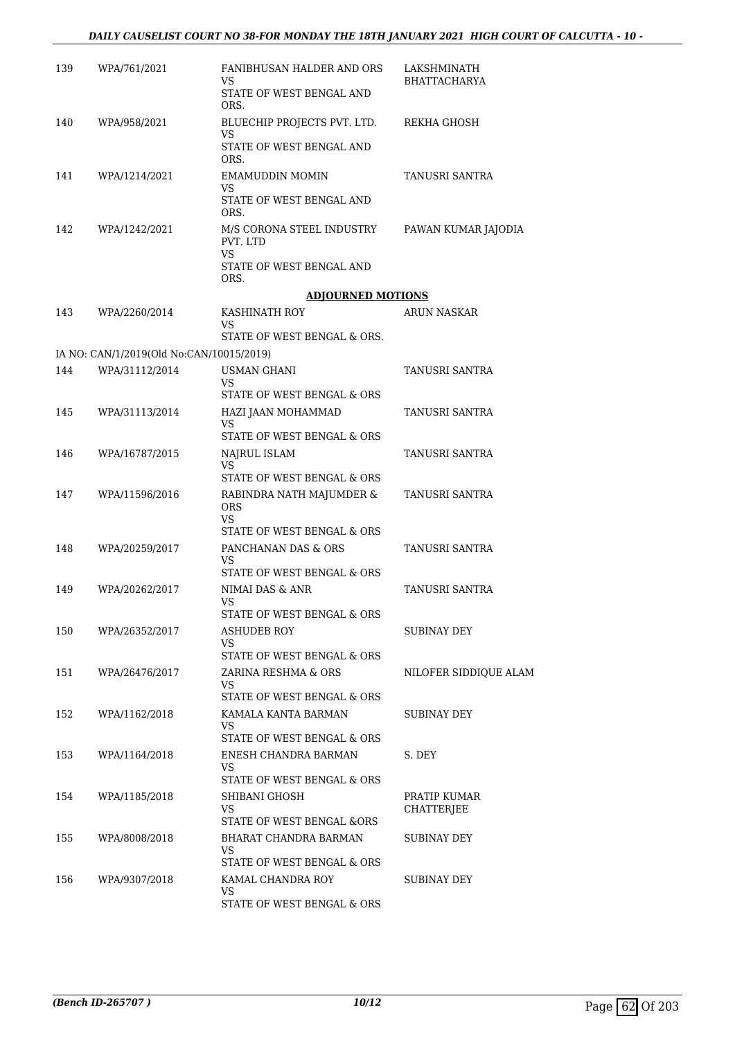| 139 | WPA/761/2021                                               | FANIBHUSAN HALDER AND ORS<br>VS<br>STATE OF WEST BENGAL AND | LAKSHMINATH<br><b>BHATTACHARYA</b> |
|-----|------------------------------------------------------------|-------------------------------------------------------------|------------------------------------|
|     |                                                            | ORS.                                                        |                                    |
| 140 | WPA/958/2021                                               | BLUECHIP PROJECTS PVT. LTD.<br>VS                           | REKHA GHOSH                        |
|     |                                                            | STATE OF WEST BENGAL AND<br>ORS.                            |                                    |
| 141 | WPA/1214/2021                                              | <b>EMAMUDDIN MOMIN</b><br>VS                                | TANUSRI SANTRA                     |
|     |                                                            | STATE OF WEST BENGAL AND<br>ORS.                            |                                    |
| 142 | WPA/1242/2021                                              | M/S CORONA STEEL INDUSTRY<br>PVT. LTD                       | PAWAN KUMAR JAJODIA                |
|     |                                                            | VS.<br>STATE OF WEST BENGAL AND<br>ORS.                     |                                    |
|     |                                                            | <b>ADJOURNED MOTIONS</b>                                    |                                    |
| 143 | WPA/2260/2014                                              | KASHINATH ROY<br>VS                                         | ARUN NASKAR                        |
|     |                                                            | STATE OF WEST BENGAL & ORS.                                 |                                    |
| 144 | IA NO: CAN/1/2019(Old No:CAN/10015/2019)<br>WPA/31112/2014 | <b>USMAN GHANI</b>                                          | TANUSRI SANTRA                     |
|     |                                                            | VS.<br>STATE OF WEST BENGAL & ORS                           |                                    |
| 145 | WPA/31113/2014                                             | HAZI JAAN MOHAMMAD                                          | TANUSRI SANTRA                     |
|     |                                                            | VS                                                          |                                    |
| 146 | WPA/16787/2015                                             | STATE OF WEST BENGAL & ORS                                  | TANUSRI SANTRA                     |
|     |                                                            | NAJRUL ISLAM<br><b>VS</b><br>STATE OF WEST BENGAL & ORS     |                                    |
| 147 | WPA/11596/2016                                             | RABINDRA NATH MAJUMDER &<br><b>ORS</b>                      | TANUSRI SANTRA                     |
|     |                                                            | VS<br>STATE OF WEST BENGAL & ORS                            |                                    |
| 148 | WPA/20259/2017                                             | PANCHANAN DAS & ORS                                         | TANUSRI SANTRA                     |
|     |                                                            | VS<br>STATE OF WEST BENGAL & ORS                            |                                    |
| 149 | WPA/20262/2017                                             | NIMAI DAS & ANR                                             | TANUSRI SANTRA                     |
|     |                                                            | VS                                                          |                                    |
|     |                                                            | STATE OF WEST BENGAL & ORS                                  |                                    |
| 150 | WPA/26352/2017                                             | ASHUDEB ROY<br>VS.                                          | SUBINAY DEY                        |
|     |                                                            | STATE OF WEST BENGAL & ORS                                  |                                    |
| 151 | WPA/26476/2017                                             | ZARINA RESHMA & ORS<br>VS.                                  | NILOFER SIDDIQUE ALAM              |
|     |                                                            | STATE OF WEST BENGAL & ORS                                  |                                    |
| 152 | WPA/1162/2018                                              | KAMALA KANTA BARMAN<br>VS.<br>STATE OF WEST BENGAL & ORS    | SUBINAY DEY                        |
| 153 | WPA/1164/2018                                              | ENESH CHANDRA BARMAN                                        | S. DEY                             |
|     |                                                            | VS.                                                         |                                    |
|     |                                                            | STATE OF WEST BENGAL & ORS                                  |                                    |
| 154 | WPA/1185/2018                                              | SHIBANI GHOSH<br>VS.<br>STATE OF WEST BENGAL &ORS           | PRATIP KUMAR<br><b>CHATTERJEE</b>  |
| 155 | WPA/8008/2018                                              | BHARAT CHANDRA BARMAN                                       | SUBINAY DEY                        |
|     |                                                            | VS.<br>STATE OF WEST BENGAL & ORS                           |                                    |
| 156 | WPA/9307/2018                                              | KAMAL CHANDRA ROY                                           | SUBINAY DEY                        |
|     |                                                            | VS.<br>STATE OF WEST BENGAL & ORS                           |                                    |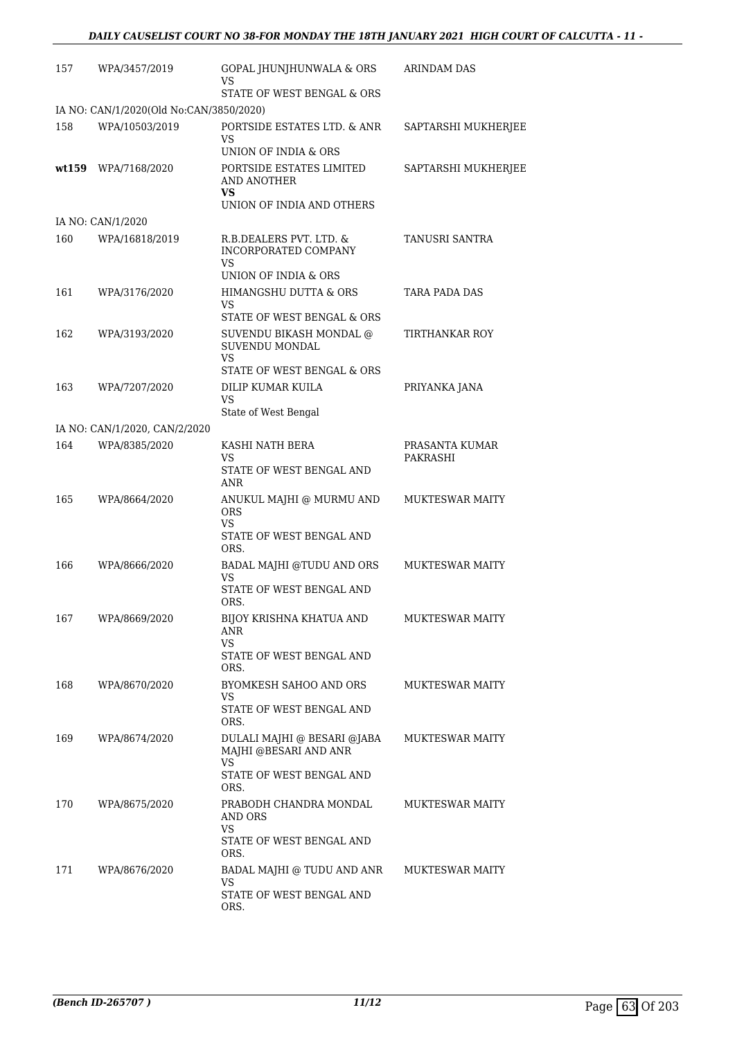| 157   | WPA/3457/2019                           | GOPAL JHUNJHUNWALA & ORS<br>VS                                                          | ARINDAM DAS            |
|-------|-----------------------------------------|-----------------------------------------------------------------------------------------|------------------------|
|       |                                         | STATE OF WEST BENGAL & ORS                                                              |                        |
|       | IA NO: CAN/1/2020(Old No:CAN/3850/2020) |                                                                                         |                        |
| 158   | WPA/10503/2019                          | PORTSIDE ESTATES LTD. & ANR<br>VS<br>UNION OF INDIA & ORS                               | SAPTARSHI MUKHERJEE    |
| wt159 | WPA/7168/2020                           | PORTSIDE ESTATES LIMITED<br>AND ANOTHER<br>VS                                           | SAPTARSHI MUKHERJEE    |
|       |                                         | UNION OF INDIA AND OTHERS                                                               |                        |
|       | IA NO: CAN/1/2020                       |                                                                                         |                        |
| 160   | WPA/16818/2019                          | R.B.DEALERS PVT. LTD. &<br>INCORPORATED COMPANY<br>VS.<br>UNION OF INDIA & ORS          | TANUSRI SANTRA         |
| 161   | WPA/3176/2020                           | HIMANGSHU DUTTA & ORS                                                                   | TARA PADA DAS          |
|       |                                         | VS                                                                                      |                        |
|       |                                         | STATE OF WEST BENGAL & ORS                                                              |                        |
| 162   | WPA/3193/2020                           | SUVENDU BIKASH MONDAL @<br>SUVENDU MONDAL<br>VS                                         | TIRTHANKAR ROY         |
|       |                                         | STATE OF WEST BENGAL & ORS                                                              |                        |
| 163   | WPA/7207/2020                           | DILIP KUMAR KUILA<br>VS<br>State of West Bengal                                         | PRIYANKA JANA          |
|       | IA NO: CAN/1/2020, CAN/2/2020           |                                                                                         |                        |
| 164   | WPA/8385/2020                           | KASHI NATH BERA                                                                         | PRASANTA KUMAR         |
|       |                                         | VS<br>STATE OF WEST BENGAL AND<br>ANR                                                   | PAKRASHI               |
| 165   | WPA/8664/2020                           | ANUKUL MAJHI @ MURMU AND<br>ORS                                                         | <b>MUKTESWAR MAITY</b> |
|       |                                         | VS.<br>STATE OF WEST BENGAL AND<br>ORS.                                                 |                        |
| 166   | WPA/8666/2020                           | BADAL MAJHI @TUDU AND ORS                                                               | <b>MUKTESWAR MAITY</b> |
|       |                                         | <b>VS</b><br>STATE OF WEST BENGAL AND<br>ORS.                                           |                        |
| 167   | WPA/8669/2020                           | BIJOY KRISHNA KHATUA AND<br>ANR                                                         | <b>MUKTESWAR MAITY</b> |
|       |                                         | VS<br>STATE OF WEST BENGAL AND<br>ORS.                                                  |                        |
| 168   | WPA/8670/2020                           | BYOMKESH SAHOO AND ORS                                                                  | <b>MUKTESWAR MAITY</b> |
|       |                                         | VS<br>STATE OF WEST BENGAL AND<br>ORS.                                                  |                        |
| 169   | WPA/8674/2020                           | DULALI MAJHI @ BESARI @JABA<br>MAJHI @BESARI AND ANR<br>VS.<br>STATE OF WEST BENGAL AND | <b>MUKTESWAR MAITY</b> |
|       |                                         | ORS.                                                                                    |                        |
| 170   | WPA/8675/2020                           | PRABODH CHANDRA MONDAL<br>AND ORS<br><b>VS</b>                                          | <b>MUKTESWAR MAITY</b> |
|       |                                         | STATE OF WEST BENGAL AND<br>ORS.                                                        |                        |
| 171   | WPA/8676/2020                           | BADAL MAJHI @ TUDU AND ANR<br>VS<br>STATE OF WEST BENGAL AND<br>ORS.                    | <b>MUKTESWAR MAITY</b> |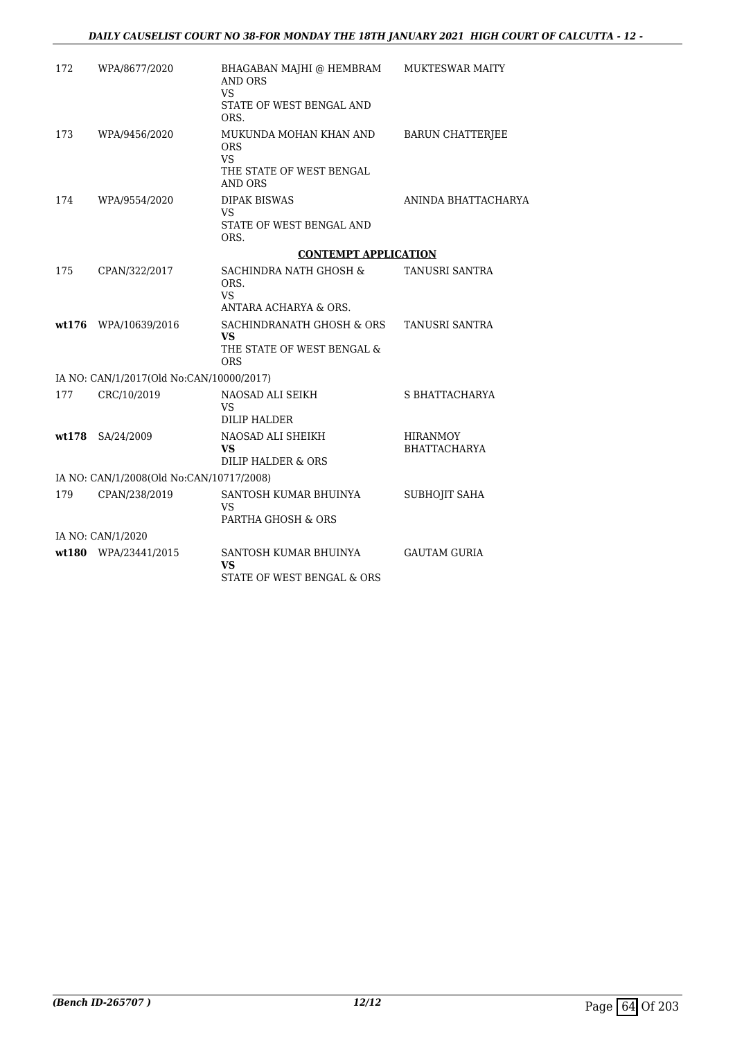| 172    | WPA/8677/2020                            | BHAGABAN MAJHI @ HEMBRAM<br><b>AND ORS</b><br><b>VS</b><br>STATE OF WEST BENGAL AND<br>ORS. | MUKTESWAR MAITY                        |
|--------|------------------------------------------|---------------------------------------------------------------------------------------------|----------------------------------------|
| 173    | WPA/9456/2020                            | MUKUNDA MOHAN KHAN AND<br><b>ORS</b><br>VS<br>THE STATE OF WEST BENGAL<br><b>AND ORS</b>    | <b>BARUN CHATTERJEE</b>                |
| 174    | WPA/9554/2020                            | <b>DIPAK BISWAS</b><br>VS<br>STATE OF WEST BENGAL AND<br>ORS.                               | ANINDA BHATTACHARYA                    |
|        |                                          | <b>CONTEMPT APPLICATION</b>                                                                 |                                        |
| 175    | CPAN/322/2017                            | SACHINDRA NATH GHOSH &<br>ORS.<br><b>VS</b><br>ANTARA ACHARYA & ORS.                        | TANUSRI SANTRA                         |
| wt.176 | WPA/10639/2016                           | SACHINDRANATH GHOSH & ORS<br>VS.<br>THE STATE OF WEST BENGAL &<br><b>ORS</b>                | TANUSRI SANTRA                         |
|        | IA NO: CAN/1/2017(Old No:CAN/10000/2017) |                                                                                             |                                        |
| 177    | CRC/10/2019                              | NAOSAD ALI SEIKH<br>VS<br>DILIP HALDER                                                      | S BHATTACHARYA                         |
| wt.178 | SA/24/2009                               | NAOSAD ALI SHEIKH<br>VS<br>DILIP HALDER & ORS                                               | <b>HIRANMOY</b><br><b>BHATTACHARYA</b> |
|        | IA NO: CAN/1/2008(Old No:CAN/10717/2008) |                                                                                             |                                        |
| 179    | CPAN/238/2019                            | SANTOSH KUMAR BHUINYA<br>VS<br>PARTHA GHOSH & ORS                                           | SUBHOJIT SAHA                          |
|        | IA NO: CAN/1/2020                        |                                                                                             |                                        |
|        | wt180 WPA/23441/2015                     | SANTOSH KUMAR BHUINYA<br>VS<br>STATE OF WEST BENGAL & ORS                                   | <b>GAUTAM GURIA</b>                    |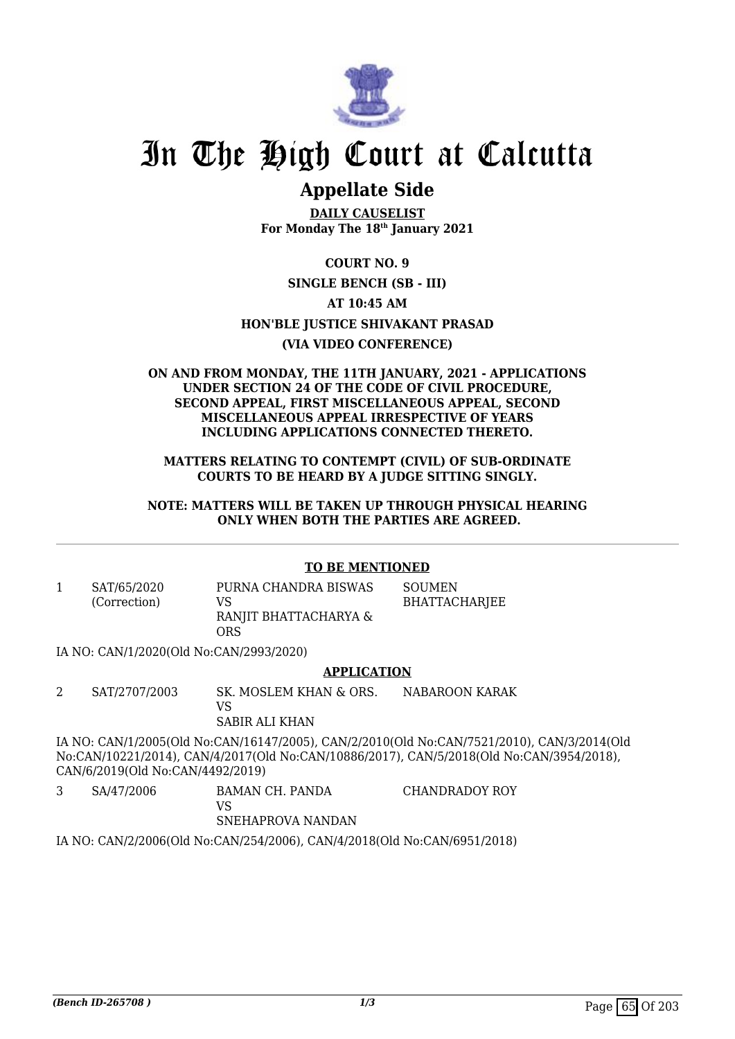

# In The High Court at Calcutta

## **Appellate Side**

**DAILY CAUSELIST For Monday The 18th January 2021**

#### **COURT NO. 9**

#### **SINGLE BENCH (SB - III)**

#### **AT 10:45 AM**

#### **HON'BLE JUSTICE SHIVAKANT PRASAD**

#### **(VIA VIDEO CONFERENCE)**

#### **ON AND FROM MONDAY, THE 11TH JANUARY, 2021 - APPLICATIONS UNDER SECTION 24 OF THE CODE OF CIVIL PROCEDURE, SECOND APPEAL, FIRST MISCELLANEOUS APPEAL, SECOND MISCELLANEOUS APPEAL IRRESPECTIVE OF YEARS INCLUDING APPLICATIONS CONNECTED THERETO.**

**MATTERS RELATING TO CONTEMPT (CIVIL) OF SUB-ORDINATE COURTS TO BE HEARD BY A JUDGE SITTING SINGLY.**

**NOTE: MATTERS WILL BE TAKEN UP THROUGH PHYSICAL HEARING ONLY WHEN BOTH THE PARTIES ARE AGREED.**

#### **TO BE MENTIONED**

1 SAT/65/2020 (Correction) PURNA CHANDRA BISWAS VS RANJIT BHATTACHARYA & ORS SOUMEN BHATTACHARJEE

IA NO: CAN/1/2020(Old No:CAN/2993/2020)

#### **APPLICATION**

2 SAT/2707/2003 SK. MOSLEM KHAN & ORS. VS SABIR ALI KHAN NABAROON KARAK

IA NO: CAN/1/2005(Old No:CAN/16147/2005), CAN/2/2010(Old No:CAN/7521/2010), CAN/3/2014(Old No:CAN/10221/2014), CAN/4/2017(Old No:CAN/10886/2017), CAN/5/2018(Old No:CAN/3954/2018), CAN/6/2019(Old No:CAN/4492/2019)

3 SA/47/2006 BAMAN CH. PANDA VS SNEHAPROVA NANDAN CHANDRADOY ROY

IA NO: CAN/2/2006(Old No:CAN/254/2006), CAN/4/2018(Old No:CAN/6951/2018)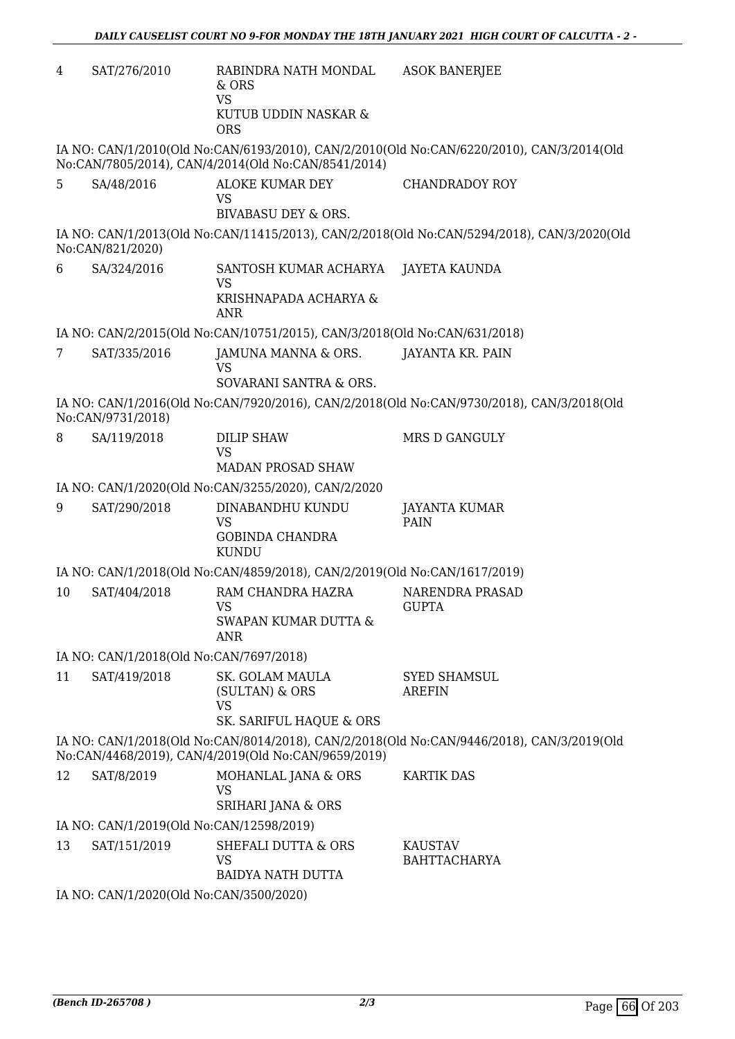| 4  | SAT/276/2010                                                                                                                                     | RABINDRA NATH MONDAL<br>$&$ ORS<br><b>VS</b><br>KUTUB UDDIN NASKAR &<br><b>ORS</b> | <b>ASOK BANERJEE</b>                                                                       |  |  |
|----|--------------------------------------------------------------------------------------------------------------------------------------------------|------------------------------------------------------------------------------------|--------------------------------------------------------------------------------------------|--|--|
|    |                                                                                                                                                  | No:CAN/7805/2014), CAN/4/2014(Old No:CAN/8541/2014)                                | IA NO: CAN/1/2010(Old No:CAN/6193/2010), CAN/2/2010(Old No:CAN/6220/2010), CAN/3/2014(Old  |  |  |
| 5  | SA/48/2016                                                                                                                                       | ALOKE KUMAR DEY<br><b>VS</b><br><b>BIVABASU DEY &amp; ORS.</b>                     | <b>CHANDRADOY ROY</b>                                                                      |  |  |
|    | No:CAN/821/2020)                                                                                                                                 |                                                                                    | IA NO: CAN/1/2013(Old No:CAN/11415/2013), CAN/2/2018(Old No:CAN/5294/2018), CAN/3/2020(Old |  |  |
| 6  | SA/324/2016                                                                                                                                      | SANTOSH KUMAR ACHARYA<br><b>VS</b><br>KRISHNAPADA ACHARYA &<br><b>ANR</b>          | JAYETA KAUNDA                                                                              |  |  |
|    |                                                                                                                                                  | IA NO: CAN/2/2015(Old No:CAN/10751/2015), CAN/3/2018(Old No:CAN/631/2018)          |                                                                                            |  |  |
| 7  | SAT/335/2016                                                                                                                                     | JAMUNA MANNA & ORS.<br>VS                                                          | JAYANTA KR. PAIN                                                                           |  |  |
|    |                                                                                                                                                  | SOVARANI SANTRA & ORS.                                                             |                                                                                            |  |  |
|    | No:CAN/9731/2018)                                                                                                                                |                                                                                    | IA NO: CAN/1/2016(Old No:CAN/7920/2016), CAN/2/2018(Old No:CAN/9730/2018), CAN/3/2018(Old  |  |  |
| 8  | SA/119/2018                                                                                                                                      | <b>DILIP SHAW</b><br><b>VS</b><br><b>MADAN PROSAD SHAW</b>                         | <b>MRS D GANGULY</b>                                                                       |  |  |
|    |                                                                                                                                                  | IA NO: CAN/1/2020(Old No:CAN/3255/2020), CAN/2/2020                                |                                                                                            |  |  |
| 9  | SAT/290/2018                                                                                                                                     | DINABANDHU KUNDU<br><b>VS</b><br><b>GOBINDA CHANDRA</b><br><b>KUNDU</b>            | JAYANTA KUMAR<br>PAIN                                                                      |  |  |
|    |                                                                                                                                                  | IA NO: CAN/1/2018(Old No:CAN/4859/2018), CAN/2/2019(Old No:CAN/1617/2019)          |                                                                                            |  |  |
| 10 | SAT/404/2018                                                                                                                                     | RAM CHANDRA HAZRA<br><b>VS</b><br><b>SWAPAN KUMAR DUTTA &amp;</b><br><b>ANR</b>    | NARENDRA PRASAD<br><b>GUPTA</b>                                                            |  |  |
|    | IA NO: CAN/1/2018(Old No:CAN/7697/2018)                                                                                                          |                                                                                    |                                                                                            |  |  |
| 11 | SAT/419/2018                                                                                                                                     | SK. GOLAM MAULA<br>(SULTAN) & ORS<br><b>VS</b><br>SK. SARIFUL HAQUE & ORS          | <b>SYED SHAMSUL</b><br><b>AREFIN</b>                                                       |  |  |
|    | IA NO: CAN/1/2018(Old No:CAN/8014/2018), CAN/2/2018(Old No:CAN/9446/2018), CAN/3/2019(Old<br>No:CAN/4468/2019), CAN/4/2019(Old No:CAN/9659/2019) |                                                                                    |                                                                                            |  |  |
| 12 | SAT/8/2019                                                                                                                                       | MOHANLAL JANA & ORS<br>VS<br><b>SRIHARI JANA &amp; ORS</b>                         | <b>KARTIK DAS</b>                                                                          |  |  |
|    | IA NO: CAN/1/2019(Old No:CAN/12598/2019)                                                                                                         |                                                                                    |                                                                                            |  |  |
| 13 | SAT/151/2019                                                                                                                                     | SHEFALI DUTTA & ORS<br><b>VS</b><br><b>BAIDYA NATH DUTTA</b>                       | <b>KAUSTAV</b><br><b>BAHTTACHARYA</b>                                                      |  |  |
|    | IA NO: CAN/1/2020(Old No:CAN/3500/2020)                                                                                                          |                                                                                    |                                                                                            |  |  |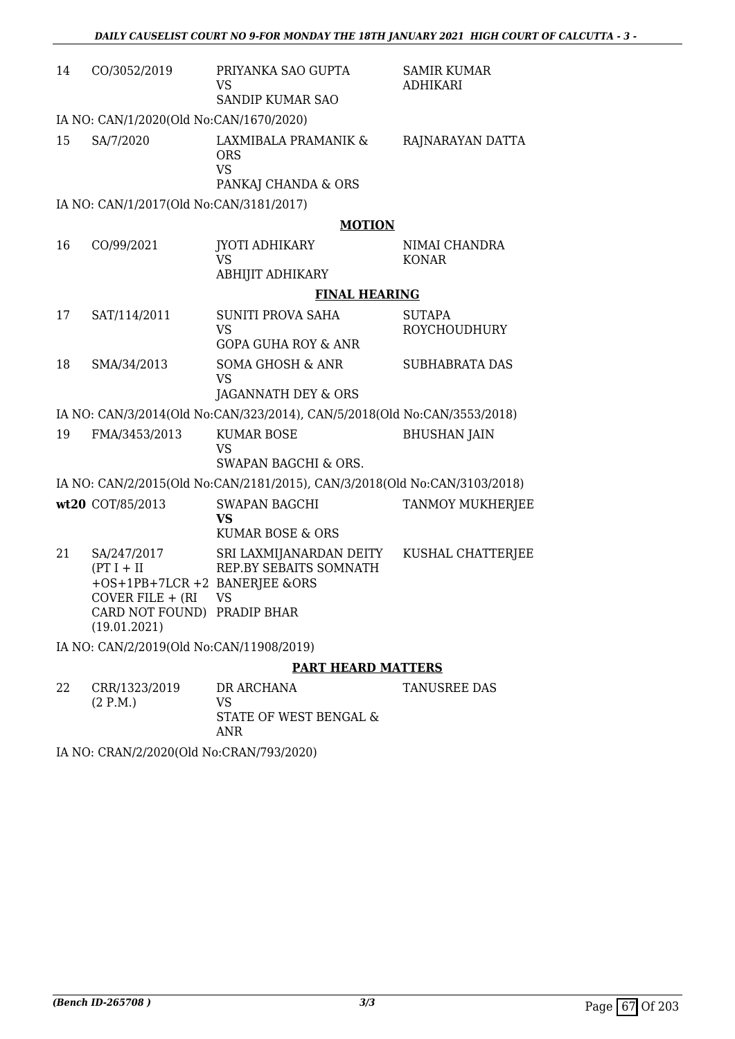| 14 | CO/3052/2019                                                                                                                    | PRIYANKA SAO GUPTA<br><b>VS</b>                                            | <b>SAMIR KUMAR</b><br><b>ADHIKARI</b> |
|----|---------------------------------------------------------------------------------------------------------------------------------|----------------------------------------------------------------------------|---------------------------------------|
|    |                                                                                                                                 | SANDIP KUMAR SAO                                                           |                                       |
|    | IA NO: CAN/1/2020(Old No:CAN/1670/2020)                                                                                         |                                                                            |                                       |
| 15 | SA/7/2020                                                                                                                       | LAXMIBALA PRAMANIK &<br><b>ORS</b><br><b>VS</b><br>PANKAJ CHANDA & ORS     | RAJNARAYAN DATTA                      |
|    | IA NO: CAN/1/2017(Old No:CAN/3181/2017)                                                                                         |                                                                            |                                       |
|    |                                                                                                                                 | <b>MOTION</b>                                                              |                                       |
|    |                                                                                                                                 |                                                                            |                                       |
| 16 | CO/99/2021                                                                                                                      | <b>JYOTI ADHIKARY</b><br><b>VS</b>                                         | NIMAI CHANDRA<br><b>KONAR</b>         |
|    |                                                                                                                                 | ABHIJIT ADHIKARY                                                           |                                       |
|    |                                                                                                                                 | <b>FINAL HEARING</b>                                                       |                                       |
| 17 | SAT/114/2011                                                                                                                    | <b>SUNITI PROVA SAHA</b>                                                   | <b>SUTAPA</b>                         |
|    |                                                                                                                                 | <b>VS</b><br><b>GOPA GUHA ROY &amp; ANR</b>                                | <b>ROYCHOUDHURY</b>                   |
| 18 | SMA/34/2013                                                                                                                     | <b>SOMA GHOSH &amp; ANR</b><br><b>VS</b>                                   | <b>SUBHABRATA DAS</b>                 |
|    |                                                                                                                                 | JAGANNATH DEY & ORS                                                        |                                       |
|    |                                                                                                                                 | IA NO: CAN/3/2014(Old No:CAN/323/2014), CAN/5/2018(Old No:CAN/3553/2018)   |                                       |
| 19 | FMA/3453/2013                                                                                                                   | <b>KUMAR BOSE</b><br><b>VS</b>                                             | <b>BHUSHAN JAIN</b>                   |
|    |                                                                                                                                 | SWAPAN BAGCHI & ORS.                                                       |                                       |
|    |                                                                                                                                 | IA NO: CAN/2/2015(Old No:CAN/2181/2015), CAN/3/2018(Old No:CAN/3103/2018)  |                                       |
|    | wt20 COT/85/2013                                                                                                                | <b>SWAPAN BAGCHI</b><br><b>VS</b><br>KUMAR BOSE & ORS                      | TANMOY MUKHERJEE                      |
|    |                                                                                                                                 |                                                                            |                                       |
| 21 | SA/247/2017<br>$(PT I + II$<br>+OS+1PB+7LCR +2 BANERJEE &ORS<br>COVER FILE + (RI<br>CARD NOT FOUND) PRADIP BHAR<br>(19.01.2021) | SRI LAXMIJANARDAN DEITY<br>REP.BY SEBAITS SOMNATH<br><b>VS</b>             | KUSHAL CHATTERJEE                     |
|    | IA NO: CAN/2/2019(Old No:CAN/11908/2019)                                                                                        |                                                                            |                                       |
|    |                                                                                                                                 | <b>PART HEARD MATTERS</b>                                                  |                                       |
| 22 | CRR/1323/2019<br>(2 P.M.)                                                                                                       | DR ARCHANA<br><b>VS</b><br><b>STATE OF WEST BENGAL &amp;</b><br><b>ANR</b> | TANUSREE DAS                          |

IA NO: CRAN/2/2020(Old No:CRAN/793/2020)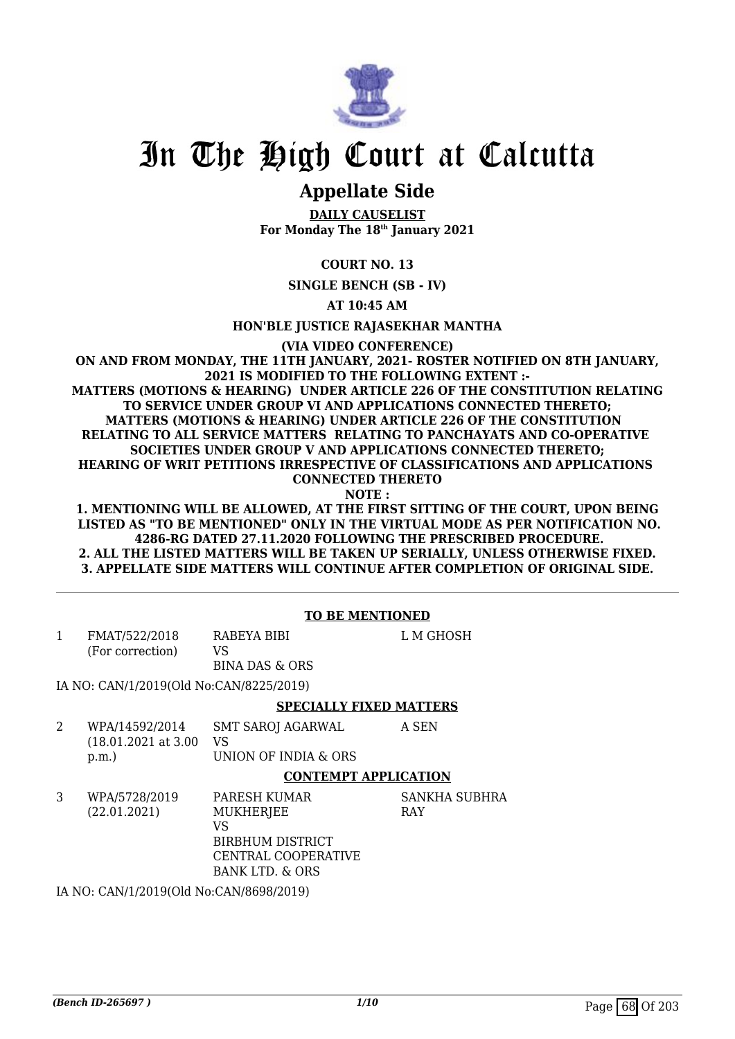

# In The High Court at Calcutta

## **Appellate Side**

**DAILY CAUSELIST For Monday The 18th January 2021**

**COURT NO. 13**

**SINGLE BENCH (SB - IV)**

**AT 10:45 AM**

**HON'BLE JUSTICE RAJASEKHAR MANTHA**

**(VIA VIDEO CONFERENCE)**

**ON AND FROM MONDAY, THE 11TH JANUARY, 2021- ROSTER NOTIFIED ON 8TH JANUARY, 2021 IS MODIFIED TO THE FOLLOWING EXTENT :- MATTERS (MOTIONS & HEARING) UNDER ARTICLE 226 OF THE CONSTITUTION RELATING TO SERVICE UNDER GROUP VI AND APPLICATIONS CONNECTED THERETO; MATTERS (MOTIONS & HEARING) UNDER ARTICLE 226 OF THE CONSTITUTION RELATING TO ALL SERVICE MATTERS RELATING TO PANCHAYATS AND CO-OPERATIVE SOCIETIES UNDER GROUP V AND APPLICATIONS CONNECTED THERETO; HEARING OF WRIT PETITIONS IRRESPECTIVE OF CLASSIFICATIONS AND APPLICATIONS CONNECTED THERETO**

**NOTE :**

**1. MENTIONING WILL BE ALLOWED, AT THE FIRST SITTING OF THE COURT, UPON BEING LISTED AS "TO BE MENTIONED" ONLY IN THE VIRTUAL MODE AS PER NOTIFICATION NO. 4286-RG DATED 27.11.2020 FOLLOWING THE PRESCRIBED PROCEDURE. 2. ALL THE LISTED MATTERS WILL BE TAKEN UP SERIALLY, UNLESS OTHERWISE FIXED. 3. APPELLATE SIDE MATTERS WILL CONTINUE AFTER COMPLETION OF ORIGINAL SIDE.**

#### **TO BE MENTIONED**

|   | FMAT/522/2018<br>(For correction)               | RABEYA BIBI<br>VS<br><b>BINA DAS &amp; ORS</b>         | L M GHOSH |
|---|-------------------------------------------------|--------------------------------------------------------|-----------|
|   | IA NO: CAN/1/2019(Old No:CAN/8225/2019)         |                                                        |           |
|   |                                                 | <b>SPECIALLY FIXED MATTERS</b>                         |           |
| 2 | WPA/14592/2014<br>$(18.01.2021$ at 3.00<br>p.m. | <b>SMT SAROJ AGARWAL</b><br>VS<br>UNION OF INDIA & ORS | A SEN     |

UNION OF INDIA & ORS

#### **CONTEMPT APPLICATION**

3 WPA/5728/2019 (22.01.2021) PARESH KUMAR **MUKHERIEE** VS BIRBHUM DISTRICT CENTRAL COOPERATIVE BANK LTD. & ORS SANKHA SUBHRA RAY

IA NO: CAN/1/2019(Old No:CAN/8698/2019)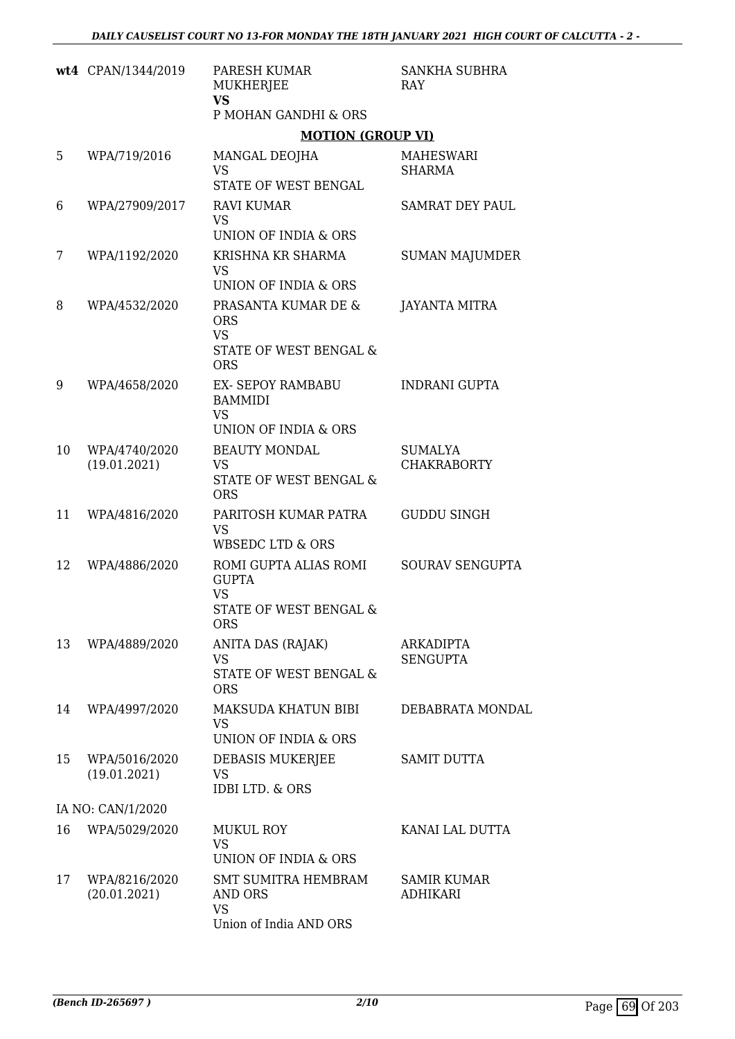|    | wt4 CPAN/1344/2019            | PARESH KUMAR<br>MUKHERJEE<br><b>VS</b><br>P MOHAN GANDHI & ORS                                        | SANKHA SUBHRA<br><b>RAY</b>           |
|----|-------------------------------|-------------------------------------------------------------------------------------------------------|---------------------------------------|
|    |                               | <b>MOTION (GROUP VI)</b>                                                                              |                                       |
| 5  | WPA/719/2016                  | MANGAL DEOJHA<br><b>VS</b><br>STATE OF WEST BENGAL                                                    | <b>MAHESWARI</b><br><b>SHARMA</b>     |
| 6  | WPA/27909/2017                | <b>RAVI KUMAR</b><br><b>VS</b><br>UNION OF INDIA & ORS                                                | <b>SAMRAT DEY PAUL</b>                |
| 7  | WPA/1192/2020                 | KRISHNA KR SHARMA<br><b>VS</b><br>UNION OF INDIA & ORS                                                | <b>SUMAN MAJUMDER</b>                 |
| 8  | WPA/4532/2020                 | PRASANTA KUMAR DE &<br><b>ORS</b><br><b>VS</b><br>STATE OF WEST BENGAL &<br><b>ORS</b>                | JAYANTA MITRA                         |
| 9  | WPA/4658/2020                 | <b>EX- SEPOY RAMBABU</b><br><b>BAMMIDI</b><br><b>VS</b><br>UNION OF INDIA & ORS                       | <b>INDRANI GUPTA</b>                  |
| 10 | WPA/4740/2020<br>(19.01.2021) | <b>BEAUTY MONDAL</b><br><b>VS</b><br>STATE OF WEST BENGAL &<br><b>ORS</b>                             | <b>SUMALYA</b><br><b>CHAKRABORTY</b>  |
| 11 | WPA/4816/2020                 | PARITOSH KUMAR PATRA<br><b>VS</b><br><b>WBSEDC LTD &amp; ORS</b>                                      | <b>GUDDU SINGH</b>                    |
| 12 | WPA/4886/2020                 | ROMI GUPTA ALIAS ROMI<br><b>GUPTA</b><br><b>VS</b><br><b>STATE OF WEST BENGAL &amp;</b><br><b>ORS</b> | SOURAV SENGUPTA                       |
| 13 | WPA/4889/2020                 | ANITA DAS (RAJAK)<br><b>VS</b><br>STATE OF WEST BENGAL &<br><b>ORS</b>                                | <b>ARKADIPTA</b><br><b>SENGUPTA</b>   |
| 14 | WPA/4997/2020                 | MAKSUDA KHATUN BIBI<br><b>VS</b><br>UNION OF INDIA & ORS                                              | DEBABRATA MONDAL                      |
| 15 | WPA/5016/2020<br>(19.01.2021) | DEBASIS MUKERJEE<br>VS<br><b>IDBI LTD. &amp; ORS</b>                                                  | <b>SAMIT DUTTA</b>                    |
|    | IA NO: CAN/1/2020             |                                                                                                       |                                       |
| 16 | WPA/5029/2020                 | <b>MUKUL ROY</b><br><b>VS</b><br>UNION OF INDIA & ORS                                                 | KANAI LAL DUTTA                       |
| 17 | WPA/8216/2020<br>(20.01.2021) | <b>SMT SUMITRA HEMBRAM</b><br>AND ORS<br><b>VS</b><br>Union of India AND ORS                          | <b>SAMIR KUMAR</b><br><b>ADHIKARI</b> |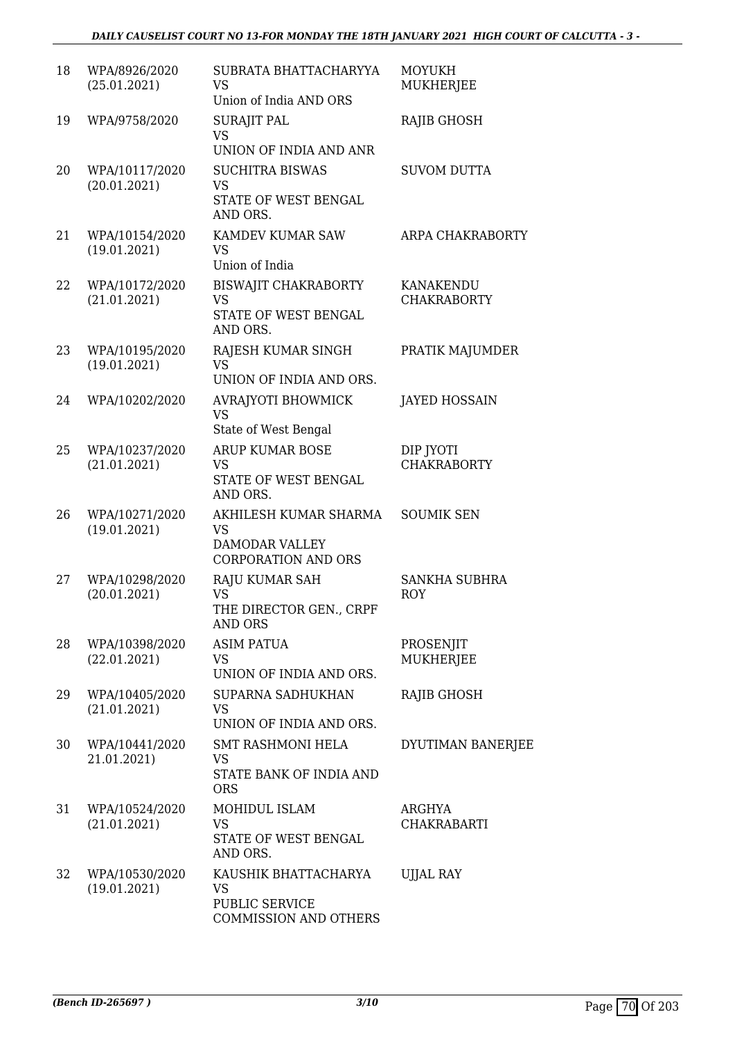| 18 | WPA/8926/2020<br>(25.01.2021)  | SUBRATA BHATTACHARYYA<br><b>VS</b><br>Union of India AND ORS                       | <b>MOYUKH</b><br><b>MUKHERJEE</b>  |
|----|--------------------------------|------------------------------------------------------------------------------------|------------------------------------|
| 19 | WPA/9758/2020                  | <b>SURAJIT PAL</b><br><b>VS</b><br>UNION OF INDIA AND ANR                          | <b>RAJIB GHOSH</b>                 |
| 20 | WPA/10117/2020<br>(20.01.2021) | <b>SUCHITRA BISWAS</b><br><b>VS</b><br>STATE OF WEST BENGAL<br>AND ORS.            | <b>SUVOM DUTTA</b>                 |
| 21 | WPA/10154/2020<br>(19.01.2021) | KAMDEV KUMAR SAW<br><b>VS</b><br>Union of India                                    | ARPA CHAKRABORTY                   |
| 22 | WPA/10172/2020<br>(21.01.2021) | <b>BISWAJIT CHAKRABORTY</b><br><b>VS</b><br>STATE OF WEST BENGAL<br>AND ORS.       | KANAKENDU<br><b>CHAKRABORTY</b>    |
| 23 | WPA/10195/2020<br>(19.01.2021) | RAJESH KUMAR SINGH<br><b>VS</b><br>UNION OF INDIA AND ORS.                         | PRATIK MAJUMDER                    |
| 24 | WPA/10202/2020                 | AVRAJYOTI BHOWMICK<br><b>VS</b><br>State of West Bengal                            | <b>JAYED HOSSAIN</b>               |
| 25 | WPA/10237/2020<br>(21.01.2021) | <b>ARUP KUMAR BOSE</b><br><b>VS</b><br>STATE OF WEST BENGAL<br>AND ORS.            | DIP JYOTI<br><b>CHAKRABORTY</b>    |
| 26 | WPA/10271/2020<br>(19.01.2021) | AKHILESH KUMAR SHARMA<br>VS<br><b>DAMODAR VALLEY</b><br><b>CORPORATION AND ORS</b> | <b>SOUMIK SEN</b>                  |
| 27 | WPA/10298/2020<br>(20.01.2021) | RAJU KUMAR SAH<br><b>VS</b><br>THE DIRECTOR GEN., CRPF<br><b>AND ORS</b>           | <b>SANKHA SUBHRA</b><br><b>ROY</b> |
| 28 | WPA/10398/2020<br>(22.01.2021) | <b>ASIM PATUA</b><br>VS<br>UNION OF INDIA AND ORS.                                 | PROSENJIT<br><b>MUKHERJEE</b>      |
| 29 | WPA/10405/2020<br>(21.01.2021) | SUPARNA SADHUKHAN<br><b>VS</b><br>UNION OF INDIA AND ORS.                          | RAJIB GHOSH                        |
| 30 | WPA/10441/2020<br>21.01.2021)  | <b>SMT RASHMONI HELA</b><br>VS<br>STATE BANK OF INDIA AND<br><b>ORS</b>            | DYUTIMAN BANERJEE                  |
| 31 | WPA/10524/2020<br>(21.01.2021) | MOHIDUL ISLAM<br><b>VS</b><br>STATE OF WEST BENGAL<br>AND ORS.                     | ARGHYA<br><b>CHAKRABARTI</b>       |
| 32 | WPA/10530/2020<br>(19.01.2021) | KAUSHIK BHATTACHARYA<br>VS<br>PUBLIC SERVICE<br><b>COMMISSION AND OTHERS</b>       | <b>UJJAL RAY</b>                   |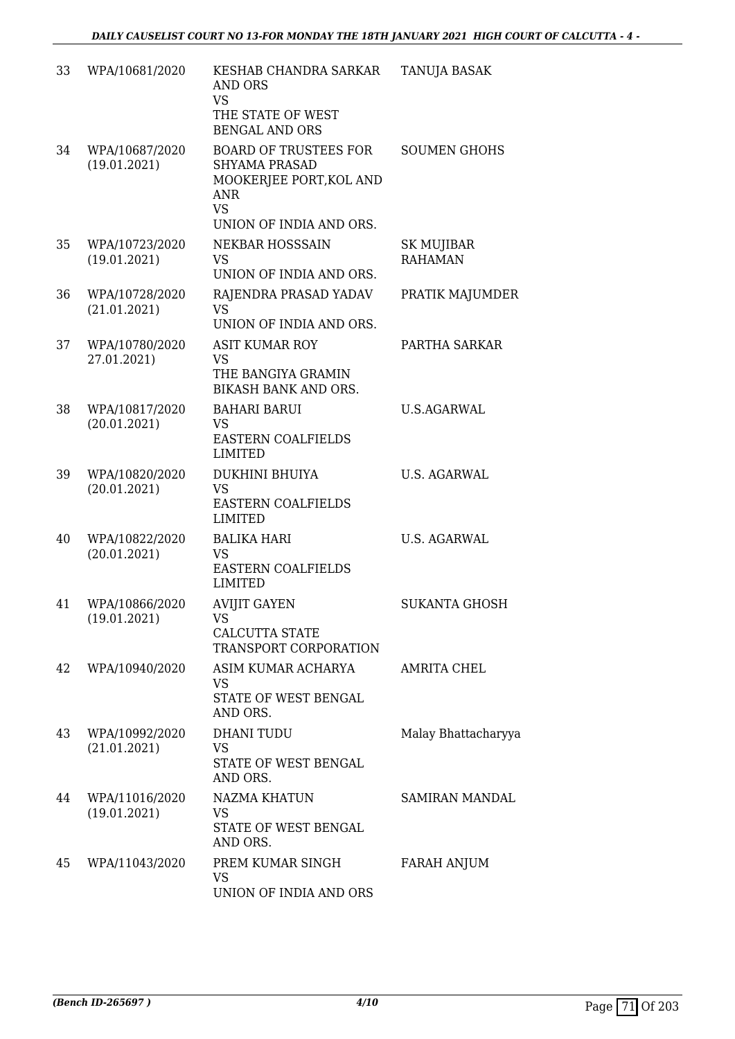| 33 | WPA/10681/2020                 | KESHAB CHANDRA SARKAR<br><b>AND ORS</b><br><b>VS</b><br>THE STATE OF WEST<br><b>BENGAL AND ORS</b>                                    | <b>TANUJA BASAK</b>                 |
|----|--------------------------------|---------------------------------------------------------------------------------------------------------------------------------------|-------------------------------------|
| 34 | WPA/10687/2020<br>(19.01.2021) | <b>BOARD OF TRUSTEES FOR</b><br><b>SHYAMA PRASAD</b><br>MOOKERJEE PORT, KOL AND<br><b>ANR</b><br><b>VS</b><br>UNION OF INDIA AND ORS. | <b>SOUMEN GHOHS</b>                 |
| 35 | WPA/10723/2020<br>(19.01.2021) | <b>NEKBAR HOSSSAIN</b><br><b>VS</b><br>UNION OF INDIA AND ORS.                                                                        | <b>SK MUJIBAR</b><br><b>RAHAMAN</b> |
| 36 | WPA/10728/2020<br>(21.01.2021) | RAJENDRA PRASAD YADAV<br><b>VS</b><br>UNION OF INDIA AND ORS.                                                                         | PRATIK MAJUMDER                     |
| 37 | WPA/10780/2020<br>27.01.2021)  | <b>ASIT KUMAR ROY</b><br><b>VS</b><br>THE BANGIYA GRAMIN<br>BIKASH BANK AND ORS.                                                      | PARTHA SARKAR                       |
| 38 | WPA/10817/2020<br>(20.01.2021) | <b>BAHARI BARUI</b><br><b>VS</b><br><b>EASTERN COALFIELDS</b><br><b>LIMITED</b>                                                       | <b>U.S.AGARWAL</b>                  |
| 39 | WPA/10820/2020<br>(20.01.2021) | <b>DUKHINI BHUIYA</b><br><b>VS</b><br><b>EASTERN COALFIELDS</b><br><b>LIMITED</b>                                                     | <b>U.S. AGARWAL</b>                 |
| 40 | WPA/10822/2020<br>(20.01.2021) | <b>BALIKA HARI</b><br><b>VS</b><br>EASTERN COALFIELDS<br><b>LIMITED</b>                                                               | <b>U.S. AGARWAL</b>                 |
| 41 | WPA/10866/2020<br>(19.01.2021) | <b>AVIJIT GAYEN</b><br>VS<br>CALCUTTA STATE<br>TRANSPORT CORPORATION                                                                  | <b>SUKANTA GHOSH</b>                |
| 42 | WPA/10940/2020                 | ASIM KUMAR ACHARYA<br><b>VS</b><br>STATE OF WEST BENGAL<br>AND ORS.                                                                   | <b>AMRITA CHEL</b>                  |
| 43 | WPA/10992/2020<br>(21.01.2021) | <b>DHANI TUDU</b><br>VS<br>STATE OF WEST BENGAL<br>AND ORS.                                                                           | Malay Bhattacharyya                 |
| 44 | WPA/11016/2020<br>(19.01.2021) | <b>NAZMA KHATUN</b><br><b>VS</b><br>STATE OF WEST BENGAL<br>AND ORS.                                                                  | <b>SAMIRAN MANDAL</b>               |
| 45 | WPA/11043/2020                 | PREM KUMAR SINGH<br><b>VS</b><br>UNION OF INDIA AND ORS                                                                               | FARAH ANJUM                         |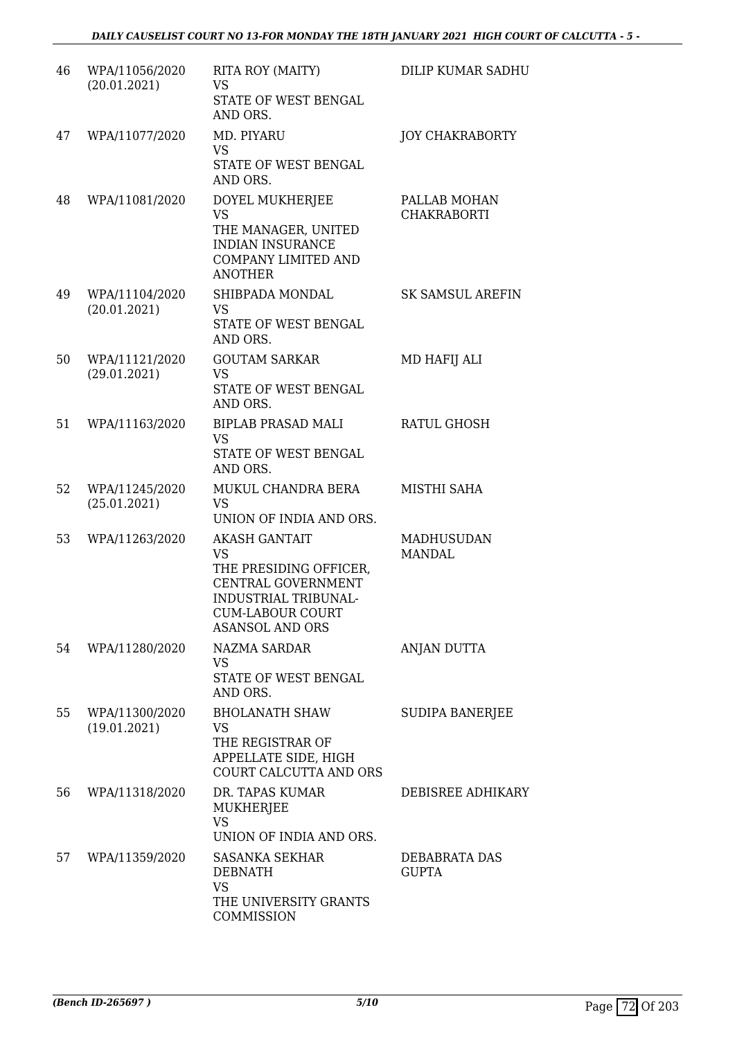| 46 | WPA/11056/2020<br>(20.01.2021) | RITA ROY (MAITY)<br><b>VS</b><br>STATE OF WEST BENGAL<br>AND ORS.                                                                                              | <b>DILIP KUMAR SADHU</b>           |
|----|--------------------------------|----------------------------------------------------------------------------------------------------------------------------------------------------------------|------------------------------------|
| 47 | WPA/11077/2020                 | MD. PIYARU<br><b>VS</b><br>STATE OF WEST BENGAL<br>AND ORS.                                                                                                    | <b>JOY CHAKRABORTY</b>             |
| 48 | WPA/11081/2020                 | DOYEL MUKHERJEE<br><b>VS</b><br>THE MANAGER, UNITED<br><b>INDIAN INSURANCE</b><br><b>COMPANY LIMITED AND</b><br><b>ANOTHER</b>                                 | PALLAB MOHAN<br><b>CHAKRABORTI</b> |
| 49 | WPA/11104/2020<br>(20.01.2021) | SHIBPADA MONDAL<br><b>VS</b><br>STATE OF WEST BENGAL<br>AND ORS.                                                                                               | <b>SK SAMSUL AREFIN</b>            |
| 50 | WPA/11121/2020<br>(29.01.2021) | <b>GOUTAM SARKAR</b><br><b>VS</b><br>STATE OF WEST BENGAL<br>AND ORS.                                                                                          | MD HAFIJ ALI                       |
| 51 | WPA/11163/2020                 | <b>BIPLAB PRASAD MALI</b><br><b>VS</b><br>STATE OF WEST BENGAL<br>AND ORS.                                                                                     | RATUL GHOSH                        |
| 52 | WPA/11245/2020<br>(25.01.2021) | MUKUL CHANDRA BERA<br><b>VS</b><br>UNION OF INDIA AND ORS.                                                                                                     | MISTHI SAHA                        |
| 53 | WPA/11263/2020                 | <b>AKASH GANTAIT</b><br><b>VS</b><br>THE PRESIDING OFFICER,<br>CENTRAL GOVERNMENT<br>INDUSTRIAL TRIBUNAL-<br><b>CUM-LABOUR COURT</b><br><b>ASANSOL AND ORS</b> | <b>MADHUSUDAN</b><br><b>MANDAL</b> |
| 54 | WPA/11280/2020                 | <b>NAZMA SARDAR</b><br><b>VS</b><br>STATE OF WEST BENGAL<br>AND ORS.                                                                                           | <b>ANJAN DUTTA</b>                 |
| 55 | WPA/11300/2020<br>(19.01.2021) | <b>BHOLANATH SHAW</b><br>VS.<br>THE REGISTRAR OF<br>APPELLATE SIDE, HIGH<br>COURT CALCUTTA AND ORS                                                             | <b>SUDIPA BANERJEE</b>             |
| 56 | WPA/11318/2020                 | DR. TAPAS KUMAR<br>MUKHERJEE<br><b>VS</b><br>UNION OF INDIA AND ORS.                                                                                           | DEBISREE ADHIKARY                  |
| 57 | WPA/11359/2020                 | SASANKA SEKHAR<br><b>DEBNATH</b><br><b>VS</b><br>THE UNIVERSITY GRANTS<br>COMMISSION                                                                           | DEBABRATA DAS<br><b>GUPTA</b>      |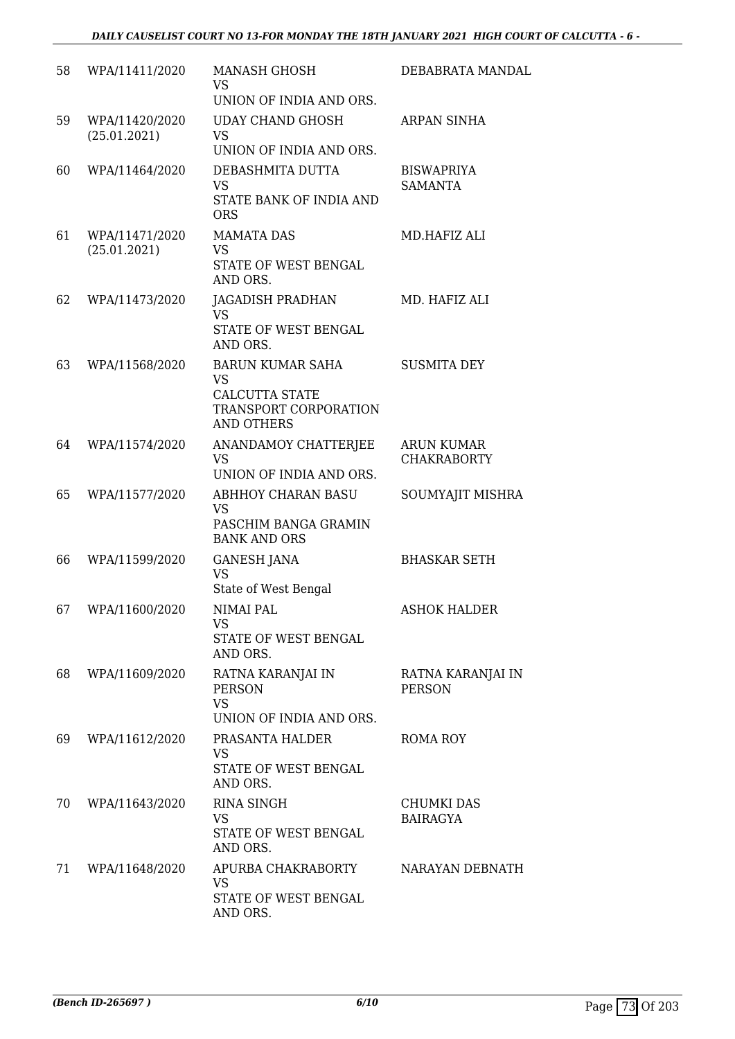| 58 | WPA/11411/2020                 | <b>MANASH GHOSH</b><br><b>VS</b><br>UNION OF INDIA AND ORS.                                                 | DEBABRATA MANDAL                        |
|----|--------------------------------|-------------------------------------------------------------------------------------------------------------|-----------------------------------------|
| 59 | WPA/11420/2020<br>(25.01.2021) | <b>UDAY CHAND GHOSH</b><br><b>VS</b><br>UNION OF INDIA AND ORS.                                             | ARPAN SINHA                             |
| 60 | WPA/11464/2020                 | DEBASHMITA DUTTA<br><b>VS</b><br>STATE BANK OF INDIA AND<br><b>ORS</b>                                      | <b>BISWAPRIYA</b><br><b>SAMANTA</b>     |
| 61 | WPA/11471/2020<br>(25.01.2021) | <b>MAMATA DAS</b><br><b>VS</b><br>STATE OF WEST BENGAL<br>AND ORS.                                          | MD.HAFIZ ALI                            |
| 62 | WPA/11473/2020                 | JAGADISH PRADHAN<br><b>VS</b><br>STATE OF WEST BENGAL<br>AND ORS.                                           | MD. HAFIZ ALI                           |
| 63 | WPA/11568/2020                 | <b>BARUN KUMAR SAHA</b><br><b>VS</b><br><b>CALCUTTA STATE</b><br>TRANSPORT CORPORATION<br><b>AND OTHERS</b> | <b>SUSMITA DEY</b>                      |
| 64 | WPA/11574/2020                 | ANANDAMOY CHATTERJEE<br><b>VS</b><br>UNION OF INDIA AND ORS.                                                | <b>ARUN KUMAR</b><br><b>CHAKRABORTY</b> |
| 65 | WPA/11577/2020                 | <b>ABHHOY CHARAN BASU</b><br><b>VS</b><br>PASCHIM BANGA GRAMIN<br><b>BANK AND ORS</b>                       | SOUMYAJIT MISHRA                        |
| 66 | WPA/11599/2020                 | <b>GANESH JANA</b><br><b>VS</b><br>State of West Bengal                                                     | <b>BHASKAR SETH</b>                     |
| 67 | WPA/11600/2020                 | NIMAI PAL<br><b>VS</b><br>STATE OF WEST BENGAL<br>AND ORS.                                                  | <b>ASHOK HALDER</b>                     |
| 68 | WPA/11609/2020                 | RATNA KARANJAI IN<br><b>PERSON</b><br><b>VS</b><br>UNION OF INDIA AND ORS.                                  | RATNA KARANJAI IN<br><b>PERSON</b>      |
| 69 | WPA/11612/2020                 | PRASANTA HALDER<br><b>VS</b><br>STATE OF WEST BENGAL<br>AND ORS.                                            | ROMA ROY                                |
| 70 | WPA/11643/2020                 | <b>RINA SINGH</b><br><b>VS</b><br>STATE OF WEST BENGAL<br>AND ORS.                                          | <b>CHUMKI DAS</b><br><b>BAIRAGYA</b>    |
| 71 | WPA/11648/2020                 | APURBA CHAKRABORTY<br><b>VS</b><br>STATE OF WEST BENGAL<br>AND ORS.                                         | NARAYAN DEBNATH                         |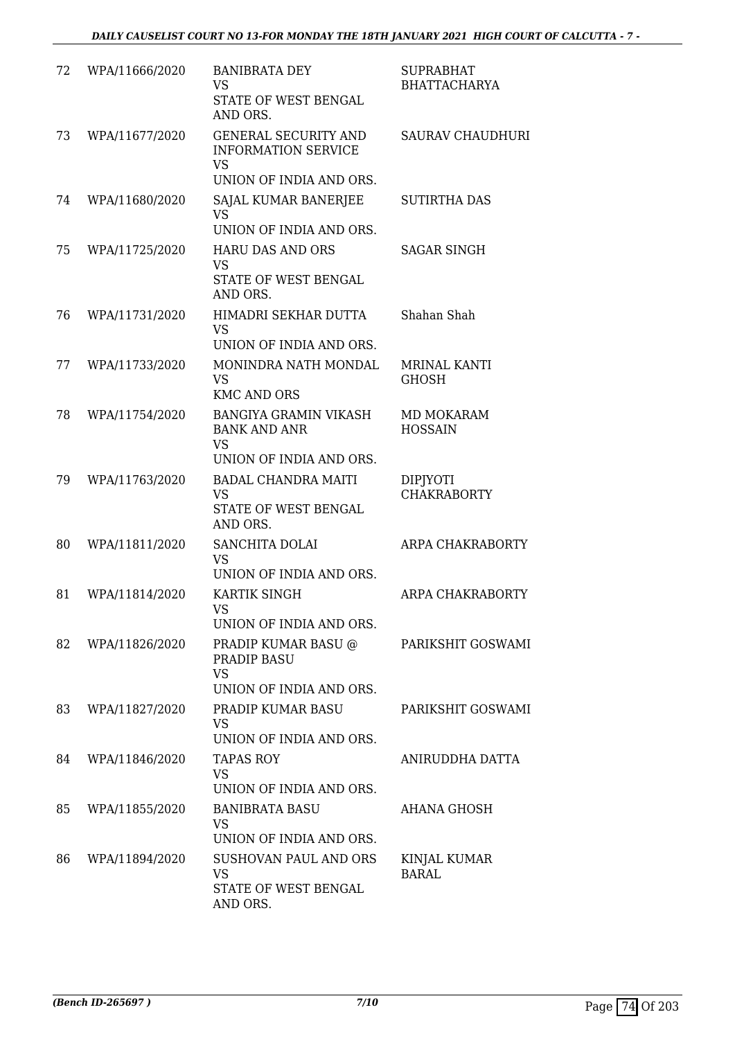| 72 | WPA/11666/2020 | <b>BANIBRATA DEY</b><br><b>VS</b><br>STATE OF WEST BENGAL<br>AND ORS.                             | <b>SUPRABHAT</b><br><b>BHATTACHARYA</b> |
|----|----------------|---------------------------------------------------------------------------------------------------|-----------------------------------------|
| 73 | WPA/11677/2020 | <b>GENERAL SECURITY AND</b><br><b>INFORMATION SERVICE</b><br><b>VS</b><br>UNION OF INDIA AND ORS. | <b>SAURAV CHAUDHURI</b>                 |
| 74 | WPA/11680/2020 | SAJAL KUMAR BANERJEE<br><b>VS</b><br>UNION OF INDIA AND ORS.                                      | <b>SUTIRTHA DAS</b>                     |
| 75 | WPA/11725/2020 | <b>HARU DAS AND ORS</b><br><b>VS</b><br>STATE OF WEST BENGAL<br>AND ORS.                          | SAGAR SINGH                             |
| 76 | WPA/11731/2020 | HIMADRI SEKHAR DUTTA<br><b>VS</b><br>UNION OF INDIA AND ORS.                                      | Shahan Shah                             |
| 77 | WPA/11733/2020 | MONINDRA NATH MONDAL<br><b>VS</b><br><b>KMC AND ORS</b>                                           | MRINAL KANTI<br><b>GHOSH</b>            |
| 78 | WPA/11754/2020 | <b>BANGIYA GRAMIN VIKASH</b><br><b>BANK AND ANR</b><br><b>VS</b><br>UNION OF INDIA AND ORS.       | MD MOKARAM<br><b>HOSSAIN</b>            |
| 79 | WPA/11763/2020 | <b>BADAL CHANDRA MAITI</b><br><b>VS</b><br>STATE OF WEST BENGAL<br>AND ORS.                       | <b>DIPJYOTI</b><br><b>CHAKRABORTY</b>   |
| 80 | WPA/11811/2020 | SANCHITA DOLAI<br><b>VS</b><br>UNION OF INDIA AND ORS.                                            | ARPA CHAKRABORTY                        |
| 81 | WPA/11814/2020 | KARTIK SINGH<br>VS.<br>UNION OF INDIA AND ORS.                                                    | ARPA CHAKRABORTY                        |
| 82 | WPA/11826/2020 | PRADIP KUMAR BASU @<br>PRADIP BASU<br><b>VS</b><br>UNION OF INDIA AND ORS.                        | PARIKSHIT GOSWAMI                       |
| 83 | WPA/11827/2020 | PRADIP KUMAR BASU<br>VS<br>UNION OF INDIA AND ORS.                                                | PARIKSHIT GOSWAMI                       |
| 84 | WPA/11846/2020 | TAPAS ROY<br>VS<br>UNION OF INDIA AND ORS.                                                        | ANIRUDDHA DATTA                         |
| 85 | WPA/11855/2020 | <b>BANIBRATA BASU</b><br>VS<br>UNION OF INDIA AND ORS.                                            | AHANA GHOSH                             |
| 86 | WPA/11894/2020 | SUSHOVAN PAUL AND ORS<br>VS<br>STATE OF WEST BENGAL<br>AND ORS.                                   | KINJAL KUMAR<br><b>BARAL</b>            |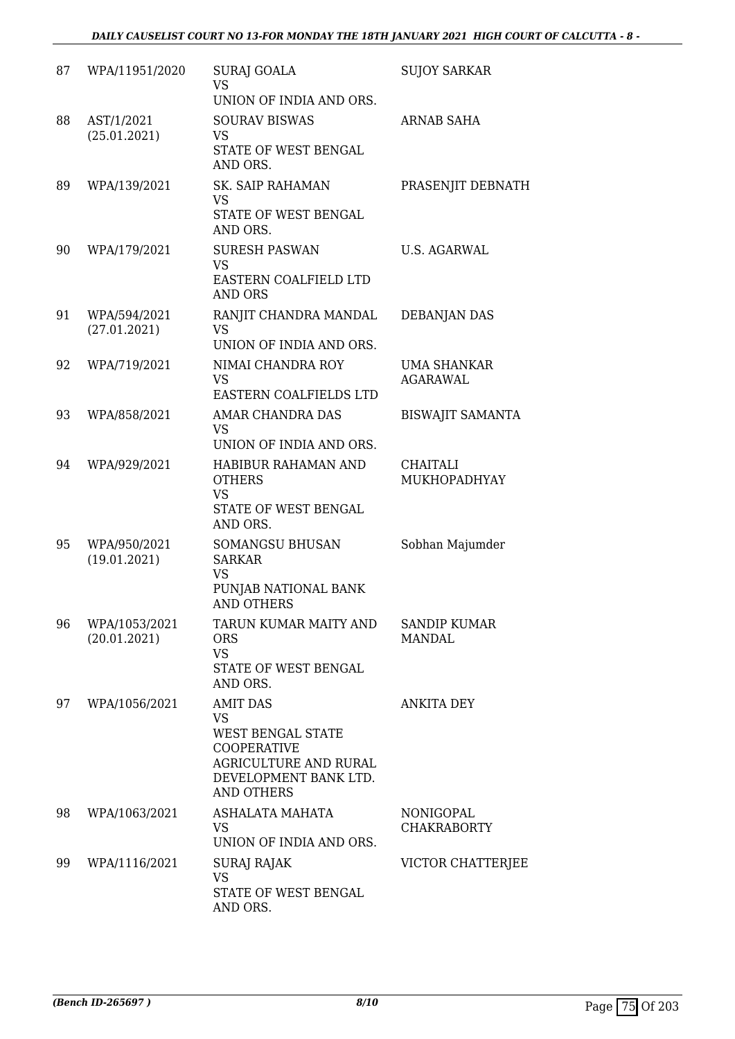| 87 | WPA/11951/2020                | <b>SURAJ GOALA</b><br><b>VS</b><br>UNION OF INDIA AND ORS.                                                                                            | <b>SUJOY SARKAR</b>                   |
|----|-------------------------------|-------------------------------------------------------------------------------------------------------------------------------------------------------|---------------------------------------|
| 88 | AST/1/2021<br>(25.01.2021)    | <b>SOURAV BISWAS</b><br><b>VS</b><br>STATE OF WEST BENGAL<br>AND ORS.                                                                                 | <b>ARNAB SAHA</b>                     |
| 89 | WPA/139/2021                  | <b>SK. SAIP RAHAMAN</b><br>VS<br>STATE OF WEST BENGAL<br>AND ORS.                                                                                     | PRASENJIT DEBNATH                     |
| 90 | WPA/179/2021                  | <b>SURESH PASWAN</b><br><b>VS</b><br>EASTERN COALFIELD LTD<br><b>AND ORS</b>                                                                          | U.S. AGARWAL                          |
| 91 | WPA/594/2021<br>(27.01.2021)  | RANJIT CHANDRA MANDAL<br><b>VS</b><br>UNION OF INDIA AND ORS.                                                                                         | <b>DEBANJAN DAS</b>                   |
| 92 | WPA/719/2021                  | NIMAI CHANDRA ROY<br><b>VS</b><br>EASTERN COALFIELDS LTD                                                                                              | <b>UMA SHANKAR</b><br><b>AGARAWAL</b> |
| 93 | WPA/858/2021                  | AMAR CHANDRA DAS<br><b>VS</b><br>UNION OF INDIA AND ORS.                                                                                              | <b>BISWAJIT SAMANTA</b>               |
| 94 | WPA/929/2021                  | HABIBUR RAHAMAN AND<br><b>OTHERS</b><br><b>VS</b><br>STATE OF WEST BENGAL<br>AND ORS.                                                                 | CHAITALI<br>MUKHOPADHYAY              |
| 95 | WPA/950/2021<br>(19.01.2021)  | <b>SOMANGSU BHUSAN</b><br><b>SARKAR</b><br><b>VS</b><br>PUNJAB NATIONAL BANK<br><b>AND OTHERS</b>                                                     | Sobhan Majumder                       |
| 96 | WPA/1053/2021<br>(20.01.2021) | TARUN KUMAR MAITY AND<br><b>ORS</b><br><b>VS</b><br>STATE OF WEST BENGAL<br>AND ORS.                                                                  | <b>SANDIP KUMAR</b><br><b>MANDAL</b>  |
| 97 | WPA/1056/2021                 | <b>AMIT DAS</b><br><b>VS</b><br><b>WEST BENGAL STATE</b><br><b>COOPERATIVE</b><br>AGRICULTURE AND RURAL<br>DEVELOPMENT BANK LTD.<br><b>AND OTHERS</b> | <b>ANKITA DEY</b>                     |
| 98 | WPA/1063/2021                 | ASHALATA MAHATA<br><b>VS</b><br>UNION OF INDIA AND ORS.                                                                                               | NONIGOPAL<br><b>CHAKRABORTY</b>       |
| 99 | WPA/1116/2021                 | SURAJ RAJAK<br><b>VS</b><br>STATE OF WEST BENGAL<br>AND ORS.                                                                                          | VICTOR CHATTERJEE                     |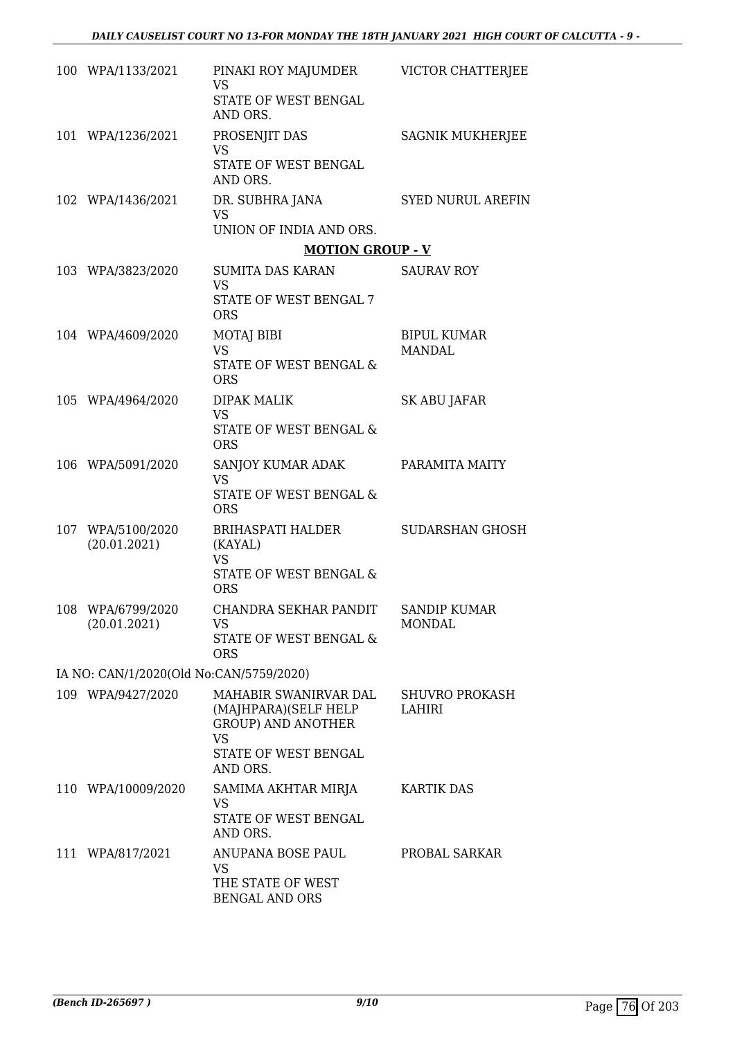| 100 WPA/1133/2021                       | PINAKI ROY MAJUMDER VICTOR CHATTERJEE<br><b>VS</b><br>STATE OF WEST BENGAL<br>AND ORS.                                      |                                        |
|-----------------------------------------|-----------------------------------------------------------------------------------------------------------------------------|----------------------------------------|
| 101 WPA/1236/2021                       | PROSENJIT DAS<br><b>VS</b><br>STATE OF WEST BENGAL<br>AND ORS.                                                              | <b>SAGNIK MUKHERJEE</b>                |
| 102 WPA/1436/2021                       | DR. SUBHRA JANA<br><b>VS</b><br>UNION OF INDIA AND ORS.                                                                     | SYED NURUL AREFIN                      |
|                                         | <b>MOTION GROUP - V</b>                                                                                                     |                                        |
| 103 WPA/3823/2020                       | SUMITA DAS KARAN SAURAV ROY<br><b>VS</b><br>STATE OF WEST BENGAL 7<br><b>ORS</b>                                            |                                        |
| 104 WPA/4609/2020                       | <b>MOTAJ BIBI</b><br><b>VS</b><br>STATE OF WEST BENGAL &<br><b>ORS</b>                                                      | <b>BIPUL KUMAR</b><br><b>MANDAL</b>    |
| 105 WPA/4964/2020                       | <b>DIPAK MALIK</b><br><b>VS</b><br>STATE OF WEST BENGAL &<br><b>ORS</b>                                                     | SK ABU JAFAR                           |
| 106 WPA/5091/2020                       | SANJOY KUMAR ADAK<br><b>VS</b><br>STATE OF WEST BENGAL &<br><b>ORS</b>                                                      | PARAMITA MAITY                         |
| 107 WPA/5100/2020<br>(20.01.2021)       | BRIHASPATI HALDER<br>(KAYAL)<br><b>VS</b><br>STATE OF WEST BENGAL &<br><b>ORS</b>                                           | SUDARSHAN GHOSH                        |
| 108 WPA/6799/2020<br>(20.01.2021)       | CHANDRA SEKHAR PANDIT<br><b>VS</b><br>STATE OF WEST BENGAL &<br><b>ORS</b>                                                  | <b>SANDIP KUMAR</b><br><b>MONDAL</b>   |
| IA NO: CAN/1/2020(Old No:CAN/5759/2020) |                                                                                                                             |                                        |
| 109 WPA/9427/2020                       | MAHABIR SWANIRVAR DAL<br>(MAJHPARA)(SELF HELP<br><b>GROUP) AND ANOTHER</b><br><b>VS</b><br>STATE OF WEST BENGAL<br>AND ORS. | <b>SHUVRO PROKASH</b><br><b>LAHIRI</b> |
| 110 WPA/10009/2020                      | SAMIMA AKHTAR MIRJA<br>VS<br>STATE OF WEST BENGAL<br>AND ORS.                                                               | <b>KARTIK DAS</b>                      |
| 111 WPA/817/2021                        | ANUPANA BOSE PAUL<br><b>VS</b><br>THE STATE OF WEST<br><b>BENGAL AND ORS</b>                                                | PROBAL SARKAR                          |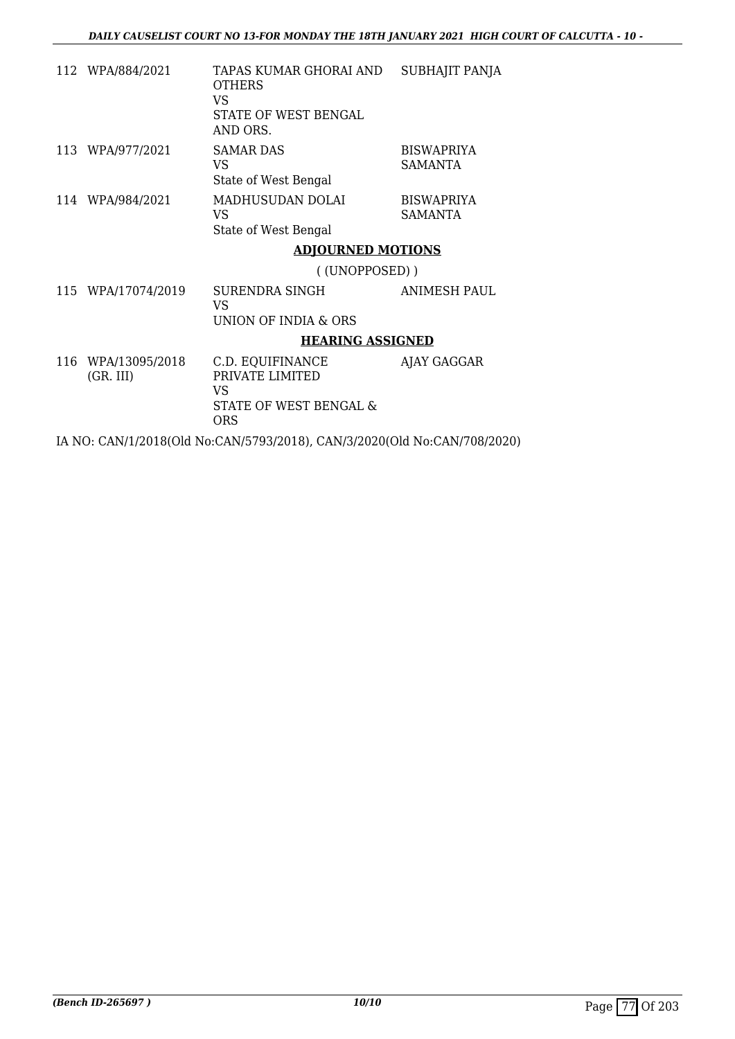|     | 112 WPA/884/2021            | TAPAS KUMAR GHORAI AND<br><b>OTHERS</b><br>VS<br>STATE OF WEST BENGAL<br>AND ORS. | SUBHAJIT PANJA                      |
|-----|-----------------------------|-----------------------------------------------------------------------------------|-------------------------------------|
|     | 113 WPA/977/2021            | <b>SAMAR DAS</b><br>VS<br>State of West Bengal                                    | <b>BISWAPRIYA</b><br><b>SAMANTA</b> |
|     | 114 WPA/984/2021            | MADHUSUDAN DOLAI<br>VS<br>State of West Bengal                                    | <b>BISWAPRIYA</b><br>SAMANTA        |
|     |                             | <b>ADJOURNED MOTIONS</b>                                                          |                                     |
|     |                             | ((UNOPPOSED))                                                                     |                                     |
|     | 115 WPA/17074/2019          | SURENDRA SINGH<br>VS<br>UNION OF INDIA & ORS                                      | ANIMESH PAUL                        |
|     |                             | <b>HEARING ASSIGNED</b>                                                           |                                     |
| 116 | WPA/13095/2018<br>(GR. III) | C.D. EQUIFINANCE<br>PRIVATE LIMITED<br>VS<br>STATE OF WEST BENGAL &<br><b>ORS</b> | AJAY GAGGAR                         |

IA NO: CAN/1/2018(Old No:CAN/5793/2018), CAN/3/2020(Old No:CAN/708/2020)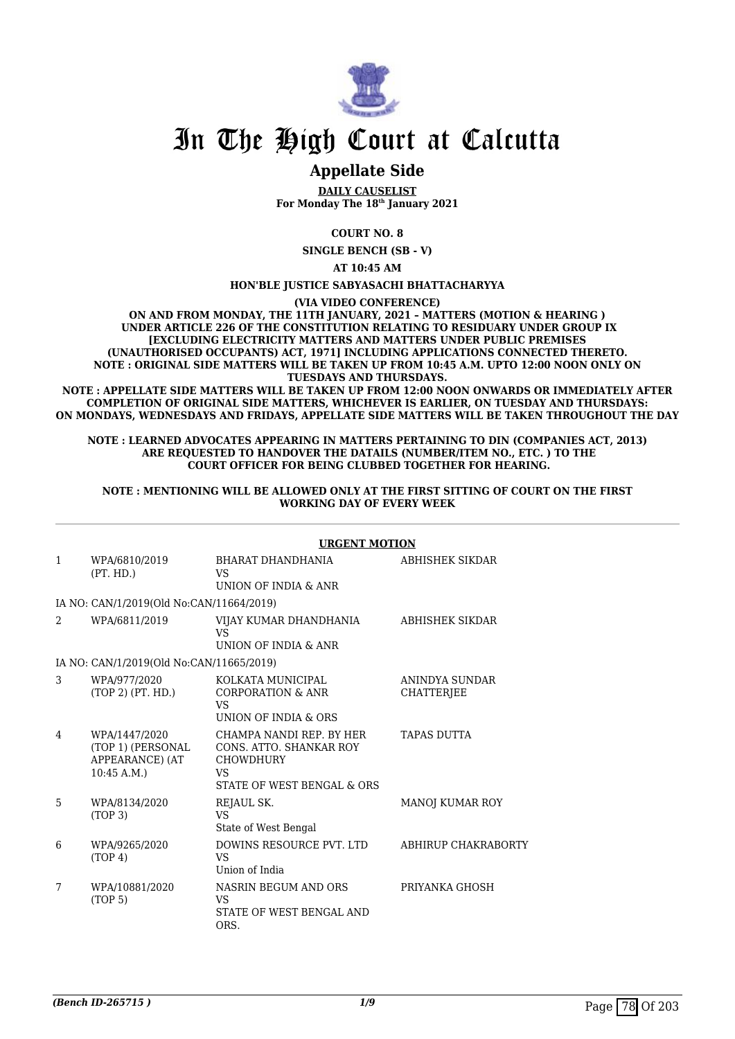

# In The High Court at Calcutta

## **Appellate Side**

**DAILY CAUSELIST For Monday The 18th January 2021**

**COURT NO. 8**

**SINGLE BENCH (SB - V)**

**AT 10:45 AM**

### **HON'BLE JUSTICE SABYASACHI BHATTACHARYYA**

**(VIA VIDEO CONFERENCE)**

**ON AND FROM MONDAY, THE 11TH JANUARY, 2021 – MATTERS (MOTION & HEARING ) UNDER ARTICLE 226 OF THE CONSTITUTION RELATING TO RESIDUARY UNDER GROUP IX [EXCLUDING ELECTRICITY MATTERS AND MATTERS UNDER PUBLIC PREMISES (UNAUTHORISED OCCUPANTS) ACT, 1971] INCLUDING APPLICATIONS CONNECTED THERETO. NOTE : ORIGINAL SIDE MATTERS WILL BE TAKEN UP FROM 10:45 A.M. UPTO 12:00 NOON ONLY ON TUESDAYS AND THURSDAYS.**

**NOTE : APPELLATE SIDE MATTERS WILL BE TAKEN UP FROM 12:00 NOON ONWARDS OR IMMEDIATELY AFTER COMPLETION OF ORIGINAL SIDE MATTERS, WHICHEVER IS EARLIER, ON TUESDAY AND THURSDAYS: ON MONDAYS, WEDNESDAYS AND FRIDAYS, APPELLATE SIDE MATTERS WILL BE TAKEN THROUGHOUT THE DAY**

#### **NOTE : LEARNED ADVOCATES APPEARING IN MATTERS PERTAINING TO DIN (COMPANIES ACT, 2013) ARE REQUESTED TO HANDOVER THE DATAILS (NUMBER/ITEM NO., ETC. ) TO THE COURT OFFICER FOR BEING CLUBBED TOGETHER FOR HEARING.**

#### **NOTE : MENTIONING WILL BE ALLOWED ONLY AT THE FIRST SITTING OF COURT ON THE FIRST WORKING DAY OF EVERY WEEK**

| $\mathbf{1}$ | WPA/6810/2019<br>(PT. HD.)                                          | BHARAT DHANDHANIA<br><b>VS</b><br>UNION OF INDIA & ANR                                                             | ABHISHEK SIKDAR                     |
|--------------|---------------------------------------------------------------------|--------------------------------------------------------------------------------------------------------------------|-------------------------------------|
|              | IA NO: CAN/1/2019(Old No:CAN/11664/2019)                            |                                                                                                                    |                                     |
| 2            | WPA/6811/2019                                                       | VIJAY KUMAR DHANDHANIA<br><b>VS</b>                                                                                | ABHISHEK SIKDAR                     |
|              |                                                                     | UNION OF INDIA & ANR                                                                                               |                                     |
|              | IA NO: CAN/1/2019(Old No:CAN/11665/2019)                            |                                                                                                                    |                                     |
| 3            | WPA/977/2020<br>(TOP 2) (PT. HD.)                                   | KOLKATA MUNICIPAL<br>CORPORATION & ANR<br>VS<br>UNION OF INDIA & ORS                                               | ANINDYA SUNDAR<br><b>CHATTERIEE</b> |
| 4            | WPA/1447/2020<br>(TOP 1) (PERSONAL<br>APPEARANCE) (AT<br>10:45 A.M. | CHAMPA NANDI REP. BY HER<br>CONS. ATTO. SHANKAR ROY<br><b>CHOWDHURY</b><br><b>VS</b><br>STATE OF WEST BENGAL & ORS | TAPAS DUTTA                         |
| 5            | WPA/8134/2020<br>(TOP <sub>3</sub> )                                | REJAUL SK.<br><b>VS</b><br>State of West Bengal                                                                    | <b>MANOJ KUMAR ROY</b>              |
| 6            | WPA/9265/2020<br>(TOP 4)                                            | DOWINS RESOURCE PVT. LTD<br>VS<br>Union of India                                                                   | ABHIRUP CHAKRABORTY                 |
| 7            | WPA/10881/2020<br>(TOP <sub>5</sub> )                               | NASRIN BEGUM AND ORS<br>VS<br>STATE OF WEST BENGAL AND<br>ORS.                                                     | PRIYANKA GHOSH                      |

#### **URGENT MOTION**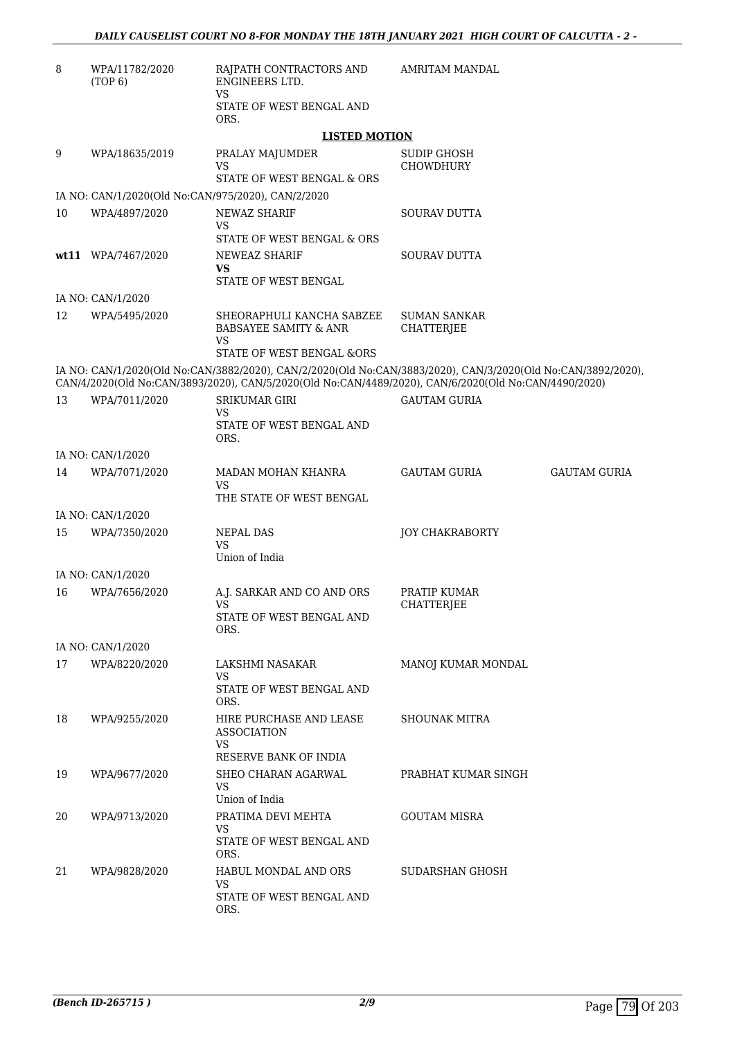| 8  | WPA/11782/2020<br>(TOP 6)                          | RAJPATH CONTRACTORS AND<br>ENGINEERS LTD.                                                                                                                                                                            | AMRITAM MANDAL                           |                     |
|----|----------------------------------------------------|----------------------------------------------------------------------------------------------------------------------------------------------------------------------------------------------------------------------|------------------------------------------|---------------------|
|    |                                                    | VS.<br>STATE OF WEST BENGAL AND<br>ORS.                                                                                                                                                                              |                                          |                     |
|    |                                                    | <b>LISTED MOTION</b>                                                                                                                                                                                                 |                                          |                     |
| 9  | WPA/18635/2019                                     | PRALAY MAJUMDER<br><b>VS</b><br>STATE OF WEST BENGAL & ORS                                                                                                                                                           | <b>SUDIP GHOSH</b><br><b>CHOWDHURY</b>   |                     |
|    | IA NO: CAN/1/2020(Old No:CAN/975/2020), CAN/2/2020 |                                                                                                                                                                                                                      |                                          |                     |
| 10 | WPA/4897/2020                                      | <b>NEWAZ SHARIF</b><br>VS.<br>STATE OF WEST BENGAL & ORS                                                                                                                                                             | <b>SOURAV DUTTA</b>                      |                     |
|    | wt11 WPA/7467/2020                                 | NEWEAZ SHARIF<br>VS<br>STATE OF WEST BENGAL                                                                                                                                                                          | SOURAV DUTTA                             |                     |
|    | IA NO: CAN/1/2020                                  |                                                                                                                                                                                                                      |                                          |                     |
| 12 | WPA/5495/2020                                      | SHEORAPHULI KANCHA SABZEE<br><b>BABSAYEE SAMITY &amp; ANR</b><br>VS                                                                                                                                                  | <b>SUMAN SANKAR</b><br><b>CHATTERJEE</b> |                     |
|    |                                                    | STATE OF WEST BENGAL &ORS                                                                                                                                                                                            |                                          |                     |
|    |                                                    | IA NO: CAN/1/2020(Old No:CAN/3882/2020), CAN/2/2020(Old No:CAN/3883/2020), CAN/3/2020(Old No:CAN/3892/2020),<br>CAN/4/2020(Old No:CAN/3893/2020), CAN/5/2020(Old No:CAN/4489/2020), CAN/6/2020(Old No:CAN/4490/2020) |                                          |                     |
| 13 | WPA/7011/2020                                      | <b>SRIKUMAR GIRI</b>                                                                                                                                                                                                 | <b>GAUTAM GURIA</b>                      |                     |
|    |                                                    | VS<br>STATE OF WEST BENGAL AND<br>ORS.                                                                                                                                                                               |                                          |                     |
|    | IA NO: CAN/1/2020                                  |                                                                                                                                                                                                                      |                                          |                     |
| 14 | WPA/7071/2020                                      | MADAN MOHAN KHANRA<br>VS.<br>THE STATE OF WEST BENGAL                                                                                                                                                                | <b>GAUTAM GURIA</b>                      | <b>GAUTAM GURIA</b> |
|    | IA NO: CAN/1/2020                                  |                                                                                                                                                                                                                      |                                          |                     |
| 15 | WPA/7350/2020                                      | <b>NEPAL DAS</b><br><b>VS</b>                                                                                                                                                                                        | <b>JOY CHAKRABORTY</b>                   |                     |
|    | IA NO: CAN/1/2020                                  | Union of India                                                                                                                                                                                                       |                                          |                     |
| 16 | WPA/7656/2020                                      | A.J. SARKAR AND CO AND ORS                                                                                                                                                                                           | PRATIP KUMAR                             |                     |
|    |                                                    | <b>VS</b><br>STATE OF WEST BENGAL AND<br>ORS.                                                                                                                                                                        | CHATTERJEE                               |                     |
|    | IA NO: CAN/1/2020                                  |                                                                                                                                                                                                                      |                                          |                     |
| 17 | WPA/8220/2020                                      | LAKSHMI NASAKAR<br><b>VS</b><br>STATE OF WEST BENGAL AND<br>ORS.                                                                                                                                                     | MANOJ KUMAR MONDAL                       |                     |
| 18 | WPA/9255/2020                                      | HIRE PURCHASE AND LEASE<br><b>ASSOCIATION</b><br>VS.                                                                                                                                                                 | <b>SHOUNAK MITRA</b>                     |                     |
| 19 | WPA/9677/2020                                      | RESERVE BANK OF INDIA<br>SHEO CHARAN AGARWAL<br>VS.                                                                                                                                                                  | PRABHAT KUMAR SINGH                      |                     |
|    |                                                    | Union of India                                                                                                                                                                                                       |                                          |                     |
| 20 | WPA/9713/2020                                      | PRATIMA DEVI MEHTA<br>VS.<br>STATE OF WEST BENGAL AND<br>ORS.                                                                                                                                                        | <b>GOUTAM MISRA</b>                      |                     |
| 21 | WPA/9828/2020                                      | HABUL MONDAL AND ORS<br><b>VS</b><br>STATE OF WEST BENGAL AND<br>ORS.                                                                                                                                                | SUDARSHAN GHOSH                          |                     |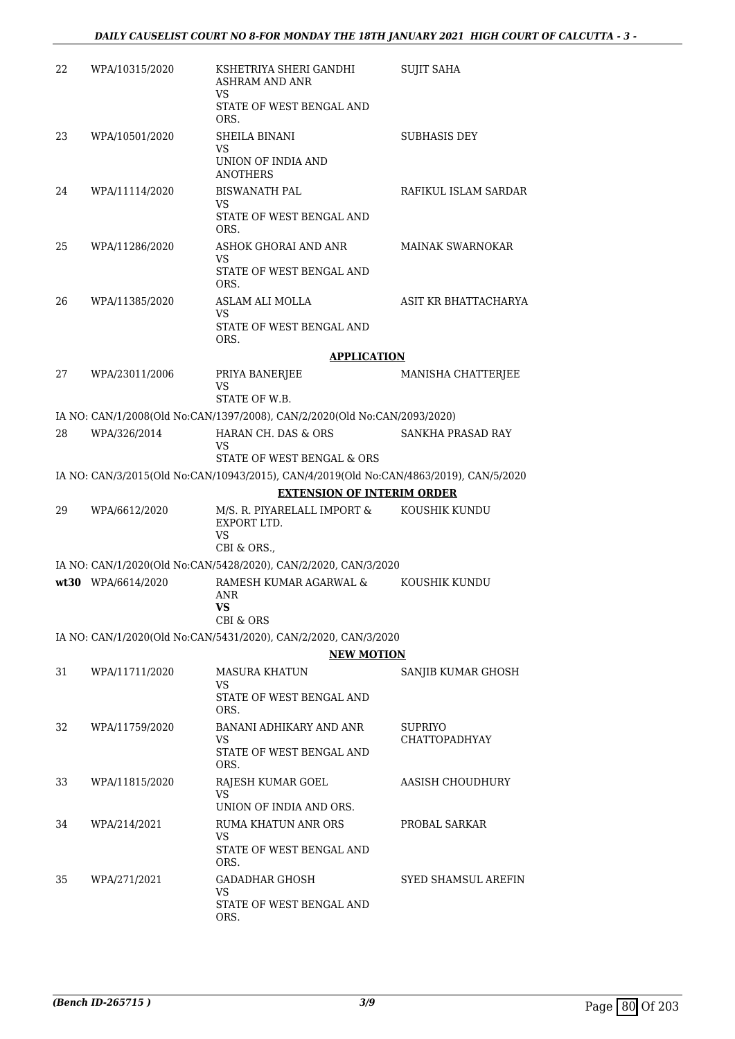| 22 | WPA/10315/2020     | KSHETRIYA SHERI GANDHI<br><b>ASHRAM AND ANR</b><br>VS                                  | <b>SUJIT SAHA</b>               |
|----|--------------------|----------------------------------------------------------------------------------------|---------------------------------|
|    |                    | STATE OF WEST BENGAL AND<br>ORS.                                                       |                                 |
| 23 | WPA/10501/2020     | SHEILA BINANI<br>VS                                                                    | <b>SUBHASIS DEY</b>             |
|    |                    | UNION OF INDIA AND<br><b>ANOTHERS</b>                                                  |                                 |
| 24 | WPA/11114/2020     | <b>BISWANATH PAL</b><br>VS.                                                            | RAFIKUL ISLAM SARDAR            |
|    |                    | STATE OF WEST BENGAL AND<br>ORS.                                                       |                                 |
| 25 | WPA/11286/2020     | ASHOK GHORAI AND ANR<br>VS                                                             | <b>MAINAK SWARNOKAR</b>         |
|    |                    | STATE OF WEST BENGAL AND<br>ORS.                                                       |                                 |
| 26 | WPA/11385/2020     | ASLAM ALI MOLLA<br><b>VS</b>                                                           | ASIT KR BHATTACHARYA            |
|    |                    | STATE OF WEST BENGAL AND<br>ORS.                                                       |                                 |
|    |                    | <b>APPLICATION</b>                                                                     |                                 |
| 27 | WPA/23011/2006     | PRIYA BANERJEE<br><b>VS</b>                                                            | MANISHA CHATTERJEE              |
|    |                    | STATE OF W.B.                                                                          |                                 |
|    |                    | IA NO: CAN/1/2008(Old No:CAN/1397/2008), CAN/2/2020(Old No:CAN/2093/2020)              |                                 |
| 28 | WPA/326/2014       | HARAN CH. DAS & ORS<br>VS<br>STATE OF WEST BENGAL & ORS                                | SANKHA PRASAD RAY               |
|    |                    | IA NO: CAN/3/2015(Old No:CAN/10943/2015), CAN/4/2019(Old No:CAN/4863/2019), CAN/5/2020 |                                 |
|    |                    | <b>EXTENSION OF INTERIM ORDER</b>                                                      |                                 |
| 29 | WPA/6612/2020      | M/S. R. PIYARELALL IMPORT &<br>EXPORT LTD.<br>VS<br>CBI & ORS.,                        | KOUSHIK KUNDU                   |
|    |                    | IA NO: CAN/1/2020(Old No:CAN/5428/2020), CAN/2/2020, CAN/3/2020                        |                                 |
|    | wt30 WPA/6614/2020 | RAMESH KUMAR AGARWAL &<br>ANR<br>VS<br><b>CBI &amp; ORS</b>                            | KOUSHIK KUNDU                   |
|    |                    | IA NO: CAN/1/2020(Old No:CAN/5431/2020), CAN/2/2020, CAN/3/2020                        |                                 |
|    |                    | <b>NEW MOTION</b>                                                                      |                                 |
| 31 | WPA/11711/2020     | MASURA KHATUN<br>VS.<br>STATE OF WEST BENGAL AND                                       | SANJIB KUMAR GHOSH              |
|    |                    | ORS.                                                                                   |                                 |
| 32 | WPA/11759/2020     | BANANI ADHIKARY AND ANR<br><b>VS</b>                                                   | SUPRIYO<br><b>CHATTOPADHYAY</b> |
|    |                    | STATE OF WEST BENGAL AND<br>ORS.                                                       |                                 |
| 33 | WPA/11815/2020     | RAJESH KUMAR GOEL<br>VS.                                                               | AASISH CHOUDHURY                |
|    |                    | UNION OF INDIA AND ORS.                                                                |                                 |
| 34 | WPA/214/2021       | <b>RUMA KHATUN ANR ORS</b>                                                             | PROBAL SARKAR                   |
|    |                    | VS.<br>STATE OF WEST BENGAL AND<br>ORS.                                                |                                 |
| 35 | WPA/271/2021       | <b>GADADHAR GHOSH</b><br>VS.                                                           | SYED SHAMSUL AREFIN             |
|    |                    | STATE OF WEST BENGAL AND<br>ORS.                                                       |                                 |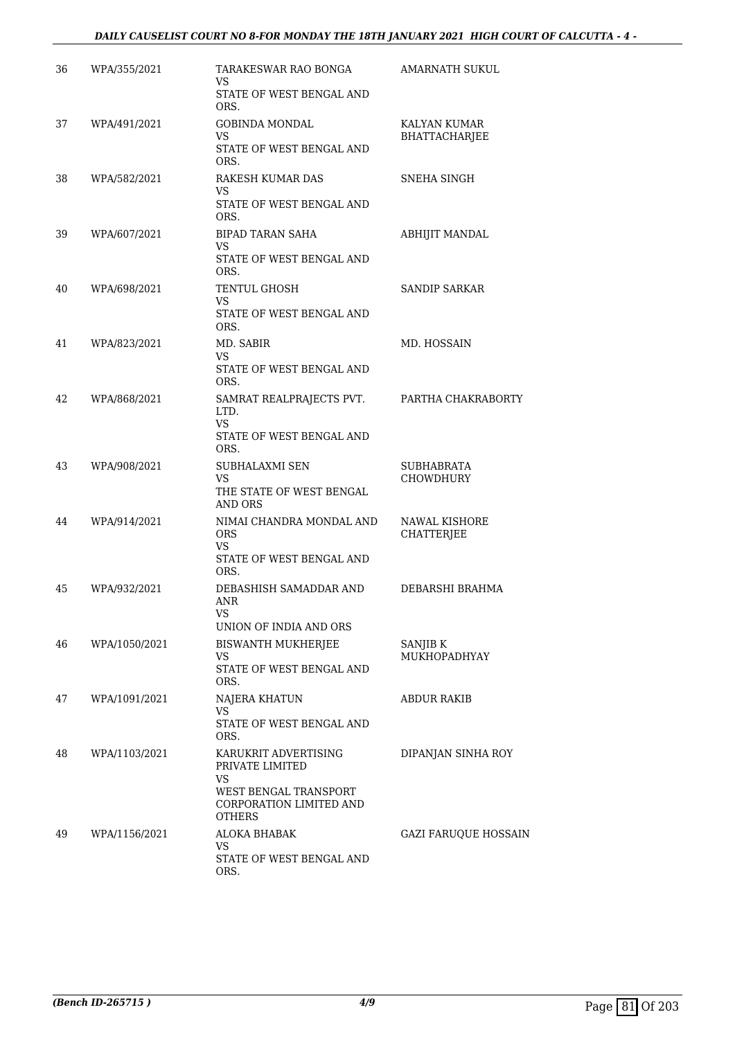## *DAILY CAUSELIST COURT NO 8-FOR MONDAY THE 18TH JANUARY 2021 HIGH COURT OF CALCUTTA - 4 -*

| 36 | WPA/355/2021  | TARAKESWAR RAO BONGA<br>VS.<br>STATE OF WEST BENGAL AND                                                            | <b>AMARNATH SUKUL</b>                |
|----|---------------|--------------------------------------------------------------------------------------------------------------------|--------------------------------------|
|    |               | ORS.                                                                                                               |                                      |
| 37 | WPA/491/2021  | <b>GOBINDA MONDAL</b><br>VS.<br>STATE OF WEST BENGAL AND                                                           | KALYAN KUMAR<br><b>BHATTACHARJEE</b> |
| 38 | WPA/582/2021  | ORS.<br>RAKESH KUMAR DAS<br>VS                                                                                     | SNEHA SINGH                          |
|    |               | STATE OF WEST BENGAL AND<br>ORS.                                                                                   |                                      |
| 39 | WPA/607/2021  | <b>BIPAD TARAN SAHA</b><br>VS.<br>STATE OF WEST BENGAL AND<br>ORS.                                                 | <b>ABHIJIT MANDAL</b>                |
| 40 | WPA/698/2021  | TENTUL GHOSH<br>VS.<br>STATE OF WEST BENGAL AND<br>ORS.                                                            | <b>SANDIP SARKAR</b>                 |
| 41 | WPA/823/2021  | MD. SABIR<br>VS.<br>STATE OF WEST BENGAL AND                                                                       | MD. HOSSAIN                          |
| 42 | WPA/868/2021  | ORS.<br>SAMRAT REALPRAJECTS PVT.<br>LTD.<br>VS.<br>STATE OF WEST BENGAL AND<br>ORS.                                | PARTHA CHAKRABORTY                   |
| 43 | WPA/908/2021  | SUBHALAXMI SEN<br>VS.<br>THE STATE OF WEST BENGAL<br><b>AND ORS</b>                                                | SUBHABRATA<br><b>CHOWDHURY</b>       |
| 44 | WPA/914/2021  | NIMAI CHANDRA MONDAL AND<br><b>ORS</b><br><b>VS</b><br>STATE OF WEST BENGAL AND<br>ORS.                            | NAWAL KISHORE<br><b>CHATTERJEE</b>   |
| 45 | WPA/932/2021  | DEBASHISH SAMADDAR AND<br>ANR<br><b>VS</b><br>UNION OF INDIA AND ORS                                               | DEBARSHI BRAHMA                      |
| 46 | WPA/1050/2021 | BISWANTH MUKHERJEE<br>VS<br>STATE OF WEST BENGAL AND<br>ORS.                                                       | SANJIB K<br>MUKHOPADHYAY             |
| 47 | WPA/1091/2021 | NAJERA KHATUN<br>VS<br>STATE OF WEST BENGAL AND<br>ORS.                                                            | ABDUR RAKIB                          |
| 48 | WPA/1103/2021 | KARUKRIT ADVERTISING<br>PRIVATE LIMITED<br>VS<br>WEST BENGAL TRANSPORT<br>CORPORATION LIMITED AND<br><b>OTHERS</b> | DIPANJAN SINHA ROY                   |
| 49 | WPA/1156/2021 | ALOKA BHABAK<br>VS<br>STATE OF WEST BENGAL AND<br>ORS.                                                             | <b>GAZI FARUQUE HOSSAIN</b>          |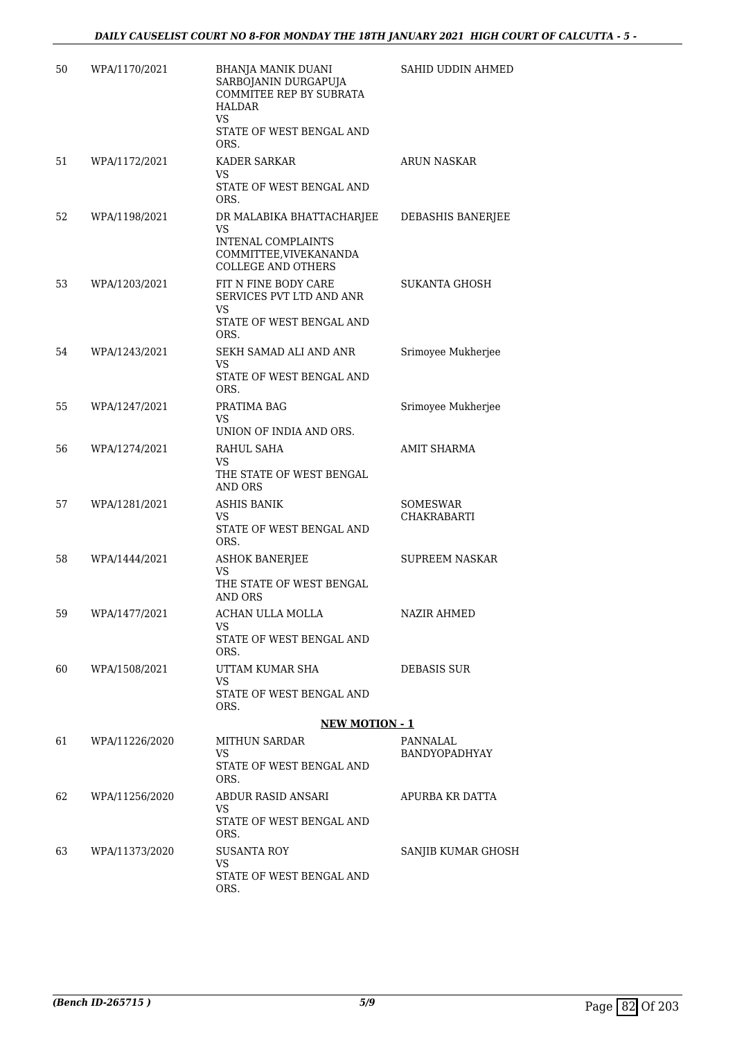| 50 | WPA/1170/2021  | <b>BHANJA MANIK DUANI</b><br>SARBOJANIN DURGAPUJA<br>COMMITEE REP BY SUBRATA<br>HALDAR<br>VS.<br>STATE OF WEST BENGAL AND<br>ORS. | SAHID UDDIN AHMED              |
|----|----------------|-----------------------------------------------------------------------------------------------------------------------------------|--------------------------------|
| 51 | WPA/1172/2021  | KADER SARKAR<br>VS<br>STATE OF WEST BENGAL AND<br>ORS.                                                                            | <b>ARUN NASKAR</b>             |
| 52 | WPA/1198/2021  | DR MALABIKA BHATTACHARJEE<br><b>VS</b><br><b>INTENAL COMPLAINTS</b><br>COMMITTEE, VIVEKANANDA<br><b>COLLEGE AND OTHERS</b>        | DEBASHIS BANERJEE              |
| 53 | WPA/1203/2021  | FIT N FINE BODY CARE<br>SERVICES PVT LTD AND ANR<br>VS.<br>STATE OF WEST BENGAL AND<br>ORS.                                       | <b>SUKANTA GHOSH</b>           |
| 54 | WPA/1243/2021  | SEKH SAMAD ALI AND ANR<br><b>VS</b><br>STATE OF WEST BENGAL AND<br>ORS.                                                           | Srimoyee Mukherjee             |
| 55 | WPA/1247/2021  | PRATIMA BAG<br><b>VS</b><br>UNION OF INDIA AND ORS.                                                                               | Srimoyee Mukherjee             |
| 56 | WPA/1274/2021  | RAHUL SAHA<br>VS.<br>THE STATE OF WEST BENGAL<br>AND ORS                                                                          | <b>AMIT SHARMA</b>             |
| 57 | WPA/1281/2021  | <b>ASHIS BANIK</b><br>VS.<br>STATE OF WEST BENGAL AND<br>ORS.                                                                     | <b>SOMESWAR</b><br>CHAKRABARTI |
| 58 | WPA/1444/2021  | <b>ASHOK BANERJEE</b><br>VS<br>THE STATE OF WEST BENGAL<br><b>AND ORS</b>                                                         | <b>SUPREEM NASKAR</b>          |
| 59 | WPA/1477/2021  | ACHAN ULLA MOLLA<br>VS<br>STATE OF WEST BENGAL AND                                                                                | <b>NAZIR AHMED</b>             |
| 60 | WPA/1508/2021  | ORS.<br>UTTAM KUMAR SHA<br>VS.<br>STATE OF WEST BENGAL AND<br>ORS.                                                                | DEBASIS SUR                    |
|    |                | <b>NEW MOTION - 1</b>                                                                                                             |                                |
| 61 | WPA/11226/2020 | <b>MITHUN SARDAR</b>                                                                                                              | PANNALAL                       |
|    |                | VS.<br>STATE OF WEST BENGAL AND<br>ORS.                                                                                           | <b>BANDYOPADHYAY</b>           |
| 62 | WPA/11256/2020 | ABDUR RASID ANSARI<br>VS.<br>STATE OF WEST BENGAL AND                                                                             | APURBA KR DATTA                |
|    |                | ORS.                                                                                                                              |                                |
| 63 | WPA/11373/2020 | <b>SUSANTA ROY</b><br>VS.<br>STATE OF WEST BENGAL AND<br>ORS.                                                                     | SANJIB KUMAR GHOSH             |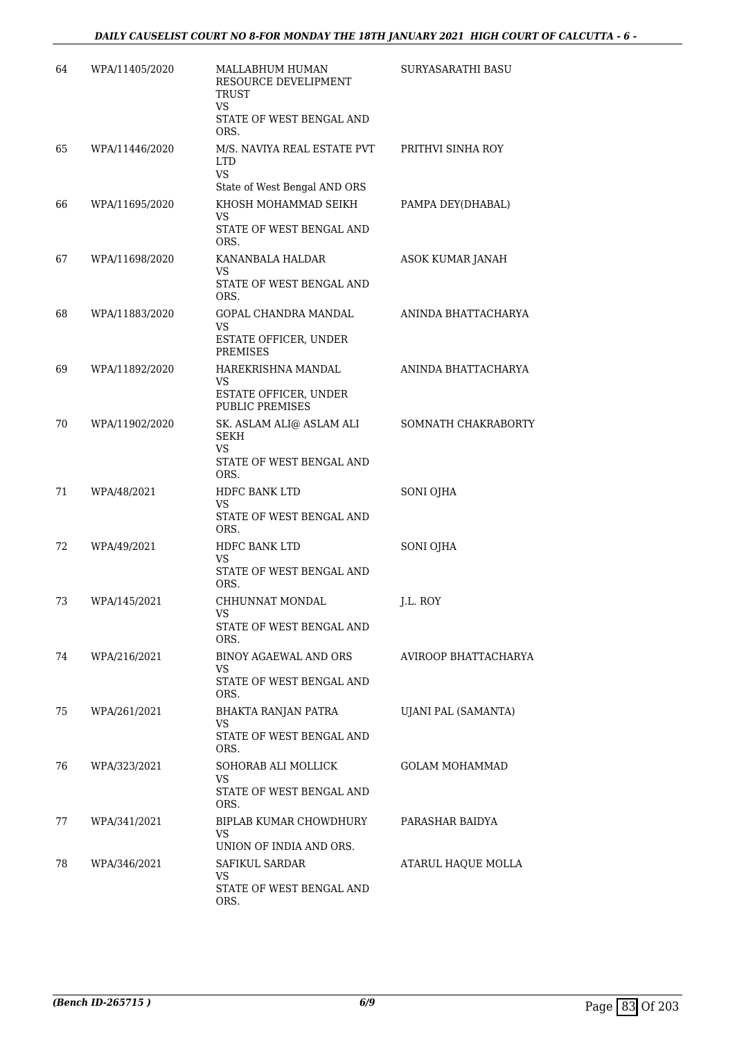| 64 | WPA/11405/2020 | MALLABHUM HUMAN<br>RESOURCE DEVELIPMENT<br>TRUST<br>VS<br>STATE OF WEST BENGAL AND<br>ORS. | SURYASARATHI BASU           |
|----|----------------|--------------------------------------------------------------------------------------------|-----------------------------|
| 65 | WPA/11446/2020 | M/S. NAVIYA REAL ESTATE PVT<br>LTD<br>VS.<br>State of West Bengal AND ORS                  | PRITHVI SINHA ROY           |
| 66 | WPA/11695/2020 | KHOSH MOHAMMAD SEIKH<br>VS.<br>STATE OF WEST BENGAL AND<br>ORS.                            | PAMPA DEY(DHABAL)           |
| 67 | WPA/11698/2020 | KANANBALA HALDAR<br><b>VS</b><br>STATE OF WEST BENGAL AND<br>ORS.                          | ASOK KUMAR JANAH            |
| 68 | WPA/11883/2020 | GOPAL CHANDRA MANDAL<br>VS<br>ESTATE OFFICER, UNDER<br><b>PREMISES</b>                     | ANINDA BHATTACHARYA         |
| 69 | WPA/11892/2020 | HAREKRISHNA MANDAL<br>VS<br>ESTATE OFFICER, UNDER<br><b>PUBLIC PREMISES</b>                | ANINDA BHATTACHARYA         |
| 70 | WPA/11902/2020 | SK. ASLAM ALI@ ASLAM ALI<br>SEKH<br>VS.<br>STATE OF WEST BENGAL AND<br>ORS.                | SOMNATH CHAKRABORTY         |
| 71 | WPA/48/2021    | HDFC BANK LTD<br>VS<br>STATE OF WEST BENGAL AND<br>ORS.                                    | SONI OJHA                   |
| 72 | WPA/49/2021    | HDFC BANK LTD<br>VS.<br>STATE OF WEST BENGAL AND<br>ORS.                                   | SONI OJHA                   |
| 73 | WPA/145/2021   | CHHUNNAT MONDAL<br>VS.<br>STATE OF WEST BENGAL AND<br>ORS.                                 | J.L. ROY                    |
| 74 | WPA/216/2021   | BINOY AGAEWAL AND ORS<br>VS.<br>STATE OF WEST BENGAL AND<br>ORS.                           | <b>AVIROOP BHATTACHARYA</b> |
| 75 | WPA/261/2021   | BHAKTA RANJAN PATRA<br>VS.<br>STATE OF WEST BENGAL AND<br>ORS.                             | UJANI PAL (SAMANTA)         |
| 76 | WPA/323/2021   | SOHORAB ALI MOLLICK<br>VS<br>STATE OF WEST BENGAL AND<br>ORS.                              | <b>GOLAM MOHAMMAD</b>       |
| 77 | WPA/341/2021   | BIPLAB KUMAR CHOWDHURY<br>VS.<br>UNION OF INDIA AND ORS.                                   | PARASHAR BAIDYA             |
| 78 | WPA/346/2021   | <b>SAFIKUL SARDAR</b><br>VS<br>STATE OF WEST BENGAL AND<br>ORS.                            | ATARUL HAQUE MOLLA          |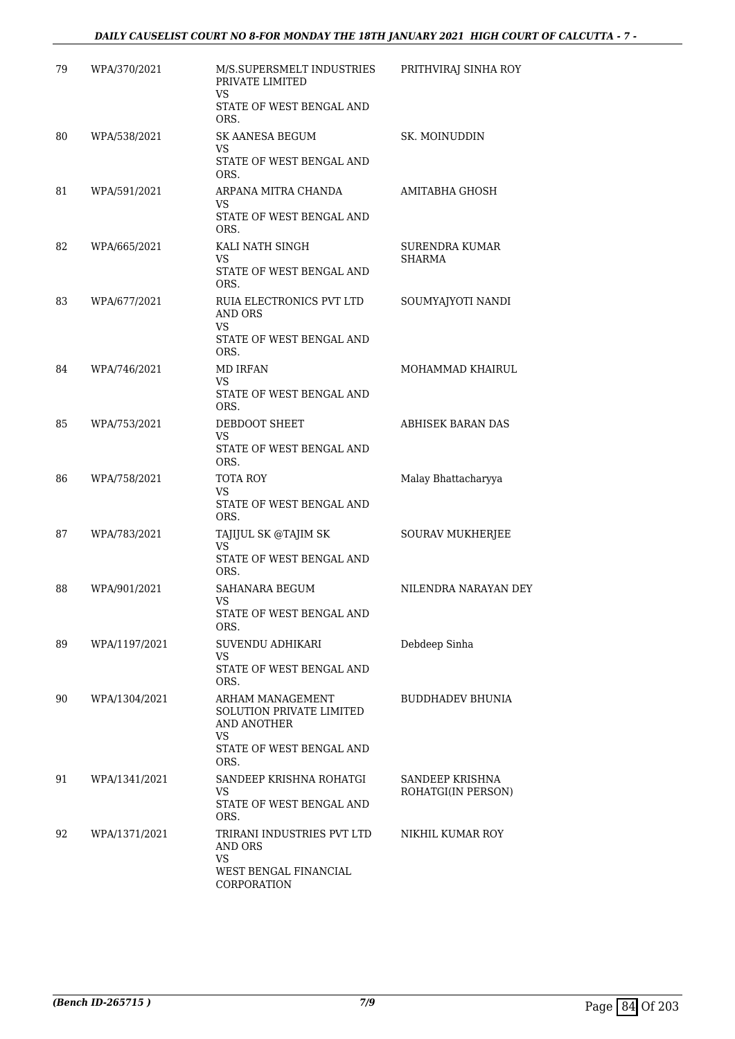| 79 | WPA/370/2021  | M/S.SUPERSMELT INDUSTRIES<br>PRIVATE LIMITED<br>VS                                                                  | PRITHVIRAJ SINHA ROY                   |
|----|---------------|---------------------------------------------------------------------------------------------------------------------|----------------------------------------|
|    |               | STATE OF WEST BENGAL AND<br>ORS.                                                                                    |                                        |
| 80 | WPA/538/2021  | <b>SK AANESA BEGUM</b><br><b>VS</b><br>STATE OF WEST BENGAL AND<br>ORS.                                             | SK. MOINUDDIN                          |
| 81 | WPA/591/2021  | ARPANA MITRA CHANDA<br>VS<br>STATE OF WEST BENGAL AND<br>ORS.                                                       | <b>AMITABHA GHOSH</b>                  |
| 82 | WPA/665/2021  | KALI NATH SINGH<br>VS<br>STATE OF WEST BENGAL AND<br>ORS.                                                           | <b>SURENDRA KUMAR</b><br><b>SHARMA</b> |
| 83 | WPA/677/2021  | RUIA ELECTRONICS PVT LTD<br>AND ORS<br><b>VS</b><br>STATE OF WEST BENGAL AND<br>ORS.                                | SOUMYAJYOTI NANDI                      |
| 84 | WPA/746/2021  | <b>MD IRFAN</b><br>VS<br>STATE OF WEST BENGAL AND<br>ORS.                                                           | MOHAMMAD KHAIRUL                       |
| 85 | WPA/753/2021  | DEBDOOT SHEET<br>VS<br>STATE OF WEST BENGAL AND<br>ORS.                                                             | <b>ABHISEK BARAN DAS</b>               |
| 86 | WPA/758/2021  | TOTA ROY<br><b>VS</b><br>STATE OF WEST BENGAL AND<br>ORS.                                                           | Malay Bhattacharyya                    |
| 87 | WPA/783/2021  | TAJIJUL SK @TAJIM SK<br>VS.<br>STATE OF WEST BENGAL AND<br>ORS.                                                     | SOURAV MUKHERJEE                       |
| 88 | WPA/901/2021  | SAHANARA BEGUM<br>VS<br>STATE OF WEST BENGAL AND<br>ORS.                                                            | NILENDRA NARAYAN DEY                   |
| 89 | WPA/1197/2021 | SUVENDU ADHIKARI<br>VS<br>STATE OF WEST BENGAL AND<br>ORS.                                                          | Debdeep Sinha                          |
| 90 | WPA/1304/2021 | ARHAM MANAGEMENT<br><b>SOLUTION PRIVATE LIMITED</b><br>AND ANOTHER<br><b>VS</b><br>STATE OF WEST BENGAL AND<br>ORS. | <b>BUDDHADEV BHUNIA</b>                |
| 91 | WPA/1341/2021 | SANDEEP KRISHNA ROHATGI<br>VS<br>STATE OF WEST BENGAL AND<br>ORS.                                                   | SANDEEP KRISHNA<br>ROHATGI(IN PERSON)  |
| 92 | WPA/1371/2021 | TRIRANI INDUSTRIES PVT LTD<br>AND ORS<br>VS.<br>WEST BENGAL FINANCIAL<br><b>CORPORATION</b>                         | NIKHIL KUMAR ROY                       |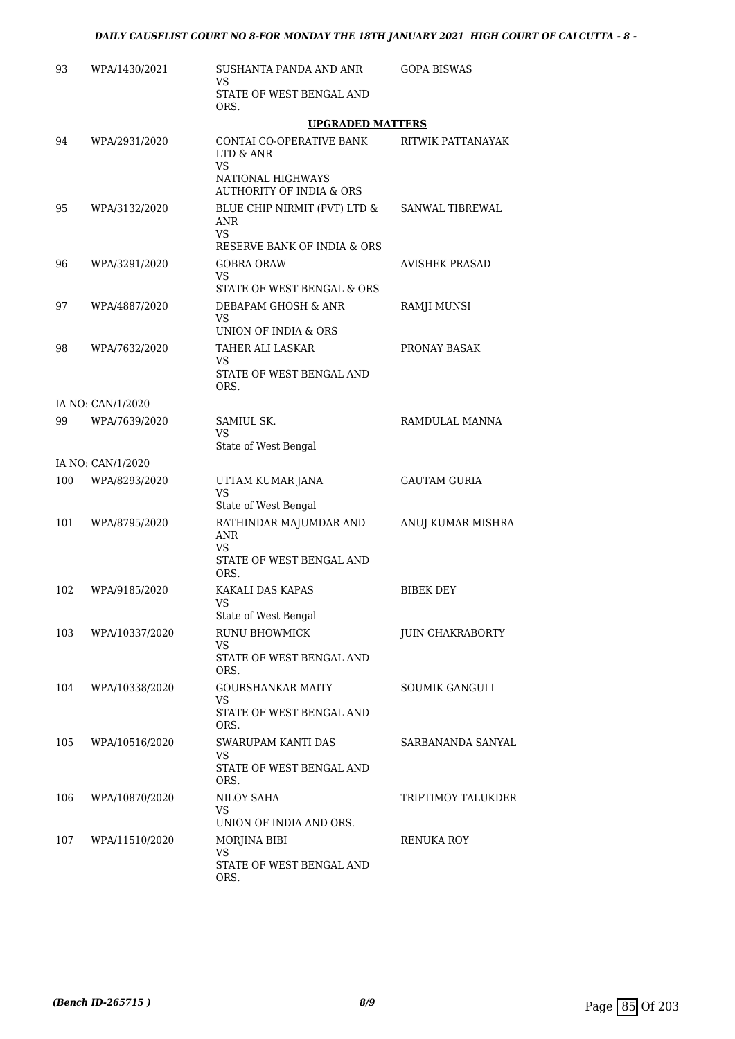| 93  | WPA/1430/2021     | SUSHANTA PANDA AND ANR<br>VS.                                                                                         | <b>GOPA BISWAS</b>     |
|-----|-------------------|-----------------------------------------------------------------------------------------------------------------------|------------------------|
|     |                   | STATE OF WEST BENGAL AND<br>ORS.                                                                                      |                        |
|     |                   | <b>UPGRADED MATTERS</b>                                                                                               |                        |
| 94  | WPA/2931/2020     | <b>CONTAI CO-OPERATIVE BANK</b><br>LTD & ANR<br><b>VS</b><br>NATIONAL HIGHWAYS<br><b>AUTHORITY OF INDIA &amp; ORS</b> | RITWIK PATTANAYAK      |
| 95  | WPA/3132/2020     | BLUE CHIP NIRMIT (PVT) LTD &<br>ANR<br><b>VS</b><br>RESERVE BANK OF INDIA & ORS                                       | <b>SANWAL TIBREWAL</b> |
| 96  | WPA/3291/2020     | <b>GOBRA ORAW</b><br>VS.<br>STATE OF WEST BENGAL & ORS                                                                | <b>AVISHEK PRASAD</b>  |
| 97  | WPA/4887/2020     | DEBAPAM GHOSH & ANR<br>VS.<br>UNION OF INDIA & ORS                                                                    | RAMJI MUNSI            |
| 98  | WPA/7632/2020     | TAHER ALI LASKAR<br>VS.<br>STATE OF WEST BENGAL AND<br>ORS.                                                           | PRONAY BASAK           |
|     | IA NO: CAN/1/2020 |                                                                                                                       |                        |
| 99  | WPA/7639/2020     | SAMIUL SK.<br>VS.<br>State of West Bengal                                                                             | RAMDULAL MANNA         |
|     | IA NO: CAN/1/2020 |                                                                                                                       |                        |
| 100 | WPA/8293/2020     | UTTAM KUMAR JANA<br>VS<br>State of West Bengal                                                                        | <b>GAUTAM GURIA</b>    |
| 101 | WPA/8795/2020     | RATHINDAR MAJUMDAR AND<br><b>ANR</b><br>VS.<br>STATE OF WEST BENGAL AND<br>ORS.                                       | ANUJ KUMAR MISHRA      |
| 102 | WPA/9185/2020     | KAKALI DAS KAPAS<br>VS<br>State of West Bengal                                                                        | <b>BIBEK DEY</b>       |
| 103 | WPA/10337/2020    | <b>RUNU BHOWMICK</b><br>VS<br>STATE OF WEST BENGAL AND<br>ORS.                                                        | JUIN CHAKRABORTY       |
| 104 | WPA/10338/2020    | GOURSHANKAR MAITY<br>VS.<br>STATE OF WEST BENGAL AND<br>ORS.                                                          | SOUMIK GANGULI         |
| 105 | WPA/10516/2020    | SWARUPAM KANTI DAS<br>VS<br>STATE OF WEST BENGAL AND<br>ORS.                                                          | SARBANANDA SANYAL      |
| 106 | WPA/10870/2020    | NILOY SAHA<br><b>VS</b><br>UNION OF INDIA AND ORS.                                                                    | TRIPTIMOY TALUKDER     |
| 107 | WPA/11510/2020    | MORJINA BIBI<br><b>VS</b><br>STATE OF WEST BENGAL AND<br>ORS.                                                         | RENUKA ROY             |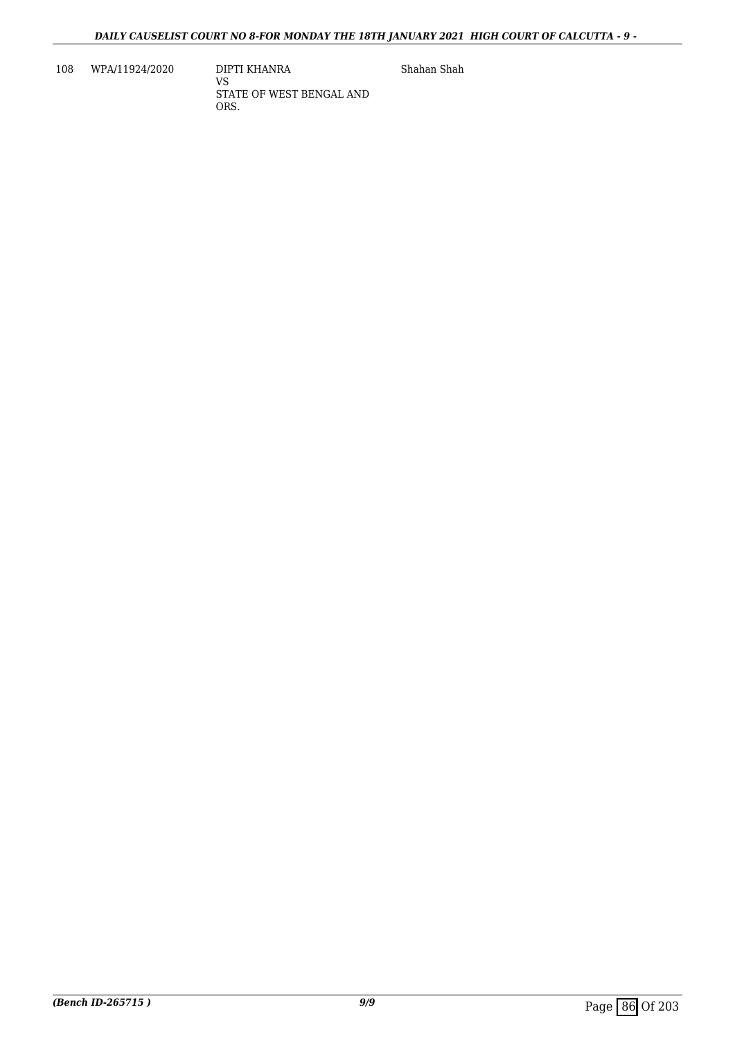108 WPA/11924/2020 DIPTI KHANRA

VS STATE OF WEST BENGAL AND ORS.

Shahan Shah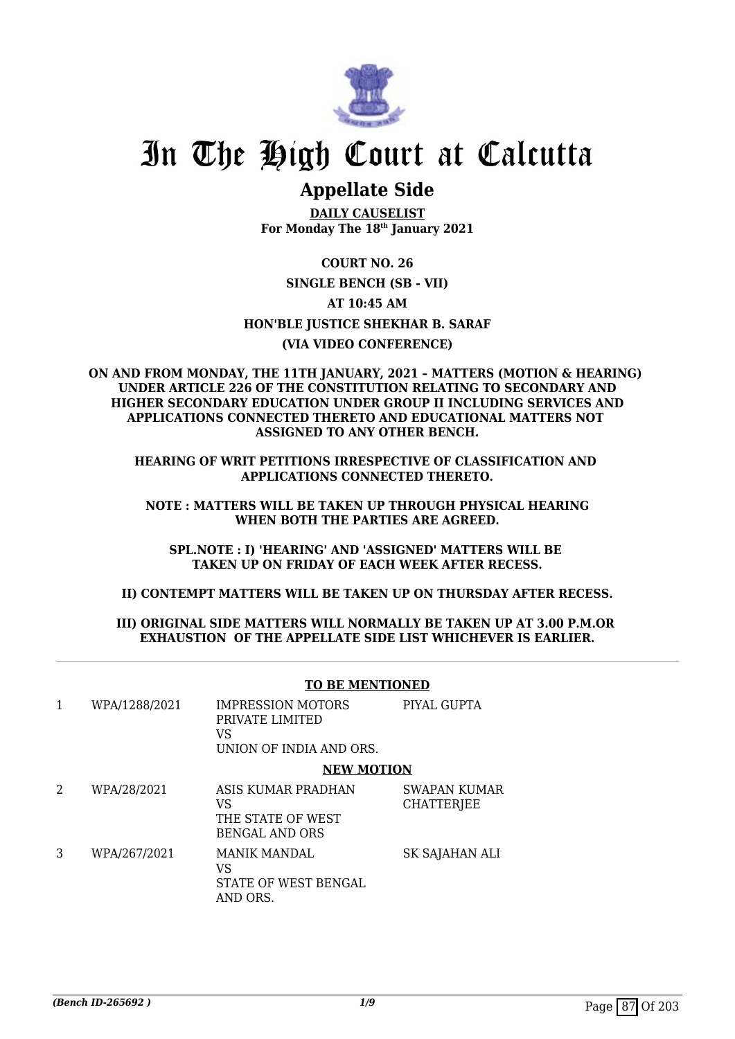

# In The High Court at Calcutta

# **Appellate Side**

**DAILY CAUSELIST For Monday The 18th January 2021**

**COURT NO. 26 SINGLE BENCH (SB - VII) AT 10:45 AM HON'BLE JUSTICE SHEKHAR B. SARAF (VIA VIDEO CONFERENCE)**

### **ON AND FROM MONDAY, THE 11TH JANUARY, 2021 – MATTERS (MOTION & HEARING) UNDER ARTICLE 226 OF THE CONSTITUTION RELATING TO SECONDARY AND HIGHER SECONDARY EDUCATION UNDER GROUP II INCLUDING SERVICES AND APPLICATIONS CONNECTED THERETO AND EDUCATIONAL MATTERS NOT ASSIGNED TO ANY OTHER BENCH.**

**HEARING OF WRIT PETITIONS IRRESPECTIVE OF CLASSIFICATION AND APPLICATIONS CONNECTED THERETO.**

**NOTE : MATTERS WILL BE TAKEN UP THROUGH PHYSICAL HEARING WHEN BOTH THE PARTIES ARE AGREED.**

**SPL.NOTE : I) 'HEARING' AND 'ASSIGNED' MATTERS WILL BE TAKEN UP ON FRIDAY OF EACH WEEK AFTER RECESS.**

**II) CONTEMPT MATTERS WILL BE TAKEN UP ON THURSDAY AFTER RECESS.**

### **III) ORIGINAL SIDE MATTERS WILL NORMALLY BE TAKEN UP AT 3.00 P.M.OR EXHAUSTION OF THE APPELLATE SIDE LIST WHICHEVER IS EARLIER.**

### **TO BE MENTIONED** 1 WPA/1288/2021 IMPRESSION MOTORS PRIVATE LIMITED VS UNION OF INDIA AND ORS. PIYAL GUPTA **NEW MOTION** 2 WPA/28/2021 ASIS KUMAR PRADHAN VS THE STATE OF WEST BENGAL AND ORS SWAPAN KUMAR **CHATTERIEE** 3 WPA/267/2021 MANIK MANDAL VS STATE OF WEST BENGAL AND ORS. SK SAJAHAN ALI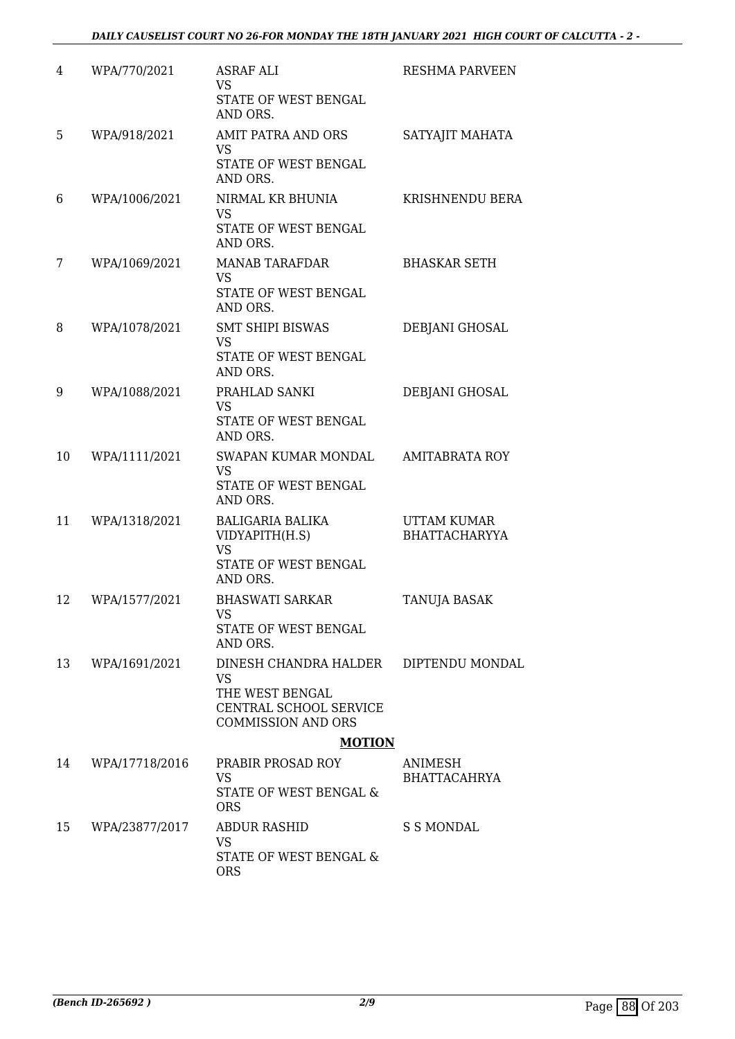| 4  | WPA/770/2021   | <b>ASRAF ALI</b><br><b>VS</b><br>STATE OF WEST BENGAL<br>AND ORS.                                            | <b>RESHMA PARVEEN</b>                      |
|----|----------------|--------------------------------------------------------------------------------------------------------------|--------------------------------------------|
| 5  | WPA/918/2021   | AMIT PATRA AND ORS<br><b>VS</b><br>STATE OF WEST BENGAL<br>AND ORS.                                          | SATYAJIT MAHATA                            |
| 6  | WPA/1006/2021  | NIRMAL KR BHUNIA<br><b>VS</b><br>STATE OF WEST BENGAL<br>AND ORS.                                            | KRISHNENDU BERA                            |
| 7  | WPA/1069/2021  | <b>MANAB TARAFDAR</b><br><b>VS</b><br>STATE OF WEST BENGAL<br>AND ORS.                                       | <b>BHASKAR SETH</b>                        |
| 8  | WPA/1078/2021  | <b>SMT SHIPI BISWAS</b><br><b>VS</b><br>STATE OF WEST BENGAL<br>AND ORS.                                     | DEBJANI GHOSAL                             |
| 9  | WPA/1088/2021  | PRAHLAD SANKI<br><b>VS</b><br>STATE OF WEST BENGAL<br>AND ORS.                                               | DEBJANI GHOSAL                             |
| 10 | WPA/1111/2021  | SWAPAN KUMAR MONDAL<br><b>VS</b><br>STATE OF WEST BENGAL<br>AND ORS.                                         | <b>AMITABRATA ROY</b>                      |
| 11 | WPA/1318/2021  | <b>BALIGARIA BALIKA</b><br>VIDYAPITH(H.S)<br><b>VS</b><br>STATE OF WEST BENGAL<br>AND ORS.                   | <b>UTTAM KUMAR</b><br><b>BHATTACHARYYA</b> |
| 12 | WPA/1577/2021  | <b>BHASWATI SARKAR</b><br>VS<br>STATE OF WEST BENGAL<br>AND ORS.                                             | <b>TANUJA BASAK</b>                        |
| 13 | WPA/1691/2021  | DINESH CHANDRA HALDER<br><b>VS</b><br>THE WEST BENGAL<br>CENTRAL SCHOOL SERVICE<br><b>COMMISSION AND ORS</b> | DIPTENDU MONDAL                            |
|    |                | <b>MOTION</b>                                                                                                |                                            |
| 14 | WPA/17718/2016 | PRABIR PROSAD ROY<br>VS<br>STATE OF WEST BENGAL &<br><b>ORS</b>                                              | ANIMESH<br><b>BHATTACAHRYA</b>             |
| 15 | WPA/23877/2017 | <b>ABDUR RASHID</b><br>VS<br>STATE OF WEST BENGAL &<br><b>ORS</b>                                            | <b>S S MONDAL</b>                          |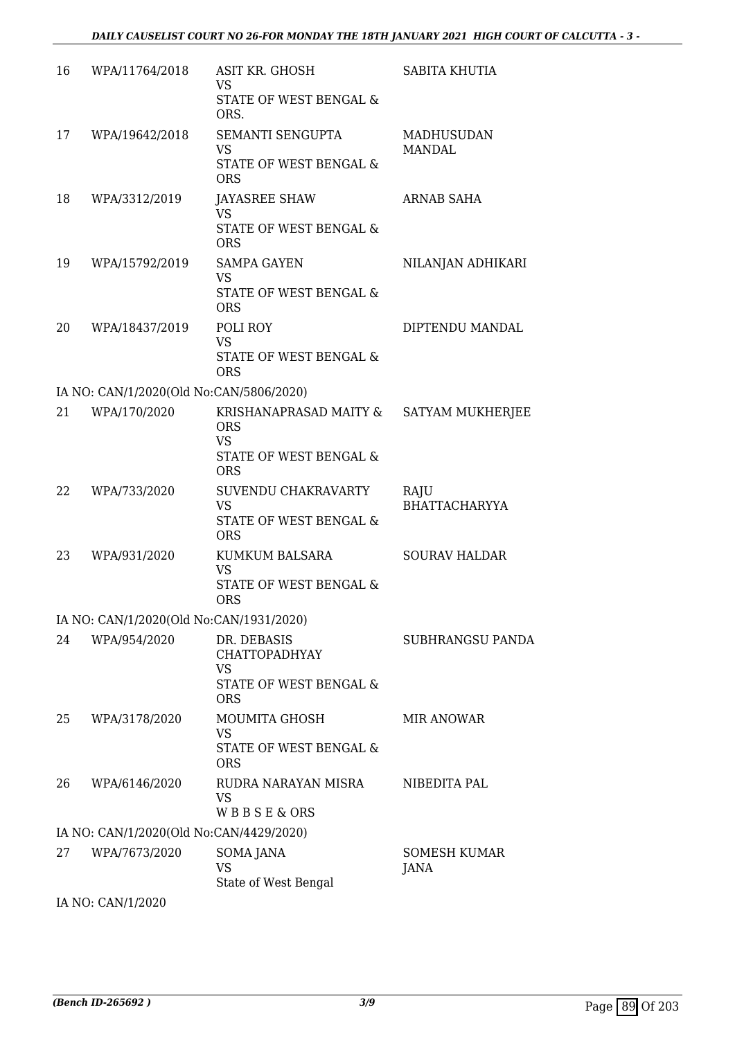| 16 | WPA/11764/2018                          | ASIT KR. GHOSH<br><b>VS</b><br>STATE OF WEST BENGAL &<br>ORS.                             | SABITA KHUTIA                      |
|----|-----------------------------------------|-------------------------------------------------------------------------------------------|------------------------------------|
| 17 | WPA/19642/2018                          | SEMANTI SENGUPTA<br><b>VS</b><br>STATE OF WEST BENGAL &<br><b>ORS</b>                     | <b>MADHUSUDAN</b><br><b>MANDAL</b> |
| 18 | WPA/3312/2019                           | <b>JAYASREE SHAW</b><br><b>VS</b><br>STATE OF WEST BENGAL &<br><b>ORS</b>                 | <b>ARNAB SAHA</b>                  |
| 19 | WPA/15792/2019                          | <b>SAMPA GAYEN</b><br><b>VS</b><br>STATE OF WEST BENGAL &<br><b>ORS</b>                   | NILANJAN ADHIKARI                  |
| 20 | WPA/18437/2019                          | POLI ROY<br><b>VS</b><br>STATE OF WEST BENGAL &<br><b>ORS</b>                             | DIPTENDU MANDAL                    |
|    | IA NO: CAN/1/2020(Old No:CAN/5806/2020) |                                                                                           |                                    |
| 21 | WPA/170/2020                            | KRISHANAPRASAD MAITY &<br><b>ORS</b><br><b>VS</b><br>STATE OF WEST BENGAL &<br><b>ORS</b> | SATYAM MUKHERJEE                   |
| 22 | WPA/733/2020                            | SUVENDU CHAKRAVARTY<br><b>VS</b><br>STATE OF WEST BENGAL &<br><b>ORS</b>                  | RAJU<br><b>BHATTACHARYYA</b>       |
| 23 | WPA/931/2020                            | KUMKUM BALSARA<br><b>VS</b><br>STATE OF WEST BENGAL &<br><b>ORS</b>                       | <b>SOURAV HALDAR</b>               |
|    | IA NO: CAN/1/2020(Old No:CAN/1931/2020) |                                                                                           |                                    |
| 24 | WPA/954/2020                            | DR. DEBASIS<br><b>CHATTOPADHYAY</b><br><b>VS</b><br>STATE OF WEST BENGAL &<br><b>ORS</b>  | SUBHRANGSU PANDA                   |
| 25 | WPA/3178/2020                           | <b>MOUMITA GHOSH</b><br>VS<br>STATE OF WEST BENGAL &<br><b>ORS</b>                        | <b>MIR ANOWAR</b>                  |
| 26 | WPA/6146/2020                           | RUDRA NARAYAN MISRA<br><b>VS</b><br>WBBSE&ORS                                             | NIBEDITA PAL                       |
|    | IA NO: CAN/1/2020(Old No:CAN/4429/2020) |                                                                                           |                                    |
| 27 | WPA/7673/2020                           | SOMA JANA<br><b>VS</b><br>State of West Bengal                                            | <b>SOMESH KUMAR</b><br>JANA        |
|    | 0.000                                   |                                                                                           |                                    |

IA NO: CAN/1/2020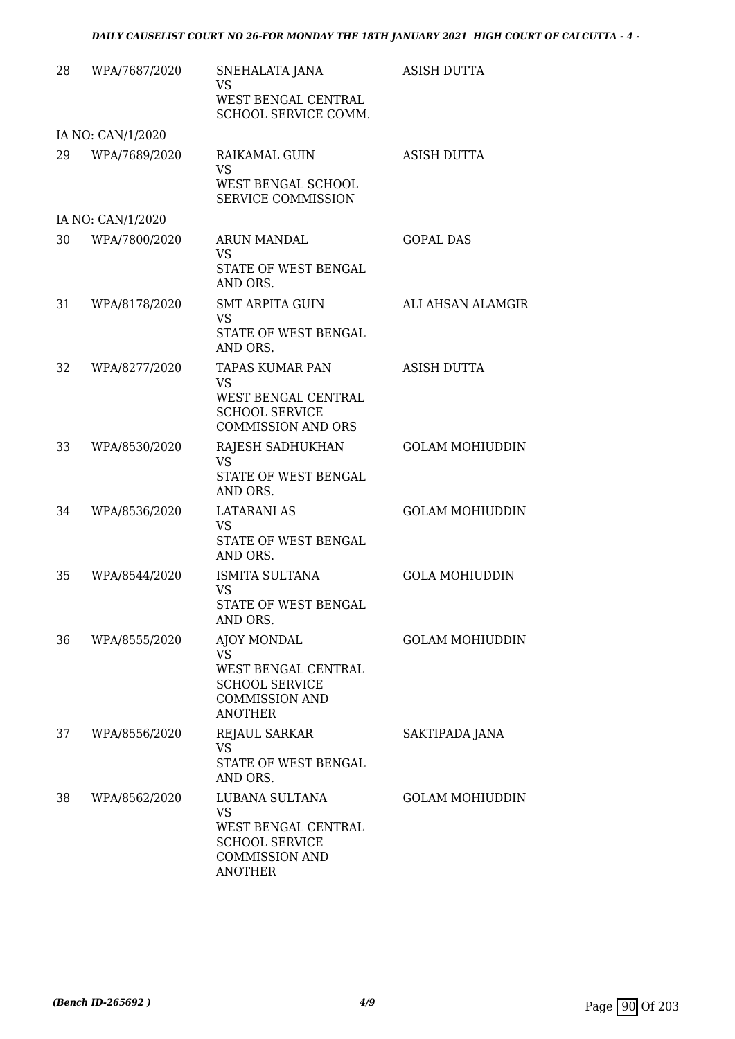| 28 | WPA/7687/2020     | SNEHALATA JANA<br><b>VS</b><br>WEST BENGAL CENTRAL<br>SCHOOL SERVICE COMM.                                             | <b>ASISH DUTTA</b>     |
|----|-------------------|------------------------------------------------------------------------------------------------------------------------|------------------------|
|    | IA NO: CAN/1/2020 |                                                                                                                        |                        |
| 29 | WPA/7689/2020     | RAIKAMAL GUIN<br><b>VS</b><br>WEST BENGAL SCHOOL<br>SERVICE COMMISSION                                                 | ASISH DUTTA            |
|    | IA NO: CAN/1/2020 |                                                                                                                        |                        |
| 30 | WPA/7800/2020     | <b>ARUN MANDAL</b><br><b>VS</b><br>STATE OF WEST BENGAL<br>AND ORS.                                                    | <b>GOPAL DAS</b>       |
| 31 | WPA/8178/2020     | <b>SMT ARPITA GUIN</b><br><b>VS</b><br>STATE OF WEST BENGAL<br>AND ORS.                                                | ALI AHSAN ALAMGIR      |
| 32 | WPA/8277/2020     | TAPAS KUMAR PAN<br>VS<br>WEST BENGAL CENTRAL<br><b>SCHOOL SERVICE</b><br><b>COMMISSION AND ORS</b>                     | <b>ASISH DUTTA</b>     |
| 33 | WPA/8530/2020     | RAJESH SADHUKHAN<br><b>VS</b><br>STATE OF WEST BENGAL<br>AND ORS.                                                      | <b>GOLAM MOHIUDDIN</b> |
| 34 | WPA/8536/2020     | <b>LATARANI AS</b><br><b>VS</b><br>STATE OF WEST BENGAL<br>AND ORS.                                                    | <b>GOLAM MOHIUDDIN</b> |
| 35 | WPA/8544/2020     | ISMITA SULTANA<br><b>VS</b><br><b>STATE OF WEST BENGAL</b><br>AND ORS.                                                 | <b>GOLA MOHIUDDIN</b>  |
| 36 | WPA/8555/2020     | AJOY MONDAL<br><b>VS</b><br>WEST BENGAL CENTRAL<br><b>SCHOOL SERVICE</b><br><b>COMMISSION AND</b><br><b>ANOTHER</b>    | <b>GOLAM MOHIUDDIN</b> |
| 37 | WPA/8556/2020     | <b>REJAUL SARKAR</b><br><b>VS</b><br>STATE OF WEST BENGAL<br>AND ORS.                                                  | SAKTIPADA JANA         |
| 38 | WPA/8562/2020     | LUBANA SULTANA<br><b>VS</b><br>WEST BENGAL CENTRAL<br><b>SCHOOL SERVICE</b><br><b>COMMISSION AND</b><br><b>ANOTHER</b> | <b>GOLAM MOHIUDDIN</b> |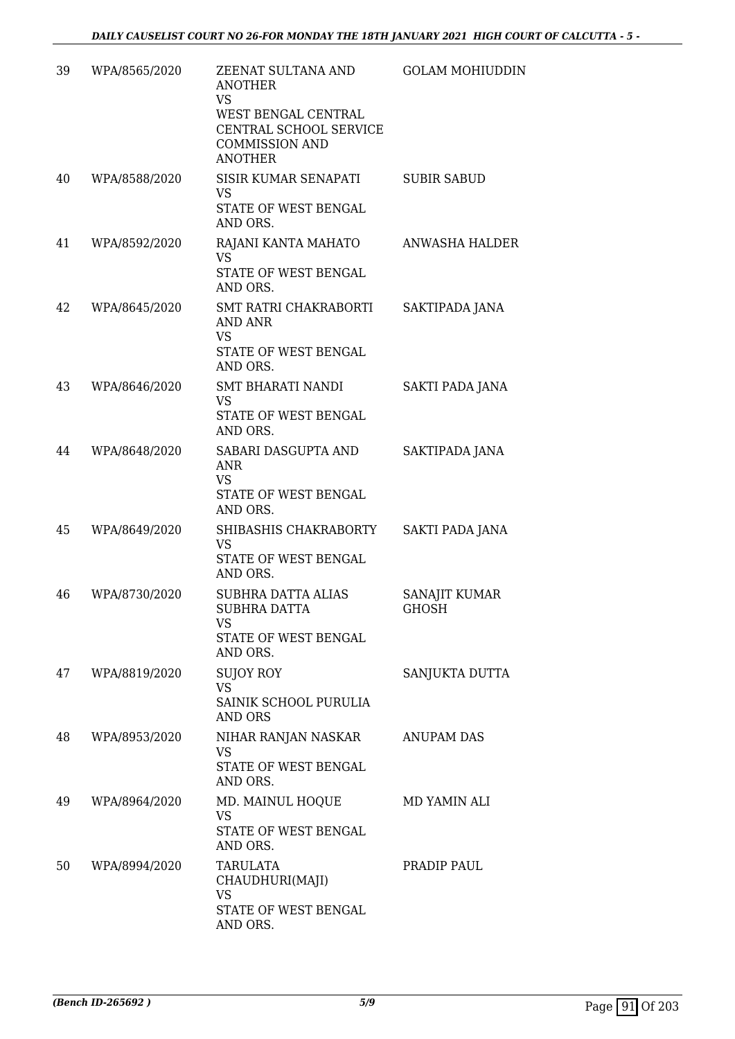| 39 | WPA/8565/2020 | ZEENAT SULTANA AND<br><b>ANOTHER</b><br><b>VS</b><br>WEST BENGAL CENTRAL<br>CENTRAL SCHOOL SERVICE<br><b>COMMISSION AND</b><br><b>ANOTHER</b> | <b>GOLAM MOHIUDDIN</b>        |
|----|---------------|-----------------------------------------------------------------------------------------------------------------------------------------------|-------------------------------|
| 40 | WPA/8588/2020 | SISIR KUMAR SENAPATI<br><b>VS</b><br>STATE OF WEST BENGAL<br>AND ORS.                                                                         | <b>SUBIR SABUD</b>            |
| 41 | WPA/8592/2020 | RAJANI KANTA MAHATO<br><b>VS</b><br>STATE OF WEST BENGAL<br>AND ORS.                                                                          | ANWASHA HALDER                |
| 42 | WPA/8645/2020 | SMT RATRI CHAKRABORTI<br>AND ANR<br><b>VS</b><br>STATE OF WEST BENGAL<br>AND ORS.                                                             | SAKTIPADA JANA                |
| 43 | WPA/8646/2020 | SMT BHARATI NANDI<br><b>VS</b><br>STATE OF WEST BENGAL<br>AND ORS.                                                                            | SAKTI PADA JANA               |
| 44 | WPA/8648/2020 | SABARI DASGUPTA AND<br>ANR<br><b>VS</b><br>STATE OF WEST BENGAL<br>AND ORS.                                                                   | SAKTIPADA JANA                |
| 45 | WPA/8649/2020 | SHIBASHIS CHAKRABORTY<br>VS<br>STATE OF WEST BENGAL<br>AND ORS.                                                                               | SAKTI PADA JANA               |
| 46 | WPA/8730/2020 | <b>SUBHRA DATTA ALIAS</b><br><b>SUBHRA DATTA</b><br>VS<br>STATE OF WEST BENGAL<br>AND ORS.                                                    | SANAJIT KUMAR<br><b>GHOSH</b> |
| 47 | WPA/8819/2020 | <b>SUJOY ROY</b><br><b>VS</b><br>SAINIK SCHOOL PURULIA<br><b>AND ORS</b>                                                                      | SANJUKTA DUTTA                |
| 48 | WPA/8953/2020 | NIHAR RANJAN NASKAR<br>VS<br>STATE OF WEST BENGAL<br>AND ORS.                                                                                 | <b>ANUPAM DAS</b>             |
| 49 | WPA/8964/2020 | MD. MAINUL HOQUE<br><b>VS</b><br>STATE OF WEST BENGAL<br>AND ORS.                                                                             | MD YAMIN ALI                  |
| 50 | WPA/8994/2020 | TARULATA<br>CHAUDHURI(MAJI)<br><b>VS</b><br>STATE OF WEST BENGAL<br>AND ORS.                                                                  | PRADIP PAUL                   |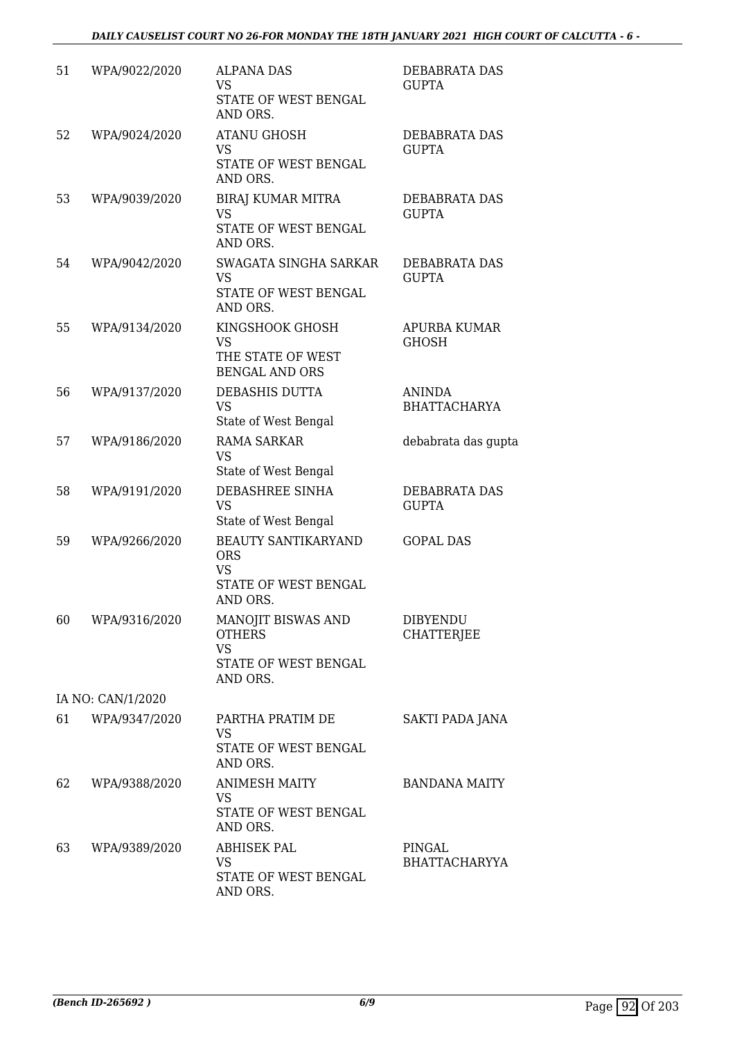| 51 | WPA/9022/2020     | <b>ALPANA DAS</b><br><b>VS</b><br>STATE OF WEST BENGAL<br>AND ORS.                        | DEBABRATA DAS<br><b>GUPTA</b>        |
|----|-------------------|-------------------------------------------------------------------------------------------|--------------------------------------|
| 52 | WPA/9024/2020     | <b>ATANU GHOSH</b><br><b>VS</b><br>STATE OF WEST BENGAL<br>AND ORS.                       | DEBABRATA DAS<br><b>GUPTA</b>        |
| 53 | WPA/9039/2020     | <b>BIRAJ KUMAR MITRA</b><br><b>VS</b><br>STATE OF WEST BENGAL<br>AND ORS.                 | DEBABRATA DAS<br><b>GUPTA</b>        |
| 54 | WPA/9042/2020     | SWAGATA SINGHA SARKAR<br><b>VS</b><br>STATE OF WEST BENGAL<br>AND ORS.                    | DEBABRATA DAS<br><b>GUPTA</b>        |
| 55 | WPA/9134/2020     | KINGSHOOK GHOSH<br><b>VS</b><br>THE STATE OF WEST<br><b>BENGAL AND ORS</b>                | APURBA KUMAR<br><b>GHOSH</b>         |
| 56 | WPA/9137/2020     | DEBASHIS DUTTA<br><b>VS</b><br>State of West Bengal                                       | ANINDA<br><b>BHATTACHARYA</b>        |
| 57 | WPA/9186/2020     | <b>RAMA SARKAR</b><br><b>VS</b><br>State of West Bengal                                   | debabrata das gupta                  |
| 58 | WPA/9191/2020     | DEBASHREE SINHA<br><b>VS</b><br>State of West Bengal                                      | DEBABRATA DAS<br><b>GUPTA</b>        |
| 59 | WPA/9266/2020     | <b>BEAUTY SANTIKARYAND</b><br><b>ORS</b><br><b>VS</b><br>STATE OF WEST BENGAL<br>AND ORS. | <b>GOPAL DAS</b>                     |
| 60 | WPA/9316/2020     | MANOJIT BISWAS AND<br><b>OTHERS</b><br><b>VS</b><br>STATE OF WEST BENGAL<br>AND ORS.      | <b>DIBYENDU</b><br><b>CHATTERJEE</b> |
|    | IA NO: CAN/1/2020 |                                                                                           |                                      |
| 61 | WPA/9347/2020     | PARTHA PRATIM DE<br><b>VS</b><br>STATE OF WEST BENGAL<br>AND ORS.                         | SAKTI PADA JANA                      |
| 62 | WPA/9388/2020     | <b>ANIMESH MAITY</b><br><b>VS</b><br>STATE OF WEST BENGAL<br>AND ORS.                     | <b>BANDANA MAITY</b>                 |
| 63 | WPA/9389/2020     | <b>ABHISEK PAL</b><br><b>VS</b><br>STATE OF WEST BENGAL<br>AND ORS.                       | PINGAL<br><b>BHATTACHARYYA</b>       |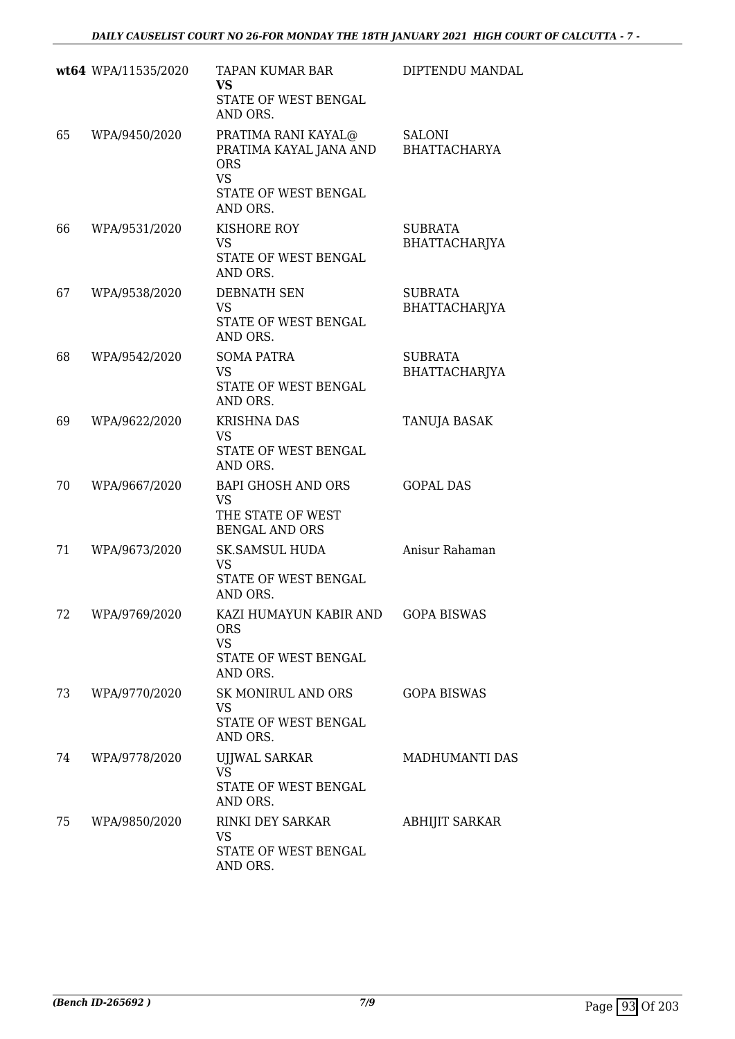|    | wt64 WPA/11535/2020 | TAPAN KUMAR BAR<br><b>VS</b><br>STATE OF WEST BENGAL<br>AND ORS.                                             | DIPTENDU MANDAL                        |
|----|---------------------|--------------------------------------------------------------------------------------------------------------|----------------------------------------|
| 65 | WPA/9450/2020       | PRATIMA RANI KAYAL@<br>PRATIMA KAYAL JANA AND<br><b>ORS</b><br><b>VS</b><br>STATE OF WEST BENGAL<br>AND ORS. | <b>SALONI</b><br><b>BHATTACHARYA</b>   |
| 66 | WPA/9531/2020       | KISHORE ROY<br><b>VS</b><br>STATE OF WEST BENGAL<br>AND ORS.                                                 | <b>SUBRATA</b><br>BHATTACHARJYA        |
| 67 | WPA/9538/2020       | <b>DEBNATH SEN</b><br><b>VS</b><br>STATE OF WEST BENGAL<br>AND ORS.                                          | <b>SUBRATA</b><br>BHATTACHARJYA        |
| 68 | WPA/9542/2020       | <b>SOMA PATRA</b><br><b>VS</b><br>STATE OF WEST BENGAL<br>AND ORS.                                           | <b>SUBRATA</b><br><b>BHATTACHARJYA</b> |
| 69 | WPA/9622/2020       | <b>KRISHNA DAS</b><br><b>VS</b><br>STATE OF WEST BENGAL<br>AND ORS.                                          | TANUJA BASAK                           |
| 70 | WPA/9667/2020       | <b>BAPI GHOSH AND ORS</b><br><b>VS</b><br>THE STATE OF WEST<br><b>BENGAL AND ORS</b>                         | <b>GOPAL DAS</b>                       |
| 71 | WPA/9673/2020       | <b>SK.SAMSUL HUDA</b><br><b>VS</b><br>STATE OF WEST BENGAL<br>AND ORS.                                       | Anisur Rahaman                         |
| 72 | WPA/9769/2020       | KAZI HUMAYUN KABIR AND GOPA BISWAS<br><b>ORS</b><br><b>VS</b><br>STATE OF WEST BENGAL<br>AND ORS.            |                                        |
| 73 | WPA/9770/2020       | SK MONIRUL AND ORS<br><b>VS</b><br>STATE OF WEST BENGAL<br>AND ORS.                                          | <b>GOPA BISWAS</b>                     |
| 74 | WPA/9778/2020       | <b>UJJWAL SARKAR</b><br><b>VS</b><br>STATE OF WEST BENGAL<br>AND ORS.                                        | MADHUMANTI DAS                         |
| 75 | WPA/9850/2020       | RINKI DEY SARKAR<br>VS<br>STATE OF WEST BENGAL<br>AND ORS.                                                   | <b>ABHIJIT SARKAR</b>                  |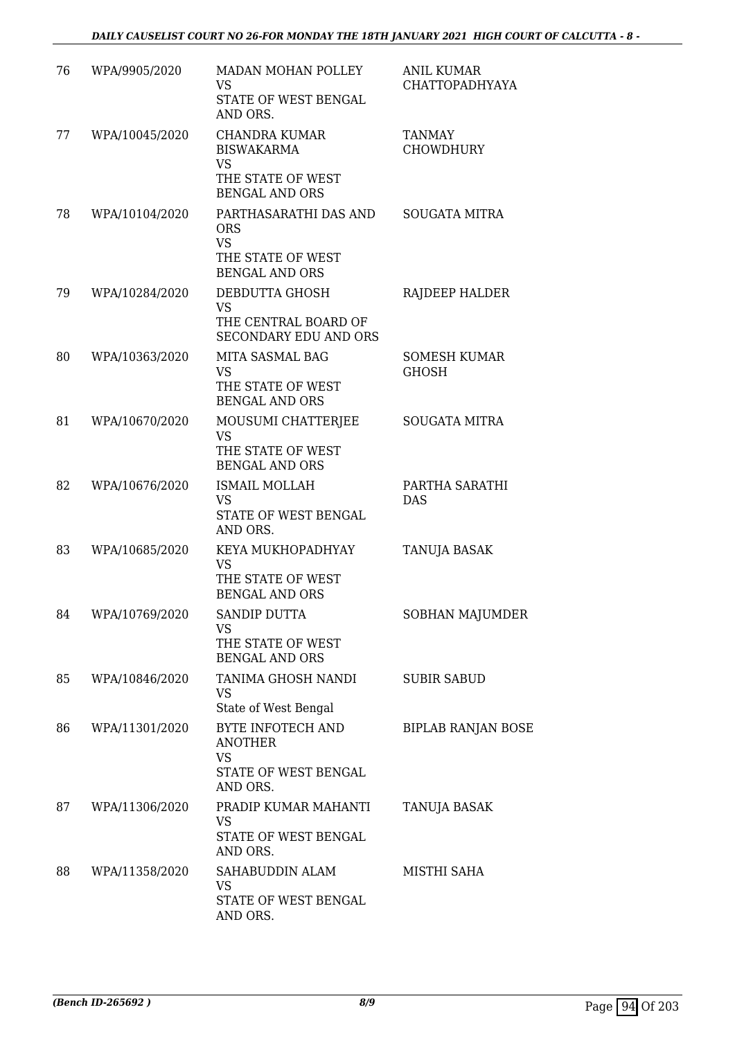| 76 | WPA/9905/2020  | MADAN MOHAN POLLEY<br><b>VS</b><br>STATE OF WEST BENGAL<br>AND ORS.                                                     | <b>ANIL KUMAR</b><br><b>CHATTOPADHYAYA</b> |
|----|----------------|-------------------------------------------------------------------------------------------------------------------------|--------------------------------------------|
| 77 | WPA/10045/2020 | <b>CHANDRA KUMAR</b><br><b>BISWAKARMA</b><br><b>VS</b><br>THE STATE OF WEST                                             | <b>TANMAY</b><br><b>CHOWDHURY</b>          |
| 78 | WPA/10104/2020 | <b>BENGAL AND ORS</b><br>PARTHASARATHI DAS AND<br><b>ORS</b><br><b>VS</b><br>THE STATE OF WEST<br><b>BENGAL AND ORS</b> | <b>SOUGATA MITRA</b>                       |
| 79 | WPA/10284/2020 | DEBDUTTA GHOSH<br><b>VS</b><br>THE CENTRAL BOARD OF<br><b>SECONDARY EDU AND ORS</b>                                     | RAJDEEP HALDER                             |
| 80 | WPA/10363/2020 | <b>MITA SASMAL BAG</b><br><b>VS</b><br>THE STATE OF WEST<br><b>BENGAL AND ORS</b>                                       | <b>SOMESH KUMAR</b><br><b>GHOSH</b>        |
| 81 | WPA/10670/2020 | MOUSUMI CHATTERJEE<br><b>VS</b><br>THE STATE OF WEST<br><b>BENGAL AND ORS</b>                                           | <b>SOUGATA MITRA</b>                       |
| 82 | WPA/10676/2020 | <b>ISMAIL MOLLAH</b><br><b>VS</b><br>STATE OF WEST BENGAL<br>AND ORS.                                                   | PARTHA SARATHI<br><b>DAS</b>               |
| 83 | WPA/10685/2020 | KEYA MUKHOPADHYAY<br><b>VS</b><br>THE STATE OF WEST<br><b>BENGAL AND ORS</b>                                            | TANUJA BASAK                               |
| 84 | WPA/10769/2020 | <b>SANDIP DUTTA</b><br><b>VS</b><br>THE STATE OF WEST<br><b>BENGAL AND ORS</b>                                          | <b>SOBHAN MAJUMDER</b>                     |
| 85 | WPA/10846/2020 | TANIMA GHOSH NANDI<br><b>VS</b><br>State of West Bengal                                                                 | <b>SUBIR SABUD</b>                         |
| 86 | WPA/11301/2020 | BYTE INFOTECH AND<br><b>ANOTHER</b><br><b>VS</b><br>STATE OF WEST BENGAL<br>AND ORS.                                    | <b>BIPLAB RANJAN BOSE</b>                  |
| 87 | WPA/11306/2020 | PRADIP KUMAR MAHANTI<br><b>VS</b><br>STATE OF WEST BENGAL<br>AND ORS.                                                   | <b>TANUJA BASAK</b>                        |
| 88 | WPA/11358/2020 | SAHABUDDIN ALAM<br><b>VS</b><br>STATE OF WEST BENGAL<br>AND ORS.                                                        | MISTHI SAHA                                |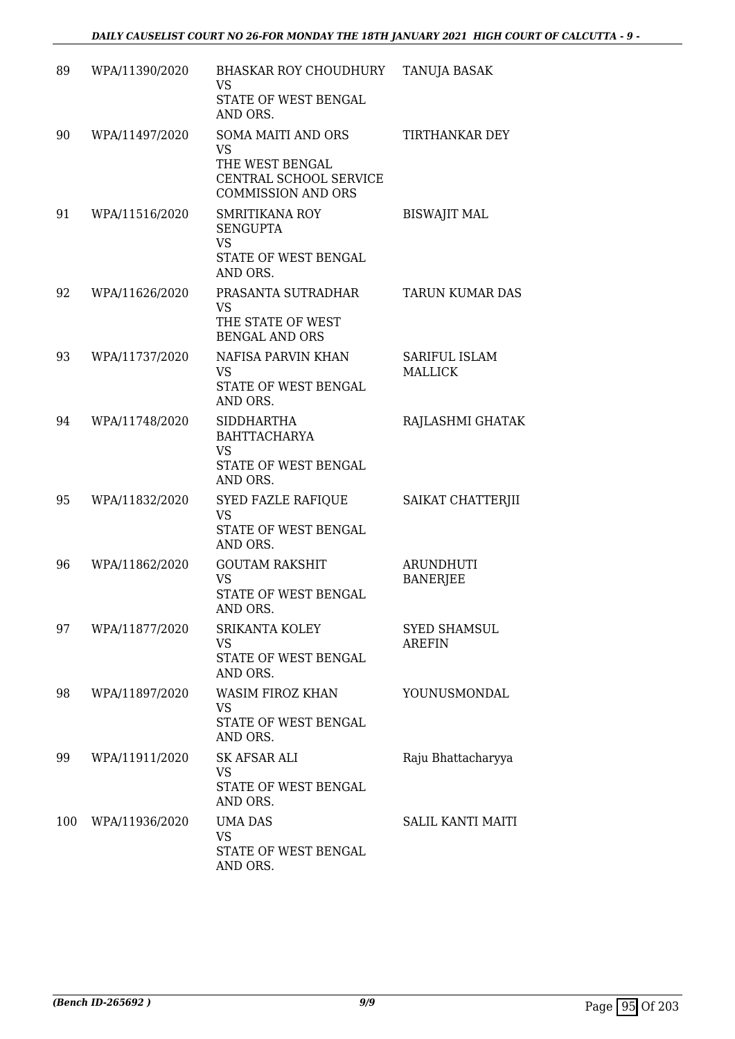| 89  | WPA/11390/2020 | <b>BHASKAR ROY CHOUDHURY</b><br><b>VS</b><br>STATE OF WEST BENGAL<br>AND ORS.                                    | TANUJA BASAK                           |
|-----|----------------|------------------------------------------------------------------------------------------------------------------|----------------------------------------|
| 90  | WPA/11497/2020 | <b>SOMA MAITI AND ORS</b><br><b>VS</b><br>THE WEST BENGAL<br>CENTRAL SCHOOL SERVICE<br><b>COMMISSION AND ORS</b> | TIRTHANKAR DEY                         |
| 91  | WPA/11516/2020 | <b>SMRITIKANA ROY</b><br><b>SENGUPTA</b><br><b>VS</b><br>STATE OF WEST BENGAL<br>AND ORS.                        | <b>BISWAJIT MAL</b>                    |
| 92  | WPA/11626/2020 | PRASANTA SUTRADHAR<br><b>VS</b><br>THE STATE OF WEST<br><b>BENGAL AND ORS</b>                                    | TARUN KUMAR DAS                        |
| 93  | WPA/11737/2020 | NAFISA PARVIN KHAN<br>VS<br>STATE OF WEST BENGAL<br>AND ORS.                                                     | <b>SARIFUL ISLAM</b><br><b>MALLICK</b> |
| 94  | WPA/11748/2020 | <b>SIDDHARTHA</b><br><b>BAHTTACHARYA</b><br><b>VS</b><br>STATE OF WEST BENGAL<br>AND ORS.                        | RAJLASHMI GHATAK                       |
| 95  | WPA/11832/2020 | <b>SYED FAZLE RAFIQUE</b><br><b>VS</b><br>STATE OF WEST BENGAL<br>AND ORS.                                       | SAIKAT CHATTERJII                      |
| 96  | WPA/11862/2020 | <b>GOUTAM RAKSHIT</b><br><b>VS</b><br>STATE OF WEST BENGAL<br>AND ORS.                                           | <b>ARUNDHUTI</b><br><b>BANERJEE</b>    |
| 97  | WPA/11877/2020 | <b>SRIKANTA KOLEY</b><br><b>VS</b><br>STATE OF WEST BENGAL<br>AND ORS.                                           | <b>SYED SHAMSUL</b><br>AREFIN          |
| 98  | WPA/11897/2020 | WASIM FIROZ KHAN<br><b>VS</b><br>STATE OF WEST BENGAL<br>AND ORS.                                                | YOUNUSMONDAL                           |
| 99  | WPA/11911/2020 | <b>SK AFSAR ALI</b><br>VS.<br>STATE OF WEST BENGAL<br>AND ORS.                                                   | Raju Bhattacharyya                     |
| 100 | WPA/11936/2020 | <b>UMA DAS</b><br><b>VS</b><br>STATE OF WEST BENGAL<br>AND ORS.                                                  | <b>SALIL KANTI MAITI</b>               |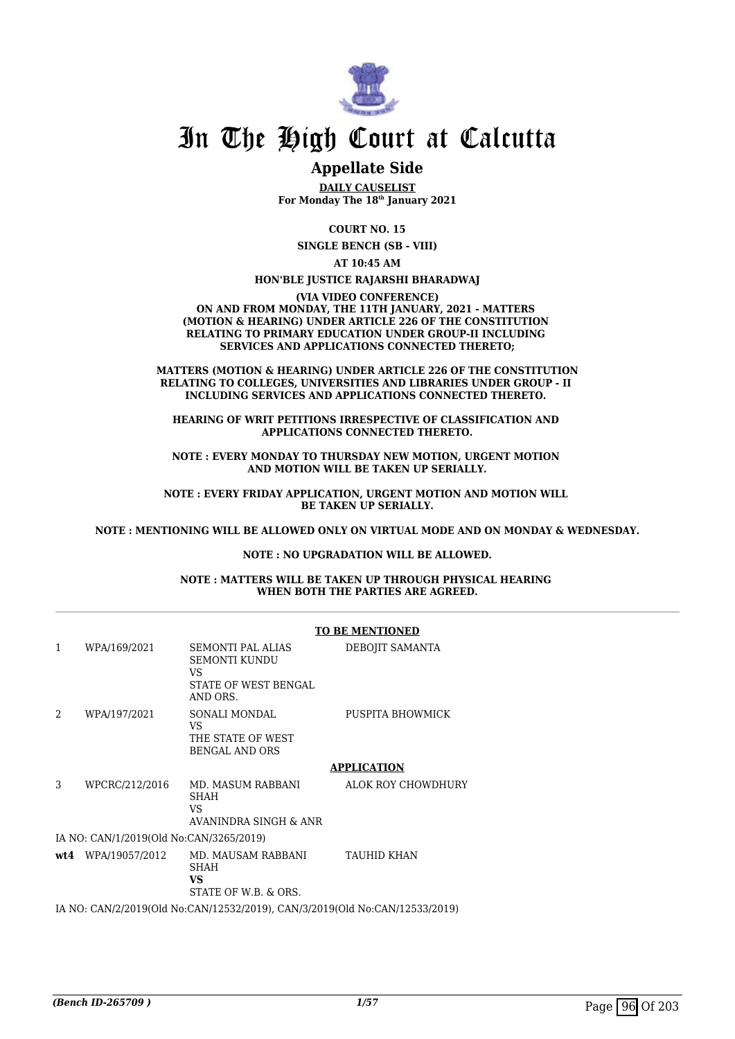

# In The High Court at Calcutta

## **Appellate Side**

**DAILY CAUSELIST For Monday The 18th January 2021**

**COURT NO. 15**

**SINGLE BENCH (SB - VIII)**

**AT 10:45 AM**

**HON'BLE JUSTICE RAJARSHI BHARADWAJ**

**(VIA VIDEO CONFERENCE) ON AND FROM MONDAY, THE 11TH JANUARY, 2021 - MATTERS (MOTION & HEARING) UNDER ARTICLE 226 OF THE CONSTITUTION RELATING TO PRIMARY EDUCATION UNDER GROUP-II INCLUDING SERVICES AND APPLICATIONS CONNECTED THERETO;**

**MATTERS (MOTION & HEARING) UNDER ARTICLE 226 OF THE CONSTITUTION RELATING TO COLLEGES, UNIVERSITIES AND LIBRARIES UNDER GROUP - II INCLUDING SERVICES AND APPLICATIONS CONNECTED THERETO.** 

**HEARING OF WRIT PETITIONS IRRESPECTIVE OF CLASSIFICATION AND APPLICATIONS CONNECTED THERETO.**

**NOTE : EVERY MONDAY TO THURSDAY NEW MOTION, URGENT MOTION AND MOTION WILL BE TAKEN UP SERIALLY.**

**NOTE : EVERY FRIDAY APPLICATION, URGENT MOTION AND MOTION WILL BE TAKEN UP SERIALLY.**

**NOTE : MENTIONING WILL BE ALLOWED ONLY ON VIRTUAL MODE AND ON MONDAY & WEDNESDAY.**

### **NOTE : NO UPGRADATION WILL BE ALLOWED.**

**NOTE : MATTERS WILL BE TAKEN UP THROUGH PHYSICAL HEARING WHEN BOTH THE PARTIES ARE AGREED.**

|                                                                             |                                         | <b>TO BE MENTIONED</b>                                                              |                    |  |
|-----------------------------------------------------------------------------|-----------------------------------------|-------------------------------------------------------------------------------------|--------------------|--|
| $\mathbf{1}$                                                                | WPA/169/2021                            | <b>SEMONTI PAL ALIAS</b><br>SEMONTI KUNDU<br>VS<br>STATE OF WEST BENGAL<br>AND ORS. | DEBOJIT SAMANTA    |  |
| $\mathfrak{D}$                                                              | WPA/197/2021                            | SONALI MONDAL<br><b>VS</b><br>THE STATE OF WEST<br><b>BENGAL AND ORS</b>            | PUSPITA BHOWMICK   |  |
|                                                                             |                                         |                                                                                     | <b>APPLICATION</b> |  |
| 3                                                                           | WPCRC/212/2016                          | MD. MASUM RABBANI<br><b>SHAH</b><br>VS<br>AVANINDRA SINGH & ANR                     | ALOK ROY CHOWDHURY |  |
|                                                                             | IA NO: CAN/1/2019(Old No:CAN/3265/2019) |                                                                                     |                    |  |
|                                                                             | $wt4$ WPA/19057/2012                    | MD. MAUSAM RABBANI<br><b>SHAH</b><br><b>VS</b><br>STATE OF W.B. & ORS.              | <b>TAUHID KHAN</b> |  |
| IA NO: CAN/2/2019(Old No:CAN/12532/2019), CAN/3/2019(Old No:CAN/12533/2019) |                                         |                                                                                     |                    |  |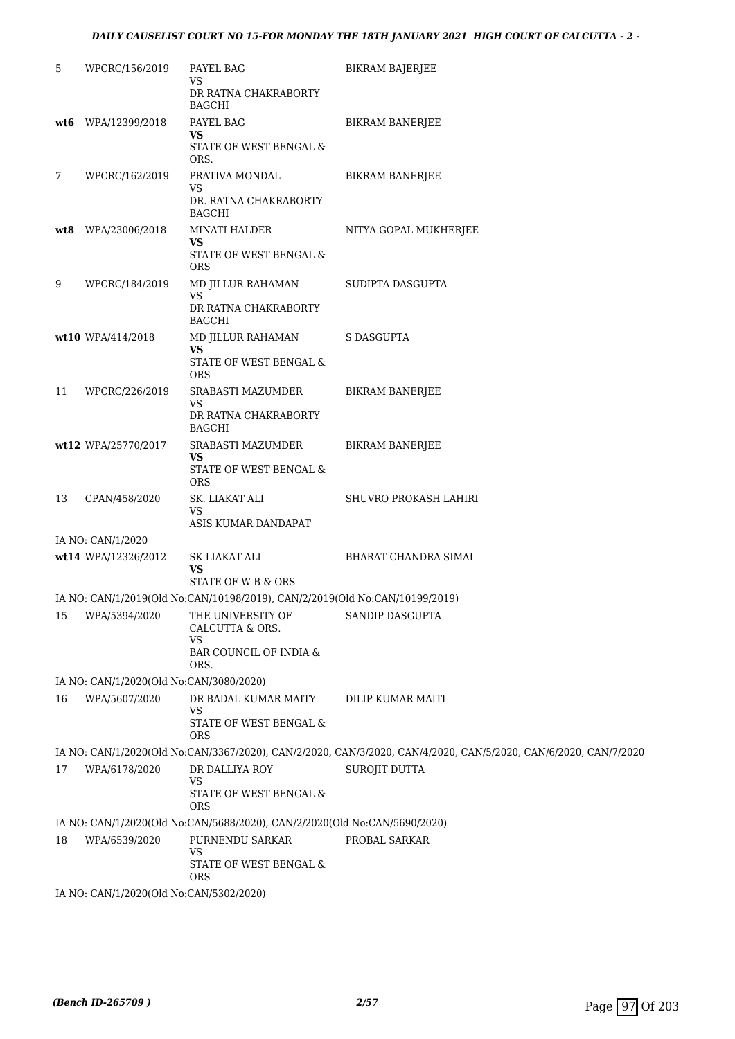| 5   | WPCRC/156/2019                          | PAYEL BAG<br>VS<br>DR RATNA CHAKRABORTY<br><b>BAGCHI</b>                                     | <b>BIKRAM BAJERJEE</b>                                                                                          |
|-----|-----------------------------------------|----------------------------------------------------------------------------------------------|-----------------------------------------------------------------------------------------------------------------|
| wt6 | WPA/12399/2018                          | PAYEL BAG<br>VS<br>STATE OF WEST BENGAL &<br>ORS.                                            | <b>BIKRAM BANERJEE</b>                                                                                          |
| 7   | WPCRC/162/2019                          | PRATIVA MONDAL<br>VS<br>DR. RATNA CHAKRABORTY<br><b>BAGCHI</b>                               | <b>BIKRAM BANERJEE</b>                                                                                          |
| wt8 | WPA/23006/2018                          | MINATI HALDER<br>VS<br>STATE OF WEST BENGAL &<br><b>ORS</b>                                  | NITYA GOPAL MUKHERJEE                                                                                           |
| 9   | WPCRC/184/2019                          | MD JILLUR RAHAMAN<br>VS<br>DR RATNA CHAKRABORTY<br><b>BAGCHI</b>                             | SUDIPTA DASGUPTA                                                                                                |
|     | wt10 WPA/414/2018                       | MD JILLUR RAHAMAN<br>VS<br>STATE OF WEST BENGAL &<br>ORS                                     | S DASGUPTA                                                                                                      |
| 11  | WPCRC/226/2019                          | SRABASTI MAZUMDER<br>VS<br>DR RATNA CHAKRABORTY<br><b>BAGCHI</b>                             | <b>BIKRAM BANERJEE</b>                                                                                          |
|     | wt12 WPA/25770/2017                     | SRABASTI MAZUMDER<br>VS<br>STATE OF WEST BENGAL &<br><b>ORS</b>                              | <b>BIKRAM BANERJEE</b>                                                                                          |
| 13  | CPAN/458/2020                           | SK. LIAKAT ALI<br>VS<br>ASIS KUMAR DANDAPAT                                                  | SHUVRO PROKASH LAHIRI                                                                                           |
|     | IA NO: CAN/1/2020                       |                                                                                              |                                                                                                                 |
|     | wt14 WPA/12326/2012                     | SK LIAKAT ALI<br>VS<br>STATE OF W B & ORS                                                    | BHARAT CHANDRA SIMAI                                                                                            |
|     |                                         | IA NO: CAN/1/2019(Old No:CAN/10198/2019), CAN/2/2019(Old No:CAN/10199/2019)                  |                                                                                                                 |
| 15  | WPA/5394/2020                           | THE UNIVERSITY OF<br>CALCUTTA & ORS.<br>VS<br>BAR COUNCIL OF INDIA &<br>ORS.                 | SANDIP DASGUPTA                                                                                                 |
|     | IA NO: CAN/1/2020(Old No:CAN/3080/2020) |                                                                                              |                                                                                                                 |
| 16  | WPA/5607/2020                           | DR BADAL KUMAR MAITY<br>VS<br>STATE OF WEST BENGAL &<br><b>ORS</b>                           | DILIP KUMAR MAITI                                                                                               |
|     |                                         |                                                                                              | IA NO: CAN/1/2020(Old No:CAN/3367/2020), CAN/2/2020, CAN/3/2020, CAN/4/2020, CAN/5/2020, CAN/6/2020, CAN/7/2020 |
| 17  | WPA/6178/2020                           | DR DALLIYA ROY<br><b>VS</b><br>STATE OF WEST BENGAL &                                        | SUROJIT DUTTA                                                                                                   |
|     |                                         | <b>ORS</b>                                                                                   |                                                                                                                 |
| 18  | WPA/6539/2020                           | IA NO: CAN/1/2020(Old No:CAN/5688/2020), CAN/2/2020(Old No:CAN/5690/2020)<br>PURNENDU SARKAR | PROBAL SARKAR                                                                                                   |
|     |                                         | <b>VS</b><br>STATE OF WEST BENGAL &<br>ORS                                                   |                                                                                                                 |
|     | IA NO: CAN/1/2020(Old No:CAN/5302/2020) |                                                                                              |                                                                                                                 |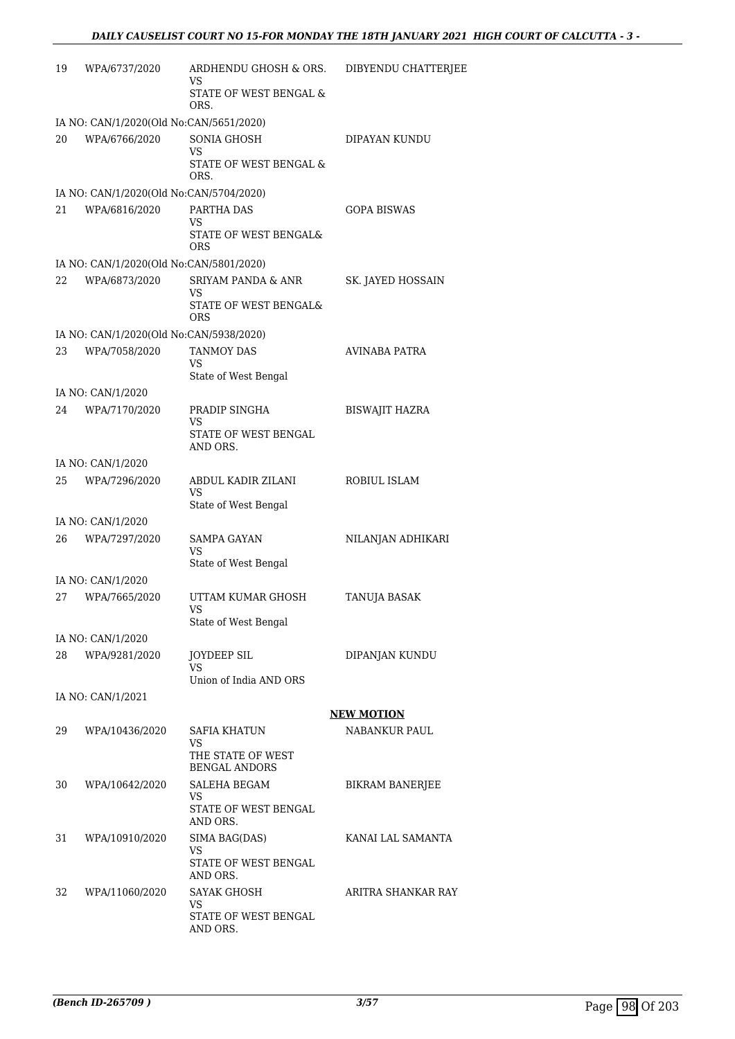| 19                                      | WPA/6737/2020                           | ARDHENDU GHOSH & ORS.<br>VS                      | DIBYENDU CHATTERJEE    |  |
|-----------------------------------------|-----------------------------------------|--------------------------------------------------|------------------------|--|
|                                         |                                         | STATE OF WEST BENGAL &<br>ORS.                   |                        |  |
| IA NO: CAN/1/2020(Old No:CAN/5651/2020) |                                         |                                                  |                        |  |
| 20                                      | WPA/6766/2020                           | <b>SONIA GHOSH</b>                               | DIPAYAN KUNDU          |  |
|                                         |                                         | VS<br>STATE OF WEST BENGAL &<br>ORS.             |                        |  |
|                                         | IA NO: CAN/1/2020(Old No:CAN/5704/2020) |                                                  |                        |  |
| 21                                      | WPA/6816/2020                           | PARTHA DAS                                       | GOPA BISWAS            |  |
|                                         |                                         | VS.<br>STATE OF WEST BENGAL&<br>ORS              |                        |  |
|                                         | IA NO: CAN/1/2020(Old No:CAN/5801/2020) |                                                  |                        |  |
| 22                                      | WPA/6873/2020                           | <b>SRIYAM PANDA &amp; ANR</b>                    | SK. JAYED HOSSAIN      |  |
|                                         |                                         | VS<br>STATE OF WEST BENGAL&<br>ORS               |                        |  |
|                                         | IA NO: CAN/1/2020(Old No:CAN/5938/2020) |                                                  |                        |  |
| 23                                      | WPA/7058/2020                           | <b>TANMOY DAS</b>                                | AVINABA PATRA          |  |
|                                         |                                         | VS<br>State of West Bengal                       |                        |  |
|                                         | IA NO: CAN/1/2020                       |                                                  |                        |  |
| 24                                      | WPA/7170/2020                           | PRADIP SINGHA<br><b>VS</b>                       | <b>BISWAJIT HAZRA</b>  |  |
|                                         |                                         | STATE OF WEST BENGAL<br>AND ORS.                 |                        |  |
|                                         | IA NO: CAN/1/2020                       |                                                  |                        |  |
| 25                                      | WPA/7296/2020                           | ABDUL KADIR ZILANI<br>VS<br>State of West Bengal | ROBIUL ISLAM           |  |
|                                         | IA NO: CAN/1/2020                       |                                                  |                        |  |
| 26                                      | WPA/7297/2020                           | <b>SAMPA GAYAN</b>                               | NILANJAN ADHIKARI      |  |
|                                         |                                         | VS<br>State of West Bengal                       |                        |  |
|                                         | IA NO: CAN/1/2020                       |                                                  |                        |  |
| 27                                      | WPA/7665/2020                           | UTTAM KUMAR GHOSH                                | <b>TANUJA BASAK</b>    |  |
|                                         |                                         | VS<br>State of West Bengal                       |                        |  |
|                                         | IA NO: CAN/1/2020                       |                                                  |                        |  |
| 28                                      | WPA/9281/2020                           | JOYDEEP SIL<br>VS                                | DIPANJAN KUNDU         |  |
|                                         |                                         | Union of India AND ORS                           |                        |  |
|                                         | IA NO: CAN/1/2021                       |                                                  |                        |  |
|                                         |                                         |                                                  | <b>NEW MOTION</b>      |  |
| 29                                      | WPA/10436/2020                          | SAFIA KHATUN                                     | NABANKUR PAUL          |  |
|                                         |                                         | VS.<br>THE STATE OF WEST<br><b>BENGAL ANDORS</b> |                        |  |
| 30                                      | WPA/10642/2020                          | SALEHA BEGAM                                     | <b>BIKRAM BANERJEE</b> |  |
|                                         |                                         | VS<br>STATE OF WEST BENGAL<br>AND ORS.           |                        |  |
| 31                                      | WPA/10910/2020                          | SIMA BAG(DAS)                                    | KANAI LAL SAMANTA      |  |
|                                         |                                         | VS<br>STATE OF WEST BENGAL<br>AND ORS.           |                        |  |
| 32                                      | WPA/11060/2020                          | SAYAK GHOSH                                      | ARITRA SHANKAR RAY     |  |
|                                         |                                         | VS.<br>STATE OF WEST BENGAL                      |                        |  |
|                                         |                                         | AND ORS.                                         |                        |  |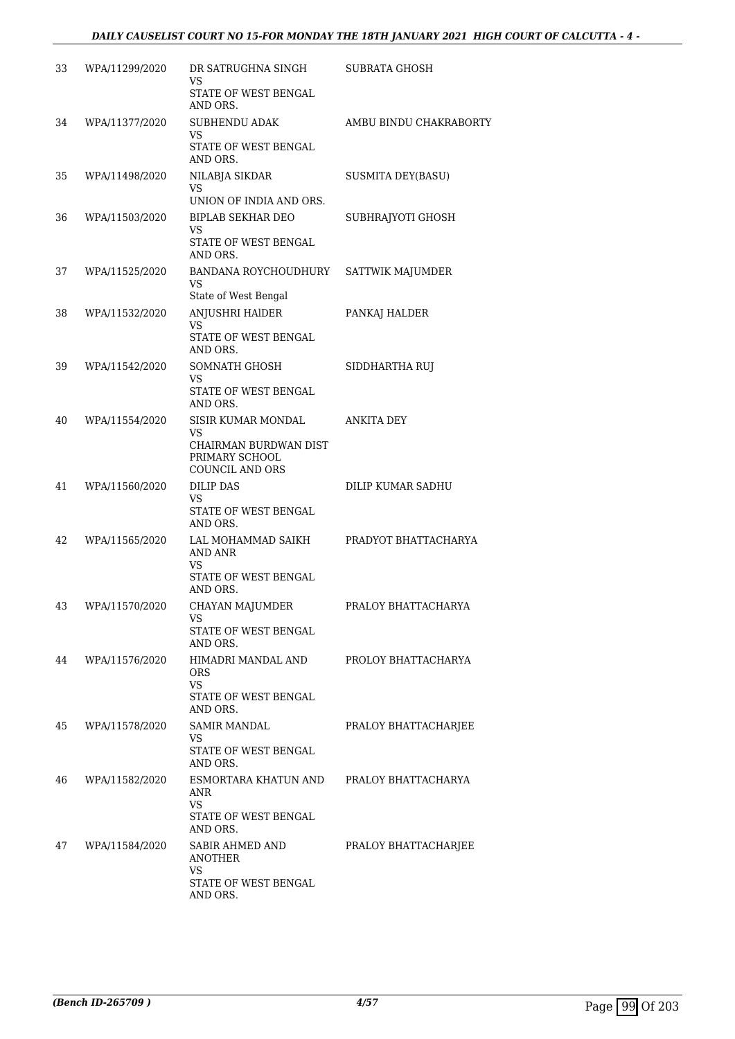| 33 | WPA/11299/2020 | DR SATRUGHNA SINGH<br>VS                                                                      | SUBRATA GHOSH            |
|----|----------------|-----------------------------------------------------------------------------------------------|--------------------------|
|    |                | STATE OF WEST BENGAL<br>AND ORS.                                                              |                          |
| 34 | WPA/11377/2020 | <b>SUBHENDU ADAK</b><br>VS<br>STATE OF WEST BENGAL<br>AND ORS.                                | AMBU BINDU CHAKRABORTY   |
| 35 | WPA/11498/2020 | NILABJA SIKDAR<br>VS<br>UNION OF INDIA AND ORS.                                               | <b>SUSMITA DEY(BASU)</b> |
| 36 | WPA/11503/2020 | <b>BIPLAB SEKHAR DEO</b><br>VS<br>STATE OF WEST BENGAL<br>AND ORS.                            | SUBHRAJYOTI GHOSH        |
| 37 | WPA/11525/2020 | BANDANA ROYCHOUDHURY<br><b>VS</b><br>State of West Bengal                                     | SATTWIK MAJUMDER         |
| 38 | WPA/11532/2020 | ANJUSHRI HAIDER<br>VS<br>STATE OF WEST BENGAL<br>AND ORS.                                     | PANKAJ HALDER            |
| 39 | WPA/11542/2020 | SOMNATH GHOSH<br>VS<br>STATE OF WEST BENGAL<br>AND ORS.                                       | SIDDHARTHA RUI           |
| 40 | WPA/11554/2020 | SISIR KUMAR MONDAL<br>VS<br>CHAIRMAN BURDWAN DIST<br>PRIMARY SCHOOL<br><b>COUNCIL AND ORS</b> | ANKITA DEY               |
| 41 | WPA/11560/2020 | <b>DILIP DAS</b><br>VS<br>STATE OF WEST BENGAL<br>AND ORS.                                    | DILIP KUMAR SADHU        |
| 42 | WPA/11565/2020 | LAL MOHAMMAD SAIKH<br><b>AND ANR</b><br><b>VS</b><br>STATE OF WEST BENGAL<br>AND ORS.         | PRADYOT BHATTACHARYA     |
| 43 | WPA/11570/2020 | CHAYAN MAJUMDER<br>VS<br>STATE OF WEST BENGAL<br>AND ORS.                                     | PRALOY BHATTACHARYA      |
| 44 | WPA/11576/2020 | HIMADRI MANDAL AND<br><b>ORS</b><br>VS<br>STATE OF WEST BENGAL<br>AND ORS.                    | PROLOY BHATTACHARYA      |
| 45 | WPA/11578/2020 | <b>SAMIR MANDAL</b><br>VS<br>STATE OF WEST BENGAL<br>AND ORS.                                 | PRALOY BHATTACHARJEE     |
| 46 | WPA/11582/2020 | ESMORTARA KHATUN AND<br>ANR<br>VS<br>STATE OF WEST BENGAL<br>AND ORS.                         | PRALOY BHATTACHARYA      |
| 47 | WPA/11584/2020 | SABIR AHMED AND<br><b>ANOTHER</b><br><b>VS</b>                                                | PRALOY BHATTACHARJEE     |
|    |                | STATE OF WEST BENGAL<br>AND ORS.                                                              |                          |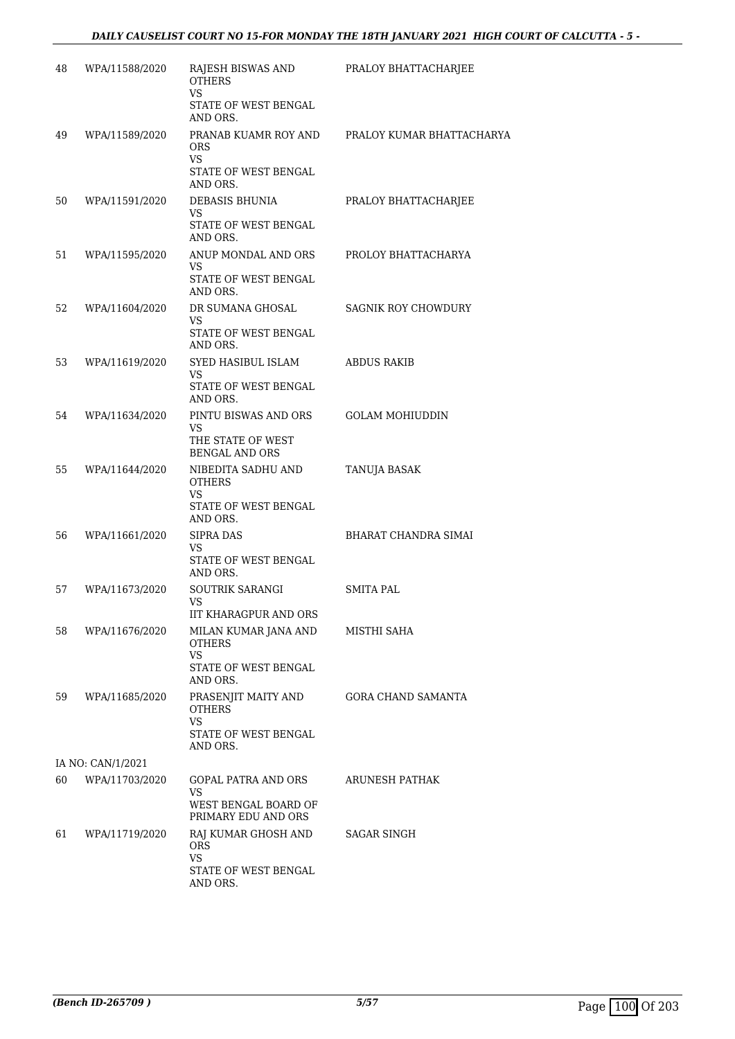| 48 | WPA/11588/2020    | RAJESH BISWAS AND<br><b>OTHERS</b><br><b>VS</b>    | PRALOY BHATTACHARJEE       |
|----|-------------------|----------------------------------------------------|----------------------------|
|    |                   | STATE OF WEST BENGAL<br>AND ORS.                   |                            |
| 49 | WPA/11589/2020    | PRANAB KUAMR ROY AND<br><b>ORS</b><br><b>VS</b>    | PRALOY KUMAR BHATTACHARYA  |
|    |                   | STATE OF WEST BENGAL<br>AND ORS.                   |                            |
| 50 | WPA/11591/2020    | DEBASIS BHUNIA<br>VS                               | PRALOY BHATTACHARJEE       |
|    |                   | STATE OF WEST BENGAL<br>AND ORS.                   |                            |
| 51 | WPA/11595/2020    | ANUP MONDAL AND ORS<br>VS                          | PROLOY BHATTACHARYA        |
|    |                   | STATE OF WEST BENGAL<br>AND ORS.                   |                            |
| 52 | WPA/11604/2020    | DR SUMANA GHOSAL<br>VS                             | <b>SAGNIK ROY CHOWDURY</b> |
|    |                   | STATE OF WEST BENGAL<br>AND ORS.                   |                            |
| 53 | WPA/11619/2020    | SYED HASIBUL ISLAM<br>VS                           | <b>ABDUS RAKIB</b>         |
|    |                   | STATE OF WEST BENGAL<br>AND ORS.                   |                            |
| 54 | WPA/11634/2020    | PINTU BISWAS AND ORS<br>VS                         | <b>GOLAM MOHIUDDIN</b>     |
|    |                   | THE STATE OF WEST<br><b>BENGAL AND ORS</b>         |                            |
| 55 | WPA/11644/2020    | NIBEDITA SADHU AND<br><b>OTHERS</b><br><b>VS</b>   | TANUJA BASAK               |
|    |                   | STATE OF WEST BENGAL<br>AND ORS.                   |                            |
| 56 | WPA/11661/2020    | <b>SIPRA DAS</b><br>VS                             | BHARAT CHANDRA SIMAI       |
|    |                   | STATE OF WEST BENGAL<br>AND ORS.                   |                            |
| 57 | WPA/11673/2020    | SOUTRIK SARANGI<br>VS                              | SMITA PAL                  |
|    |                   | <b>IIT KHARAGPUR AND ORS</b>                       |                            |
| 58 | WPA/11676/2020    | MILAN KUMAR JANA AND<br><b>OTHERS</b><br><b>VS</b> | MISTHI SAHA                |
|    |                   | STATE OF WEST BENGAL<br>AND ORS.                   |                            |
| 59 | WPA/11685/2020    | PRASENJIT MAITY AND<br><b>OTHERS</b><br>VS         | GORA CHAND SAMANTA         |
|    |                   | STATE OF WEST BENGAL<br>AND ORS.                   |                            |
|    | IA NO: CAN/1/2021 |                                                    |                            |
| 60 | WPA/11703/2020    | GOPAL PATRA AND ORS<br>VS<br>WEST BENGAL BOARD OF  | ARUNESH PATHAK             |
|    |                   | PRIMARY EDU AND ORS                                |                            |
| 61 | WPA/11719/2020    | RAJ KUMAR GHOSH AND<br><b>ORS</b><br><b>VS</b>     | SAGAR SINGH                |
|    |                   | STATE OF WEST BENGAL<br>AND ORS.                   |                            |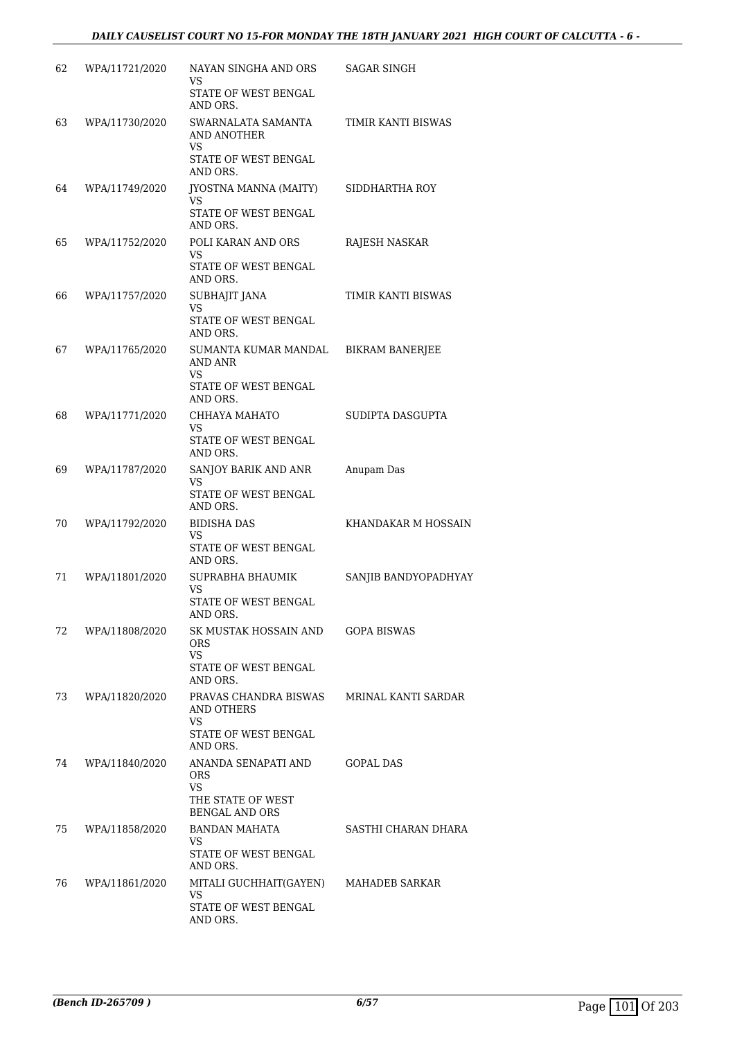| 62 | WPA/11721/2020 | NAYAN SINGHA AND ORS<br>VS.                             | SAGAR SINGH            |
|----|----------------|---------------------------------------------------------|------------------------|
|    |                | STATE OF WEST BENGAL<br>AND ORS.                        |                        |
| 63 | WPA/11730/2020 | SWARNALATA SAMANTA<br><b>AND ANOTHER</b><br>VS          | TIMIR KANTI BISWAS     |
|    |                | STATE OF WEST BENGAL<br>AND ORS.                        |                        |
| 64 | WPA/11749/2020 | JYOSTNA MANNA (MAITY)<br>VS                             | SIDDHARTHA ROY         |
|    |                | STATE OF WEST BENGAL<br>AND ORS.                        |                        |
| 65 | WPA/11752/2020 | POLI KARAN AND ORS<br><b>VS</b>                         | RAJESH NASKAR          |
|    |                | STATE OF WEST BENGAL<br>AND ORS.                        |                        |
| 66 | WPA/11757/2020 | SUBHAJIT JANA<br>VS                                     | TIMIR KANTI BISWAS     |
|    |                | STATE OF WEST BENGAL<br>AND ORS.                        |                        |
| 67 | WPA/11765/2020 | SUMANTA KUMAR MANDAL<br><b>AND ANR</b>                  | <b>BIKRAM BANERJEE</b> |
|    |                | <b>VS</b><br>STATE OF WEST BENGAL<br>AND ORS.           |                        |
| 68 | WPA/11771/2020 | CHHAYA MAHATO<br>VS                                     | SUDIPTA DASGUPTA       |
|    |                | STATE OF WEST BENGAL<br>AND ORS.                        |                        |
| 69 | WPA/11787/2020 | SANJOY BARIK AND ANR<br>VS                              | Anupam Das             |
|    |                | STATE OF WEST BENGAL<br>AND ORS.                        |                        |
| 70 | WPA/11792/2020 | BIDISHA DAS<br>VS                                       | KHANDAKAR M HOSSAIN    |
|    |                | STATE OF WEST BENGAL<br>AND ORS.                        |                        |
| 71 | WPA/11801/2020 | SUPRABHA BHAUMIK<br>VS                                  | SANJIB BANDYOPADHYAY   |
|    |                | STATE OF WEST BENGAL<br>AND ORS.                        |                        |
| 72 | WPA/11808/2020 | SK MUSTAK HOSSAIN AND<br>ORS.<br>VS.                    | <b>GOPA BISWAS</b>     |
|    |                | STATE OF WEST BENGAL<br>AND ORS.                        |                        |
| 73 | WPA/11820/2020 | PRAVAS CHANDRA BISWAS<br>AND OTHERS<br><b>VS</b>        | MRINAL KANTI SARDAR    |
|    |                | STATE OF WEST BENGAL<br>AND ORS.                        |                        |
| 74 | WPA/11840/2020 | ANANDA SENAPATI AND<br><b>ORS</b>                       | <b>GOPAL DAS</b>       |
|    |                | <b>VS</b><br>THE STATE OF WEST<br><b>BENGAL AND ORS</b> |                        |
| 75 | WPA/11858/2020 | BANDAN MAHATA<br>VS.                                    | SASTHI CHARAN DHARA    |
|    |                | STATE OF WEST BENGAL<br>AND ORS.                        |                        |
| 76 | WPA/11861/2020 | MITALI GUCHHAIT(GAYEN)<br>VS                            | MAHADEB SARKAR         |
|    |                | STATE OF WEST BENGAL<br>AND ORS.                        |                        |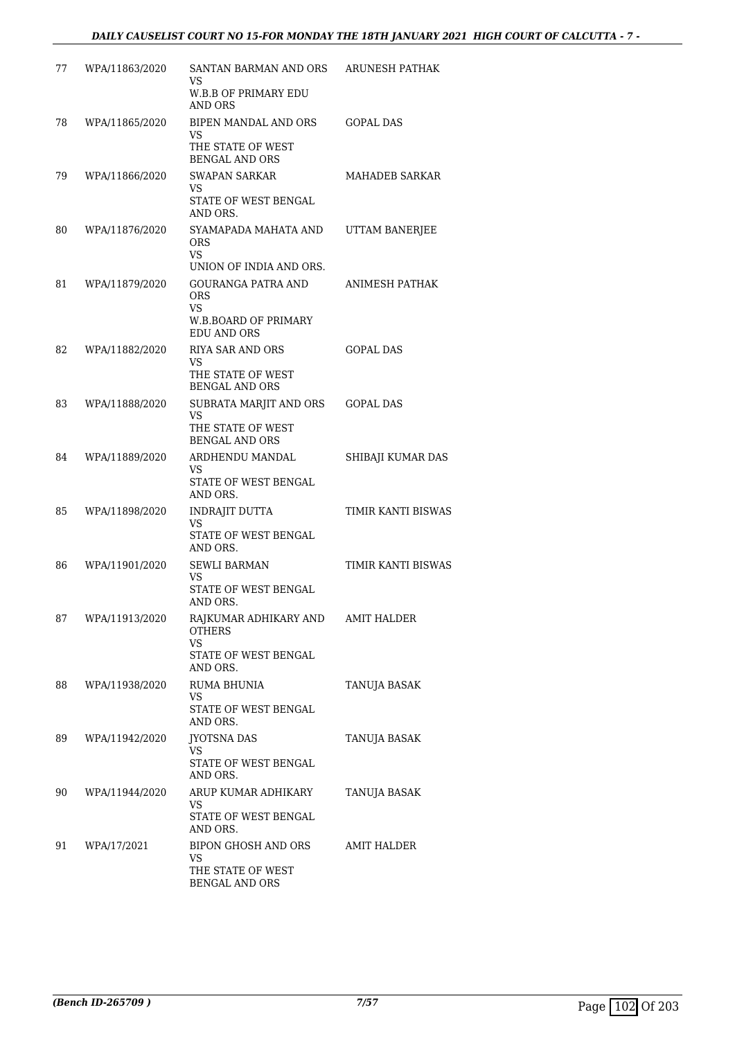| 77 | WPA/11863/2020 | SANTAN BARMAN AND ORS<br>VS.<br><b>W.B.B OF PRIMARY EDU</b>                                        | <b>ARUNESH PATHAK</b>     |
|----|----------------|----------------------------------------------------------------------------------------------------|---------------------------|
|    |                | AND ORS                                                                                            |                           |
| 78 | WPA/11865/2020 | BIPEN MANDAL AND ORS<br>VS<br>THE STATE OF WEST                                                    | <b>GOPAL DAS</b>          |
|    |                | <b>BENGAL AND ORS</b>                                                                              |                           |
| 79 | WPA/11866/2020 | <b>SWAPAN SARKAR</b><br>VS<br>STATE OF WEST BENGAL<br>AND ORS.                                     | MAHADEB SARKAR            |
| 80 | WPA/11876/2020 | SYAMAPADA MAHATA AND<br><b>ORS</b><br>VS.<br>UNION OF INDIA AND ORS.                               | UTTAM BANERJEE            |
| 81 | WPA/11879/2020 | <b>GOURANGA PATRA AND</b><br><b>ORS</b><br><b>VS</b><br>W.B.BOARD OF PRIMARY<br><b>EDU AND ORS</b> | ANIMESH PATHAK            |
| 82 | WPA/11882/2020 | <b>RIYA SAR AND ORS</b><br>VS<br>THE STATE OF WEST<br><b>BENGAL AND ORS</b>                        | <b>GOPAL DAS</b>          |
| 83 | WPA/11888/2020 | SUBRATA MARJIT AND ORS<br>VS<br>THE STATE OF WEST                                                  | <b>GOPAL DAS</b>          |
| 84 | WPA/11889/2020 | <b>BENGAL AND ORS</b><br>ARDHENDU MANDAL                                                           | SHIBAJI KUMAR DAS         |
|    |                | VS<br>STATE OF WEST BENGAL<br>AND ORS.                                                             |                           |
| 85 | WPA/11898/2020 | INDRAJIT DUTTA<br>VS                                                                               | TIMIR KANTI BISWAS        |
|    |                | STATE OF WEST BENGAL<br>AND ORS.                                                                   |                           |
| 86 | WPA/11901/2020 | <b>SEWLI BARMAN</b><br>VS                                                                          | <b>TIMIR KANTI BISWAS</b> |
|    |                | STATE OF WEST BENGAL<br>AND ORS.                                                                   |                           |
| 87 | WPA/11913/2020 | RAJKUMAR ADHIKARY AND<br><b>OTHERS</b><br><b>VS</b>                                                | <b>AMIT HALDER</b>        |
|    |                | STATE OF WEST BENGAL<br>AND ORS.                                                                   |                           |
| 88 | WPA/11938/2020 | <b>RUMA BHUNIA</b><br>VS                                                                           | TANUJA BASAK              |
|    |                | STATE OF WEST BENGAL<br>AND ORS.                                                                   |                           |
| 89 | WPA/11942/2020 | <b>IYOTSNA DAS</b><br>VS                                                                           | TANUJA BASAK              |
|    |                | STATE OF WEST BENGAL<br>AND ORS.                                                                   |                           |
| 90 | WPA/11944/2020 | ARUP KUMAR ADHIKARY<br>VS                                                                          | TANUJA BASAK              |
|    |                | STATE OF WEST BENGAL<br>AND ORS.                                                                   |                           |
| 91 | WPA/17/2021    | BIPON GHOSH AND ORS<br>VS<br>THE STATE OF WEST<br>BENGAL AND ORS                                   | AMIT HALDER               |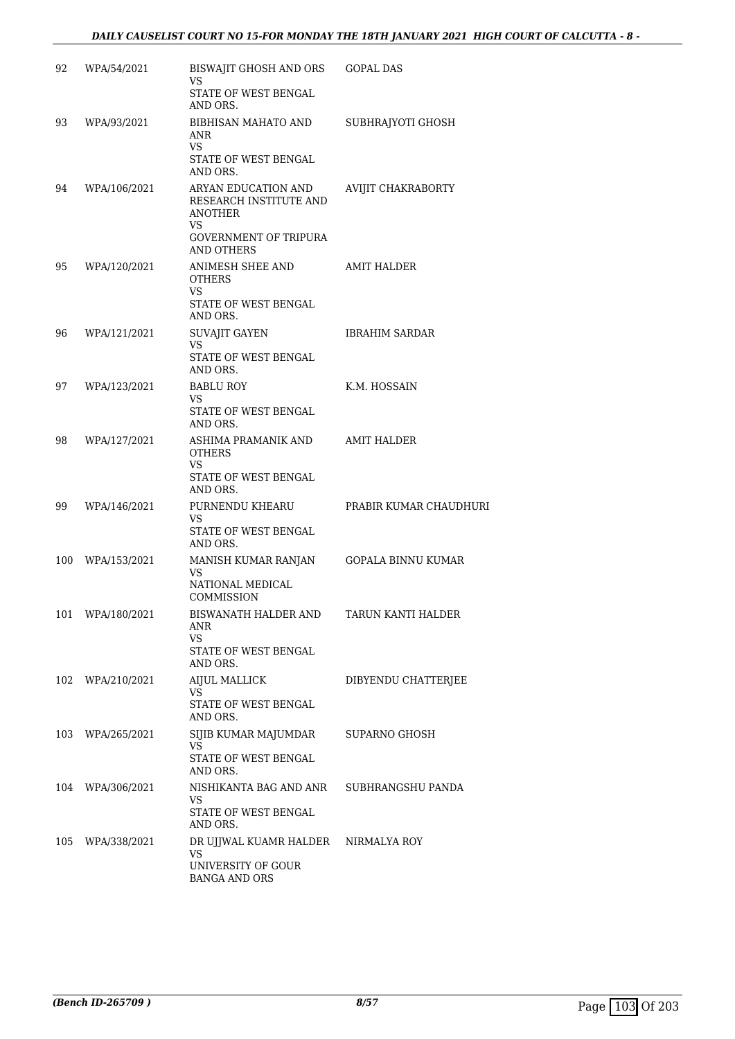| 92  | WPA/54/2021      | BISWAJIT GHOSH AND ORS<br><b>VS</b>                                                                                         | <b>GOPAL DAS</b>       |
|-----|------------------|-----------------------------------------------------------------------------------------------------------------------------|------------------------|
|     |                  | STATE OF WEST BENGAL<br>AND ORS.                                                                                            |                        |
| 93  | WPA/93/2021      | <b>BIBHISAN MAHATO AND</b><br>ANR<br><b>VS</b><br>STATE OF WEST BENGAL<br>AND ORS.                                          | SUBHRAJYOTI GHOSH      |
| 94  | WPA/106/2021     | ARYAN EDUCATION AND<br>RESEARCH INSTITUTE AND<br><b>ANOTHER</b><br>VS.<br><b>GOVERNMENT OF TRIPURA</b><br><b>AND OTHERS</b> | AVIJIT CHAKRABORTY     |
| 95  | WPA/120/2021     | ANIMESH SHEE AND<br>OTHERS<br><b>VS</b><br>STATE OF WEST BENGAL<br>AND ORS.                                                 | AMIT HALDER            |
| 96  | WPA/121/2021     | <b>SUVAJIT GAYEN</b><br><b>VS</b><br>STATE OF WEST BENGAL<br>AND ORS.                                                       | <b>IBRAHIM SARDAR</b>  |
| 97  | WPA/123/2021     | <b>BABLU ROY</b><br>VS.                                                                                                     | K.M. HOSSAIN           |
|     |                  | STATE OF WEST BENGAL<br>AND ORS.                                                                                            |                        |
| 98  | WPA/127/2021     | ASHIMA PRAMANIK AND<br>OTHERS<br><b>VS</b><br>STATE OF WEST BENGAL<br>AND ORS.                                              | <b>AMIT HALDER</b>     |
| 99  | WPA/146/2021     | PURNENDU KHEARU<br>VS<br>STATE OF WEST BENGAL<br>AND ORS.                                                                   | PRABIR KUMAR CHAUDHURI |
| 100 | WPA/153/2021     | MANISH KUMAR RANJAN<br>VS                                                                                                   | GOPALA BINNU KUMAR     |
|     |                  | NATIONAL MEDICAL<br>COMMISSION                                                                                              |                        |
|     | 101 WPA/180/2021 | BISWANATH HALDER AND<br>ANR<br>VS.<br>STATE OF WEST BENGAL<br>AND ORS.                                                      | TARUN KANTI HALDER     |
| 102 | WPA/210/2021     | <b>AIJUL MALLICK</b><br>VS.                                                                                                 | DIBYENDU CHATTERJEE    |
|     |                  | STATE OF WEST BENGAL<br>AND ORS.                                                                                            |                        |
| 103 | WPA/265/2021     | SIJIB KUMAR MAJUMDAR<br>VS.                                                                                                 | SUPARNO GHOSH          |
|     |                  | STATE OF WEST BENGAL<br>AND ORS.                                                                                            |                        |
|     | 104 WPA/306/2021 | NISHIKANTA BAG AND ANR<br>VS                                                                                                | SUBHRANGSHU PANDA      |
|     |                  | STATE OF WEST BENGAL<br>AND ORS.                                                                                            |                        |
| 105 | WPA/338/2021     | DR UJJWAL KUAMR HALDER<br>VS                                                                                                | NIRMALYA ROY           |
|     |                  | UNIVERSITY OF GOUR<br><b>BANGA AND ORS</b>                                                                                  |                        |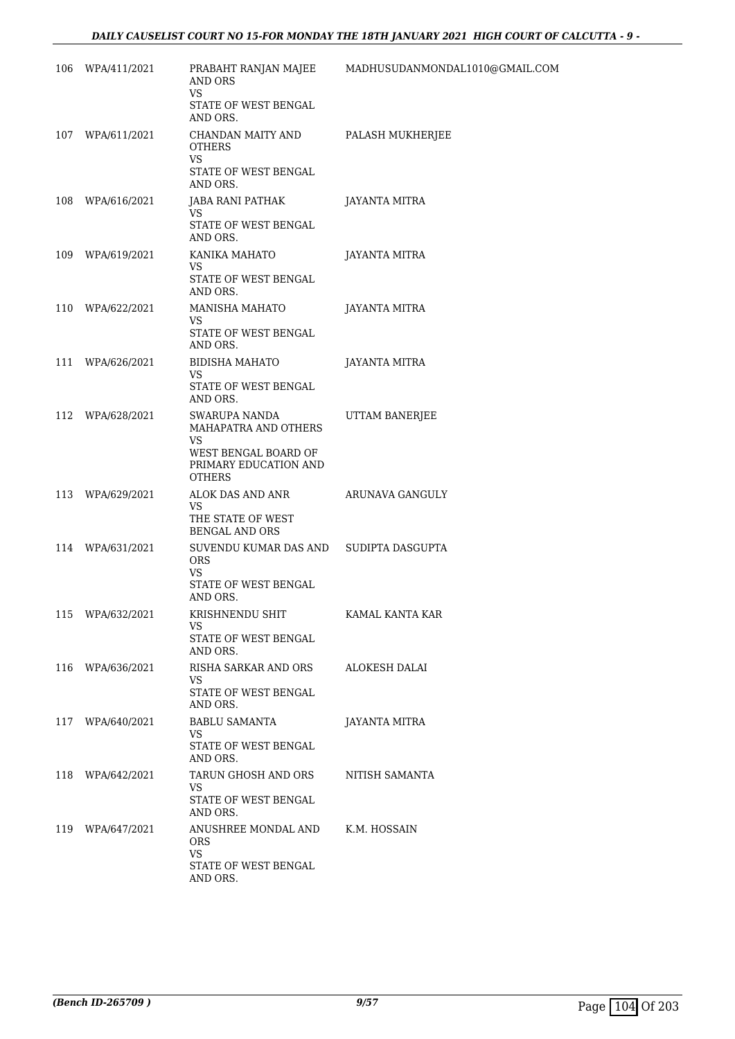| 106 | WPA/411/2021     | AND ORS<br><b>VS</b><br>STATE OF WEST BENGAL                                                                   | PRABAHT RANJAN MAJEE MADHUSUDANMONDAL1010@GMAIL.COM |
|-----|------------------|----------------------------------------------------------------------------------------------------------------|-----------------------------------------------------|
|     | 107 WPA/611/2021 | AND ORS.<br>CHANDAN MAITY AND                                                                                  | PALASH MUKHERJEE                                    |
|     |                  | <b>OTHERS</b><br>VS.<br>STATE OF WEST BENGAL                                                                   |                                                     |
| 108 | WPA/616/2021     | AND ORS.<br>JABA RANI PATHAK<br>VS                                                                             | JAYANTA MITRA                                       |
|     |                  | STATE OF WEST BENGAL<br>AND ORS.                                                                               |                                                     |
| 109 | WPA/619/2021     | KANIKA MAHATO<br>VS<br>STATE OF WEST BENGAL<br>AND ORS.                                                        | JAYANTA MITRA                                       |
|     | 110 WPA/622/2021 | MANISHA MAHATO<br>VS<br>STATE OF WEST BENGAL<br>AND ORS.                                                       | JAYANTA MITRA                                       |
|     | 111 WPA/626/2021 | BIDISHA MAHATO<br>VS<br>STATE OF WEST BENGAL<br>AND ORS.                                                       | JAYANTA MITRA                                       |
| 112 | WPA/628/2021     | SWARUPA NANDA<br>MAHAPATRA AND OTHERS<br>VS.<br>WEST BENGAL BOARD OF<br>PRIMARY EDUCATION AND<br><b>OTHERS</b> | UTTAM BANERJEE                                      |
|     | 113 WPA/629/2021 | ALOK DAS AND ANR<br>VS<br>THE STATE OF WEST<br><b>BENGAL AND ORS</b>                                           | ARUNAVA GANGULY                                     |
| 114 | WPA/631/2021     | SUVENDU KUMAR DAS AND<br><b>ORS</b><br>VS<br>STATE OF WEST BENGAL                                              | SUDIPTA DASGUPTA                                    |
|     |                  | AND ORS.                                                                                                       |                                                     |
|     | 115 WPA/632/2021 | KRISHNENDU SHIT<br>VS<br>STATE OF WEST BENGAL<br>AND ORS.                                                      | KAMAL KANTA KAR                                     |
| 116 | WPA/636/2021     | RISHA SARKAR AND ORS<br>VS<br>STATE OF WEST BENGAL<br>AND ORS.                                                 | ALOKESH DALAI                                       |
| 117 | WPA/640/2021     | <b>BABLU SAMANTA</b><br>VS<br>STATE OF WEST BENGAL<br>AND ORS.                                                 | <b>JAYANTA MITRA</b>                                |
|     | 118 WPA/642/2021 | TARUN GHOSH AND ORS<br>VS.<br>STATE OF WEST BENGAL<br>AND ORS.                                                 | NITISH SAMANTA                                      |
|     | 119 WPA/647/2021 | ANUSHREE MONDAL AND<br><b>ORS</b><br><b>VS</b><br>STATE OF WEST BENGAL<br>AND ORS.                             | K.M. HOSSAIN                                        |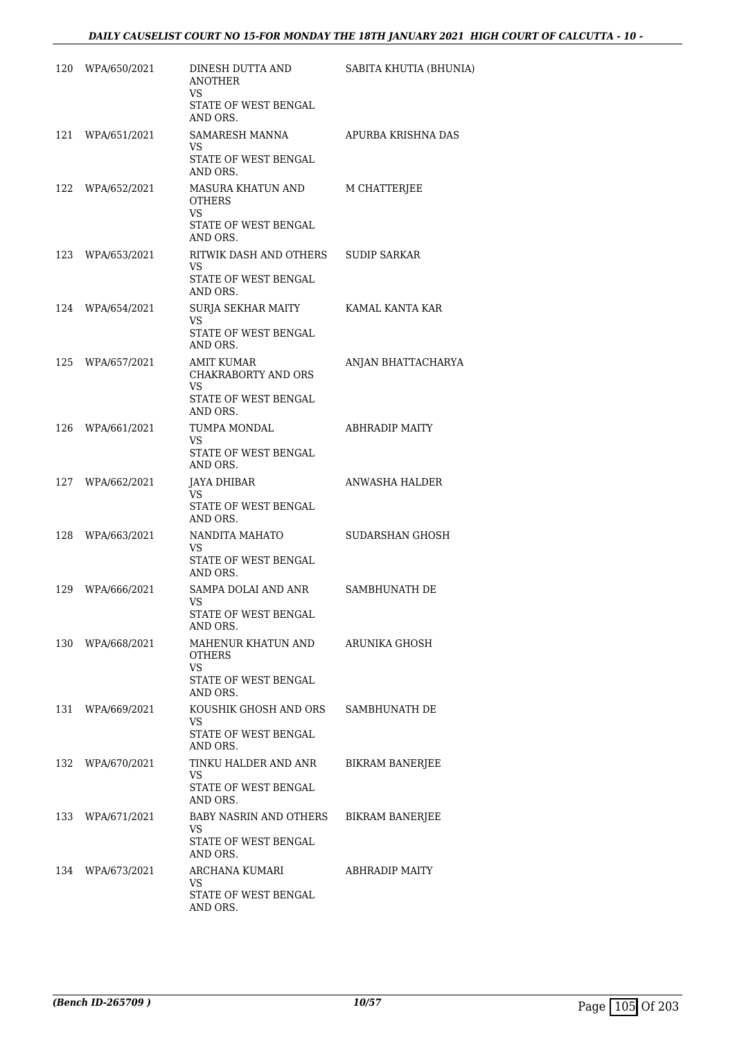|     | 120 WPA/650/2021 | DINESH DUTTA AND<br><b>ANOTHER</b><br>VS.                         | SABITA KHUTIA (BHUNIA) |
|-----|------------------|-------------------------------------------------------------------|------------------------|
|     |                  | STATE OF WEST BENGAL<br>AND ORS.                                  |                        |
| 121 | WPA/651/2021     | SAMARESH MANNA<br>VS                                              | APURBA KRISHNA DAS     |
|     |                  | STATE OF WEST BENGAL<br>AND ORS.                                  |                        |
|     | 122 WPA/652/2021 | MASURA KHATUN AND<br><b>OTHERS</b><br>VS.<br>STATE OF WEST BENGAL | M CHATTERJEE           |
| 123 | WPA/653/2021     | AND ORS.<br>RITWIK DASH AND OTHERS                                | <b>SUDIP SARKAR</b>    |
|     |                  | VS.<br>STATE OF WEST BENGAL<br>AND ORS.                           |                        |
|     | 124 WPA/654/2021 | SURJA SEKHAR MAITY<br>VS                                          | KAMAL KANTA KAR        |
|     |                  | STATE OF WEST BENGAL<br>AND ORS.                                  |                        |
|     | 125 WPA/657/2021 | AMIT KUMAR<br>CHAKRABORTY AND ORS<br>VS                           | ANJAN BHATTACHARYA     |
|     |                  | STATE OF WEST BENGAL<br>AND ORS.                                  |                        |
|     | 126 WPA/661/2021 | TUMPA MONDAL<br>VS.                                               | ABHRADIP MAITY         |
|     |                  | STATE OF WEST BENGAL<br>AND ORS.                                  |                        |
|     | 127 WPA/662/2021 | JAYA DHIBAR<br>VS.<br>STATE OF WEST BENGAL<br>AND ORS.            | ANWASHA HALDER         |
| 128 | WPA/663/2021     | NANDITA MAHATO<br>VS.<br>STATE OF WEST BENGAL<br>AND ORS.         | SUDARSHAN GHOSH        |
|     | 129 WPA/666/2021 | SAMPA DOLAI AND ANR                                               | SAMBHUNATH DE          |
|     |                  | VS<br>STATE OF WEST BENGAL<br>AND ORS.                            |                        |
|     | 130 WPA/668/2021 | MAHENUR KHATUN AND<br><b>OTHERS</b><br>VS                         | ARUNIKA GHOSH          |
|     |                  | STATE OF WEST BENGAL<br>AND ORS.                                  |                        |
| 131 | WPA/669/2021     | KOUSHIK GHOSH AND ORS<br>VS                                       | SAMBHUNATH DE          |
|     |                  | STATE OF WEST BENGAL<br>AND ORS.                                  |                        |
| 132 | WPA/670/2021     | TINKU HALDER AND ANR<br>VS                                        | <b>BIKRAM BANERJEE</b> |
|     |                  | STATE OF WEST BENGAL<br>AND ORS.                                  |                        |
|     | 133 WPA/671/2021 | BABY NASRIN AND OTHERS<br>VS.                                     | <b>BIKRAM BANERJEE</b> |
|     |                  | STATE OF WEST BENGAL<br>AND ORS.                                  |                        |
| 134 | WPA/673/2021     | ARCHANA KUMARI<br>VS                                              | ABHRADIP MAITY         |
|     |                  | STATE OF WEST BENGAL<br>AND ORS.                                  |                        |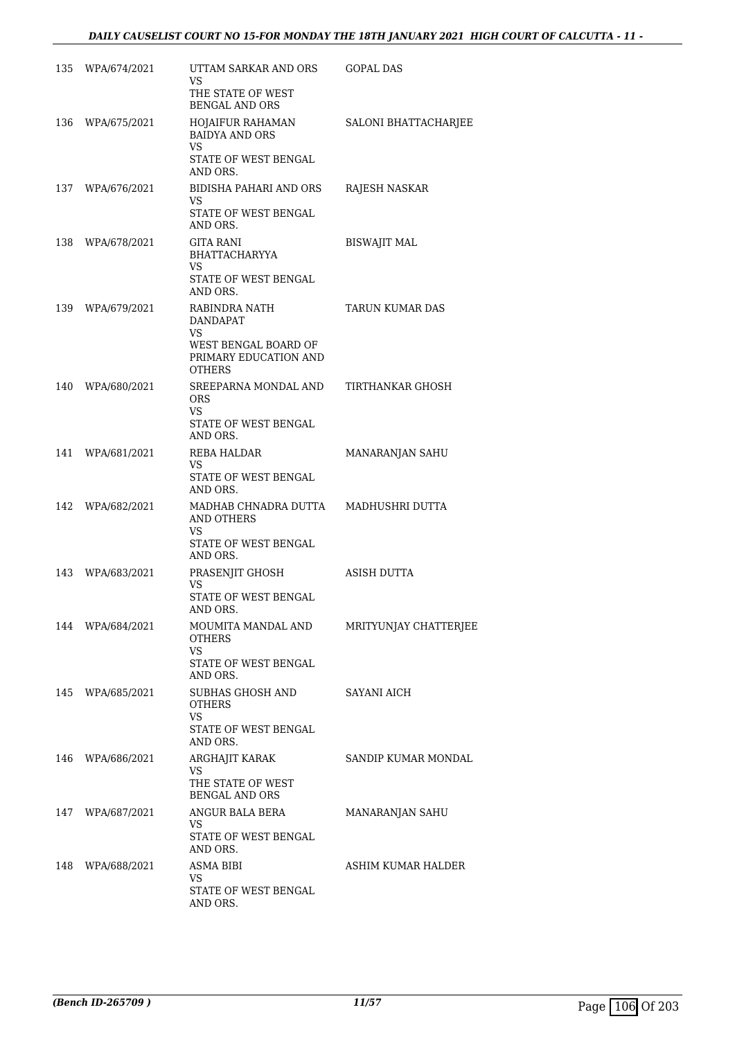| 135 | WPA/674/2021     | UTTAM SARKAR AND ORS<br>VS<br>THE STATE OF WEST<br><b>BENGAL AND ORS</b>                           | GOPAL DAS             |
|-----|------------------|----------------------------------------------------------------------------------------------------|-----------------------|
| 136 | WPA/675/2021     | HOJAIFUR RAHAMAN<br><b>BAIDYA AND ORS</b><br>VS<br>STATE OF WEST BENGAL                            | SALONI BHATTACHARJEE  |
|     | 137 WPA/676/2021 | AND ORS.<br>BIDISHA PAHARI AND ORS<br>VS<br>STATE OF WEST BENGAL                                   | RAJESH NASKAR         |
| 138 | WPA/678/2021     | AND ORS.<br>GITA RANI<br><b>BHATTACHARYYA</b><br>VS<br>STATE OF WEST BENGAL<br>AND ORS.            | BISWAJIT MAL          |
|     | 139 WPA/679/2021 | RABINDRA NATH<br><b>DANDAPAT</b><br>VS.<br>WEST BENGAL BOARD OF<br>PRIMARY EDUCATION AND<br>OTHERS | TARUN KUMAR DAS       |
| 140 | WPA/680/2021     | SREEPARNA MONDAL AND<br><b>ORS</b><br>VS.<br>STATE OF WEST BENGAL<br>AND ORS.                      | TIRTHANKAR GHOSH      |
| 141 | WPA/681/2021     | REBA HALDAR<br>VS.<br>STATE OF WEST BENGAL<br>AND ORS.                                             | MANARANJAN SAHU       |
| 142 | WPA/682/2021     | MADHAB CHNADRA DUTTA<br><b>AND OTHERS</b><br>VS<br>STATE OF WEST BENGAL<br>AND ORS.                | MADHUSHRI DUTTA       |
|     | 143 WPA/683/2021 | PRASENJIT GHOSH<br>VS<br>STATE OF WEST BENGAL<br>AND ORS.                                          | ASISH DUTTA           |
|     | 144 WPA/684/2021 | MOUMITA MANDAL AND<br><b>OTHERS</b><br><b>VS</b><br>STATE OF WEST BENGAL<br>AND ORS.               | MRITYUNJAY CHATTERJEE |
| 145 | WPA/685/2021     | SUBHAS GHOSH AND<br>OTHERS<br>VS<br>STATE OF WEST BENGAL<br>AND ORS.                               | SAYANI AICH           |
|     | 146 WPA/686/2021 | ARGHAJIT KARAK<br>VS<br>THE STATE OF WEST<br><b>BENGAL AND ORS</b>                                 | SANDIP KUMAR MONDAL   |
| 147 | WPA/687/2021     | ANGUR BALA BERA<br>VS<br>STATE OF WEST BENGAL                                                      | MANARANJAN SAHU       |
| 148 | WPA/688/2021     | AND ORS.<br>ASMA BIBI<br>VS<br>STATE OF WEST BENGAL<br>AND ORS.                                    | ASHIM KUMAR HALDER    |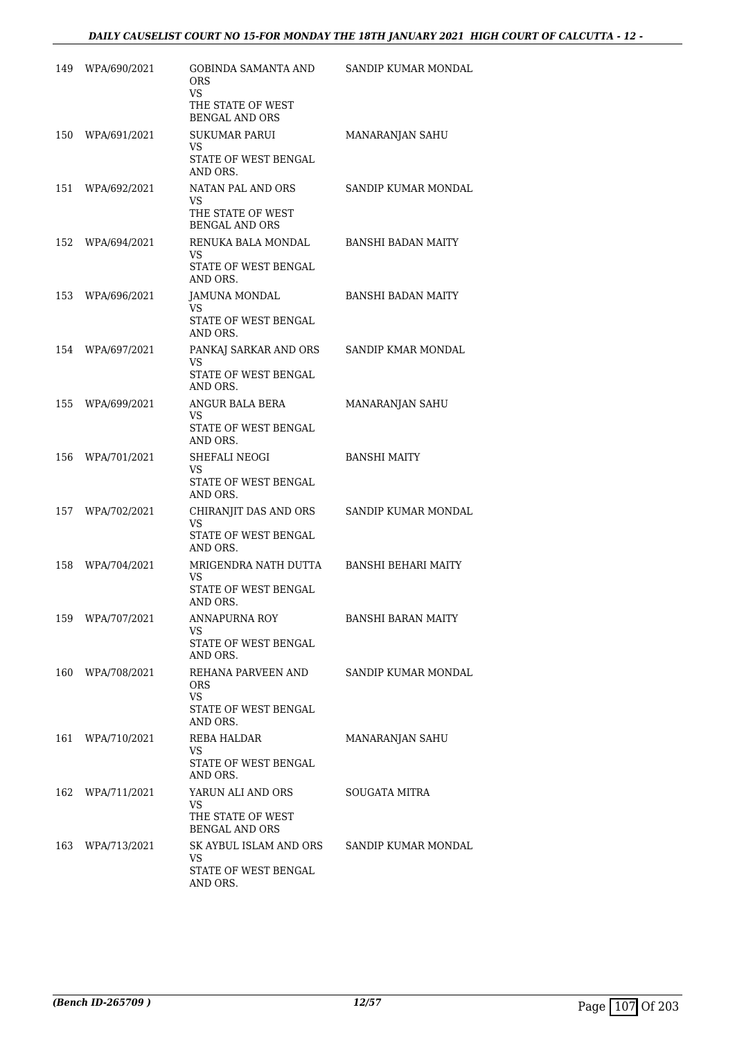| 149 | WPA/690/2021 | GOBINDA SAMANTA AND<br><b>ORS</b><br>VS                          | SANDIP KUMAR MONDAL        |
|-----|--------------|------------------------------------------------------------------|----------------------------|
|     |              | THE STATE OF WEST<br><b>BENGAL AND ORS</b>                       |                            |
| 150 | WPA/691/2021 | <b>SUKUMAR PARUI</b><br>VS<br>STATE OF WEST BENGAL               | MANARANJAN SAHU            |
| 151 | WPA/692/2021 | AND ORS.<br>NATAN PAL AND ORS<br><b>VS</b><br>THE STATE OF WEST  | SANDIP KUMAR MONDAL        |
| 152 | WPA/694/2021 | <b>BENGAL AND ORS</b><br>RENUKA BALA MONDAL                      | <b>BANSHI BADAN MAITY</b>  |
|     |              | <b>VS</b><br>STATE OF WEST BENGAL<br>AND ORS.                    |                            |
| 153 | WPA/696/2021 | JAMUNA MONDAL<br>VS<br>STATE OF WEST BENGAL<br>AND ORS.          | BANSHI BADAN MAITY         |
| 154 | WPA/697/2021 | PANKAJ SARKAR AND ORS<br>VS<br>STATE OF WEST BENGAL<br>AND ORS.  | SANDIP KMAR MONDAL         |
| 155 | WPA/699/2021 | ANGUR BALA BERA<br>VS.<br>STATE OF WEST BENGAL<br>AND ORS.       | MANARANJAN SAHU            |
| 156 | WPA/701/2021 | SHEFALI NEOGI<br>VS<br>STATE OF WEST BENGAL<br>AND ORS.          | <b>BANSHI MAITY</b>        |
| 157 | WPA/702/2021 | CHIRANJIT DAS AND ORS<br>VS<br>STATE OF WEST BENGAL              | SANDIP KUMAR MONDAL        |
|     |              | AND ORS.                                                         |                            |
| 158 | WPA/704/2021 | MRIGENDRA NATH DUTTA<br>VS<br>STATE OF WEST BENGAL<br>AND ORS.   | <b>BANSHI BEHARI MAITY</b> |
| 159 | WPA/707/2021 | <b>ANNAPURNA ROY</b><br>VS<br>STATE OF WEST BENGAL               | <b>BANSHI BARAN MAITY</b>  |
| 160 | WPA/708/2021 | AND ORS.<br>REHANA PARVEEN AND<br>ORS.<br>VS.                    | SANDIP KUMAR MONDAL        |
|     |              | STATE OF WEST BENGAL<br>AND ORS.                                 |                            |
| 161 | WPA/710/2021 | REBA HALDAR<br>VS.                                               | MANARANJAN SAHU            |
|     |              | STATE OF WEST BENGAL<br>AND ORS.                                 |                            |
| 162 | WPA/711/2021 | YARUN ALI AND ORS<br>VS                                          | SOUGATA MITRA              |
|     |              | THE STATE OF WEST<br><b>BENGAL AND ORS</b>                       |                            |
| 163 | WPA/713/2021 | SK AYBUL ISLAM AND ORS<br>VS<br>STATE OF WEST BENGAL<br>AND ORS. | SANDIP KUMAR MONDAL        |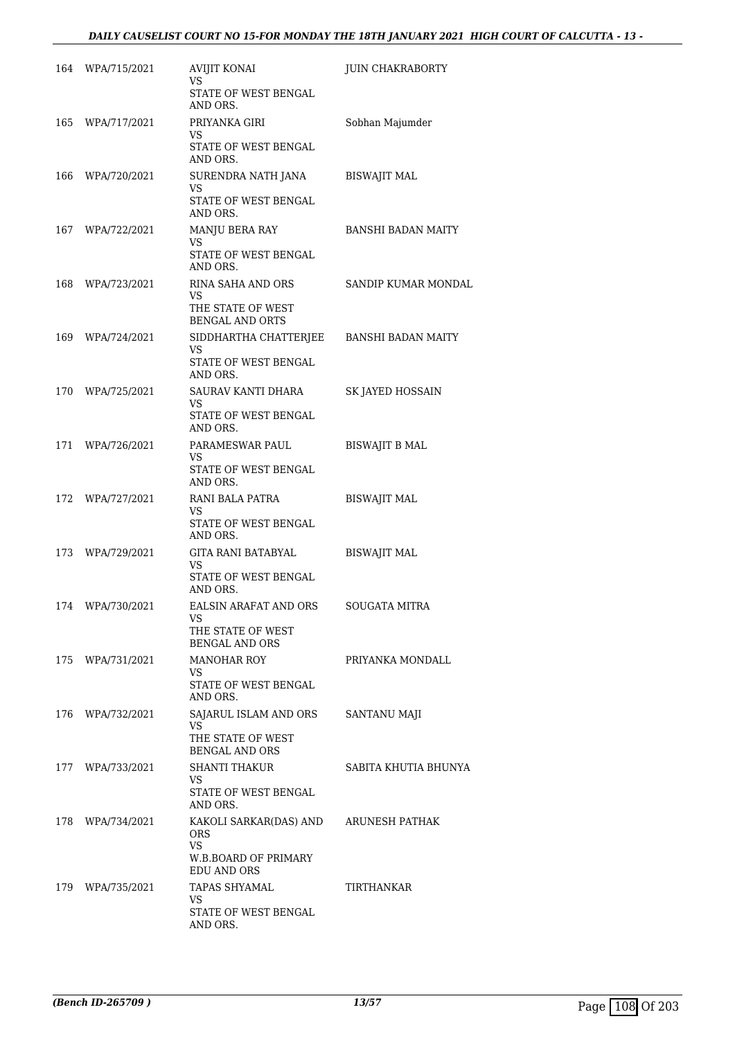# *DAILY CAUSELIST COURT NO 15-FOR MONDAY THE 18TH JANUARY 2021 HIGH COURT OF CALCUTTA - 13 -*

|     | 164 WPA/715/2021 | AVIJIT KONAI<br>VS.                               | <b>JUIN CHAKRABORTY</b> |
|-----|------------------|---------------------------------------------------|-------------------------|
|     |                  | STATE OF WEST BENGAL<br>AND ORS.                  |                         |
| 165 | WPA/717/2021     | PRIYANKA GIRI<br>VS                               | Sobhan Majumder         |
|     |                  | STATE OF WEST BENGAL<br>AND ORS.                  |                         |
| 166 | WPA/720/2021     | SURENDRA NATH JANA<br>VS<br>STATE OF WEST BENGAL  | <b>BISWAJIT MAL</b>     |
|     | 167 WPA/722/2021 | AND ORS.<br>MANJU BERA RAY                        | BANSHI BADAN MAITY      |
|     |                  | VS<br>STATE OF WEST BENGAL<br>AND ORS.            |                         |
| 168 | WPA/723/2021     | RINA SAHA AND ORS                                 | SANDIP KUMAR MONDAL     |
|     |                  | VS<br>THE STATE OF WEST<br><b>BENGAL AND ORTS</b> |                         |
| 169 | WPA/724/2021     | SIDDHARTHA CHATTERJEE<br>VS                       | BANSHI BADAN MAITY      |
|     |                  | STATE OF WEST BENGAL<br>AND ORS.                  |                         |
| 170 | WPA/725/2021     | SAURAV KANTI DHARA<br>VS                          | SK JAYED HOSSAIN        |
|     |                  | STATE OF WEST BENGAL<br>AND ORS.                  |                         |
| 171 | WPA/726/2021     | PARAMESWAR PAUL<br>VS                             | BISWAJIT B MAL          |
|     |                  | STATE OF WEST BENGAL<br>AND ORS.                  |                         |
| 172 | WPA/727/2021     | RANI BALA PATRA<br>VS                             | <b>BISWAJIT MAL</b>     |
|     |                  | STATE OF WEST BENGAL<br>AND ORS.                  |                         |
|     | 173 WPA/729/2021 | GITA RANI BATABYAL<br><b>VS</b>                   | <b>BISWAJIT MAL</b>     |
|     |                  | STATE OF WEST BENGAL<br>AND ORS.                  |                         |
| 174 | WPA/730/2021     | EALSIN ARAFAT AND ORS<br>VS                       | <b>SOUGATA MITRA</b>    |
|     |                  | THE STATE OF WEST<br><b>BENGAL AND ORS</b>        |                         |
| 175 | WPA/731/2021     | <b>MANOHAR ROY</b><br>VS.                         | PRIYANKA MONDALL        |
|     |                  | STATE OF WEST BENGAL<br>AND ORS.                  |                         |
|     | 176 WPA/732/2021 | SAJARUL ISLAM AND ORS<br>VS                       | SANTANU MAJI            |
|     |                  | THE STATE OF WEST<br><b>BENGAL AND ORS</b>        |                         |
|     | 177 WPA/733/2021 | SHANTI THAKUR<br>VS.                              | SABITA KHUTIA BHUNYA    |
|     |                  | STATE OF WEST BENGAL<br>AND ORS.                  |                         |
| 178 | WPA/734/2021     | KAKOLI SARKAR(DAS) AND<br><b>ORS</b>              | ARUNESH PATHAK          |
|     |                  | <b>VS</b><br>W.B.BOARD OF PRIMARY<br>EDU AND ORS  |                         |
| 179 | WPA/735/2021     | TAPAS SHYAMAL<br>VS.                              | TIRTHANKAR              |
|     |                  | STATE OF WEST BENGAL<br>AND ORS.                  |                         |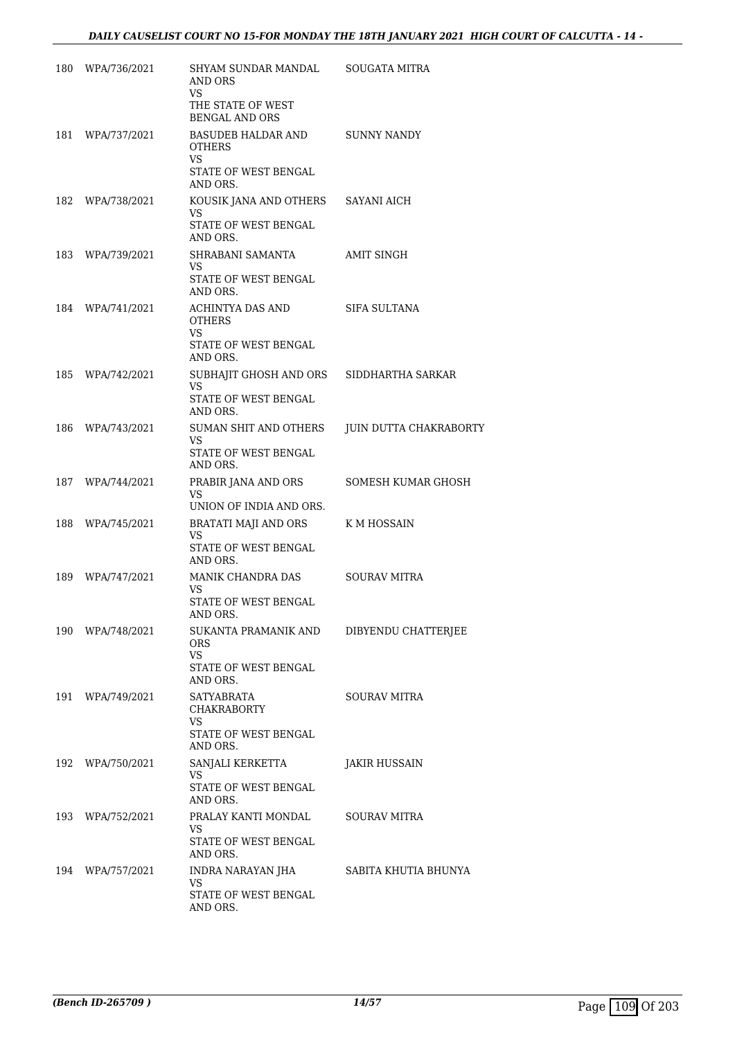| 180 | WPA/736/2021     | SHYAM SUNDAR MANDAL<br>AND ORS<br><b>VS</b><br>THE STATE OF WEST                                                     | SOUGATA MITRA          |
|-----|------------------|----------------------------------------------------------------------------------------------------------------------|------------------------|
| 181 | WPA/737/2021     | <b>BENGAL AND ORS</b><br><b>BASUDEB HALDAR AND</b><br><b>OTHERS</b><br><b>VS</b><br>STATE OF WEST BENGAL<br>AND ORS. | SUNNY NANDY            |
| 182 | WPA/738/2021     | KOUSIK JANA AND OTHERS SAYANI AICH<br>VS<br>STATE OF WEST BENGAL<br>AND ORS.                                         |                        |
| 183 | WPA/739/2021     | SHRABANI SAMANTA<br>VS.<br>STATE OF WEST BENGAL<br>AND ORS.                                                          | AMIT SINGH             |
|     | 184 WPA/741/2021 | ACHINTYA DAS AND<br><b>OTHERS</b><br>VS.<br>STATE OF WEST BENGAL<br>AND ORS.                                         | SIFA SULTANA           |
| 185 | WPA/742/2021     | SUBHAJIT GHOSH AND ORS<br>VS<br>STATE OF WEST BENGAL<br>AND ORS.                                                     | SIDDHARTHA SARKAR      |
| 186 | WPA/743/2021     | SUMAN SHIT AND OTHERS<br>VS.<br>STATE OF WEST BENGAL<br>AND ORS.                                                     | JUIN DUTTA CHAKRABORTY |
| 187 | WPA/744/2021     | PRABIR JANA AND ORS<br>VS<br>UNION OF INDIA AND ORS.                                                                 | SOMESH KUMAR GHOSH     |
| 188 | WPA/745/2021     | BRATATI MAJI AND ORS<br><b>VS</b><br>STATE OF WEST BENGAL<br>AND ORS.                                                | K M HOSSAIN            |
| 189 | WPA/747/2021     | MANIK CHANDRA DAS<br>VS.<br>STATE OF WEST BENGAL<br>AND ORS.                                                         | <b>SOURAV MITRA</b>    |
|     | 190 WPA/748/2021 | SUKANTA PRAMANIK AND<br>ORS<br>VS.<br>STATE OF WEST BENGAL<br>AND ORS.                                               | DIBYENDU CHATTERJEE    |
|     | 191 WPA/749/2021 | SATYABRATA<br>CHAKRABORTY<br>VS<br>STATE OF WEST BENGAL<br>AND ORS.                                                  | <b>SOURAV MITRA</b>    |
|     | 192 WPA/750/2021 | SANJALI KERKETTA<br>VS.<br>STATE OF WEST BENGAL<br>AND ORS.                                                          | JAKIR HUSSAIN          |
|     | 193 WPA/752/2021 | PRALAY KANTI MONDAL<br>VS<br>STATE OF WEST BENGAL                                                                    | <b>SOURAV MITRA</b>    |
| 194 | WPA/757/2021     | AND ORS.<br>INDRA NARAYAN JHA<br>VS<br>STATE OF WEST BENGAL<br>AND ORS.                                              | SABITA KHUTIA BHUNYA   |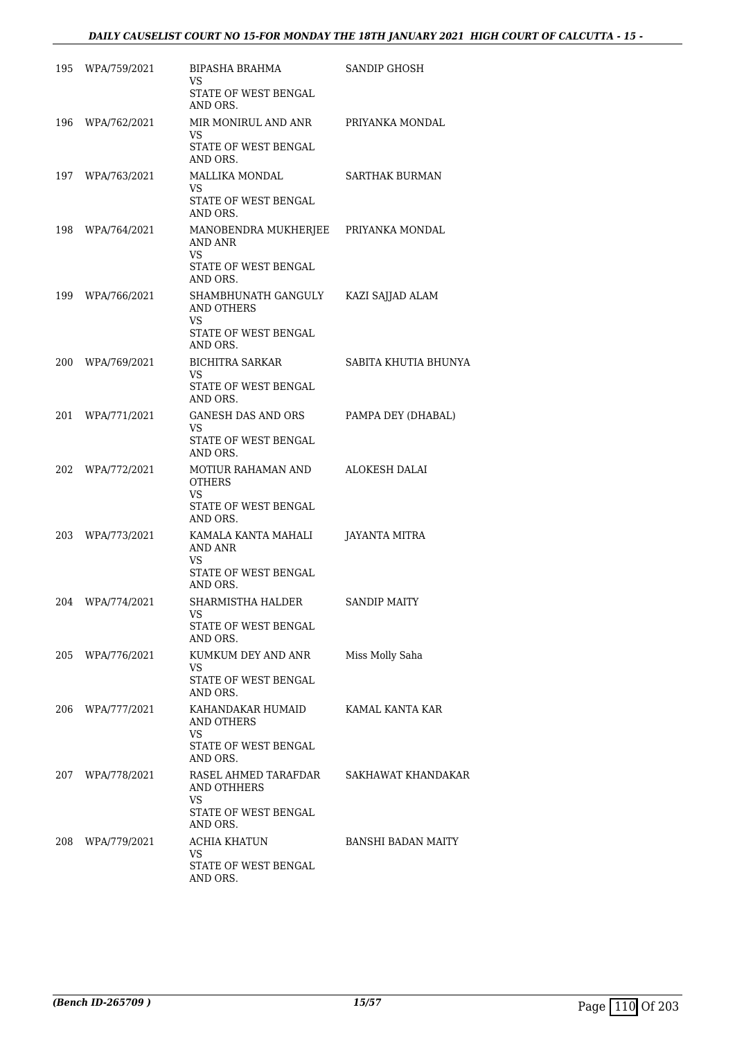|     | 195 WPA/759/2021 | BIPASHA BRAHMA<br>VS<br>STATE OF WEST BENGAL<br>AND ORS.                                  | SANDIP GHOSH         |
|-----|------------------|-------------------------------------------------------------------------------------------|----------------------|
| 196 | WPA/762/2021     | MIR MONIRUL AND ANR<br>VS<br>STATE OF WEST BENGAL<br>AND ORS.                             | PRIYANKA MONDAL      |
| 197 | WPA/763/2021     | MALLIKA MONDAL<br>VS<br>STATE OF WEST BENGAL<br>AND ORS.                                  | SARTHAK BURMAN       |
|     | 198 WPA/764/2021 | MANOBENDRA MUKHERJEE PRIYANKA MONDAL<br>AND ANR<br>VS<br>STATE OF WEST BENGAL<br>AND ORS. |                      |
| 199 | WPA/766/2021     | SHAMBHUNATH GANGULY<br>AND OTHERS<br>VS<br>STATE OF WEST BENGAL<br>AND ORS.               | KAZI SAJJAD ALAM     |
| 200 | WPA/769/2021     | BICHITRA SARKAR<br>VS<br>STATE OF WEST BENGAL<br>AND ORS.                                 | SABITA KHUTIA BHUNYA |
| 201 | WPA/771/2021     | GANESH DAS AND ORS<br>VS<br>STATE OF WEST BENGAL<br>AND ORS.                              | PAMPA DEY (DHABAL)   |
| 202 | WPA/772/2021     | MOTIUR RAHAMAN AND<br><b>OTHERS</b><br>VS<br>STATE OF WEST BENGAL<br>AND ORS.             | ALOKESH DALAI        |
| 203 | WPA/773/2021     | KAMALA KANTA MAHALI<br>AND ANR<br>VS<br>STATE OF WEST BENGAL<br>AND ORS.                  | JAYANTA MITRA        |
|     | 204 WPA/774/2021 | SHARMISTHA HALDER<br>VS<br>STATE OF WEST BENGAL<br>AND ORS.                               | <b>SANDIP MAITY</b>  |
|     | 205 WPA/776/2021 | KUMKUM DEY AND ANR<br>VS<br>STATE OF WEST BENGAL<br>AND ORS.                              | Miss Molly Saha      |
|     | 206 WPA/777/2021 | KAHANDAKAR HUMAID<br>AND OTHERS<br>VS<br>STATE OF WEST BENGAL<br>AND ORS.                 | KAMAL KANTA KAR      |
| 207 | WPA/778/2021     | RASEL AHMED TARAFDAR<br>AND OTHHERS<br>VS<br>STATE OF WEST BENGAL                         | SAKHAWAT KHANDAKAR   |
| 208 | WPA/779/2021     | AND ORS.<br>ACHIA KHATUN<br>VS<br>STATE OF WEST BENGAL<br>AND ORS.                        | BANSHI BADAN MAITY   |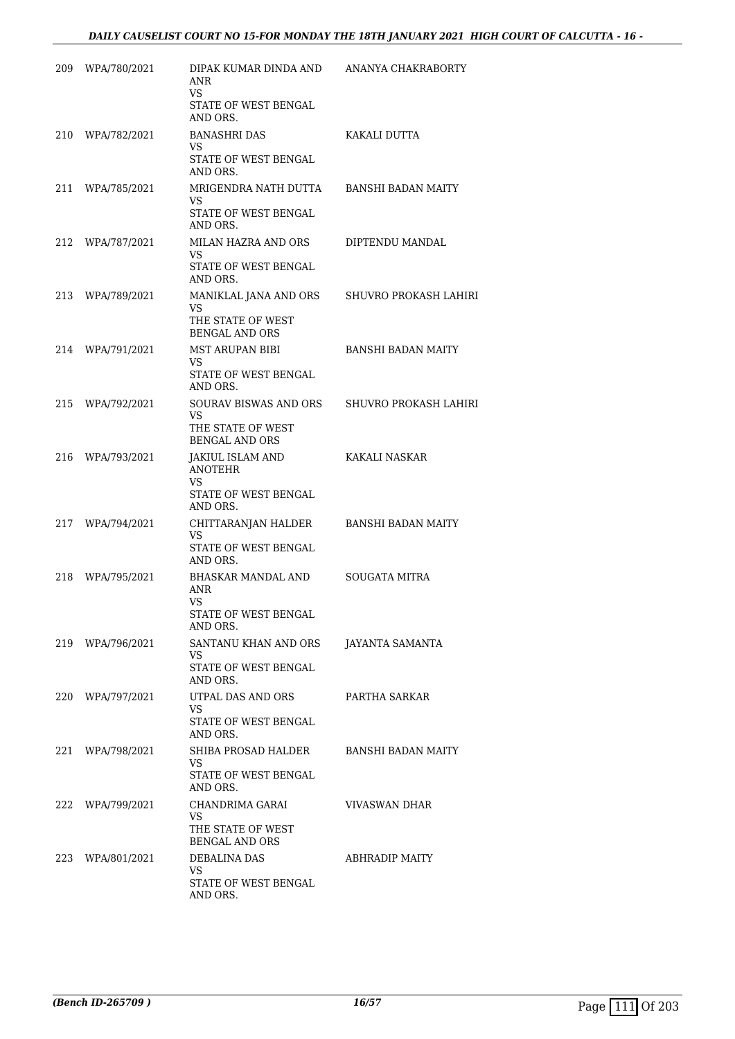| 209 | WPA/780/2021     | DIPAK KUMAR DINDA AND<br>ANR<br>VS                                           | ANANYA CHAKRABORTY        |
|-----|------------------|------------------------------------------------------------------------------|---------------------------|
|     |                  | STATE OF WEST BENGAL<br>AND ORS.                                             |                           |
| 210 | WPA/782/2021     | <b>BANASHRI DAS</b><br>VS<br>STATE OF WEST BENGAL                            | KAKALI DUTTA              |
| 211 | WPA/785/2021     | AND ORS.<br>MRIGENDRA NATH DUTTA<br>VS<br>STATE OF WEST BENGAL               | <b>BANSHI BADAN MAITY</b> |
| 212 | WPA/787/2021     | AND ORS.<br>MILAN HAZRA AND ORS<br>VS.<br>STATE OF WEST BENGAL<br>AND ORS.   | DIPTENDU MANDAL           |
| 213 | WPA/789/2021     | MANIKLAL JANA AND ORS<br>VS<br>THE STATE OF WEST<br><b>BENGAL AND ORS</b>    | SHUVRO PROKASH LAHIRI     |
| 214 | WPA/791/2021     | <b>MST ARUPAN BIBI</b><br>VS.<br>STATE OF WEST BENGAL<br>AND ORS.            | <b>BANSHI BADAN MAITY</b> |
| 215 | WPA/792/2021     | SOURAV BISWAS AND ORS<br>VS.<br>THE STATE OF WEST<br><b>BENGAL AND ORS</b>   | SHUVRO PROKASH LAHIRI     |
| 216 | WPA/793/2021     | JAKIUL ISLAM AND<br><b>ANOTEHR</b><br>VS<br>STATE OF WEST BENGAL<br>AND ORS. | KAKALI NASKAR             |
| 217 | WPA/794/2021     | CHITTARANJAN HALDER<br>VS<br>STATE OF WEST BENGAL<br>AND ORS.                | <b>BANSHI BADAN MAITY</b> |
| 218 | WPA/795/2021     | BHASKAR MANDAL AND<br>ANR<br>VS<br>STATE OF WEST BENGAL<br>AND ORS.          | SOUGATA MITRA             |
|     | 219 WPA/796/2021 | SANTANU KHAN AND ORS<br>VS<br>STATE OF WEST BENGAL<br>AND ORS.               | JAYANTA SAMANTA           |
|     | 220 WPA/797/2021 | UTPAL DAS AND ORS<br>VS.<br>STATE OF WEST BENGAL<br>AND ORS.                 | PARTHA SARKAR             |
| 221 | WPA/798/2021     | SHIBA PROSAD HALDER<br>VS<br>STATE OF WEST BENGAL<br>AND ORS.                | BANSHI BADAN MAITY        |
|     | 222 WPA/799/2021 | CHANDRIMA GARAI<br>VS.<br>THE STATE OF WEST<br><b>BENGAL AND ORS</b>         | VIVASWAN DHAR             |
|     | 223 WPA/801/2021 | DEBALINA DAS<br>VS.<br>STATE OF WEST BENGAL<br>AND ORS.                      | ABHRADIP MAITY            |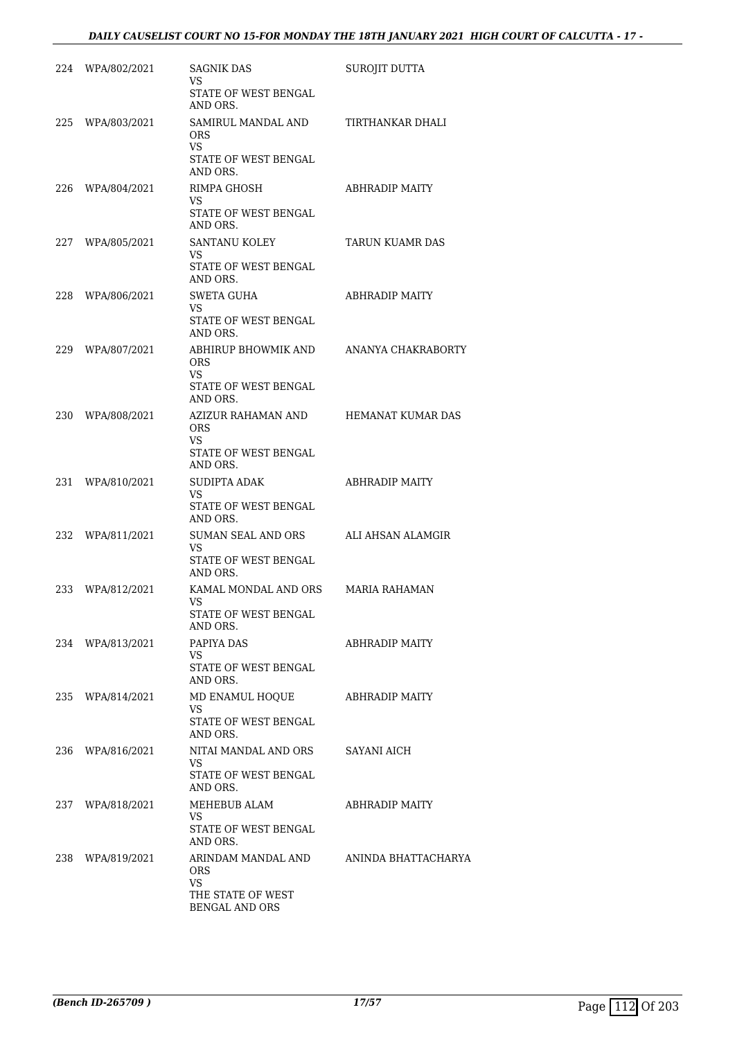| 224 | WPA/802/2021     | SAGNIK DAS<br>VS<br><b>STATE OF WEST BENGAL</b>                       | SUROJIT DUTTA            |
|-----|------------------|-----------------------------------------------------------------------|--------------------------|
| 225 | WPA/803/2021     | AND ORS.<br>SAMIRUL MANDAL AND<br>ORS.<br>VS.                         | TIRTHANKAR DHALI         |
|     |                  | STATE OF WEST BENGAL<br>AND ORS.                                      |                          |
|     | 226 WPA/804/2021 | RIMPA GHOSH<br>VS<br><b>STATE OF WEST BENGAL</b>                      | <b>ABHRADIP MAITY</b>    |
|     |                  | AND ORS.                                                              |                          |
| 227 | WPA/805/2021     | SANTANU KOLEY<br>VS<br>STATE OF WEST BENGAL<br>AND ORS.               | TARUN KUAMR DAS          |
| 228 | WPA/806/2021     | <b>SWETA GUHA</b>                                                     | ABHRADIP MAITY           |
|     |                  | VS<br>STATE OF WEST BENGAL<br>AND ORS.                                |                          |
| 229 | WPA/807/2021     | ABHIRUP BHOWMIK AND<br><b>ORS</b><br>VS.                              | ANANYA CHAKRABORTY       |
|     |                  | STATE OF WEST BENGAL<br>AND ORS.                                      |                          |
| 230 | WPA/808/2021     | AZIZUR RAHAMAN AND<br><b>ORS</b><br><b>VS</b><br>STATE OF WEST BENGAL | <b>HEMANAT KUMAR DAS</b> |
| 231 | WPA/810/2021     | AND ORS.<br><b>SUDIPTA ADAK</b>                                       | ABHRADIP MAITY           |
|     |                  | VS<br>STATE OF WEST BENGAL<br>AND ORS.                                |                          |
| 232 | WPA/811/2021     | <b>SUMAN SEAL AND ORS</b><br>VS<br>STATE OF WEST BENGAL               | ALI AHSAN ALAMGIR        |
| 233 | WPA/812/2021     | AND ORS.<br>KAMAL MONDAL AND ORS                                      | MARIA RAHAMAN            |
|     |                  | VS<br>STATE OF WEST BENGAL<br>AND ORS.                                |                          |
|     | 234 WPA/813/2021 | PAPIYA DAS<br>VS.                                                     | <b>ABHRADIP MAITY</b>    |
|     |                  | STATE OF WEST BENGAL<br>AND ORS.                                      |                          |
|     | 235 WPA/814/2021 | MD ENAMUL HOQUE<br>VS.<br>STATE OF WEST BENGAL                        | ABHRADIP MAITY           |
|     | 236 WPA/816/2021 | AND ORS.<br>NITAI MANDAL AND ORS                                      | SAYANI AICH              |
|     |                  | VS.<br>STATE OF WEST BENGAL<br>AND ORS.                               |                          |
|     | 237 WPA/818/2021 | MEHEBUB ALAM<br>VS.                                                   | ABHRADIP MAITY           |
|     |                  | STATE OF WEST BENGAL<br>AND ORS.                                      |                          |
|     | 238 WPA/819/2021 | ARINDAM MANDAL AND<br><b>ORS</b><br>VS.                               | ANINDA BHATTACHARYA      |
|     |                  | THE STATE OF WEST<br><b>BENGAL AND ORS</b>                            |                          |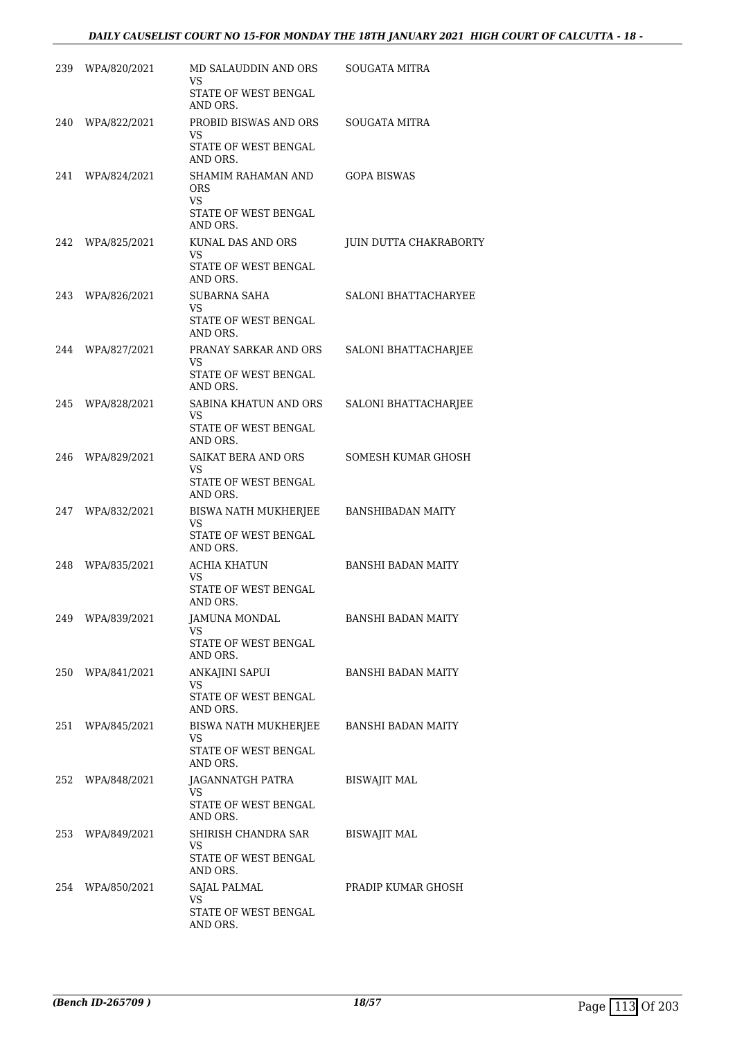| 239 | WPA/820/2021     | MD SALAUDDIN AND ORS<br>VS<br>STATE OF WEST BENGAL                          | SOUGATA MITRA               |
|-----|------------------|-----------------------------------------------------------------------------|-----------------------------|
| 240 | WPA/822/2021     | AND ORS.<br>PROBID BISWAS AND ORS<br>VS<br>STATE OF WEST BENGAL             | SOUGATA MITRA               |
| 241 | WPA/824/2021     | AND ORS.<br>SHAMIM RAHAMAN AND<br><b>ORS</b><br>VS.<br>STATE OF WEST BENGAL | <b>GOPA BISWAS</b>          |
| 242 | WPA/825/2021     | AND ORS.<br>KUNAL DAS AND ORS<br>VS<br>STATE OF WEST BENGAL                 | JUIN DUTTA CHAKRABORTY      |
| 243 | WPA/826/2021     | AND ORS.<br><b>SUBARNA SAHA</b><br>VS<br>STATE OF WEST BENGAL               | SALONI BHATTACHARYEE        |
| 244 | WPA/827/2021     | AND ORS.<br>PRANAY SARKAR AND ORS<br>VS.<br>STATE OF WEST BENGAL            | SALONI BHATTACHARJEE        |
| 245 | WPA/828/2021     | AND ORS.<br>SABINA KHATUN AND ORS<br>VS<br>STATE OF WEST BENGAL             | <b>SALONI BHATTACHARJEE</b> |
| 246 | WPA/829/2021     | AND ORS.<br>SAIKAT BERA AND ORS<br>VS.<br>STATE OF WEST BENGAL              | SOMESH KUMAR GHOSH          |
| 247 | WPA/832/2021     | AND ORS.<br>BISWA NATH MUKHERJEE<br>VS<br>STATE OF WEST BENGAL              | <b>BANSHIBADAN MAITY</b>    |
| 248 | WPA/835/2021     | AND ORS.<br><b>ACHIA KHATUN</b><br>VS<br>STATE OF WEST BENGAL               | <b>BANSHI BADAN MAITY</b>   |
| 249 | WPA/839/2021     | AND ORS.<br>JAMUNA MONDAL<br>VS<br>STATE OF WEST BENGAL                     | <b>BANSHI BADAN MAITY</b>   |
|     | 250 WPA/841/2021 | AND ORS.<br>ANKAJINI SAPUI<br>VS.<br>STATE OF WEST BENGAL                   | <b>BANSHI BADAN MAITY</b>   |
|     | 251 WPA/845/2021 | AND ORS.<br>BISWA NATH MUKHERJEE<br>VS<br>STATE OF WEST BENGAL              | <b>BANSHI BADAN MAITY</b>   |
| 252 | WPA/848/2021     | AND ORS.<br>JAGANNATGH PATRA<br>VS<br>STATE OF WEST BENGAL<br>AND ORS.      | <b>BISWAJIT MAL</b>         |
|     | 253 WPA/849/2021 | SHIRISH CHANDRA SAR<br>VS<br>STATE OF WEST BENGAL<br>AND ORS.               | <b>BISWAJIT MAL</b>         |
|     | 254 WPA/850/2021 | SAJAL PALMAL<br>VS<br>STATE OF WEST BENGAL<br>AND ORS.                      | PRADIP KUMAR GHOSH          |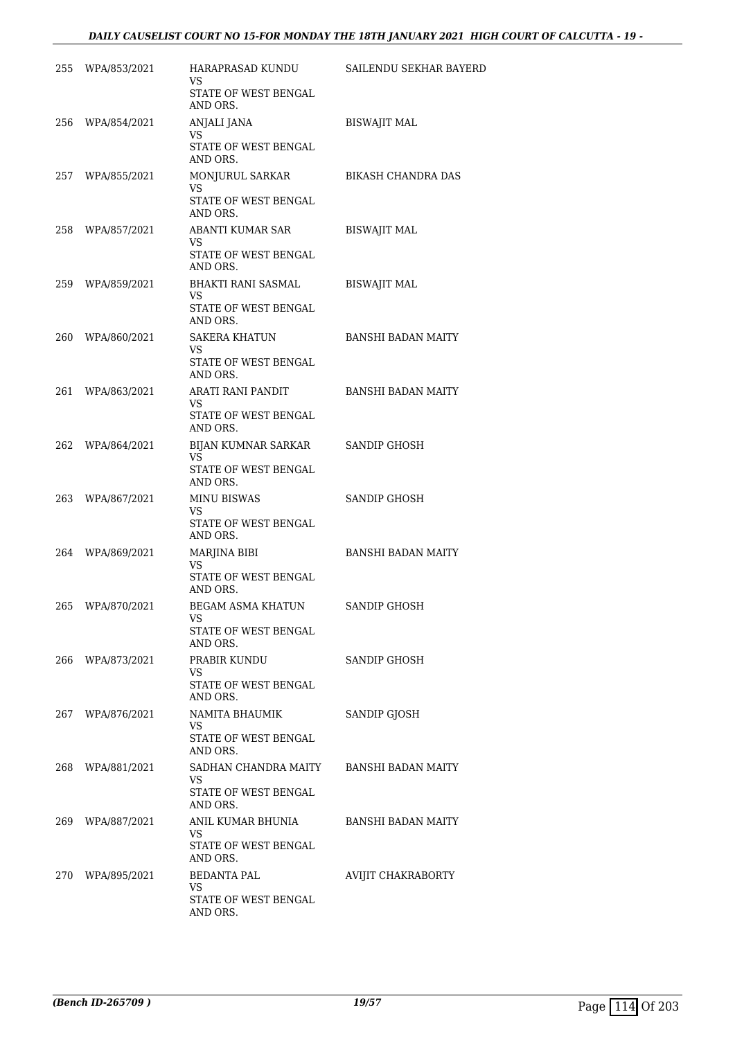# *DAILY CAUSELIST COURT NO 15-FOR MONDAY THE 18TH JANUARY 2021 HIGH COURT OF CALCUTTA - 19 -*

|     | 255 WPA/853/2021 | HARAPRASAD KUNDU<br>VS                                                             | SAILENDU SEKHAR BAYERD    |
|-----|------------------|------------------------------------------------------------------------------------|---------------------------|
|     |                  | STATE OF WEST BENGAL<br>AND ORS.                                                   |                           |
|     | 256 WPA/854/2021 | ANJALI JANA<br>VS<br>STATE OF WEST BENGAL                                          | <b>BISWAJIT MAL</b>       |
| 257 | WPA/855/2021     | AND ORS.<br>MONJURUL SARKAR<br>VS.<br>STATE OF WEST BENGAL<br>AND ORS.             | <b>BIKASH CHANDRA DAS</b> |
|     | 258 WPA/857/2021 | ABANTI KUMAR SAR<br>VS<br>STATE OF WEST BENGAL<br>AND ORS.                         | <b>BISWAJIT MAL</b>       |
|     | 259 WPA/859/2021 | BHAKTI RANI SASMAL<br>VS.<br>STATE OF WEST BENGAL<br>AND ORS.                      | <b>BISWAJIT MAL</b>       |
| 260 | WPA/860/2021     | SAKERA KHATUN<br>VS<br>STATE OF WEST BENGAL<br>AND ORS.                            | <b>BANSHI BADAN MAITY</b> |
|     | 261 WPA/863/2021 | ARATI RANI PANDIT<br>VS<br>STATE OF WEST BENGAL<br>AND ORS.                        | <b>BANSHI BADAN MAITY</b> |
| 262 | WPA/864/2021     | BIJAN KUMNAR SARKAR<br>VS.<br>STATE OF WEST BENGAL<br>AND ORS.                     | SANDIP GHOSH              |
|     | 263 WPA/867/2021 | <b>MINU BISWAS</b><br>VS<br>STATE OF WEST BENGAL<br>AND ORS.                       | SANDIP GHOSH              |
|     | 264 WPA/869/2021 | MARJINA BIBI<br>VS<br>STATE OF WEST BENGAL<br>AND ORS.                             | <b>BANSHI BADAN MAITY</b> |
| 265 | WPA/870/2021     | BEGAM ASMA KHATUN<br>VS<br>STATE OF WEST BENGAL<br>AND ORS.                        | SANDIP GHOSH              |
| 266 | WPA/873/2021     | PRABIR KUNDU<br>VS<br>STATE OF WEST BENGAL<br>AND ORS.                             | SANDIP GHOSH              |
|     | 267 WPA/876/2021 | NAMITA BHAUMIK<br>VS.<br>STATE OF WEST BENGAL<br>AND ORS.                          | SANDIP GJOSH              |
|     | 268 WPA/881/2021 | SADHAN CHANDRA MAITY BANSHI BADAN MAITY<br>VS.<br>STATE OF WEST BENGAL<br>AND ORS. |                           |
| 269 | WPA/887/2021     | ANIL KUMAR BHUNIA<br>VS<br>STATE OF WEST BENGAL<br>AND ORS.                        | BANSHI BADAN MAITY        |
|     | 270 WPA/895/2021 | BEDANTA PAL<br>VS<br>STATE OF WEST BENGAL<br>AND ORS.                              | AVIJIT CHAKRABORTY        |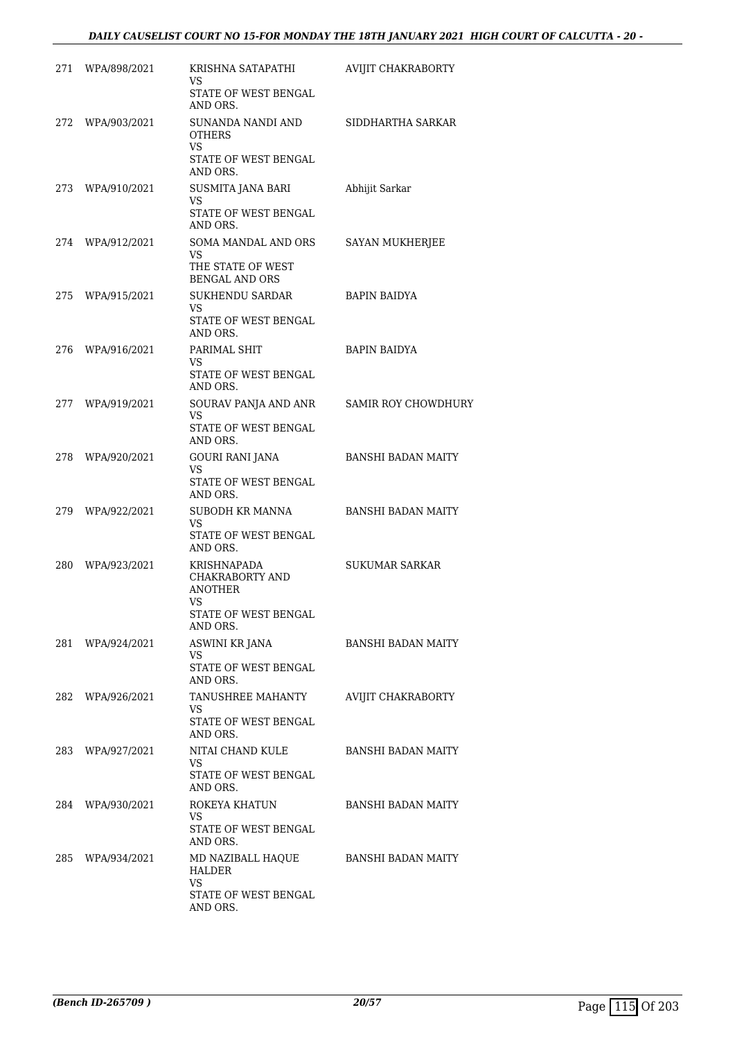| 271 | WPA/898/2021     | KRISHNA SATAPATHI<br>VS<br>STATE OF WEST BENGAL                                            | AVIJIT CHAKRABORTY         |
|-----|------------------|--------------------------------------------------------------------------------------------|----------------------------|
| 272 | WPA/903/2021     | AND ORS.<br>SUNANDA NANDI AND<br><b>OTHERS</b>                                             | SIDDHARTHA SARKAR          |
|     |                  | VS<br>STATE OF WEST BENGAL<br>AND ORS.                                                     |                            |
|     | 273 WPA/910/2021 | SUSMITA JANA BARI<br>VS                                                                    | Abhijit Sarkar             |
|     |                  | STATE OF WEST BENGAL<br>AND ORS.                                                           |                            |
| 274 | WPA/912/2021     | SOMA MANDAL AND ORS<br>VS.                                                                 | SAYAN MUKHERJEE            |
|     |                  | THE STATE OF WEST<br><b>BENGAL AND ORS</b>                                                 |                            |
| 275 | WPA/915/2021     | <b>SUKHENDU SARDAR</b><br>VS                                                               | <b>BAPIN BAIDYA</b>        |
|     |                  | STATE OF WEST BENGAL<br>AND ORS.                                                           |                            |
| 276 | WPA/916/2021     | PARIMAL SHIT<br>VS                                                                         | <b>BAPIN BAIDYA</b>        |
|     |                  | STATE OF WEST BENGAL<br>AND ORS.                                                           |                            |
| 277 | WPA/919/2021     | SOURAV PANJA AND ANR<br>VS                                                                 | <b>SAMIR ROY CHOWDHURY</b> |
|     |                  | STATE OF WEST BENGAL<br>AND ORS.                                                           |                            |
| 278 | WPA/920/2021     | GOURI RANI JANA<br>VS                                                                      | BANSHI BADAN MAITY         |
|     |                  | STATE OF WEST BENGAL<br>AND ORS.                                                           |                            |
| 279 | WPA/922/2021     | SUBODH KR MANNA<br>VS                                                                      | BANSHI BADAN MAITY         |
|     |                  | STATE OF WEST BENGAL<br>AND ORS.                                                           |                            |
| 280 | WPA/923/2021     | KRISHNAPADA<br>CHAKRABORTY AND<br><b>ANOTHER</b><br>VS<br>STATE OF WEST BENGAL<br>AND ORS. | SUKUMAR SARKAR             |
|     | 281 WPA/924/2021 | ASWINI KR JANA                                                                             | <b>BANSHI BADAN MAITY</b>  |
|     |                  | VS<br>STATE OF WEST BENGAL<br>AND ORS.                                                     |                            |
|     | 282 WPA/926/2021 | TANUSHREE MAHANTY<br>VS.<br>STATE OF WEST BENGAL<br>AND ORS.                               | AVIJIT CHAKRABORTY         |
| 283 | WPA/927/2021     | NITAI CHAND KULE<br>VS<br>STATE OF WEST BENGAL<br>AND ORS.                                 | <b>BANSHI BADAN MAITY</b>  |
|     | 284 WPA/930/2021 | ROKEYA KHATUN<br>VS.<br>STATE OF WEST BENGAL<br>AND ORS.                                   | <b>BANSHI BADAN MAITY</b>  |
|     | 285 WPA/934/2021 | MD NAZIBALL HAQUE<br>HALDER                                                                | BANSHI BADAN MAITY         |
|     |                  | <b>VS</b><br>STATE OF WEST BENGAL<br>AND ORS.                                              |                            |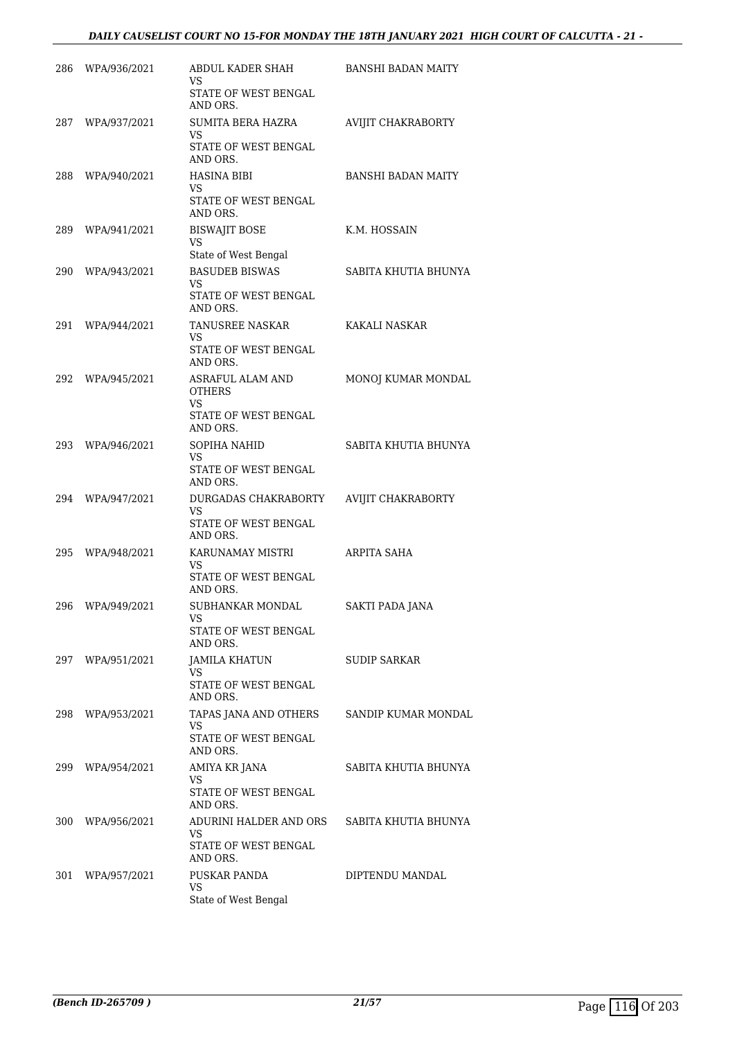# *DAILY CAUSELIST COURT NO 15-FOR MONDAY THE 18TH JANUARY 2021 HIGH COURT OF CALCUTTA - 21 -*

| 286 | WPA/936/2021     | ABDUL KADER SHAH<br>VS                                    | <b>BANSHI BADAN MAITY</b> |
|-----|------------------|-----------------------------------------------------------|---------------------------|
|     |                  | STATE OF WEST BENGAL<br>AND ORS.                          |                           |
| 287 | WPA/937/2021     | SUMITA BERA HAZRA<br>VS                                   | AVIJIT CHAKRABORTY        |
|     |                  | STATE OF WEST BENGAL<br>AND ORS.                          |                           |
|     | 288 WPA/940/2021 | <b>HASINA BIBI</b><br>VS.                                 | <b>BANSHI BADAN MAITY</b> |
|     |                  | STATE OF WEST BENGAL<br>AND ORS.                          |                           |
|     | 289 WPA/941/2021 | <b>BISWAJIT BOSE</b><br><b>VS</b><br>State of West Bengal | K.M. HOSSAIN              |
| 290 | WPA/943/2021     | <b>BASUDEB BISWAS</b>                                     | SABITA KHUTIA BHUNYA      |
|     |                  | <b>VS</b><br>STATE OF WEST BENGAL<br>AND ORS.             |                           |
| 291 | WPA/944/2021     | TANUSREE NASKAR<br><b>VS</b>                              | KAKALI NASKAR             |
|     |                  | STATE OF WEST BENGAL<br>AND ORS.                          |                           |
| 292 | WPA/945/2021     | ASRAFUL ALAM AND<br><b>OTHERS</b>                         | MONOJ KUMAR MONDAL        |
|     |                  | <b>VS</b><br>STATE OF WEST BENGAL<br>AND ORS.             |                           |
| 293 | WPA/946/2021     | SOPIHA NAHID<br>VS                                        | SABITA KHUTIA BHUNYA      |
|     |                  | STATE OF WEST BENGAL<br>AND ORS.                          |                           |
|     | 294 WPA/947/2021 | DURGADAS CHAKRABORTY<br>VS                                | AVIJIT CHAKRABORTY        |
|     |                  | STATE OF WEST BENGAL<br>AND ORS.                          |                           |
| 295 | WPA/948/2021     | KARUNAMAY MISTRI<br>VS                                    | ARPITA SAHA               |
|     |                  | STATE OF WEST BENGAL<br>AND ORS.                          |                           |
| 296 | WPA/949/2021     | SUBHANKAR MONDAL<br>VS                                    | <b>SAKTI PADA JANA</b>    |
|     |                  | STATE OF WEST BENGAL<br>AND ORS.                          |                           |
| 297 | WPA/951/2021     | JAMILA KHATUN<br>VS                                       | SUDIP SARKAR              |
|     |                  | STATE OF WEST BENGAL<br>AND ORS.                          |                           |
| 298 | WPA/953/2021     | TAPAS JANA AND OTHERS<br>VS                               | SANDIP KUMAR MONDAL       |
|     |                  | STATE OF WEST BENGAL<br>AND ORS.                          |                           |
| 299 | WPA/954/2021     | AMIYA KR JANA<br>VS                                       | SABITA KHUTIA BHUNYA      |
|     |                  | STATE OF WEST BENGAL<br>AND ORS.                          |                           |
| 300 | WPA/956/2021     | ADURINI HALDER AND ORS<br>VS                              | SABITA KHUTIA BHUNYA      |
|     |                  | STATE OF WEST BENGAL<br>AND ORS.                          |                           |
| 301 | WPA/957/2021     | PUSKAR PANDA<br>VS                                        | DIPTENDU MANDAL           |
|     |                  | State of West Bengal                                      |                           |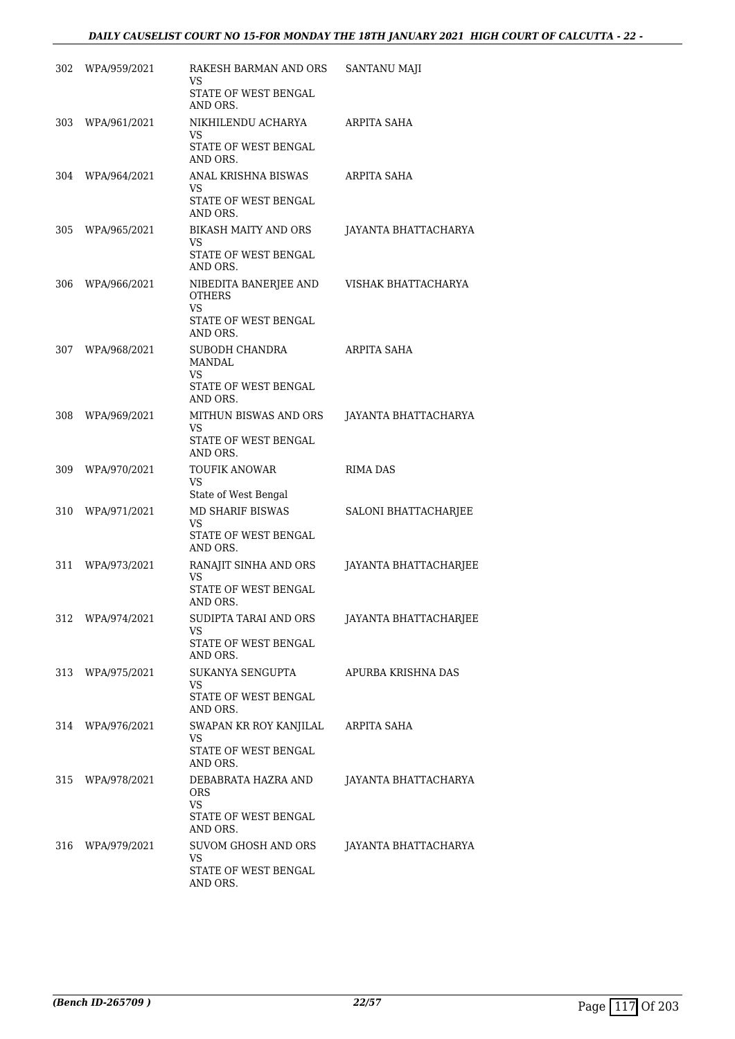| 302 | WPA/959/2021     | RAKESH BARMAN AND ORS<br>VS<br>STATE OF WEST BENGAL<br>AND ORS.                         | <b>SANTANU MAJI</b>   |
|-----|------------------|-----------------------------------------------------------------------------------------|-----------------------|
| 303 | WPA/961/2021     | NIKHILENDU ACHARYA<br>VS<br>STATE OF WEST BENGAL<br>AND ORS.                            | ARPITA SAHA           |
|     | 304 WPA/964/2021 | ANAL KRISHNA BISWAS<br>VS<br>STATE OF WEST BENGAL<br>AND ORS.                           | ARPITA SAHA           |
| 305 | WPA/965/2021     | BIKASH MAITY AND ORS<br>VS<br>STATE OF WEST BENGAL<br>AND ORS.                          | JAYANTA BHATTACHARYA  |
| 306 | WPA/966/2021     | NIBEDITA BANERJEE AND<br><b>OTHERS</b><br><b>VS</b><br>STATE OF WEST BENGAL<br>AND ORS. | VISHAK BHATTACHARYA   |
|     | 307 WPA/968/2021 | SUBODH CHANDRA<br><b>MANDAL</b><br><b>VS</b><br>STATE OF WEST BENGAL<br>AND ORS.        | ARPITA SAHA           |
| 308 | WPA/969/2021     | MITHUN BISWAS AND ORS<br>VS<br>STATE OF WEST BENGAL<br>AND ORS.                         | JAYANTA BHATTACHARYA  |
| 309 | WPA/970/2021     | <b>TOUFIK ANOWAR</b><br>VS<br>State of West Bengal                                      | RIMA DAS              |
| 310 | WPA/971/2021     | <b>MD SHARIF BISWAS</b><br>VS<br>STATE OF WEST BENGAL<br>AND ORS.                       | SALONI BHATTACHARJEE  |
| 311 | WPA/973/2021     | RANAJIT SINHA AND ORS<br>VS<br>STATE OF WEST BENGAL<br>AND ORS.                         | JAYANTA BHATTACHARJEE |
| 312 | WPA/974/2021     | SUDIPTA TARAI AND ORS<br>VS<br>STATE OF WEST BENGAL<br>AND ORS.                         | JAYANTA BHATTACHARJEE |
|     | 313 WPA/975/2021 | SUKANYA SENGUPTA<br>VS.<br>STATE OF WEST BENGAL<br>AND ORS.                             | APURBA KRISHNA DAS    |
|     | 314 WPA/976/2021 | SWAPAN KR ROY KANJILAL<br>VS<br>STATE OF WEST BENGAL<br>AND ORS.                        | ARPITA SAHA           |
| 315 | WPA/978/2021     | DEBABRATA HAZRA AND<br><b>ORS</b><br><b>VS</b><br>STATE OF WEST BENGAL<br>AND ORS.      | JAYANTA BHATTACHARYA  |
| 316 | WPA/979/2021     | SUVOM GHOSH AND ORS<br>VS.<br>STATE OF WEST BENGAL<br>AND ORS.                          | JAYANTA BHATTACHARYA  |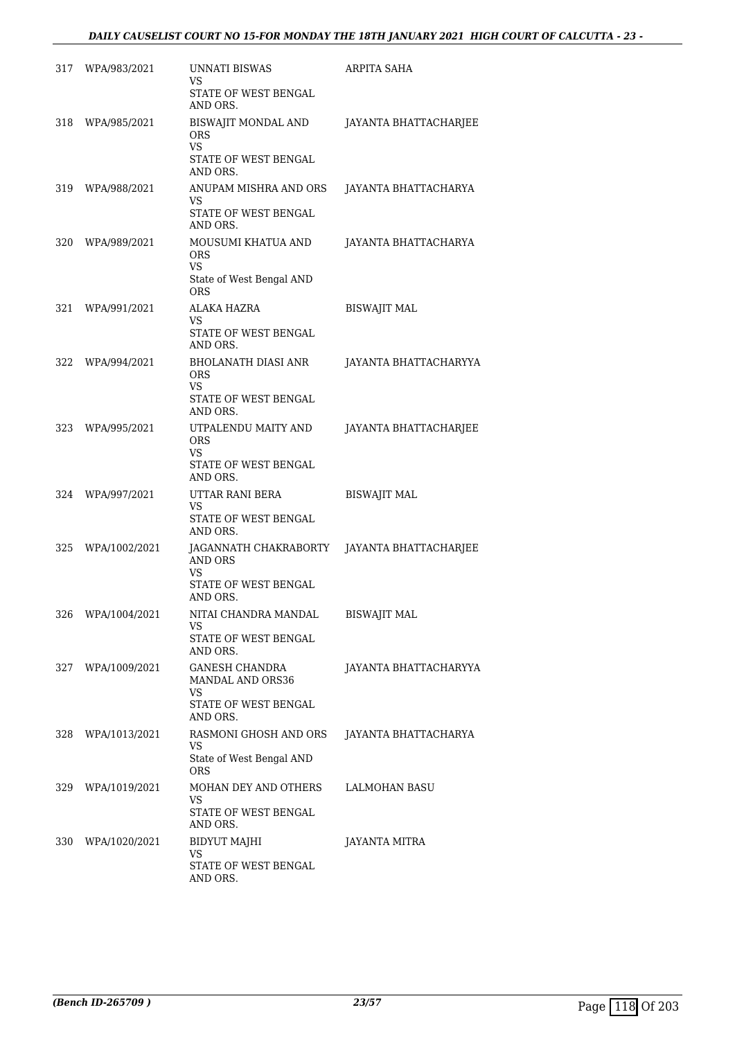| 317 | WPA/983/2021  | <b>UNNATI BISWAS</b><br>VS<br>STATE OF WEST BENGAL                                             | ARPITA SAHA                  |
|-----|---------------|------------------------------------------------------------------------------------------------|------------------------------|
| 318 | WPA/985/2021  | AND ORS.<br>BISWAJIT MONDAL AND<br><b>ORS</b><br><b>VS</b><br>STATE OF WEST BENGAL<br>AND ORS. | JAYANTA BHATTACHARJEE        |
| 319 | WPA/988/2021  | ANUPAM MISHRA AND ORS<br>VS<br>STATE OF WEST BENGAL<br>AND ORS.                                | JAYANTA BHATTACHARYA         |
| 320 | WPA/989/2021  | MOUSUMI KHATUA AND<br><b>ORS</b><br>VS<br>State of West Bengal AND<br><b>ORS</b>               | JAYANTA BHATTACHARYA         |
| 321 | WPA/991/2021  | ALAKA HAZRA<br>VS<br>STATE OF WEST BENGAL<br>AND ORS.                                          | <b>BISWAJIT MAL</b>          |
| 322 | WPA/994/2021  | BHOLANATH DIASI ANR<br><b>ORS</b><br>VS<br>STATE OF WEST BENGAL<br>AND ORS.                    | JAYANTA BHATTACHARYYA        |
| 323 | WPA/995/2021  | UTPALENDU MAITY AND<br><b>ORS</b><br>VS<br>STATE OF WEST BENGAL<br>AND ORS.                    | JAYANTA BHATTACHARJEE        |
| 324 | WPA/997/2021  | UTTAR RANI BERA<br>VS<br>STATE OF WEST BENGAL<br>AND ORS.                                      | <b>BISWAJIT MAL</b>          |
| 325 | WPA/1002/2021 | JAGANNATH CHAKRABORTY<br>AND ORS<br>VS<br>STATE OF WEST BENGAL<br>AND ORS.                     | <b>JAYANTA BHATTACHARJEE</b> |
| 326 | WPA/1004/2021 | NITAI CHANDRA MANDAL<br>VS<br>STATE OF WEST BENGAL<br>AND ORS.                                 | <b>BISWAJIT MAL</b>          |
| 327 | WPA/1009/2021 | GANESH CHANDRA<br>MANDAL AND ORS36<br><b>VS</b><br>STATE OF WEST BENGAL<br>AND ORS.            | JAYANTA BHATTACHARYYA        |
| 328 | WPA/1013/2021 | RASMONI GHOSH AND ORS<br>VS<br>State of West Bengal AND<br>ORS                                 | JAYANTA BHATTACHARYA         |
| 329 | WPA/1019/2021 | MOHAN DEY AND OTHERS<br>VS<br>STATE OF WEST BENGAL<br>AND ORS.                                 | LALMOHAN BASU                |
| 330 | WPA/1020/2021 | BIDYUT MAJHI<br>VS<br>STATE OF WEST BENGAL<br>AND ORS.                                         | JAYANTA MITRA                |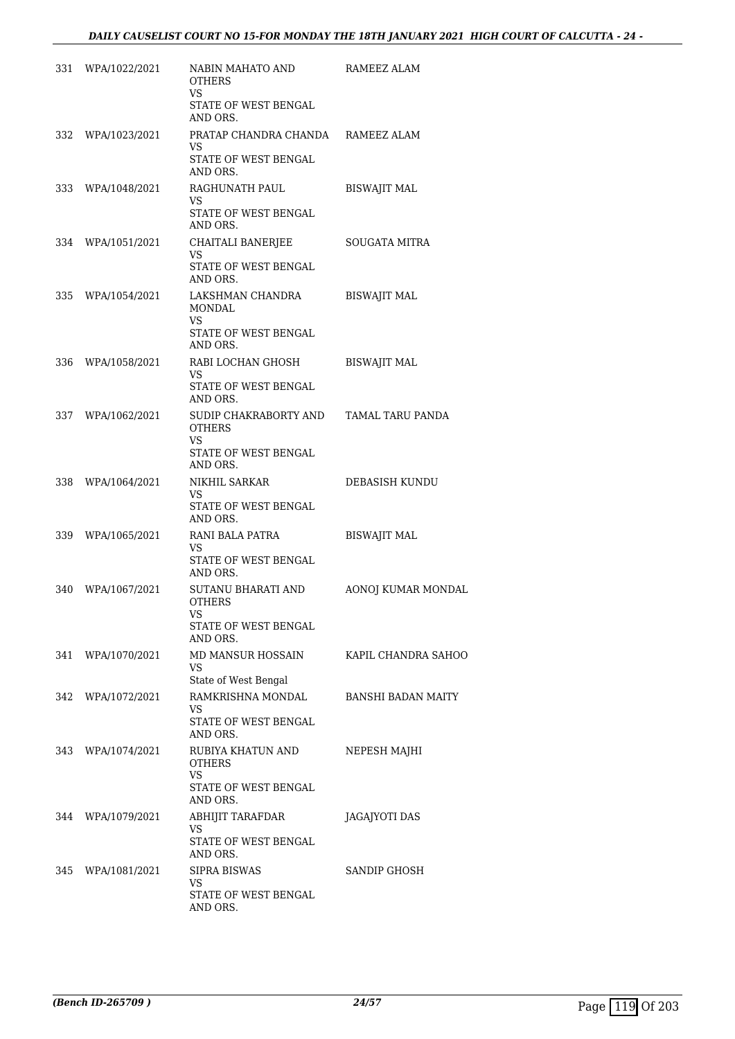| 331 | WPA/1022/2021     | NABIN MAHATO AND<br><b>OTHERS</b><br><b>VS</b>                        | RAMEEZ ALAM         |
|-----|-------------------|-----------------------------------------------------------------------|---------------------|
|     |                   | STATE OF WEST BENGAL<br>AND ORS.                                      |                     |
| 332 | WPA/1023/2021     | PRATAP CHANDRA CHANDA RAMEEZ ALAM<br>VS.                              |                     |
|     |                   | STATE OF WEST BENGAL<br>AND ORS.                                      |                     |
|     | 333 WPA/1048/2021 | RAGHUNATH PAUL<br>VS                                                  | <b>BISWAJIT MAL</b> |
|     |                   | STATE OF WEST BENGAL<br>AND ORS.                                      |                     |
| 334 | WPA/1051/2021     | CHAITALI BANERJEE<br>VS.                                              | SOUGATA MITRA       |
|     |                   | STATE OF WEST BENGAL<br>AND ORS.                                      |                     |
| 335 | WPA/1054/2021     | LAKSHMAN CHANDRA<br>MONDAL<br>VS.                                     | <b>BISWAJIT MAL</b> |
|     |                   | STATE OF WEST BENGAL<br>AND ORS.                                      |                     |
|     | 336 WPA/1058/2021 | RABI LOCHAN GHOSH<br>VS.                                              | <b>BISWAJIT MAL</b> |
|     |                   | STATE OF WEST BENGAL<br>AND ORS.                                      |                     |
| 337 | WPA/1062/2021     | SUDIP CHAKRABORTY AND<br><b>OTHERS</b><br>VS.<br>STATE OF WEST BENGAL | TAMAL TARU PANDA    |
| 338 | WPA/1064/2021     | AND ORS.<br><b>NIKHIL SARKAR</b>                                      | DEBASISH KUNDU      |
|     |                   | VS.<br>STATE OF WEST BENGAL<br>AND ORS.                               |                     |
| 339 | WPA/1065/2021     | RANI BALA PATRA<br>VS.                                                | <b>BISWAJIT MAL</b> |
|     |                   | STATE OF WEST BENGAL<br>AND ORS.                                      |                     |
| 340 | WPA/1067/2021     | SUTANU BHARATI AND<br><b>OTHERS</b>                                   | AONOJ KUMAR MONDAL  |
|     |                   | STATE OF WEST BENGAL<br>AND ORS.                                      |                     |
|     | 341 WPA/1070/2021 | MD MANSUR HOSSAIN<br>VS                                               | KAPIL CHANDRA SAHOO |
|     |                   | State of West Bengal                                                  |                     |
|     | 342 WPA/1072/2021 | RAMKRISHNA MONDAL<br><b>VS</b><br>STATE OF WEST BENGAL                | BANSHI BADAN MAITY  |
| 343 | WPA/1074/2021     | AND ORS.<br>RUBIYA KHATUN AND                                         | NEPESH MAJHI        |
|     |                   | <b>OTHERS</b><br>VS                                                   |                     |
|     |                   | STATE OF WEST BENGAL<br>AND ORS.                                      |                     |
|     | 344 WPA/1079/2021 | ABHIJIT TARAFDAR<br><b>VS</b>                                         | JAGAJYOTI DAS       |
|     |                   | STATE OF WEST BENGAL<br>AND ORS.                                      |                     |
| 345 | WPA/1081/2021     | SIPRA BISWAS<br>VS                                                    | SANDIP GHOSH        |
|     |                   | STATE OF WEST BENGAL<br>AND ORS.                                      |                     |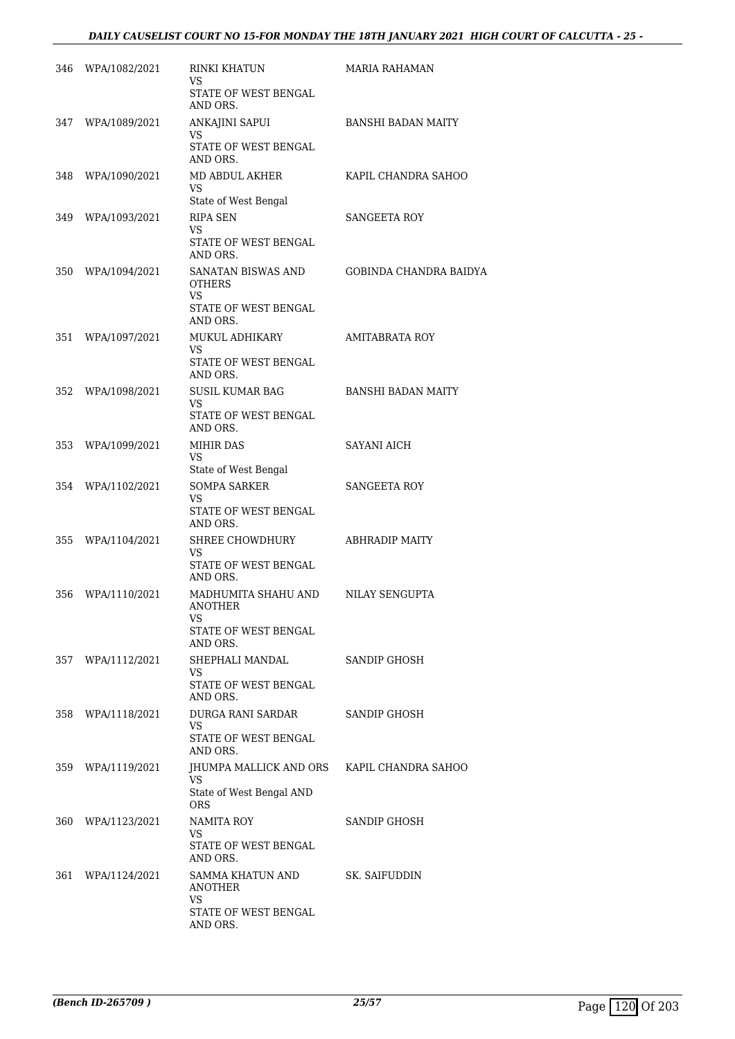# *DAILY CAUSELIST COURT NO 15-FOR MONDAY THE 18TH JANUARY 2021 HIGH COURT OF CALCUTTA - 25 -*

| 346  | WPA/1082/2021     | RINKI KHATUN<br>VS                                              | MARIA RAHAMAN             |
|------|-------------------|-----------------------------------------------------------------|---------------------------|
|      |                   | STATE OF WEST BENGAL<br>AND ORS.                                |                           |
|      | 347 WPA/1089/2021 | ANKAJINI SAPUI<br><b>VS</b><br>STATE OF WEST BENGAL             | BANSHI BADAN MAITY        |
|      |                   | AND ORS.                                                        |                           |
| 348  | WPA/1090/2021     | MD ABDUL AKHER<br>VS<br>State of West Bengal                    | KAPIL CHANDRA SAHOO       |
| 349  | WPA/1093/2021     | RIPA SEN                                                        | <b>SANGEETA ROY</b>       |
|      |                   | VS.<br>STATE OF WEST BENGAL<br>AND ORS.                         |                           |
| 350  | WPA/1094/2021     | SANATAN BISWAS AND<br><b>OTHERS</b><br><b>VS</b>                | GOBINDA CHANDRA BAIDYA    |
|      |                   | STATE OF WEST BENGAL<br>AND ORS.                                |                           |
| 351  | WPA/1097/2021     | MUKUL ADHIKARY<br>VS                                            | <b>AMITABRATA ROY</b>     |
|      |                   | STATE OF WEST BENGAL<br>AND ORS.                                |                           |
| 352  | WPA/1098/2021     | <b>SUSIL KUMAR BAG</b>                                          | <b>BANSHI BADAN MAITY</b> |
|      |                   | VS.<br>STATE OF WEST BENGAL<br>AND ORS.                         |                           |
| 353  | WPA/1099/2021     | MIHIR DAS<br>VS                                                 | <b>SAYANI AICH</b>        |
|      |                   | State of West Bengal                                            |                           |
| 354  | WPA/1102/2021     | <b>SOMPA SARKER</b><br>VS<br>STATE OF WEST BENGAL<br>AND ORS.   | <b>SANGEETA ROY</b>       |
| 355  | WPA/1104/2021     | SHREE CHOWDHURY<br>VS<br>STATE OF WEST BENGAL<br>AND ORS.       | <b>ABHRADIP MAITY</b>     |
| 356  | WPA/1110/2021     | MADHUMITA SHAHU AND<br>ANOTHER<br>VS<br>STATE OF WEST BENGAL    | NILAY SENGUPTA            |
|      |                   | AND ORS.                                                        |                           |
| 357  | WPA/1112/2021     | SHEPHALI MANDAL<br>VS<br>STATE OF WEST BENGAL<br>AND ORS.       | SANDIP GHOSH              |
| 358- | WPA/1118/2021     | DURGA RANI SARDAR<br>VS.<br>STATE OF WEST BENGAL                | SANDIP GHOSH              |
|      |                   | AND ORS.                                                        |                           |
| 359  | WPA/1119/2021     | JHUMPA MALLICK AND ORS<br>VS<br>State of West Bengal AND<br>ORS | KAPIL CHANDRA SAHOO       |
| 360  | WPA/1123/2021     | NAMITA ROY<br>VS                                                | SANDIP GHOSH              |
|      |                   | STATE OF WEST BENGAL<br>AND ORS.                                |                           |
| 361  | WPA/1124/2021     | SAMMA KHATUN AND<br>ANOTHER                                     | SK. SAIFUDDIN             |
|      |                   | VS<br>STATE OF WEST BENGAL<br>AND ORS.                          |                           |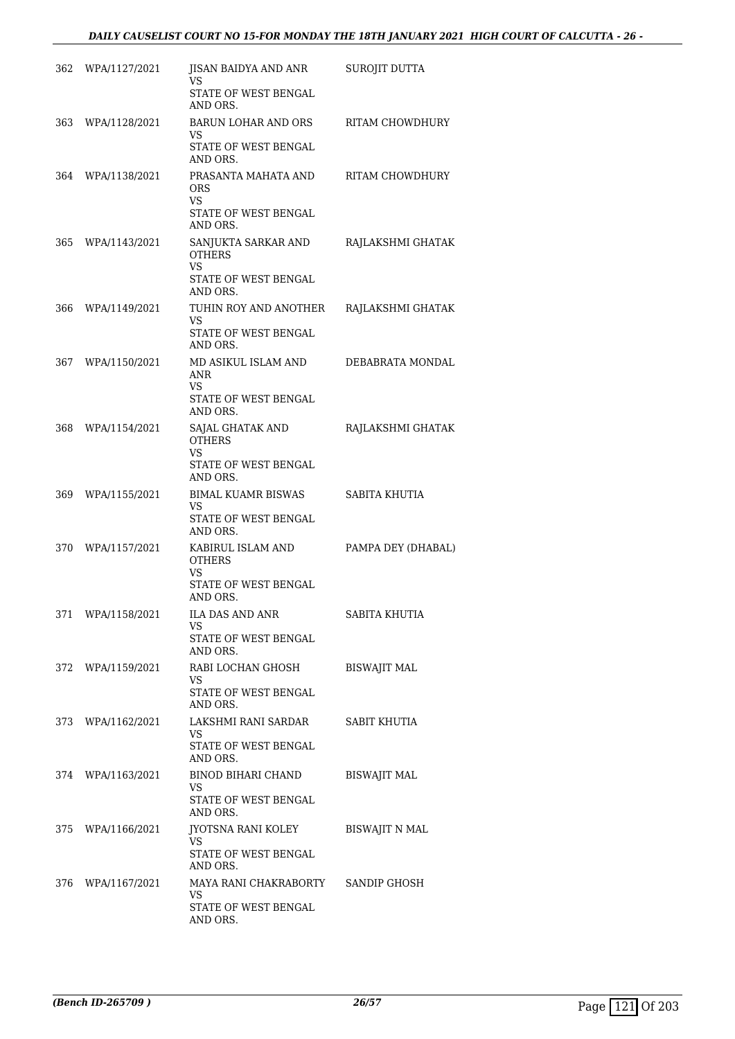# *DAILY CAUSELIST COURT NO 15-FOR MONDAY THE 18TH JANUARY 2021 HIGH COURT OF CALCUTTA - 26 -*

| 362  | WPA/1127/2021     | JISAN BAIDYA AND ANR<br>VS<br>STATE OF WEST BENGAL<br>AND ORS.                             | SUROJIT DUTTA         |
|------|-------------------|--------------------------------------------------------------------------------------------|-----------------------|
| 363. | WPA/1128/2021     | <b>BARUN LOHAR AND ORS</b><br>VS.<br>STATE OF WEST BENGAL<br>AND ORS.                      | RITAM CHOWDHURY       |
| 364  | WPA/1138/2021     | PRASANTA MAHATA AND<br>ORS<br><b>VS</b><br>STATE OF WEST BENGAL                            | RITAM CHOWDHURY       |
| 365  | WPA/1143/2021     | AND ORS.<br>SANJUKTA SARKAR AND<br><b>OTHERS</b><br>VS<br>STATE OF WEST BENGAL<br>AND ORS. | RAJLAKSHMI GHATAK     |
| 366  | WPA/1149/2021     | TUHIN ROY AND ANOTHER<br>VS<br>STATE OF WEST BENGAL<br>AND ORS.                            | RAJLAKSHMI GHATAK     |
| 367  | WPA/1150/2021     | MD ASIKUL ISLAM AND<br>ANR<br><b>VS</b><br>STATE OF WEST BENGAL<br>AND ORS.                | DEBABRATA MONDAL      |
| 368  | WPA/1154/2021     | SAJAL GHATAK AND<br><b>OTHERS</b><br><b>VS</b><br>STATE OF WEST BENGAL<br>AND ORS.         | RAJLAKSHMI GHATAK     |
| 369  | WPA/1155/2021     | <b>BIMAL KUAMR BISWAS</b><br>VS<br>STATE OF WEST BENGAL<br>AND ORS.                        | SABITA KHUTIA         |
| 370  | WPA/1157/2021     | KABIRUL ISLAM AND<br><b>OTHERS</b><br>VS<br>STATE OF WEST BENGAL<br>AND ORS.               | PAMPA DEY (DHABAL)    |
|      | 371 WPA/1158/2021 | ILA DAS AND ANR<br>VS.<br>STATE OF WEST BENGAL<br>AND ORS.                                 | SABITA KHUTIA         |
|      | 372 WPA/1159/2021 | RABI LOCHAN GHOSH<br>VS.<br>STATE OF WEST BENGAL<br>AND ORS.                               | <b>BISWAJIT MAL</b>   |
|      | 373 WPA/1162/2021 | LAKSHMI RANI SARDAR<br>VS<br>STATE OF WEST BENGAL<br>AND ORS.                              | SABIT KHUTIA          |
|      | 374 WPA/1163/2021 | BINOD BIHARI CHAND<br>VS<br>STATE OF WEST BENGAL<br>AND ORS.                               | <b>BISWAJIT MAL</b>   |
|      | 375 WPA/1166/2021 | JYOTSNA RANI KOLEY<br>VS<br>STATE OF WEST BENGAL<br>AND ORS.                               | <b>BISWAJIT N MAL</b> |
| 376  | WPA/1167/2021     | MAYA RANI CHAKRABORTY<br>VS.<br>STATE OF WEST BENGAL<br>AND ORS.                           | SANDIP GHOSH          |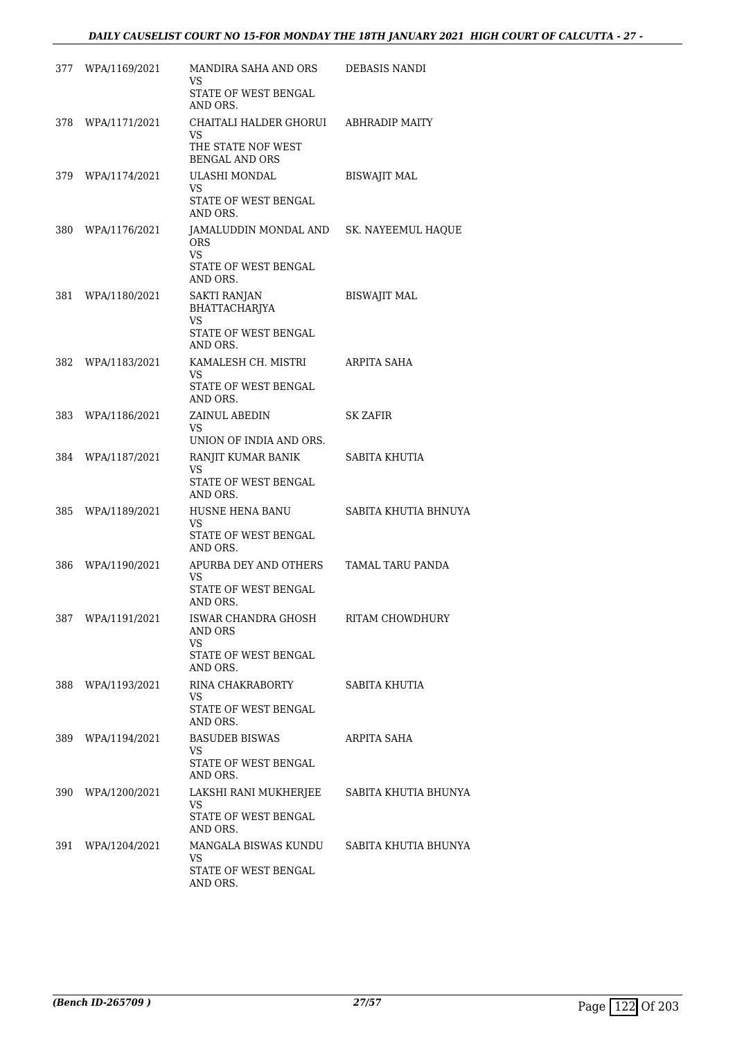| 377 | WPA/1169/2021     | MANDIRA SAHA AND ORS<br>VS<br>STATE OF WEST BENGAL<br>AND ORS.                                    | DEBASIS NANDI        |
|-----|-------------------|---------------------------------------------------------------------------------------------------|----------------------|
| 378 | WPA/1171/2021     | CHAITALI HALDER GHORUI ABHRADIP MAITY<br>VS.<br>THE STATE NOF WEST<br><b>BENGAL AND ORS</b>       |                      |
|     | 379 WPA/1174/2021 | ULASHI MONDAL<br>VS.<br>STATE OF WEST BENGAL<br>AND ORS.                                          | <b>BISWAJIT MAL</b>  |
|     | 380 WPA/1176/2021 | JAMALUDDIN MONDAL AND SK. NAYEEMUL HAQUE<br><b>ORS</b><br>VS.<br>STATE OF WEST BENGAL<br>AND ORS. |                      |
| 381 | WPA/1180/2021     | <b>SAKTI RANJAN</b><br>BHATTACHARJYA<br>VS.<br>STATE OF WEST BENGAL<br>AND ORS.                   | <b>BISWAJIT MAL</b>  |
| 382 | WPA/1183/2021     | KAMALESH CH. MISTRI<br>VS<br>STATE OF WEST BENGAL<br>AND ORS.                                     | ARPITA SAHA          |
| 383 | WPA/1186/2021     | ZAINUL ABEDIN<br>VS<br>UNION OF INDIA AND ORS.                                                    | SK ZAFIR             |
| 384 | WPA/1187/2021     | RANJIT KUMAR BANIK<br>VS.<br>STATE OF WEST BENGAL<br>AND ORS.                                     | SABITA KHUTIA        |
|     | 385 WPA/1189/2021 | HUSNE HENA BANU<br>VS<br>STATE OF WEST BENGAL<br>AND ORS.                                         | SABITA KHUTIA BHNUYA |
| 386 | WPA/1190/2021     | APURBA DEY AND OTHERS<br><b>VS</b><br>STATE OF WEST BENGAL<br>AND ORS.                            | TAMAL TARU PANDA     |
|     | 387 WPA/1191/2021 | ISWAR CHANDRA GHOSH<br>AND ORS<br>VS<br>STATE OF WEST BENGAL<br>AND ORS.                          | RITAM CHOWDHURY      |
|     | 388 WPA/1193/2021 | RINA CHAKRABORTY<br>VS.<br>STATE OF WEST BENGAL<br>AND ORS.                                       | SABITA KHUTIA        |
|     | 389 WPA/1194/2021 | <b>BASUDEB BISWAS</b><br>VS<br>STATE OF WEST BENGAL<br>AND ORS.                                   | ARPITA SAHA          |
| 390 | WPA/1200/2021     | LAKSHI RANI MUKHERJEE SABITA KHUTIA BHUNYA<br>VS<br>STATE OF WEST BENGAL<br>AND ORS.              |                      |
|     | 391 WPA/1204/2021 | MANGALA BISWAS KUNDU<br>VS<br>STATE OF WEST BENGAL<br>AND ORS.                                    | SABITA KHUTIA BHUNYA |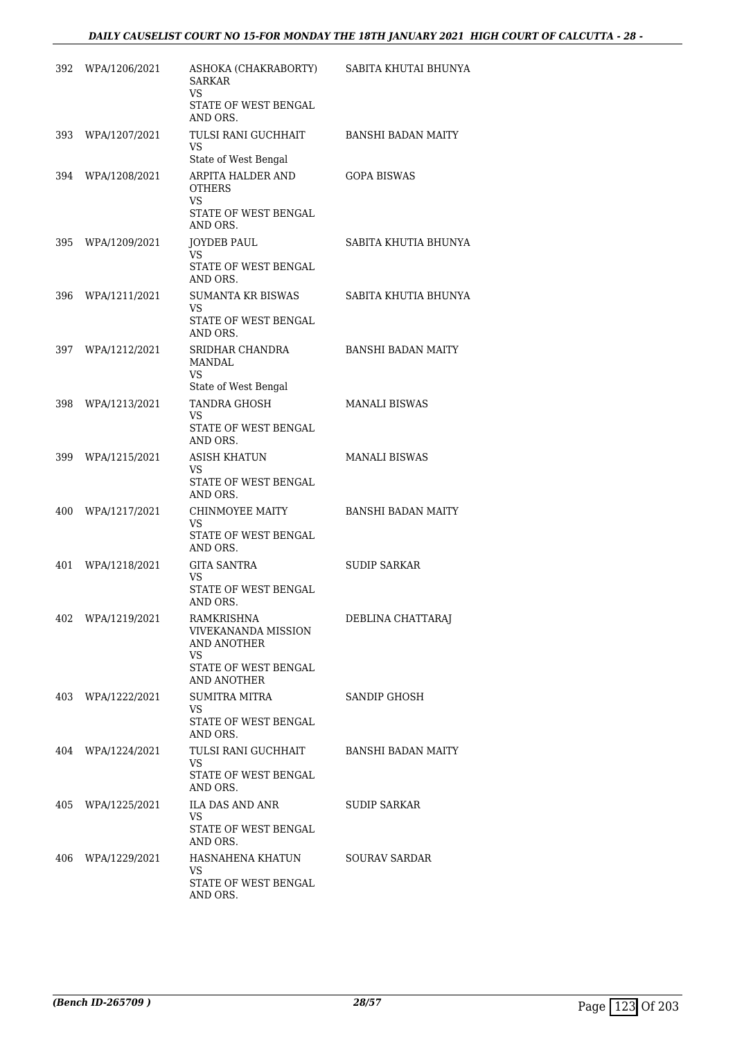| 392 | WPA/1206/2021     | ASHOKA (CHAKRABORTY)<br><b>SARKAR</b><br>VS.                                                         | SABITA KHUTAI BHUNYA      |
|-----|-------------------|------------------------------------------------------------------------------------------------------|---------------------------|
|     |                   | STATE OF WEST BENGAL<br>AND ORS.                                                                     |                           |
| 393 | WPA/1207/2021     | TULSI RANI GUCHHAIT<br>VS<br>State of West Bengal                                                    | BANSHI BADAN MAITY        |
| 394 | WPA/1208/2021     | ARPITA HALDER AND<br><b>OTHERS</b><br>VS.<br>STATE OF WEST BENGAL<br>AND ORS.                        | <b>GOPA BISWAS</b>        |
| 395 | WPA/1209/2021     | <b>JOYDEB PAUL</b><br><b>VS</b><br>STATE OF WEST BENGAL<br>AND ORS.                                  | SABITA KHUTIA BHUNYA      |
| 396 | WPA/1211/2021     | <b>SUMANTA KR BISWAS</b><br>VS<br>STATE OF WEST BENGAL<br>AND ORS.                                   | SABITA KHUTIA BHUNYA      |
|     | 397 WPA/1212/2021 | SRIDHAR CHANDRA<br><b>MANDAL</b><br>VS.<br>State of West Bengal                                      | <b>BANSHI BADAN MAITY</b> |
| 398 | WPA/1213/2021     | TANDRA GHOSH<br>VS.<br>STATE OF WEST BENGAL<br>AND ORS.                                              | <b>MANALI BISWAS</b>      |
| 399 | WPA/1215/2021     | <b>ASISH KHATUN</b><br>VS<br>STATE OF WEST BENGAL<br>AND ORS.                                        | <b>MANALI BISWAS</b>      |
| 400 | WPA/1217/2021     | CHINMOYEE MAITY<br>VS.<br>STATE OF WEST BENGAL<br>AND ORS.                                           | <b>BANSHI BADAN MAITY</b> |
| 401 | WPA/1218/2021     | <b>GITA SANTRA</b><br>VS<br>STATE OF WEST BENGAL<br>AND ORS.                                         | <b>SUDIP SARKAR</b>       |
|     | 402 WPA/1219/2021 | <b>RAMKRISHNA</b><br>VIVEKANANDA MISSION<br>AND ANOTHER<br>VS<br>STATE OF WEST BENGAL<br>AND ANOTHER | DEBLINA CHATTARAJ         |
|     | 403 WPA/1222/2021 | SUMITRA MITRA<br>VS<br>STATE OF WEST BENGAL<br>AND ORS.                                              | SANDIP GHOSH              |
|     | 404 WPA/1224/2021 | TULSI RANI GUCHHAIT<br>VS<br>STATE OF WEST BENGAL<br>AND ORS.                                        | BANSHI BADAN MAITY        |
|     | 405 WPA/1225/2021 | ILA DAS AND ANR<br>VS.<br>STATE OF WEST BENGAL<br>AND ORS.                                           | SUDIP SARKAR              |
| 406 | WPA/1229/2021     | HASNAHENA KHATUN<br>VS.<br>STATE OF WEST BENGAL<br>AND ORS.                                          | <b>SOURAV SARDAR</b>      |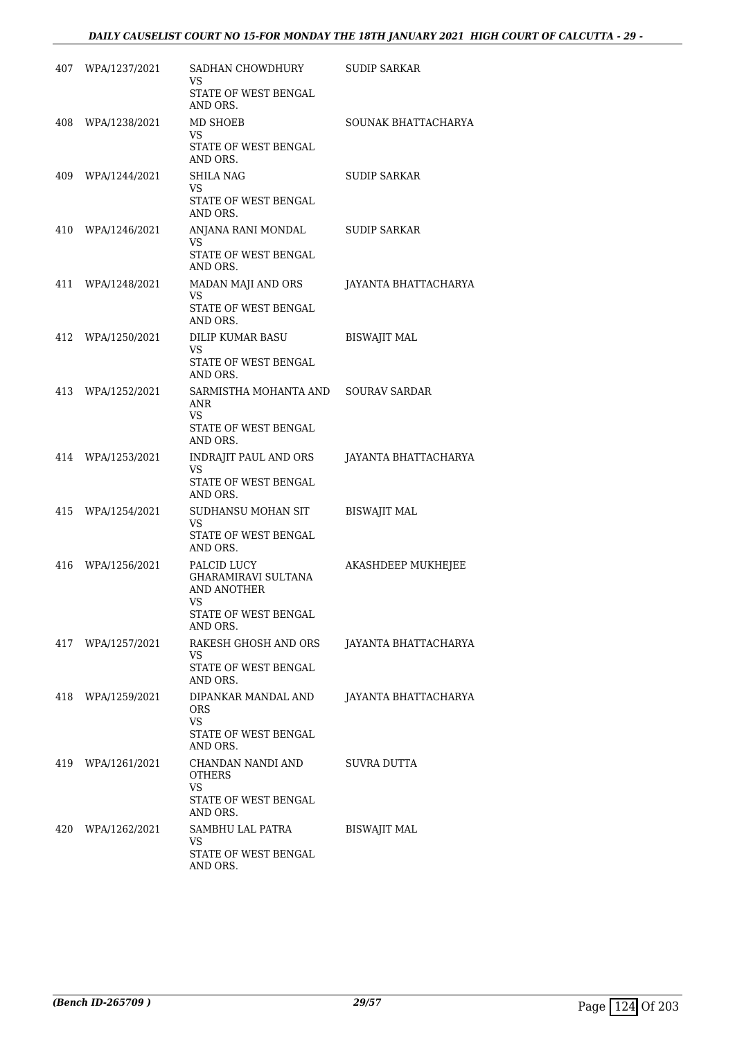# *DAILY CAUSELIST COURT NO 15-FOR MONDAY THE 18TH JANUARY 2021 HIGH COURT OF CALCUTTA - 29 -*

|     | 407 WPA/1237/2021 | SADHAN CHOWDHURY<br>VS<br>STATE OF WEST BENGAL                  | <b>SUDIP SARKAR</b>         |
|-----|-------------------|-----------------------------------------------------------------|-----------------------------|
|     |                   | AND ORS.                                                        |                             |
|     | 408 WPA/1238/2021 | MD SHOEB<br><b>VS</b>                                           | SOUNAK BHATTACHARYA         |
|     |                   | STATE OF WEST BENGAL<br>AND ORS.                                |                             |
| 409 | WPA/1244/2021     | SHILA NAG<br>VS                                                 | <b>SUDIP SARKAR</b>         |
|     |                   | STATE OF WEST BENGAL<br>AND ORS.                                |                             |
|     | 410 WPA/1246/2021 | ANJANA RANI MONDAL<br>VS                                        | <b>SUDIP SARKAR</b>         |
|     |                   | STATE OF WEST BENGAL<br>AND ORS.                                |                             |
|     | 411 WPA/1248/2021 | MADAN MAJI AND ORS<br>VS                                        | JAYANTA BHATTACHARYA        |
|     |                   | STATE OF WEST BENGAL<br>AND ORS.                                |                             |
|     | 412 WPA/1250/2021 | DILIP KUMAR BASU<br><b>VS</b>                                   | <b>BISWAJIT MAL</b>         |
|     |                   | STATE OF WEST BENGAL<br>AND ORS.                                |                             |
|     | 413 WPA/1252/2021 | SARMISTHA MOHANTA AND SOURAV SARDAR<br>ANR                      |                             |
|     |                   | VS<br>STATE OF WEST BENGAL<br>AND ORS.                          |                             |
| 414 | WPA/1253/2021     | INDRAJIT PAUL AND ORS                                           | JAYANTA BHATTACHARYA        |
|     |                   | VS<br>STATE OF WEST BENGAL<br>AND ORS.                          |                             |
|     | 415 WPA/1254/2021 | SUDHANSU MOHAN SIT<br>VS                                        | <b>BISWAJIT MAL</b>         |
|     |                   | STATE OF WEST BENGAL<br>AND ORS.                                |                             |
| 416 | WPA/1256/2021     | PALCID LUCY<br><b>GHARAMIRAVI SULTANA</b><br><b>AND ANOTHER</b> | AKASHDEEP MUKHEJEE          |
|     |                   | VS<br>STATE OF WEST BENGAL<br>AND ORS.                          |                             |
| 417 | WPA/1257/2021     | RAKESH GHOSH AND ORS<br>VS                                      | JAYANTA BHATTACHARYA        |
|     |                   | STATE OF WEST BENGAL<br>AND ORS.                                |                             |
|     | 418 WPA/1259/2021 | DIPANKAR MANDAL AND<br><b>ORS</b>                               | <b>JAYANTA BHATTACHARYA</b> |
|     |                   | VS<br>STATE OF WEST BENGAL<br>AND ORS.                          |                             |
|     | 419 WPA/1261/2021 | CHANDAN NANDI AND<br>OTHERS                                     | SUVRA DUTTA                 |
|     |                   | VS<br>STATE OF WEST BENGAL<br>AND ORS.                          |                             |
|     | 420 WPA/1262/2021 | SAMBHU LAL PATRA<br>VS                                          | <b>BISWAJIT MAL</b>         |
|     |                   | STATE OF WEST BENGAL<br>AND ORS.                                |                             |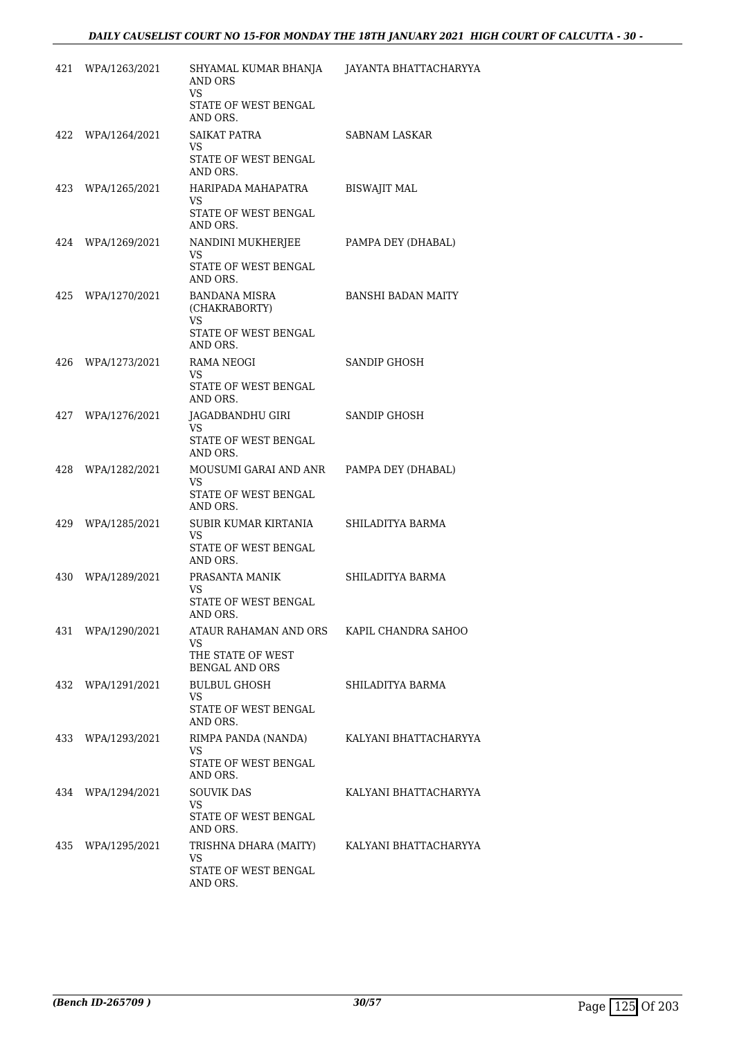| 421 | WPA/1263/2021 | SHYAMAL KUMAR BHANJA<br><b>AND ORS</b><br><b>VS</b><br>STATE OF WEST BENGAL      | JAYANTA BHATTACHARYYA |
|-----|---------------|----------------------------------------------------------------------------------|-----------------------|
|     |               | AND ORS.                                                                         |                       |
| 422 | WPA/1264/2021 | <b>SAIKAT PATRA</b><br>VS<br>STATE OF WEST BENGAL<br>AND ORS.                    | SABNAM LASKAR         |
| 423 | WPA/1265/2021 | HARIPADA MAHAPATRA<br>VS<br>STATE OF WEST BENGAL<br>AND ORS.                     | <b>BISWAJIT MAL</b>   |
| 424 | WPA/1269/2021 | NANDINI MUKHERJEE<br><b>VS</b><br>STATE OF WEST BENGAL<br>AND ORS.               | PAMPA DEY (DHABAL)    |
| 425 | WPA/1270/2021 | <b>BANDANA MISRA</b><br>(CHAKRABORTY)<br>VS.<br>STATE OF WEST BENGAL<br>AND ORS. | BANSHI BADAN MAITY    |
| 426 | WPA/1273/2021 | RAMA NEOGI<br><b>VS</b><br>STATE OF WEST BENGAL<br>AND ORS.                      | SANDIP GHOSH          |
| 427 | WPA/1276/2021 | JAGADBANDHU GIRI<br>VS<br>STATE OF WEST BENGAL<br>AND ORS.                       | SANDIP GHOSH          |
| 428 | WPA/1282/2021 | MOUSUMI GARAI AND ANR<br>VS<br>STATE OF WEST BENGAL<br>AND ORS.                  | PAMPA DEY (DHABAL)    |
| 429 | WPA/1285/2021 | SUBIR KUMAR KIRTANIA<br>VS<br>STATE OF WEST BENGAL<br>AND ORS.                   | SHILADITYA BARMA      |
| 430 | WPA/1289/2021 | PRASANTA MANIK<br>VS<br>STATE OF WEST BENGAL<br>AND ORS.                         | SHILADITYA BARMA      |
| 431 | WPA/1290/2021 | ATAUR RAHAMAN AND ORS<br>VS.<br>THE STATE OF WEST<br><b>BENGAL AND ORS</b>       | KAPIL CHANDRA SAHOO   |
| 432 | WPA/1291/2021 | <b>BULBUL GHOSH</b><br>VS<br>STATE OF WEST BENGAL<br>AND ORS.                    | SHILADITYA BARMA      |
| 433 | WPA/1293/2021 | RIMPA PANDA (NANDA)<br>VS.<br>STATE OF WEST BENGAL<br>AND ORS.                   | KALYANI BHATTACHARYYA |
| 434 | WPA/1294/2021 | <b>SOUVIK DAS</b><br>VS<br>STATE OF WEST BENGAL<br>AND ORS.                      | KALYANI BHATTACHARYYA |
| 435 | WPA/1295/2021 | TRISHNA DHARA (MAITY)<br><b>VS</b><br>STATE OF WEST BENGAL<br>AND ORS.           | KALYANI BHATTACHARYYA |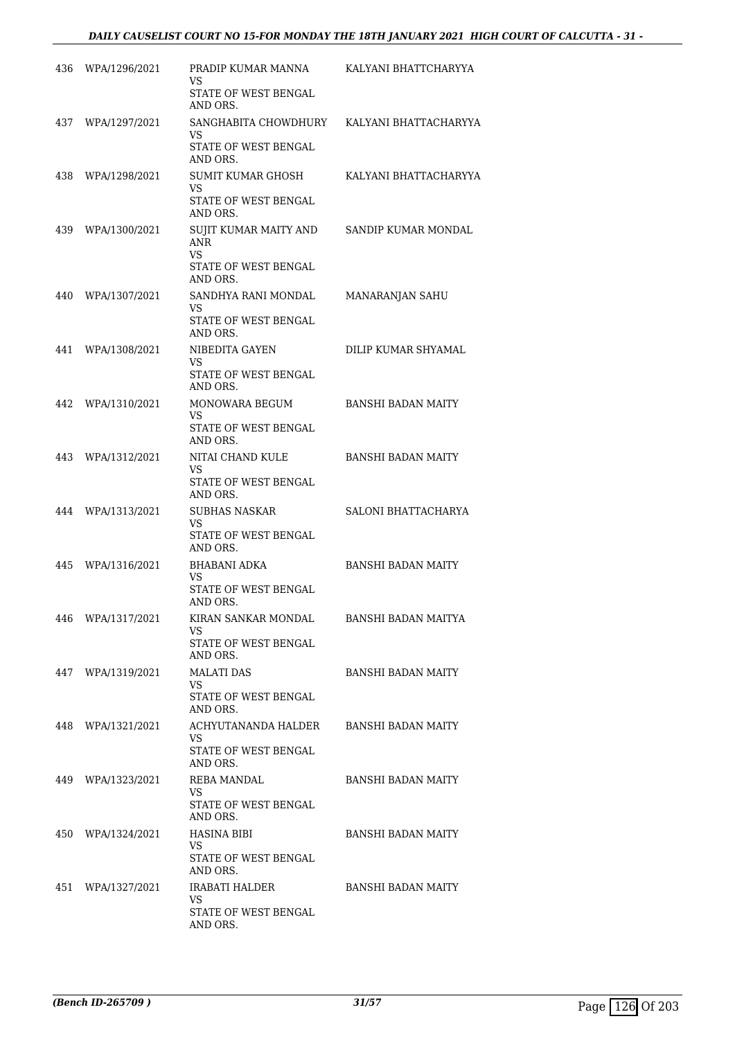| 436 | WPA/1296/2021     | PRADIP KUMAR MANNA<br><b>VS</b><br>STATE OF WEST BENGAL             | KALYANI BHATTCHARYYA      |
|-----|-------------------|---------------------------------------------------------------------|---------------------------|
|     | 437 WPA/1297/2021 | AND ORS.<br>SANGHABITA CHOWDHURY<br>VS                              | KALYANI BHATTACHARYYA     |
|     |                   | STATE OF WEST BENGAL<br>AND ORS.                                    |                           |
| 438 | WPA/1298/2021     | <b>SUMIT KUMAR GHOSH</b><br>VS.<br>STATE OF WEST BENGAL<br>AND ORS. | KALYANI BHATTACHARYYA     |
| 439 | WPA/1300/2021     | SUJIT KUMAR MAITY AND<br><b>ANR</b><br>VS.                          | SANDIP KUMAR MONDAL       |
|     |                   | STATE OF WEST BENGAL<br>AND ORS.                                    |                           |
| 440 | WPA/1307/2021     | SANDHYA RANI MONDAL<br>VS                                           | MANARANJAN SAHU           |
|     |                   | STATE OF WEST BENGAL<br>AND ORS.                                    |                           |
| 441 | WPA/1308/2021     | NIBEDITA GAYEN<br><b>VS</b>                                         | DILIP KUMAR SHYAMAL       |
|     |                   | STATE OF WEST BENGAL<br>AND ORS.                                    |                           |
| 442 | WPA/1310/2021     | MONOWARA BEGUM<br><b>VS</b>                                         | <b>BANSHI BADAN MAITY</b> |
|     |                   | STATE OF WEST BENGAL<br>AND ORS.                                    |                           |
| 443 | WPA/1312/2021     | NITAI CHAND KULE<br>VS                                              | <b>BANSHI BADAN MAITY</b> |
|     |                   | STATE OF WEST BENGAL<br>AND ORS.                                    |                           |
| 444 | WPA/1313/2021     | <b>SUBHAS NASKAR</b><br>VS                                          | SALONI BHATTACHARYA       |
|     |                   | STATE OF WEST BENGAL<br>AND ORS.                                    |                           |
| 445 | WPA/1316/2021     | <b>BHABANI ADKA</b><br><b>VS</b>                                    | <b>BANSHI BADAN MAITY</b> |
|     |                   | STATE OF WEST BENGAL<br>AND ORS.                                    |                           |
| 446 | WPA/1317/2021     | KIRAN SANKAR MONDAL<br>VS<br>STATE OF WEST BENGAL<br>AND ORS.       | BANSHI BADAN MAITYA       |
| 447 | WPA/1319/2021     | <b>MALATI DAS</b><br>VS.                                            | <b>BANSHI BADAN MAITY</b> |
|     |                   | STATE OF WEST BENGAL<br>AND ORS.                                    |                           |
|     | 448 WPA/1321/2021 | ACHYUTANANDA HALDER<br>VS                                           | <b>BANSHI BADAN MAITY</b> |
|     |                   | STATE OF WEST BENGAL<br>AND ORS.                                    |                           |
|     | 449 WPA/1323/2021 | REBA MANDAL<br>VS.<br>STATE OF WEST BENGAL<br>AND ORS.              | BANSHI BADAN MAITY        |
| 450 | WPA/1324/2021     | HASINA BIBI<br>VS.<br>STATE OF WEST BENGAL<br>AND ORS.              | BANSHI BADAN MAITY        |
|     | 451 WPA/1327/2021 | IRABATI HALDER<br>VS.<br>STATE OF WEST BENGAL<br>AND ORS.           | BANSHI BADAN MAITY        |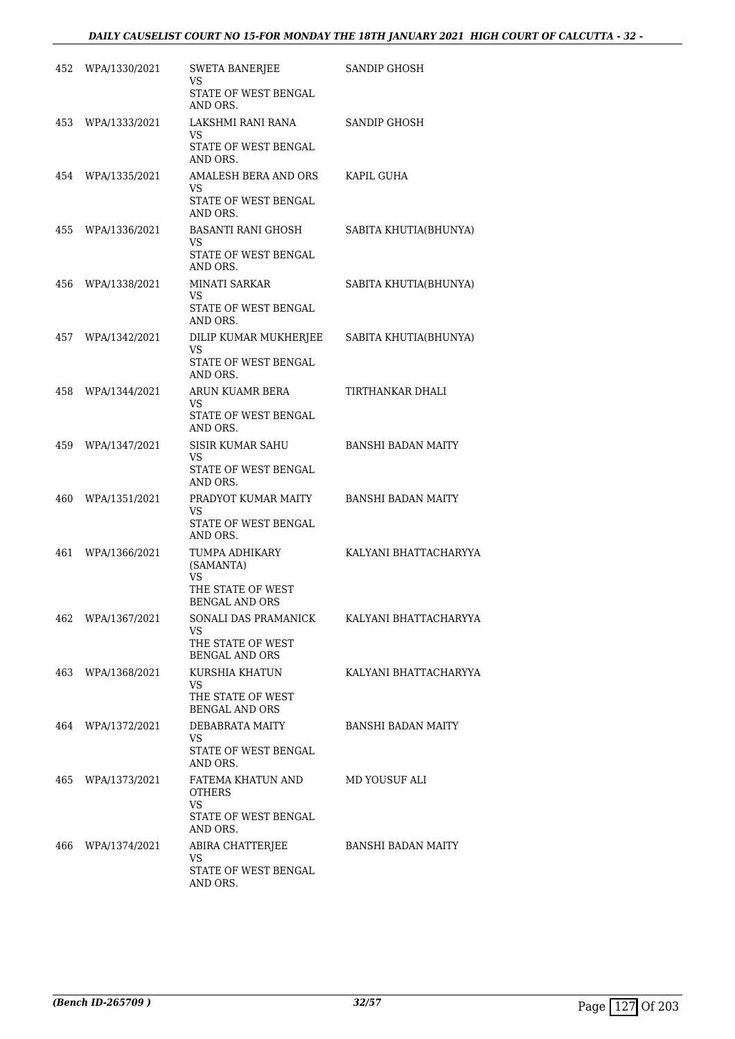# *DAILY CAUSELIST COURT NO 15-FOR MONDAY THE 18TH JANUARY 2021 HIGH COURT OF CALCUTTA - 32 -*

| 452 | WPA/1330/2021     | SWETA BANERJEE<br>VS                                                     | SANDIP GHOSH              |
|-----|-------------------|--------------------------------------------------------------------------|---------------------------|
|     |                   | STATE OF WEST BENGAL<br>AND ORS.                                         |                           |
| 453 | WPA/1333/2021     | LAKSHMI RANI RANA<br>VS<br>STATE OF WEST BENGAL<br>AND ORS.              | SANDIP GHOSH              |
|     | 454 WPA/1335/2021 | AMALESH BERA AND ORS<br>VS.<br>STATE OF WEST BENGAL<br>AND ORS.          | KAPIL GUHA                |
| 455 | WPA/1336/2021     | BASANTI RANI GHOSH<br>VS.<br>STATE OF WEST BENGAL<br>AND ORS.            | SABITA KHUTIA(BHUNYA)     |
| 456 | WPA/1338/2021     | <b>MINATI SARKAR</b><br>VS<br>STATE OF WEST BENGAL<br>AND ORS.           | SABITA KHUTIA(BHUNYA)     |
|     | 457 WPA/1342/2021 | DILIP KUMAR MUKHERJEE<br>VS.<br>STATE OF WEST BENGAL<br>AND ORS.         | SABITA KHUTIA(BHUNYA)     |
|     | 458 WPA/1344/2021 | ARUN KUAMR BERA<br>VS<br>STATE OF WEST BENGAL                            | TIRTHANKAR DHALI          |
| 459 | WPA/1347/2021     | AND ORS.<br><b>SISIR KUMAR SAHU</b><br>VS<br>STATE OF WEST BENGAL        | <b>BANSHI BADAN MAITY</b> |
| 460 | WPA/1351/2021     | AND ORS.<br>PRADYOT KUMAR MAITY<br>VS<br>STATE OF WEST BENGAL            | <b>BANSHI BADAN MAITY</b> |
| 461 | WPA/1366/2021     | AND ORS.<br>TUMPA ADHIKARY<br>(SAMANTA)<br>VS.<br>THE STATE OF WEST      | KALYANI BHATTACHARYYA     |
| 462 | WPA/1367/2021     | <b>BENGAL AND ORS</b><br>SONALI DAS PRAMANICK<br>VS<br>THE STATE OF WEST | KALYANI BHATTACHARYYA     |
|     | 463 WPA/1368/2021 | <b>BENGAL AND ORS</b><br>KURSHIA KHATUN<br>VS.<br>THE STATE OF WEST      | KALYANI BHATTACHARYYA     |
|     | 464 WPA/1372/2021 | <b>BENGAL AND ORS</b><br>DEBABRATA MAITY<br>VS<br>STATE OF WEST BENGAL   | <b>BANSHI BADAN MAITY</b> |
| 465 | WPA/1373/2021     | AND ORS.<br>FATEMA KHATUN AND<br>OTHERS<br>VS<br>STATE OF WEST BENGAL    | MD YOUSUF ALI             |
|     | 466 WPA/1374/2021 | AND ORS.<br>ABIRA CHATTERJEE<br>VS<br>STATE OF WEST BENGAL<br>AND ORS.   | BANSHI BADAN MAITY        |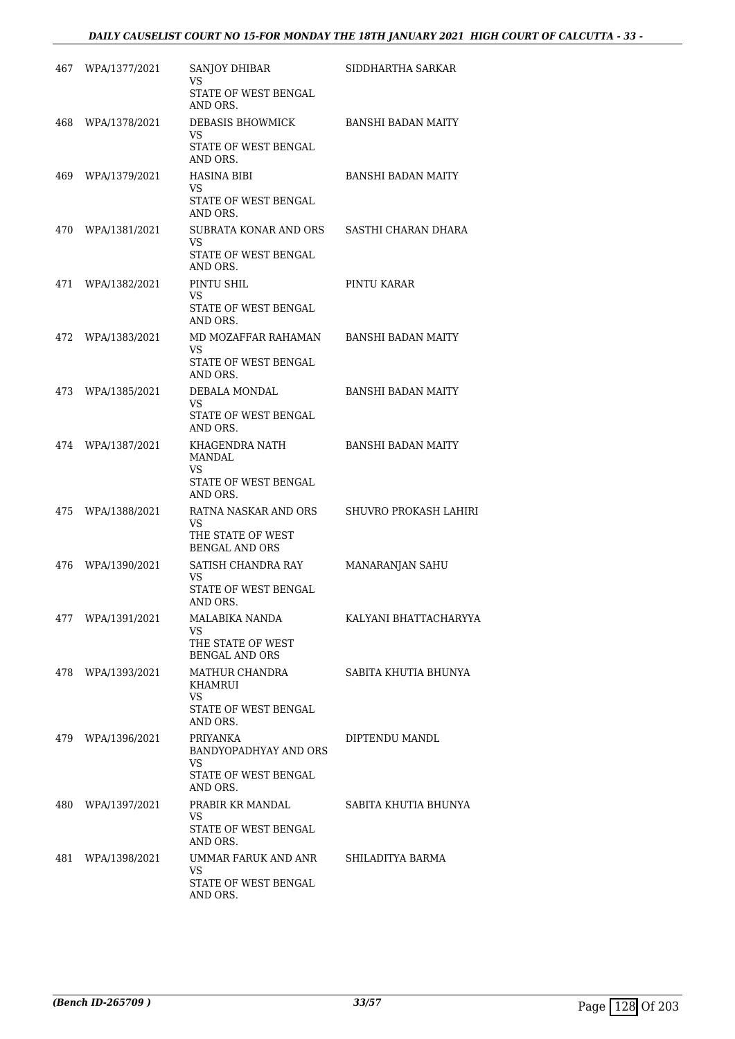# *DAILY CAUSELIST COURT NO 15-FOR MONDAY THE 18TH JANUARY 2021 HIGH COURT OF CALCUTTA - 33 -*

| 467 | WPA/1377/2021     | SANJOY DHIBAR<br>VS                                                                | SIDDHARTHA SARKAR         |
|-----|-------------------|------------------------------------------------------------------------------------|---------------------------|
|     |                   | STATE OF WEST BENGAL<br>AND ORS.                                                   |                           |
| 468 | WPA/1378/2021     | DEBASIS BHOWMICK<br>VS.<br>STATE OF WEST BENGAL<br>AND ORS.                        | <b>BANSHI BADAN MAITY</b> |
| 469 | WPA/1379/2021     | <b>HASINA BIBI</b><br>VS<br>STATE OF WEST BENGAL<br>AND ORS.                       | BANSHI BADAN MAITY        |
| 470 | WPA/1381/2021     | SUBRATA KONAR AND ORS<br>VS.<br>STATE OF WEST BENGAL<br>AND ORS.                   | SASTHI CHARAN DHARA       |
| 471 | WPA/1382/2021     | PINTU SHIL<br>VS<br>STATE OF WEST BENGAL<br>AND ORS.                               | PINTU KARAR               |
| 472 | WPA/1383/2021     | MD MOZAFFAR RAHAMAN<br>VS.<br>STATE OF WEST BENGAL<br>AND ORS.                     | <b>BANSHI BADAN MAITY</b> |
| 473 | WPA/1385/2021     | DEBALA MONDAL<br>VS.<br>STATE OF WEST BENGAL<br>AND ORS.                           | <b>BANSHI BADAN MAITY</b> |
| 474 | WPA/1387/2021     | KHAGENDRA NATH<br><b>MANDAL</b><br>VS<br>STATE OF WEST BENGAL<br>AND ORS.          | <b>BANSHI BADAN MAITY</b> |
| 475 | WPA/1388/2021     | RATNA NASKAR AND ORS<br>VS.<br>THE STATE OF WEST<br><b>BENGAL AND ORS</b>          | SHUVRO PROKASH LAHIRI     |
| 476 | WPA/1390/2021     | SATISH CHANDRA RAY<br>VS<br>STATE OF WEST BENGAL<br>AND ORS.                       | MANARANJAN SAHU           |
|     | 477 WPA/1391/2021 | MALABIKA NANDA<br>VS<br>THE STATE OF WEST<br><b>BENGAL AND ORS</b>                 | KALYANI BHATTACHARYYA     |
|     | 478 WPA/1393/2021 | MATHUR CHANDRA<br>KHAMRUI<br><b>VS</b><br>STATE OF WEST BENGAL<br>AND ORS.         | SABITA KHUTIA BHUNYA      |
|     | 479 WPA/1396/2021 | <b>PRIYANKA</b><br>BANDYOPADHYAY AND ORS<br>VS<br>STATE OF WEST BENGAL<br>AND ORS. | DIPTENDU MANDL            |
|     | 480 WPA/1397/2021 | PRABIR KR MANDAL<br>VS.<br>STATE OF WEST BENGAL<br>AND ORS.                        | SABITA KHUTIA BHUNYA      |
| 481 | WPA/1398/2021     | UMMAR FARUK AND ANR<br>VS.<br>STATE OF WEST BENGAL<br>AND ORS.                     | SHILADITYA BARMA          |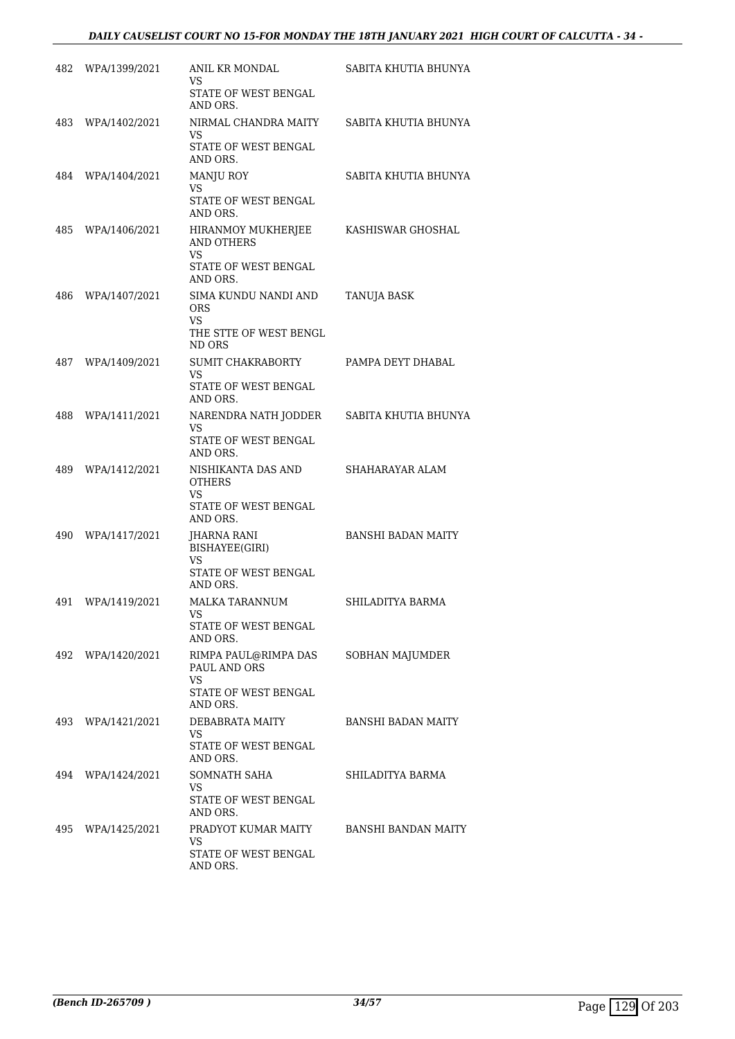# *DAILY CAUSELIST COURT NO 15-FOR MONDAY THE 18TH JANUARY 2021 HIGH COURT OF CALCUTTA - 34 -*

| 482 | WPA/1399/2021     | ANIL KR MONDAL<br>VS                                               | SABITA KHUTIA BHUNYA       |
|-----|-------------------|--------------------------------------------------------------------|----------------------------|
|     |                   | STATE OF WEST BENGAL<br>AND ORS.                                   |                            |
| 483 | WPA/1402/2021     | NIRMAL CHANDRA MAITY<br>VS                                         | SABITA KHUTIA BHUNYA       |
|     |                   | STATE OF WEST BENGAL<br>AND ORS.                                   |                            |
| 484 | WPA/1404/2021     | <b>MANJU ROY</b><br>VS                                             | SABITA KHUTIA BHUNYA       |
|     |                   | STATE OF WEST BENGAL<br>AND ORS.                                   |                            |
| 485 | WPA/1406/2021     | HIRANMOY MUKHERJEE<br><b>AND OTHERS</b><br><b>VS</b>               | KASHISWAR GHOSHAL          |
|     |                   | STATE OF WEST BENGAL<br>AND ORS.                                   |                            |
| 486 | WPA/1407/2021     | SIMA KUNDU NANDI AND<br><b>ORS</b><br>VS<br>THE STTE OF WEST BENGL | <b>TANUJA BASK</b>         |
|     |                   | ND ORS                                                             |                            |
|     | 487 WPA/1409/2021 | SUMIT CHAKRABORTY<br>VS                                            | PAMPA DEYT DHABAL          |
|     |                   | STATE OF WEST BENGAL<br>AND ORS.                                   |                            |
| 488 | WPA/1411/2021     | NARENDRA NATH JODDER<br>VS                                         | SABITA KHUTIA BHUNYA       |
|     |                   | STATE OF WEST BENGAL<br>AND ORS.                                   |                            |
| 489 | WPA/1412/2021     | NISHIKANTA DAS AND<br>OTHERS<br>VS                                 | SHAHARAYAR ALAM            |
|     |                   | STATE OF WEST BENGAL<br>AND ORS.                                   |                            |
| 490 | WPA/1417/2021     | JHARNA RANI<br>BISHAYEE(GIRI)<br>VS                                | <b>BANSHI BADAN MAITY</b>  |
|     |                   | STATE OF WEST BENGAL<br>AND ORS.                                   |                            |
| 491 | WPA/1419/2021     | MALKA TARANNUM<br>VS                                               | SHILADITYA BARMA           |
|     |                   | STATE OF WEST BENGAL<br>AND ORS.                                   |                            |
|     | 492 WPA/1420/2021 | RIMPA PAUL@RIMPA DAS<br>PAUL AND ORS<br>VS                         | <b>SOBHAN MAJUMDER</b>     |
|     |                   | STATE OF WEST BENGAL<br>AND ORS.                                   |                            |
|     | 493 WPA/1421/2021 | DEBABRATA MAITY<br>VS.                                             | BANSHI BADAN MAITY         |
|     |                   | STATE OF WEST BENGAL<br>AND ORS.                                   |                            |
| 494 | WPA/1424/2021     | SOMNATH SAHA<br>VS                                                 | SHILADITYA BARMA           |
|     |                   | STATE OF WEST BENGAL<br>AND ORS.                                   |                            |
|     | 495 WPA/1425/2021 | PRADYOT KUMAR MAITY<br>VS                                          | <b>BANSHI BANDAN MAITY</b> |
|     |                   | STATE OF WEST BENGAL<br>AND ORS.                                   |                            |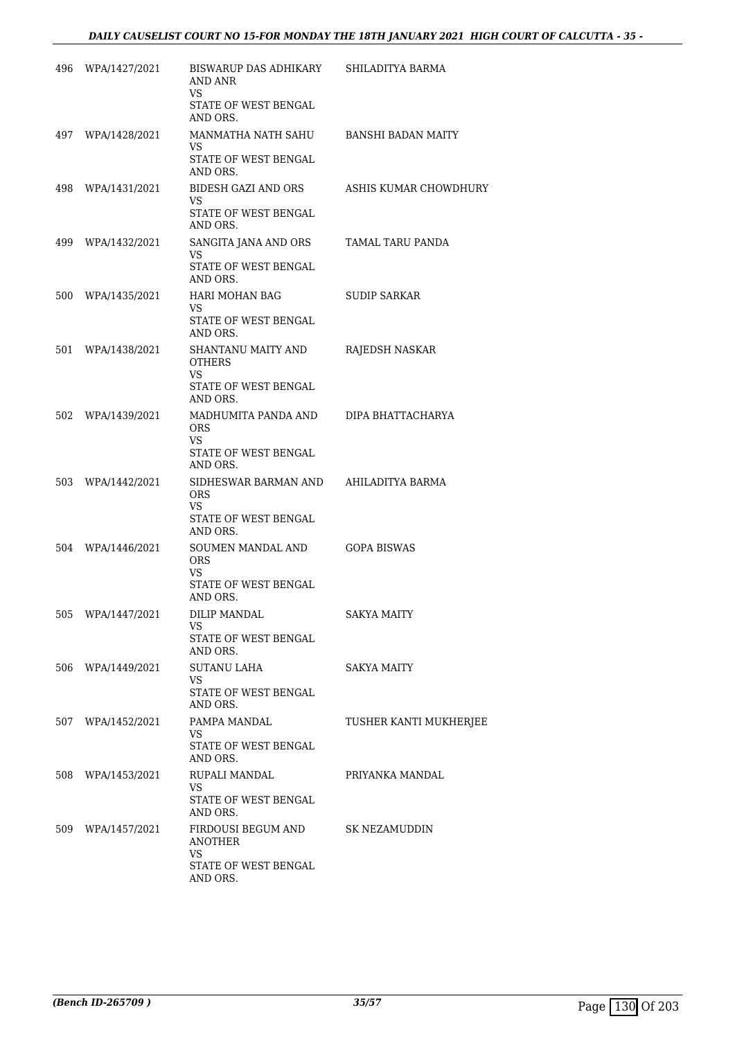| 496 | WPA/1427/2021     | BISWARUP DAS ADHIKARY<br><b>AND ANR</b>    | SHILADITYA BARMA       |
|-----|-------------------|--------------------------------------------|------------------------|
|     |                   | VS.<br>STATE OF WEST BENGAL<br>AND ORS.    |                        |
| 497 | WPA/1428/2021     | MANMATHA NATH SAHU<br>VS                   | BANSHI BADAN MAITY     |
|     |                   | STATE OF WEST BENGAL<br>AND ORS.           |                        |
| 498 | WPA/1431/2021     | BIDESH GAZI AND ORS<br>VS.                 | ASHIS KUMAR CHOWDHURY  |
|     |                   | STATE OF WEST BENGAL<br>AND ORS.           |                        |
| 499 | WPA/1432/2021     | SANGITA JANA AND ORS<br><b>VS</b>          | TAMAL TARU PANDA       |
|     |                   | STATE OF WEST BENGAL<br>AND ORS.           |                        |
| 500 | WPA/1435/2021     | HARI MOHAN BAG<br>VS                       | SUDIP SARKAR           |
|     |                   | STATE OF WEST BENGAL<br>AND ORS.           |                        |
| 501 | WPA/1438/2021     | <b>SHANTANU MAITY AND</b><br><b>OTHERS</b> | RAJEDSH NASKAR         |
|     |                   | VS.<br>STATE OF WEST BENGAL                |                        |
|     |                   | AND ORS.                                   |                        |
| 502 | WPA/1439/2021     | MADHUMITA PANDA AND<br><b>ORS</b>          | DIPA BHATTACHARYA      |
|     |                   | VS<br>STATE OF WEST BENGAL<br>AND ORS.     |                        |
| 503 | WPA/1442/2021     | SIDHESWAR BARMAN AND<br><b>ORS</b>         | AHILADITYA BARMA       |
|     |                   | VS.                                        |                        |
|     |                   | STATE OF WEST BENGAL<br>AND ORS.           |                        |
| 504 | WPA/1446/2021     | SOUMEN MANDAL AND<br><b>ORS</b>            | <b>GOPA BISWAS</b>     |
|     |                   | VS.<br>STATE OF WEST BENGAL<br>AND ORS.    |                        |
|     | 505 WPA/1447/2021 | DILIP MANDAL<br>VS.                        | SAKYA MAITY            |
|     |                   | STATE OF WEST BENGAL<br>AND ORS.           |                        |
|     | 506 WPA/1449/2021 | <b>SUTANU LAHA</b><br>VS                   | SAKYA MAITY            |
|     |                   | STATE OF WEST BENGAL<br>AND ORS.           |                        |
| 507 | WPA/1452/2021     | PAMPA MANDAL<br>VS.                        | TUSHER KANTI MUKHERJEE |
|     |                   | STATE OF WEST BENGAL<br>AND ORS.           |                        |
|     | 508 WPA/1453/2021 | RUPALI MANDAL<br>VS                        | PRIYANKA MANDAL        |
|     |                   | STATE OF WEST BENGAL<br>AND ORS.           |                        |
| 509 | WPA/1457/2021     | FIRDOUSI BEGUM AND<br><b>ANOTHER</b>       | SK NEZAMUDDIN          |
|     |                   | VS.<br>STATE OF WEST BENGAL<br>AND ORS.    |                        |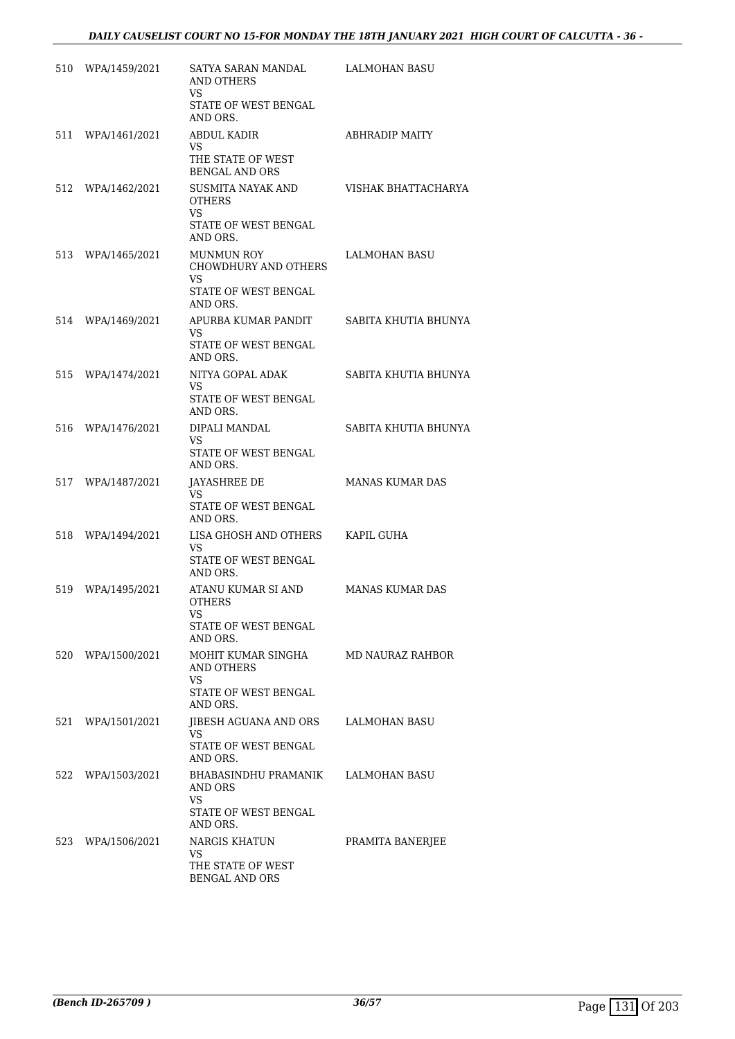|     | 510 WPA/1459/2021 | SATYA SARAN MANDAL<br>AND OTHERS                | LALMOHAN BASU          |
|-----|-------------------|-------------------------------------------------|------------------------|
|     |                   | VS<br>STATE OF WEST BENGAL<br>AND ORS.          |                        |
| 511 | WPA/1461/2021     | ABDUL KADIR<br>VS                               | <b>ABHRADIP MAITY</b>  |
|     |                   | THE STATE OF WEST<br><b>BENGAL AND ORS</b>      |                        |
|     | 512 WPA/1462/2021 | SUSMITA NAYAK AND<br><b>OTHERS</b><br>VS.       | VISHAK BHATTACHARYA    |
|     |                   | STATE OF WEST BENGAL<br>AND ORS.                |                        |
| 513 | WPA/1465/2021     | <b>MUNMUN ROY</b><br>CHOWDHURY AND OTHERS<br>VS | LALMOHAN BASU          |
|     |                   | STATE OF WEST BENGAL<br>AND ORS.                |                        |
|     | 514 WPA/1469/2021 | APURBA KUMAR PANDIT<br>VS.                      | SABITA KHUTIA BHUNYA   |
|     |                   | STATE OF WEST BENGAL<br>AND ORS.                |                        |
|     | 515 WPA/1474/2021 | NITYA GOPAL ADAK<br>VS.                         | SABITA KHUTIA BHUNYA   |
|     |                   | STATE OF WEST BENGAL<br>AND ORS.                |                        |
|     | 516 WPA/1476/2021 | DIPALI MANDAL<br>VS.                            | SABITA KHUTIA BHUNYA   |
|     |                   | STATE OF WEST BENGAL<br>AND ORS.                |                        |
|     | 517 WPA/1487/2021 | <b>JAYASHREE DE</b><br>VS                       | <b>MANAS KUMAR DAS</b> |
|     |                   | STATE OF WEST BENGAL<br>AND ORS.                |                        |
| 518 | WPA/1494/2021     | LISA GHOSH AND OTHERS<br>VS                     | KAPIL GUHA             |
|     |                   | STATE OF WEST BENGAL<br>AND ORS.                |                        |
| 519 | WPA/1495/2021     | ATANU KUMAR SI AND<br><b>OTHERS</b>             | <b>MANAS KUMAR DAS</b> |
|     |                   | STATE OF WEST BENGAL<br>AND ORS.                |                        |
|     | 520 WPA/1500/2021 | MOHIT KUMAR SINGHA<br><b>AND OTHERS</b><br>VS.  | MD NAURAZ RAHBOR       |
|     |                   | STATE OF WEST BENGAL<br>AND ORS.                |                        |
| 521 | WPA/1501/2021     | JIBESH AGUANA AND ORS<br>VS                     | LALMOHAN BASU          |
|     |                   | STATE OF WEST BENGAL<br>AND ORS.                |                        |
|     | 522 WPA/1503/2021 | BHABASINDHU PRAMANIK<br>AND ORS<br>VS           | LALMOHAN BASU          |
|     |                   | STATE OF WEST BENGAL<br>AND ORS.                |                        |
| 523 | WPA/1506/2021     | <b>NARGIS KHATUN</b><br>VS.                     | PRAMITA BANERJEE       |
|     |                   | THE STATE OF WEST<br><b>BENGAL AND ORS</b>      |                        |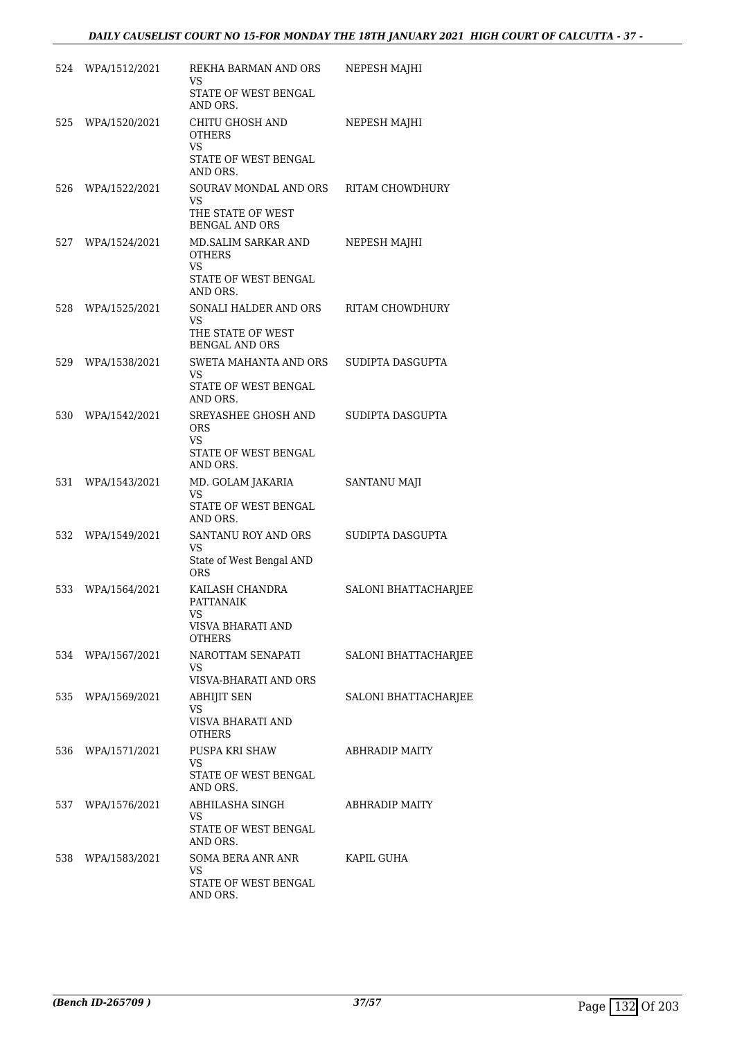|     | 524 WPA/1512/2021 | REKHA BARMAN AND ORS<br>VS.<br>STATE OF WEST BENGAL      | NEPESH MAJHI         |
|-----|-------------------|----------------------------------------------------------|----------------------|
| 525 | WPA/1520/2021     | AND ORS.<br>CHITU GHOSH AND<br><b>OTHERS</b><br>VS       | NEPESH MAJHI         |
|     |                   | STATE OF WEST BENGAL<br>AND ORS.                         |                      |
| 526 | WPA/1522/2021     | SOURAV MONDAL AND ORS<br>VS                              | RITAM CHOWDHURY      |
|     |                   | THE STATE OF WEST<br><b>BENGAL AND ORS</b>               |                      |
| 527 | WPA/1524/2021     | MD.SALIM SARKAR AND<br><b>OTHERS</b><br>VS.              | NEPESH MAJHI         |
|     |                   | STATE OF WEST BENGAL<br>AND ORS.                         |                      |
| 528 | WPA/1525/2021     | SONALI HALDER AND ORS<br>VS                              | RITAM CHOWDHURY      |
|     |                   | THE STATE OF WEST<br><b>BENGAL AND ORS</b>               |                      |
| 529 | WPA/1538/2021     | SWETA MAHANTA AND ORS<br><b>VS</b>                       | SUDIPTA DASGUPTA     |
|     |                   | STATE OF WEST BENGAL<br>AND ORS.                         |                      |
| 530 | WPA/1542/2021     | SREYASHEE GHOSH AND<br><b>ORS</b><br><b>VS</b>           | SUDIPTA DASGUPTA     |
|     |                   | STATE OF WEST BENGAL<br>AND ORS.                         |                      |
| 531 | WPA/1543/2021     | MD. GOLAM JAKARIA<br><b>VS</b><br>STATE OF WEST BENGAL   | SANTANU MAJI         |
| 532 | WPA/1549/2021     | AND ORS.<br>SANTANU ROY AND ORS                          | SUDIPTA DASGUPTA     |
|     |                   | <b>VS</b><br>State of West Bengal AND<br><b>ORS</b>      |                      |
| 533 | WPA/1564/2021     | KAILASH CHANDRA<br><b>PATTANAIK</b><br>VISVA BHARATI AND | SALONI BHATTACHARJEE |
|     | 534 WPA/1567/2021 | <b>OTHERS</b><br>NAROTTAM SENAPATI                       | SALONI BHATTACHARJEE |
|     |                   | VS<br>VISVA-BHARATI AND ORS                              |                      |
|     | 535 WPA/1569/2021 | <b>ABHIJIT SEN</b><br>VS                                 | SALONI BHATTACHARJEE |
|     |                   | VISVA BHARATI AND<br><b>OTHERS</b>                       |                      |
|     | 536 WPA/1571/2021 | PUSPA KRI SHAW<br>VS                                     | ABHRADIP MAITY       |
|     |                   | STATE OF WEST BENGAL<br>AND ORS.                         |                      |
|     | 537 WPA/1576/2021 | ABHILASHA SINGH<br>VS                                    | ABHRADIP MAITY       |
|     |                   | STATE OF WEST BENGAL<br>AND ORS.                         |                      |
|     | 538 WPA/1583/2021 | SOMA BERA ANR ANR<br>VS                                  | KAPIL GUHA           |
|     |                   | STATE OF WEST BENGAL<br>AND ORS.                         |                      |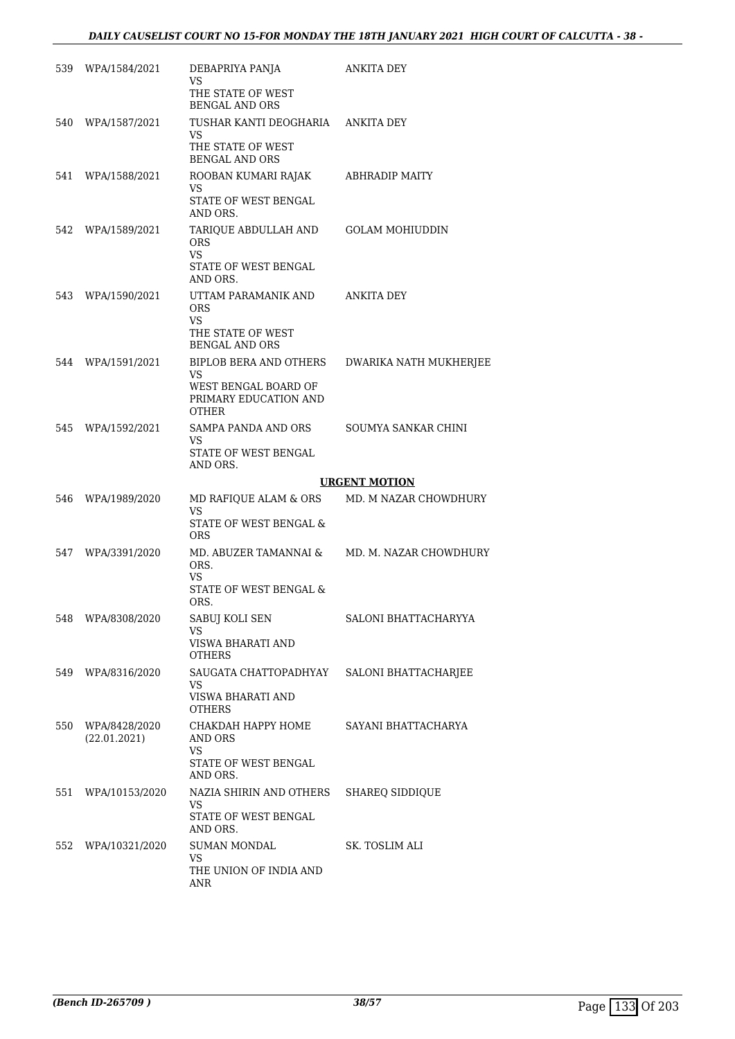| 539 | WPA/1584/2021                 | DEBAPRIYA PANJA<br>VS<br>THE STATE OF WEST<br>BENGAL AND ORS                                         | <b>ANKITA DEY</b>      |
|-----|-------------------------------|------------------------------------------------------------------------------------------------------|------------------------|
| 540 | WPA/1587/2021                 | TUSHAR KANTI DEOGHARIA<br>VS<br>THE STATE OF WEST<br><b>BENGAL AND ORS</b>                           | ANKITA DEY             |
| 541 | WPA/1588/2021                 | ROOBAN KUMARI RAJAK<br>VS.<br>STATE OF WEST BENGAL<br>AND ORS.                                       | ABHRADIP MAITY         |
| 542 | WPA/1589/2021                 | TARIOUE ABDULLAH AND<br><b>ORS</b><br><b>VS</b><br>STATE OF WEST BENGAL<br>AND ORS.                  | <b>GOLAM MOHIUDDIN</b> |
| 543 | WPA/1590/2021                 | UTTAM PARAMANIK AND<br><b>ORS</b><br>VS.<br>THE STATE OF WEST<br>BENGAL AND ORS                      | ANKITA DEY             |
| 544 | WPA/1591/2021                 | <b>BIPLOB BERA AND OTHERS</b><br>VS<br>WEST BENGAL BOARD OF<br>PRIMARY EDUCATION AND<br><b>OTHER</b> | DWARIKA NATH MUKHERJEE |
| 545 | WPA/1592/2021                 | SAMPA PANDA AND ORS<br>VS<br>STATE OF WEST BENGAL<br>AND ORS.                                        | SOUMYA SANKAR CHINI    |
|     |                               |                                                                                                      | <b>URGENT MOTION</b>   |
|     |                               |                                                                                                      |                        |
| 546 | WPA/1989/2020                 | MD RAFIQUE ALAM & ORS<br>VS<br>STATE OF WEST BENGAL &                                                | MD. M NAZAR CHOWDHURY  |
| 547 | WPA/3391/2020                 | <b>ORS</b><br>MD. ABUZER TAMANNAI &<br>ORS.<br>VS<br>STATE OF WEST BENGAL &                          | MD. M. NAZAR CHOWDHURY |
| 548 | WPA/8308/2020                 | ORS.<br>SABUJ KOLI SEN<br>VS<br>VISWA BHARATI AND<br>OTHERS                                          | SALONI BHATTACHARYYA   |
| 549 | WPA/8316/2020                 | SAUGATA CHATTOPADHYAY<br>VS<br>VISWA BHARATI AND<br><b>OTHERS</b>                                    | SALONI BHATTACHARJEE   |
| 550 | WPA/8428/2020<br>(22.01.2021) | СНАКДАН НАРРҮ НОМЕ<br>AND ORS<br>VS<br>STATE OF WEST BENGAL                                          | SAYANI BHATTACHARYA    |
| 551 | WPA/10153/2020                | AND ORS.<br>NAZIA SHIRIN AND OTHERS<br>VS<br>STATE OF WEST BENGAL<br>AND ORS.                        | <b>SHAREQ SIDDIQUE</b> |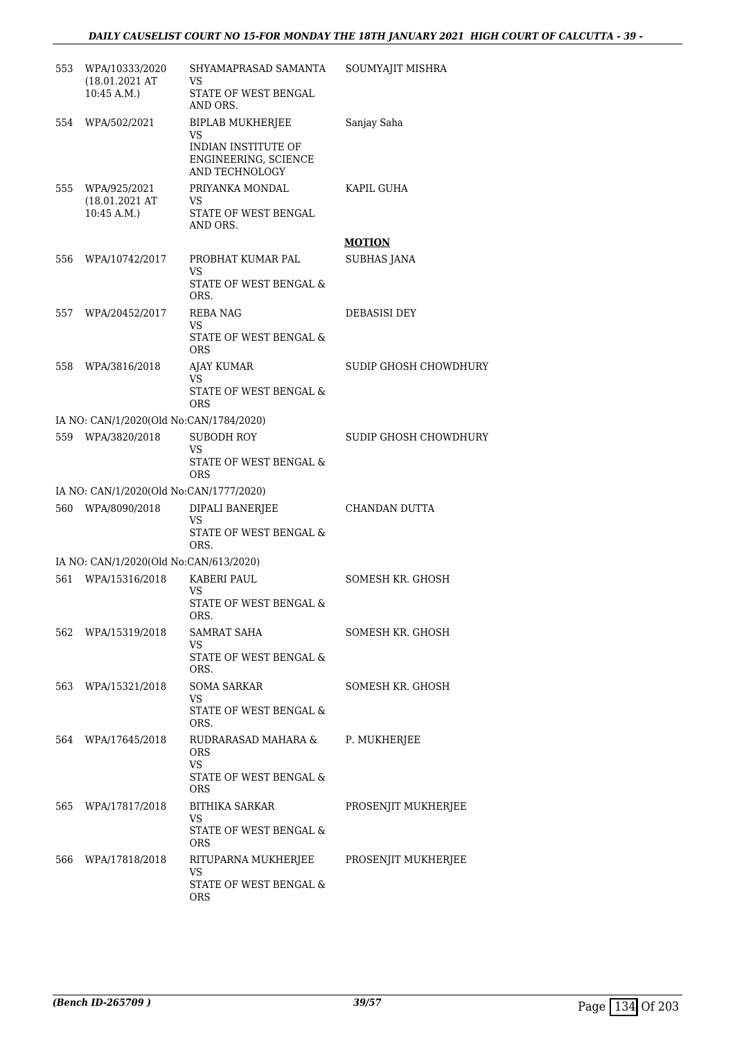| 553 | WPA/10333/2020<br>(18.01.2021 AT<br>10:45 A.M.          | SHYAMAPRASAD SAMANTA<br>VS<br>STATE OF WEST BENGAL<br>AND ORS.                                 | SOUMYAJIT MISHRA      |
|-----|---------------------------------------------------------|------------------------------------------------------------------------------------------------|-----------------------|
| 554 | WPA/502/2021                                            | <b>BIPLAB MUKHERJEE</b><br>VS<br>INDIAN INSTITUTE OF<br>ENGINEERING, SCIENCE<br>AND TECHNOLOGY | Sanjay Saha           |
| 555 | WPA/925/2021<br>$(18.01.2021 \text{ AT})$<br>10:45 A.M. | PRIYANKA MONDAL<br>VS.<br>STATE OF WEST BENGAL<br>AND ORS.                                     | KAPIL GUHA            |
|     |                                                         |                                                                                                | <b>MOTION</b>         |
| 556 | WPA/10742/2017                                          | PROBHAT KUMAR PAL<br>VS<br>STATE OF WEST BENGAL &                                              | <b>SUBHAS JANA</b>    |
|     |                                                         | ORS.                                                                                           |                       |
| 557 | WPA/20452/2017                                          | REBA NAG<br>VS<br>STATE OF WEST BENGAL &                                                       | DEBASISI DEY          |
|     |                                                         | ORS                                                                                            |                       |
| 558 | WPA/3816/2018                                           | <b>AJAY KUMAR</b>                                                                              | SUDIP GHOSH CHOWDHURY |
|     |                                                         | VS<br>STATE OF WEST BENGAL &<br>ORS                                                            |                       |
|     | IA NO: CAN/1/2020(Old No:CAN/1784/2020)                 |                                                                                                |                       |
| 559 | WPA/3820/2018                                           | <b>SUBODH ROY</b>                                                                              | SUDIP GHOSH CHOWDHURY |
|     |                                                         | VS<br>STATE OF WEST BENGAL &<br>ORS                                                            |                       |
|     | IA NO: CAN/1/2020(Old No:CAN/1777/2020)                 |                                                                                                |                       |
| 560 | WPA/8090/2018                                           | DIPALI BANERJEE<br>VS                                                                          | CHANDAN DUTTA         |
|     |                                                         | STATE OF WEST BENGAL &<br>ORS.                                                                 |                       |
|     | IA NO: CAN/1/2020(Old No:CAN/613/2020)                  |                                                                                                |                       |
| 561 | WPA/15316/2018                                          | KABERI PAUL<br>VS                                                                              | SOMESH KR. GHOSH      |
|     |                                                         | STATE OF WEST BENGAL &<br>ORS.                                                                 |                       |
| 562 | WPA/15319/2018                                          | SAMRAT SAHA<br>VS                                                                              | SOMESH KR. GHOSH      |
|     |                                                         | STATE OF WEST BENGAL &<br>ORS.                                                                 |                       |
| 563 | WPA/15321/2018                                          | <b>SOMA SARKAR</b><br>VS                                                                       | SOMESH KR. GHOSH      |
|     |                                                         | STATE OF WEST BENGAL &<br>ORS.                                                                 |                       |
| 564 | WPA/17645/2018                                          | RUDRARASAD MAHARA &<br>ORS<br>VS                                                               | P. MUKHERJEE          |
|     |                                                         | STATE OF WEST BENGAL &<br>ORS                                                                  |                       |
| 565 | WPA/17817/2018                                          | BITHIKA SARKAR<br>VS                                                                           | PROSENJIT MUKHERJEE   |
|     |                                                         | STATE OF WEST BENGAL &<br>ORS                                                                  |                       |
| 566 | WPA/17818/2018                                          | RITUPARNA MUKHERJEE<br>VS                                                                      | PROSENJIT MUKHERJEE   |
|     |                                                         | STATE OF WEST BENGAL &<br>ORS                                                                  |                       |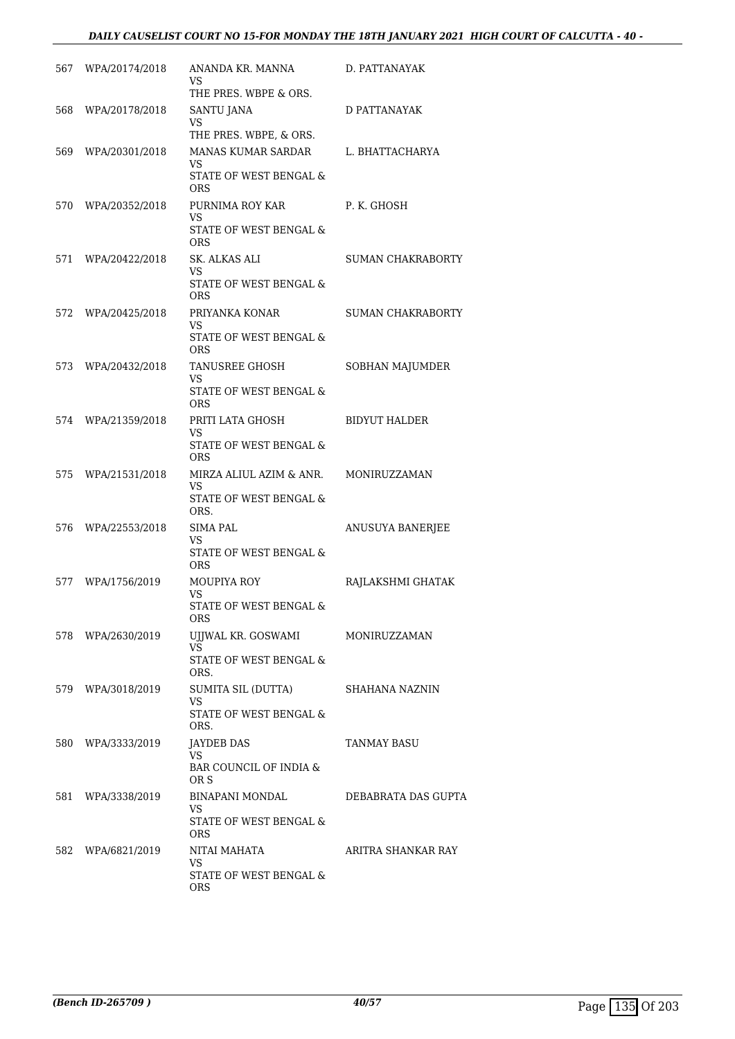# *DAILY CAUSELIST COURT NO 15-FOR MONDAY THE 18TH JANUARY 2021 HIGH COURT OF CALCUTTA - 40 -*

|     | 567 WPA/20174/2018 | ANANDA KR. MANNA<br>VS<br>THE PRES. WBPE & ORS.                                                   | D. PATTANAYAK            |
|-----|--------------------|---------------------------------------------------------------------------------------------------|--------------------------|
|     | 568 WPA/20178/2018 | SANTU JANA<br>VS                                                                                  | D PATTANAYAK             |
|     | 569 WPA/20301/2018 | THE PRES. WBPE, & ORS.<br>MANAS KUMAR SARDAR<br><b>VS</b><br>STATE OF WEST BENGAL &<br><b>ORS</b> | L. BHATTACHARYA          |
| 570 | WPA/20352/2018     | PURNIMA ROY KAR<br>VS<br>STATE OF WEST BENGAL &<br>ORS                                            | P. K. GHOSH              |
|     | 571 WPA/20422/2018 | SK. ALKAS ALI<br>VS<br>STATE OF WEST BENGAL &<br><b>ORS</b>                                       | SUMAN CHAKRABORTY        |
| 572 | WPA/20425/2018     | PRIYANKA KONAR<br>VS<br>STATE OF WEST BENGAL &<br>ORS.                                            | <b>SUMAN CHAKRABORTY</b> |
|     | 573 WPA/20432/2018 | TANUSREE GHOSH<br><b>VS</b><br>STATE OF WEST BENGAL &<br><b>ORS</b>                               | SOBHAN MAJUMDER          |
|     | 574 WPA/21359/2018 | PRITI LATA GHOSH<br><b>VS</b><br>STATE OF WEST BENGAL &<br><b>ORS</b>                             | BIDYUT HALDER            |
| 575 | WPA/21531/2018     | MIRZA ALIUL AZIM & ANR.<br>VS.<br>STATE OF WEST BENGAL &<br>ORS.                                  | MONIRUZZAMAN             |
|     | 576 WPA/22553/2018 | SIMA PAL<br>VS<br>STATE OF WEST BENGAL &<br><b>ORS</b>                                            | ANUSUYA BANERJEE         |
| 577 | WPA/1756/2019      | MOUPIYA ROY<br>VS<br>STATE OF WEST BENGAL &<br>ORS                                                | RAJLAKSHMI GHATAK        |
|     | 578 WPA/2630/2019  | UJJWAL KR. GOSWAMI<br>VS<br>STATE OF WEST BENGAL &<br>ORS.                                        | MONIRUZZAMAN             |
| 579 | WPA/3018/2019      | SUMITA SIL (DUTTA)<br>VS<br>STATE OF WEST BENGAL &<br>ORS.                                        | SHAHANA NAZNIN           |
|     | 580 WPA/3333/2019  | <b>JAYDEB DAS</b><br>VS<br>BAR COUNCIL OF INDIA &<br>OR S                                         | TANMAY BASU              |
|     | 581 WPA/3338/2019  | BINAPANI MONDAL<br>VS<br>STATE OF WEST BENGAL &                                                   | DEBABRATA DAS GUPTA      |
| 582 | WPA/6821/2019      | ORS<br>NITAI MAHATA<br>VS<br>STATE OF WEST BENGAL &<br>ORS                                        | ARITRA SHANKAR RAY       |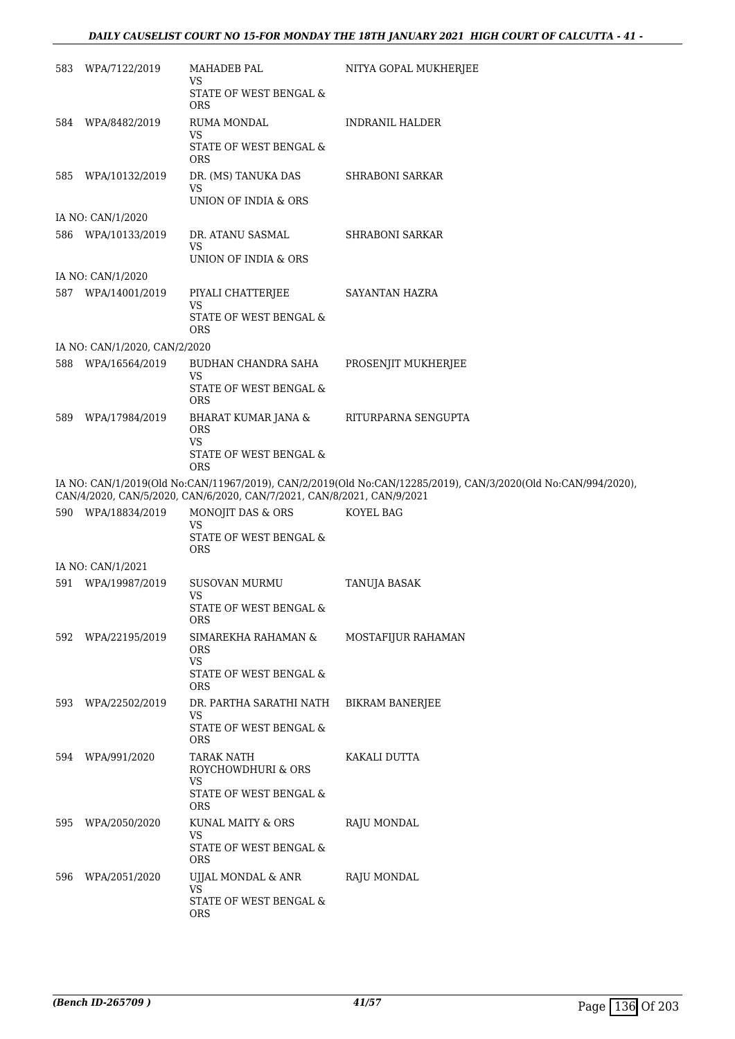# *DAILY CAUSELIST COURT NO 15-FOR MONDAY THE 18TH JANUARY 2021 HIGH COURT OF CALCUTTA - 41 -*

| 583 | WPA/7122/2019                 | MAHADEB PAL<br>VS<br>STATE OF WEST BENGAL &<br><b>ORS</b>                   | NITYA GOPAL MUKHERJEE                                                                                         |
|-----|-------------------------------|-----------------------------------------------------------------------------|---------------------------------------------------------------------------------------------------------------|
| 584 | WPA/8482/2019                 | RUMA MONDAL<br>VS<br>STATE OF WEST BENGAL &<br><b>ORS</b>                   | INDRANIL HALDER                                                                                               |
| 585 | WPA/10132/2019                | DR. (MS) TANUKA DAS<br>VS<br>UNION OF INDIA & ORS                           | <b>SHRABONI SARKAR</b>                                                                                        |
|     | IA NO: CAN/1/2020             |                                                                             |                                                                                                               |
| 586 | WPA/10133/2019                | DR. ATANU SASMAL<br><b>VS</b><br>UNION OF INDIA & ORS                       | SHRABONI SARKAR                                                                                               |
|     | IA NO: CAN/1/2020             |                                                                             |                                                                                                               |
|     | 587 WPA/14001/2019            | PIYALI CHATTERJEE<br>VS<br>STATE OF WEST BENGAL $\&$<br>ORS                 | SAYANTAN HAZRA                                                                                                |
|     | IA NO: CAN/1/2020, CAN/2/2020 |                                                                             |                                                                                                               |
| 588 | WPA/16564/2019                | BUDHAN CHANDRA SAHA<br>VS<br>STATE OF WEST BENGAL &                         | PROSENJIT MUKHERJEE                                                                                           |
|     |                               | <b>ORS</b>                                                                  |                                                                                                               |
| 589 | WPA/17984/2019                | BHARAT KUMAR JANA &<br><b>ORS</b><br>VS<br>STATE OF WEST BENGAL &           | RITURPARNA SENGUPTA                                                                                           |
|     |                               | <b>ORS</b>                                                                  | IA NO: CAN/1/2019(Old No:CAN/11967/2019), CAN/2/2019(Old No:CAN/12285/2019), CAN/3/2020(Old No:CAN/994/2020), |
|     |                               | CAN/4/2020, CAN/5/2020, CAN/6/2020, CAN/7/2021, CAN/8/2021, CAN/9/2021      |                                                                                                               |
|     | 590 WPA/18834/2019            | MONOJIT DAS & ORS<br>VS                                                     | KOYEL BAG                                                                                                     |
|     |                               | STATE OF WEST BENGAL &<br>ORS                                               |                                                                                                               |
|     | IA NO: CAN/1/2021             |                                                                             |                                                                                                               |
| 591 | WPA/19987/2019                | <b>SUSOVAN MURMU</b>                                                        | TANUJA BASAK                                                                                                  |
|     |                               | VS<br>STATE OF WEST BENGAL $\&$<br>ORS                                      |                                                                                                               |
| 592 | WPA/22195/2019                | SIMAREKHA RAHAMAN &<br>ORS<br><b>VS</b><br>STATE OF WEST BENGAL $\&$<br>ORS | MOSTAFIJUR RAHAMAN                                                                                            |
| 593 | WPA/22502/2019                | DR. PARTHA SARATHI NATH<br><b>VS</b><br>STATE OF WEST BENGAL $\&$           | <b>BIKRAM BANERJEE</b>                                                                                        |
| 594 | WPA/991/2020                  | <b>ORS</b><br><b>TARAK NATH</b><br>ROYCHOWDHURI & ORS                       | KAKALI DUTTA                                                                                                  |
|     |                               | <b>VS</b><br>STATE OF WEST BENGAL &<br><b>ORS</b>                           |                                                                                                               |
| 595 | WPA/2050/2020                 | KUNAL MAITY & ORS<br><b>VS</b><br>STATE OF WEST BENGAL $\&$<br><b>ORS</b>   | RAJU MONDAL                                                                                                   |
| 596 | WPA/2051/2020                 | UJJAL MONDAL & ANR<br>VS<br>STATE OF WEST BENGAL $\&$<br>ORS                | RAJU MONDAL                                                                                                   |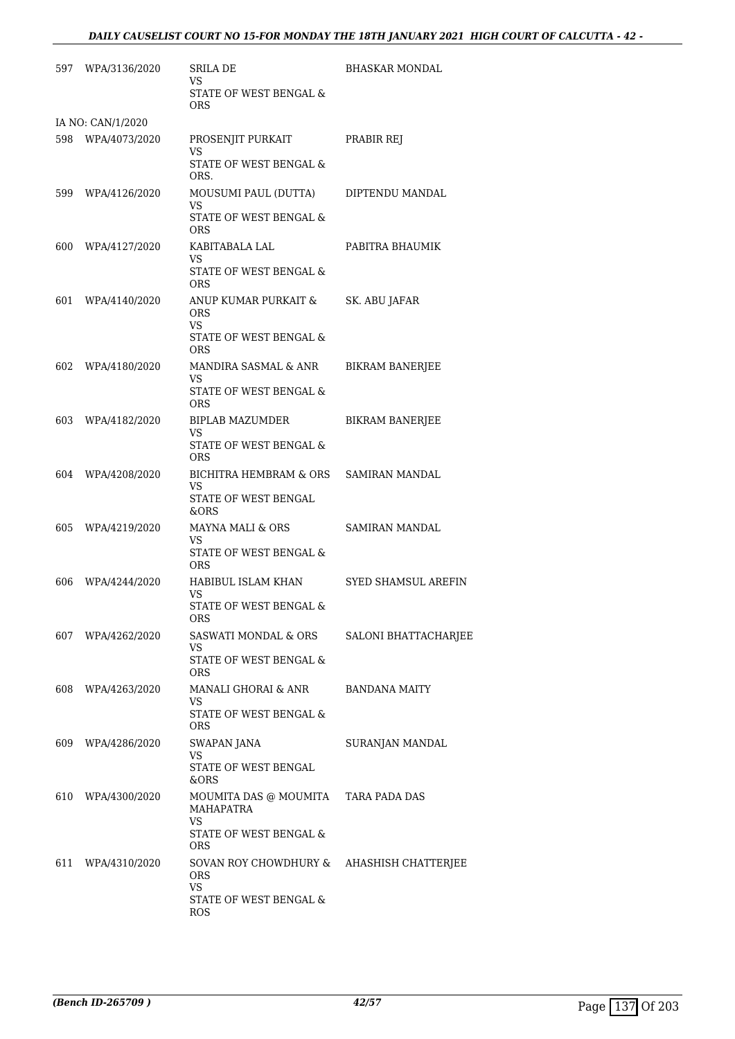|     | 597 WPA/3136/2020 | SRILA DE<br>VS.                                   | BHASKAR MONDAL         |
|-----|-------------------|---------------------------------------------------|------------------------|
|     |                   | STATE OF WEST BENGAL &<br><b>ORS</b>              |                        |
|     | IA NO: CAN/1/2020 |                                                   |                        |
|     | 598 WPA/4073/2020 | PROSENJIT PURKAIT<br>VS                           | PRABIR REJ             |
|     |                   | STATE OF WEST BENGAL &<br>ORS.                    |                        |
| 599 | WPA/4126/2020     | MOUSUMI PAUL (DUTTA)<br>VS                        | DIPTENDU MANDAL        |
|     |                   | STATE OF WEST BENGAL &<br><b>ORS</b>              |                        |
|     | 600 WPA/4127/2020 | KABITABALA LAL<br>VS                              | PABITRA BHAUMIK        |
|     |                   | STATE OF WEST BENGAL &<br><b>ORS</b>              |                        |
| 601 | WPA/4140/2020     | ANUP KUMAR PURKAIT &<br><b>ORS</b><br>VS          | SK. ABU JAFAR          |
|     |                   | STATE OF WEST BENGAL &<br><b>ORS</b>              |                        |
|     | 602 WPA/4180/2020 | MANDIRA SASMAL & ANR<br>VS                        | <b>BIKRAM BANERJEE</b> |
|     |                   | STATE OF WEST BENGAL &<br><b>ORS</b>              |                        |
|     | 603 WPA/4182/2020 | BIPLAB MAZUMDER<br>VS                             | <b>BIKRAM BANERJEE</b> |
|     |                   | STATE OF WEST BENGAL &<br><b>ORS</b>              |                        |
| 604 | WPA/4208/2020     | BICHITRA HEMBRAM & ORS<br>VS                      | <b>SAMIRAN MANDAL</b>  |
|     |                   | STATE OF WEST BENGAL<br>&ORS                      |                        |
| 605 | WPA/4219/2020     | MAYNA MALI & ORS<br>VS                            | SAMIRAN MANDAL         |
|     |                   | STATE OF WEST BENGAL &<br><b>ORS</b>              |                        |
| 606 | WPA/4244/2020     | HABIBUL ISLAM KHAN<br>VS                          | SYED SHAMSUL AREFIN    |
|     |                   | STATE OF WEST BENGAL $\&$<br>ORS                  |                        |
|     | 607 WPA/4262/2020 | SASWATI MONDAL & ORS<br>VS                        | SALONI BHATTACHARJEE   |
|     |                   | STATE OF WEST BENGAL &<br>ORS                     |                        |
| 608 | WPA/4263/2020     | MANALI GHORAI & ANR<br>VS                         | BANDANA MAITY          |
|     |                   | STATE OF WEST BENGAL &<br>ORS                     |                        |
|     | 609 WPA/4286/2020 | <b>SWAPAN JANA</b><br>VS                          | SURANJAN MANDAL        |
|     |                   | STATE OF WEST BENGAL<br>&ORS                      |                        |
|     | 610 WPA/4300/2020 | MOUMITA DAS @ MOUMITA<br>MAHAPATRA<br>VS          | TARA PADA DAS          |
|     |                   | STATE OF WEST BENGAL &<br><b>ORS</b>              |                        |
| 611 | WPA/4310/2020     | SOVAN ROY CHOWDHURY &<br><b>ORS</b>               | AHASHISH CHATTERJEE    |
|     |                   | <b>VS</b><br>STATE OF WEST BENGAL &<br><b>ROS</b> |                        |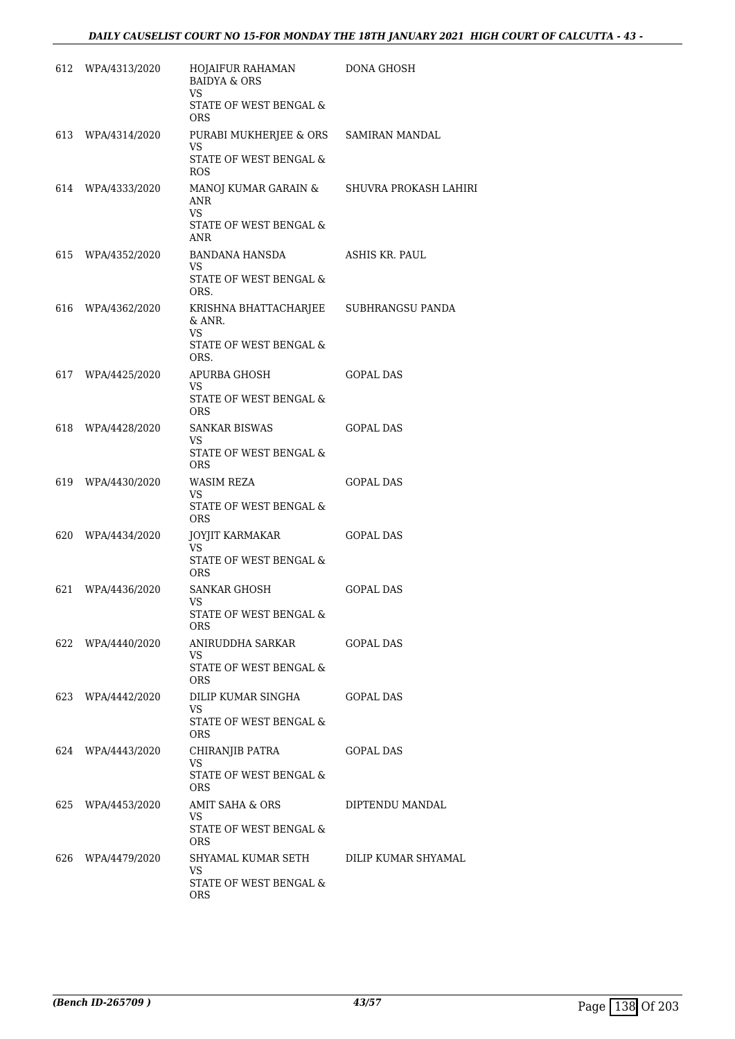| 612 WPA/4313/2020 | HOJAIFUR RAHAMAN<br><b>BAIDYA &amp; ORS</b><br><b>VS</b>       | DONA GHOSH       |
|-------------------|----------------------------------------------------------------|------------------|
|                   | STATE OF WEST BENGAL &<br>ORS                                  |                  |
| 613 WPA/4314/2020 | PURABI MUKHERJEE & ORS SAMIRAN MANDAL<br>VS                    |                  |
|                   | STATE OF WEST BENGAL &<br>ROS                                  |                  |
| 614 WPA/4333/2020 | MANOJ KUMAR GARAIN & SHUVRA PROKASH LAHIRI<br>ANR<br><b>VS</b> |                  |
|                   | STATE OF WEST BENGAL &<br>ANR                                  |                  |
| 615 WPA/4352/2020 | BANDANA HANSDA<br>VS                                           | ASHIS KR. PAUL   |
|                   | STATE OF WEST BENGAL &<br>ORS.                                 |                  |
| 616 WPA/4362/2020 | KRISHNA BHATTACHARJEE SUBHRANGSU PANDA<br>& ANR.<br>VS.        |                  |
|                   | STATE OF WEST BENGAL &<br>ORS.                                 |                  |
| 617 WPA/4425/2020 | APURBA GHOSH<br>VS                                             | <b>GOPAL DAS</b> |
|                   | STATE OF WEST BENGAL &<br><b>ORS</b>                           |                  |
| 618 WPA/4428/2020 | SANKAR BISWAS<br>VS                                            | <b>GOPAL DAS</b> |
|                   | STATE OF WEST BENGAL &<br>ORS                                  |                  |
| 619 WPA/4430/2020 | WASIM REZA<br><b>VS</b>                                        | GOPAL DAS        |
|                   | STATE OF WEST BENGAL &<br>ORS                                  |                  |
| 620 WPA/4434/2020 | JOYJIT KARMAKAR<br>VS.                                         | <b>GOPAL DAS</b> |
|                   | STATE OF WEST BENGAL &<br>ORS                                  |                  |
| 621 WPA/4436/2020 | SANKAR GHOSH<br>VS                                             | <b>GOPAL DAS</b> |
|                   | STATE OF WEST BENGAL &<br>ORS                                  |                  |
| 622 WPA/4440/2020 | VS                                                             |                  |
|                   | STATE OF WEST BENGAL &<br>ORS.                                 |                  |
| 623 WPA/4442/2020 | DILIP KUMAR SINGHA<br>VS                                       | GOPAL DAS        |
|                   | STATE OF WEST BENGAL &<br>ORS                                  |                  |
| 624 WPA/4443/2020 | CHIRANJIB PATRA<br>VS                                          | <b>GOPAL DAS</b> |
|                   | STATE OF WEST BENGAL &<br>ORS                                  |                  |
| 625 WPA/4453/2020 | AMIT SAHA & ORS<br>VS                                          | DIPTENDU MANDAL  |
|                   | STATE OF WEST BENGAL &<br>ORS                                  |                  |
| 626 WPA/4479/2020 | SHYAMAL KUMAR SETH DILIP KUMAR SHYAMAL<br>VS                   |                  |
|                   | STATE OF WEST BENGAL &<br>ORS                                  |                  |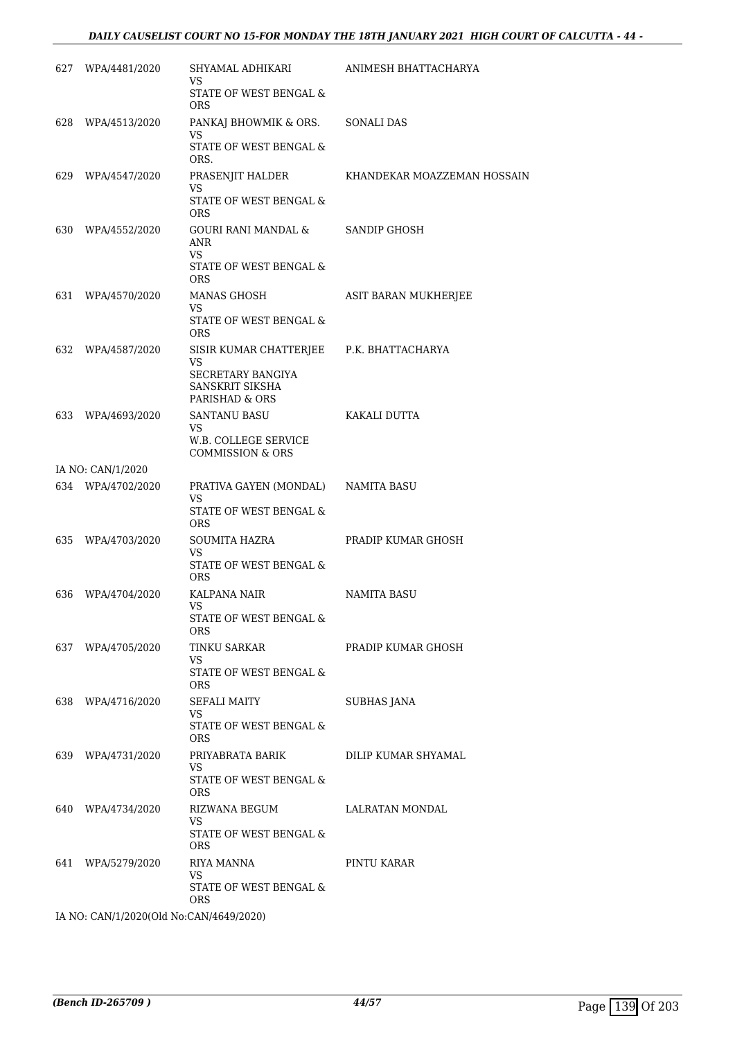# *DAILY CAUSELIST COURT NO 15-FOR MONDAY THE 18TH JANUARY 2021 HIGH COURT OF CALCUTTA - 44 -*

| 627 | WPA/4481/2020                           | SHYAMAL ADHIKARI                                             | ANIMESH BHATTACHARYA        |
|-----|-----------------------------------------|--------------------------------------------------------------|-----------------------------|
|     |                                         | VS                                                           |                             |
|     |                                         | STATE OF WEST BENGAL &<br><b>ORS</b>                         |                             |
| 628 | WPA/4513/2020                           | PANKAJ BHOWMIK & ORS.<br>VS                                  | <b>SONALI DAS</b>           |
|     |                                         | STATE OF WEST BENGAL &<br>ORS.                               |                             |
| 629 | WPA/4547/2020                           | PRASENJIT HALDER                                             | KHANDEKAR MOAZZEMAN HOSSAIN |
|     |                                         | VS<br>STATE OF WEST BENGAL &<br><b>ORS</b>                   |                             |
|     | 630 WPA/4552/2020                       | GOURI RANI MANDAL &<br><b>ANR</b><br>VS                      | SANDIP GHOSH                |
|     |                                         | STATE OF WEST BENGAL &<br><b>ORS</b>                         |                             |
| 631 | WPA/4570/2020                           | MANAS GHOSH<br>VS                                            | ASIT BARAN MUKHERJEE        |
|     |                                         | STATE OF WEST BENGAL &<br><b>ORS</b>                         |                             |
| 632 | WPA/4587/2020                           | SISIR KUMAR CHATTERJEE                                       | P.K. BHATTACHARYA           |
|     |                                         | VS<br>SECRETARY BANGIYA<br>SANSKRIT SIKSHA<br>PARISHAD & ORS |                             |
| 633 | WPA/4693/2020                           | SANTANU BASU                                                 | KAKALI DUTTA                |
|     |                                         | VS<br>W.B. COLLEGE SERVICE<br><b>COMMISSION &amp; ORS</b>    |                             |
|     | IA NO: CAN/1/2020                       |                                                              |                             |
|     | 634 WPA/4702/2020                       | PRATIVA GAYEN (MONDAL)<br>VS<br>STATE OF WEST BENGAL &       | NAMITA BASU                 |
| 635 | WPA/4703/2020                           | ORS<br>SOUMITA HAZRA                                         | PRADIP KUMAR GHOSH          |
|     |                                         | VS.<br>STATE OF WEST BENGAL &                                |                             |
| 636 | WPA/4704/2020                           | <b>ORS</b><br>KALPANA NAIR                                   | NAMITA BASU                 |
|     |                                         | VS<br>STATE OF WEST BENGAL &                                 |                             |
|     |                                         | ORS.                                                         |                             |
|     | 637 WPA/4705/2020                       | TINKU SARKAR<br><b>VS</b>                                    | PRADIP KUMAR GHOSH          |
|     |                                         | STATE OF WEST BENGAL &<br><b>ORS</b>                         |                             |
|     | 638 WPA/4716/2020                       | SEFALI MAITY                                                 | <b>SUBHAS JANA</b>          |
|     |                                         | VS<br>STATE OF WEST BENGAL &<br><b>ORS</b>                   |                             |
|     | 639 WPA/4731/2020                       | PRIYABRATA BARIK                                             | DILIP KUMAR SHYAMAL         |
|     |                                         | VS.<br>STATE OF WEST BENGAL &<br><b>ORS</b>                  |                             |
|     | 640 WPA/4734/2020                       | RIZWANA BEGUM                                                | LALRATAN MONDAL             |
|     |                                         | VS<br>STATE OF WEST BENGAL &<br>ORS                          |                             |
|     | 641 WPA/5279/2020                       | RIYA MANNA                                                   | PINTU KARAR                 |
|     |                                         | VS<br>STATE OF WEST BENGAL &                                 |                             |
|     | IA NO: CAN/1/2020(Old No:CAN/4649/2020) | ORS.                                                         |                             |
|     |                                         |                                                              |                             |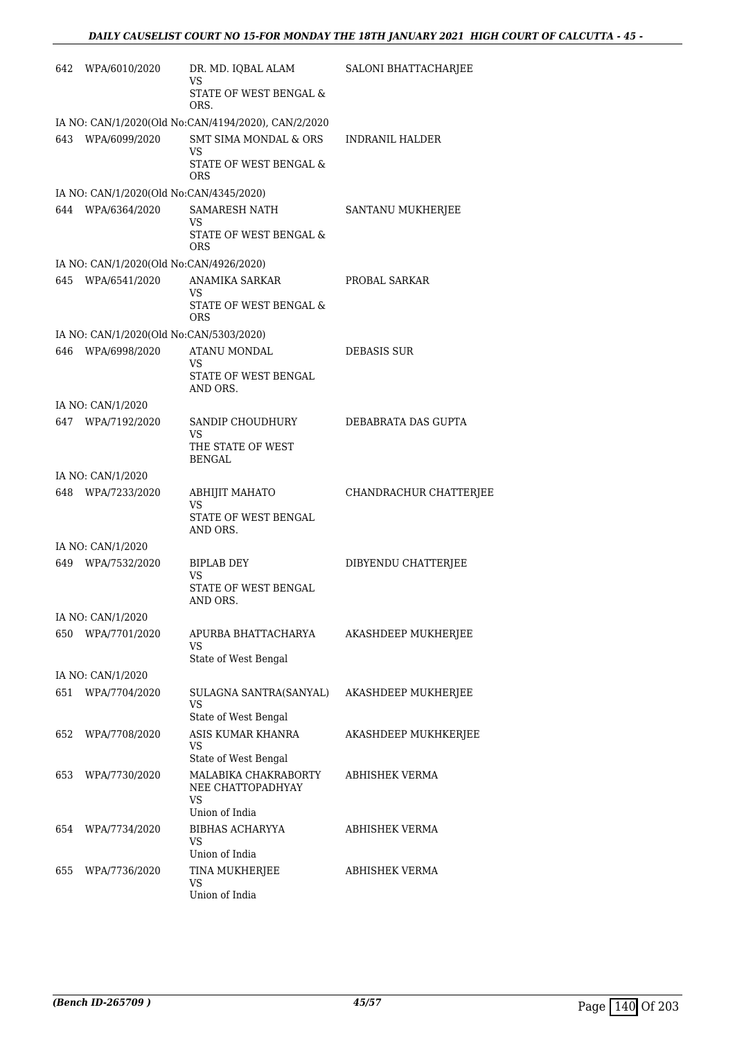| 642 | WPA/6010/2020                           | DR. MD. IQBAL ALAM<br>VS                            | SALONI BHATTACHARJEE   |
|-----|-----------------------------------------|-----------------------------------------------------|------------------------|
|     |                                         | STATE OF WEST BENGAL &<br>ORS.                      |                        |
|     |                                         | IA NO: CAN/1/2020(Old No:CAN/4194/2020), CAN/2/2020 |                        |
|     | 643 WPA/6099/2020                       | SMT SIMA MONDAL & ORS<br>VS.                        | <b>INDRANIL HALDER</b> |
|     |                                         | STATE OF WEST BENGAL &<br>ORS                       |                        |
|     | IA NO: CAN/1/2020(Old No:CAN/4345/2020) |                                                     |                        |
| 644 | WPA/6364/2020                           | <b>SAMARESH NATH</b><br>VS                          | SANTANU MUKHERJEE      |
|     |                                         | STATE OF WEST BENGAL &<br><b>ORS</b>                |                        |
|     | IA NO: CAN/1/2020(Old No:CAN/4926/2020) |                                                     |                        |
|     | 645 WPA/6541/2020                       | ANAMIKA SARKAR<br>VS.                               | PROBAL SARKAR          |
|     |                                         | STATE OF WEST BENGAL &<br><b>ORS</b>                |                        |
|     | IA NO: CAN/1/2020(Old No:CAN/5303/2020) |                                                     |                        |
| 646 | WPA/6998/2020                           | ATANU MONDAL<br>VS                                  | DEBASIS SUR            |
|     |                                         | STATE OF WEST BENGAL<br>AND ORS.                    |                        |
|     | IA NO: CAN/1/2020                       |                                                     |                        |
|     | 647 WPA/7192/2020                       | SANDIP CHOUDHURY<br><b>VS</b>                       | DEBABRATA DAS GUPTA    |
|     |                                         | THE STATE OF WEST<br><b>BENGAL</b>                  |                        |
|     | IA NO: CAN/1/2020                       |                                                     |                        |
|     | 648 WPA/7233/2020                       | ABHIJIT MAHATO                                      | CHANDRACHUR CHATTERJEE |
|     |                                         | VS<br>STATE OF WEST BENGAL<br>AND ORS.              |                        |
|     | IA NO: CAN/1/2020                       |                                                     |                        |
|     | 649 WPA/7532/2020                       | <b>BIPLAB DEY</b>                                   | DIBYENDU CHATTERJEE    |
|     |                                         | VS<br>STATE OF WEST BENGAL<br>AND ORS.              |                        |
|     | IA NO: CAN/1/2020                       |                                                     |                        |
| 650 | WPA/7701/2020                           | APURBA BHATTACHARYA<br>VS                           | AKASHDEEP MUKHERJEE    |
|     |                                         | State of West Bengal                                |                        |
|     | IA NO: CAN/1/2020                       |                                                     |                        |
| 651 | WPA/7704/2020                           | SULAGNA SANTRA(SANYAL)<br>VS                        | AKASHDEEP MUKHERJEE    |
|     |                                         | State of West Bengal                                |                        |
| 652 | WPA/7708/2020                           | ASIS KUMAR KHANRA<br>VS                             | AKASHDEEP MUKHKERJEE   |
|     |                                         | State of West Bengal                                |                        |
| 653 | WPA/7730/2020                           | MALABIKA CHAKRABORTY<br>NEE CHATTOPADHYAY<br>VS     | ABHISHEK VERMA         |
|     |                                         | Union of India                                      |                        |
| 654 | WPA/7734/2020                           | <b>BIBHAS ACHARYYA</b><br>VS                        | ABHISHEK VERMA         |
|     |                                         | Union of India                                      |                        |
| 655 | WPA/7736/2020                           | TINA MUKHERJEE<br>VS                                | ABHISHEK VERMA         |
|     |                                         | Union of India                                      |                        |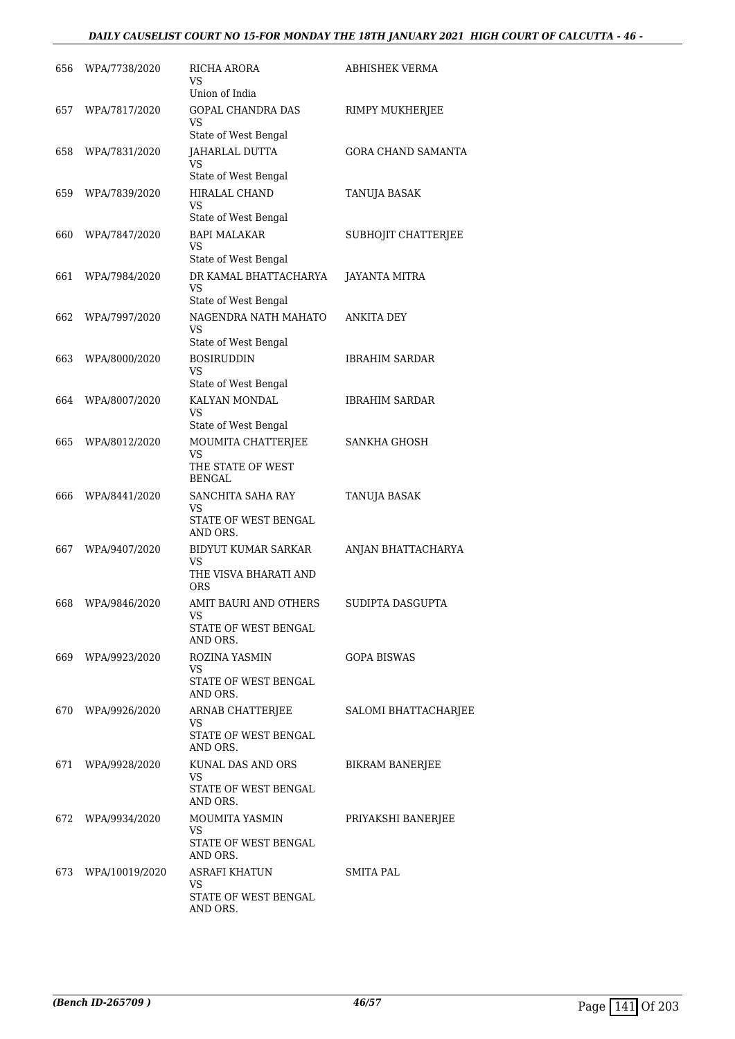# *DAILY CAUSELIST COURT NO 15-FOR MONDAY THE 18TH JANUARY 2021 HIGH COURT OF CALCUTTA - 46 -*

| 656 | WPA/7738/2020      | RICHA ARORA<br>VS<br>Union of India                                  | ABHISHEK VERMA            |
|-----|--------------------|----------------------------------------------------------------------|---------------------------|
| 657 | WPA/7817/2020      | <b>GOPAL CHANDRA DAS</b><br>VS                                       | RIMPY MUKHERJEE           |
| 658 | WPA/7831/2020      | State of West Bengal<br>JAHARLAL DUTTA<br>VS<br>State of West Bengal | <b>GORA CHAND SAMANTA</b> |
| 659 | WPA/7839/2020      | <b>HIRALAL CHAND</b><br>VS<br>State of West Bengal                   | TANUJA BASAK              |
| 660 | WPA/7847/2020      | <b>BAPI MALAKAR</b><br>VS<br>State of West Bengal                    | SUBHOJIT CHATTERJEE       |
| 661 | WPA/7984/2020      | DR KAMAL BHATTACHARYA<br>VS<br>State of West Bengal                  | JAYANTA MITRA             |
| 662 | WPA/7997/2020      | NAGENDRA NATH MAHATO<br>VS<br>State of West Bengal                   | ANKITA DEY                |
| 663 | WPA/8000/2020      | <b>BOSIRUDDIN</b><br>VS<br>State of West Bengal                      | <b>IBRAHIM SARDAR</b>     |
| 664 | WPA/8007/2020      | KALYAN MONDAL<br>VS<br>State of West Bengal                          | <b>IBRAHIM SARDAR</b>     |
| 665 | WPA/8012/2020      | MOUMITA CHATTERJEE<br>VS<br>THE STATE OF WEST<br>BENGAL              | <b>SANKHA GHOSH</b>       |
| 666 | WPA/8441/2020      | SANCHITA SAHA RAY<br>VS<br>STATE OF WEST BENGAL<br>AND ORS.          | TANUJA BASAK              |
| 667 | WPA/9407/2020      | <b>BIDYUT KUMAR SARKAR</b><br>VS<br>THE VISVA BHARATI AND<br>ORS     | ANJAN BHATTACHARYA        |
| 668 | WPA/9846/2020      | AMIT BAURI AND OTHERS<br>VS<br>STATE OF WEST BENGAL<br>AND ORS.      | SUDIPTA DASGUPTA          |
| 669 | WPA/9923/2020      | ROZINA YASMIN<br>VS<br>STATE OF WEST BENGAL<br>AND ORS.              | <b>GOPA BISWAS</b>        |
|     | 670 WPA/9926/2020  | ARNAB CHATTERJEE<br>VS<br>STATE OF WEST BENGAL<br>AND ORS.           | SALOMI BHATTACHARJEE      |
|     | 671 WPA/9928/2020  | KUNAL DAS AND ORS<br>VS.<br>STATE OF WEST BENGAL<br>AND ORS.         | <b>BIKRAM BANERJEE</b>    |
| 672 | WPA/9934/2020      | MOUMITA YASMIN<br>VS<br>STATE OF WEST BENGAL<br>AND ORS.             | PRIYAKSHI BANERJEE        |
|     | 673 WPA/10019/2020 | ASRAFI KHATUN<br>VS<br>STATE OF WEST BENGAL<br>AND ORS.              | SMITA PAL                 |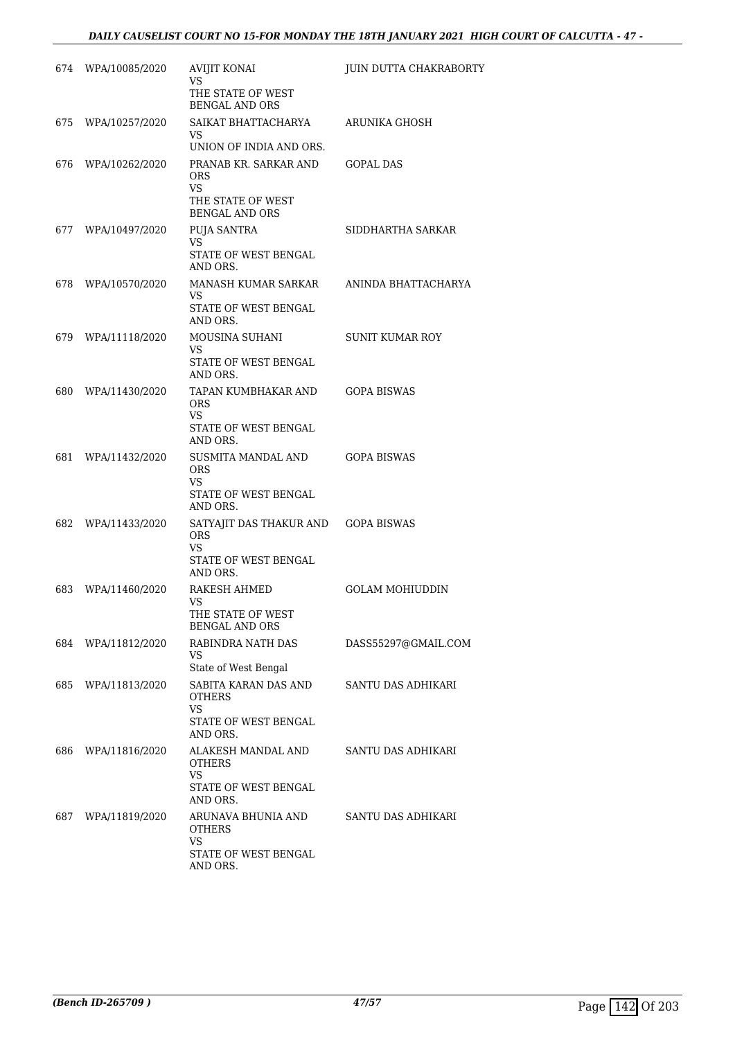| 674 | WPA/10085/2020 | <b>AVIJIT KONAI</b><br>VS                                                                        | <b>JUIN DUTTA CHAKRABORTY</b> |
|-----|----------------|--------------------------------------------------------------------------------------------------|-------------------------------|
|     |                | THE STATE OF WEST<br><b>BENGAL AND ORS</b>                                                       |                               |
| 675 | WPA/10257/2020 | SAIKAT BHATTACHARYA<br>VS                                                                        | ARUNIKA GHOSH                 |
| 676 | WPA/10262/2020 | UNION OF INDIA AND ORS.<br>PRANAB KR. SARKAR AND<br><b>ORS</b><br><b>VS</b><br>THE STATE OF WEST | <b>GOPAL DAS</b>              |
| 677 | WPA/10497/2020 | <b>BENGAL AND ORS</b><br>PUJA SANTRA                                                             | SIDDHARTHA SARKAR             |
|     |                | VS<br>STATE OF WEST BENGAL<br>AND ORS.                                                           |                               |
| 678 | WPA/10570/2020 | MANASH KUMAR SARKAR<br>VS.<br>STATE OF WEST BENGAL<br>AND ORS.                                   | ANINDA BHATTACHARYA           |
| 679 | WPA/11118/2020 | MOUSINA SUHANI<br>VS<br>STATE OF WEST BENGAL<br>AND ORS.                                         | <b>SUNIT KUMAR ROY</b>        |
| 680 | WPA/11430/2020 | TAPAN KUMBHAKAR AND<br><b>ORS</b><br><b>VS</b><br>STATE OF WEST BENGAL<br>AND ORS.               | <b>GOPA BISWAS</b>            |
| 681 | WPA/11432/2020 | SUSMITA MANDAL AND<br><b>ORS</b><br>VS<br>STATE OF WEST BENGAL<br>AND ORS.                       | <b>GOPA BISWAS</b>            |
| 682 | WPA/11433/2020 | SATYAJIT DAS THAKUR AND<br><b>ORS</b><br><b>VS</b><br>STATE OF WEST BENGAL<br>AND ORS.           | <b>GOPA BISWAS</b>            |
| 683 | WPA/11460/2020 | RAKESH AHMED<br>VS<br>THE STATE OF WEST<br><b>BENGAL AND ORS</b>                                 | GOLAM MOHIUDDIN               |
| 684 | WPA/11812/2020 | RABINDRA NATH DAS<br>VS<br>State of West Bengal                                                  | DASS55297@GMAIL.COM           |
| 685 | WPA/11813/2020 | SABITA KARAN DAS AND<br><b>OTHERS</b><br>VS<br>STATE OF WEST BENGAL<br>AND ORS.                  | SANTU DAS ADHIKARI            |
| 686 | WPA/11816/2020 | ALAKESH MANDAL AND<br><b>OTHERS</b><br>VS<br>STATE OF WEST BENGAL<br>AND ORS.                    | SANTU DAS ADHIKARI            |
| 687 | WPA/11819/2020 | ARUNAVA BHUNIA AND<br><b>OTHERS</b><br>VS.<br>STATE OF WEST BENGAL<br>AND ORS.                   | SANTU DAS ADHIKARI            |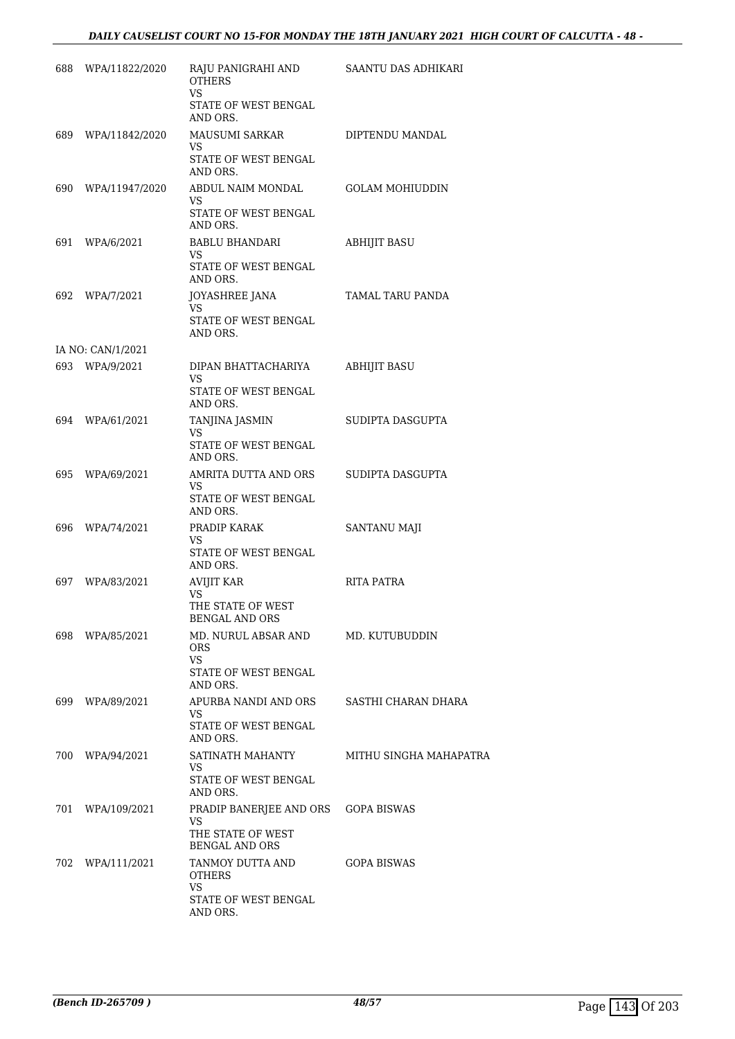| 688 | WPA/11822/2020     | RAJU PANIGRAHI AND<br><b>OTHERS</b><br><b>VS</b> | SAANTU DAS ADHIKARI    |
|-----|--------------------|--------------------------------------------------|------------------------|
|     |                    | STATE OF WEST BENGAL<br>AND ORS.                 |                        |
| 689 | WPA/11842/2020     | MAUSUMI SARKAR                                   | DIPTENDU MANDAL        |
|     |                    | VS<br>STATE OF WEST BENGAL<br>AND ORS.           |                        |
|     | 690 WPA/11947/2020 | ABDUL NAIM MONDAL                                | <b>GOLAM MOHIUDDIN</b> |
|     |                    | VS<br>STATE OF WEST BENGAL<br>AND ORS.           |                        |
| 691 | WPA/6/2021         | BABLU BHANDARI<br>VS                             | <b>ABHIJIT BASU</b>    |
|     |                    | STATE OF WEST BENGAL<br>AND ORS.                 |                        |
| 692 | WPA/7/2021         | JOYASHREE JANA<br>VS                             | TAMAL TARU PANDA       |
|     |                    | STATE OF WEST BENGAL<br>AND ORS.                 |                        |
|     | IA NO: CAN/1/2021  |                                                  |                        |
|     | 693 WPA/9/2021     | DIPAN BHATTACHARIYA<br>VS                        | <b>ABHIJIT BASU</b>    |
|     |                    | STATE OF WEST BENGAL<br>AND ORS.                 |                        |
| 694 | WPA/61/2021        | TANJINA JASMIN<br>VS                             | SUDIPTA DASGUPTA       |
|     |                    | STATE OF WEST BENGAL<br>AND ORS.                 |                        |
| 695 | WPA/69/2021        | AMRITA DUTTA AND ORS<br>VS                       | SUDIPTA DASGUPTA       |
|     |                    | STATE OF WEST BENGAL<br>AND ORS.                 |                        |
| 696 | WPA/74/2021        | PRADIP KARAK<br>VS                               | SANTANU MAJI           |
|     |                    | STATE OF WEST BENGAL<br>AND ORS.                 |                        |
| 697 | WPA/83/2021        | AVIJIT KAR<br>VS                                 | RITA PATRA             |
|     |                    | THE STATE OF WEST<br><b>BENGAL AND ORS</b>       |                        |
| 698 | WPA/85/2021        | MD. NURUL ABSAR AND<br><b>ORS</b><br>VS          | MD. KUTUBUDDIN         |
|     |                    | STATE OF WEST BENGAL<br>AND ORS.                 |                        |
|     | 699 WPA/89/2021    | APURBA NANDI AND ORS                             | SASTHI CHARAN DHARA    |
|     |                    | VS.<br>STATE OF WEST BENGAL<br>AND ORS.          |                        |
| 700 | WPA/94/2021        | SATINATH MAHANTY<br>VS                           | MITHU SINGHA MAHAPATRA |
|     |                    | STATE OF WEST BENGAL<br>AND ORS.                 |                        |
| 701 | WPA/109/2021       | PRADIP BANERJEE AND ORS                          | <b>GOPA BISWAS</b>     |
|     |                    | VS<br>THE STATE OF WEST<br><b>BENGAL AND ORS</b> |                        |
| 702 | WPA/111/2021       | TANMOY DUTTA AND<br>OTHERS                       | GOPA BISWAS            |
|     |                    | <b>VS</b><br>STATE OF WEST BENGAL<br>AND ORS.    |                        |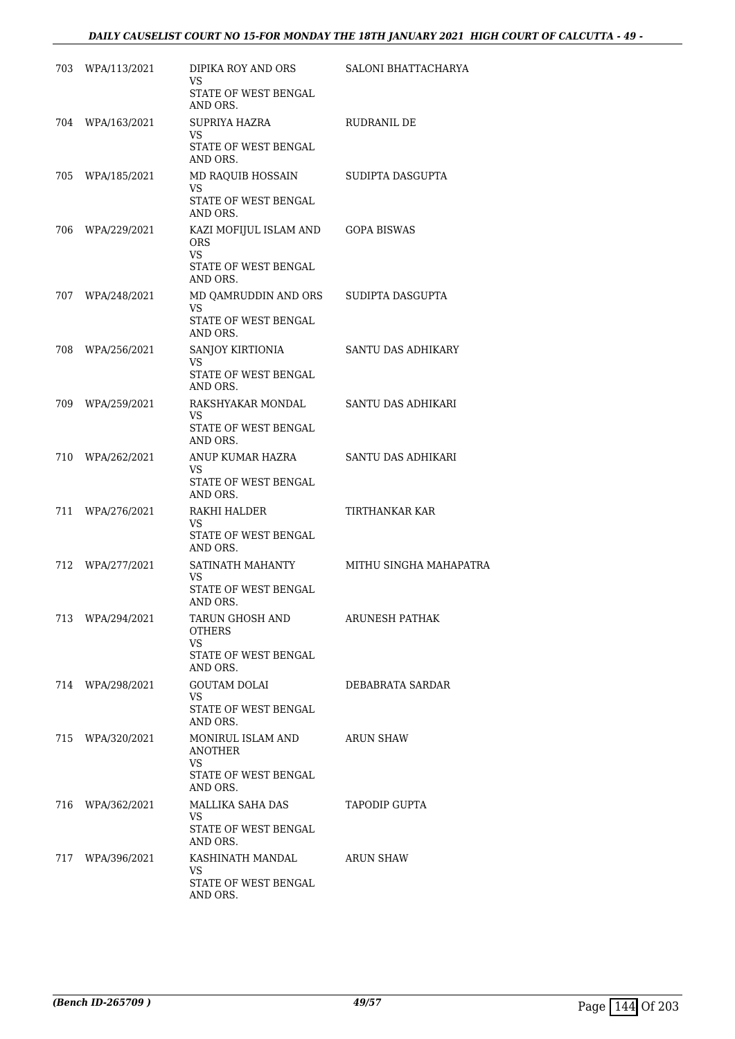| 703 | WPA/113/2021     | DIPIKA ROY AND ORS<br>VS<br>STATE OF WEST BENGAL                    | SALONI BHATTACHARYA    |
|-----|------------------|---------------------------------------------------------------------|------------------------|
|     |                  | AND ORS.                                                            |                        |
| 704 | WPA/163/2021     | SUPRIYA HAZRA<br><b>VS</b><br>STATE OF WEST BENGAL                  | RUDRANIL DE            |
| 705 | WPA/185/2021     | AND ORS.<br>MD RAQUIB HOSSAIN                                       | SUDIPTA DASGUPTA       |
|     |                  | <b>VS</b><br>STATE OF WEST BENGAL<br>AND ORS.                       |                        |
| 706 | WPA/229/2021     | KAZI MOFIJUL ISLAM AND<br><b>ORS</b><br>VS.<br>STATE OF WEST BENGAL | <b>GOPA BISWAS</b>     |
|     |                  | AND ORS.                                                            |                        |
| 707 | WPA/248/2021     | MD QAMRUDDIN AND ORS<br>VS<br>STATE OF WEST BENGAL<br>AND ORS.      | SUDIPTA DASGUPTA       |
| 708 | WPA/256/2021     | SANJOY KIRTIONIA                                                    | SANTU DAS ADHIKARY     |
|     |                  | VS<br>STATE OF WEST BENGAL<br>AND ORS.                              |                        |
| 709 | WPA/259/2021     | RAKSHYAKAR MONDAL<br>VS<br>STATE OF WEST BENGAL<br>AND ORS.         | SANTU DAS ADHIKARI     |
| 710 | WPA/262/2021     | ANUP KUMAR HAZRA<br>VS<br>STATE OF WEST BENGAL<br>AND ORS.          | SANTU DAS ADHIKARI     |
| 711 | WPA/276/2021     | RAKHI HALDER<br>VS<br>STATE OF WEST BENGAL<br>AND ORS.              | TIRTHANKAR KAR         |
| 712 | WPA/277/2021     | SATINATH MAHANTY<br>VS<br>STATE OF WEST BENGAL<br>AND ORS.          | MITHU SINGHA MAHAPATRA |
|     | 713 WPA/294/2021 | TARUN GHOSH AND<br><b>OTHERS</b><br>VS<br>STATE OF WEST BENGAL      | ARUNESH PATHAK         |
|     |                  | AND ORS.                                                            |                        |
|     | 714 WPA/298/2021 | GOUTAM DOLAI<br>VS.<br>STATE OF WEST BENGAL                         | DEBABRATA SARDAR       |
|     | 715 WPA/320/2021 | AND ORS.<br>MONIRUL ISLAM AND<br><b>ANOTHER</b>                     | ARUN SHAW              |
|     |                  | VS.<br>STATE OF WEST BENGAL<br>AND ORS.                             |                        |
|     | 716 WPA/362/2021 | MALLIKA SAHA DAS<br>VS.<br>STATE OF WEST BENGAL                     | TAPODIP GUPTA          |
|     |                  | AND ORS.                                                            |                        |
|     | 717 WPA/396/2021 | KASHINATH MANDAL<br>VS                                              | ARUN SHAW              |
|     |                  | STATE OF WEST BENGAL<br>AND ORS.                                    |                        |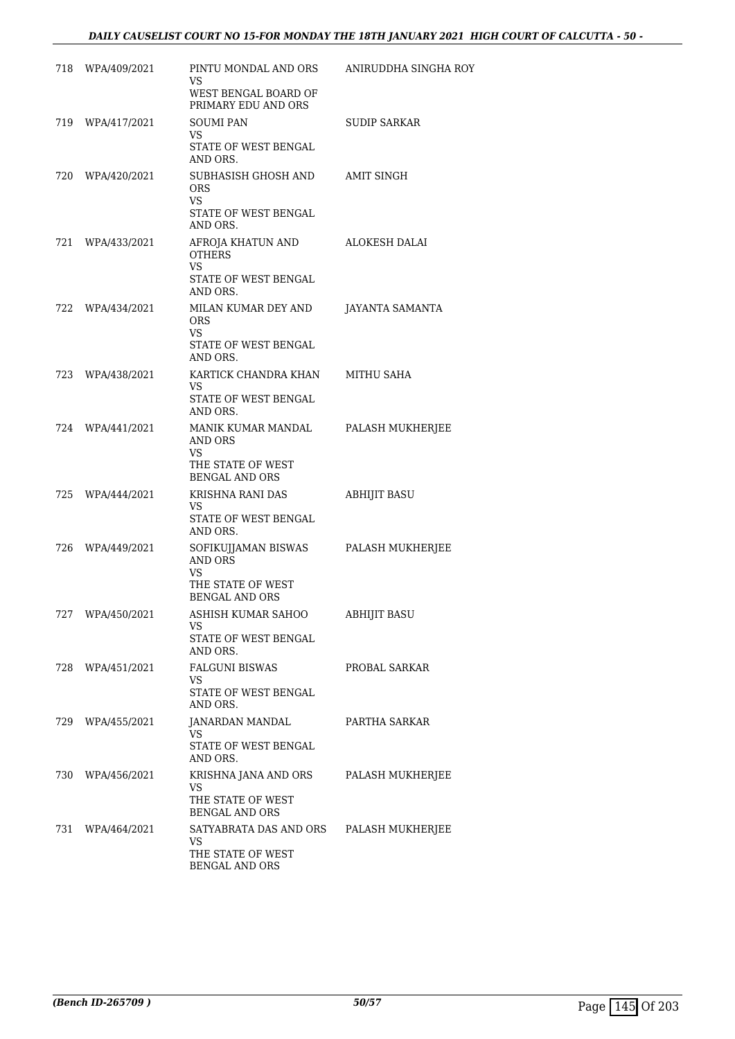# *DAILY CAUSELIST COURT NO 15-FOR MONDAY THE 18TH JANUARY 2021 HIGH COURT OF CALCUTTA - 50 -*

|     | 718 WPA/409/2021 | PINTU MONDAL AND ORS<br>VS<br>WEST BENGAL BOARD OF                                             | ANIRUDDHA SINGHA ROY |
|-----|------------------|------------------------------------------------------------------------------------------------|----------------------|
|     |                  | PRIMARY EDU AND ORS                                                                            |                      |
| 719 | WPA/417/2021     | <b>SOUMI PAN</b><br><b>VS</b>                                                                  | SUDIP SARKAR         |
|     |                  | STATE OF WEST BENGAL<br>AND ORS.                                                               |                      |
| 720 | WPA/420/2021     | SUBHASISH GHOSH AND<br>ORS<br><b>VS</b><br>STATE OF WEST BENGAL                                | AMIT SINGH           |
| 721 | WPA/433/2021     | AND ORS.<br>AFROJA KHATUN AND<br><b>OTHERS</b><br><b>VS</b><br>STATE OF WEST BENGAL            | ALOKESH DALAI        |
|     |                  | AND ORS.                                                                                       |                      |
| 722 | WPA/434/2021     | MILAN KUMAR DEY AND<br>ORS<br>VS<br>STATE OF WEST BENGAL<br>AND ORS.                           | JAYANTA SAMANTA      |
|     | 723 WPA/438/2021 | KARTICK CHANDRA KHAN                                                                           | MITHU SAHA           |
|     |                  | <b>VS</b><br>STATE OF WEST BENGAL<br>AND ORS.                                                  |                      |
| 724 | WPA/441/2021     | MANIK KUMAR MANDAL<br>AND ORS<br>VS<br>THE STATE OF WEST<br><b>BENGAL AND ORS</b>              | PALASH MUKHERJEE     |
|     | 725 WPA/444/2021 | KRISHNA RANI DAS<br>VS<br>STATE OF WEST BENGAL                                                 | ABHIJIT BASU         |
| 726 | WPA/449/2021     | AND ORS.<br>SOFIKUJJAMAN BISWAS<br>AND ORS<br>VS<br>THE STATE OF WEST<br><b>BENGAL AND ORS</b> | PALASH MUKHERJEE     |
|     | 727 WPA/450/2021 | ASHISH KUMAR SAHOO<br>VS<br>STATE OF WEST BENGAL<br>AND ORS.                                   | <b>ABHIJIT BASU</b>  |
|     | 728 WPA/451/2021 | FALGUNI BISWAS<br>VS<br>STATE OF WEST BENGAL<br>AND ORS.                                       | PROBAL SARKAR        |
| 729 | WPA/455/2021     | JANARDAN MANDAL<br>VS.<br>STATE OF WEST BENGAL<br>AND ORS.                                     | PARTHA SARKAR        |
|     | 730 WPA/456/2021 | KRISHNA JANA AND ORS<br>VS                                                                     | PALASH MUKHERJEE     |
|     |                  | THE STATE OF WEST<br><b>BENGAL AND ORS</b>                                                     |                      |
|     | 731 WPA/464/2021 | SATYABRATA DAS AND ORS<br>VS.                                                                  | PALASH MUKHERJEE     |
|     |                  | THE STATE OF WEST<br><b>BENGAL AND ORS</b>                                                     |                      |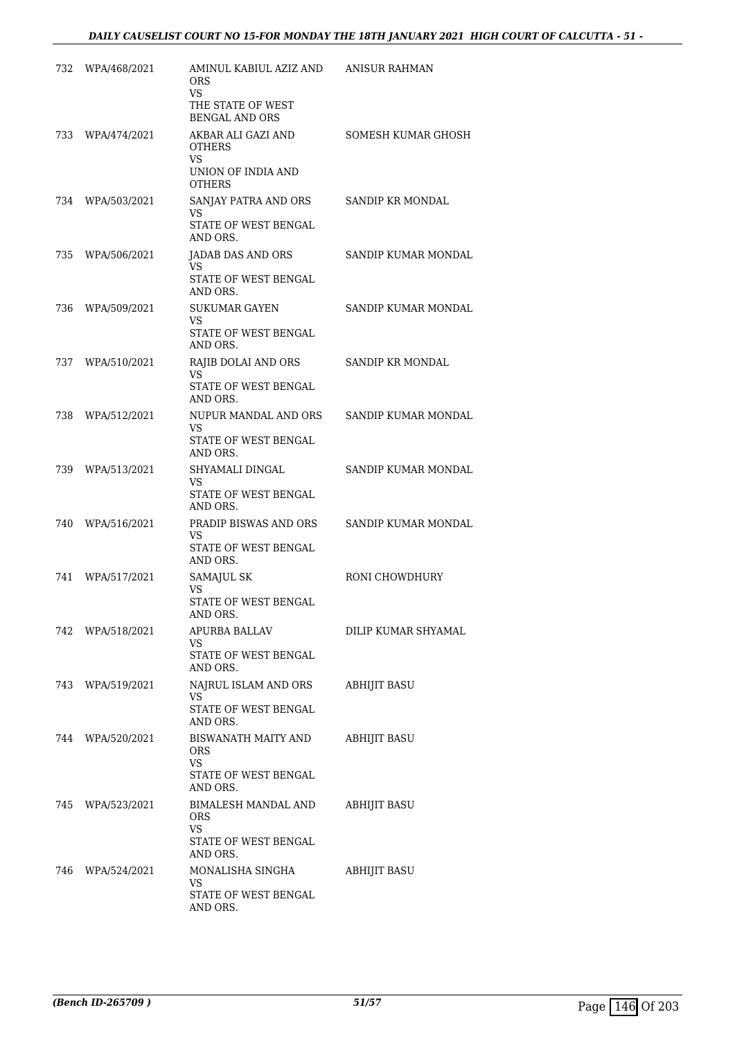| 732 | WPA/468/2021     | AMINUL KABIUL AZIZ AND<br>ORS<br><b>VS</b>          | ANISUR RAHMAN       |
|-----|------------------|-----------------------------------------------------|---------------------|
|     |                  | THE STATE OF WEST<br><b>BENGAL AND ORS</b>          |                     |
| 733 | WPA/474/2021     | AKBAR ALI GAZI AND<br>OTHERS<br>VS.                 | SOMESH KUMAR GHOSH  |
|     |                  | UNION OF INDIA AND<br><b>OTHERS</b>                 |                     |
|     | 734 WPA/503/2021 | SANJAY PATRA AND ORS<br>VS                          | SANDIP KR MONDAL    |
|     |                  | STATE OF WEST BENGAL<br>AND ORS.                    |                     |
| 735 | WPA/506/2021     | JADAB DAS AND ORS<br>VS.                            | SANDIP KUMAR MONDAL |
|     |                  | STATE OF WEST BENGAL<br>AND ORS.                    |                     |
| 736 | WPA/509/2021     | <b>SUKUMAR GAYEN</b><br>VS.                         | SANDIP KUMAR MONDAL |
|     |                  | STATE OF WEST BENGAL<br>AND ORS.                    |                     |
| 737 | WPA/510/2021     | RAJIB DOLAI AND ORS<br>VS                           | SANDIP KR MONDAL    |
|     |                  | STATE OF WEST BENGAL<br>AND ORS.                    |                     |
| 738 | WPA/512/2021     | NUPUR MANDAL AND ORS<br>VS                          | SANDIP KUMAR MONDAL |
|     |                  | STATE OF WEST BENGAL<br>AND ORS.                    |                     |
| 739 | WPA/513/2021     | SHYAMALI DINGAL<br>VS                               | SANDIP KUMAR MONDAL |
|     |                  | STATE OF WEST BENGAL<br>AND ORS.                    |                     |
| 740 | WPA/516/2021     | PRADIP BISWAS AND ORS<br>VS<br>STATE OF WEST BENGAL | SANDIP KUMAR MONDAL |
|     |                  | AND ORS.                                            |                     |
| 741 | WPA/517/2021     | SAMAJUL SK<br>VS<br>STATE OF WEST BENGAL            | RONI CHOWDHURY      |
|     |                  | AND ORS.                                            |                     |
|     | 742 WPA/518/2021 | APURBA BALLAV<br>VS<br>STATE OF WEST BENGAL         | DILIP KUMAR SHYAMAL |
|     |                  | AND ORS.                                            |                     |
|     | 743 WPA/519/2021 | NAJRUL ISLAM AND ORS<br>VS.<br>STATE OF WEST BENGAL | ABHIJIT BASU        |
|     |                  | AND ORS.                                            |                     |
|     | 744 WPA/520/2021 | BISWANATH MAITY AND<br><b>ORS</b><br><b>VS</b>      | ABHIJIT BASU        |
|     |                  | STATE OF WEST BENGAL<br>AND ORS.                    |                     |
|     | 745 WPA/523/2021 | BIMALESH MANDAL AND<br><b>ORS</b>                   | ABHIJIT BASU        |
|     |                  | VS.<br>STATE OF WEST BENGAL<br>AND ORS.             |                     |
|     | 746 WPA/524/2021 | MONALISHA SINGHA<br>VS.                             | <b>ABHIJIT BASU</b> |
|     |                  | STATE OF WEST BENGAL<br>AND ORS.                    |                     |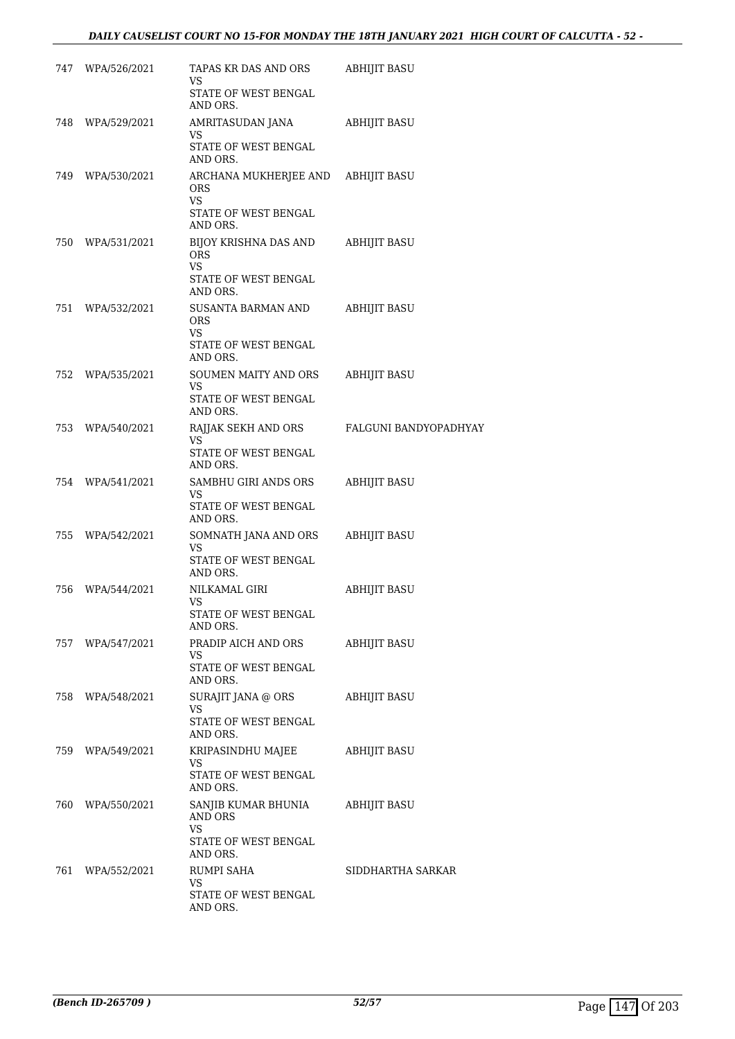# *DAILY CAUSELIST COURT NO 15-FOR MONDAY THE 18TH JANUARY 2021 HIGH COURT OF CALCUTTA - 52 -*

| 747 | WPA/526/2021     | TAPAS KR DAS AND ORS<br>VS<br>STATE OF WEST BENGAL<br>AND ORS.                             | ABHIJIT BASU          |
|-----|------------------|--------------------------------------------------------------------------------------------|-----------------------|
| 748 | WPA/529/2021     | AMRITASUDAN JANA<br>VS<br>STATE OF WEST BENGAL<br>AND ORS.                                 | ABHIJIT BASU          |
|     | 749 WPA/530/2021 | ARCHANA MUKHERJEE AND ABHIJIT BASU<br>ORS<br><b>VS</b><br>STATE OF WEST BENGAL<br>AND ORS. |                       |
| 750 | WPA/531/2021     | BIJOY KRISHNA DAS AND<br><b>ORS</b><br>VS<br>STATE OF WEST BENGAL<br>AND ORS.              | ABHIJIT BASU          |
| 751 | WPA/532/2021     | SUSANTA BARMAN AND<br><b>ORS</b><br><b>VS</b><br>STATE OF WEST BENGAL<br>AND ORS.          | <b>ABHIJIT BASU</b>   |
| 752 | WPA/535/2021     | SOUMEN MAITY AND ORS<br>VS<br>STATE OF WEST BENGAL<br>AND ORS.                             | <b>ABHIJIT BASU</b>   |
| 753 | WPA/540/2021     | RAJJAK SEKH AND ORS<br><b>VS</b><br>STATE OF WEST BENGAL<br>AND ORS.                       | FALGUNI BANDYOPADHYAY |
| 754 | WPA/541/2021     | SAMBHU GIRI ANDS ORS<br>VS<br>STATE OF WEST BENGAL<br>AND ORS.                             | ABHIJIT BASU          |
| 755 | WPA/542/2021     | SOMNATH JANA AND ORS<br>VS<br>STATE OF WEST BENGAL<br>AND ORS.                             | ABHIJIT BASU          |
| 756 | WPA/544/2021     | NILKAMAL GIRI<br>VS<br>STATE OF WEST BENGAL<br>AND ORS.                                    | <b>ABHIJIT BASU</b>   |
|     | 757 WPA/547/2021 | PRADIP AICH AND ORS<br>VS<br>STATE OF WEST BENGAL<br>AND ORS.                              | ABHIJIT BASU          |
| 758 | WPA/548/2021     | SURAJIT JANA @ ORS<br>VS<br>STATE OF WEST BENGAL<br>AND ORS.                               | ABHIJIT BASU          |
| 759 | WPA/549/2021     | KRIPASINDHU MAJEE<br>VS<br>STATE OF WEST BENGAL<br>AND ORS.                                | <b>ABHIJIT BASU</b>   |
|     | 760 WPA/550/2021 | SANJIB KUMAR BHUNIA<br>AND ORS<br><b>VS</b><br>STATE OF WEST BENGAL<br>AND ORS.            | <b>ABHIJIT BASU</b>   |
| 761 | WPA/552/2021     | RUMPI SAHA<br>VS<br>STATE OF WEST BENGAL<br>AND ORS.                                       | SIDDHARTHA SARKAR     |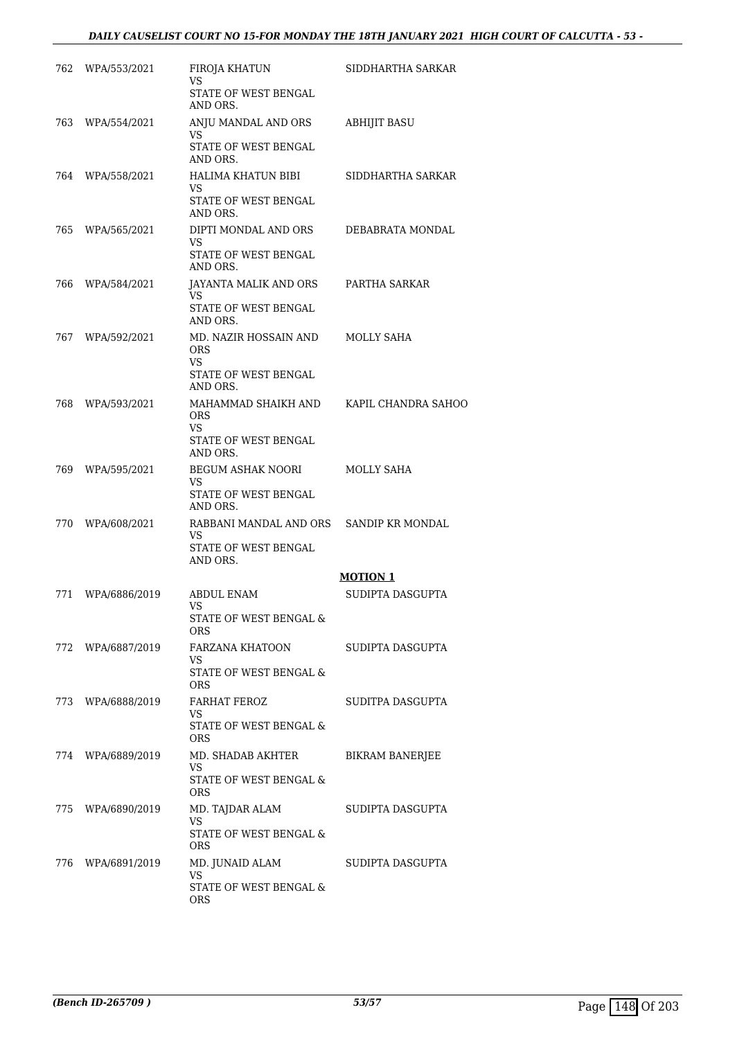# *DAILY CAUSELIST COURT NO 15-FOR MONDAY THE 18TH JANUARY 2021 HIGH COURT OF CALCUTTA - 53 -*

| 762  | WPA/553/2021      | FIROJA KHATUN<br>VS                     | SIDDHARTHA SARKAR      |
|------|-------------------|-----------------------------------------|------------------------|
|      |                   | STATE OF WEST BENGAL<br>AND ORS.        |                        |
| 763. | WPA/554/2021      | ANJU MANDAL AND ORS<br>VS               | <b>ABHIJIT BASU</b>    |
|      |                   | STATE OF WEST BENGAL<br>AND ORS.        |                        |
| 764  | WPA/558/2021      | HALIMA KHATUN BIBI<br>VS                | SIDDHARTHA SARKAR      |
|      |                   | STATE OF WEST BENGAL<br>AND ORS.        |                        |
| 765. | WPA/565/2021      | DIPTI MONDAL AND ORS<br>VS              | DEBABRATA MONDAL       |
|      |                   | STATE OF WEST BENGAL<br>AND ORS.        |                        |
| 766  | WPA/584/2021      | JAYANTA MALIK AND ORS<br>VS             | PARTHA SARKAR          |
|      |                   | STATE OF WEST BENGAL<br>AND ORS.        |                        |
| 767  | WPA/592/2021      | MD. NAZIR HOSSAIN AND<br><b>ORS</b>     | MOLLY SAHA             |
|      |                   | VS<br>STATE OF WEST BENGAL              |                        |
|      |                   | AND ORS.                                |                        |
| 768  | WPA/593/2021      | MAHAMMAD SHAIKH AND<br><b>ORS</b><br>VS | KAPIL CHANDRA SAHOO    |
|      |                   | STATE OF WEST BENGAL<br>AND ORS.        |                        |
| 769  | WPA/595/2021      | BEGUM ASHAK NOORI<br>VS                 | MOLLY SAHA             |
|      |                   | STATE OF WEST BENGAL<br>AND ORS.        |                        |
| 770  | WPA/608/2021      | RABBANI MANDAL AND ORS<br>VS            | SANDIP KR MONDAL       |
|      |                   | STATE OF WEST BENGAL<br>AND ORS.        |                        |
|      |                   |                                         | <b>MOTION 1</b>        |
| 771  | WPA/6886/2019     | <b>ABDUL ENAM</b><br>VS                 | SUDIPTA DASGUPTA       |
|      |                   | STATE OF WEST BENGAL &<br><b>ORS</b>    |                        |
|      | 772 WPA/6887/2019 | FARZANA KHATOON<br>VS                   | SUDIPTA DASGUPTA       |
|      |                   | STATE OF WEST BENGAL &<br><b>ORS</b>    |                        |
|      | 773 WPA/6888/2019 | FARHAT FEROZ<br>VS                      | SUDITPA DASGUPTA       |
|      |                   | STATE OF WEST BENGAL &<br><b>ORS</b>    |                        |
|      | 774 WPA/6889/2019 | MD. SHADAB AKHTER<br>VS                 | <b>BIKRAM BANERJEE</b> |
|      |                   | STATE OF WEST BENGAL &<br><b>ORS</b>    |                        |
|      | 775 WPA/6890/2019 | MD. TAJDAR ALAM<br>VS                   | SUDIPTA DASGUPTA       |
|      |                   | STATE OF WEST BENGAL &<br>ORS.          |                        |
|      | 776 WPA/6891/2019 | MD. JUNAID ALAM<br>VS                   | SUDIPTA DASGUPTA       |
|      |                   | STATE OF WEST BENGAL &<br>ORS.          |                        |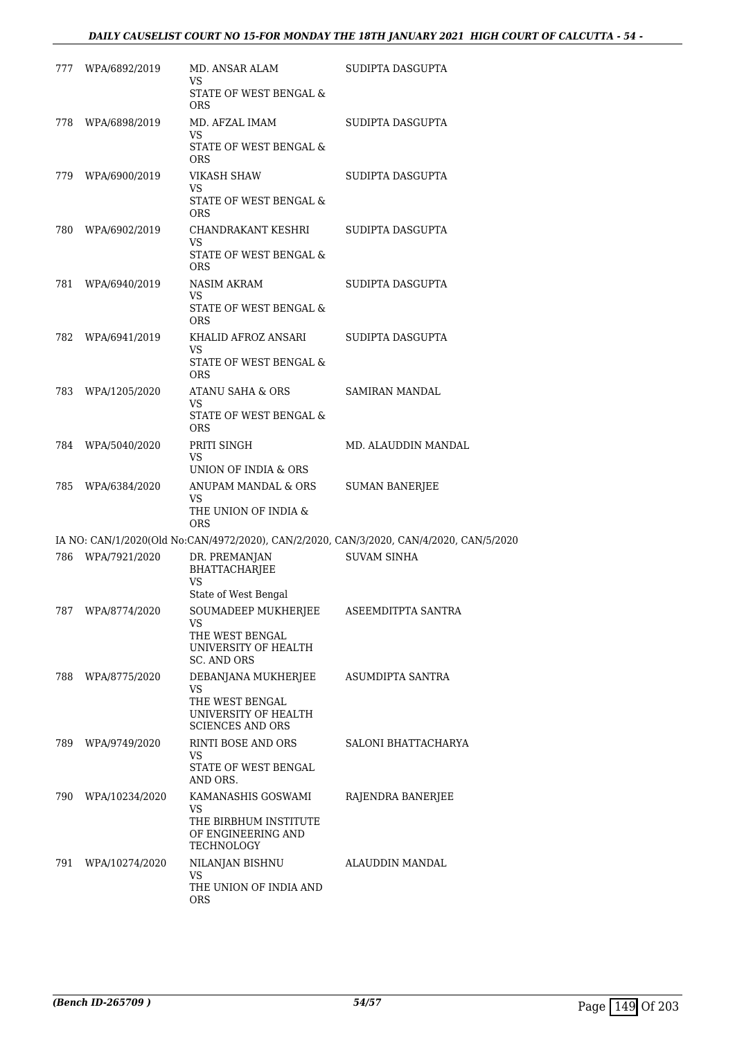# *DAILY CAUSELIST COURT NO 15-FOR MONDAY THE 18TH JANUARY 2021 HIGH COURT OF CALCUTTA - 54 -*

|     | 777 WPA/6892/2019  | MD. ANSAR ALAM<br>VS.<br>STATE OF WEST BENGAL &<br>ORS                                          | SUDIPTA DASGUPTA                                                                        |
|-----|--------------------|-------------------------------------------------------------------------------------------------|-----------------------------------------------------------------------------------------|
| 778 | WPA/6898/2019      | MD. AFZAL IMAM<br>VS<br>STATE OF WEST BENGAL &<br>ORS                                           | SUDIPTA DASGUPTA                                                                        |
| 779 | WPA/6900/2019      | VIKASH SHAW<br>VS<br>STATE OF WEST BENGAL &<br><b>ORS</b>                                       | SUDIPTA DASGUPTA                                                                        |
|     | 780 WPA/6902/2019  | CHANDRAKANT KESHRI<br>VS<br>STATE OF WEST BENGAL &<br><b>ORS</b>                                | SUDIPTA DASGUPTA                                                                        |
| 781 | WPA/6940/2019      | NASIM AKRAM<br>VS<br>STATE OF WEST BENGAL &<br>ORS                                              | SUDIPTA DASGUPTA                                                                        |
| 782 | WPA/6941/2019      | KHALID AFROZ ANSARI<br>VS<br>STATE OF WEST BENGAL &<br>ORS                                      | SUDIPTA DASGUPTA                                                                        |
|     | 783 WPA/1205/2020  | ATANU SAHA & ORS<br>VS<br>STATE OF WEST BENGAL &<br><b>ORS</b>                                  | SAMIRAN MANDAL                                                                          |
|     | 784 WPA/5040/2020  | PRITI SINGH<br>VS<br>UNION OF INDIA & ORS                                                       | MD. ALAUDDIN MANDAL                                                                     |
| 785 | WPA/6384/2020      | ANUPAM MANDAL & ORS<br>VS<br>THE UNION OF INDIA &<br><b>ORS</b>                                 | <b>SUMAN BANERJEE</b>                                                                   |
|     |                    |                                                                                                 | IA NO: CAN/1/2020(Old No:CAN/4972/2020), CAN/2/2020, CAN/3/2020, CAN/4/2020, CAN/5/2020 |
|     | 786 WPA/7921/2020  | DR. PREMANJAN<br>BHATTACHARJEE<br><b>VS</b><br>State of West Bengal                             | <b>SUVAM SINHA</b>                                                                      |
|     | 787 WPA/8774/2020  | SOUMADEEP MUKHERJEE<br>VS<br>THE WEST BENGAL<br>UNIVERSITY OF HEALTH<br>SC. AND ORS             | ASEEMDITPTA SANTRA                                                                      |
| 788 | WPA/8775/2020      | DEBANJANA MUKHERJEE<br>VS<br>THE WEST BENGAL<br>UNIVERSITY OF HEALTH<br><b>SCIENCES AND ORS</b> | ASUMDIPTA SANTRA                                                                        |
|     | 789 WPA/9749/2020  | RINTI BOSE AND ORS<br>VS.<br>STATE OF WEST BENGAL<br>AND ORS.                                   | SALONI BHATTACHARYA                                                                     |
|     | 790 WPA/10234/2020 | KAMANASHIS GOSWAMI<br>VS<br>THE BIRBHUM INSTITUTE<br>OF ENGINEERING AND<br>TECHNOLOGY           | RAJENDRA BANERJEE                                                                       |
| 791 | WPA/10274/2020     | NILANJAN BISHNU<br>VS<br>THE UNION OF INDIA AND<br>ORS                                          | ALAUDDIN MANDAL                                                                         |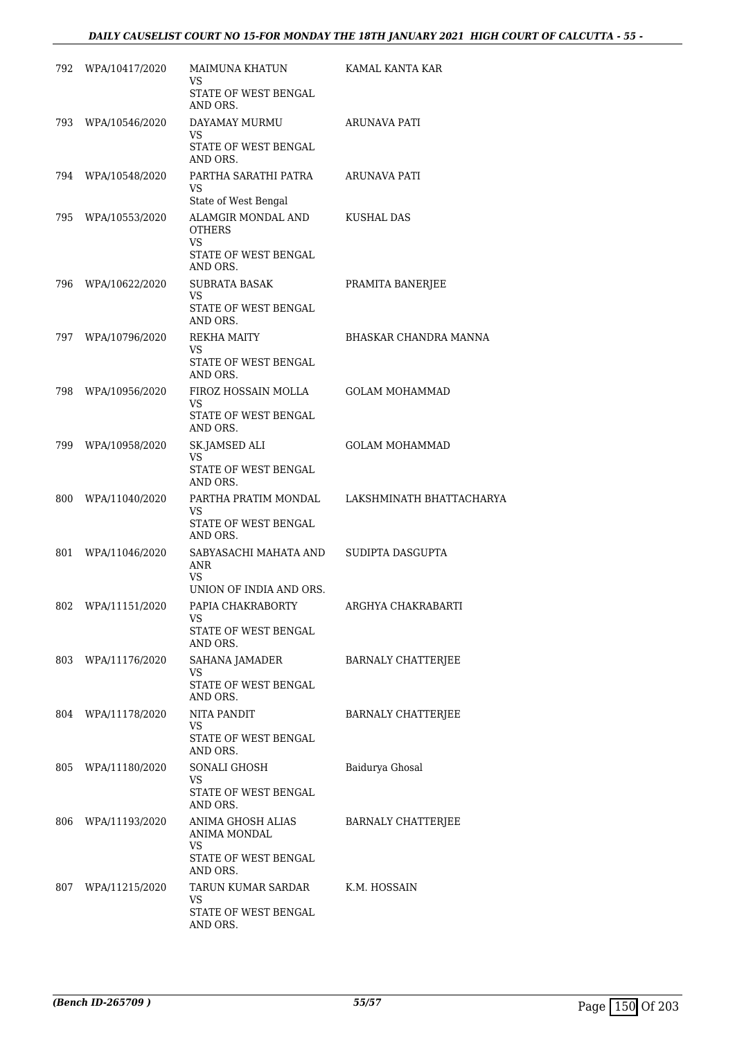# *DAILY CAUSELIST COURT NO 15-FOR MONDAY THE 18TH JANUARY 2021 HIGH COURT OF CALCUTTA - 55 -*

| 792 | WPA/10417/2020 | MAIMUNA KHATUN<br>VS                               | KAMAL KANTA KAR           |
|-----|----------------|----------------------------------------------------|---------------------------|
|     |                | STATE OF WEST BENGAL<br>AND ORS.                   |                           |
| 793 | WPA/10546/2020 | DAYAMAY MURMU<br>VS<br>STATE OF WEST BENGAL        | ARUNAVA PATI              |
|     |                | AND ORS.                                           |                           |
| 794 | WPA/10548/2020 | PARTHA SARATHI PATRA<br>VS<br>State of West Bengal | ARUNAVA PATI              |
| 795 | WPA/10553/2020 | ALAMGIR MONDAL AND<br><b>OTHERS</b><br><b>VS</b>   | KUSHAL DAS                |
|     |                | STATE OF WEST BENGAL<br>AND ORS.                   |                           |
| 796 | WPA/10622/2020 | <b>SUBRATA BASAK</b><br>VS                         | PRAMITA BANERJEE          |
|     |                | STATE OF WEST BENGAL<br>AND ORS.                   |                           |
| 797 | WPA/10796/2020 | REKHA MAITY<br>VS                                  | BHASKAR CHANDRA MANNA     |
|     |                | STATE OF WEST BENGAL<br>AND ORS.                   |                           |
| 798 | WPA/10956/2020 | FIROZ HOSSAIN MOLLA                                | <b>GOLAM MOHAMMAD</b>     |
|     |                | VS<br>STATE OF WEST BENGAL<br>AND ORS.             |                           |
| 799 | WPA/10958/2020 | SK.JAMSED ALI<br>VS                                | <b>GOLAM MOHAMMAD</b>     |
|     |                | STATE OF WEST BENGAL<br>AND ORS.                   |                           |
| 800 | WPA/11040/2020 | PARTHA PRATIM MONDAL<br>VS                         | LAKSHMINATH BHATTACHARYA  |
|     |                | STATE OF WEST BENGAL<br>AND ORS.                   |                           |
| 801 | WPA/11046/2020 | SABYASACHI MAHATA AND<br>ANR<br>VS                 | SUDIPTA DASGUPTA          |
|     |                | UNION OF INDIA AND ORS.                            |                           |
| 802 | WPA/11151/2020 | PAPIA CHAKRABORTY<br>VS<br>STATE OF WEST BENGAL    | ARGHYA CHAKRABARTI        |
|     |                | AND ORS.                                           |                           |
| 803 | WPA/11176/2020 | SAHANA JAMADER<br>VS                               | <b>BARNALY CHATTERJEE</b> |
|     |                | STATE OF WEST BENGAL<br>AND ORS.                   |                           |
| 804 | WPA/11178/2020 | <b>NITA PANDIT</b><br>VS                           | <b>BARNALY CHATTERJEE</b> |
|     |                | STATE OF WEST BENGAL<br>AND ORS.                   |                           |
| 805 | WPA/11180/2020 | SONALI GHOSH<br>VS                                 | Baidurya Ghosal           |
|     |                | STATE OF WEST BENGAL<br>AND ORS.                   |                           |
| 806 | WPA/11193/2020 | ANIMA GHOSH ALIAS<br>ANIMA MONDAL<br>VS            | BARNALY CHATTERJEE        |
|     |                | STATE OF WEST BENGAL<br>AND ORS.                   |                           |
| 807 | WPA/11215/2020 | TARUN KUMAR SARDAR<br>VS                           | K.M. HOSSAIN              |
|     |                | STATE OF WEST BENGAL<br>AND ORS.                   |                           |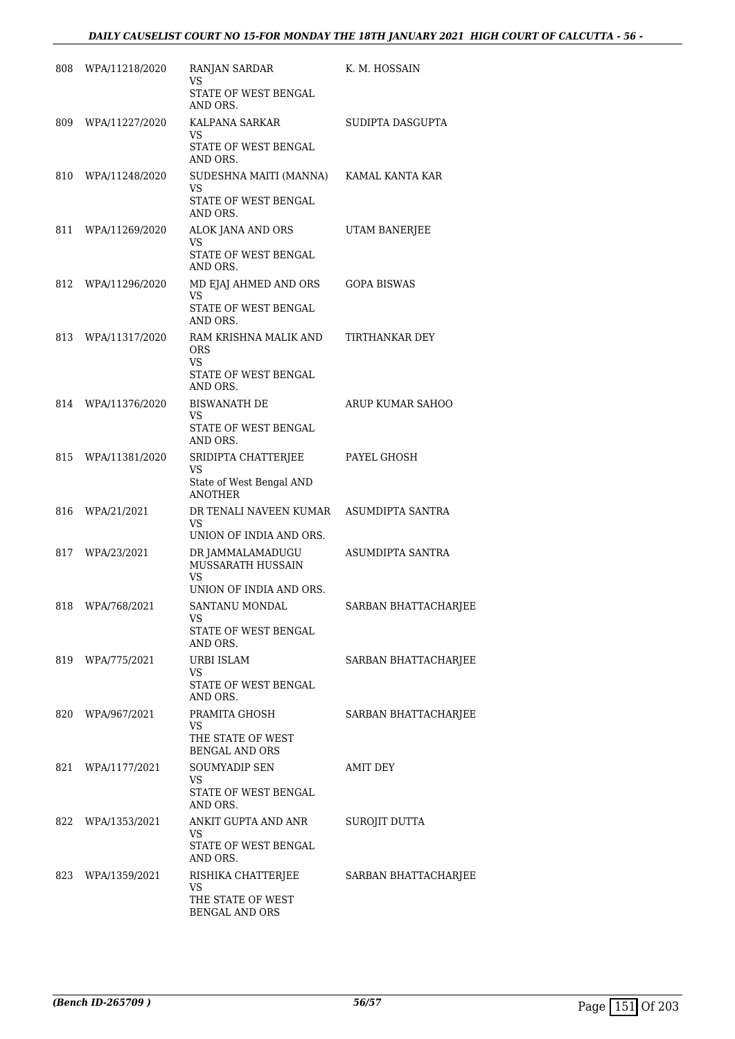| 808 | WPA/11218/2020    | RANJAN SARDAR<br>VS                                                     | K. M. HOSSAIN        |
|-----|-------------------|-------------------------------------------------------------------------|----------------------|
|     |                   | STATE OF WEST BENGAL<br>AND ORS.                                        |                      |
| 809 | WPA/11227/2020    | KALPANA SARKAR<br>VS<br>STATE OF WEST BENGAL<br>AND ORS.                | SUDIPTA DASGUPTA     |
| 810 | WPA/11248/2020    | SUDESHNA MAITI (MANNA)<br>VS<br>STATE OF WEST BENGAL<br>AND ORS.        | KAMAL KANTA KAR      |
| 811 | WPA/11269/2020    | ALOK JANA AND ORS<br>VS<br>STATE OF WEST BENGAL<br>AND ORS.             | UTAM BANERJEE        |
| 812 | WPA/11296/2020    | MD EJAJ AHMED AND ORS<br>VS<br>STATE OF WEST BENGAL<br>AND ORS.         | GOPA BISWAS          |
| 813 | WPA/11317/2020    | RAM KRISHNA MALIK AND<br><b>ORS</b><br>VS<br>STATE OF WEST BENGAL       | TIRTHANKAR DEY       |
|     |                   | AND ORS.                                                                |                      |
| 814 | WPA/11376/2020    | <b>BISWANATH DE</b><br>VS<br>STATE OF WEST BENGAL<br>AND ORS.           | ARUP KUMAR SAHOO     |
| 815 | WPA/11381/2020    | SRIDIPTA CHATTERJEE<br>VS<br>State of West Bengal AND<br><b>ANOTHER</b> | PAYEL GHOSH          |
| 816 | WPA/21/2021       | DR TENALI NAVEEN KUMAR<br>VS                                            | ASUMDIPTA SANTRA     |
|     |                   | UNION OF INDIA AND ORS.                                                 |                      |
| 817 | WPA/23/2021       | DR JAMMALAMADUGU<br>MUSSARATH HUSSAIN<br>VS<br>UNION OF INDIA AND ORS.  | ASUMDIPTA SANTRA     |
| 818 | WPA/768/2021      | SANTANU MONDAL<br>VS<br>STATE OF WEST BENGAL<br>AND ORS.                | SARBAN BHATTACHARJEE |
|     | 819 WPA/775/2021  | URBI ISLAM<br>VS<br>STATE OF WEST BENGAL<br>AND ORS.                    | SARBAN BHATTACHARJEE |
|     | 820 WPA/967/2021  | PRAMITA GHOSH<br>VS<br>THE STATE OF WEST<br><b>BENGAL AND ORS</b>       | SARBAN BHATTACHARJEE |
|     | 821 WPA/1177/2021 | SOUMYADIP SEN<br>VS.<br>STATE OF WEST BENGAL<br>AND ORS.                | AMIT DEY             |
|     | 822 WPA/1353/2021 | ANKIT GUPTA AND ANR<br>VS<br>STATE OF WEST BENGAL<br>AND ORS.           | SUROJIT DUTTA        |
|     | 823 WPA/1359/2021 | RISHIKA CHATTERJEE<br>VS<br>THE STATE OF WEST<br>BENGAL AND ORS         | SARBAN BHATTACHARJEE |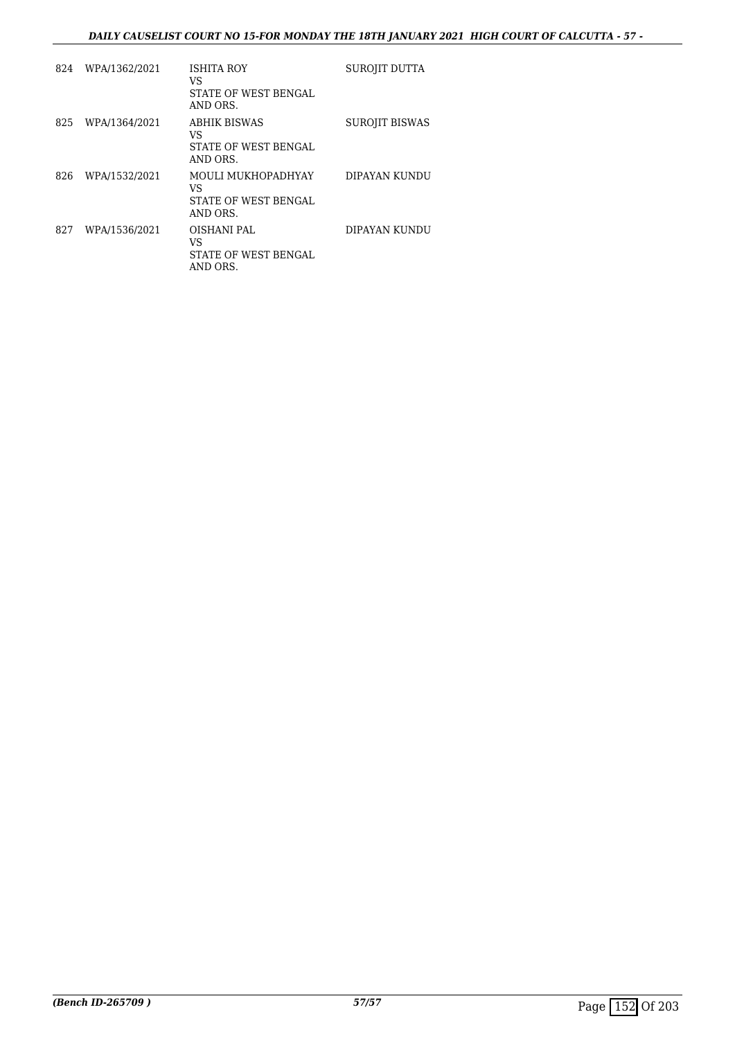# *DAILY CAUSELIST COURT NO 15-FOR MONDAY THE 18TH JANUARY 2021 HIGH COURT OF CALCUTTA - 57 -*

| 824 | WPA/1362/2021 | ISHITA ROY<br>VS<br>STATE OF WEST BENGAL<br>AND ORS.          | SUROJIT DUTTA         |
|-----|---------------|---------------------------------------------------------------|-----------------------|
| 825 | WPA/1364/2021 | <b>ABHIK BISWAS</b><br>VS<br>STATE OF WEST BENGAL<br>AND ORS. | <b>SUROJIT BISWAS</b> |
| 826 | WPA/1532/2021 | MOULI MUKHOPADHYAY<br>VS<br>STATE OF WEST BENGAL<br>AND ORS.  | DIPAYAN KUNDU         |
| 827 | WPA/1536/2021 | OISHANI PAL<br>VS<br>STATE OF WEST BENGAL<br>AND ORS.         | DIPAYAN KUNDU         |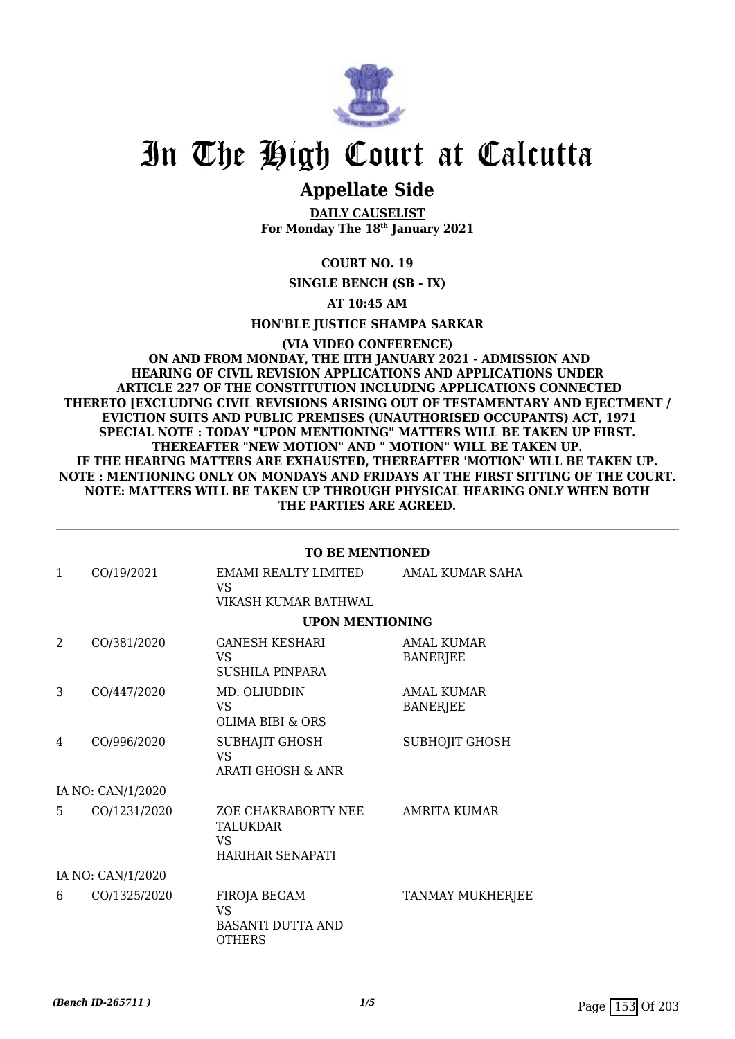

# **Appellate Side**

**DAILY CAUSELIST For Monday The 18th January 2021**

# **COURT NO. 19**

**SINGLE BENCH (SB - IX)**

### **AT 10:45 AM**

**HON'BLE JUSTICE SHAMPA SARKAR**

**(VIA VIDEO CONFERENCE) ON AND FROM MONDAY, THE IITH JANUARY 2021 - ADMISSION AND HEARING OF CIVIL REVISION APPLICATIONS AND APPLICATIONS UNDER ARTICLE 227 OF THE CONSTITUTION INCLUDING APPLICATIONS CONNECTED THERETO [EXCLUDING CIVIL REVISIONS ARISING OUT OF TESTAMENTARY AND EJECTMENT / EVICTION SUITS AND PUBLIC PREMISES (UNAUTHORISED OCCUPANTS) ACT, 1971 SPECIAL NOTE : TODAY "UPON MENTIONING" MATTERS WILL BE TAKEN UP FIRST. THEREAFTER "NEW MOTION" AND " MOTION" WILL BE TAKEN UP. IF THE HEARING MATTERS ARE EXHAUSTED, THEREAFTER 'MOTION' WILL BE TAKEN UP. NOTE : MENTIONING ONLY ON MONDAYS AND FRIDAYS AT THE FIRST SITTING OF THE COURT. NOTE: MATTERS WILL BE TAKEN UP THROUGH PHYSICAL HEARING ONLY WHEN BOTH THE PARTIES ARE AGREED.**

#### **TO BE MENTIONED**

| 1              | CO/19/2021        | EMAMI REALTY LIMITED<br>VS.<br>VIKASH KUMAR BATHWAL                           | AMAL KUMAR SAHA                      |
|----------------|-------------------|-------------------------------------------------------------------------------|--------------------------------------|
|                |                   | <b>UPON MENTIONING</b>                                                        |                                      |
| $\overline{2}$ | CO/381/2020       | <b>GANESH KESHARI</b><br><b>VS</b><br>SUSHILA PINPARA                         | AMAL KUMAR<br><b>BANERJEE</b>        |
| 3              | CO/447/2020       | MD. OLIUDDIN<br>VS.<br><b>OLIMA BIBI &amp; ORS</b>                            | <b>AMAL KUMAR</b><br><b>BANERJEE</b> |
| 4              | CO/996/2020       | SUBHAJIT GHOSH<br><b>VS</b><br><b>ARATI GHOSH &amp; ANR</b>                   | <b>SUBHOJIT GHOSH</b>                |
|                | IA NO: CAN/1/2020 |                                                                               |                                      |
| 5.             | CO/1231/2020      | ZOE CHAKRABORTY NEE<br><b>TALUKDAR</b><br>VS<br>HARIHAR SENAPATI              | <b>AMRITA KUMAR</b>                  |
|                | IA NO: CAN/1/2020 |                                                                               |                                      |
| 6              | CO/1325/2020      | <b>FIROJA BEGAM</b><br><b>VS</b><br><b>BASANTI DUTTA AND</b><br><b>OTHERS</b> | TANMAY MUKHERJEE                     |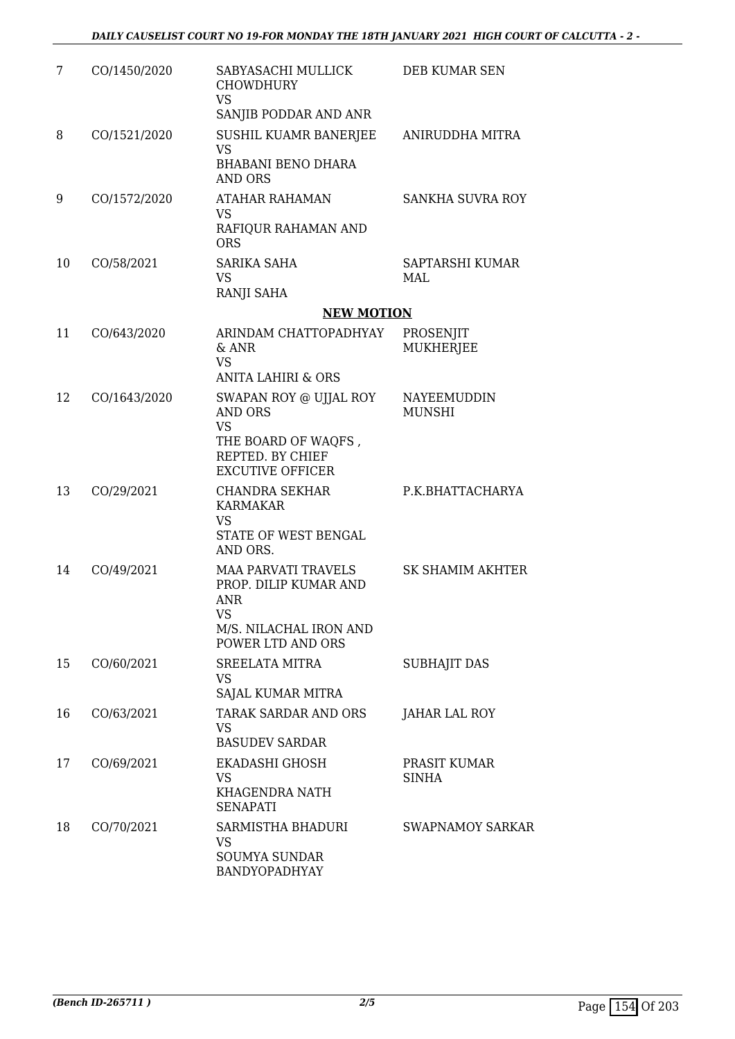| 7  | CO/1450/2020 | SABYASACHI MULLICK<br><b>CHOWDHURY</b><br><b>VS</b><br>SANJIB PODDAR AND ANR                                           | DEB KUMAR SEN                 |
|----|--------------|------------------------------------------------------------------------------------------------------------------------|-------------------------------|
| 8  | CO/1521/2020 | SUSHIL KUAMR BANERJEE<br><b>VS</b><br><b>BHABANI BENO DHARA</b><br><b>AND ORS</b>                                      | ANIRUDDHA MITRA               |
| 9  | CO/1572/2020 | ATAHAR RAHAMAN<br><b>VS</b><br>RAFIQUR RAHAMAN AND<br><b>ORS</b>                                                       | SANKHA SUVRA ROY              |
| 10 | CO/58/2021   | SARIKA SAHA<br>VS<br>RANJI SAHA                                                                                        | SAPTARSHI KUMAR<br>MAL        |
|    |              | <b>NEW MOTION</b>                                                                                                      |                               |
| 11 | CO/643/2020  | ARINDAM CHATTOPADHYAY<br>$&$ ANR<br><b>VS</b>                                                                          | PROSENJIT<br><b>MUKHERJEE</b> |
|    |              | <b>ANITA LAHIRI &amp; ORS</b>                                                                                          |                               |
| 12 | CO/1643/2020 | SWAPAN ROY @ UJJAL ROY<br><b>AND ORS</b><br><b>VS</b><br>THE BOARD OF WAQFS,<br>REPTED. BY CHIEF                       | NAYEEMUDDIN<br><b>MUNSHI</b>  |
|    |              | <b>EXCUTIVE OFFICER</b>                                                                                                |                               |
| 13 | CO/29/2021   | <b>CHANDRA SEKHAR</b><br><b>KARMAKAR</b><br><b>VS</b><br>STATE OF WEST BENGAL<br>AND ORS.                              | P.K.BHATTACHARYA              |
| 14 | CO/49/2021   | <b>MAA PARVATI TRAVELS</b><br>PROP. DILIP KUMAR AND<br><b>ANR</b><br>VS<br>M/S. NILACHAL IRON AND<br>POWER LTD AND ORS | <b>SK SHAMIM AKHTER</b>       |
| 15 | CO/60/2021   | <b>SREELATA MITRA</b><br><b>VS</b><br>SAJAL KUMAR MITRA                                                                | <b>SUBHAJIT DAS</b>           |
| 16 | CO/63/2021   | TARAK SARDAR AND ORS<br>VS<br><b>BASUDEV SARDAR</b>                                                                    | JAHAR LAL ROY                 |
| 17 | CO/69/2021   | EKADASHI GHOSH<br>VS<br>KHAGENDRA NATH<br><b>SENAPATI</b>                                                              | PRASIT KUMAR<br><b>SINHA</b>  |
| 18 | CO/70/2021   | SARMISTHA BHADURI<br><b>VS</b><br><b>SOUMYA SUNDAR</b><br>BANDYOPADHYAY                                                | SWAPNAMOY SARKAR              |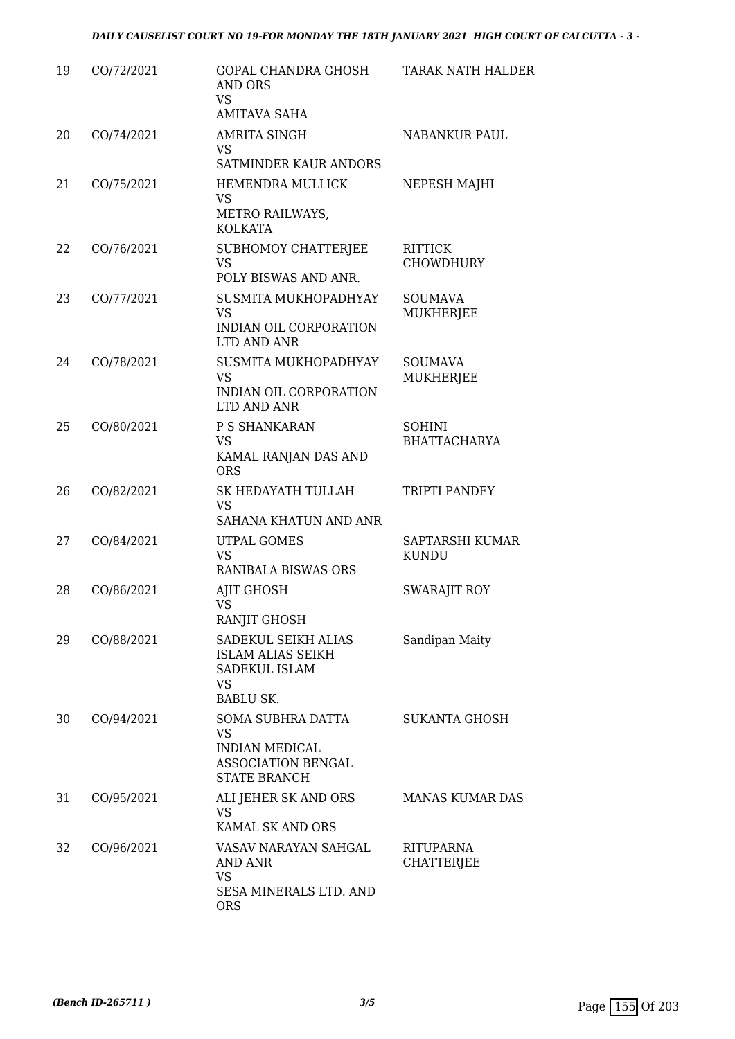| 19 | CO/72/2021 | <b>GOPAL CHANDRA GHOSH</b><br>AND ORS<br><b>VS</b><br><b>AMITAVA SAHA</b>                     | TARAK NATH HALDER                     |
|----|------------|-----------------------------------------------------------------------------------------------|---------------------------------------|
| 20 | CO/74/2021 | <b>AMRITA SINGH</b><br><b>VS</b><br>SATMINDER KAUR ANDORS                                     | <b>NABANKUR PAUL</b>                  |
| 21 | CO/75/2021 | <b>HEMENDRA MULLICK</b><br><b>VS</b><br>METRO RAILWAYS,<br><b>KOLKATA</b>                     | NEPESH MAJHI                          |
| 22 | CO/76/2021 | SUBHOMOY CHATTERJEE<br><b>VS</b><br>POLY BISWAS AND ANR.                                      | <b>RITTICK</b><br><b>CHOWDHURY</b>    |
| 23 | CO/77/2021 | SUSMITA MUKHOPADHYAY<br><b>VS</b><br>INDIAN OIL CORPORATION<br>LTD AND ANR                    | <b>SOUMAVA</b><br>MUKHERJEE           |
| 24 | CO/78/2021 | SUSMITA MUKHOPADHYAY<br><b>VS</b><br>INDIAN OIL CORPORATION<br>LTD AND ANR                    | <b>SOUMAVA</b><br>MUKHERJEE           |
| 25 | CO/80/2021 | P S SHANKARAN<br><b>VS</b><br>KAMAL RANJAN DAS AND<br><b>ORS</b>                              | <b>SOHINI</b><br><b>BHATTACHARYA</b>  |
| 26 | CO/82/2021 | SK HEDAYATH TULLAH<br><b>VS</b><br>SAHANA KHATUN AND ANR                                      | TRIPTI PANDEY                         |
| 27 | CO/84/2021 | UTPAL GOMES<br><b>VS</b><br>RANIBALA BISWAS ORS                                               | SAPTARSHI KUMAR<br><b>KUNDU</b>       |
| 28 | CO/86/2021 | AJIT GHOSH<br>VS<br>RANJIT GHOSH                                                              | <b>SWARAJIT ROY</b>                   |
| 29 | CO/88/2021 | SADEKUL SEIKH ALIAS<br>ISLAM ALIAS SEIKH<br>SADEKUL ISLAM<br>VS<br><b>BABLU SK.</b>           | Sandipan Maity                        |
| 30 | CO/94/2021 | SOMA SUBHRA DATTA<br>VS<br><b>INDIAN MEDICAL</b><br>ASSOCIATION BENGAL<br><b>STATE BRANCH</b> | <b>SUKANTA GHOSH</b>                  |
| 31 | CO/95/2021 | ALI JEHER SK AND ORS<br><b>VS</b><br>KAMAL SK AND ORS                                         | <b>MANAS KUMAR DAS</b>                |
| 32 | CO/96/2021 | VASAV NARAYAN SAHGAL<br>AND ANR<br><b>VS</b><br>SESA MINERALS LTD. AND<br><b>ORS</b>          | <b>RITUPARNA</b><br><b>CHATTERJEE</b> |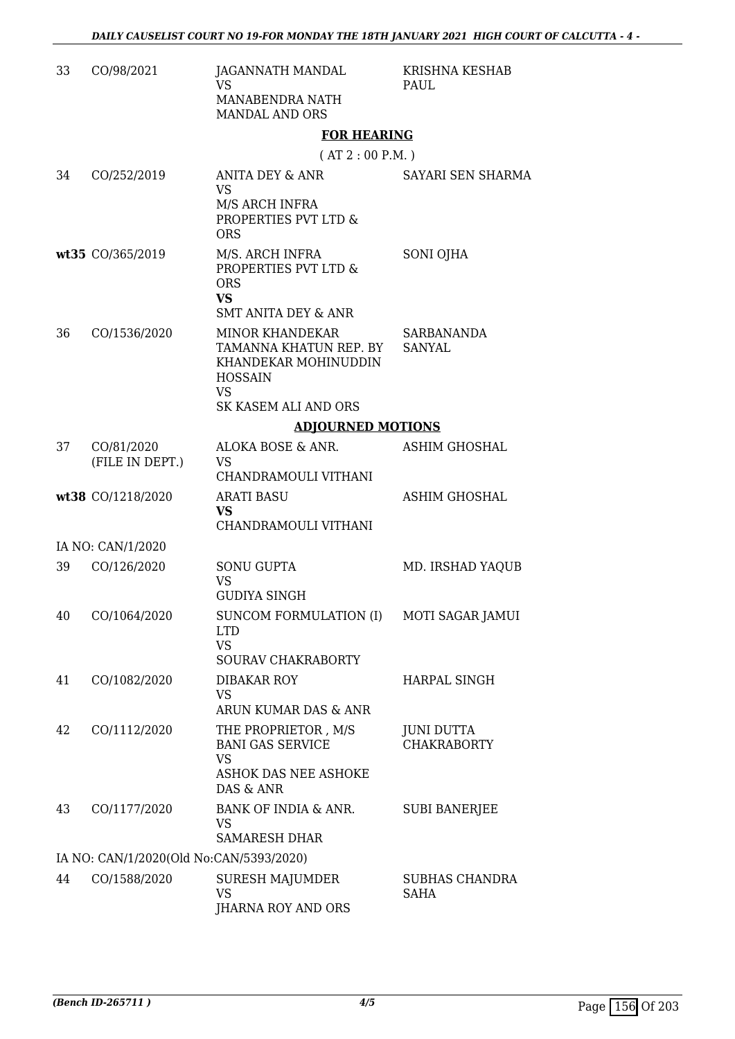| 33 | CO/98/2021                              | JAGANNATH MANDAL<br><b>VS</b><br>MANABENDRA NATH<br><b>MANDAL AND ORS</b>                                                              | KRISHNA KESHAB<br><b>PAUL</b>           |
|----|-----------------------------------------|----------------------------------------------------------------------------------------------------------------------------------------|-----------------------------------------|
|    |                                         | <b>FOR HEARING</b>                                                                                                                     |                                         |
|    |                                         | (AT 2: 00 P.M.)                                                                                                                        |                                         |
| 34 | CO/252/2019                             | <b>ANITA DEY &amp; ANR</b><br><b>VS</b><br>M/S ARCH INFRA<br>PROPERTIES PVT LTD &<br><b>ORS</b>                                        | SAYARI SEN SHARMA                       |
|    | wt35 CO/365/2019                        | M/S. ARCH INFRA<br>PROPERTIES PVT LTD &<br><b>ORS</b><br><b>VS</b><br><b>SMT ANITA DEY &amp; ANR</b>                                   | SONI OJHA                               |
| 36 | CO/1536/2020                            | <b>MINOR KHANDEKAR</b><br>TAMANNA KHATUN REP. BY<br>KHANDEKAR MOHINUDDIN<br><b>HOSSAIN</b><br><b>VS</b><br><b>SK KASEM ALI AND ORS</b> | SARBANANDA<br><b>SANYAL</b>             |
|    |                                         |                                                                                                                                        |                                         |
|    |                                         | <b>ADJOURNED MOTIONS</b>                                                                                                               |                                         |
| 37 | CO/81/2020<br>(FILE IN DEPT.)           | ALOKA BOSE & ANR.<br><b>VS</b><br>CHANDRAMOULI VITHANI                                                                                 | <b>ASHIM GHOSHAL</b>                    |
|    | wt38 CO/1218/2020                       | <b>ARATI BASU</b><br><b>VS</b><br>CHANDRAMOULI VITHANI                                                                                 | ASHIM GHOSHAL                           |
|    | IA NO: CAN/1/2020                       |                                                                                                                                        |                                         |
| 39 | CO/126/2020                             | <b>SONU GUPTA</b><br><b>VS</b><br><b>GUDIYA SINGH</b>                                                                                  | MD. IRSHAD YAQUB                        |
| 40 | CO/1064/2020                            | SUNCOM FORMULATION (I) MOTI SAGAR JAMUI<br><b>LTD</b><br><b>VS</b><br>SOURAV CHAKRABORTY                                               |                                         |
| 41 | CO/1082/2020                            | <b>DIBAKAR ROY</b><br><b>VS</b><br>ARUN KUMAR DAS & ANR                                                                                | HARPAL SINGH                            |
| 42 | CO/1112/2020                            | THE PROPRIETOR, M/S<br><b>BANI GAS SERVICE</b><br><b>VS</b><br>ASHOK DAS NEE ASHOKE<br>DAS & ANR                                       | <b>JUNI DUTTA</b><br><b>CHAKRABORTY</b> |
| 43 | CO/1177/2020                            | BANK OF INDIA & ANR.<br>VS<br><b>SAMARESH DHAR</b>                                                                                     | <b>SUBI BANERJEE</b>                    |
|    |                                         |                                                                                                                                        |                                         |
| 44 | IA NO: CAN/1/2020(Old No:CAN/5393/2020) |                                                                                                                                        |                                         |
|    | CO/1588/2020                            | <b>SURESH MAJUMDER</b><br><b>VS</b><br>JHARNA ROY AND ORS                                                                              | <b>SUBHAS CHANDRA</b><br>SAHA           |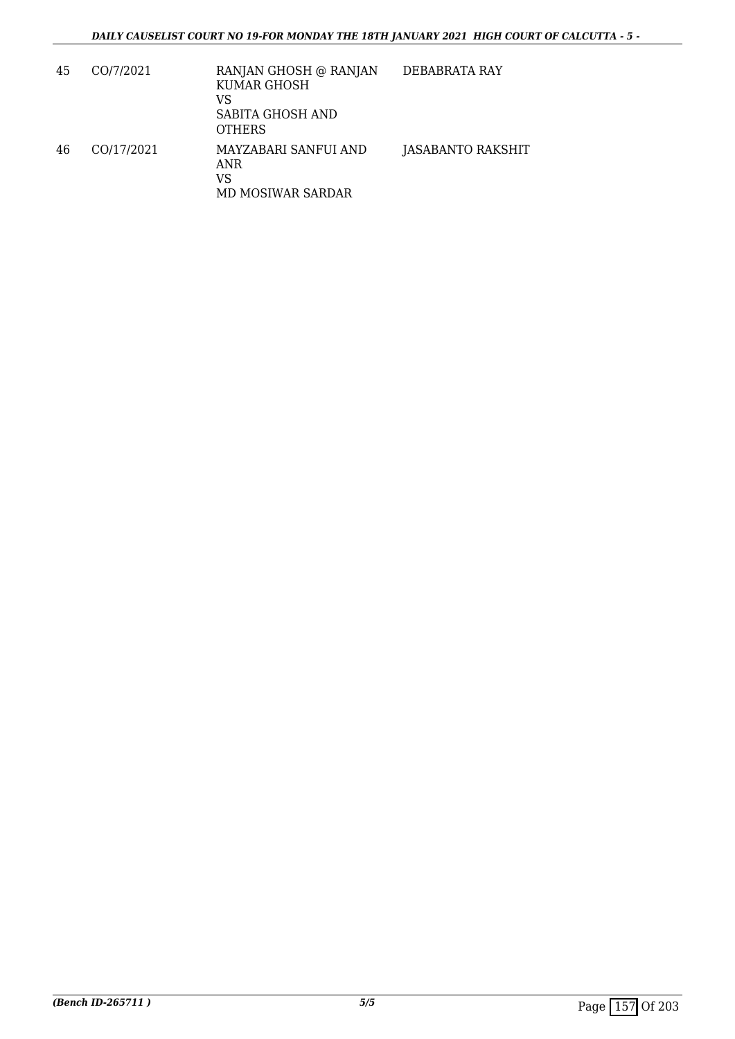| 45 | CO/7/2021  | RANJAN GHOSH @ RANJAN<br>KUMAR GHOSH<br>VS<br>SABITA GHOSH AND<br><b>OTHERS</b> | DEBABRATA RAY     |
|----|------------|---------------------------------------------------------------------------------|-------------------|
| 46 | CO/17/2021 | MAYZABARI SANFUI AND<br>ANR<br>VS<br>MD MOSIWAR SARDAR                          | JASABANTO RAKSHIT |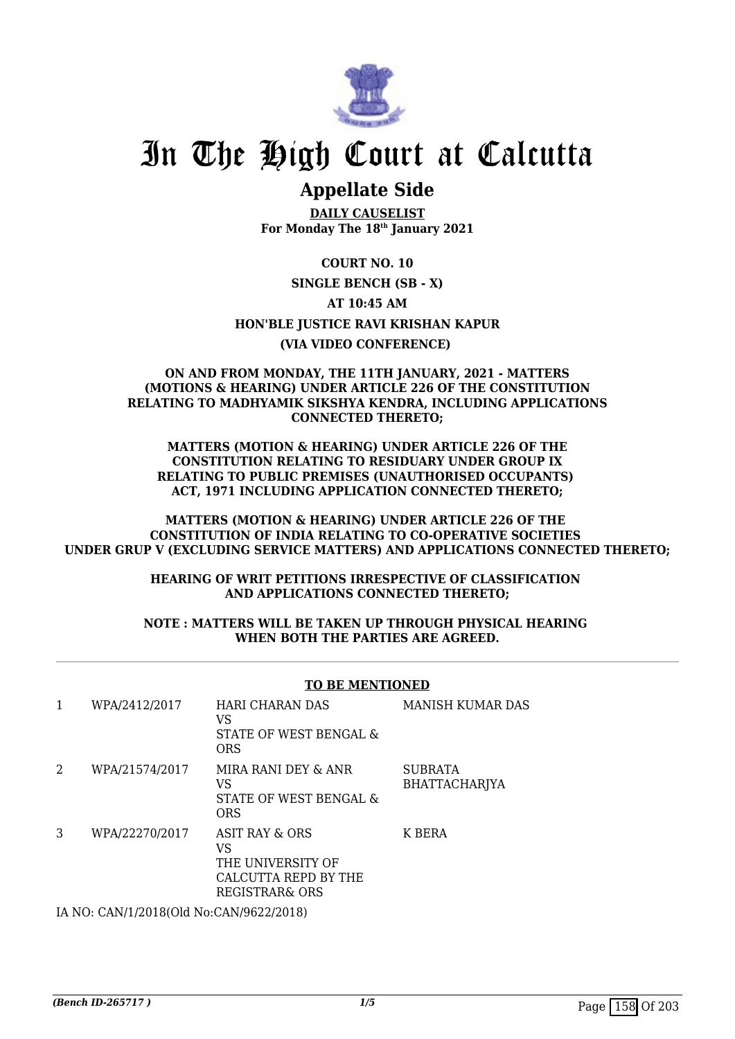

# **Appellate Side**

**DAILY CAUSELIST For Monday The 18th January 2021**

**COURT NO. 10 SINGLE BENCH (SB - X) AT 10:45 AM HON'BLE JUSTICE RAVI KRISHAN KAPUR (VIA VIDEO CONFERENCE)** 

### **ON AND FROM MONDAY, THE 11TH JANUARY, 2021 - MATTERS (MOTIONS & HEARING) UNDER ARTICLE 226 OF THE CONSTITUTION RELATING TO MADHYAMIK SIKSHYA KENDRA, INCLUDING APPLICATIONS CONNECTED THERETO;**

**MATTERS (MOTION & HEARING) UNDER ARTICLE 226 OF THE CONSTITUTION RELATING TO RESIDUARY UNDER GROUP IX RELATING TO PUBLIC PREMISES (UNAUTHORISED OCCUPANTS) ACT, 1971 INCLUDING APPLICATION CONNECTED THERETO;**

**MATTERS (MOTION & HEARING) UNDER ARTICLE 226 OF THE CONSTITUTION OF INDIA RELATING TO CO-OPERATIVE SOCIETIES UNDER GRUP V (EXCLUDING SERVICE MATTERS) AND APPLICATIONS CONNECTED THERETO;**

> **HEARING OF WRIT PETITIONS IRRESPECTIVE OF CLASSIFICATION AND APPLICATIONS CONNECTED THERETO;**

### **NOTE : MATTERS WILL BE TAKEN UP THROUGH PHYSICAL HEARING WHEN BOTH THE PARTIES ARE AGREED.**

#### **TO BE MENTIONED** 1 WPA/2412/2017 HARI CHARAN DAS VS STATE OF WEST BENGAL & ORS MANISH KUMAR DAS 2 WPA/21574/2017 MIRA RANI DEY & ANR VS STATE OF WEST BENGAL & ORS **SUBRATA** BHATTACHARJYA 3 WPA/22270/2017 ASIT RAY & ORS VS THE UNIVERSITY OF CALCUTTA REPD BY THE REGISTRAR& ORS K BERA

IA NO: CAN/1/2018(Old No:CAN/9622/2018)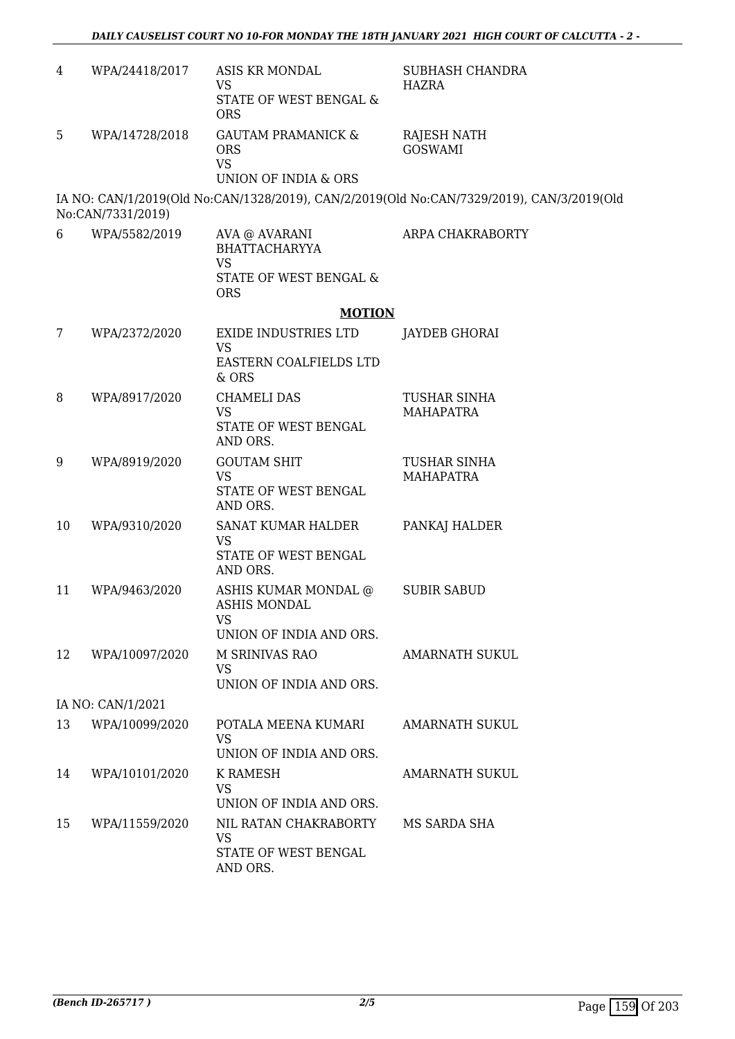| 4  | WPA/24418/2017    | ASIS KR MONDAL<br>VS                                                                       | SUBHASH CHANDRA<br>HAZRA                                                                  |
|----|-------------------|--------------------------------------------------------------------------------------------|-------------------------------------------------------------------------------------------|
|    |                   | STATE OF WEST BENGAL &<br><b>ORS</b>                                                       |                                                                                           |
| 5  | WPA/14728/2018    | <b>GAUTAM PRAMANICK &amp;</b><br><b>ORS</b><br><b>VS</b><br>UNION OF INDIA & ORS           | RAJESH NATH<br><b>GOSWAMI</b>                                                             |
|    | No:CAN/7331/2019) |                                                                                            | IA NO: CAN/1/2019(Old No:CAN/1328/2019), CAN/2/2019(Old No:CAN/7329/2019), CAN/3/2019(Old |
| 6  | WPA/5582/2019     | AVA @ AVARANI<br><b>BHATTACHARYYA</b><br><b>VS</b><br>STATE OF WEST BENGAL &<br><b>ORS</b> | ARPA CHAKRABORTY                                                                          |
|    |                   | <b>MOTION</b>                                                                              |                                                                                           |
| 7  | WPA/2372/2020     | EXIDE INDUSTRIES LTD<br><b>VS</b><br>EASTERN COALFIELDS LTD                                | <b>JAYDEB GHORAI</b>                                                                      |
|    |                   | & ORS                                                                                      |                                                                                           |
| 8  | WPA/8917/2020     | <b>CHAMELI DAS</b><br><b>VS</b><br>STATE OF WEST BENGAL<br>AND ORS.                        | <b>TUSHAR SINHA</b><br><b>MAHAPATRA</b>                                                   |
| 9  | WPA/8919/2020     | <b>GOUTAM SHIT</b><br><b>VS</b><br>STATE OF WEST BENGAL<br>AND ORS.                        | <b>TUSHAR SINHA</b><br><b>MAHAPATRA</b>                                                   |
| 10 | WPA/9310/2020     | SANAT KUMAR HALDER<br><b>VS</b><br>STATE OF WEST BENGAL<br>AND ORS.                        | PANKAJ HALDER                                                                             |
| 11 | WPA/9463/2020     | ASHIS KUMAR MONDAL @<br><b>ASHIS MONDAL</b><br>VS                                          | <b>SUBIR SABUD</b>                                                                        |
| 12 | WPA/10097/2020    | UNION OF INDIA AND ORS.<br>M SRINIVAS RAO<br><b>VS</b><br>UNION OF INDIA AND ORS.          | AMARNATH SUKUL                                                                            |
|    | IA NO: CAN/1/2021 |                                                                                            |                                                                                           |
| 13 | WPA/10099/2020    | POTALA MEENA KUMARI<br><b>VS</b><br>UNION OF INDIA AND ORS.                                | <b>AMARNATH SUKUL</b>                                                                     |
| 14 | WPA/10101/2020    | K RAMESH<br><b>VS</b><br>UNION OF INDIA AND ORS.                                           | AMARNATH SUKUL                                                                            |
| 15 | WPA/11559/2020    | NIL RATAN CHAKRABORTY<br><b>VS</b><br>STATE OF WEST BENGAL<br>AND ORS.                     | MS SARDA SHA                                                                              |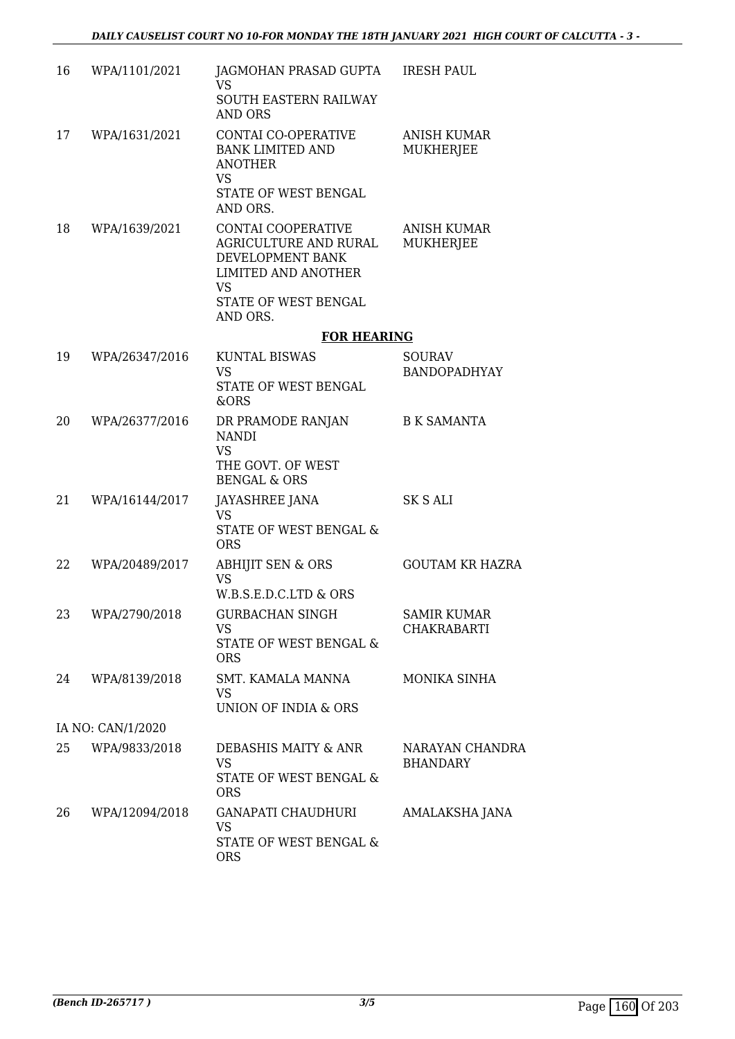| 16 | WPA/1101/2021     | JAGMOHAN PRASAD GUPTA IRESH PAUL<br>VS.<br>SOUTH EASTERN RAILWAY<br><b>AND ORS</b>                                                             |                                          |
|----|-------------------|------------------------------------------------------------------------------------------------------------------------------------------------|------------------------------------------|
| 17 | WPA/1631/2021     | CONTAI CO-OPERATIVE<br><b>BANK LIMITED AND</b><br><b>ANOTHER</b><br><b>VS</b><br>STATE OF WEST BENGAL<br>AND ORS.                              | <b>ANISH KUMAR</b><br>MUKHERJEE          |
| 18 | WPA/1639/2021     | CONTAI COOPERATIVE<br>AGRICULTURE AND RURAL<br>DEVELOPMENT BANK<br><b>LIMITED AND ANOTHER</b><br><b>VS</b><br>STATE OF WEST BENGAL<br>AND ORS. | <b>ANISH KUMAR</b><br>MUKHERJEE          |
|    |                   | <b>FOR HEARING</b>                                                                                                                             |                                          |
| 19 | WPA/26347/2016    | <b>KUNTAL BISWAS</b><br><b>VS</b><br>STATE OF WEST BENGAL<br>&ORS                                                                              | <b>SOURAV</b><br><b>BANDOPADHYAY</b>     |
| 20 | WPA/26377/2016    | DR PRAMODE RANJAN<br><b>NANDI</b><br><b>VS</b><br>THE GOVT. OF WEST<br><b>BENGAL &amp; ORS</b>                                                 | <b>B K SAMANTA</b>                       |
| 21 | WPA/16144/2017    | <b>JAYASHREE JANA</b><br><b>VS</b><br>STATE OF WEST BENGAL &<br><b>ORS</b>                                                                     | <b>SK S ALI</b>                          |
| 22 | WPA/20489/2017    | <b>ABHIJIT SEN &amp; ORS</b><br><b>VS</b><br>W.B.S.E.D.C.LTD & ORS                                                                             | <b>GOUTAM KR HAZRA</b>                   |
| 23 | WPA/2790/2018     | <b>GURBACHAN SINGH</b><br>VS<br>STATE OF WEST BENGAL &<br><b>ORS</b>                                                                           | <b>SAMIR KUMAR</b><br><b>CHAKRABARTI</b> |
| 24 | WPA/8139/2018     | SMT. KAMALA MANNA<br><b>VS</b><br>UNION OF INDIA & ORS                                                                                         | MONIKA SINHA                             |
|    | IA NO: CAN/1/2020 |                                                                                                                                                |                                          |
| 25 | WPA/9833/2018     | DEBASHIS MAITY & ANR<br><b>VS</b><br>STATE OF WEST BENGAL &<br><b>ORS</b>                                                                      | NARAYAN CHANDRA<br><b>BHANDARY</b>       |
| 26 | WPA/12094/2018    | GANAPATI CHAUDHURI<br><b>VS</b><br>STATE OF WEST BENGAL &<br><b>ORS</b>                                                                        | AMALAKSHA JANA                           |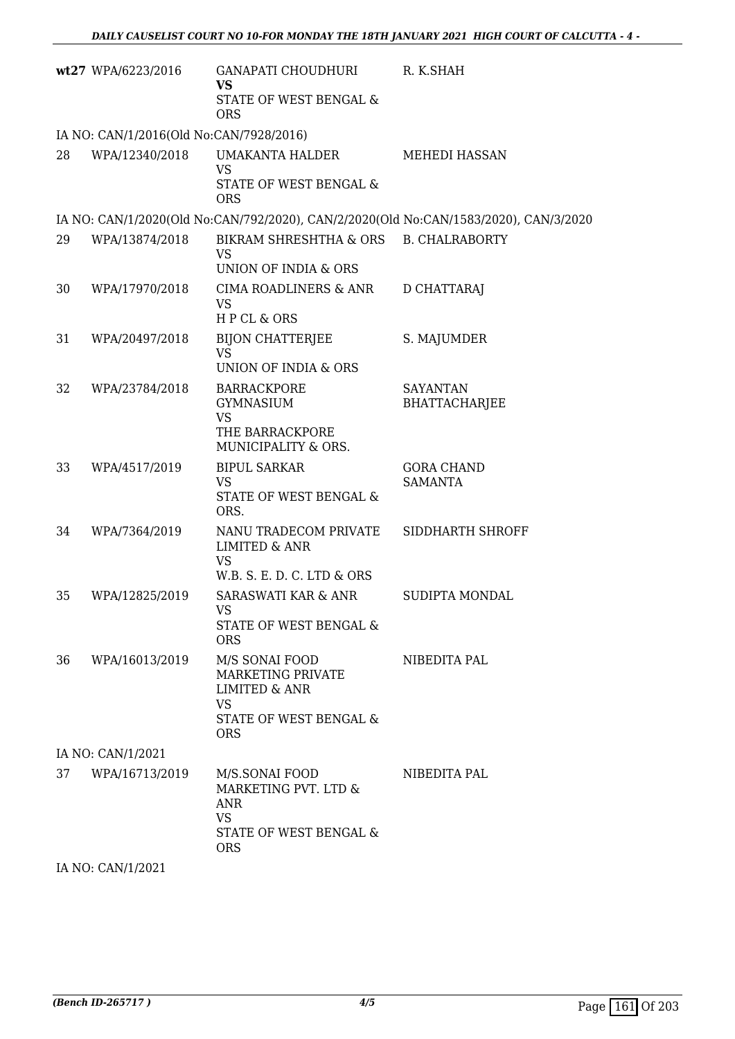|    | wt27 WPA/6223/2016                      | <b>GANAPATI CHOUDHURI</b><br><b>VS</b><br>STATE OF WEST BENGAL &<br><b>ORS</b>                                       | R. K.SHAH                                                                            |
|----|-----------------------------------------|----------------------------------------------------------------------------------------------------------------------|--------------------------------------------------------------------------------------|
|    | IA NO: CAN/1/2016(Old No:CAN/7928/2016) |                                                                                                                      |                                                                                      |
| 28 | WPA/12340/2018                          | UMAKANTA HALDER<br><b>VS</b><br>STATE OF WEST BENGAL &<br><b>ORS</b>                                                 | <b>MEHEDI HASSAN</b>                                                                 |
|    |                                         |                                                                                                                      | IA NO: CAN/1/2020(Old No:CAN/792/2020), CAN/2/2020(Old No:CAN/1583/2020), CAN/3/2020 |
| 29 | WPA/13874/2018                          | BIKRAM SHRESHTHA & ORS B. CHALRABORTY<br>VS<br>UNION OF INDIA & ORS                                                  |                                                                                      |
| 30 | WPA/17970/2018                          | CIMA ROADLINERS & ANR<br><b>VS</b><br>HPCL & ORS                                                                     | D CHATTARAJ                                                                          |
| 31 | WPA/20497/2018                          | <b>BIJON CHATTERJEE</b><br><b>VS</b><br>UNION OF INDIA & ORS                                                         | S. MAJUMDER                                                                          |
| 32 | WPA/23784/2018                          | <b>BARRACKPORE</b><br><b>GYMNASIUM</b><br><b>VS</b><br>THE BARRACKPORE<br>MUNICIPALITY & ORS.                        | <b>SAYANTAN</b><br><b>BHATTACHARJEE</b>                                              |
| 33 | WPA/4517/2019                           | <b>BIPUL SARKAR</b><br><b>VS</b><br>STATE OF WEST BENGAL &<br>ORS.                                                   | <b>GORA CHAND</b><br><b>SAMANTA</b>                                                  |
| 34 | WPA/7364/2019                           | NANU TRADECOM PRIVATE<br><b>LIMITED &amp; ANR</b><br><b>VS</b><br>W.B. S. E. D. C. LTD & ORS                         | SIDDHARTH SHROFF                                                                     |
| 35 | WPA/12825/2019                          | <b>SARASWATI KAR &amp; ANR</b><br>VS.<br>STATE OF WEST BENGAL &<br><b>ORS</b>                                        | SUDIPTA MONDAL                                                                       |
| 36 | WPA/16013/2019                          | M/S SONAI FOOD<br>MARKETING PRIVATE<br><b>LIMITED &amp; ANR</b><br><b>VS</b><br>STATE OF WEST BENGAL &<br><b>ORS</b> | NIBEDITA PAL                                                                         |
|    | IA NO: CAN/1/2021                       |                                                                                                                      |                                                                                      |
| 37 | WPA/16713/2019                          | M/S.SONAI FOOD<br>MARKETING PVT. LTD &<br>ANR<br><b>VS</b><br>STATE OF WEST BENGAL &<br><b>ORS</b>                   | NIBEDITA PAL                                                                         |
|    | $T_A N_A \cap T_A N_I H I \cap T_A$     |                                                                                                                      |                                                                                      |

IA NO: CAN/1/2021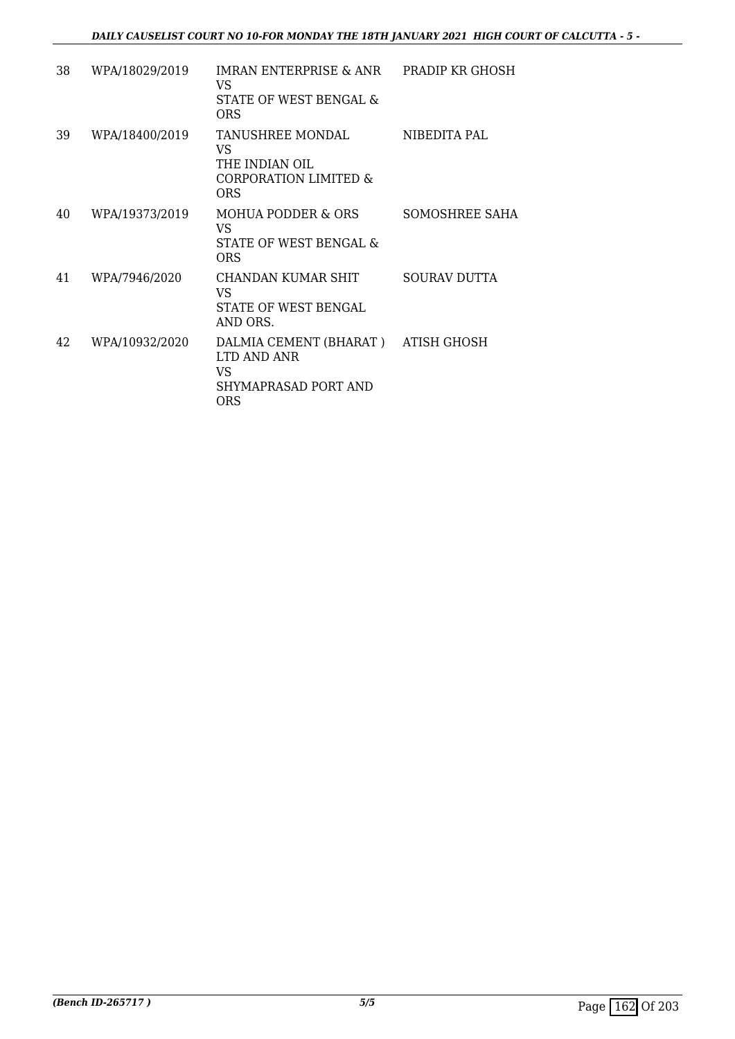| 38 | WPA/18029/2019 | IMRAN ENTERPRISE & ANR PRADIP KR GHOSH<br>VS<br>STATE OF WEST BENGAL &<br><b>ORS</b>           |                     |
|----|----------------|------------------------------------------------------------------------------------------------|---------------------|
| 39 | WPA/18400/2019 | TANUSHREE MONDAL<br>VS.<br>THE INDIAN OIL<br><b>CORPORATION LIMITED &amp;</b><br><b>ORS</b>    | NIBEDITA PAL        |
| 40 | WPA/19373/2019 | MOHUA PODDER & ORS<br>VS.<br>STATE OF WEST BENGAL &<br>ORS                                     | SOMOSHREE SAHA      |
| 41 | WPA/7946/2020  | CHANDAN KUMAR SHIT<br>VS<br>STATE OF WEST BENGAL<br>AND ORS.                                   | <b>SOURAV DUTTA</b> |
| 42 | WPA/10932/2020 | DALMIA CEMENT (BHARAT) ATISH GHOSH<br>LTD AND ANR<br>VS.<br>SHYMAPRASAD PORT AND<br><b>ORS</b> |                     |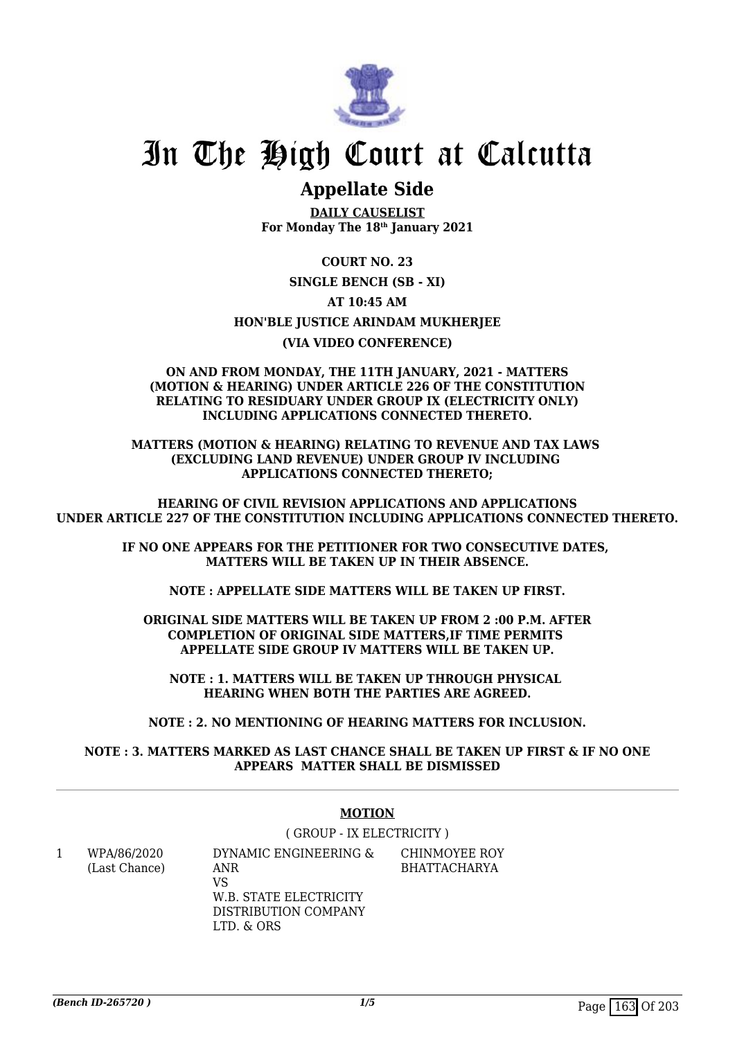

# **Appellate Side**

**DAILY CAUSELIST For Monday The 18th January 2021**

**COURT NO. 23**

**SINGLE BENCH (SB - XI)**

**AT 10:45 AM**

**HON'BLE JUSTICE ARINDAM MUKHERJEE**

**(VIA VIDEO CONFERENCE)**

 **ON AND FROM MONDAY, THE 11TH JANUARY, 2021 - MATTERS (MOTION & HEARING) UNDER ARTICLE 226 OF THE CONSTITUTION RELATING TO RESIDUARY UNDER GROUP IX (ELECTRICITY ONLY) INCLUDING APPLICATIONS CONNECTED THERETO.**

**MATTERS (MOTION & HEARING) RELATING TO REVENUE AND TAX LAWS (EXCLUDING LAND REVENUE) UNDER GROUP IV INCLUDING APPLICATIONS CONNECTED THERETO;**

**HEARING OF CIVIL REVISION APPLICATIONS AND APPLICATIONS UNDER ARTICLE 227 OF THE CONSTITUTION INCLUDING APPLICATIONS CONNECTED THERETO.**

> **IF NO ONE APPEARS FOR THE PETITIONER FOR TWO CONSECUTIVE DATES, MATTERS WILL BE TAKEN UP IN THEIR ABSENCE.**

**NOTE : APPELLATE SIDE MATTERS WILL BE TAKEN UP FIRST.**

**ORIGINAL SIDE MATTERS WILL BE TAKEN UP FROM 2 :00 P.M. AFTER COMPLETION OF ORIGINAL SIDE MATTERS,IF TIME PERMITS APPELLATE SIDE GROUP IV MATTERS WILL BE TAKEN UP.**

**NOTE : 1. MATTERS WILL BE TAKEN UP THROUGH PHYSICAL HEARING WHEN BOTH THE PARTIES ARE AGREED.**

**NOTE : 2. NO MENTIONING OF HEARING MATTERS FOR INCLUSION.**

**NOTE : 3. MATTERS MARKED AS LAST CHANCE SHALL BE TAKEN UP FIRST & IF NO ONE APPEARS MATTER SHALL BE DISMISSED**

### **MOTION**

( GROUP - IX ELECTRICITY )

1 WPA/86/2020 (Last Chance) DYNAMIC ENGINEERING & ANR

VS W.B. STATE ELECTRICITY DISTRIBUTION COMPANY LTD. & ORS

CHINMOYEE ROY BHATTACHARYA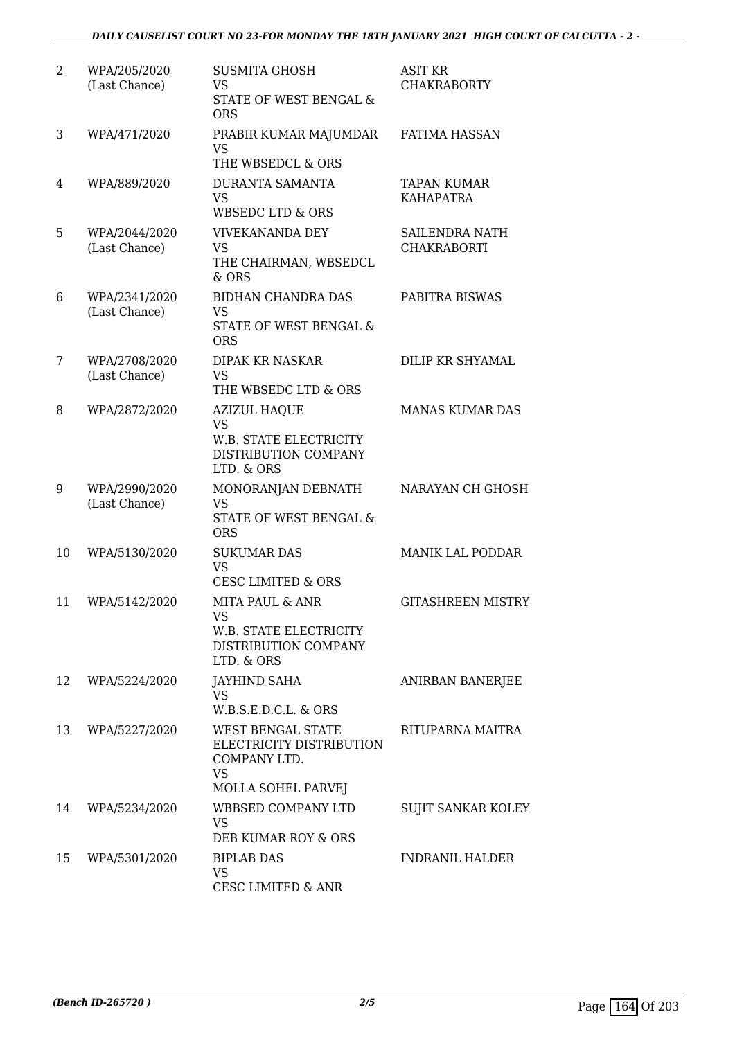| 2  | WPA/205/2020<br>(Last Chance)  | <b>SUSMITA GHOSH</b><br>VS<br>STATE OF WEST BENGAL &<br><b>ORS</b>                                      | ASIT KR<br><b>CHAKRABORTY</b>          |
|----|--------------------------------|---------------------------------------------------------------------------------------------------------|----------------------------------------|
| 3  | WPA/471/2020                   | PRABIR KUMAR MAJUMDAR<br><b>VS</b><br>THE WBSEDCL & ORS                                                 | <b>FATIMA HASSAN</b>                   |
| 4  | WPA/889/2020                   | <b>DURANTA SAMANTA</b><br><b>VS</b><br><b>WBSEDC LTD &amp; ORS</b>                                      | <b>TAPAN KUMAR</b><br><b>KAHAPATRA</b> |
| 5  | WPA/2044/2020<br>(Last Chance) | <b>VIVEKANANDA DEY</b><br>VS<br>THE CHAIRMAN, WBSEDCL<br>& ORS                                          | SAILENDRA NATH<br>CHAKRABORTI          |
| 6  | WPA/2341/2020<br>(Last Chance) | <b>BIDHAN CHANDRA DAS</b><br><b>VS</b><br><b>STATE OF WEST BENGAL &amp;</b><br><b>ORS</b>               | PABITRA BISWAS                         |
| 7  | WPA/2708/2020<br>(Last Chance) | <b>DIPAK KR NASKAR</b><br>VS<br>THE WBSEDC LTD & ORS                                                    | DILIP KR SHYAMAL                       |
| 8  | WPA/2872/2020                  | <b>AZIZUL HAQUE</b><br><b>VS</b><br>W.B. STATE ELECTRICITY<br>DISTRIBUTION COMPANY<br>LTD. & ORS        | <b>MANAS KUMAR DAS</b>                 |
| 9  | WPA/2990/2020<br>(Last Chance) | MONORANJAN DEBNATH<br><b>VS</b><br>STATE OF WEST BENGAL &<br><b>ORS</b>                                 | NARAYAN CH GHOSH                       |
| 10 | WPA/5130/2020                  | <b>SUKUMAR DAS</b><br><b>VS</b><br><b>CESC LIMITED &amp; ORS</b>                                        | MANIK LAL PODDAR                       |
| 11 | WPA/5142/2020                  | <b>MITA PAUL &amp; ANR</b><br><b>VS</b><br>W.B. STATE ELECTRICITY<br>DISTRIBUTION COMPANY<br>LTD. & ORS | <b>GITASHREEN MISTRY</b>               |
| 12 | WPA/5224/2020                  | <b>JAYHIND SAHA</b><br><b>VS</b><br>W.B.S.E.D.C.L. & ORS                                                | ANIRBAN BANERJEE                       |
| 13 | WPA/5227/2020                  | WEST BENGAL STATE<br>ELECTRICITY DISTRIBUTION<br>COMPANY LTD.<br><b>VS</b><br>MOLLA SOHEL PARVEJ        | RITUPARNA MAITRA                       |
| 14 | WPA/5234/2020                  | <b>WBBSED COMPANY LTD</b><br><b>VS</b><br>DEB KUMAR ROY & ORS                                           | <b>SUJIT SANKAR KOLEY</b>              |
| 15 | WPA/5301/2020                  | <b>BIPLAB DAS</b><br><b>VS</b><br><b>CESC LIMITED &amp; ANR</b>                                         | <b>INDRANIL HALDER</b>                 |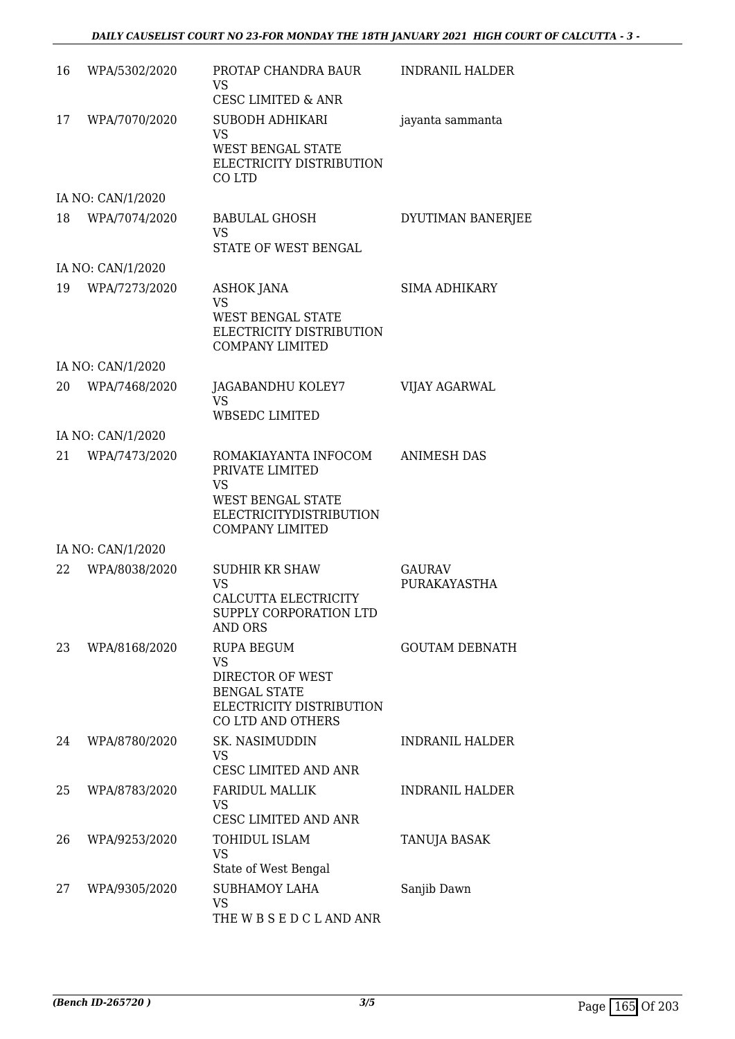| 16 | WPA/5302/2020     | PROTAP CHANDRA BAUR<br>VS<br>CESC LIMITED & ANR                                                                                              | <b>INDRANIL HALDER</b>        |
|----|-------------------|----------------------------------------------------------------------------------------------------------------------------------------------|-------------------------------|
| 17 | WPA/7070/2020     | SUBODH ADHIKARI<br><b>VS</b><br><b>WEST BENGAL STATE</b><br>ELECTRICITY DISTRIBUTION<br>CO LTD                                               | jayanta sammanta              |
|    | IA NO: CAN/1/2020 |                                                                                                                                              |                               |
| 18 | WPA/7074/2020     | <b>BABULAL GHOSH</b><br><b>VS</b><br>STATE OF WEST BENGAL                                                                                    | DYUTIMAN BANERJEE             |
|    | IA NO: CAN/1/2020 |                                                                                                                                              |                               |
| 19 | WPA/7273/2020     | ASHOK JANA<br>VS<br><b>WEST BENGAL STATE</b><br>ELECTRICITY DISTRIBUTION<br><b>COMPANY LIMITED</b>                                           | <b>SIMA ADHIKARY</b>          |
|    | IA NO: CAN/1/2020 |                                                                                                                                              |                               |
| 20 | WPA/7468/2020     | JAGABANDHU KOLEY7<br><b>VS</b><br><b>WBSEDC LIMITED</b>                                                                                      | VIJAY AGARWAL                 |
|    | IA NO: CAN/1/2020 |                                                                                                                                              |                               |
| 21 | WPA/7473/2020     | ROMAKIAYANTA INFOCOM<br>PRIVATE LIMITED<br><b>VS</b><br><b>WEST BENGAL STATE</b><br><b>ELECTRICITYDISTRIBUTION</b><br><b>COMPANY LIMITED</b> | <b>ANIMESH DAS</b>            |
|    | IA NO: CAN/1/2020 |                                                                                                                                              |                               |
| 22 | WPA/8038/2020     | <b>SUDHIR KR SHAW</b><br><b>VS</b><br>CALCUTTA ELECTRICITY<br>SUPPLY CORPORATION LTD<br>AND ORS                                              | <b>GAURAV</b><br>PURAKAYASTHA |
| 23 | WPA/8168/2020     | <b>RUPA BEGUM</b><br><b>VS</b><br>DIRECTOR OF WEST<br><b>BENGAL STATE</b><br>ELECTRICITY DISTRIBUTION<br>CO LTD AND OTHERS                   | <b>GOUTAM DEBNATH</b>         |
| 24 | WPA/8780/2020     | SK. NASIMUDDIN<br>VS.<br>CESC LIMITED AND ANR                                                                                                | <b>INDRANIL HALDER</b>        |
| 25 | WPA/8783/2020     | <b>FARIDUL MALLIK</b><br><b>VS</b><br>CESC LIMITED AND ANR                                                                                   | <b>INDRANIL HALDER</b>        |
| 26 | WPA/9253/2020     | TOHIDUL ISLAM<br><b>VS</b><br>State of West Bengal                                                                                           | TANUJA BASAK                  |
| 27 | WPA/9305/2020     | <b>SUBHAMOY LAHA</b><br><b>VS</b><br>THE W B S E D C L AND ANR                                                                               | Sanjib Dawn                   |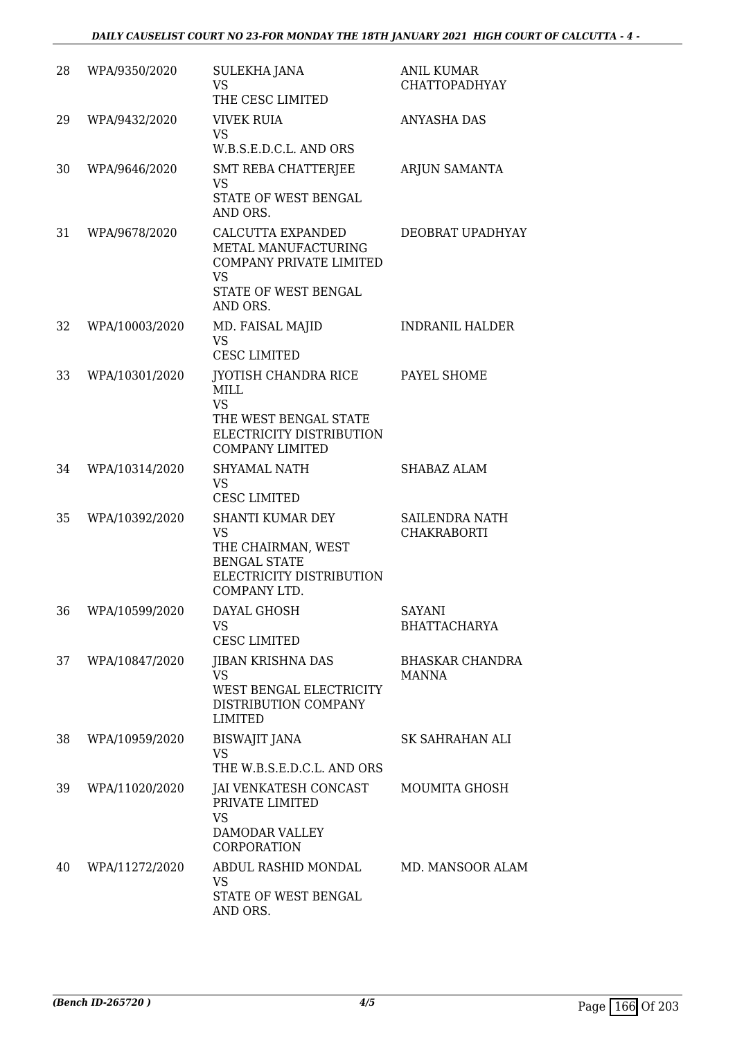| 28 | WPA/9350/2020  | SULEKHA JANA<br>VS<br>THE CESC LIMITED                                                                                          | <b>ANIL KUMAR</b><br><b>CHATTOPADHYAY</b> |
|----|----------------|---------------------------------------------------------------------------------------------------------------------------------|-------------------------------------------|
| 29 | WPA/9432/2020  | <b>VIVEK RUIA</b><br><b>VS</b><br>W.B.S.E.D.C.L. AND ORS                                                                        | <b>ANYASHA DAS</b>                        |
| 30 | WPA/9646/2020  | <b>SMT REBA CHATTERJEE</b><br><b>VS</b><br>STATE OF WEST BENGAL<br>AND ORS.                                                     | ARJUN SAMANTA                             |
| 31 | WPA/9678/2020  | CALCUTTA EXPANDED<br>METAL MANUFACTURING<br>COMPANY PRIVATE LIMITED<br><b>VS</b><br>STATE OF WEST BENGAL<br>AND ORS.            | DEOBRAT UPADHYAY                          |
| 32 | WPA/10003/2020 | MD. FAISAL MAJID<br><b>VS</b><br><b>CESC LIMITED</b>                                                                            | <b>INDRANIL HALDER</b>                    |
| 33 | WPA/10301/2020 | JYOTISH CHANDRA RICE<br><b>MILL</b><br><b>VS</b><br>THE WEST BENGAL STATE<br>ELECTRICITY DISTRIBUTION<br><b>COMPANY LIMITED</b> | PAYEL SHOME                               |
| 34 | WPA/10314/2020 | SHYAMAL NATH<br><b>VS</b><br><b>CESC LIMITED</b>                                                                                | SHABAZ ALAM                               |
| 35 | WPA/10392/2020 | <b>SHANTI KUMAR DEY</b><br><b>VS</b><br>THE CHAIRMAN, WEST<br><b>BENGAL STATE</b><br>ELECTRICITY DISTRIBUTION<br>COMPANY LTD.   | SAILENDRA NATH<br><b>CHAKRABORTI</b>      |
| 36 | WPA/10599/2020 | DAYAL GHOSH<br>VS.<br><b>CESC LIMITED</b>                                                                                       | <b>SAYANI</b><br><b>BHATTACHARYA</b>      |
| 37 | WPA/10847/2020 | <b>JIBAN KRISHNA DAS</b><br><b>VS</b><br>WEST BENGAL ELECTRICITY<br>DISTRIBUTION COMPANY<br><b>LIMITED</b>                      | <b>BHASKAR CHANDRA</b><br><b>MANNA</b>    |
| 38 | WPA/10959/2020 | <b>BISWAJIT JANA</b><br><b>VS</b><br>THE W.B.S.E.D.C.L. AND ORS                                                                 | SK SAHRAHAN ALI                           |
| 39 | WPA/11020/2020 | JAI VENKATESH CONCAST<br>PRIVATE LIMITED<br><b>VS</b><br>DAMODAR VALLEY<br><b>CORPORATION</b>                                   | MOUMITA GHOSH                             |
| 40 | WPA/11272/2020 | ABDUL RASHID MONDAL<br><b>VS</b><br>STATE OF WEST BENGAL<br>AND ORS.                                                            | MD. MANSOOR ALAM                          |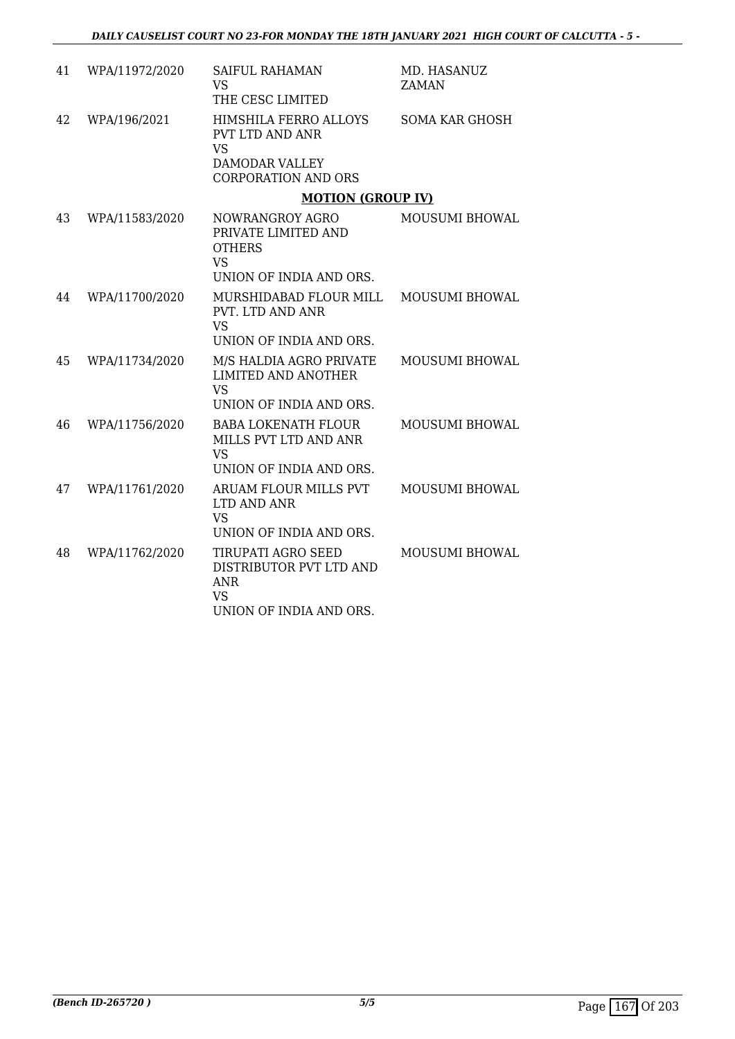| 41 | WPA/11972/2020 | <b>SAIFUL RAHAMAN</b><br><b>VS</b><br>THE CESC LIMITED                                                       | MD. HASANUZ<br><b>ZAMAN</b> |
|----|----------------|--------------------------------------------------------------------------------------------------------------|-----------------------------|
| 42 | WPA/196/2021   | HIMSHILA FERRO ALLOYS<br>PVT LTD AND ANR<br><b>VS</b><br><b>DAMODAR VALLEY</b><br><b>CORPORATION AND ORS</b> | <b>SOMA KAR GHOSH</b>       |
|    |                | <b>MOTION (GROUP IV)</b>                                                                                     |                             |
| 43 | WPA/11583/2020 | NOWRANGROY AGRO<br>PRIVATE LIMITED AND<br><b>OTHERS</b><br><b>VS</b>                                         | MOUSUMI BHOWAL              |
|    |                | UNION OF INDIA AND ORS.                                                                                      |                             |
| 44 | WPA/11700/2020 | MURSHIDABAD FLOUR MILL<br>PVT. LTD AND ANR<br><b>VS</b><br>UNION OF INDIA AND ORS.                           | MOUSUMI BHOWAL              |
| 45 | WPA/11734/2020 | M/S HALDIA AGRO PRIVATE<br><b>LIMITED AND ANOTHER</b><br><b>VS</b><br>UNION OF INDIA AND ORS.                | <b>MOUSUMI BHOWAL</b>       |
| 46 | WPA/11756/2020 | <b>BABA LOKENATH FLOUR</b><br>MILLS PVT LTD AND ANR<br><b>VS</b><br>UNION OF INDIA AND ORS.                  | MOUSUMI BHOWAL              |
| 47 | WPA/11761/2020 | ARUAM FLOUR MILLS PVT<br>LTD AND ANR<br><b>VS</b><br>UNION OF INDIA AND ORS.                                 | <b>MOUSUMI BHOWAL</b>       |
| 48 | WPA/11762/2020 | TIRUPATI AGRO SEED<br>DISTRIBUTOR PVT LTD AND<br><b>ANR</b><br><b>VS</b><br>UNION OF INDIA AND ORS.          | <b>MOUSUMI BHOWAL</b>       |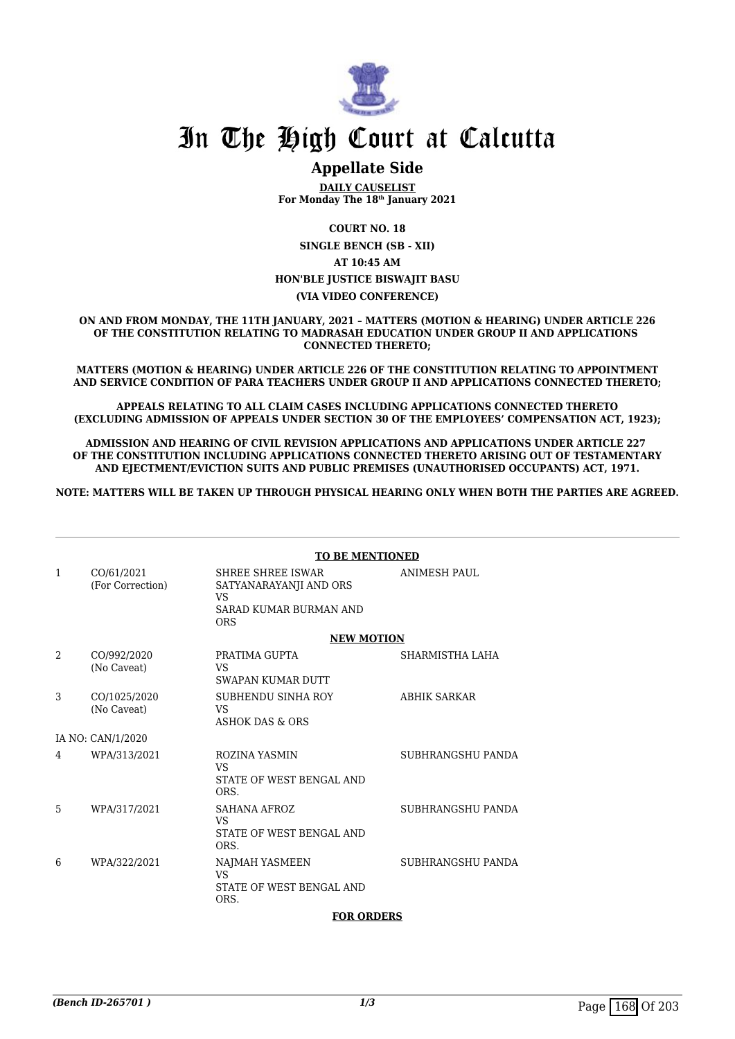

# **Appellate Side**

**DAILY CAUSELIST For Monday The 18th January 2021**

**COURT NO. 18**

**SINGLE BENCH (SB - XII) AT 10:45 AM HON'BLE JUSTICE BISWAJIT BASU (VIA VIDEO CONFERENCE)**

**ON AND FROM MONDAY, THE 11TH JANUARY, 2021 – MATTERS (MOTION & HEARING) UNDER ARTICLE 226 OF THE CONSTITUTION RELATING TO MADRASAH EDUCATION UNDER GROUP II AND APPLICATIONS CONNECTED THERETO;**

**MATTERS (MOTION & HEARING) UNDER ARTICLE 226 OF THE CONSTITUTION RELATING TO APPOINTMENT AND SERVICE CONDITION OF PARA TEACHERS UNDER GROUP II AND APPLICATIONS CONNECTED THERETO;**

**APPEALS RELATING TO ALL CLAIM CASES INCLUDING APPLICATIONS CONNECTED THERETO (EXCLUDING ADMISSION OF APPEALS UNDER SECTION 30 OF THE EMPLOYEES' COMPENSATION ACT, 1923);**

**ADMISSION AND HEARING OF CIVIL REVISION APPLICATIONS AND APPLICATIONS UNDER ARTICLE 227 OF THE CONSTITUTION INCLUDING APPLICATIONS CONNECTED THERETO ARISING OUT OF TESTAMENTARY AND EJECTMENT/EVICTION SUITS AND PUBLIC PREMISES (UNAUTHORISED OCCUPANTS) ACT, 1971.**

**NOTE: MATTERS WILL BE TAKEN UP THROUGH PHYSICAL HEARING ONLY WHEN BOTH THE PARTIES ARE AGREED.**

|   | <b>TO BE MENTIONED</b>         |                                                                                                         |                     |  |
|---|--------------------------------|---------------------------------------------------------------------------------------------------------|---------------------|--|
| 1 | CO/61/2021<br>(For Correction) | <b>SHREE SHREE ISWAR</b><br>SATYANARAYANJI AND ORS<br><b>VS</b><br>SARAD KUMAR BURMAN AND<br><b>ORS</b> | <b>ANIMESH PAUL</b> |  |
|   |                                | <b>NEW MOTION</b>                                                                                       |                     |  |
| 2 | CO/992/2020<br>(No Caveat)     | PRATIMA GUPTA<br><b>VS</b><br><b>SWAPAN KUMAR DUTT</b>                                                  | SHARMISTHA LAHA     |  |
| 3 | CO/1025/2020<br>(No Caveat)    | SUBHENDU SINHA ROY<br><b>VS</b><br><b>ASHOK DAS &amp; ORS</b>                                           | <b>ABHIK SARKAR</b> |  |
|   | IA NO: CAN/1/2020              |                                                                                                         |                     |  |
| 4 | WPA/313/2021                   | ROZINA YASMIN<br><b>VS</b><br>STATE OF WEST BENGAL AND<br>ORS.                                          | SUBHRANGSHU PANDA   |  |
| 5 | WPA/317/2021                   | SAHANA AFROZ<br><b>VS</b><br>STATE OF WEST BENGAL AND<br>ORS.                                           | SUBHRANGSHU PANDA   |  |
| 6 | WPA/322/2021                   | NAJMAH YASMEEN<br><b>VS</b><br>STATE OF WEST BENGAL AND<br>ORS.                                         | SUBHRANGSHU PANDA   |  |
|   | <b>FOR ORDERS</b>              |                                                                                                         |                     |  |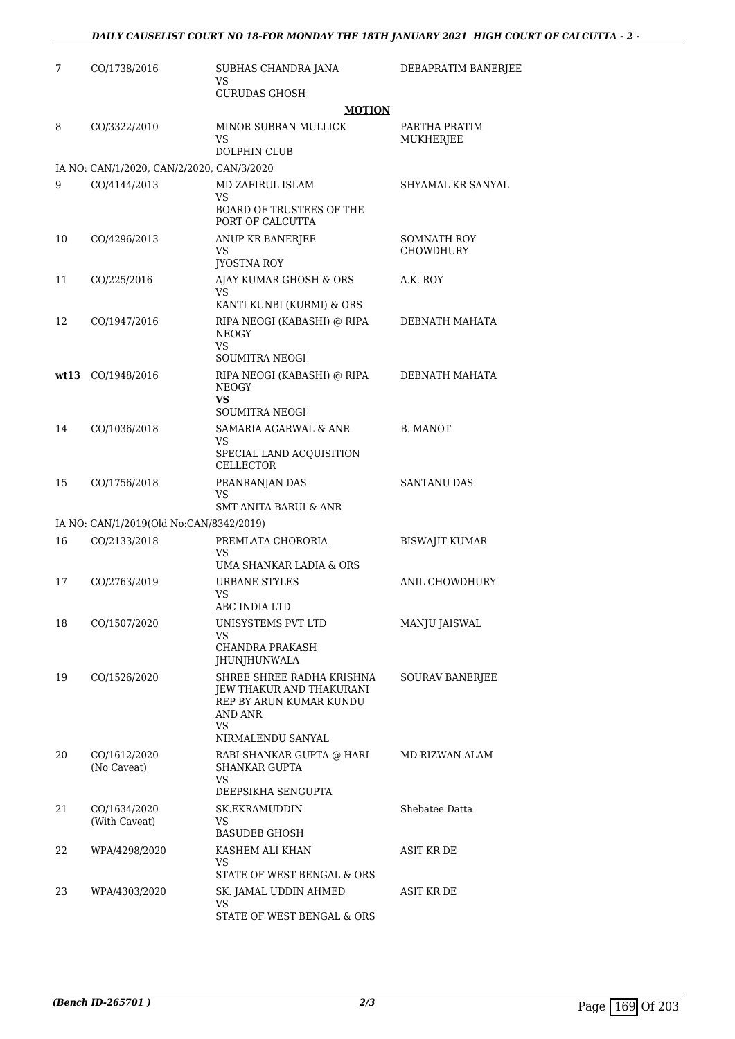| 7  | CO/1738/2016                              | SUBHAS CHANDRA JANA<br>VS                                                                          | DEBAPRATIM BANERJEE        |
|----|-------------------------------------------|----------------------------------------------------------------------------------------------------|----------------------------|
|    |                                           | <b>GURUDAS GHOSH</b>                                                                               |                            |
|    |                                           | <b>MOTION</b>                                                                                      |                            |
| 8  | CO/3322/2010                              | MINOR SUBRAN MULLICK<br>VS.                                                                        | PARTHA PRATIM<br>MUKHERJEE |
|    |                                           | <b>DOLPHIN CLUB</b>                                                                                |                            |
|    | IA NO: CAN/1/2020, CAN/2/2020, CAN/3/2020 |                                                                                                    |                            |
| 9  | CO/4144/2013                              | MD ZAFIRUL ISLAM<br><b>VS</b>                                                                      | SHYAMAL KR SANYAL          |
|    |                                           | <b>BOARD OF TRUSTEES OF THE</b><br>PORT OF CALCUTTA                                                |                            |
| 10 | CO/4296/2013                              | ANUP KR BANERJEE                                                                                   | <b>SOMNATH ROY</b>         |
|    |                                           | VS<br><b>JYOSTNA ROY</b>                                                                           | <b>CHOWDHURY</b>           |
| 11 | CO/225/2016                               | AJAY KUMAR GHOSH & ORS<br>VS                                                                       | A.K. ROY                   |
|    |                                           | KANTI KUNBI (KURMI) & ORS                                                                          |                            |
| 12 | CO/1947/2016                              | RIPA NEOGI (KABASHI) @ RIPA<br><b>NEOGY</b><br>VS.                                                 | DEBNATH MAHATA             |
|    |                                           | SOUMITRA NEOGI                                                                                     |                            |
|    | wt13 CO/1948/2016                         | RIPA NEOGI (KABASHI) @ RIPA<br><b>NEOGY</b><br>VS.                                                 | DEBNATH MAHATA             |
|    |                                           | <b>SOUMITRA NEOGI</b>                                                                              |                            |
| 14 | CO/1036/2018                              | SAMARIA AGARWAL & ANR<br>VS                                                                        | B. MANOT                   |
|    |                                           | SPECIAL LAND ACQUISITION<br><b>CELLECTOR</b>                                                       |                            |
| 15 | CO/1756/2018                              | PRANRANJAN DAS<br>VS<br><b>SMT ANITA BARUI &amp; ANR</b>                                           | SANTANU DAS                |
|    | IA NO: CAN/1/2019(Old No:CAN/8342/2019)   |                                                                                                    |                            |
| 16 | CO/2133/2018                              | PREMLATA CHORORIA                                                                                  | <b>BISWAJIT KUMAR</b>      |
|    |                                           | VS<br>UMA SHANKAR LADIA & ORS                                                                      |                            |
| 17 | CO/2763/2019                              | <b>URBANE STYLES</b><br>VS                                                                         | ANIL CHOWDHURY             |
|    |                                           | ABC INDIA LTD                                                                                      |                            |
| 18 | CO/1507/2020                              | UNISYSTEMS PVT LTD<br>VS.                                                                          | MANJU JAISWAL              |
|    |                                           | <b>CHANDRA PRAKASH</b><br>JHUNJHUNWALA                                                             |                            |
| 19 | CO/1526/2020                              | SHREE SHREE RADHA KRISHNA<br>JEW THAKUR AND THAKURANI<br>REP BY ARUN KUMAR KUNDU<br>AND ANR<br>VS. | SOURAV BANERJEE            |
|    |                                           | NIRMALENDU SANYAL                                                                                  |                            |
| 20 | CO/1612/2020<br>(No Caveat)               | RABI SHANKAR GUPTA @ HARI<br><b>SHANKAR GUPTA</b><br>VS                                            | MD RIZWAN ALAM             |
|    |                                           | DEEPSIKHA SENGUPTA                                                                                 |                            |
| 21 | CO/1634/2020<br>(With Caveat)             | SK.EKRAMUDDIN<br>VS                                                                                | Shebatee Datta             |
| 22 | WPA/4298/2020                             | BASUDEB GHOSH<br>KASHEM ALI KHAN                                                                   | ASIT KR DE                 |
|    |                                           | VS<br>STATE OF WEST BENGAL & ORS                                                                   |                            |
| 23 | WPA/4303/2020                             | SK. JAMAL UDDIN AHMED                                                                              | ASIT KR DE                 |
|    |                                           | VS<br>STATE OF WEST BENGAL & ORS                                                                   |                            |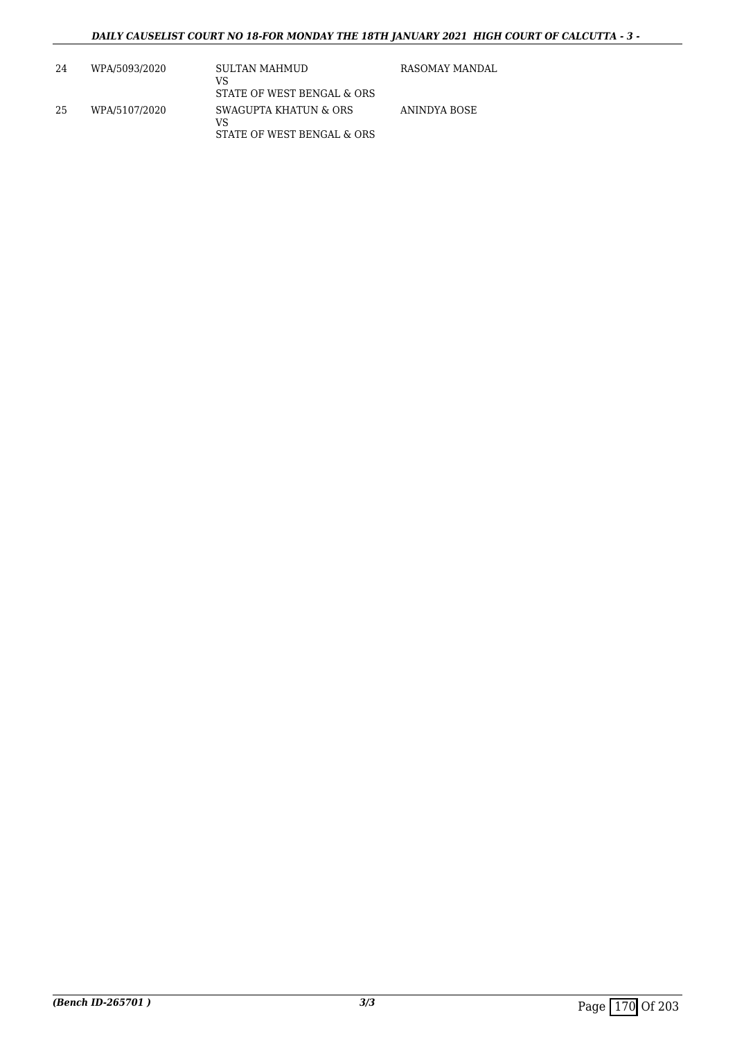| 24  | WPA/5093/2020 | SULTAN MAHMUD<br>VS<br>STATE OF WEST BENGAL & ORS         | RASOMAY MANDAL |
|-----|---------------|-----------------------------------------------------------|----------------|
| -25 | WPA/5107/2020 | SWAGUPTA KHATUN & ORS<br>VS<br>STATE OF WEST BENGAL & ORS | ANINDYA BOSE   |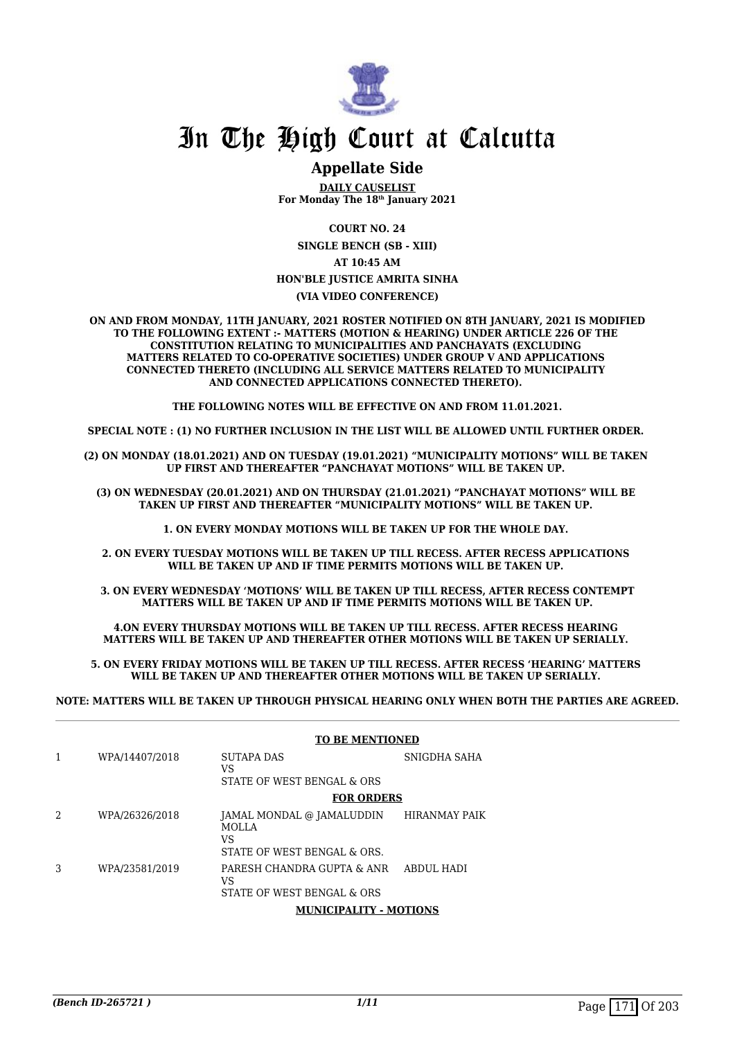

# **Appellate Side**

**DAILY CAUSELIST For Monday The 18th January 2021**

**COURT NO. 24**

**SINGLE BENCH (SB - XIII) AT 10:45 AM HON'BLE JUSTICE AMRITA SINHA**

**(VIA VIDEO CONFERENCE)**

**ON AND FROM MONDAY, 11TH JANUARY, 2021 ROSTER NOTIFIED ON 8TH JANUARY, 2021 IS MODIFIED TO THE FOLLOWING EXTENT :- MATTERS (MOTION & HEARING) UNDER ARTICLE 226 OF THE CONSTITUTION RELATING TO MUNICIPALITIES AND PANCHAYATS (EXCLUDING MATTERS RELATED TO CO-OPERATIVE SOCIETIES) UNDER GROUP V AND APPLICATIONS CONNECTED THERETO (INCLUDING ALL SERVICE MATTERS RELATED TO MUNICIPALITY AND CONNECTED APPLICATIONS CONNECTED THERETO).** 

**THE FOLLOWING NOTES WILL BE EFFECTIVE ON AND FROM 11.01.2021.**

**SPECIAL NOTE : (1) NO FURTHER INCLUSION IN THE LIST WILL BE ALLOWED UNTIL FURTHER ORDER.** 

**(2) ON MONDAY (18.01.2021) AND ON TUESDAY (19.01.2021) "MUNICIPALITY MOTIONS" WILL BE TAKEN UP FIRST AND THEREAFTER "PANCHAYAT MOTIONS" WILL BE TAKEN UP.** 

**(3) ON WEDNESDAY (20.01.2021) AND ON THURSDAY (21.01.2021) "PANCHAYAT MOTIONS" WILL BE TAKEN UP FIRST AND THEREAFTER "MUNICIPALITY MOTIONS" WILL BE TAKEN UP.** 

**1. ON EVERY MONDAY MOTIONS WILL BE TAKEN UP FOR THE WHOLE DAY.** 

**2. ON EVERY TUESDAY MOTIONS WILL BE TAKEN UP TILL RECESS. AFTER RECESS APPLICATIONS**  WILL BE TAKEN UP AND IF TIME PERMITS MOTIONS WILL BE TAKEN UP.

**3. ON EVERY WEDNESDAY 'MOTIONS' WILL BE TAKEN UP TILL RECESS, AFTER RECESS CONTEMPT MATTERS WILL BE TAKEN UP AND IF TIME PERMITS MOTIONS WILL BE TAKEN UP.**

**4.ON EVERY THURSDAY MOTIONS WILL BE TAKEN UP TILL RECESS. AFTER RECESS HEARING MATTERS WILL BE TAKEN UP AND THEREAFTER OTHER MOTIONS WILL BE TAKEN UP SERIALLY.** 

**5. ON EVERY FRIDAY MOTIONS WILL BE TAKEN UP TILL RECESS. AFTER RECESS 'HEARING' MATTERS WILL BE TAKEN UP AND THEREAFTER OTHER MOTIONS WILL BE TAKEN UP SERIALLY.** 

**NOTE: MATTERS WILL BE TAKEN UP THROUGH PHYSICAL HEARING ONLY WHEN BOTH THE PARTIES ARE AGREED.**

|   |                | <b>TO BE MENTIONED</b>                                                    |                      |
|---|----------------|---------------------------------------------------------------------------|----------------------|
| 1 | WPA/14407/2018 | SUTAPA DAS<br>VS<br>STATE OF WEST BENGAL & ORS                            | SNIGDHA SAHA         |
|   |                | <b>FOR ORDERS</b>                                                         |                      |
| 2 | WPA/26326/2018 | JAMAL MONDAL @ JAMALUDDIN<br>MOLLA<br>VS<br>STATE OF WEST BENGAL & ORS.   | <b>HIRANMAY PAIK</b> |
| 3 | WPA/23581/2019 | PARESH CHANDRA GUPTA & ANR ABDUL HADI<br>VS<br>STATE OF WEST BENGAL & ORS |                      |
|   |                | <b>MUNICIPALITY - MOTIONS</b>                                             |                      |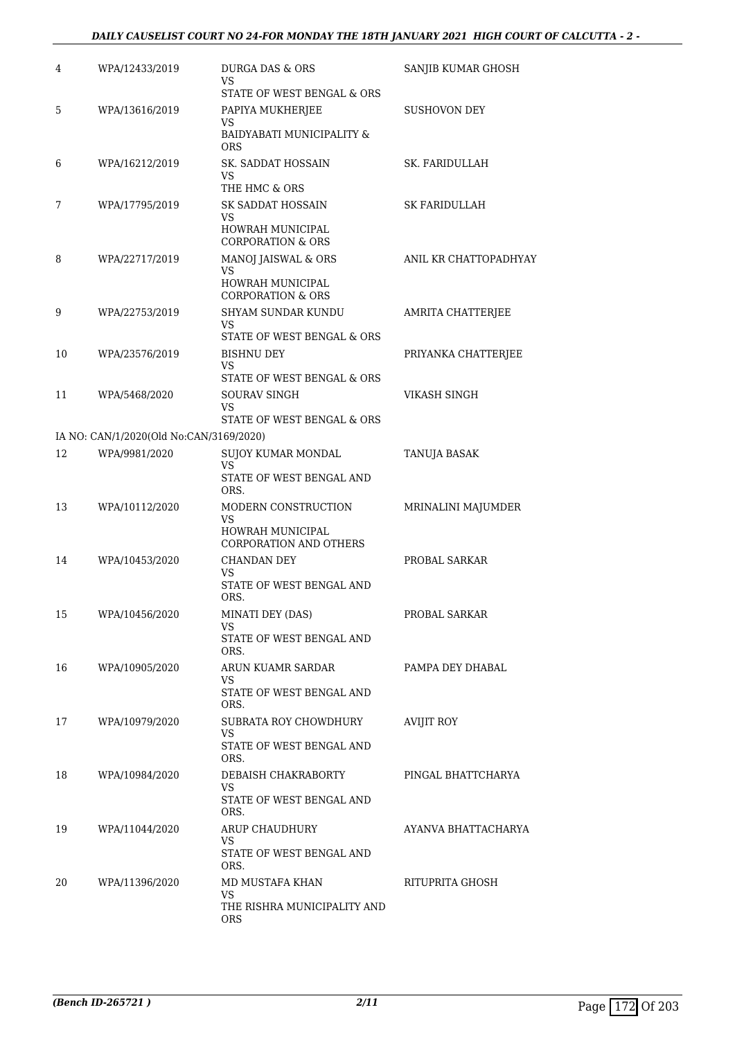# *DAILY CAUSELIST COURT NO 24-FOR MONDAY THE 18TH JANUARY 2021 HIGH COURT OF CALCUTTA - 2 -*

| 4  | WPA/12433/2019                          | DURGA DAS & ORS<br>VS.<br>STATE OF WEST BENGAL & ORS   | SANJIB KUMAR GHOSH    |
|----|-----------------------------------------|--------------------------------------------------------|-----------------------|
| 5  | WPA/13616/2019                          | PAPIYA MUKHERJEE                                       | SUSHOVON DEY          |
|    |                                         | VS<br>BAIDYABATI MUNICIPALITY &<br><b>ORS</b>          |                       |
| 6  | WPA/16212/2019                          | SK. SADDAT HOSSAIN<br>VS<br>THE HMC & ORS              | SK. FARIDULLAH        |
| 7  | WPA/17795/2019                          | SK SADDAT HOSSAIN                                      | <b>SK FARIDULLAH</b>  |
|    |                                         | VS<br>HOWRAH MUNICIPAL<br>CORPORATION & ORS            |                       |
| 8  | WPA/22717/2019                          | MANOJ JAISWAL & ORS                                    | ANIL KR CHATTOPADHYAY |
|    |                                         | VS<br>HOWRAH MUNICIPAL<br><b>CORPORATION &amp; ORS</b> |                       |
| 9  | WPA/22753/2019                          | SHYAM SUNDAR KUNDU<br>VS                               | AMRITA CHATTERJEE     |
|    |                                         | STATE OF WEST BENGAL & ORS                             |                       |
| 10 | WPA/23576/2019                          | <b>BISHNU DEY</b><br>VS<br>STATE OF WEST BENGAL & ORS  | PRIYANKA CHATTERJEE   |
| 11 | WPA/5468/2020                           | SOURAV SINGH                                           | VIKASH SINGH          |
|    |                                         | VS.<br>STATE OF WEST BENGAL & ORS                      |                       |
|    | IA NO: CAN/1/2020(Old No:CAN/3169/2020) |                                                        |                       |
| 12 | WPA/9981/2020                           | SUJOY KUMAR MONDAL<br>VS<br>STATE OF WEST BENGAL AND   | TANUJA BASAK          |
|    |                                         | ORS.                                                   |                       |
| 13 | WPA/10112/2020                          | MODERN CONSTRUCTION<br>VS.                             | MRINALINI MAJUMDER    |
|    |                                         | HOWRAH MUNICIPAL<br>CORPORATION AND OTHERS             |                       |
| 14 | WPA/10453/2020                          | <b>CHANDAN DEY</b><br>VS                               | PROBAL SARKAR         |
|    |                                         | STATE OF WEST BENGAL AND<br>ORS.                       |                       |
| 15 | WPA/10456/2020                          | MINATI DEY (DAS)<br>VS.                                | PROBAL SARKAR         |
|    |                                         | STATE OF WEST BENGAL AND<br>ORS.                       |                       |
| 16 | WPA/10905/2020                          | ARUN KUAMR SARDAR                                      | PAMPA DEY DHABAL      |
|    |                                         | VS<br>STATE OF WEST BENGAL AND<br>ORS.                 |                       |
| 17 | WPA/10979/2020                          | SUBRATA ROY CHOWDHURY<br>VS                            | AVIJIT ROY            |
|    |                                         | STATE OF WEST BENGAL AND<br>ORS.                       |                       |
| 18 | WPA/10984/2020                          | DEBAISH CHAKRABORTY<br>VS                              | PINGAL BHATTCHARYA    |
|    |                                         | STATE OF WEST BENGAL AND<br>ORS.                       |                       |
| 19 | WPA/11044/2020                          | <b>ARUP CHAUDHURY</b><br>VS                            | AYANVA BHATTACHARYA   |
|    |                                         | STATE OF WEST BENGAL AND<br>ORS.                       |                       |
| 20 | WPA/11396/2020                          | MD MUSTAFA KHAN<br><b>VS</b>                           | RITUPRITA GHOSH       |
|    |                                         | THE RISHRA MUNICIPALITY AND<br><b>ORS</b>              |                       |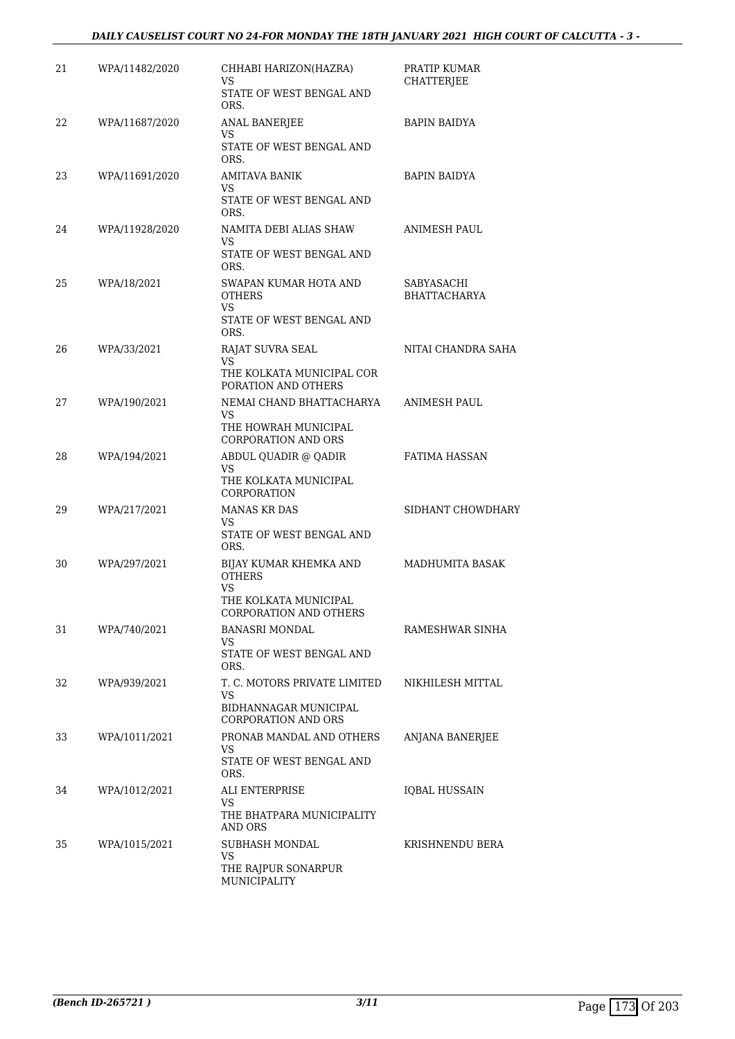# *DAILY CAUSELIST COURT NO 24-FOR MONDAY THE 18TH JANUARY 2021 HIGH COURT OF CALCUTTA - 3 -*

| 21 | WPA/11482/2020 | CHHABI HARIZON(HAZRA)<br>VS                         | PRATIP KUMAR<br>CHATTERJEE        |
|----|----------------|-----------------------------------------------------|-----------------------------------|
|    |                | STATE OF WEST BENGAL AND<br>ORS.                    |                                   |
| 22 | WPA/11687/2020 | <b>ANAL BANERJEE</b><br>VS                          | <b>BAPIN BAIDYA</b>               |
|    |                | STATE OF WEST BENGAL AND<br>ORS.                    |                                   |
| 23 | WPA/11691/2020 | AMITAVA BANIK<br>VS                                 | <b>BAPIN BAIDYA</b>               |
|    |                | STATE OF WEST BENGAL AND<br>ORS.                    |                                   |
| 24 | WPA/11928/2020 | NAMITA DEBI ALIAS SHAW<br>VS                        | ANIMESH PAUL                      |
|    |                | STATE OF WEST BENGAL AND<br>ORS.                    |                                   |
| 25 | WPA/18/2021    | SWAPAN KUMAR HOTA AND<br><b>OTHERS</b><br>VS        | SABYASACHI<br><b>BHATTACHARYA</b> |
|    |                | STATE OF WEST BENGAL AND<br>ORS.                    |                                   |
| 26 | WPA/33/2021    | RAJAT SUVRA SEAL<br>VS                              | NITAI CHANDRA SAHA                |
|    |                | THE KOLKATA MUNICIPAL COR<br>PORATION AND OTHERS    |                                   |
| 27 | WPA/190/2021   | NEMAI CHAND BHATTACHARYA<br>VS.                     | ANIMESH PAUL                      |
|    |                | THE HOWRAH MUNICIPAL<br><b>CORPORATION AND ORS</b>  |                                   |
| 28 | WPA/194/2021   | ABDUL QUADIR @ QADIR<br>VS                          | FATIMA HASSAN                     |
|    |                | THE KOLKATA MUNICIPAL<br>CORPORATION                |                                   |
| 29 | WPA/217/2021   | <b>MANAS KR DAS</b><br>VS                           | SIDHANT CHOWDHARY                 |
|    |                | STATE OF WEST BENGAL AND<br>ORS.                    |                                   |
| 30 | WPA/297/2021   | BIJAY KUMAR KHEMKA AND<br><b>OTHERS</b><br>VS       | <b>MADHUMITA BASAK</b>            |
|    |                | THE KOLKATA MUNICIPAL<br>CORPORATION AND OTHERS     |                                   |
| 31 | WPA/740/2021   | <b>BANASRI MONDAL</b><br>VS                         | RAMESHWAR SINHA                   |
|    |                | STATE OF WEST BENGAL AND<br>ORS.                    |                                   |
| 32 | WPA/939/2021   | T. C. MOTORS PRIVATE LIMITED<br>VS                  | NIKHILESH MITTAL                  |
|    |                | BIDHANNAGAR MUNICIPAL<br><b>CORPORATION AND ORS</b> |                                   |
| 33 | WPA/1011/2021  | PRONAB MANDAL AND OTHERS<br>VS.                     | ANJANA BANERJEE                   |
|    |                | STATE OF WEST BENGAL AND<br>ORS.                    |                                   |
| 34 | WPA/1012/2021  | ALI ENTERPRISE<br>VS                                | <b>IQBAL HUSSAIN</b>              |
|    |                | THE BHATPARA MUNICIPALITY<br><b>AND ORS</b>         |                                   |
| 35 | WPA/1015/2021  | SUBHASH MONDAL<br>VS                                | KRISHNENDU BERA                   |
|    |                | THE RAJPUR SONARPUR<br>MUNICIPALITY                 |                                   |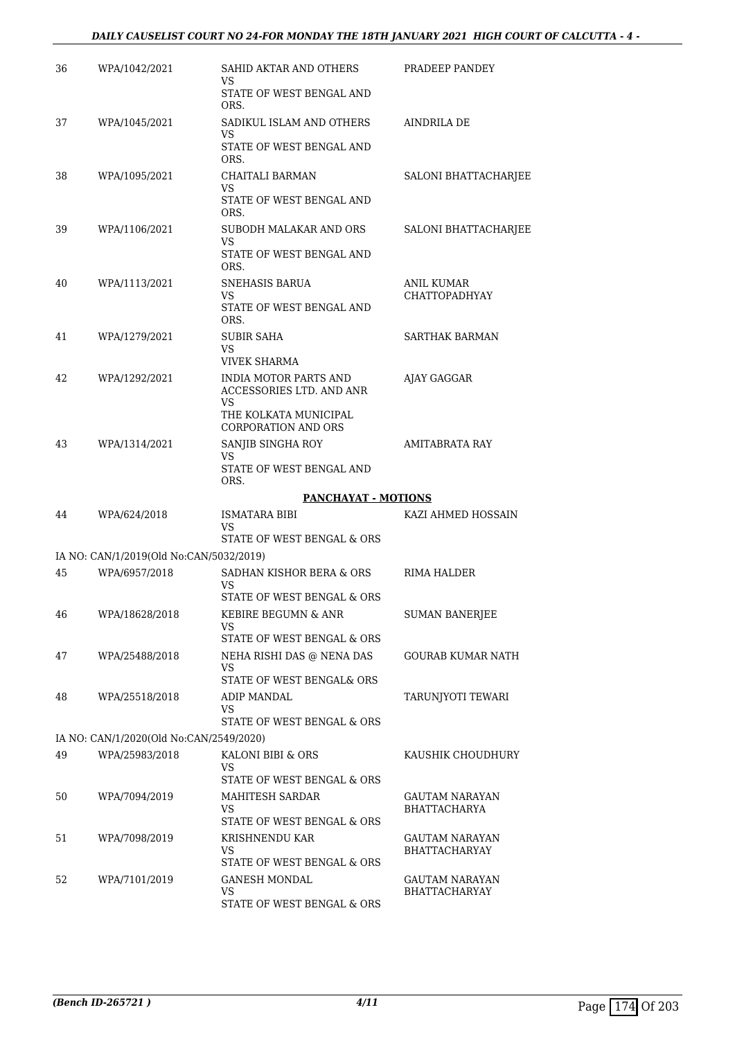# *DAILY CAUSELIST COURT NO 24-FOR MONDAY THE 18TH JANUARY 2021 HIGH COURT OF CALCUTTA - 4 -*

| 36 | WPA/1042/2021                           | SAHID AKTAR AND OTHERS<br>VS<br>STATE OF WEST BENGAL AND<br>ORS.                                               | PRADEEP PANDEY                         |
|----|-----------------------------------------|----------------------------------------------------------------------------------------------------------------|----------------------------------------|
| 37 | WPA/1045/2021                           | SADIKUL ISLAM AND OTHERS<br>VS<br>STATE OF WEST BENGAL AND<br>ORS.                                             | AINDRILA DE                            |
| 38 | WPA/1095/2021                           | CHAITALI BARMAN<br>VS.<br>STATE OF WEST BENGAL AND<br>ORS.                                                     | <b>SALONI BHATTACHARJEE</b>            |
| 39 | WPA/1106/2021                           | SUBODH MALAKAR AND ORS<br>VS<br>STATE OF WEST BENGAL AND<br>ORS.                                               | SALONI BHATTACHARJEE                   |
| 40 | WPA/1113/2021                           | SNEHASIS BARUA<br>VS<br>STATE OF WEST BENGAL AND<br>ORS.                                                       | <b>ANIL KUMAR</b><br>CHATTOPADHYAY     |
| 41 | WPA/1279/2021                           | <b>SUBIR SAHA</b><br>VS.<br><b>VIVEK SHARMA</b>                                                                | <b>SARTHAK BARMAN</b>                  |
| 42 | WPA/1292/2021                           | <b>INDIA MOTOR PARTS AND</b><br>ACCESSORIES LTD. AND ANR<br>VS<br>THE KOLKATA MUNICIPAL<br>CORPORATION AND ORS | AJAY GAGGAR                            |
| 43 | WPA/1314/2021                           | SANJIB SINGHA ROY<br>VS.<br>STATE OF WEST BENGAL AND<br>ORS.                                                   | <b>AMITABRATA RAY</b>                  |
|    |                                         | PANCHAYAT - MOTIONS                                                                                            |                                        |
|    |                                         |                                                                                                                |                                        |
| 44 | WPA/624/2018                            | ISMATARA BIBI<br>VS<br>STATE OF WEST BENGAL & ORS                                                              | KAZI AHMED HOSSAIN                     |
|    | IA NO: CAN/1/2019(Old No:CAN/5032/2019) |                                                                                                                |                                        |
| 45 | WPA/6957/2018                           | SADHAN KISHOR BERA & ORS<br>VS                                                                                 | RIMA HALDER                            |
| 46 | WPA/18628/2018                          | STATE OF WEST BENGAL & ORS<br>KEBIRE BEGUMN & ANR<br>VS<br>STATE OF WEST BENGAL & ORS                          | SUMAN BANERJEE                         |
| 47 | WPA/25488/2018                          | NEHA RISHI DAS @ NENA DAS<br>VS                                                                                | GOURAB KUMAR NATH                      |
| 48 | WPA/25518/2018                          | STATE OF WEST BENGAL& ORS<br>ADIP MANDAL<br>VS.<br>STATE OF WEST BENGAL & ORS                                  | TARUNIYOTI TEWARI                      |
|    | IA NO: CAN/1/2020(Old No:CAN/2549/2020) |                                                                                                                |                                        |
| 49 | WPA/25983/2018                          | KALONI BIBI & ORS<br>VS                                                                                        | KAUSHIK CHOUDHURY                      |
| 50 | WPA/7094/2019                           | STATE OF WEST BENGAL & ORS<br><b>MAHITESH SARDAR</b><br>VS.<br>STATE OF WEST BENGAL & ORS                      | GAUTAM NARAYAN<br><b>BHATTACHARYA</b>  |
| 51 | WPA/7098/2019                           | KRISHNENDU KAR<br>VS<br>STATE OF WEST BENGAL & ORS                                                             | <b>GAUTAM NARAYAN</b><br>BHATTACHARYAY |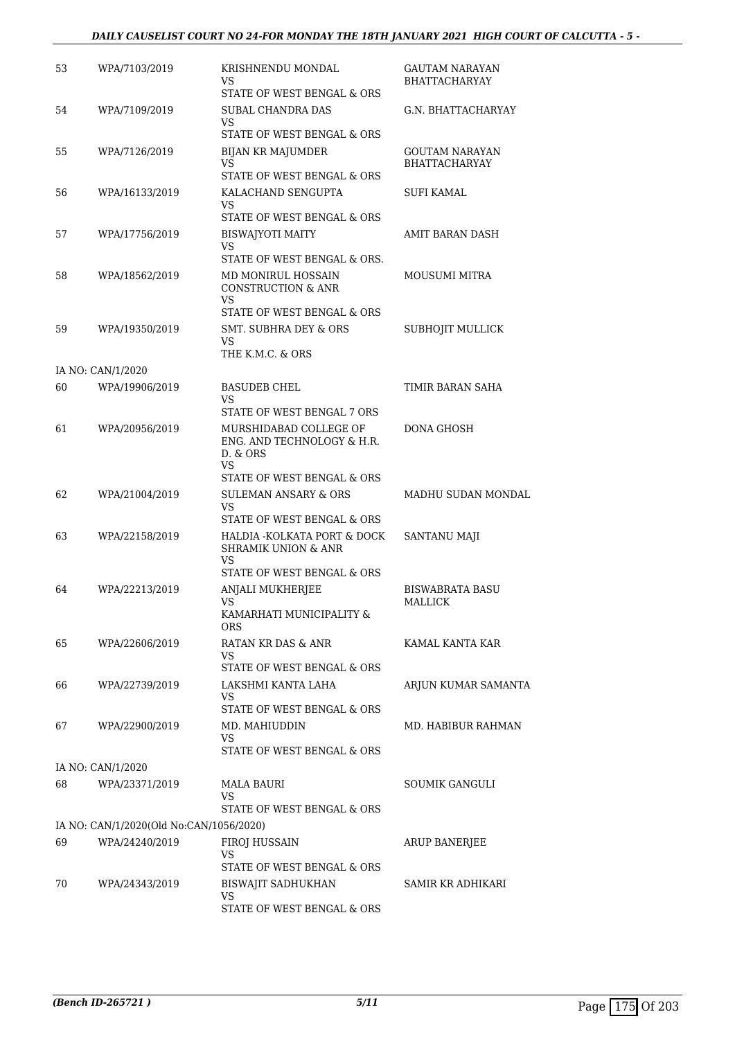# *DAILY CAUSELIST COURT NO 24-FOR MONDAY THE 18TH JANUARY 2021 HIGH COURT OF CALCUTTA - 5 -*

| 53 | WPA/7103/2019                           | KRISHNENDU MONDAL<br>VS<br>STATE OF WEST BENGAL & ORS              | <b>GAUTAM NARAYAN</b><br><b>BHATTACHARYAY</b> |
|----|-----------------------------------------|--------------------------------------------------------------------|-----------------------------------------------|
| 54 | WPA/7109/2019                           | SUBAL CHANDRA DAS<br>VS                                            | G.N. BHATTACHARYAY                            |
|    |                                         | STATE OF WEST BENGAL & ORS                                         |                                               |
| 55 | WPA/7126/2019                           | <b>BIJAN KR MAJUMDER</b><br>VS                                     | GOUTAM NARAYAN<br><b>BHATTACHARYAY</b>        |
|    |                                         | STATE OF WEST BENGAL & ORS                                         |                                               |
| 56 | WPA/16133/2019                          | KALACHAND SENGUPTA<br>VS<br>STATE OF WEST BENGAL & ORS             | <b>SUFI KAMAL</b>                             |
| 57 | WPA/17756/2019                          | <b>BISWAJYOTI MAITY</b><br>VS.                                     | AMIT BARAN DASH                               |
|    |                                         | STATE OF WEST BENGAL & ORS.                                        |                                               |
| 58 | WPA/18562/2019                          | MD MONIRUL HOSSAIN<br><b>CONSTRUCTION &amp; ANR</b><br>VS.         | <b>MOUSUMI MITRA</b>                          |
|    |                                         | STATE OF WEST BENGAL & ORS                                         |                                               |
| 59 | WPA/19350/2019                          | SMT. SUBHRA DEY & ORS<br>VS.                                       | SUBHOJIT MULLICK                              |
|    |                                         | THE K.M.C. & ORS                                                   |                                               |
|    | IA NO: CAN/1/2020                       |                                                                    |                                               |
| 60 | WPA/19906/2019                          | <b>BASUDEB CHEL</b><br>VS                                          | TIMIR BARAN SAHA                              |
|    |                                         | STATE OF WEST BENGAL 7 ORS                                         |                                               |
| 61 | WPA/20956/2019                          | MURSHIDABAD COLLEGE OF<br>ENG. AND TECHNOLOGY & H.R.<br>D. & ORS   | DONA GHOSH                                    |
|    |                                         | VS.<br>STATE OF WEST BENGAL & ORS                                  |                                               |
| 62 | WPA/21004/2019                          | <b>SULEMAN ANSARY &amp; ORS</b><br>VS                              | MADHU SUDAN MONDAL                            |
| 63 | WPA/22158/2019                          | STATE OF WEST BENGAL & ORS<br>HALDIA - KOLKATA PORT & DOCK         | SANTANU MAJI                                  |
|    |                                         | <b>SHRAMIK UNION &amp; ANR</b><br>VS<br>STATE OF WEST BENGAL & ORS |                                               |
| 64 | WPA/22213/2019                          | <b>ANJALI MUKHERJEE</b>                                            | BISWABRATA BASU                               |
|    |                                         | <b>VS</b><br>KAMARHATI MUNICIPALITY &<br><b>ORS</b>                | MALLICK                                       |
| 65 | WPA/22606/2019                          | RATAN KR DAS & ANR                                                 | KAMAL KANTA KAR                               |
|    |                                         | VS                                                                 |                                               |
| 66 | WPA/22739/2019                          | STATE OF WEST BENGAL & ORS<br>LAKSHMI KANTA LAHA                   | ARJUN KUMAR SAMANTA                           |
|    |                                         | VS.                                                                |                                               |
|    |                                         | STATE OF WEST BENGAL & ORS                                         |                                               |
| 67 | WPA/22900/2019                          | MD. MAHIUDDIN<br>VS<br>STATE OF WEST BENGAL & ORS                  | MD. HABIBUR RAHMAN                            |
|    | IA NO: CAN/1/2020                       |                                                                    |                                               |
| 68 | WPA/23371/2019                          | MALA BAURI                                                         | SOUMIK GANGULI                                |
|    |                                         | VS<br>STATE OF WEST BENGAL & ORS                                   |                                               |
|    | IA NO: CAN/1/2020(Old No:CAN/1056/2020) |                                                                    |                                               |
| 69 | WPA/24240/2019                          | FIROJ HUSSAIN                                                      | <b>ARUP BANERJEE</b>                          |
|    |                                         | VS                                                                 |                                               |
| 70 |                                         | STATE OF WEST BENGAL & ORS                                         |                                               |
|    | WPA/24343/2019                          | BISWAJIT SADHUKHAN<br>VS.                                          | SAMIR KR ADHIKARI                             |
|    |                                         | STATE OF WEST BENGAL & ORS                                         |                                               |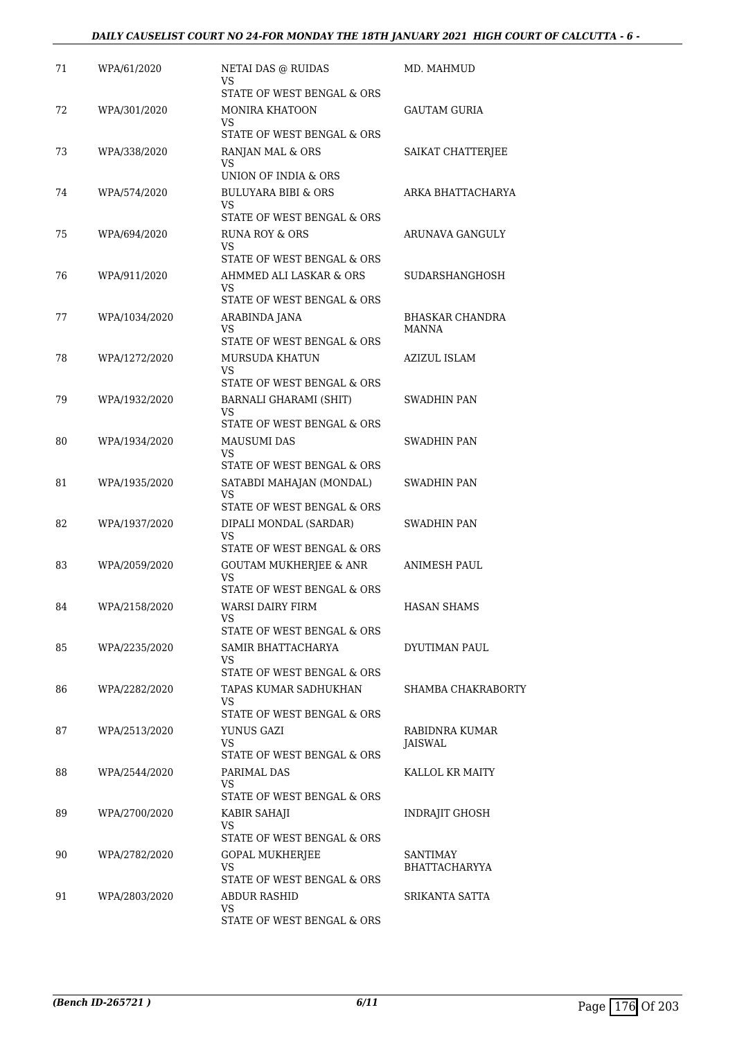| 71 | WPA/61/2020   | <b>NETAI DAS @ RUIDAS</b>                            | MD. MAHMUD                |
|----|---------------|------------------------------------------------------|---------------------------|
|    |               | VS<br>STATE OF WEST BENGAL & ORS                     |                           |
| 72 | WPA/301/2020  | <b>MONIRA KHATOON</b>                                | GAUTAM GURIA              |
|    |               | VS                                                   |                           |
|    |               | STATE OF WEST BENGAL & ORS                           |                           |
| 73 | WPA/338/2020  | RANJAN MAL & ORS<br>VS                               | SAIKAT CHATTERJEE         |
|    |               | UNION OF INDIA & ORS                                 |                           |
| 74 | WPA/574/2020  | <b>BULUYARA BIBI &amp; ORS</b>                       | ARKA BHATTACHARYA         |
|    |               | VS<br>STATE OF WEST BENGAL & ORS                     |                           |
| 75 | WPA/694/2020  | RUNA ROY & ORS<br>VS                                 | ARUNAVA GANGULY           |
|    |               | STATE OF WEST BENGAL & ORS                           |                           |
| 76 | WPA/911/2020  | AHMMED ALI LASKAR & ORS                              | SUDARSHANGHOSH            |
|    |               | VS<br>STATE OF WEST BENGAL & ORS                     |                           |
| 77 | WPA/1034/2020 | ARABINDA JANA                                        | <b>BHASKAR CHANDRA</b>    |
|    |               | VS                                                   | MANNA                     |
|    |               | STATE OF WEST BENGAL & ORS                           | <b>AZIZUL ISLAM</b>       |
| 78 | WPA/1272/2020 | <b>MURSUDA KHATUN</b><br>VS                          |                           |
|    |               | STATE OF WEST BENGAL & ORS                           |                           |
| 79 | WPA/1932/2020 | BARNALI GHARAMI (SHIT)<br>VS                         | <b>SWADHIN PAN</b>        |
|    |               | STATE OF WEST BENGAL & ORS                           |                           |
| 80 | WPA/1934/2020 | <b>MAUSUMI DAS</b>                                   | SWADHIN PAN               |
|    |               | VS<br>STATE OF WEST BENGAL & ORS                     |                           |
| 81 | WPA/1935/2020 | SATABDI MAHAJAN (MONDAL)                             | SWADHIN PAN               |
|    |               | VS                                                   |                           |
|    |               | STATE OF WEST BENGAL & ORS                           |                           |
| 82 | WPA/1937/2020 | DIPALI MONDAL (SARDAR)<br>VS                         | SWADHIN PAN               |
|    |               | STATE OF WEST BENGAL & ORS                           |                           |
| 83 | WPA/2059/2020 | GOUTAM MUKHERJEE & ANR<br><b>VS</b>                  | ANIMESH PAUL              |
|    |               | STATE OF WEST BENGAL & ORS                           |                           |
| 84 | WPA/2158/2020 | WARSI DAIRY FIRM                                     | <b>HASAN SHAMS</b>        |
|    |               | VS<br>STATE OF WEST BENGAL & ORS                     |                           |
| 85 | WPA/2235/2020 | SAMIR BHATTACHARYA                                   | DYUTIMAN PAUL             |
|    |               | VS<br>STATE OF WEST BENGAL & ORS                     |                           |
| 86 | WPA/2282/2020 | TAPAS KUMAR SADHUKHAN                                | SHAMBA CHAKRABORTY        |
|    |               | VS                                                   |                           |
|    |               | STATE OF WEST BENGAL & ORS                           |                           |
| 87 | WPA/2513/2020 | YUNUS GAZI<br>VS                                     | RABIDNRA KUMAR<br>JAISWAL |
|    |               | STATE OF WEST BENGAL & ORS                           |                           |
| 88 | WPA/2544/2020 | PARIMAL DAS                                          | KALLOL KR MAITY           |
|    |               | VS<br>STATE OF WEST BENGAL & ORS                     |                           |
| 89 | WPA/2700/2020 | KABIR SAHAJI                                         | INDRAJIT GHOSH            |
|    |               | VS                                                   |                           |
| 90 | WPA/2782/2020 | STATE OF WEST BENGAL & ORS<br><b>GOPAL MUKHERJEE</b> | SANTIMAY                  |
|    |               | VS                                                   | <b>BHATTACHARYYA</b>      |
|    |               | STATE OF WEST BENGAL & ORS                           |                           |
| 91 | WPA/2803/2020 | ABDUR RASHID<br>VS                                   | SRIKANTA SATTA            |
|    |               | STATE OF WEST BENGAL & ORS                           |                           |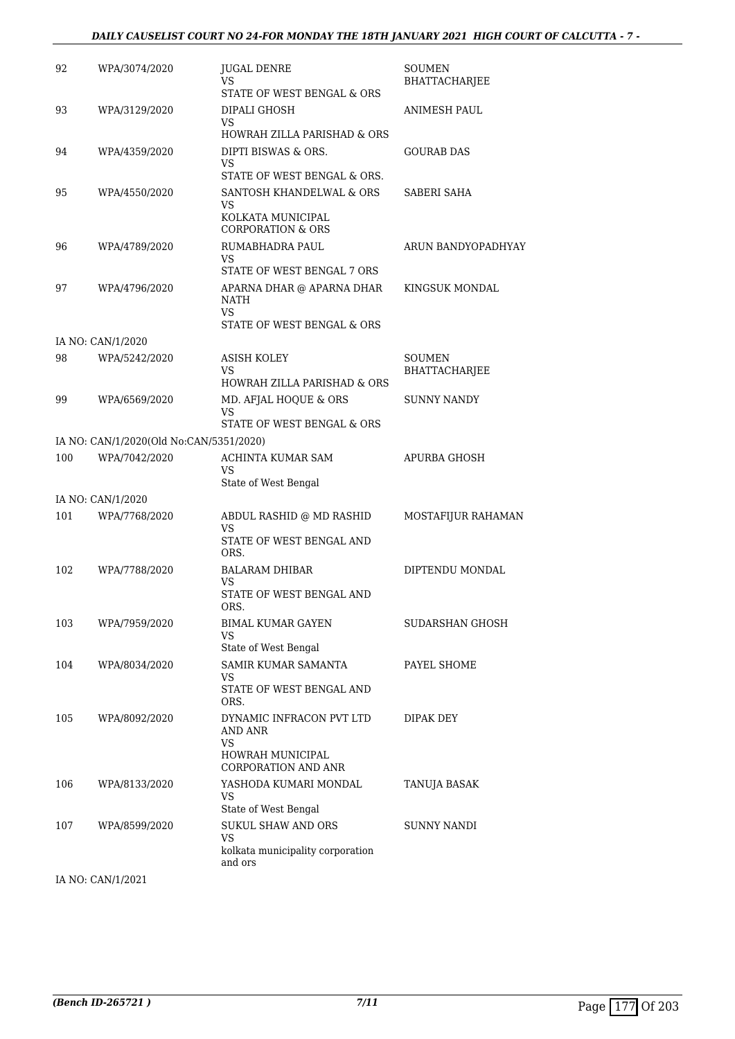### *DAILY CAUSELIST COURT NO 24-FOR MONDAY THE 18TH JANUARY 2021 HIGH COURT OF CALCUTTA - 7 -*

| 92  | WPA/3074/2020                           | <b>JUGAL DENRE</b><br>VS<br>STATE OF WEST BENGAL & ORS  | SOUMEN<br>BHATTACHARJEE |
|-----|-----------------------------------------|---------------------------------------------------------|-------------------------|
| 93  | WPA/3129/2020                           | DIPALI GHOSH<br>VS                                      | ANIMESH PAUL            |
|     |                                         | HOWRAH ZILLA PARISHAD & ORS                             |                         |
| 94  | WPA/4359/2020                           | DIPTI BISWAS & ORS.<br>VS                               | GOURAB DAS              |
| 95  |                                         | STATE OF WEST BENGAL & ORS.<br>SANTOSH KHANDELWAL & ORS |                         |
|     | WPA/4550/2020                           | VS                                                      | SABERI SAHA             |
|     |                                         | KOLKATA MUNICIPAL<br><b>CORPORATION &amp; ORS</b>       |                         |
| 96  | WPA/4789/2020                           | RUMABHADRA PAUL<br>VS                                   | ARUN BANDYOPADHYAY      |
|     |                                         | STATE OF WEST BENGAL 7 ORS                              |                         |
| 97  | WPA/4796/2020                           | APARNA DHAR @ APARNA DHAR<br>NATH                       | KINGSUK MONDAL          |
|     |                                         | VS.<br>STATE OF WEST BENGAL & ORS                       |                         |
|     | IA NO: CAN/1/2020                       |                                                         |                         |
| 98  | WPA/5242/2020                           | ASISH KOLEY                                             | SOUMEN                  |
|     |                                         | VS<br>HOWRAH ZILLA PARISHAD & ORS                       | <b>BHATTACHARJEE</b>    |
| 99  | WPA/6569/2020                           | MD. AFJAL HOQUE & ORS                                   | <b>SUNNY NANDY</b>      |
|     |                                         | VS<br>STATE OF WEST BENGAL & ORS                        |                         |
|     | IA NO: CAN/1/2020(Old No:CAN/5351/2020) |                                                         |                         |
| 100 | WPA/7042/2020                           | ACHINTA KUMAR SAM                                       | APURBA GHOSH            |
|     |                                         | VS                                                      |                         |
|     | IA NO: CAN/1/2020                       | State of West Bengal                                    |                         |
| 101 | WPA/7768/2020                           | ABDUL RASHID @ MD RASHID                                | MOSTAFIJUR RAHAMAN      |
|     |                                         | VS.                                                     |                         |
|     |                                         | STATE OF WEST BENGAL AND<br>ORS.                        |                         |
| 102 | WPA/7788/2020                           | BALARAM DHIBAR<br>VS                                    | DIPTENDU MONDAL         |
|     |                                         | STATE OF WEST BENGAL AND<br>ORS.                        |                         |
| 103 | WPA/7959/2020                           | <b>BIMAL KUMAR GAYEN</b>                                | SUDARSHAN GHOSH         |
|     |                                         | <b>VS</b><br>State of West Bengal                       |                         |
| 104 | WPA/8034/2020                           | SAMIR KUMAR SAMANTA                                     | PAYEL SHOME             |
|     |                                         | VS<br>STATE OF WEST BENGAL AND                          |                         |
|     |                                         | ORS.                                                    |                         |
| 105 | WPA/8092/2020                           | DYNAMIC INFRACON PVT LTD                                | DIPAK DEY               |
|     |                                         | AND ANR<br>VS                                           |                         |
|     |                                         | <b>HOWRAH MUNICIPAL</b><br><b>CORPORATION AND ANR</b>   |                         |
| 106 | WPA/8133/2020                           | YASHODA KUMARI MONDAL                                   | TANUJA BASAK            |
|     |                                         | VS<br>State of West Bengal                              |                         |
| 107 | WPA/8599/2020                           | <b>SUKUL SHAW AND ORS</b>                               | <b>SUNNY NANDI</b>      |
|     |                                         | VS<br>kolkata municipality corporation                  |                         |
|     |                                         | and ors                                                 |                         |

IA NO: CAN/1/2021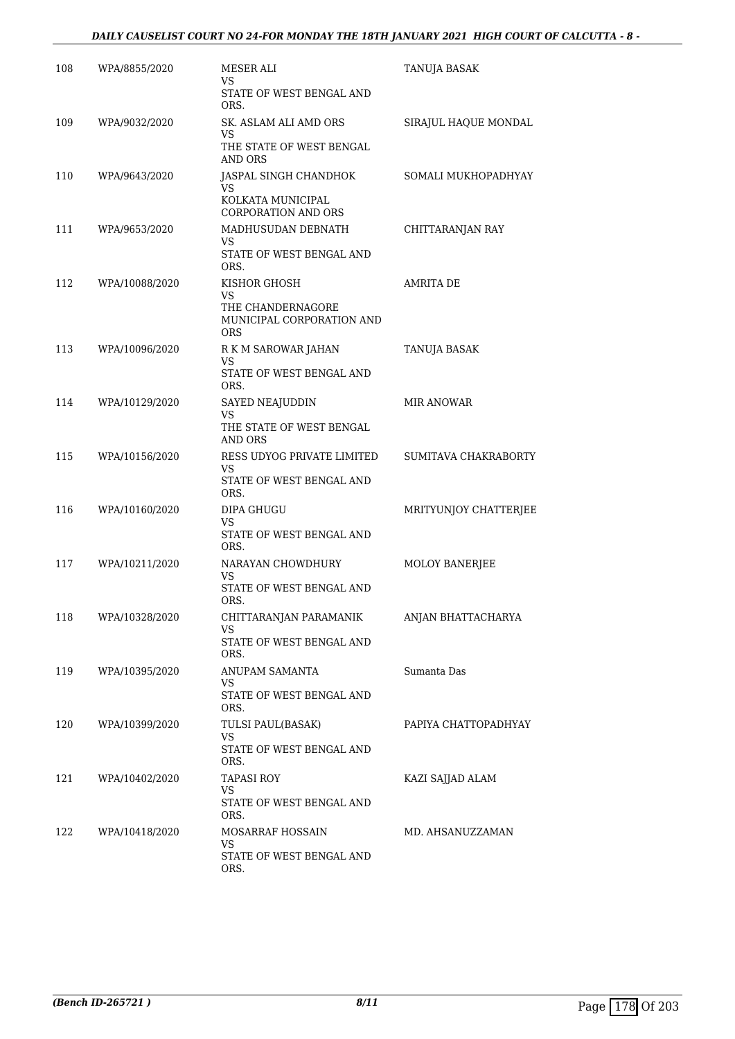# *DAILY CAUSELIST COURT NO 24-FOR MONDAY THE 18TH JANUARY 2021 HIGH COURT OF CALCUTTA - 8 -*

| 108 | WPA/8855/2020  | MESER ALI<br>VS                                       | TANUJA BASAK          |
|-----|----------------|-------------------------------------------------------|-----------------------|
|     |                | STATE OF WEST BENGAL AND<br>ORS.                      |                       |
| 109 | WPA/9032/2020  | SK. ASLAM ALI AMD ORS<br>VS                           | SIRAJUL HAQUE MONDAL  |
|     |                | THE STATE OF WEST BENGAL<br>AND ORS                   |                       |
| 110 | WPA/9643/2020  | JASPAL SINGH CHANDHOK<br>VS                           | SOMALI MUKHOPADHYAY   |
|     |                | KOLKATA MUNICIPAL<br>CORPORATION AND ORS              |                       |
| 111 | WPA/9653/2020  | MADHUSUDAN DEBNATH<br>VS                              | CHITTARANJAN RAY      |
|     |                | STATE OF WEST BENGAL AND<br>ORS.                      |                       |
| 112 | WPA/10088/2020 | KISHOR GHOSH<br><b>VS</b>                             | <b>AMRITA DE</b>      |
|     |                | THE CHANDERNAGORE<br>MUNICIPAL CORPORATION AND<br>ORS |                       |
| 113 | WPA/10096/2020 | R K M SAROWAR JAHAN<br>VS                             | <b>TANUJA BASAK</b>   |
|     |                | STATE OF WEST BENGAL AND<br>ORS.                      |                       |
| 114 | WPA/10129/2020 | SAYED NEAJUDDIN<br>VS                                 | <b>MIR ANOWAR</b>     |
|     |                | THE STATE OF WEST BENGAL<br>AND ORS                   |                       |
| 115 | WPA/10156/2020 | RESS UDYOG PRIVATE LIMITED<br>VS                      | SUMITAVA CHAKRABORTY  |
|     |                | STATE OF WEST BENGAL AND<br>ORS.                      |                       |
| 116 | WPA/10160/2020 | DIPA GHUGU<br>VS                                      | MRITYUNJOY CHATTERJEE |
|     |                | STATE OF WEST BENGAL AND<br>ORS.                      |                       |
| 117 | WPA/10211/2020 | NARAYAN CHOWDHURY<br>VS                               | MOLOY BANERJEE        |
|     |                | STATE OF WEST BENGAL AND<br>ORS.                      |                       |
| 118 | WPA/10328/2020 | CHITTARANJAN PARAMANIK<br>VS                          | ANJAN BHATTACHARYA    |
|     |                | STATE OF WEST BENGAL AND<br>ORS.                      |                       |
| 119 | WPA/10395/2020 | ANUPAM SAMANTA<br>VS.                                 | Sumanta Das           |
|     |                | STATE OF WEST BENGAL AND<br>ORS.                      |                       |
| 120 | WPA/10399/2020 | TULSI PAUL(BASAK)<br>VS                               | PAPIYA CHATTOPADHYAY  |
|     |                | STATE OF WEST BENGAL AND<br>ORS.                      |                       |
| 121 | WPA/10402/2020 | TAPASI ROY<br>VS                                      | KAZI SAJJAD ALAM      |
|     |                | STATE OF WEST BENGAL AND<br>ORS.                      |                       |
| 122 | WPA/10418/2020 | MOSARRAF HOSSAIN<br>VS.                               | MD. AHSANUZZAMAN      |
|     |                | STATE OF WEST BENGAL AND<br>ORS.                      |                       |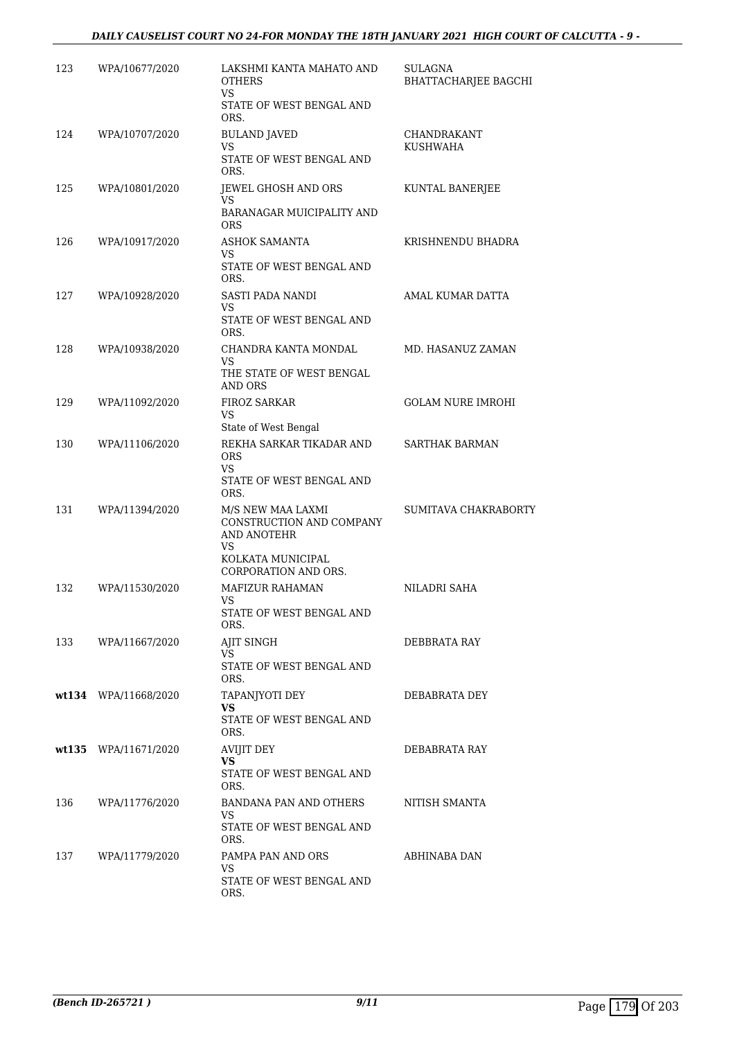| 123 | WPA/10677/2020       | LAKSHMI KANTA MAHATO AND<br>OTHERS<br><b>VS</b>                    | SULAGNA<br>BHATTACHARJEE BAGCHI |
|-----|----------------------|--------------------------------------------------------------------|---------------------------------|
|     |                      | STATE OF WEST BENGAL AND<br>ORS.                                   |                                 |
| 124 | WPA/10707/2020       | <b>BULAND JAVED</b><br>VS                                          | CHANDRAKANT<br><b>KUSHWAHA</b>  |
|     |                      | STATE OF WEST BENGAL AND<br>ORS.                                   |                                 |
| 125 | WPA/10801/2020       | JEWEL GHOSH AND ORS<br>VS                                          | KUNTAL BANERJEE                 |
|     |                      | BARANAGAR MUICIPALITY AND<br><b>ORS</b>                            |                                 |
| 126 | WPA/10917/2020       | <b>ASHOK SAMANTA</b><br>VS<br>STATE OF WEST BENGAL AND<br>ORS.     | KRISHNENDU BHADRA               |
| 127 | WPA/10928/2020       | SASTI PADA NANDI                                                   | AMAL KUMAR DATTA                |
|     |                      | VS.<br>STATE OF WEST BENGAL AND<br>ORS.                            |                                 |
| 128 | WPA/10938/2020       | CHANDRA KANTA MONDAL<br>VS                                         | MD. HASANUZ ZAMAN               |
|     |                      | THE STATE OF WEST BENGAL<br><b>AND ORS</b>                         |                                 |
| 129 | WPA/11092/2020       | FIROZ SARKAR<br>VS                                                 | <b>GOLAM NURE IMROHI</b>        |
| 130 | WPA/11106/2020       | State of West Bengal<br>REKHA SARKAR TIKADAR AND                   | <b>SARTHAK BARMAN</b>           |
|     |                      | <b>ORS</b><br>VS.<br>STATE OF WEST BENGAL AND<br>ORS.              |                                 |
| 131 | WPA/11394/2020       | M/S NEW MAA LAXMI<br>CONSTRUCTION AND COMPANY<br>AND ANOTEHR<br>VS | SUMITAVA CHAKRABORTY            |
|     |                      | KOLKATA MUNICIPAL<br>CORPORATION AND ORS.                          |                                 |
| 132 | WPA/11530/2020       | <b>MAFIZUR RAHAMAN</b><br>VS                                       | NILADRI SAHA                    |
|     |                      | STATE OF WEST BENGAL AND<br>ORS.                                   |                                 |
| 133 | WPA/11667/2020       | AJIT SINGH<br>VS.                                                  | DEBBRATA RAY                    |
|     |                      | STATE OF WEST BENGAL AND<br>ORS.                                   |                                 |
|     | wt134 WPA/11668/2020 | TAPANJYOTI DEY<br>VS.                                              | DEBABRATA DEY                   |
|     |                      | STATE OF WEST BENGAL AND<br>ORS.                                   |                                 |
|     | wt135 WPA/11671/2020 | <b>AVIJIT DEY</b><br>VS.                                           | DEBABRATA RAY                   |
|     |                      | STATE OF WEST BENGAL AND<br>ORS.                                   |                                 |
| 136 | WPA/11776/2020       | BANDANA PAN AND OTHERS<br>VS.                                      | NITISH SMANTA                   |
|     |                      | STATE OF WEST BENGAL AND<br>ORS.                                   |                                 |
| 137 | WPA/11779/2020       | PAMPA PAN AND ORS<br>VS                                            | ABHINABA DAN                    |
|     |                      | STATE OF WEST BENGAL AND<br>ORS.                                   |                                 |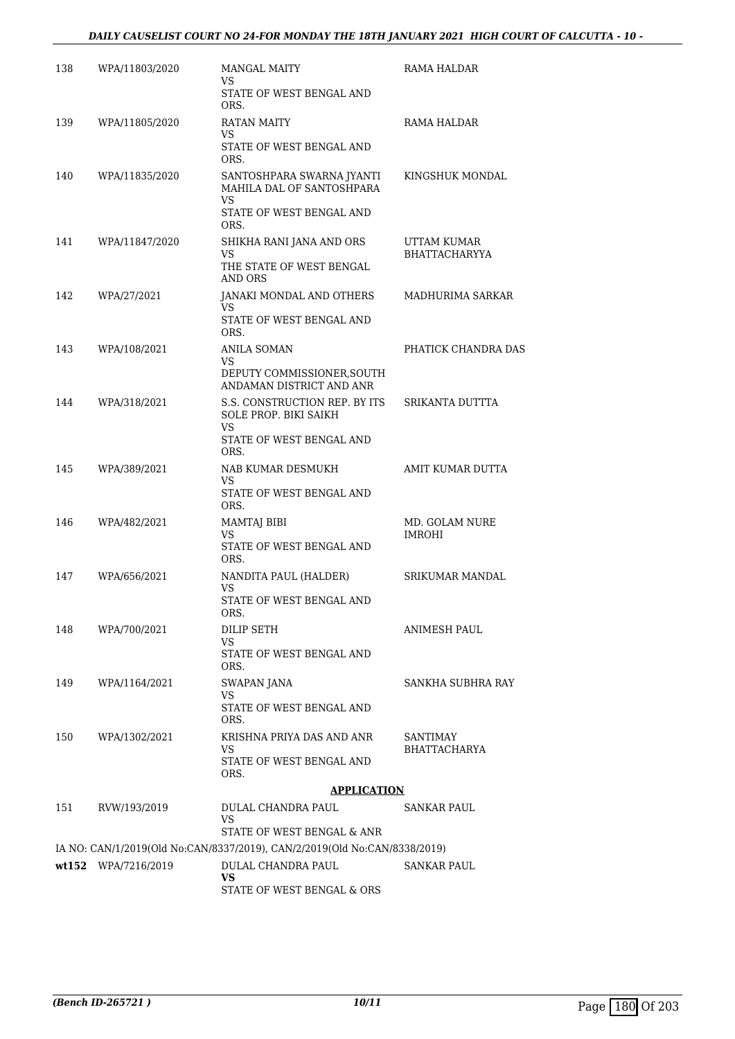#### *DAILY CAUSELIST COURT NO 24-FOR MONDAY THE 18TH JANUARY 2021 HIGH COURT OF CALCUTTA - 10 -*

| 138 | WPA/11803/2020      | MANGAL MAITY<br>VS.                                                                               | RAMA HALDAR                         |
|-----|---------------------|---------------------------------------------------------------------------------------------------|-------------------------------------|
|     |                     | STATE OF WEST BENGAL AND<br>ORS.                                                                  |                                     |
| 139 | WPA/11805/2020      | <b>RATAN MAITY</b><br>VS.                                                                         | RAMA HALDAR                         |
|     |                     | STATE OF WEST BENGAL AND<br>ORS.                                                                  |                                     |
| 140 | WPA/11835/2020      | SANTOSHPARA SWARNA JYANTI<br>MAHILA DAL OF SANTOSHPARA<br>VS.<br>STATE OF WEST BENGAL AND<br>ORS. | KINGSHUK MONDAL                     |
| 141 | WPA/11847/2020      | SHIKHA RANI JANA AND ORS<br>VS.<br>THE STATE OF WEST BENGAL<br>AND ORS                            | UTTAM KUMAR<br><b>BHATTACHARYYA</b> |
| 142 | WPA/27/2021         | JANAKI MONDAL AND OTHERS<br>VS.<br>STATE OF WEST BENGAL AND<br>ORS.                               | MADHURIMA SARKAR                    |
| 143 | WPA/108/2021        | ANILA SOMAN<br>VS                                                                                 | PHATICK CHANDRA DAS                 |
|     |                     | DEPUTY COMMISSIONER, SOUTH<br>ANDAMAN DISTRICT AND ANR                                            |                                     |
| 144 | WPA/318/2021        | S.S. CONSTRUCTION REP. BY ITS<br>SOLE PROP. BIKI SAIKH<br>VS.                                     | SRIKANTA DUTTTA                     |
|     |                     | STATE OF WEST BENGAL AND<br>ORS.                                                                  |                                     |
| 145 | WPA/389/2021        | NAB KUMAR DESMUKH<br>VS.<br>STATE OF WEST BENGAL AND<br>ORS.                                      | AMIT KUMAR DUTTA                    |
| 146 | WPA/482/2021        | MAMTAJ BIBI<br>VS<br>STATE OF WEST BENGAL AND<br>ORS.                                             | MD. GOLAM NURE<br><b>IMROHI</b>     |
| 147 | WPA/656/2021        | NANDITA PAUL (HALDER)<br>VS<br>STATE OF WEST BENGAL AND                                           | <b>SRIKUMAR MANDAL</b>              |
| 148 | WPA/700/2021        | ORS.<br>DILIP SETH                                                                                | <b>ANIMESH PAUL</b>                 |
|     |                     | VS<br>STATE OF WEST BENGAL AND<br>ORS.                                                            |                                     |
| 149 | WPA/1164/2021       | SWAPAN JANA<br>VS.<br>STATE OF WEST BENGAL AND                                                    | SANKHA SUBHRA RAY                   |
| 150 | WPA/1302/2021       | ORS.<br>KRISHNA PRIYA DAS AND ANR<br>VS.                                                          | SANTIMAY<br>BHATTACHARYA            |
|     |                     | STATE OF WEST BENGAL AND<br>ORS.                                                                  |                                     |
|     |                     | <b>APPLICATION</b>                                                                                |                                     |
| 151 | RVW/193/2019        | DULAL CHANDRA PAUL                                                                                | SANKAR PAUL                         |
|     |                     | VS<br>STATE OF WEST BENGAL & ANR                                                                  |                                     |
|     |                     | IA NO: CAN/1/2019(Old No:CAN/8337/2019), CAN/2/2019(Old No:CAN/8338/2019)                         |                                     |
|     | wt152 WPA/7216/2019 | DULAL CHANDRA PAUL<br>VS.                                                                         | SANKAR PAUL                         |
|     |                     | STATE OF WEST BENGAL & ORS                                                                        |                                     |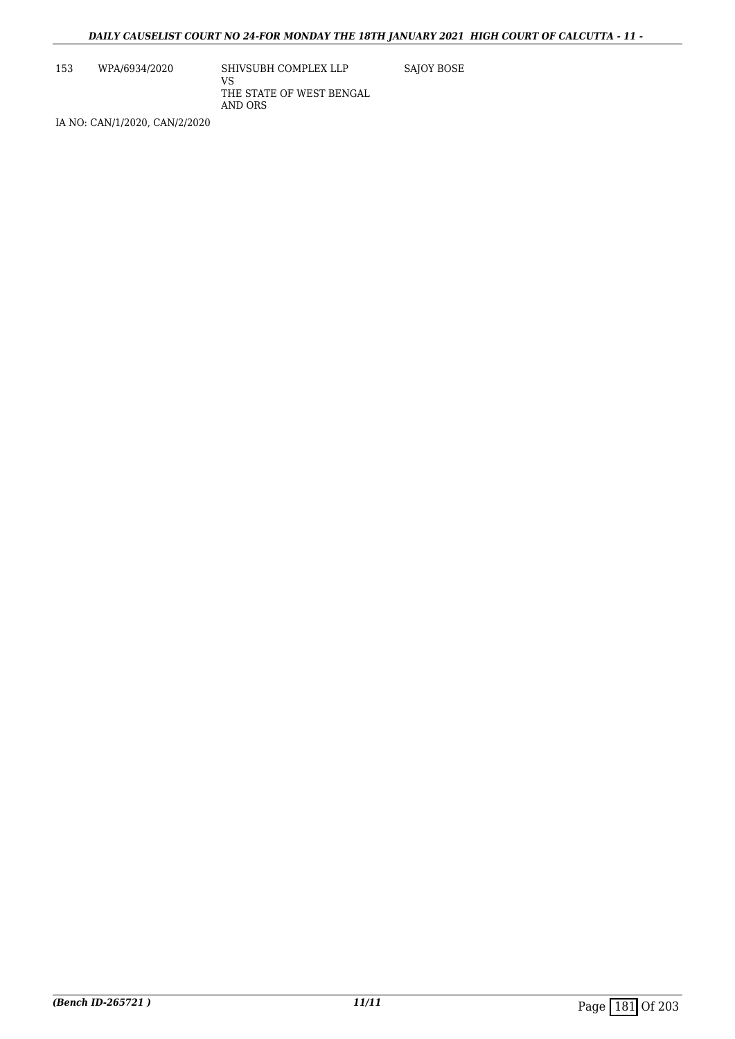153 WPA/6934/2020 SHIVSUBH COMPLEX LLP VS THE STATE OF WEST BENGAL AND ORS SAJOY BOSE

IA NO: CAN/1/2020, CAN/2/2020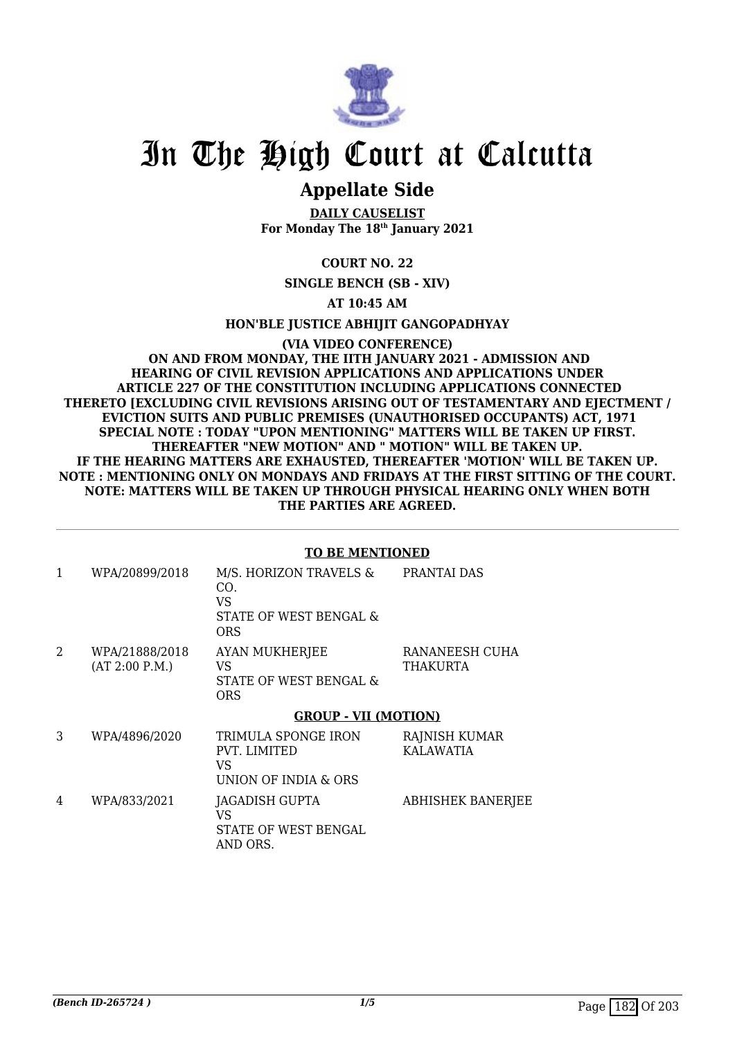

# **Appellate Side**

**DAILY CAUSELIST For Monday The 18th January 2021**

## **COURT NO. 22**

**SINGLE BENCH (SB - XIV)**

## **AT 10:45 AM**

**HON'BLE JUSTICE ABHIJIT GANGOPADHYAY**

#### **(VIA VIDEO CONFERENCE) ON AND FROM MONDAY, THE IITH JANUARY 2021 - ADMISSION AND HEARING OF CIVIL REVISION APPLICATIONS AND APPLICATIONS UNDER ARTICLE 227 OF THE CONSTITUTION INCLUDING APPLICATIONS CONNECTED THERETO [EXCLUDING CIVIL REVISIONS ARISING OUT OF TESTAMENTARY AND EJECTMENT / EVICTION SUITS AND PUBLIC PREMISES (UNAUTHORISED OCCUPANTS) ACT, 1971 SPECIAL NOTE : TODAY "UPON MENTIONING" MATTERS WILL BE TAKEN UP FIRST. THEREAFTER "NEW MOTION" AND " MOTION" WILL BE TAKEN UP. IF THE HEARING MATTERS ARE EXHAUSTED, THEREAFTER 'MOTION' WILL BE TAKEN UP. NOTE : MENTIONING ONLY ON MONDAYS AND FRIDAYS AT THE FIRST SITTING OF THE COURT. NOTE: MATTERS WILL BE TAKEN UP THROUGH PHYSICAL HEARING ONLY WHEN BOTH THE PARTIES ARE AGREED.**

#### **TO BE MENTIONED**

| 1 | WPA/20899/2018                   | M/S. HORIZON TRAVELS &<br>CO.<br>VS.<br>STATE OF WEST BENGAL &<br><b>ORS</b> | PRANTAI DAS                       |
|---|----------------------------------|------------------------------------------------------------------------------|-----------------------------------|
| 2 | WPA/21888/2018<br>(AT 2:00 P.M.) | <b>AYAN MUKHERJEE</b><br>VS<br>STATE OF WEST BENGAL &<br><b>ORS</b>          | RANANEESH CUHA<br>THAKURTA        |
|   |                                  | <b>GROUP - VII (MOTION)</b>                                                  |                                   |
| 3 | WPA/4896/2020                    | TRIMULA SPONGE IRON<br><b>PVT. LIMITED</b><br>VS<br>UNION OF INDIA & ORS     | RAJNISH KUMAR<br><b>KALAWATIA</b> |
| 4 | WPA/833/2021                     | JAGADISH GUPTA<br>VS                                                         | <b>ABHISHEK BANERJEE</b>          |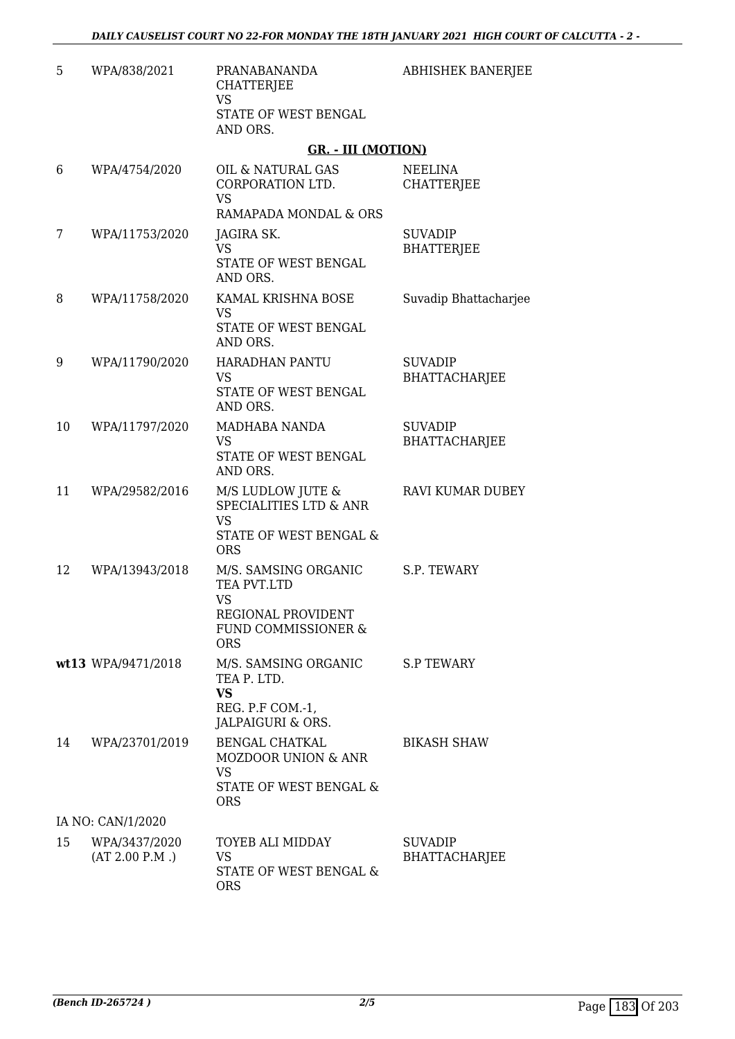| 5  | WPA/838/2021                    | PRANABANANDA<br><b>CHATTERJEE</b><br><b>VS</b><br>STATE OF WEST BENGAL<br>AND ORS.                                     | ABHISHEK BANERJEE                      |
|----|---------------------------------|------------------------------------------------------------------------------------------------------------------------|----------------------------------------|
|    |                                 | <b>GR. - III (MOTION)</b>                                                                                              |                                        |
| 6  | WPA/4754/2020                   | OIL & NATURAL GAS<br>CORPORATION LTD.<br><b>VS</b>                                                                     | <b>NEELINA</b><br><b>CHATTERJEE</b>    |
|    |                                 | RAMAPADA MONDAL & ORS                                                                                                  |                                        |
| 7  | WPA/11753/2020                  | JAGIRA SK.<br><b>VS</b><br>STATE OF WEST BENGAL<br>AND ORS.                                                            | <b>SUVADIP</b><br><b>BHATTERJEE</b>    |
| 8  | WPA/11758/2020                  | KAMAL KRISHNA BOSE<br>VS<br>STATE OF WEST BENGAL<br>AND ORS.                                                           | Suvadip Bhattacharjee                  |
| 9  | WPA/11790/2020                  | <b>HARADHAN PANTU</b><br><b>VS</b><br>STATE OF WEST BENGAL<br>AND ORS.                                                 | <b>SUVADIP</b><br><b>BHATTACHARJEE</b> |
| 10 | WPA/11797/2020                  | MADHABA NANDA<br><b>VS</b><br>STATE OF WEST BENGAL<br>AND ORS.                                                         | <b>SUVADIP</b><br><b>BHATTACHARJEE</b> |
| 11 | WPA/29582/2016                  | M/S LUDLOW JUTE &<br><b>SPECIALITIES LTD &amp; ANR</b><br><b>VS</b><br>STATE OF WEST BENGAL &<br><b>ORS</b>            | RAVI KUMAR DUBEY                       |
| 12 | WPA/13943/2018                  | M/S. SAMSING ORGANIC<br>TEA PVT.LTD<br><b>VS</b><br>REGIONAL PROVIDENT<br><b>FUND COMMISSIONER &amp;</b><br><b>ORS</b> | S.P. TEWARY                            |
|    | wt13 WPA/9471/2018              | M/S. SAMSING ORGANIC<br>TEA P. LTD.<br><b>VS</b><br>REG. P.F COM.-1,<br>JALPAIGURI & ORS.                              | <b>S.P TEWARY</b>                      |
| 14 | WPA/23701/2019                  | BENGAL CHATKAL<br><b>MOZDOOR UNION &amp; ANR</b><br><b>VS</b><br>STATE OF WEST BENGAL &<br><b>ORS</b>                  | <b>BIKASH SHAW</b>                     |
|    | IA NO: CAN/1/2020               |                                                                                                                        |                                        |
| 15 | WPA/3437/2020<br>(AT 2.00 P.M.) | TOYEB ALI MIDDAY<br>VS.<br>STATE OF WEST BENGAL &<br><b>ORS</b>                                                        | <b>SUVADIP</b><br><b>BHATTACHARJEE</b> |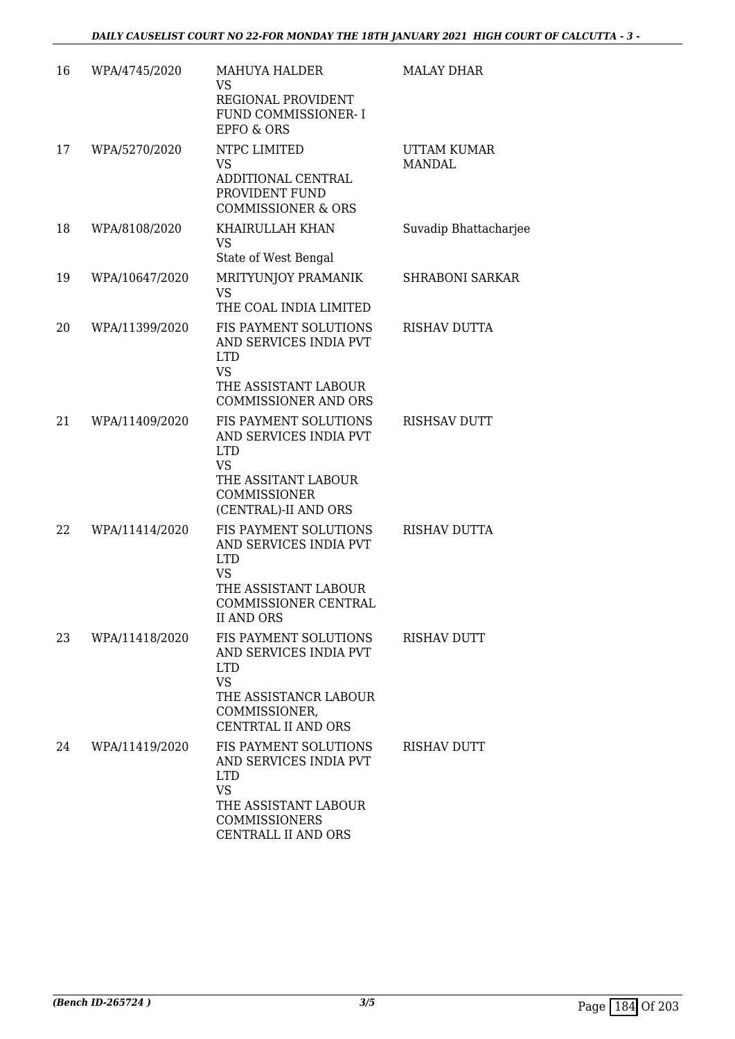| 16 | WPA/4745/2020  | <b>MAHUYA HALDER</b><br><b>VS</b><br>REGIONAL PROVIDENT<br>FUND COMMISSIONER- I<br><b>EPFO &amp; ORS</b>                                          | <b>MALAY DHAR</b>                   |
|----|----------------|---------------------------------------------------------------------------------------------------------------------------------------------------|-------------------------------------|
| 17 | WPA/5270/2020  | NTPC LIMITED<br><b>VS</b><br>ADDITIONAL CENTRAL<br>PROVIDENT FUND<br><b>COMMISSIONER &amp; ORS</b>                                                | <b>UTTAM KUMAR</b><br><b>MANDAL</b> |
| 18 | WPA/8108/2020  | KHAIRULLAH KHAN<br><b>VS</b><br>State of West Bengal                                                                                              | Suvadip Bhattacharjee               |
| 19 | WPA/10647/2020 | MRITYUNJOY PRAMANIK<br><b>VS</b><br>THE COAL INDIA LIMITED                                                                                        | <b>SHRABONI SARKAR</b>              |
| 20 | WPA/11399/2020 | FIS PAYMENT SOLUTIONS<br>AND SERVICES INDIA PVT<br><b>LTD</b><br><b>VS</b><br>THE ASSISTANT LABOUR<br><b>COMMISSIONER AND ORS</b>                 | <b>RISHAV DUTTA</b>                 |
| 21 | WPA/11409/2020 | FIS PAYMENT SOLUTIONS<br>AND SERVICES INDIA PVT<br><b>LTD</b><br><b>VS</b><br>THE ASSITANT LABOUR<br><b>COMMISSIONER</b><br>(CENTRAL)-II AND ORS  | <b>RISHSAV DUTT</b>                 |
| 22 | WPA/11414/2020 | FIS PAYMENT SOLUTIONS<br>AND SERVICES INDIA PVT<br><b>LTD</b><br><b>VS</b><br>THE ASSISTANT LABOUR<br>COMMISSIONER CENTRAL<br><b>II AND ORS</b>   | <b>RISHAV DUTTA</b>                 |
| 23 | WPA/11418/2020 | FIS PAYMENT SOLUTIONS<br>AND SERVICES INDIA PVT<br><b>LTD</b><br><b>VS</b><br>THE ASSISTANCR LABOUR<br>COMMISSIONER,<br>CENTRTAL II AND ORS       | <b>RISHAV DUTT</b>                  |
| 24 | WPA/11419/2020 | FIS PAYMENT SOLUTIONS<br>AND SERVICES INDIA PVT<br><b>LTD</b><br><b>VS</b><br>THE ASSISTANT LABOUR<br><b>COMMISSIONERS</b><br>CENTRALL II AND ORS | <b>RISHAV DUTT</b>                  |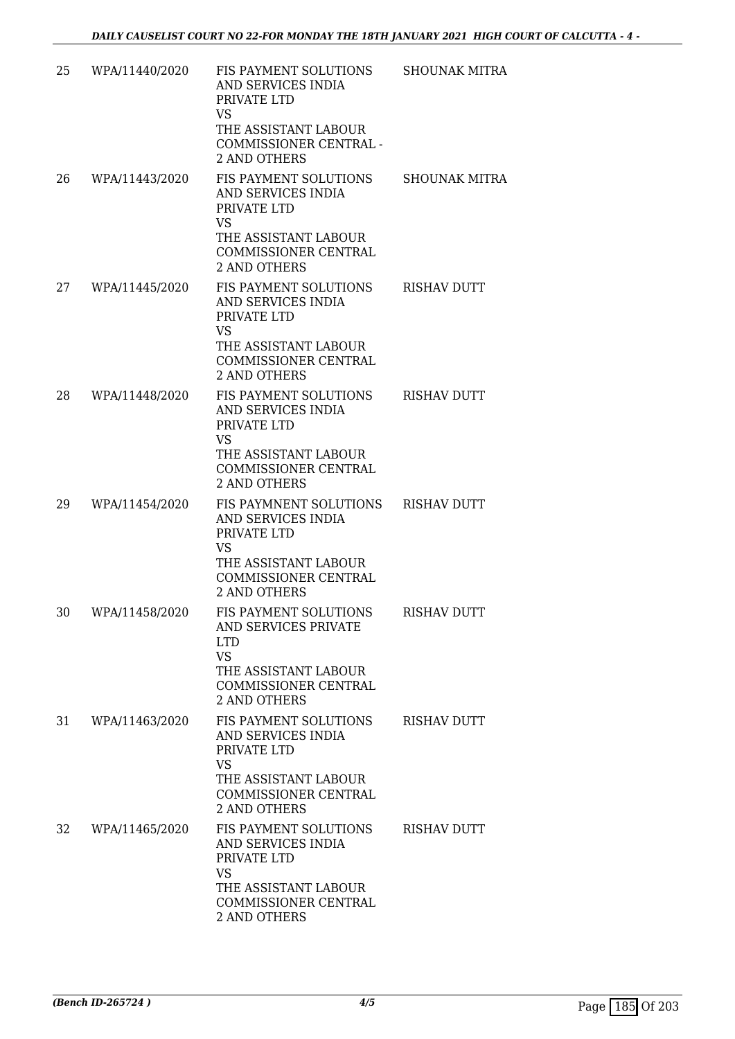| 25 | WPA/11440/2020 | FIS PAYMENT SOLUTIONS<br>AND SERVICES INDIA<br>PRIVATE LTD                           | SHOUNAK MITRA        |
|----|----------------|--------------------------------------------------------------------------------------|----------------------|
|    |                | <b>VS</b><br>THE ASSISTANT LABOUR<br>COMMISSIONER CENTRAL -<br><b>2 AND OTHERS</b>   |                      |
| 26 | WPA/11443/2020 | FIS PAYMENT SOLUTIONS<br>AND SERVICES INDIA<br>PRIVATE LTD<br><b>VS</b>              | <b>SHOUNAK MITRA</b> |
|    |                | THE ASSISTANT LABOUR<br>COMMISSIONER CENTRAL<br><b>2 AND OTHERS</b>                  |                      |
| 27 | WPA/11445/2020 | FIS PAYMENT SOLUTIONS<br>AND SERVICES INDIA<br>PRIVATE LTD<br>VS.                    | <b>RISHAV DUTT</b>   |
|    |                | THE ASSISTANT LABOUR<br>COMMISSIONER CENTRAL<br>2 AND OTHERS                         |                      |
| 28 | WPA/11448/2020 | FIS PAYMENT SOLUTIONS<br>AND SERVICES INDIA<br>PRIVATE LTD<br><b>VS</b>              | <b>RISHAV DUTT</b>   |
|    |                | THE ASSISTANT LABOUR<br>COMMISSIONER CENTRAL<br><b>2 AND OTHERS</b>                  |                      |
| 29 | WPA/11454/2020 | FIS PAYMNENT SOLUTIONS<br>AND SERVICES INDIA<br>PRIVATE LTD<br><b>VS</b>             | <b>RISHAV DUTT</b>   |
|    |                | THE ASSISTANT LABOUR<br><b>COMMISSIONER CENTRAL</b><br><b>2 AND OTHERS</b>           |                      |
| 30 | WPA/11458/2020 | FIS PAYMENT SOLUTIONS RISHAV DUTT<br>AND SERVICES PRIVATE<br><b>LTD</b><br><b>VS</b> |                      |
|    |                | THE ASSISTANT LABOUR<br>COMMISSIONER CENTRAL<br><b>2 AND OTHERS</b>                  |                      |
| 31 | WPA/11463/2020 | FIS PAYMENT SOLUTIONS<br>AND SERVICES INDIA<br>PRIVATE LTD<br><b>VS</b>              | <b>RISHAV DUTT</b>   |
|    |                | THE ASSISTANT LABOUR<br>COMMISSIONER CENTRAL<br><b>2 AND OTHERS</b>                  |                      |
| 32 | WPA/11465/2020 | FIS PAYMENT SOLUTIONS<br>AND SERVICES INDIA<br>PRIVATE LTD<br><b>VS</b>              | <b>RISHAV DUTT</b>   |
|    |                | THE ASSISTANT LABOUR<br>COMMISSIONER CENTRAL<br>2 AND OTHERS                         |                      |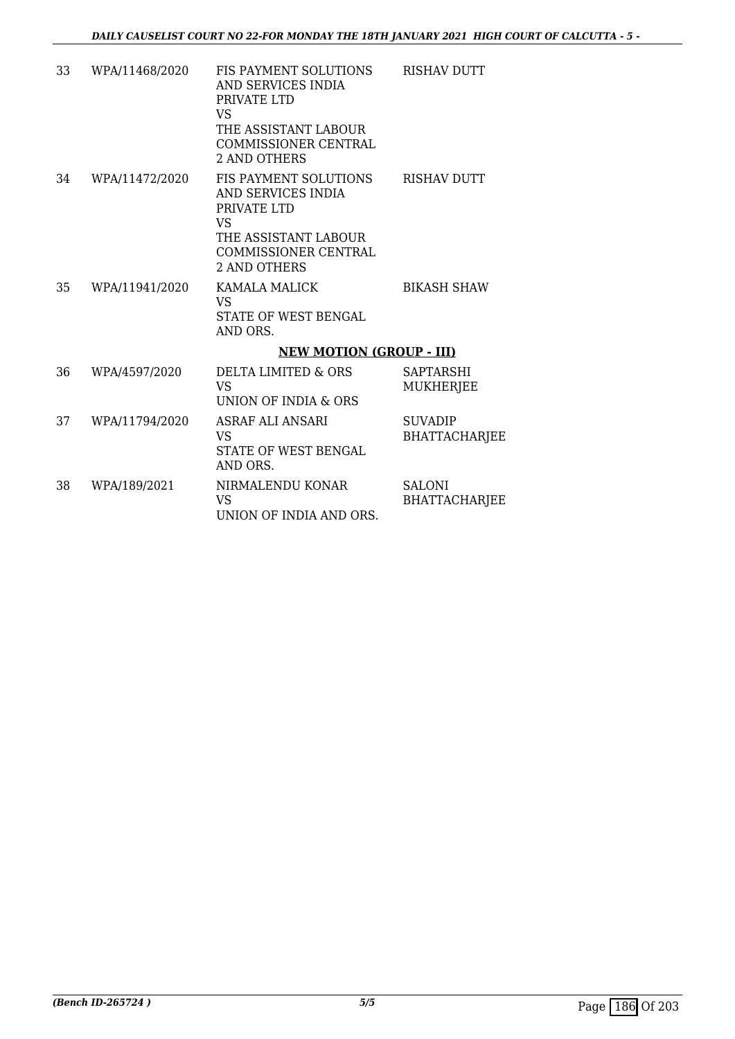| 33 | WPA/11468/2020 | FIS PAYMENT SOLUTIONS<br>AND SERVICES INDIA<br>PRIVATE LTD<br><b>VS</b><br>THE ASSISTANT LABOUR<br><b>COMMISSIONER CENTRAL</b><br>2 AND OTHERS | <b>RISHAV DUTT</b>                     |
|----|----------------|------------------------------------------------------------------------------------------------------------------------------------------------|----------------------------------------|
| 34 | WPA/11472/2020 | <b>FIS PAYMENT SOLUTIONS</b><br>AND SERVICES INDIA<br>PRIVATE LTD<br>VS<br>THE ASSISTANT LABOUR<br><b>COMMISSIONER CENTRAL</b><br>2 AND OTHERS | <b>RISHAV DUTT</b>                     |
| 35 | WPA/11941/2020 | <b>KAMALA MALICK</b><br><b>VS</b><br>STATE OF WEST BENGAL<br>AND ORS.                                                                          | <b>BIKASH SHAW</b>                     |
|    |                | <b>NEW MOTION (GROUP - III)</b>                                                                                                                |                                        |
| 36 | WPA/4597/2020  | DELTA LIMITED & ORS<br><b>VS</b><br>UNION OF INDIA & ORS                                                                                       | SAPTARSHI<br>MUKHERJEE                 |
| 37 | WPA/11794/2020 | ASRAF ALI ANSARI<br><b>VS</b><br>STATE OF WEST BENGAL<br>AND ORS.                                                                              | <b>SUVADIP</b><br><b>BHATTACHARJEE</b> |
| 38 | WPA/189/2021   | NIRMALENDU KONAR<br><b>VS</b><br>UNION OF INDIA AND ORS.                                                                                       | <b>SALONI</b><br><b>BHATTACHARJEE</b>  |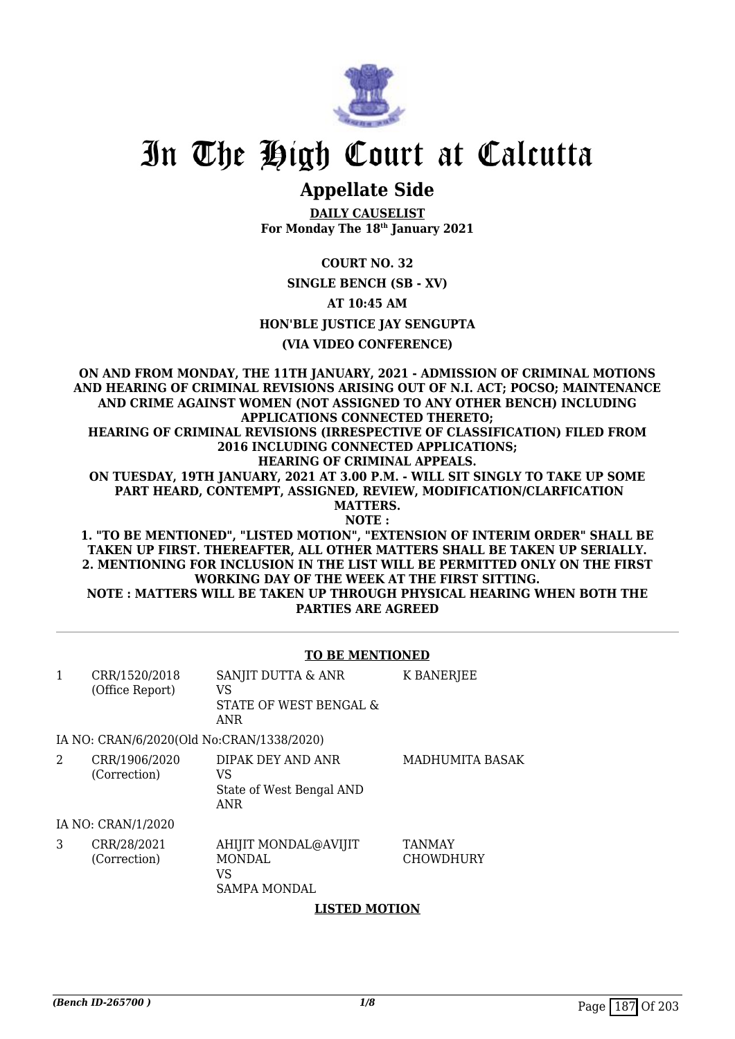

# **Appellate Side**

**DAILY CAUSELIST For Monday The 18th January 2021**

## **COURT NO. 32**

#### **SINGLE BENCH (SB - XV)**

**AT 10:45 AM**

#### **HON'BLE JUSTICE JAY SENGUPTA**

## **(VIA VIDEO CONFERENCE)**

**ON AND FROM MONDAY, THE 11TH JANUARY, 2021 - ADMISSION OF CRIMINAL MOTIONS AND HEARING OF CRIMINAL REVISIONS ARISING OUT OF N.I. ACT; POCSO; MAINTENANCE AND CRIME AGAINST WOMEN (NOT ASSIGNED TO ANY OTHER BENCH) INCLUDING APPLICATIONS CONNECTED THERETO; HEARING OF CRIMINAL REVISIONS (IRRESPECTIVE OF CLASSIFICATION) FILED FROM 2016 INCLUDING CONNECTED APPLICATIONS; HEARING OF CRIMINAL APPEALS. ON TUESDAY, 19TH JANUARY, 2021 AT 3.00 P.M. - WILL SIT SINGLY TO TAKE UP SOME PART HEARD, CONTEMPT, ASSIGNED, REVIEW, MODIFICATION/CLARFICATION MATTERS. NOTE : 1. "TO BE MENTIONED", "LISTED MOTION", "EXTENSION OF INTERIM ORDER" SHALL BE**

**TAKEN UP FIRST. THEREAFTER, ALL OTHER MATTERS SHALL BE TAKEN UP SERIALLY. 2. MENTIONING FOR INCLUSION IN THE LIST WILL BE PERMITTED ONLY ON THE FIRST WORKING DAY OF THE WEEK AT THE FIRST SITTING. NOTE : MATTERS WILL BE TAKEN UP THROUGH PHYSICAL HEARING WHEN BOTH THE PARTIES ARE AGREED**

#### **TO BE MENTIONED**

| 1 | CRR/1520/2018<br>(Office Report)          | SANJIT DUTTA & ANR<br>VS<br>STATE OF WEST BENGAL &<br>ANR          | <b>K BANERJEE</b>                 |
|---|-------------------------------------------|--------------------------------------------------------------------|-----------------------------------|
|   | IA NO: CRAN/6/2020(Old No:CRAN/1338/2020) |                                                                    |                                   |
| 2 | CRR/1906/2020<br>(Correction)             | DIPAK DEY AND ANR<br>VS<br>State of West Bengal AND<br>ANR         | <b>MADHUMITA BASAK</b>            |
|   | IA NO: CRAN/1/2020                        |                                                                    |                                   |
| 3 | CRR/28/2021<br>(Correction)               | AHIJIT MONDAL@AVIJIT<br><b>MONDAL</b><br>VS<br><b>SAMPA MONDAL</b> | <b>TANMAY</b><br><b>CHOWDHURY</b> |

#### **LISTED MOTION**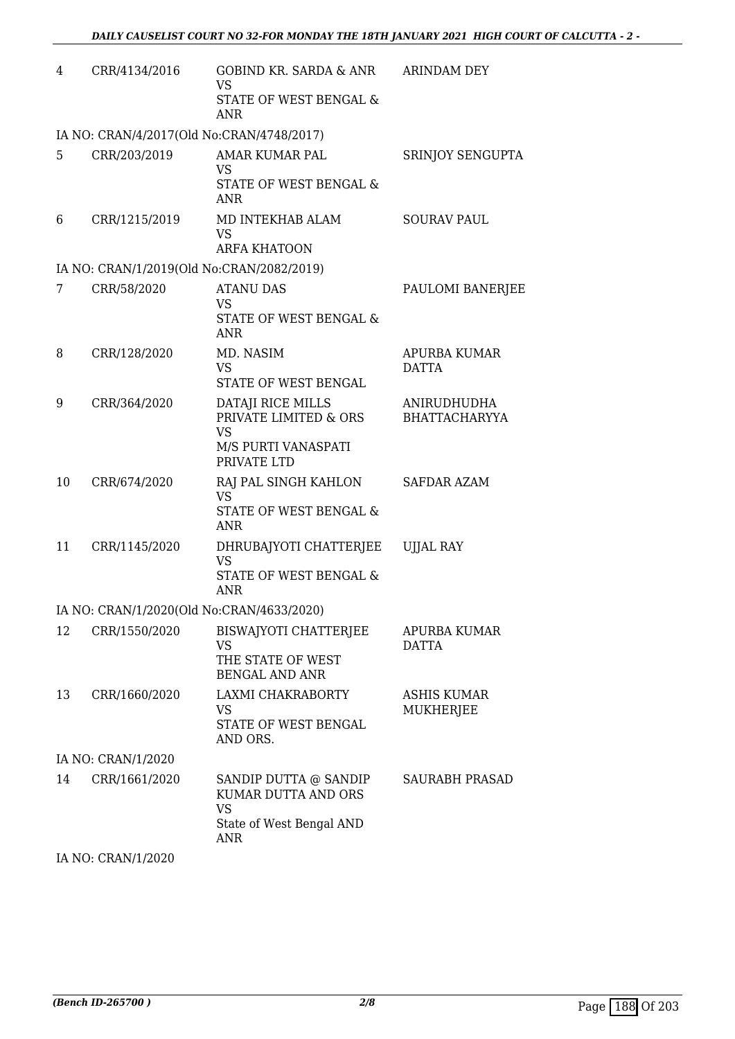| 4  | CRR/4134/2016                             | GOBIND KR. SARDA & ANR ARINDAM DEY<br><b>VS</b><br>STATE OF WEST BENGAL &<br>ANR                    |                                     |
|----|-------------------------------------------|-----------------------------------------------------------------------------------------------------|-------------------------------------|
|    | IA NO: CRAN/4/2017(Old No:CRAN/4748/2017) |                                                                                                     |                                     |
| 5  | CRR/203/2019                              | AMAR KUMAR PAL<br><b>VS</b><br>STATE OF WEST BENGAL &<br><b>ANR</b>                                 | SRINJOY SENGUPTA                    |
| 6  | CRR/1215/2019                             | MD INTEKHAB ALAM<br><b>VS</b><br><b>ARFA KHATOON</b>                                                | <b>SOURAV PAUL</b>                  |
|    | IA NO: CRAN/1/2019(Old No:CRAN/2082/2019) |                                                                                                     |                                     |
| 7  | CRR/58/2020                               | <b>ATANU DAS</b><br>VS<br>STATE OF WEST BENGAL &<br>ANR                                             | PAULOMI BANERJEE                    |
| 8  | CRR/128/2020                              | MD. NASIM<br><b>VS</b><br>STATE OF WEST BENGAL                                                      | APURBA KUMAR<br><b>DATTA</b>        |
| 9  | CRR/364/2020                              | DATAJI RICE MILLS<br>PRIVATE LIMITED & ORS<br><b>VS</b><br>M/S PURTI VANASPATI<br>PRIVATE LTD       | ANIRUDHUDHA<br><b>BHATTACHARYYA</b> |
| 10 | CRR/674/2020                              | RAJ PAL SINGH KAHLON<br><b>VS</b><br>STATE OF WEST BENGAL &<br><b>ANR</b>                           | <b>SAFDAR AZAM</b>                  |
| 11 | CRR/1145/2020                             | DHRUBAJYOTI CHATTERJEE<br><b>VS</b><br>STATE OF WEST BENGAL &<br><b>ANR</b>                         | <b>UJJAL RAY</b>                    |
|    | IA NO: CRAN/1/2020(Old No:CRAN/4633/2020) |                                                                                                     |                                     |
| 12 | CRR/1550/2020                             | BISWAJYOTI CHATTERJEE<br><b>VS</b><br>THE STATE OF WEST<br><b>BENGAL AND ANR</b>                    | APURBA KUMAR<br><b>DATTA</b>        |
| 13 | CRR/1660/2020                             | LAXMI CHAKRABORTY<br><b>VS</b><br>STATE OF WEST BENGAL<br>AND ORS.                                  | <b>ASHIS KUMAR</b><br>MUKHERJEE     |
|    | IA NO: CRAN/1/2020                        |                                                                                                     |                                     |
| 14 | CRR/1661/2020                             | SANDIP DUTTA @ SANDIP<br>KUMAR DUTTA AND ORS<br><b>VS</b><br>State of West Bengal AND<br><b>ANR</b> | <b>SAURABH PRASAD</b>               |

IA NO: CRAN/1/2020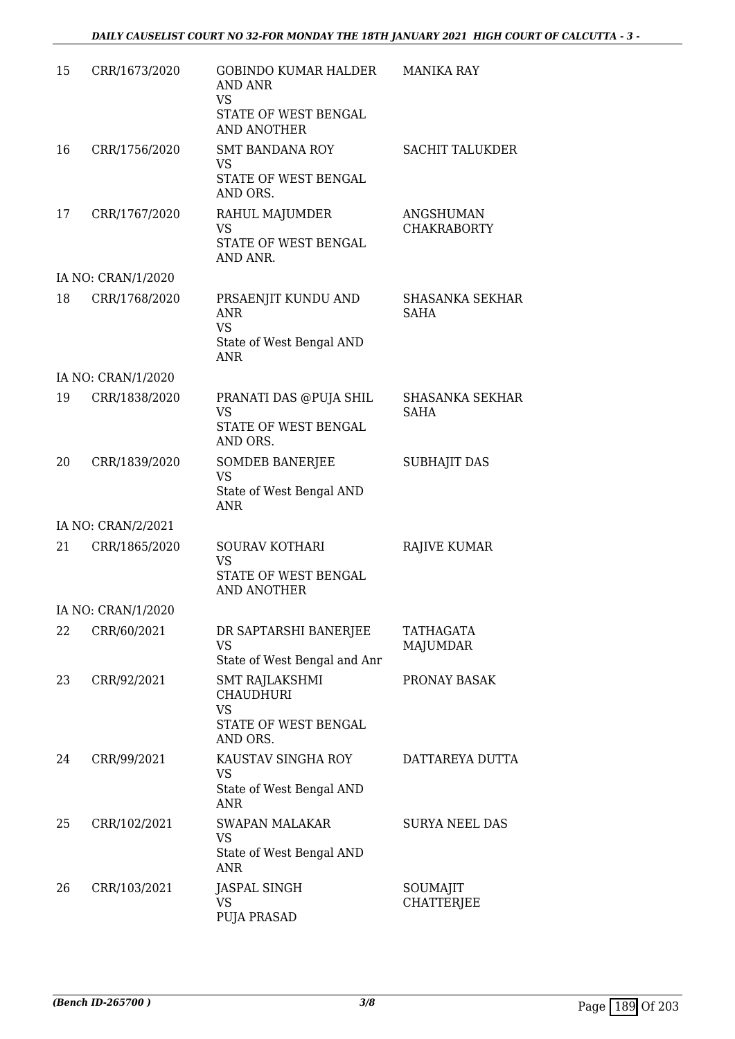| 15 | CRR/1673/2020      | GOBINDO KUMAR HALDER<br><b>AND ANR</b><br><b>VS</b><br>STATE OF WEST BENGAL<br><b>AND ANOTHER</b> | <b>MANIKA RAY</b>                     |
|----|--------------------|---------------------------------------------------------------------------------------------------|---------------------------------------|
| 16 | CRR/1756/2020      | <b>SMT BANDANA ROY</b><br>VS<br>STATE OF WEST BENGAL                                              | <b>SACHIT TALUKDER</b>                |
| 17 | CRR/1767/2020      | AND ORS.<br>RAHUL MAJUMDER<br><b>VS</b><br>STATE OF WEST BENGAL<br>AND ANR.                       | ANGSHUMAN<br><b>CHAKRABORTY</b>       |
|    | IA NO: CRAN/1/2020 |                                                                                                   |                                       |
| 18 | CRR/1768/2020      | PRSAENJIT KUNDU AND<br><b>ANR</b><br><b>VS</b><br>State of West Bengal AND<br><b>ANR</b>          | SHASANKA SEKHAR<br><b>SAHA</b>        |
|    | IA NO: CRAN/1/2020 |                                                                                                   |                                       |
| 19 | CRR/1838/2020      | PRANATI DAS @PUJA SHIL<br><b>VS</b><br>STATE OF WEST BENGAL<br>AND ORS.                           | <b>SHASANKA SEKHAR</b><br><b>SAHA</b> |
| 20 | CRR/1839/2020      | <b>SOMDEB BANERJEE</b><br><b>VS</b><br>State of West Bengal AND<br><b>ANR</b>                     | <b>SUBHAJIT DAS</b>                   |
|    | IA NO: CRAN/2/2021 |                                                                                                   |                                       |
| 21 | CRR/1865/2020      | SOURAV KOTHARI<br><b>VS</b><br>STATE OF WEST BENGAL<br><b>AND ANOTHER</b>                         | RAJIVE KUMAR                          |
|    | IA NO: CRAN/1/2020 |                                                                                                   |                                       |
| 22 | CRR/60/2021        | DR SAPTARSHI BANERJEE<br>VS<br>State of West Bengal and Anr                                       | TATHAGATA<br><b>MAJUMDAR</b>          |
| 23 | CRR/92/2021        | SMT RAJLAKSHMI<br><b>CHAUDHURI</b><br><b>VS</b><br>STATE OF WEST BENGAL                           | PRONAY BASAK                          |
| 24 | CRR/99/2021        | AND ORS.<br>KAUSTAV SINGHA ROY<br><b>VS</b><br>State of West Bengal AND<br><b>ANR</b>             | DATTAREYA DUTTA                       |
| 25 | CRR/102/2021       | <b>SWAPAN MALAKAR</b><br>VS<br>State of West Bengal AND<br>ANR                                    | <b>SURYA NEEL DAS</b>                 |
| 26 | CRR/103/2021       | <b>JASPAL SINGH</b><br><b>VS</b><br><b>PUJA PRASAD</b>                                            | SOUMAJIT<br><b>CHATTERJEE</b>         |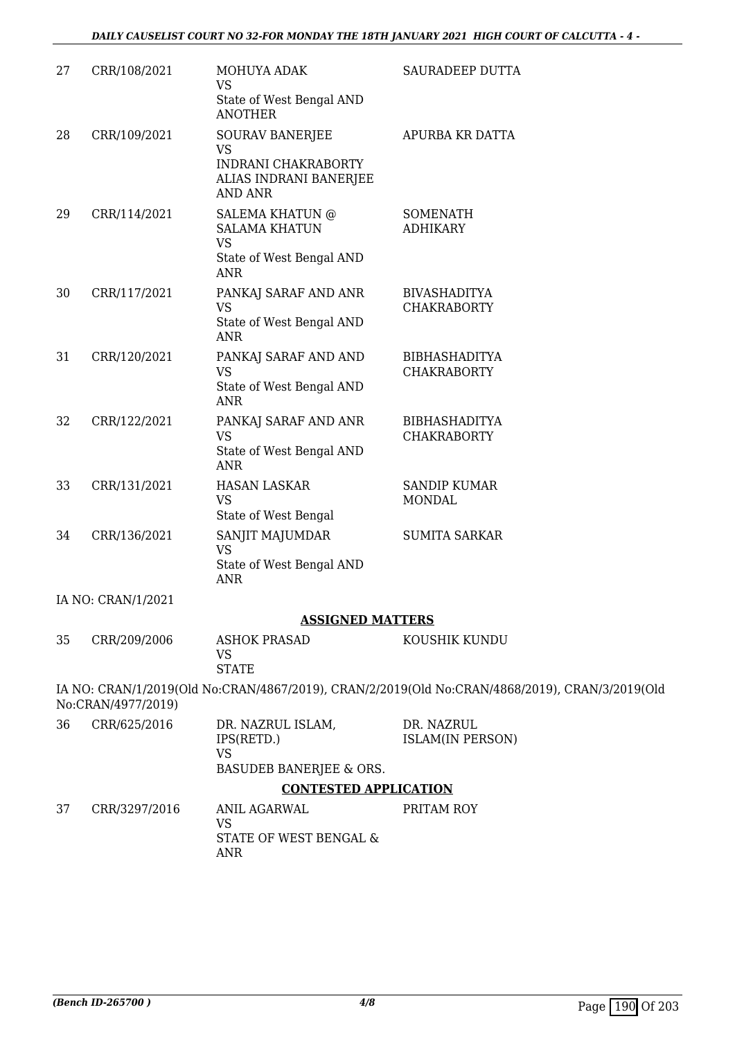| 27 | CRR/108/2021       | MOHUYA ADAK<br>VS                                                                       | SAURADEEP DUTTA                                                                                |
|----|--------------------|-----------------------------------------------------------------------------------------|------------------------------------------------------------------------------------------------|
|    |                    | State of West Bengal AND<br><b>ANOTHER</b>                                              |                                                                                                |
| 28 | CRR/109/2021       | <b>SOURAV BANERJEE</b><br><b>VS</b>                                                     | APURBA KR DATTA                                                                                |
|    |                    | INDRANI CHAKRABORTY<br>ALIAS INDRANI BANERJEE<br><b>AND ANR</b>                         |                                                                                                |
| 29 | CRR/114/2021       | <b>SALEMA KHATUN @</b><br><b>SALAMA KHATUN</b><br><b>VS</b><br>State of West Bengal AND | <b>SOMENATH</b><br><b>ADHIKARY</b>                                                             |
|    |                    | <b>ANR</b>                                                                              |                                                                                                |
| 30 | CRR/117/2021       | PANKAJ SARAF AND ANR<br>VS<br>State of West Bengal AND                                  | <b>BIVASHADITYA</b><br><b>CHAKRABORTY</b>                                                      |
|    |                    | <b>ANR</b>                                                                              |                                                                                                |
| 31 | CRR/120/2021       | PANKAJ SARAF AND AND<br><b>VS</b>                                                       | <b>BIBHASHADITYA</b><br><b>CHAKRABORTY</b>                                                     |
|    |                    | State of West Bengal AND<br><b>ANR</b>                                                  |                                                                                                |
| 32 | CRR/122/2021       | PANKAJ SARAF AND ANR<br><b>VS</b>                                                       | <b>BIBHASHADITYA</b><br><b>CHAKRABORTY</b>                                                     |
|    |                    | State of West Bengal AND<br><b>ANR</b>                                                  |                                                                                                |
| 33 | CRR/131/2021       | <b>HASAN LASKAR</b><br><b>VS</b><br>State of West Bengal                                | <b>SANDIP KUMAR</b><br><b>MONDAL</b>                                                           |
| 34 | CRR/136/2021       | SANJIT MAJUMDAR<br><b>VS</b><br>State of West Bengal AND<br>ANR                         | <b>SUMITA SARKAR</b>                                                                           |
|    | IA NO: CRAN/1/2021 |                                                                                         |                                                                                                |
|    |                    | <b>ASSIGNED MATTERS</b>                                                                 |                                                                                                |
| 35 | CRR/209/2006       | <b>ASHOK PRASAD</b><br><b>VS</b><br><b>STATE</b>                                        | KOUSHIK KUNDU                                                                                  |
|    | No:CRAN/4977/2019) |                                                                                         | IA NO: CRAN/1/2019(Old No:CRAN/4867/2019), CRAN/2/2019(Old No:CRAN/4868/2019), CRAN/3/2019(Old |
| 36 | CRR/625/2016       | DR. NAZRUL ISLAM,<br>IPS(RETD.)<br><b>VS</b>                                            | DR. NAZRUL<br><b>ISLAM(IN PERSON)</b>                                                          |
|    |                    | BASUDEB BANERJEE & ORS.                                                                 |                                                                                                |
|    |                    | <b>CONTESTED APPLICATION</b>                                                            |                                                                                                |
| 37 | CRR/3297/2016      | <b>ANIL AGARWAL</b><br><b>VS</b>                                                        | PRITAM ROY                                                                                     |
|    |                    | STATE OF WEST BENGAL &<br><b>ANR</b>                                                    |                                                                                                |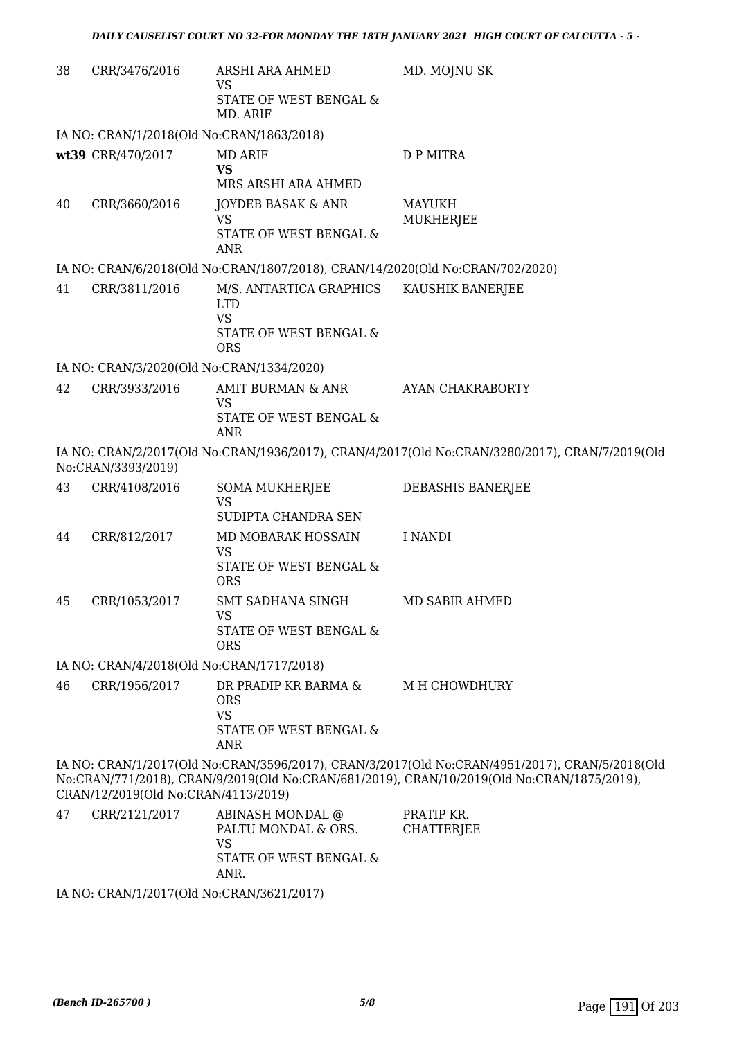| 38 | CRR/3476/2016                                                                                                                                                                                                                       | ARSHI ARA AHMED<br>VS                                                         | MD. MOJNU SK                                                                                   |  |
|----|-------------------------------------------------------------------------------------------------------------------------------------------------------------------------------------------------------------------------------------|-------------------------------------------------------------------------------|------------------------------------------------------------------------------------------------|--|
|    |                                                                                                                                                                                                                                     | STATE OF WEST BENGAL &<br>MD. ARIF                                            |                                                                                                |  |
|    | IA NO: CRAN/1/2018(Old No:CRAN/1863/2018)                                                                                                                                                                                           |                                                                               |                                                                                                |  |
|    | wt39 CRR/470/2017                                                                                                                                                                                                                   | <b>MD ARIF</b><br><b>VS</b><br>MRS ARSHI ARA AHMED                            | <b>D P MITRA</b>                                                                               |  |
| 40 | CRR/3660/2016                                                                                                                                                                                                                       | JOYDEB BASAK & ANR<br><b>VS</b><br>STATE OF WEST BENGAL &<br><b>ANR</b>       | <b>MAYUKH</b><br>MUKHERJEE                                                                     |  |
|    |                                                                                                                                                                                                                                     | IA NO: CRAN/6/2018(Old No:CRAN/1807/2018), CRAN/14/2020(Old No:CRAN/702/2020) |                                                                                                |  |
| 41 | CRR/3811/2016                                                                                                                                                                                                                       | M/S. ANTARTICA GRAPHICS<br><b>LTD</b><br><b>VS</b>                            | KAUSHIK BANERJEE                                                                               |  |
|    |                                                                                                                                                                                                                                     | STATE OF WEST BENGAL &<br>ORS                                                 |                                                                                                |  |
|    | IA NO: CRAN/3/2020(Old No:CRAN/1334/2020)                                                                                                                                                                                           |                                                                               |                                                                                                |  |
| 42 | CRR/3933/2016                                                                                                                                                                                                                       | AMIT BURMAN & ANR                                                             | AYAN CHAKRABORTY                                                                               |  |
|    |                                                                                                                                                                                                                                     | <b>VS</b><br>STATE OF WEST BENGAL &<br><b>ANR</b>                             |                                                                                                |  |
|    | No:CRAN/3393/2019)                                                                                                                                                                                                                  |                                                                               | IA NO: CRAN/2/2017(Old No:CRAN/1936/2017), CRAN/4/2017(Old No:CRAN/3280/2017), CRAN/7/2019(Old |  |
| 43 | CRR/4108/2016                                                                                                                                                                                                                       | <b>SOMA MUKHERJEE</b><br><b>VS</b><br>SUDIPTA CHANDRA SEN                     | DEBASHIS BANERJEE                                                                              |  |
| 44 | CRR/812/2017                                                                                                                                                                                                                        | MD MOBARAK HOSSAIN                                                            | I NANDI                                                                                        |  |
|    |                                                                                                                                                                                                                                     | VS<br>STATE OF WEST BENGAL &<br><b>ORS</b>                                    |                                                                                                |  |
| 45 | CRR/1053/2017                                                                                                                                                                                                                       | SMT SADHANA SINGH                                                             | MD SABIR AHMED                                                                                 |  |
|    |                                                                                                                                                                                                                                     | <b>VS</b><br>STATE OF WEST BENGAL &<br><b>ORS</b>                             |                                                                                                |  |
|    | IA NO: CRAN/4/2018(Old No:CRAN/1717/2018)                                                                                                                                                                                           |                                                                               |                                                                                                |  |
| 46 | CRR/1956/2017                                                                                                                                                                                                                       | DR PRADIP KR BARMA &<br><b>ORS</b><br><b>VS</b>                               | M H CHOWDHURY                                                                                  |  |
|    |                                                                                                                                                                                                                                     | STATE OF WEST BENGAL &<br>ANR                                                 |                                                                                                |  |
|    | IA NO: CRAN/1/2017(Old No:CRAN/3596/2017), CRAN/3/2017(Old No:CRAN/4951/2017), CRAN/5/2018(Old<br>No:CRAN/771/2018), CRAN/9/2019(Old No:CRAN/681/2019), CRAN/10/2019(Old No:CRAN/1875/2019),<br>CRAN/12/2019(Old No:CRAN/4113/2019) |                                                                               |                                                                                                |  |
| 47 | CRR/2121/2017                                                                                                                                                                                                                       | ABINASH MONDAL @<br>PALTU MONDAL & ORS.<br><b>VS</b>                          | PRATIP KR.<br><b>CHATTERJEE</b>                                                                |  |

IA NO: CRAN/1/2017(Old No:CRAN/3621/2017)

ANR.

STATE OF WEST BENGAL &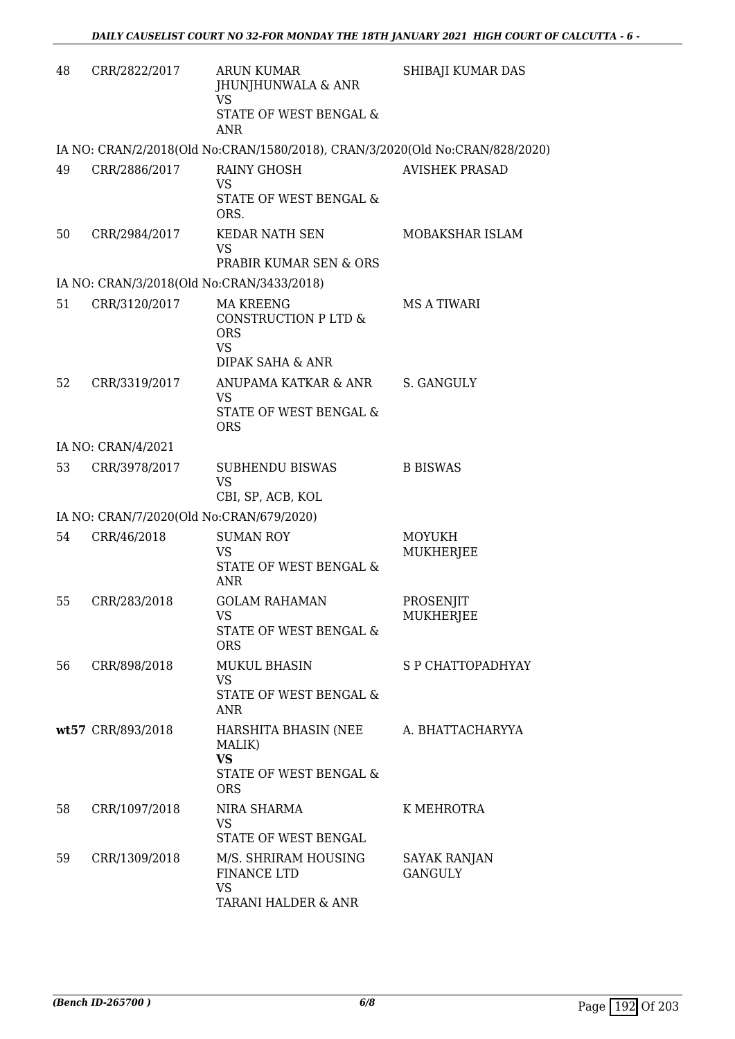| 48 | CRR/2822/2017                             | <b>ARUN KUMAR</b><br>JHUNJHUNWALA & ANR<br>VS<br>STATE OF WEST BENGAL &<br><b>ANR</b>   | SHIBAJI KUMAR DAS              |
|----|-------------------------------------------|-----------------------------------------------------------------------------------------|--------------------------------|
|    |                                           | IA NO: CRAN/2/2018(Old No:CRAN/1580/2018), CRAN/3/2020(Old No:CRAN/828/2020)            |                                |
| 49 | CRR/2886/2017                             | <b>RAINY GHOSH</b><br><b>VS</b><br>STATE OF WEST BENGAL &                               | <b>AVISHEK PRASAD</b>          |
| 50 | CRR/2984/2017                             | ORS.<br>KEDAR NATH SEN<br>VS<br>PRABIR KUMAR SEN & ORS                                  | MOBAKSHAR ISLAM                |
|    | IA NO: CRAN/3/2018(Old No:CRAN/3433/2018) |                                                                                         |                                |
| 51 | CRR/3120/2017                             | <b>MA KREENG</b><br>CONSTRUCTION P LTD &<br><b>ORS</b><br><b>VS</b><br>DIPAK SAHA & ANR | MS A TIWARI                    |
| 52 | CRR/3319/2017                             | ANUPAMA KATKAR & ANR<br>VS<br>STATE OF WEST BENGAL &<br><b>ORS</b>                      | S. GANGULY                     |
|    | IA NO: CRAN/4/2021                        |                                                                                         |                                |
| 53 | CRR/3978/2017                             | <b>SUBHENDU BISWAS</b><br><b>VS</b><br>CBI, SP, ACB, KOL                                | <b>B BISWAS</b>                |
|    | IA NO: CRAN/7/2020(Old No:CRAN/679/2020)  |                                                                                         |                                |
| 54 | CRR/46/2018                               | <b>SUMAN ROY</b><br><b>VS</b><br>STATE OF WEST BENGAL &<br><b>ANR</b>                   | <b>MOYUKH</b><br>MUKHERJEE     |
| 55 | CRR/283/2018                              | <b>GOLAM RAHAMAN</b><br><b>VS</b><br>STATE OF WEST BENGAL &<br><b>ORS</b>               | PROSENJIT<br>MUKHERJEE         |
| 56 | CRR/898/2018                              | <b>MUKUL BHASIN</b><br><b>VS</b><br><b>STATE OF WEST BENGAL &amp;</b><br><b>ANR</b>     | S P CHATTOPADHYAY              |
|    | wt57 CRR/893/2018                         | HARSHITA BHASIN (NEE<br>MALIK)<br><b>VS</b><br>STATE OF WEST BENGAL &<br><b>ORS</b>     | A. BHATTACHARYYA               |
| 58 | CRR/1097/2018                             | NIRA SHARMA<br>VS<br>STATE OF WEST BENGAL                                               | K MEHROTRA                     |
| 59 | CRR/1309/2018                             | M/S. SHRIRAM HOUSING<br><b>FINANCE LTD</b><br><b>VS</b><br>TARANI HALDER & ANR          | SAYAK RANJAN<br><b>GANGULY</b> |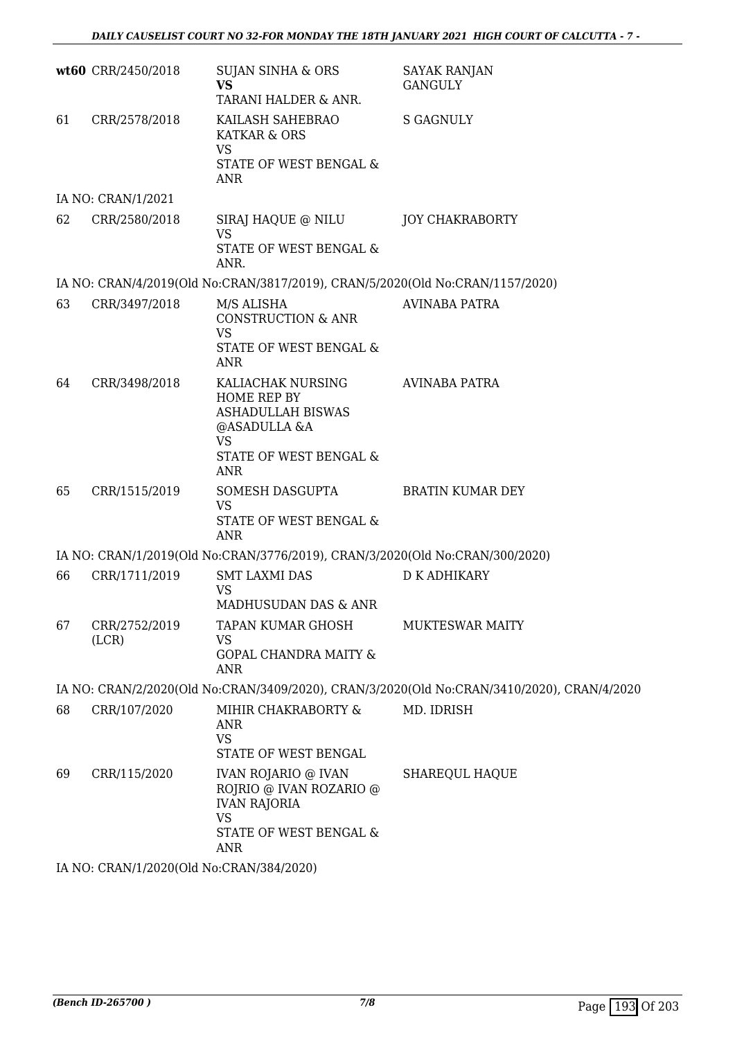|    | wt60 CRR/2450/2018     | SUJAN SINHA & ORS<br><b>VS</b><br>TARANI HALDER & ANR.                                                                            | <b>SAYAK RANJAN</b><br>GANGULY                                                             |
|----|------------------------|-----------------------------------------------------------------------------------------------------------------------------------|--------------------------------------------------------------------------------------------|
| 61 | CRR/2578/2018          | KAILASH SAHEBRAO<br>KATKAR & ORS<br><b>VS</b><br>STATE OF WEST BENGAL &<br><b>ANR</b>                                             | <b>S GAGNULY</b>                                                                           |
|    | IA NO: CRAN/1/2021     |                                                                                                                                   |                                                                                            |
| 62 | CRR/2580/2018          | SIRAJ HAQUE @ NILU<br><b>VS</b><br>STATE OF WEST BENGAL &<br>ANR.                                                                 | <b>JOY CHAKRABORTY</b>                                                                     |
|    |                        | IA NO: CRAN/4/2019(Old No:CRAN/3817/2019), CRAN/5/2020(Old No:CRAN/1157/2020)                                                     |                                                                                            |
| 63 | CRR/3497/2018          | M/S ALISHA<br><b>CONSTRUCTION &amp; ANR</b><br><b>VS</b><br>STATE OF WEST BENGAL &<br>ANR                                         | <b>AVINABA PATRA</b>                                                                       |
| 64 | CRR/3498/2018          | KALIACHAK NURSING<br>HOME REP BY<br><b>ASHADULLAH BISWAS</b><br>@ASADULLA &A<br><b>VS</b><br>STATE OF WEST BENGAL &<br><b>ANR</b> | AVINABA PATRA                                                                              |
| 65 | CRR/1515/2019          | SOMESH DASGUPTA<br><b>VS</b><br>STATE OF WEST BENGAL &<br><b>ANR</b>                                                              | <b>BRATIN KUMAR DEY</b>                                                                    |
|    |                        | IA NO: CRAN/1/2019(Old No:CRAN/3776/2019), CRAN/3/2020(Old No:CRAN/300/2020)                                                      |                                                                                            |
| 66 | CRR/1711/2019          | <b>SMT LAXMI DAS</b><br><b>VS</b><br>MADHUSUDAN DAS & ANR                                                                         | <b>D K ADHIKARY</b>                                                                        |
| 67 | CRR/2752/2019<br>(LCR) | TAPAN KUMAR GHOSH<br>VS<br><b>GOPAL CHANDRA MAITY &amp;</b><br><b>ANR</b>                                                         | <b>MUKTESWAR MAITY</b>                                                                     |
|    |                        |                                                                                                                                   | IA NO: CRAN/2/2020(Old No:CRAN/3409/2020), CRAN/3/2020(Old No:CRAN/3410/2020), CRAN/4/2020 |
| 68 | CRR/107/2020           | MIHIR CHAKRABORTY &<br>ANR<br><b>VS</b><br>STATE OF WEST BENGAL                                                                   | MD. IDRISH                                                                                 |
| 69 | CRR/115/2020           | IVAN ROJARIO @ IVAN<br>ROJRIO @ IVAN ROZARIO @<br><b>IVAN RAJORIA</b><br><b>VS</b><br>STATE OF WEST BENGAL &<br><b>ANR</b>        | <b>SHAREQUL HAQUE</b>                                                                      |

IA NO: CRAN/1/2020(Old No:CRAN/384/2020)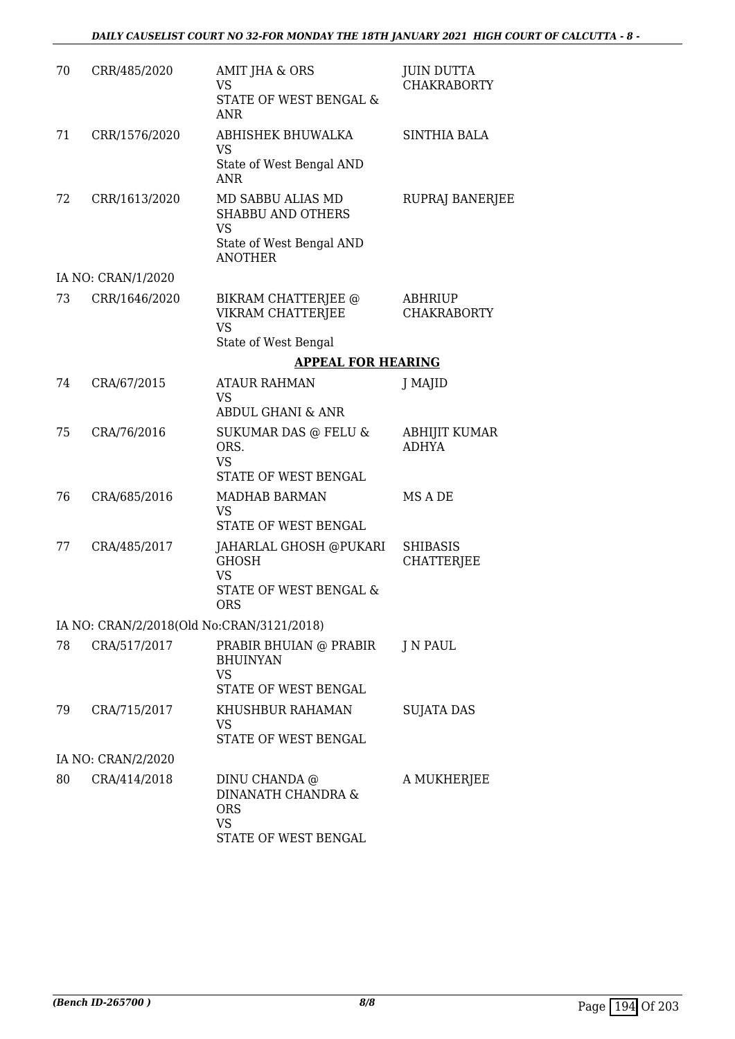| 70 | CRR/485/2020                              | AMIT JHA & ORS<br><b>VS</b><br><b>STATE OF WEST BENGAL &amp;</b><br><b>ANR</b>                           | <b>JUIN DUTTA</b><br><b>CHAKRABORTY</b> |
|----|-------------------------------------------|----------------------------------------------------------------------------------------------------------|-----------------------------------------|
| 71 | CRR/1576/2020                             | ABHISHEK BHUWALKA<br><b>VS</b>                                                                           | <b>SINTHIA BALA</b>                     |
|    |                                           | State of West Bengal AND<br>ANR                                                                          |                                         |
| 72 | CRR/1613/2020                             | MD SABBU ALIAS MD<br><b>SHABBU AND OTHERS</b><br><b>VS</b><br>State of West Bengal AND<br><b>ANOTHER</b> | RUPRAJ BANERJEE                         |
|    | IA NO: CRAN/1/2020                        |                                                                                                          |                                         |
| 73 | CRR/1646/2020                             | BIKRAM CHATTERJEE @<br>VIKRAM CHATTERJEE<br><b>VS</b>                                                    | ABHRIUP<br><b>CHAKRABORTY</b>           |
|    |                                           | State of West Bengal                                                                                     |                                         |
|    |                                           | <b>APPEAL FOR HEARING</b>                                                                                |                                         |
| 74 | CRA/67/2015                               | <b>ATAUR RAHMAN</b><br><b>VS</b>                                                                         | J MAJID                                 |
|    |                                           | <b>ABDUL GHANI &amp; ANR</b>                                                                             |                                         |
| 75 | CRA/76/2016                               | SUKUMAR DAS @ FELU &<br>ORS.<br><b>VS</b>                                                                | ABHIJIT KUMAR<br><b>ADHYA</b>           |
|    |                                           | STATE OF WEST BENGAL                                                                                     |                                         |
| 76 | CRA/685/2016                              | <b>MADHAB BARMAN</b><br><b>VS</b>                                                                        | MS A DE                                 |
|    |                                           | STATE OF WEST BENGAL                                                                                     |                                         |
| 77 | CRA/485/2017                              | JAHARLAL GHOSH @PUKARI<br><b>GHOSH</b><br><b>VS</b>                                                      | <b>SHIBASIS</b><br><b>CHATTERJEE</b>    |
|    |                                           | STATE OF WEST BENGAL &<br>ORS                                                                            |                                         |
|    | IA NO: CRAN/2/2018(Old No:CRAN/3121/2018) |                                                                                                          |                                         |
| 78 | CRA/517/2017                              | PRABIR BHUIAN @ PRABIR<br><b>BHUINYAN</b><br><b>VS</b><br>STATE OF WEST BENGAL                           | J N PAUL                                |
| 79 | CRA/715/2017                              | KHUSHBUR RAHAMAN<br>VS<br>STATE OF WEST BENGAL                                                           | <b>SUJATA DAS</b>                       |
|    | IA NO: CRAN/2/2020                        |                                                                                                          |                                         |
|    |                                           |                                                                                                          |                                         |
| 80 | CRA/414/2018                              | DINU CHANDA @<br>DINANATH CHANDRA &<br><b>ORS</b><br><b>VS</b><br>STATE OF WEST BENGAL                   | A MUKHERJEE                             |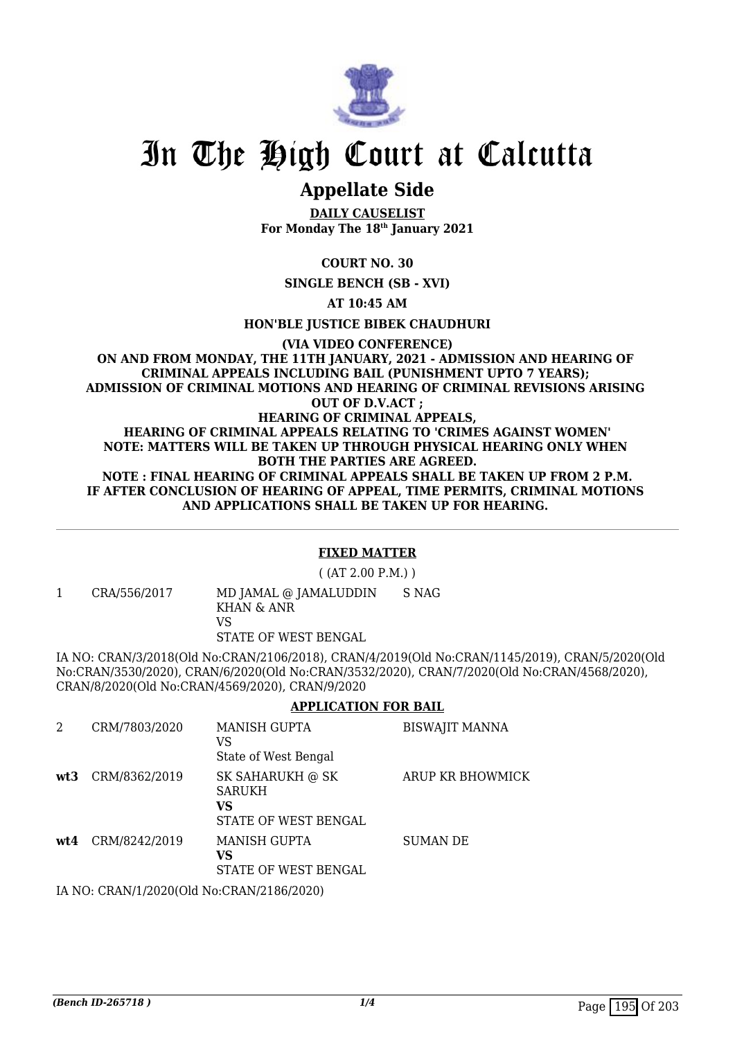

# **Appellate Side**

**DAILY CAUSELIST For Monday The 18th January 2021**

## **COURT NO. 30**

**SINGLE BENCH (SB - XVI)**

**AT 10:45 AM**

**HON'BLE JUSTICE BIBEK CHAUDHURI**

#### **(VIA VIDEO CONFERENCE) ON AND FROM MONDAY, THE 11TH JANUARY, 2021 - ADMISSION AND HEARING OF CRIMINAL APPEALS INCLUDING BAIL (PUNISHMENT UPTO 7 YEARS); ADMISSION OF CRIMINAL MOTIONS AND HEARING OF CRIMINAL REVISIONS ARISING OUT OF D.V.ACT ; HEARING OF CRIMINAL APPEALS, HEARING OF CRIMINAL APPEALS RELATING TO 'CRIMES AGAINST WOMEN' NOTE: MATTERS WILL BE TAKEN UP THROUGH PHYSICAL HEARING ONLY WHEN BOTH THE PARTIES ARE AGREED. NOTE : FINAL HEARING OF CRIMINAL APPEALS SHALL BE TAKEN UP FROM 2 P.M. IF AFTER CONCLUSION OF HEARING OF APPEAL, TIME PERMITS, CRIMINAL MOTIONS AND APPLICATIONS SHALL BE TAKEN UP FOR HEARING.**

#### **FIXED MATTER**

( (AT 2.00 P.M.) )

1 CRA/556/2017 MD JAMAL @ JAMALUDDIN KHAN & ANR VS STATE OF WEST BENGAL S NAG

IA NO: CRAN/3/2018(Old No:CRAN/2106/2018), CRAN/4/2019(Old No:CRAN/1145/2019), CRAN/5/2020(Old No:CRAN/3530/2020), CRAN/6/2020(Old No:CRAN/3532/2020), CRAN/7/2020(Old No:CRAN/4568/2020), CRAN/8/2020(Old No:CRAN/4569/2020), CRAN/9/2020

## **APPLICATION FOR BAIL**

| 2   | CRM/7803/2020                                | <b>MANISH GUPTA</b><br>VS                                       | <b>BISWAJIT MANNA</b> |
|-----|----------------------------------------------|-----------------------------------------------------------------|-----------------------|
|     |                                              | State of West Bengal                                            |                       |
| wt3 | CRM/8362/2019                                | SK SAHARUKH @ SK<br><b>SARUKH</b><br>VS<br>STATE OF WEST BENGAL | ARUP KR BHOWMICK      |
| wt4 | CRM/8242/2019                                | MANISH GUPTA<br>VS<br>STATE OF WEST BENGAL                      | <b>SUMAN DE</b>       |
|     | IL 3IO OD LIILLOOOGLOI I 1I. OD LIILOLOOLOOO |                                                                 |                       |

IA NO: CRAN/1/2020(Old No:CRAN/2186/2020)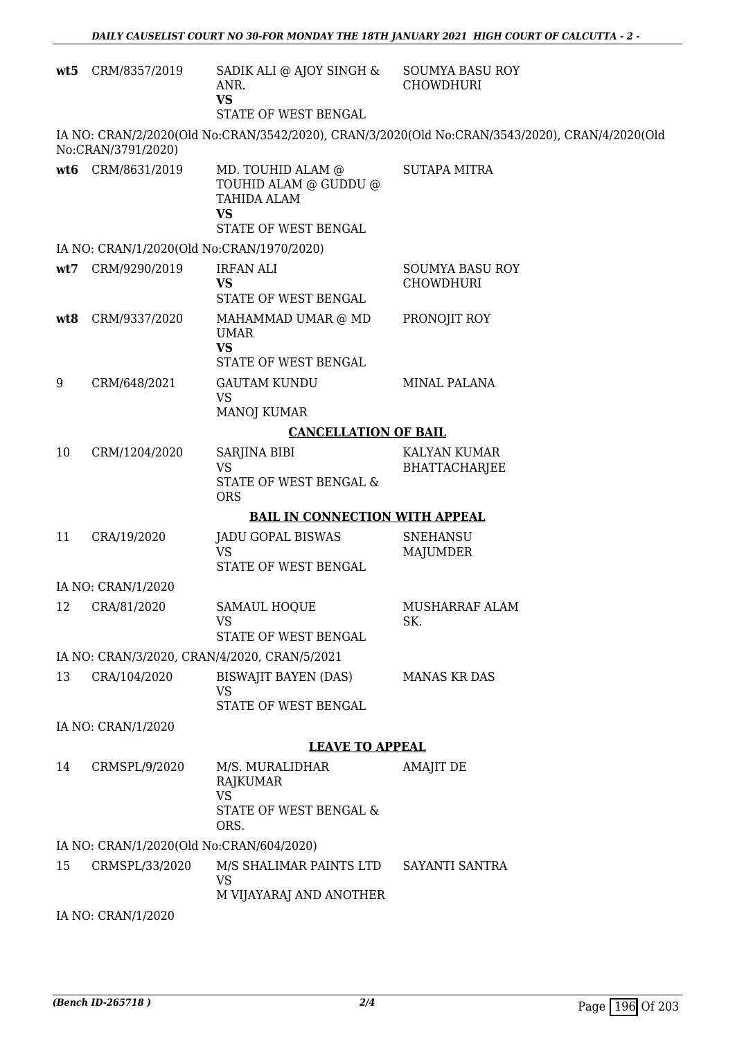|     | wt5 CRM/8357/2019                        | SADIK ALI @ AJOY SINGH &<br>ANR.<br><b>VS</b><br>STATE OF WEST BENGAL  | <b>SOUMYA BASU ROY</b><br><b>CHOWDHURI</b>                                                     |
|-----|------------------------------------------|------------------------------------------------------------------------|------------------------------------------------------------------------------------------------|
|     |                                          |                                                                        | IA NO: CRAN/2/2020(Old No:CRAN/3542/2020), CRAN/3/2020(Old No:CRAN/3543/2020), CRAN/4/2020(Old |
|     | No:CRAN/3791/2020)                       |                                                                        |                                                                                                |
|     | wt6 CRM/8631/2019                        | MD. TOUHID ALAM @<br>TOUHID ALAM @ GUDDU @<br>TAHIDA ALAM<br><b>VS</b> | <b>SUTAPA MITRA</b>                                                                            |
|     |                                          | STATE OF WEST BENGAL                                                   |                                                                                                |
|     |                                          | IA NO: CRAN/1/2020(Old No:CRAN/1970/2020)                              |                                                                                                |
| wt7 | CRM/9290/2019                            | <b>IRFAN ALI</b><br><b>VS</b><br>STATE OF WEST BENGAL                  | <b>SOUMYA BASU ROY</b><br><b>CHOWDHURI</b>                                                     |
| wt8 | CRM/9337/2020                            | MAHAMMAD UMAR @ MD<br><b>UMAR</b>                                      | PRONOJIT ROY                                                                                   |
|     |                                          | <b>VS</b><br>STATE OF WEST BENGAL                                      |                                                                                                |
| 9   | CRM/648/2021                             | <b>GAUTAM KUNDU</b><br><b>VS</b>                                       | <b>MINAL PALANA</b>                                                                            |
|     |                                          | MANOJ KUMAR                                                            |                                                                                                |
|     |                                          | <b>CANCELLATION OF BAIL</b>                                            |                                                                                                |
| 10  | CRM/1204/2020                            | SARJINA BIBI<br><b>VS</b><br>STATE OF WEST BENGAL &<br><b>ORS</b>      | KALYAN KUMAR<br>BHATTACHARJEE                                                                  |
|     |                                          | <b>BAIL IN CONNECTION WITH APPEAL</b>                                  |                                                                                                |
| 11  | CRA/19/2020                              | <b>JADU GOPAL BISWAS</b><br>VS<br>STATE OF WEST BENGAL                 | <b>SNEHANSU</b><br>MAJUMDER                                                                    |
|     | IA NO: CRAN/1/2020                       |                                                                        |                                                                                                |
| 12  | CRA/81/2020                              | SAMAUL HOQUE                                                           | MUSHARRAF ALAM                                                                                 |
|     |                                          | VS<br>STATE OF WEST BENGAL                                             | SK.                                                                                            |
|     |                                          | IA NO: CRAN/3/2020, CRAN/4/2020, CRAN/5/2021                           |                                                                                                |
| 13  | CRA/104/2020                             | BISWAJIT BAYEN (DAS)<br><b>VS</b><br>STATE OF WEST BENGAL              | <b>MANAS KR DAS</b>                                                                            |
|     | IA NO: CRAN/1/2020                       |                                                                        |                                                                                                |
|     |                                          | <b>LEAVE TO APPEAL</b>                                                 |                                                                                                |
| 14  | CRMSPL/9/2020                            | M/S. MURALIDHAR                                                        | AMAJIT DE                                                                                      |
|     |                                          | RAJKUMAR<br><b>VS</b>                                                  |                                                                                                |
|     |                                          | STATE OF WEST BENGAL &<br>ORS.                                         |                                                                                                |
|     | IA NO: CRAN/1/2020(Old No:CRAN/604/2020) |                                                                        |                                                                                                |
| 15  | CRMSPL/33/2020                           | M/S SHALIMAR PAINTS LTD<br><b>VS</b><br>M VIJAYARAJ AND ANOTHER        | SAYANTI SANTRA                                                                                 |
|     | IA NO: CRAN/1/2020                       |                                                                        |                                                                                                |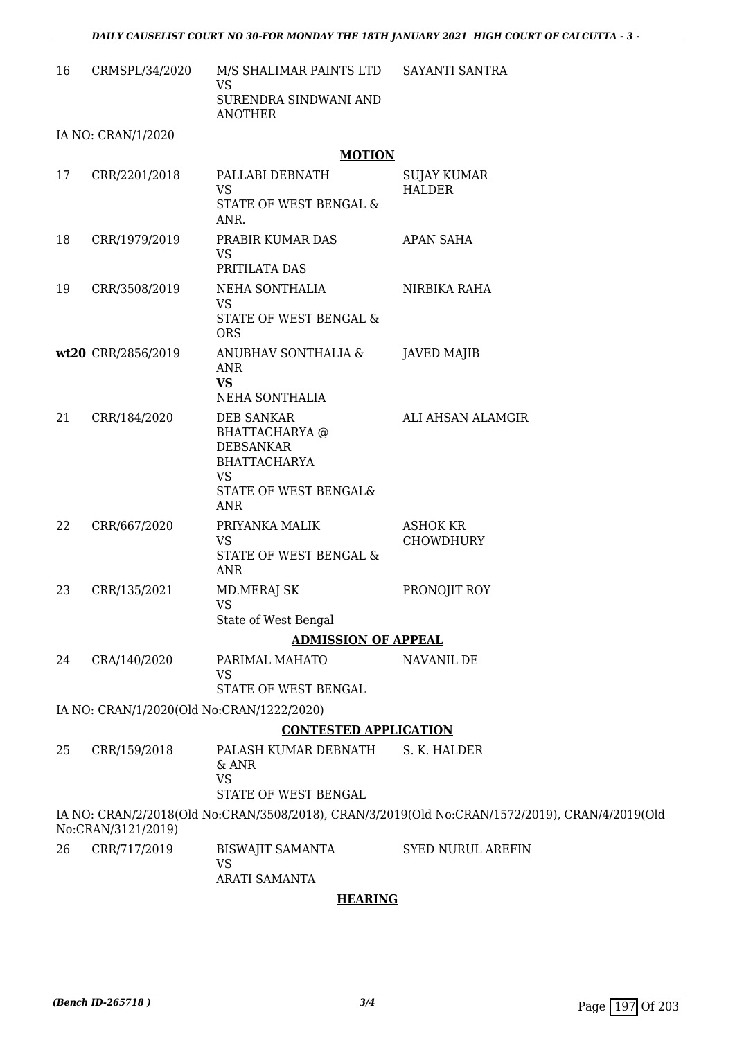| 16 | CRMSPL/34/2020                            | M/S SHALIMAR PAINTS LTD SAYANTI SANTRA<br><b>VS</b>                                                                         |                                                                                                |
|----|-------------------------------------------|-----------------------------------------------------------------------------------------------------------------------------|------------------------------------------------------------------------------------------------|
|    |                                           | SURENDRA SINDWANI AND<br><b>ANOTHER</b>                                                                                     |                                                                                                |
|    | IA NO: CRAN/1/2020                        |                                                                                                                             |                                                                                                |
|    |                                           | <b>MOTION</b>                                                                                                               |                                                                                                |
| 17 | CRR/2201/2018                             | PALLABI DEBNATH<br><b>VS</b><br>STATE OF WEST BENGAL &<br>ANR.                                                              | <b>SUJAY KUMAR</b><br><b>HALDER</b>                                                            |
| 18 | CRR/1979/2019                             | PRABIR KUMAR DAS<br>VS<br>PRITILATA DAS                                                                                     | <b>APAN SAHA</b>                                                                               |
| 19 | CRR/3508/2019                             | NEHA SONTHALIA<br><b>VS</b><br>STATE OF WEST BENGAL &<br><b>ORS</b>                                                         | NIRBIKA RAHA                                                                                   |
|    | wt20 CRR/2856/2019                        | ANUBHAV SONTHALIA &<br>ANR<br><b>VS</b><br><b>NEHA SONTHALIA</b>                                                            | <b>JAVED MAJIB</b>                                                                             |
| 21 | CRR/184/2020                              | <b>DEB SANKAR</b><br>BHATTACHARYA @<br><b>DEBSANKAR</b><br><b>BHATTACHARYA</b><br><b>VS</b><br>STATE OF WEST BENGAL&<br>ANR | ALI AHSAN ALAMGIR                                                                              |
| 22 | CRR/667/2020                              | PRIYANKA MALIK<br><b>VS</b><br>STATE OF WEST BENGAL &<br><b>ANR</b>                                                         | <b>ASHOK KR</b><br><b>CHOWDHURY</b>                                                            |
| 23 | CRR/135/2021                              | MD.MERAJ SK<br><b>VS</b><br>State of West Bengal                                                                            | PRONOJIT ROY                                                                                   |
|    |                                           | <b>ADMISSION OF APPEAL</b>                                                                                                  |                                                                                                |
| 24 | CRA/140/2020                              | PARIMAL MAHATO<br>VS<br>STATE OF WEST BENGAL                                                                                | NAVANIL DE                                                                                     |
|    | IA NO: CRAN/1/2020(Old No:CRAN/1222/2020) |                                                                                                                             |                                                                                                |
|    |                                           | <b>CONTESTED APPLICATION</b>                                                                                                |                                                                                                |
| 25 | CRR/159/2018                              | PALASH KUMAR DEBNATH<br>& ANR<br><b>VS</b><br>STATE OF WEST BENGAL                                                          | S. K. HALDER                                                                                   |
|    | No:CRAN/3121/2019)                        |                                                                                                                             | IA NO: CRAN/2/2018(Old No:CRAN/3508/2018), CRAN/3/2019(Old No:CRAN/1572/2019), CRAN/4/2019(Old |
| 26 | CRR/717/2019                              | <b>BISWAJIT SAMANTA</b><br><b>VS</b><br><b>ARATI SAMANTA</b>                                                                | <b>SYED NURUL AREFIN</b>                                                                       |

## **HEARING**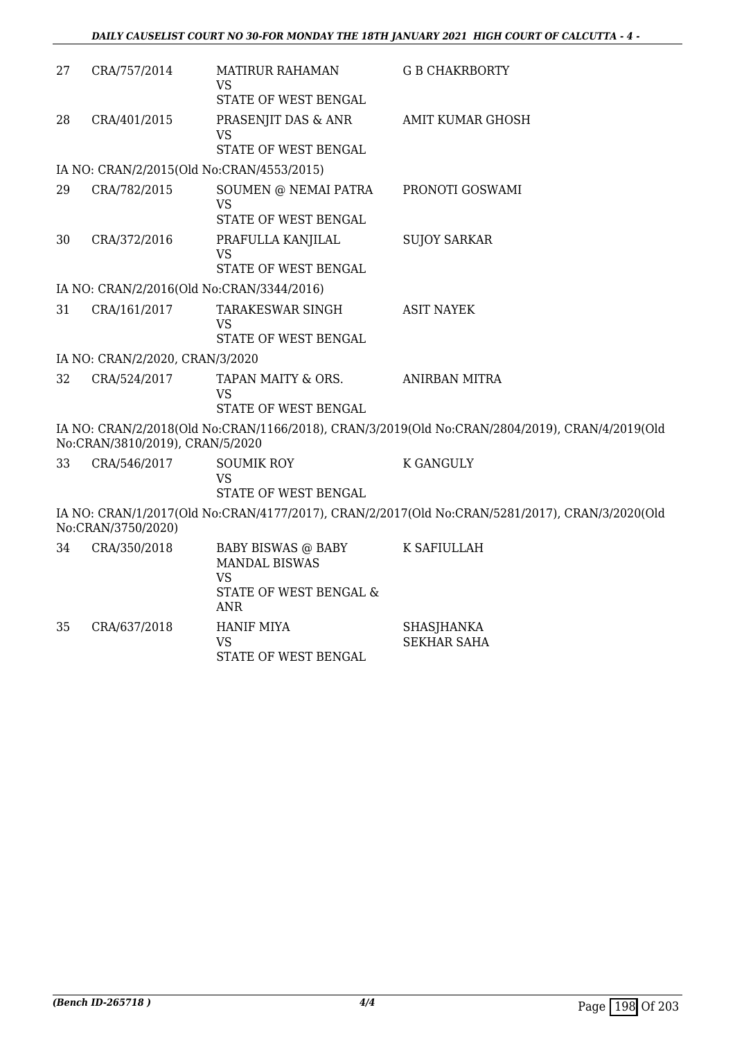| 27 | CRA/757/2014                              | <b>MATIRUR RAHAMAN</b><br>VS                     | <b>G B CHAKRBORTY</b>                                                                          |
|----|-------------------------------------------|--------------------------------------------------|------------------------------------------------------------------------------------------------|
|    |                                           | STATE OF WEST BENGAL                             |                                                                                                |
| 28 | CRA/401/2015                              | PRASENJIT DAS & ANR<br>VS                        | <b>AMIT KUMAR GHOSH</b>                                                                        |
|    |                                           | STATE OF WEST BENGAL                             |                                                                                                |
|    | IA NO: CRAN/2/2015(Old No:CRAN/4553/2015) |                                                  |                                                                                                |
| 29 | CRA/782/2015                              | SOUMEN @ NEMAI PATRA<br><b>VS</b>                | PRONOTI GOSWAMI                                                                                |
|    |                                           | <b>STATE OF WEST BENGAL</b>                      |                                                                                                |
| 30 | CRA/372/2016                              | PRAFULLA KANJILAL<br><b>VS</b>                   | <b>SUJOY SARKAR</b>                                                                            |
|    |                                           | STATE OF WEST BENGAL                             |                                                                                                |
|    | IA NO: CRAN/2/2016(Old No:CRAN/3344/2016) |                                                  |                                                                                                |
| 31 | CRA/161/2017                              | TARAKESWAR SINGH<br><b>VS</b>                    | <b>ASIT NAYEK</b>                                                                              |
|    |                                           | STATE OF WEST BENGAL                             |                                                                                                |
|    | IA NO: CRAN/2/2020, CRAN/3/2020           |                                                  |                                                                                                |
| 32 | CRA/524/2017                              | TAPAN MAITY & ORS.<br>VS                         | <b>ANIRBAN MITRA</b>                                                                           |
|    |                                           | STATE OF WEST BENGAL                             |                                                                                                |
|    | No:CRAN/3810/2019), CRAN/5/2020           |                                                  | IA NO: CRAN/2/2018(Old No:CRAN/1166/2018), CRAN/3/2019(Old No:CRAN/2804/2019), CRAN/4/2019(Old |
| 33 | CRA/546/2017                              | <b>SOUMIK ROY</b>                                | <b>K GANGULY</b>                                                                               |
|    |                                           | <b>VS</b><br>STATE OF WEST BENGAL                |                                                                                                |
|    | No:CRAN/3750/2020)                        |                                                  | IA NO: CRAN/1/2017(Old No:CRAN/4177/2017), CRAN/2/2017(Old No:CRAN/5281/2017), CRAN/3/2020(Old |
| 34 | CRA/350/2018                              | BABY BISWAS @ BABY<br><b>MANDAL BISWAS</b><br>VS | K SAFIULLAH                                                                                    |
|    |                                           | STATE OF WEST BENGAL &<br><b>ANR</b>             |                                                                                                |
| 35 | CRA/637/2018                              | <b>HANIF MIYA</b>                                | <b>SHASJHANKA</b>                                                                              |
|    |                                           | <b>VS</b><br>STATE OF WEST BENGAL                | <b>SEKHAR SAHA</b>                                                                             |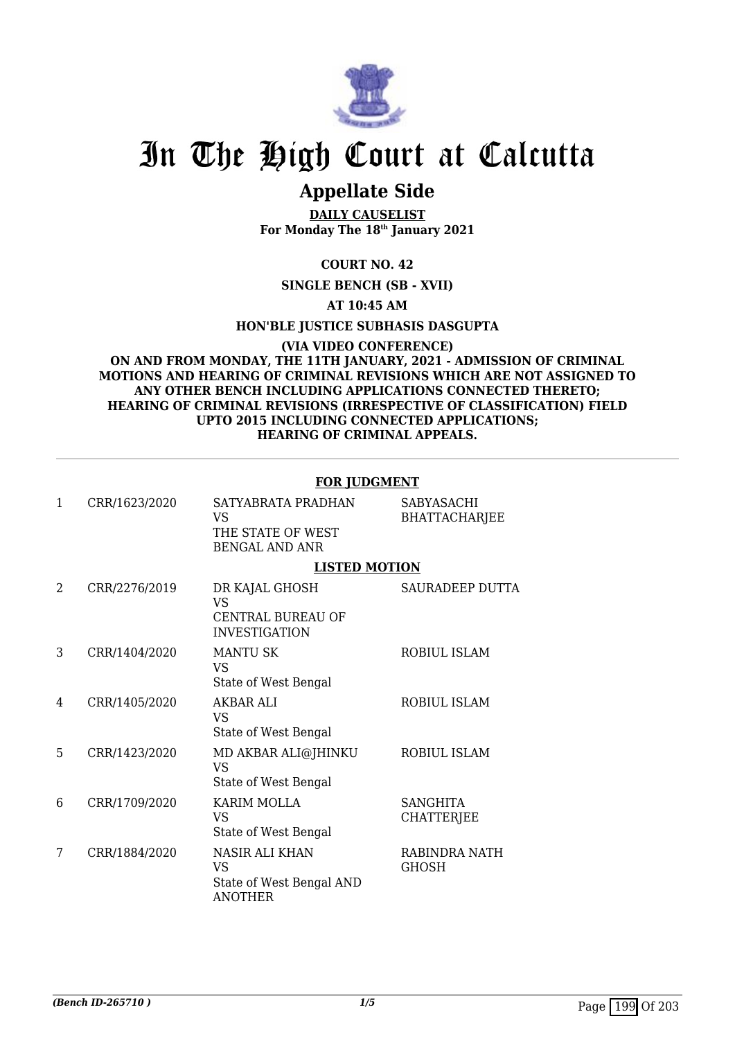

# **Appellate Side**

**DAILY CAUSELIST For Monday The 18th January 2021**

**COURT NO. 42**

**SINGLE BENCH (SB - XVII)**

**AT 10:45 AM**

**HON'BLE JUSTICE SUBHASIS DASGUPTA**

**(VIA VIDEO CONFERENCE) ON AND FROM MONDAY, THE 11TH JANUARY, 2021 - ADMISSION OF CRIMINAL MOTIONS AND HEARING OF CRIMINAL REVISIONS WHICH ARE NOT ASSIGNED TO ANY OTHER BENCH INCLUDING APPLICATIONS CONNECTED THERETO; HEARING OF CRIMINAL REVISIONS (IRRESPECTIVE OF CLASSIFICATION) FIELD UPTO 2015 INCLUDING CONNECTED APPLICATIONS; HEARING OF CRIMINAL APPEALS.**

#### **FOR JUDGMENT**

| 1              | CRR/1623/2020 | SATYABRATA PRADHAN<br>VS<br>THE STATE OF WEST<br><b>BENGAL AND ANR</b>    | <b>SABYASACHI</b><br><b>BHATTACHARJEE</b> |
|----------------|---------------|---------------------------------------------------------------------------|-------------------------------------------|
|                |               | <b>LISTED MOTION</b>                                                      |                                           |
| $\mathfrak{D}$ | CRR/2276/2019 | DR KAJAL GHOSH<br>VS<br><b>CENTRAL BUREAU OF</b><br><b>INVESTIGATION</b>  | SAURADEEP DUTTA                           |
| 3              | CRR/1404/2020 | <b>MANTU SK</b><br><b>VS</b><br>State of West Bengal                      | ROBIUL ISLAM                              |
| 4              | CRR/1405/2020 | <b>AKBAR ALI</b><br>VS<br>State of West Bengal                            | ROBIUL ISLAM                              |
| 5              | CRR/1423/2020 | MD AKBAR ALI@JHINKU<br><b>VS</b><br>State of West Bengal                  | ROBIUL ISLAM                              |
| 6              | CRR/1709/2020 | <b>KARIM MOLLA</b><br><b>VS</b><br>State of West Bengal                   | <b>SANGHITA</b><br><b>CHATTERJEE</b>      |
| 7              | CRR/1884/2020 | NASIR ALI KHAN<br><b>VS</b><br>State of West Bengal AND<br><b>ANOTHER</b> | RABINDRA NATH<br>GHOSH                    |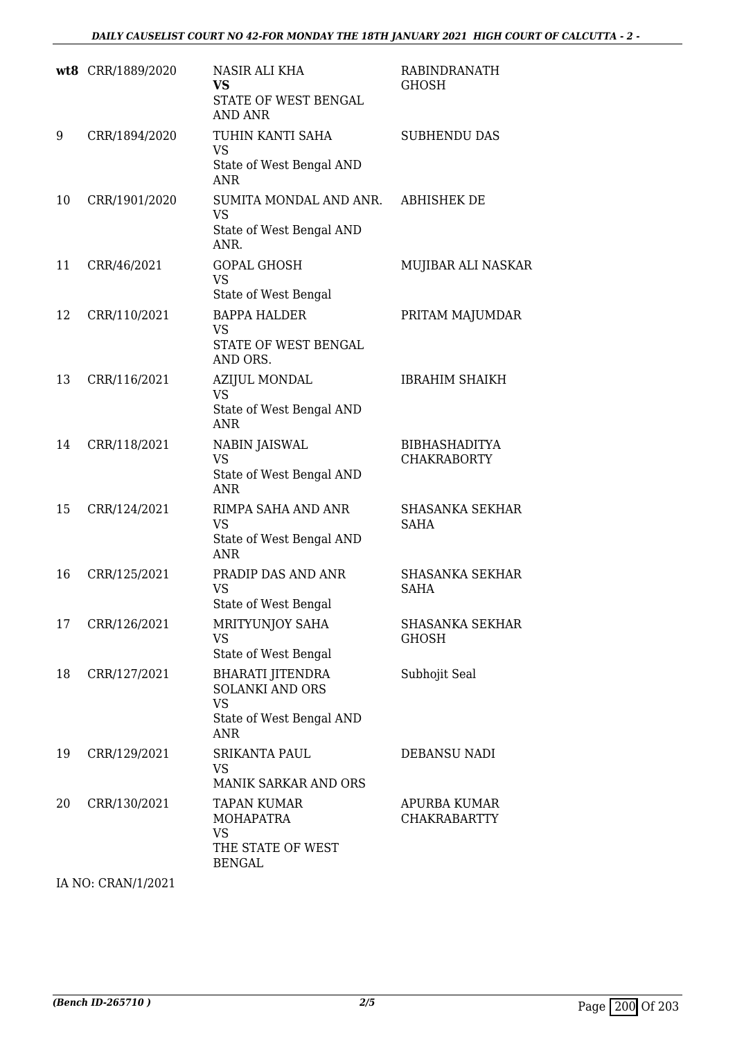|    | wt8 CRR/1889/2020 | NASIR ALI KHA<br><b>VS</b><br>STATE OF WEST BENGAL<br><b>AND ANR</b>                                     | RABINDRANATH<br>GHOSH                      |
|----|-------------------|----------------------------------------------------------------------------------------------------------|--------------------------------------------|
| 9  | CRR/1894/2020     | TUHIN KANTI SAHA<br><b>VS</b><br>State of West Bengal AND<br><b>ANR</b>                                  | <b>SUBHENDU DAS</b>                        |
| 10 | CRR/1901/2020     | SUMITA MONDAL AND ANR.<br><b>VS</b><br>State of West Bengal AND<br>ANR.                                  | <b>ABHISHEK DE</b>                         |
| 11 | CRR/46/2021       | <b>GOPAL GHOSH</b><br><b>VS</b><br>State of West Bengal                                                  | MUJIBAR ALI NASKAR                         |
| 12 | CRR/110/2021      | <b>BAPPA HALDER</b><br><b>VS</b><br>STATE OF WEST BENGAL<br>AND ORS.                                     | PRITAM MAJUMDAR                            |
| 13 | CRR/116/2021      | <b>AZIJUL MONDAL</b><br><b>VS</b><br>State of West Bengal AND<br><b>ANR</b>                              | <b>IBRAHIM SHAIKH</b>                      |
| 14 | CRR/118/2021      | <b>NABIN JAISWAL</b><br><b>VS</b><br>State of West Bengal AND<br><b>ANR</b>                              | <b>BIBHASHADITYA</b><br><b>CHAKRABORTY</b> |
| 15 | CRR/124/2021      | RIMPA SAHA AND ANR<br><b>VS</b><br>State of West Bengal AND<br><b>ANR</b>                                | <b>SHASANKA SEKHAR</b><br><b>SAHA</b>      |
| 16 | CRR/125/2021      | PRADIP DAS AND ANR<br><b>VS</b><br>State of West Bengal                                                  | <b>SHASANKA SEKHAR</b><br><b>SAHA</b>      |
| 17 | CRR/126/2021      | MRITYUNJOY SAHA<br><b>VS</b><br>State of West Bengal                                                     | <b>SHASANKA SEKHAR</b><br><b>GHOSH</b>     |
| 18 | CRR/127/2021      | <b>BHARATI JITENDRA</b><br><b>SOLANKI AND ORS</b><br><b>VS</b><br>State of West Bengal AND<br><b>ANR</b> | Subhojit Seal                              |
| 19 | CRR/129/2021      | <b>SRIKANTA PAUL</b><br><b>VS</b><br>MANIK SARKAR AND ORS                                                | DEBANSU NADI                               |
| 20 | CRR/130/2021      | <b>TAPAN KUMAR</b><br><b>MOHAPATRA</b><br><b>VS</b><br>THE STATE OF WEST<br><b>BENGAL</b>                | APURBA KUMAR<br><b>CHAKRABARTTY</b>        |

IA NO: CRAN/1/2021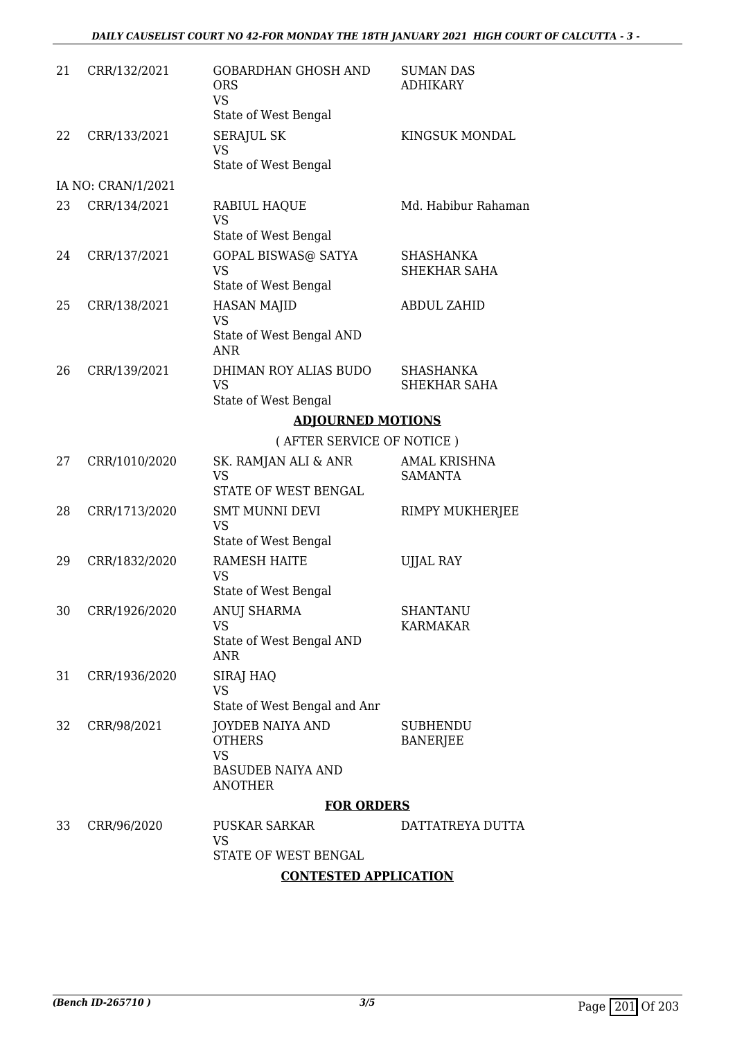| 21 | CRR/132/2021       | <b>GOBARDHAN GHOSH AND</b><br><b>ORS</b><br><b>VS</b><br>State of West Bengal                       | <b>SUMAN DAS</b><br><b>ADHIKARY</b>   |
|----|--------------------|-----------------------------------------------------------------------------------------------------|---------------------------------------|
| 22 | CRR/133/2021       | <b>SERAJUL SK</b><br><b>VS</b><br>State of West Bengal                                              | KINGSUK MONDAL                        |
|    | IA NO: CRAN/1/2021 |                                                                                                     |                                       |
| 23 | CRR/134/2021       | RABIUL HAQUE<br><b>VS</b>                                                                           | Md. Habibur Rahaman                   |
| 24 | CRR/137/2021       | State of West Bengal<br><b>GOPAL BISWAS@ SATYA</b><br><b>VS</b>                                     | <b>SHASHANKA</b><br>SHEKHAR SAHA      |
| 25 | CRR/138/2021       | State of West Bengal<br><b>HASAN MAJID</b><br><b>VS</b>                                             | <b>ABDUL ZAHID</b>                    |
|    |                    | State of West Bengal AND<br><b>ANR</b>                                                              |                                       |
| 26 | CRR/139/2021       | DHIMAN ROY ALIAS BUDO<br><b>VS</b><br>State of West Bengal                                          | <b>SHASHANKA</b><br>SHEKHAR SAHA      |
|    |                    | <b>ADJOURNED MOTIONS</b>                                                                            |                                       |
|    |                    | (AFTER SERVICE OF NOTICE)                                                                           |                                       |
| 27 | CRR/1010/2020      | SK. RAMJAN ALI & ANR<br><b>VS</b>                                                                   | <b>AMAL KRISHNA</b><br><b>SAMANTA</b> |
|    |                    | STATE OF WEST BENGAL                                                                                |                                       |
| 28 | CRR/1713/2020      | <b>SMT MUNNI DEVI</b><br><b>VS</b><br>State of West Bengal                                          | RIMPY MUKHERJEE                       |
| 29 | CRR/1832/2020      | <b>RAMESH HAITE</b><br><b>VS</b><br>State of West Bengal                                            | <b>UJJAL RAY</b>                      |
|    | 30 CRR/1926/2020   | ANUJ SHARMA<br>VS<br>State of West Bengal AND<br>ANR                                                | <b>SHANTANU</b><br><b>KARMAKAR</b>    |
| 31 | CRR/1936/2020      | SIRAJ HAQ<br><b>VS</b><br>State of West Bengal and Anr                                              |                                       |
| 32 | CRR/98/2021        | <b>JOYDEB NAIYA AND</b><br><b>OTHERS</b><br><b>VS</b><br><b>BASUDEB NAIYA AND</b><br><b>ANOTHER</b> | <b>SUBHENDU</b><br><b>BANERJEE</b>    |
|    |                    | <b>FOR ORDERS</b>                                                                                   |                                       |
| 33 | CRR/96/2020        | <b>PUSKAR SARKAR</b><br><b>VS</b><br>STATE OF WEST BENGAL                                           | DATTATREYA DUTTA                      |

## **CONTESTED APPLICATION**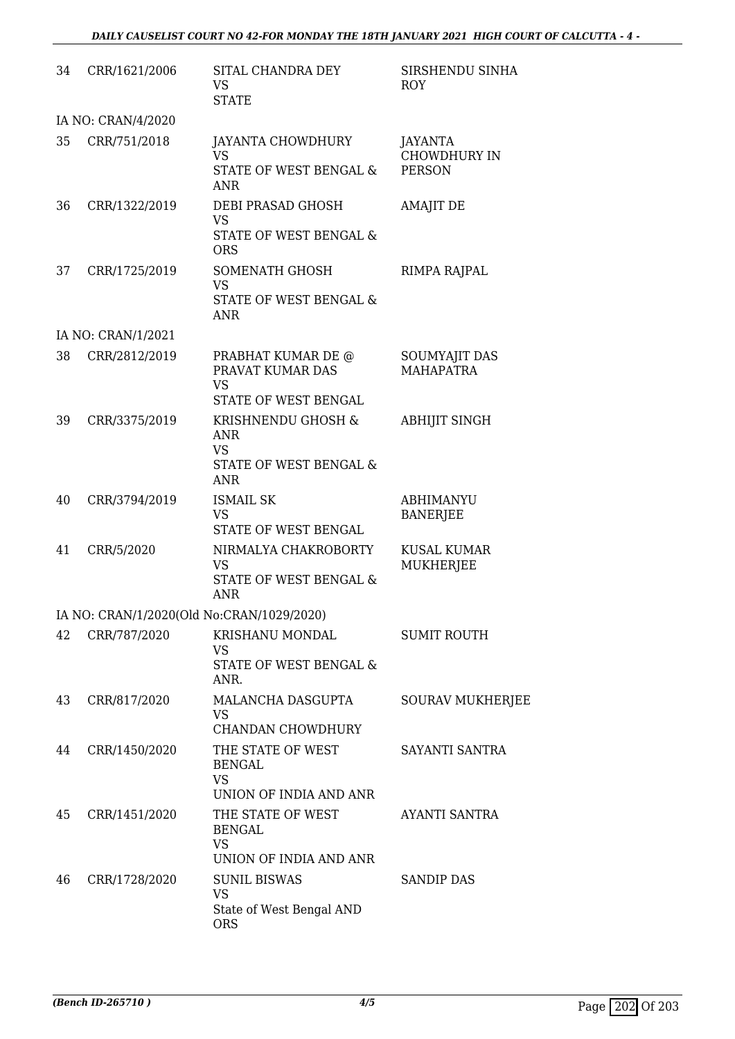| 34 | CRR/1621/2006      | SITAL CHANDRA DEY<br>VS.<br><b>STATE</b>                                              | SIRSHENDU SINHA<br><b>ROY</b>                          |
|----|--------------------|---------------------------------------------------------------------------------------|--------------------------------------------------------|
|    | IA NO: CRAN/4/2020 |                                                                                       |                                                        |
| 35 | CRR/751/2018       | JAYANTA CHOWDHURY<br><b>VS</b><br>STATE OF WEST BENGAL &<br><b>ANR</b>                | <b>JAYANTA</b><br><b>CHOWDHURY IN</b><br><b>PERSON</b> |
| 36 | CRR/1322/2019      | DEBI PRASAD GHOSH<br><b>VS</b><br>STATE OF WEST BENGAL &<br><b>ORS</b>                | <b>AMAJIT DE</b>                                       |
| 37 | CRR/1725/2019      | SOMENATH GHOSH<br><b>VS</b><br>STATE OF WEST BENGAL &<br><b>ANR</b>                   | RIMPA RAJPAL                                           |
|    | IA NO: CRAN/1/2021 |                                                                                       |                                                        |
| 38 | CRR/2812/2019      | PRABHAT KUMAR DE @<br>PRAVAT KUMAR DAS<br><b>VS</b><br>STATE OF WEST BENGAL           | SOUMYAJIT DAS<br><b>MAHAPATRA</b>                      |
| 39 | CRR/3375/2019      | KRISHNENDU GHOSH &<br><b>ANR</b><br><b>VS</b><br>STATE OF WEST BENGAL &<br><b>ANR</b> | <b>ABHIJIT SINGH</b>                                   |
| 40 | CRR/3794/2019      | <b>ISMAIL SK</b><br><b>VS</b><br>STATE OF WEST BENGAL                                 | <b>ABHIMANYU</b><br><b>BANERJEE</b>                    |
| 41 | CRR/5/2020         | NIRMALYA CHAKROBORTY<br><b>VS</b><br>STATE OF WEST BENGAL &<br><b>ANR</b>             | <b>KUSAL KUMAR</b><br>MUKHERJEE                        |
|    |                    | IA NO: CRAN/1/2020(Old No:CRAN/1029/2020)                                             |                                                        |
| 42 | CRR/787/2020       | KRISHANU MONDAL<br><b>VS</b><br>STATE OF WEST BENGAL &<br>ANR.                        | <b>SUMIT ROUTH</b>                                     |
| 43 | CRR/817/2020       | MALANCHA DASGUPTA<br><b>VS</b><br>CHANDAN CHOWDHURY                                   | <b>SOURAV MUKHERJEE</b>                                |
| 44 | CRR/1450/2020      | THE STATE OF WEST<br>BENGAL<br><b>VS</b><br>UNION OF INDIA AND ANR                    | SAYANTI SANTRA                                         |
| 45 | CRR/1451/2020      | THE STATE OF WEST<br><b>BENGAL</b><br><b>VS</b><br>UNION OF INDIA AND ANR             | AYANTI SANTRA                                          |
| 46 | CRR/1728/2020      | <b>SUNIL BISWAS</b><br><b>VS</b><br>State of West Bengal AND<br><b>ORS</b>            | <b>SANDIP DAS</b>                                      |